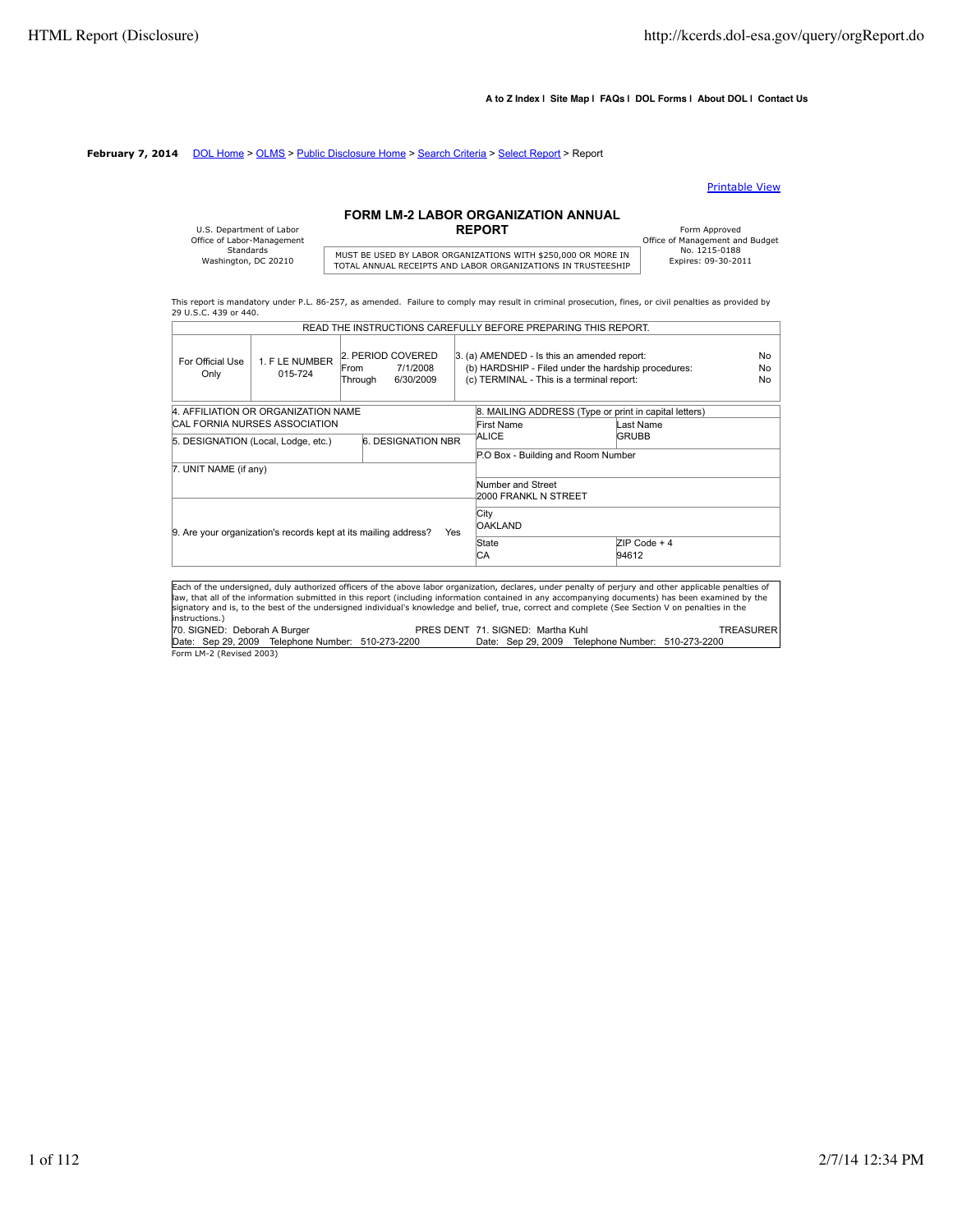#### **A to Z Index | Site Map | FAQs | DOL Forms | About DOL | Contact Us**

#### **February 7, 2014** DOL Home > OLMS > Public Disclosure Home > Search Criteria > Select Report > Report

#### Printable View

# **FORM LM-2 LABOR ORGANIZATION ANNUAL**

| U.S. Department of Labor   |                      |
|----------------------------|----------------------|
| Office of Labor-Management |                      |
| Standards                  | MUST BE USED BY LAB  |
| Washington, DC 20210       | TOTAL AMMUJAL BECETB |

# MUST BE USED BY LABOR ORGANIZATIONS WITH \$250,000 OR MORE IN THISTORIC TO THE TOTAL ANNUAL RECEIPTS AND LABOR ORGANIZATIONS IN TRUSTEESHIP

Form Approved<br>
Office of Management and Budget<br>
No. 1215-0188

This report is mandatory under P.L. 86-257, as amended. Failure to comply may result in criminal prosecution, fines, or civil penalties as provided by 29 U.S.C. 439 or 440. READ THE INSTRUCTIONS CAREFULLY BEFORE PREPARING THIS REPORT.

|                              |                                      | READ THE INSTRUCTIONS CAREFULLY BEFORE PREPARING THIS REPORT.                                                                                                                                                                                                                                                                                                                                                                                                      |            |                                                                                                                                                 |                                                       |                       |
|------------------------------|--------------------------------------|--------------------------------------------------------------------------------------------------------------------------------------------------------------------------------------------------------------------------------------------------------------------------------------------------------------------------------------------------------------------------------------------------------------------------------------------------------------------|------------|-------------------------------------------------------------------------------------------------------------------------------------------------|-------------------------------------------------------|-----------------------|
| For Official Use<br>Only     | 1. F LE NUMBER<br>015-724            | 2. PERIOD COVERED<br>7/1/2008<br><b>From</b><br>6/30/2009<br>Through                                                                                                                                                                                                                                                                                                                                                                                               |            | 3. (a) AMENDED - Is this an amended report:<br>(b) HARDSHIP - Filed under the hardship procedures:<br>(c) TERMINAL - This is a terminal report: |                                                       | No<br><b>No</b><br>No |
|                              | 4. AFFILIATION OR ORGANIZATION NAME  |                                                                                                                                                                                                                                                                                                                                                                                                                                                                    |            |                                                                                                                                                 | 8. MAILING ADDRESS (Type or print in capital letters) |                       |
|                              | <b>CAL FORNIA NURSES ASSOCIATION</b> |                                                                                                                                                                                                                                                                                                                                                                                                                                                                    |            | First Name                                                                                                                                      | Last Name                                             |                       |
|                              | 5. DESIGNATION (Local, Lodge, etc.)  | 6. DESIGNATION NBR                                                                                                                                                                                                                                                                                                                                                                                                                                                 |            | ALICE                                                                                                                                           | <b>GRUBB</b>                                          |                       |
|                              |                                      |                                                                                                                                                                                                                                                                                                                                                                                                                                                                    |            | P.O Box - Building and Room Number                                                                                                              |                                                       |                       |
| 7. UNIT NAME (if any)        |                                      |                                                                                                                                                                                                                                                                                                                                                                                                                                                                    |            |                                                                                                                                                 |                                                       |                       |
|                              |                                      |                                                                                                                                                                                                                                                                                                                                                                                                                                                                    |            | Number and Street<br>2000 FRANKL N STREET                                                                                                       |                                                       |                       |
|                              |                                      | 9. Are your organization's records kept at its mailing address?                                                                                                                                                                                                                                                                                                                                                                                                    | <b>Yes</b> | City<br><b>OAKLAND</b>                                                                                                                          |                                                       |                       |
|                              |                                      |                                                                                                                                                                                                                                                                                                                                                                                                                                                                    |            | State<br>СA                                                                                                                                     | $ZIP Code + 4$<br>94612                               |                       |
|                              |                                      |                                                                                                                                                                                                                                                                                                                                                                                                                                                                    |            |                                                                                                                                                 |                                                       |                       |
| instructions.)               |                                      | Each of the undersigned, duly authorized officers of the above labor organization, declares, under penalty of perjury and other applicable penalties of<br>law, that all of the information submitted in this report (including information contained in any accompanying documents) has been examined by the<br>signatory and is, to the best of the undersigned individual's knowledge and belief, true, correct and complete (See Section V on penalties in the |            |                                                                                                                                                 |                                                       |                       |
| 70. SIGNED: Deborah A Burger |                                      |                                                                                                                                                                                                                                                                                                                                                                                                                                                                    |            | PRES DENT 71, SIGNED: Martha Kuhl                                                                                                               |                                                       | TREASURER             |

70. SIGNED: Deborah A Burger PRES DENT 71. SIGNED: Martha Kuhl TREASURER Date: Sep 29, 2009 Telephone Number: 510-273-2200 Date: Sep 29, 2009 Telephone Number: 510-273-2200 Form LM-2 (Revised 2003)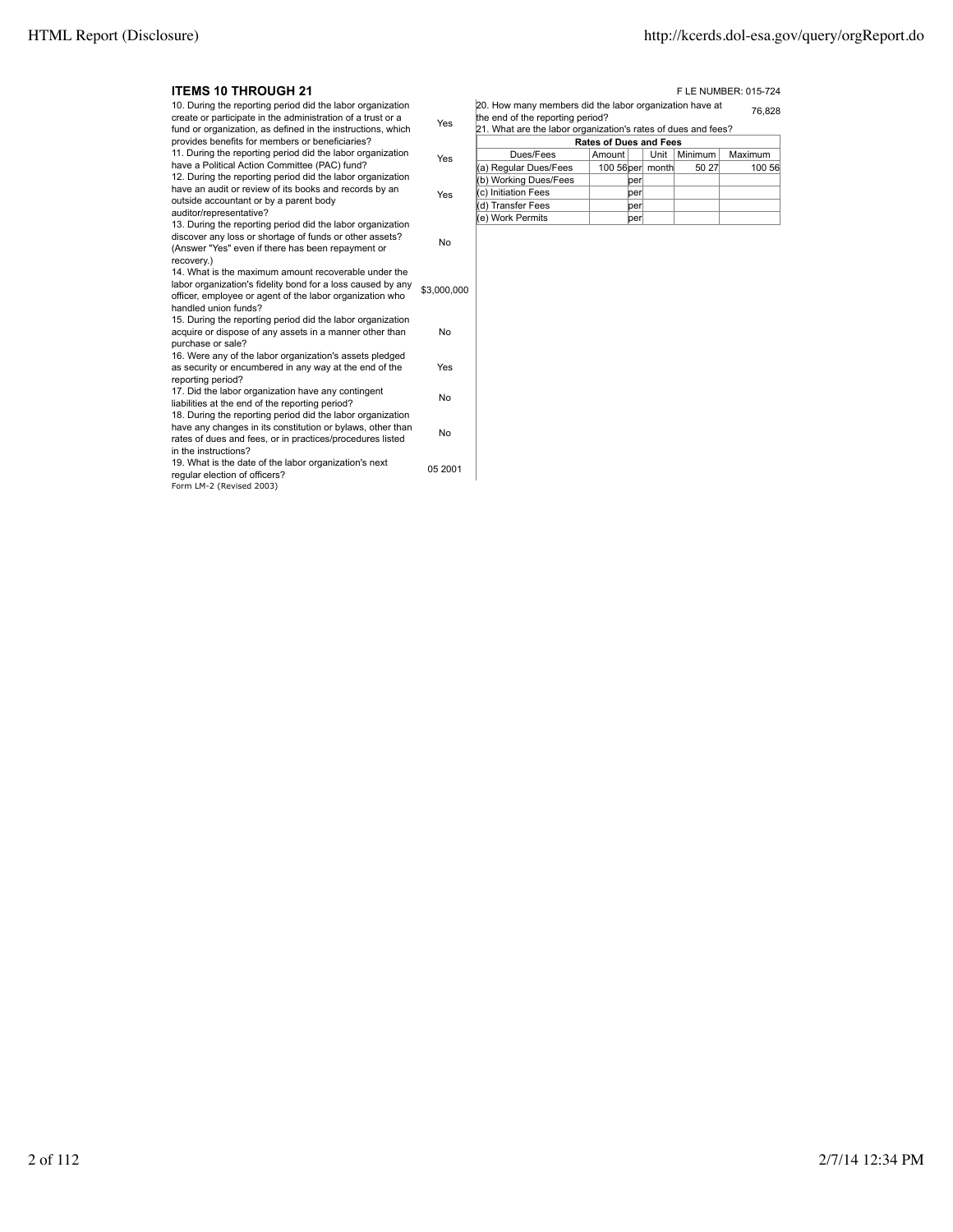Ť

| <b>ITEMS 10 THROUGH 21</b>                                                                                                                                                                                    |             |                                                                                                                                                              |                               |       |         | F LE NUMBER: 015-724 |
|---------------------------------------------------------------------------------------------------------------------------------------------------------------------------------------------------------------|-------------|--------------------------------------------------------------------------------------------------------------------------------------------------------------|-------------------------------|-------|---------|----------------------|
| 10. During the reporting period did the labor organization<br>create or participate in the administration of a trust or a<br>fund or organization, as defined in the instructions, which                      | Yes         | 20. How many members did the labor organization have at<br>the end of the reporting period?<br>21. What are the labor organization's rates of dues and fees? |                               |       |         | 76.828               |
| provides benefits for members or beneficiaries?                                                                                                                                                               |             |                                                                                                                                                              | <b>Rates of Dues and Fees</b> |       |         |                      |
| 11. During the reporting period did the labor organization                                                                                                                                                    | Yes         | Dues/Fees                                                                                                                                                    | Amount                        | Unit  | Minimum | Maximum              |
| have a Political Action Committee (PAC) fund?                                                                                                                                                                 |             | (a) Regular Dues/Fees                                                                                                                                        | 100 56 per                    | month | 50 27   | 100 56               |
| 12. During the reporting period did the labor organization                                                                                                                                                    |             | (b) Working Dues/Fees                                                                                                                                        | per                           |       |         |                      |
| have an audit or review of its books and records by an                                                                                                                                                        | Yes         | c) Initiation Fees                                                                                                                                           | per                           |       |         |                      |
| outside accountant or by a parent body<br>auditor/representative?                                                                                                                                             |             | (d) Transfer Fees                                                                                                                                            | per                           |       |         |                      |
| 13. During the reporting period did the labor organization                                                                                                                                                    |             | (e) Work Permits                                                                                                                                             | perl                          |       |         |                      |
| discover any loss or shortage of funds or other assets?<br>(Answer "Yes" even if there has been repayment or<br>recovery.)                                                                                    | No          |                                                                                                                                                              |                               |       |         |                      |
| 14. What is the maximum amount recoverable under the<br>labor organization's fidelity bond for a loss caused by any<br>officer, employee or agent of the labor organization who<br>handled union funds?       | \$3,000,000 |                                                                                                                                                              |                               |       |         |                      |
| 15. During the reporting period did the labor organization<br>acquire or dispose of any assets in a manner other than<br>purchase or sale?                                                                    | No          |                                                                                                                                                              |                               |       |         |                      |
| 16. Were any of the labor organization's assets pledged<br>as security or encumbered in any way at the end of the<br>reporting period?                                                                        | Yes         |                                                                                                                                                              |                               |       |         |                      |
| 17. Did the labor organization have any contingent<br>liabilities at the end of the reporting period?                                                                                                         | No          |                                                                                                                                                              |                               |       |         |                      |
| 18. During the reporting period did the labor organization<br>have any changes in its constitution or bylaws, other than<br>rates of dues and fees, or in practices/procedures listed<br>in the instructions? | No          |                                                                                                                                                              |                               |       |         |                      |
| 19. What is the date of the labor organization's next<br>regular election of officers?<br>Form LM-2 (Revised 2003)                                                                                            | 05 2001     |                                                                                                                                                              |                               |       |         |                      |
|                                                                                                                                                                                                               |             |                                                                                                                                                              |                               |       |         |                      |

| Dues/Fees             | Amount |     | Unit             | <b>Minimum</b> | Maximum |  |
|-----------------------|--------|-----|------------------|----------------|---------|--|
| (a) Regular Dues/Fees |        |     | 100 56 per month | 50 27          | 100 56  |  |
| (b) Working Dues/Fees |        | per |                  |                |         |  |
| (c) Initiation Fees   |        | per |                  |                |         |  |
| (d) Transfer Fees     |        | per |                  |                |         |  |
| ke) Work Permits      |        | per |                  |                |         |  |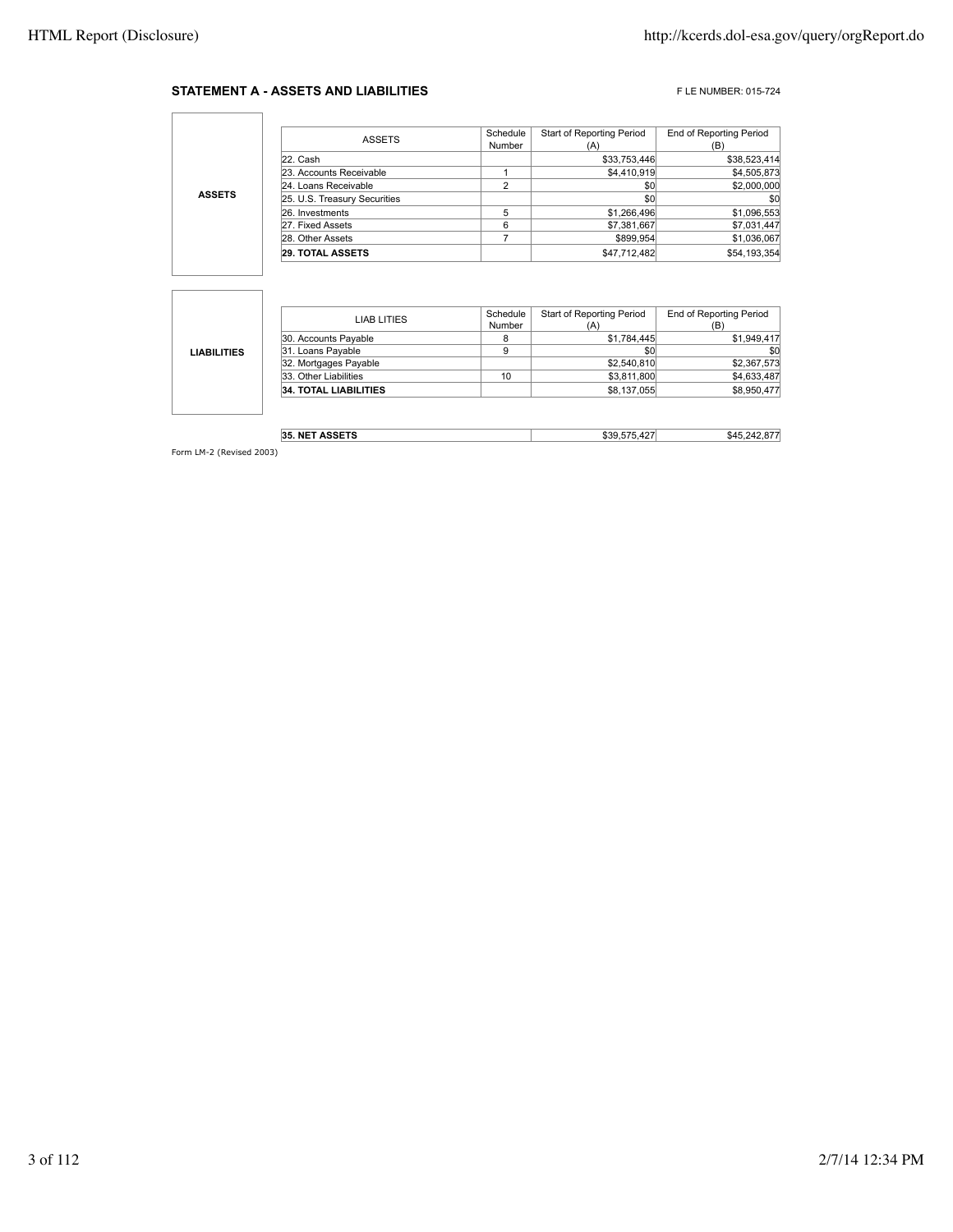#### **STATEMENT A - ASSETS AND LIABILITIES** FLE NUMBER: 015-724

٦

|                                                                                          | <b>ASSETS</b>           | Schedule<br>Number | <b>Start of Reporting Period</b><br>(A) | End of Reporting Period<br>(B) |
|------------------------------------------------------------------------------------------|-------------------------|--------------------|-----------------------------------------|--------------------------------|
|                                                                                          | 22. Cash                |                    | \$33,753,446                            | \$38,523,414                   |
|                                                                                          | 23. Accounts Receivable |                    | \$4,410,919                             | \$4,505,873                    |
| 24. Loans Receivable<br><b>ASSETS</b><br>25. U.S. Treasury Securities<br>26. Investments | ົ                       | \$0                | \$2,000,000                             |                                |
|                                                                                          |                         |                    | \$0                                     | \$0                            |
|                                                                                          |                         |                    | \$1,266,496                             | \$1,096,553                    |
|                                                                                          | 27. Fixed Assets        | 6                  | \$7,381,667                             | \$7,031,447                    |
|                                                                                          | 28. Other Assets        |                    | \$899.954                               | \$1,036,067                    |
|                                                                                          | <b>29. TOTAL ASSETS</b> |                    | \$47.712.482                            | \$54,193,354                   |

|                    | LIAB LITIES                  | Schedule | Start of Reporting Period | <b>End of Reporting Period</b> |
|--------------------|------------------------------|----------|---------------------------|--------------------------------|
|                    |                              | Number   | (A)                       | (B)                            |
|                    | 30. Accounts Payable         |          | \$1,784,445               | \$1,949,417                    |
| <b>LIABILITIES</b> | 31. Loans Payable            | 9        | \$0                       | \$0                            |
|                    | 32. Mortgages Payable        |          | \$2,540,810               | \$2,367,573                    |
|                    | 33. Other Liabilities        | 10       | \$3,811,800               | \$4,633,487                    |
|                    | <b>34. TOTAL LIABILITIES</b> |          | \$8,137,055               | \$8,950,477                    |
|                    |                              |          |                           |                                |

| <b>TT ASSETS</b><br>35. NET | <br>$\sim$<br>ำ<br>.ה | \$45 |
|-----------------------------|-----------------------|------|
|                             |                       |      |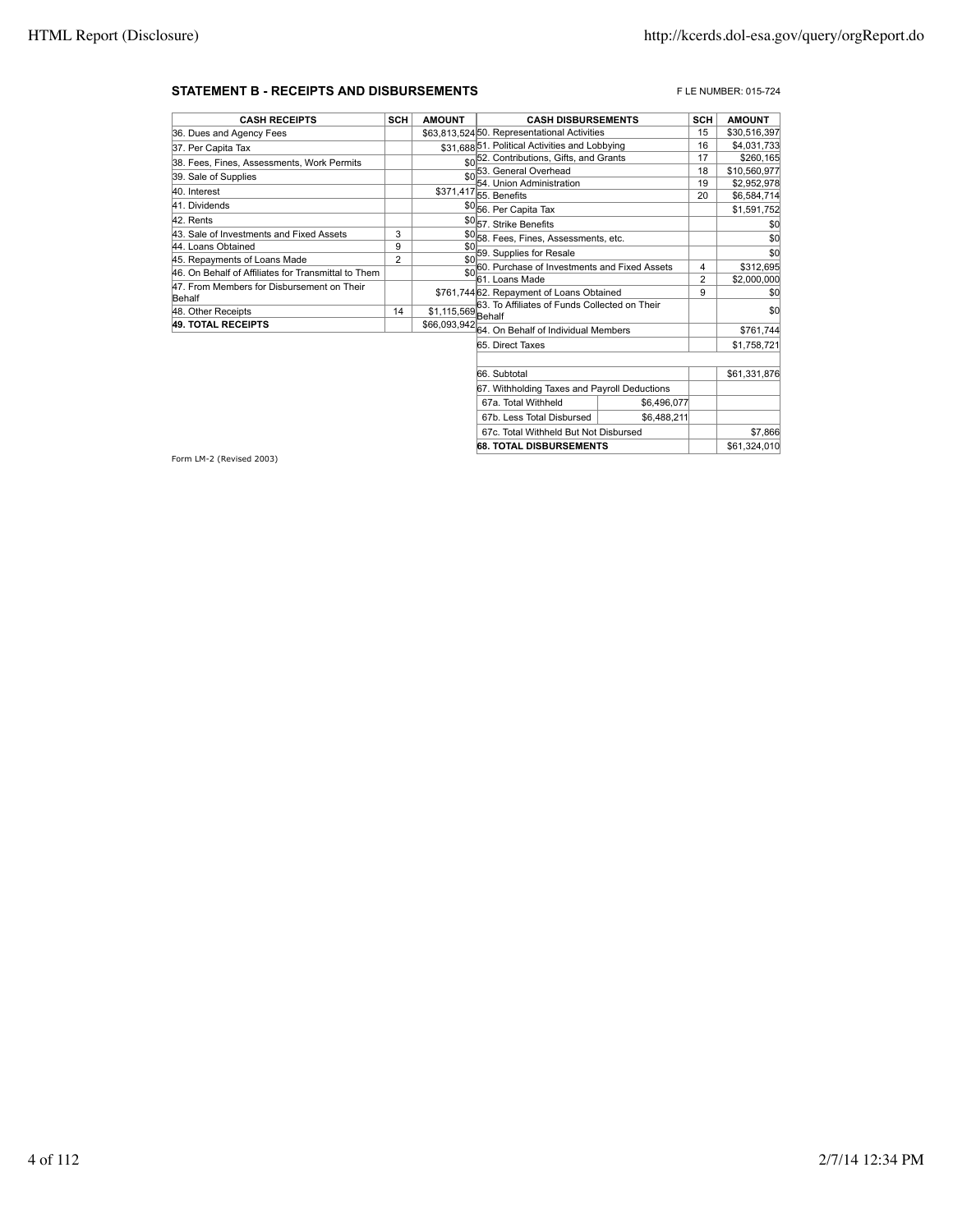#### **STATEMENT B - RECEIPTS AND DISBURSEMENTS EXECUTES AND DISBURSEMENTS FLE NUMBER: 015-724**

| <b>CASH RECEIPTS</b>                                | SCH | <b>AMOUNT</b>       | <b>CASH DISBURSEMENTS</b>                            | <b>SCH</b> | <b>AMOUNT</b> |
|-----------------------------------------------------|-----|---------------------|------------------------------------------------------|------------|---------------|
| 36. Dues and Agency Fees                            |     |                     | \$63.813.52450. Representational Activities          | 15         | \$30,516,397  |
| 37. Per Capita Tax                                  |     |                     | \$31,688 51. Political Activities and Lobbying       | 16         | \$4,031,733   |
| 38. Fees, Fines, Assessments, Work Permits          |     |                     | \$0 <sup>52</sup> . Contributions, Gifts, and Grants | 17         | \$260,165     |
| 39. Sale of Supplies                                |     |                     | 53. General Overhead                                 | 18         | \$10,560,977  |
|                                                     |     |                     | 54. Union Administration                             | 19         | \$2,952,978   |
| 40. Interest                                        |     |                     | \$371,417 55. Benefits                               | 20         | \$6,584,714   |
| 41. Dividends                                       |     |                     | \$0 <sub>56.</sub> Per Capita Tax                    |            | \$1,591,752   |
| 42. Rents                                           |     |                     | \$057. Strike Benefits                               |            | \$0           |
| 43. Sale of Investments and Fixed Assets            | 3   |                     | \$0 <sub>58</sub> . Fees, Fines, Assessments, etc.   |            | \$0           |
| 44. Loans Obtained                                  | 9   | \$0                 | 59. Supplies for Resale                              |            | \$0           |
| 45. Repayments of Loans Made                        | 2   | \$0                 | 60. Purchase of Investments and Fixed Assets         | 4          | \$312,695     |
| 46. On Behalf of Affiliates for Transmittal to Them |     | \$0                 | 61. Loans Made                                       | 2          |               |
| 47. From Members for Disbursement on Their          |     |                     |                                                      |            | \$2,000,000   |
| Behalf                                              |     |                     | \$761.744 62. Repayment of Loans Obtained            | 9          | \$0           |
| 48. Other Receipts                                  | 14  | $$1,115,569$ Behalf | 63. To Affiliates of Funds Collected on Their        |            | \$0           |
| 49. TOTAL RECEIPTS                                  |     |                     | \$66,093,942 64. On Behalf of Individual Members     |            | \$761,744     |
|                                                     |     |                     |                                                      |            |               |
|                                                     |     |                     | 65. Direct Taxes                                     |            | \$1,758,721   |
|                                                     |     |                     | 66. Subtotal                                         |            | \$61,331,876  |
|                                                     |     |                     | 67. Withholding Taxes and Payroll Deductions         |            |               |
|                                                     |     |                     |                                                      |            |               |

| pr. with noightly taxed and I ayron Deductions |             |  |              |
|------------------------------------------------|-------------|--|--------------|
| 67a. Total Withheld                            | \$6,496,077 |  |              |
| 67b. Less Total Disbursed                      | \$6,488,211 |  |              |
| 67c. Total Withheld But Not Disbursed          |             |  | \$7,866      |
| <b>68. TOTAL DISBURSEMENTS</b>                 |             |  | \$61,324,010 |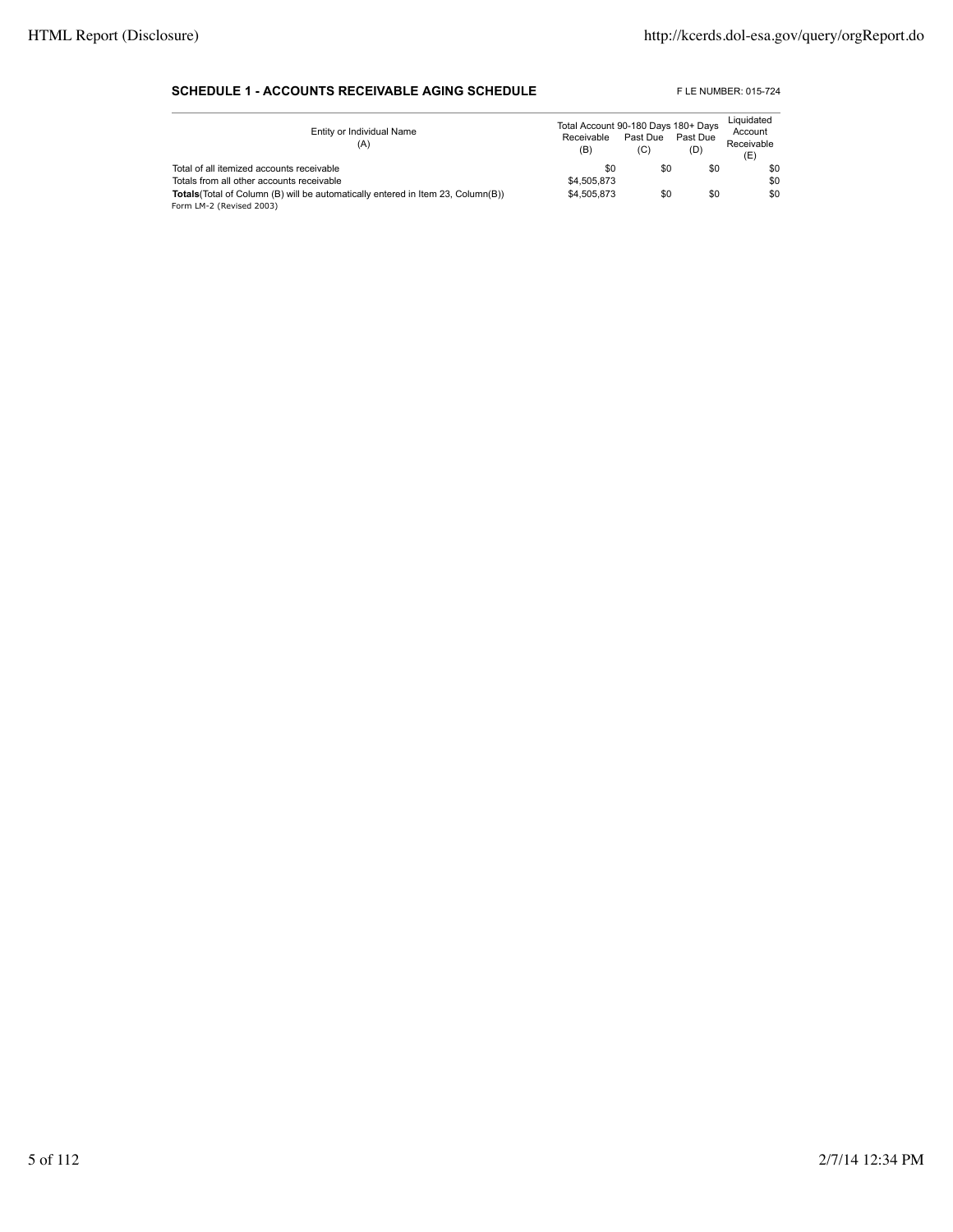#### **SCHEDULE 1 - ACCOUNTS RECEIVABLE AGING SCHEDULE** FLE NUMBER: 015-724

| Entity or Individual Name<br>(A)                                                        | Total Account 90-180 Days 180+ Days<br>Receivable<br>(B) | Past Due<br>(C) | Past Due<br>(D) | Liquidated<br>Account<br>Receivable<br>(E) |
|-----------------------------------------------------------------------------------------|----------------------------------------------------------|-----------------|-----------------|--------------------------------------------|
| Total of all itemized accounts receivable                                               | \$0                                                      | \$0             | \$0             | \$0                                        |
| Totals from all other accounts receivable                                               | \$4,505,873                                              |                 |                 | \$0                                        |
| <b>Totals</b> (Total of Column (B) will be automatically entered in Item 23, Column(B)) | \$4,505,873                                              | \$0             | \$0             | \$0                                        |
| Form LM-2 (Revised 2003)                                                                |                                                          |                 |                 |                                            |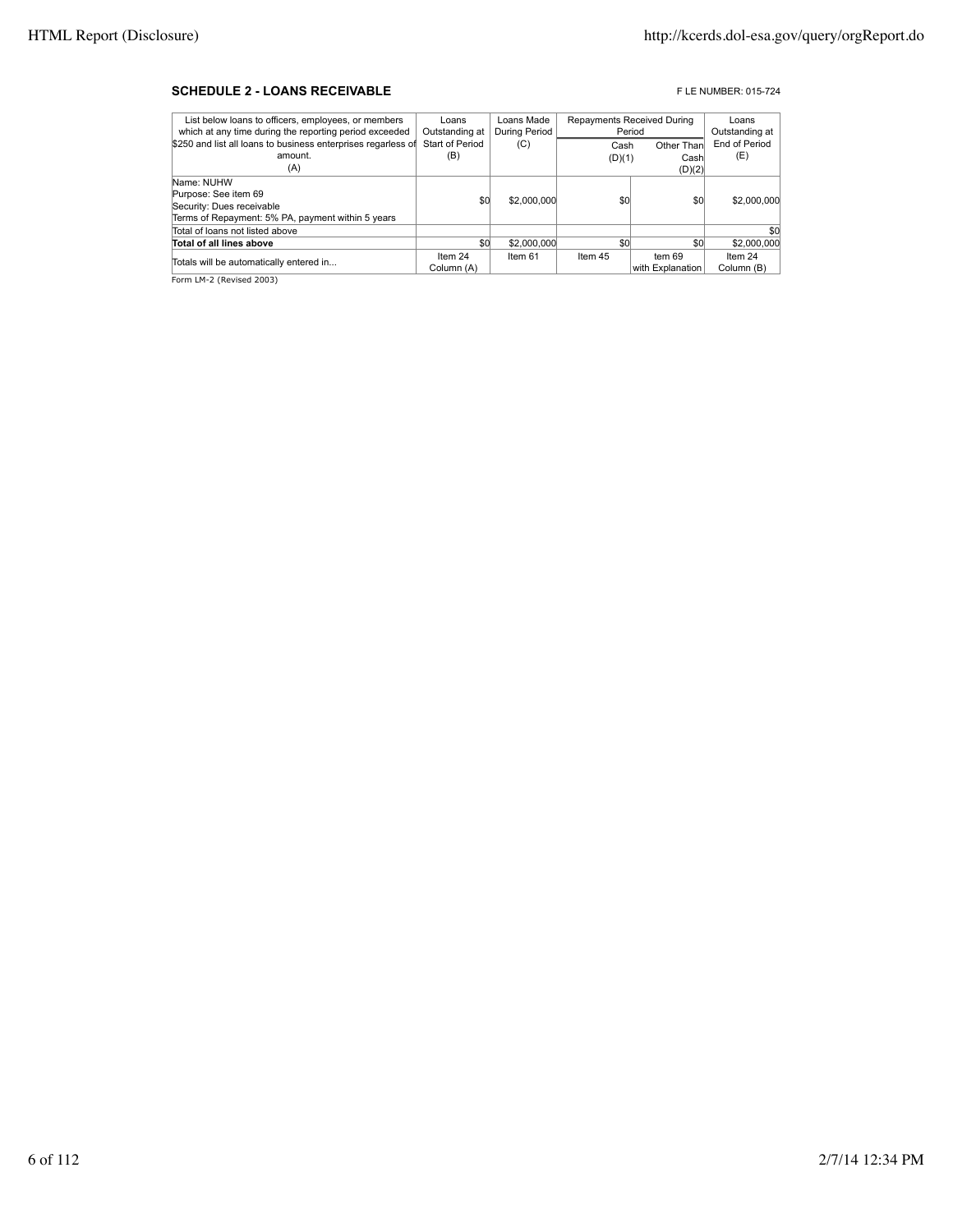#### **SCHEDULE 2 - LOANS RECEIVABLE EXECUTE AND RECEIVABLE F** LE NUMBER: 015-724

| List below loans to officers, employees, or members           | Loans           | Loans Made    | Repayments Received During |                  | Loans          |
|---------------------------------------------------------------|-----------------|---------------|----------------------------|------------------|----------------|
| which at any time during the reporting period exceeded        | Outstanding at  | During Period |                            | Period           | Outstanding at |
| \$250 and list all loans to business enterprises regarless of | Start of Period | (C)           | Cash                       | Other Than       | End of Period  |
| amount.                                                       | (B)             |               | (D)(1)                     | Cash             | (E)            |
| (A)                                                           |                 |               |                            | (D)(2)           |                |
| Name: NUHW                                                    |                 |               |                            |                  |                |
| Purpose: See item 69                                          | \$0             | \$2,000,000   | \$0                        | \$0              | \$2,000,000    |
| Security: Dues receivable                                     |                 |               |                            |                  |                |
| Terms of Repayment: 5% PA, payment within 5 years             |                 |               |                            |                  |                |
| Total of loans not listed above                               |                 |               |                            |                  | \$0            |
| Total of all lines above                                      | \$0             | \$2,000,000   | \$0                        | \$0              | \$2,000,000    |
| Totals will be automatically entered in                       | Item 24         | Item 61       | Item 45                    | tem 69           | Item 24        |
|                                                               | Column (A)      |               |                            | with Explanation | Column (B)     |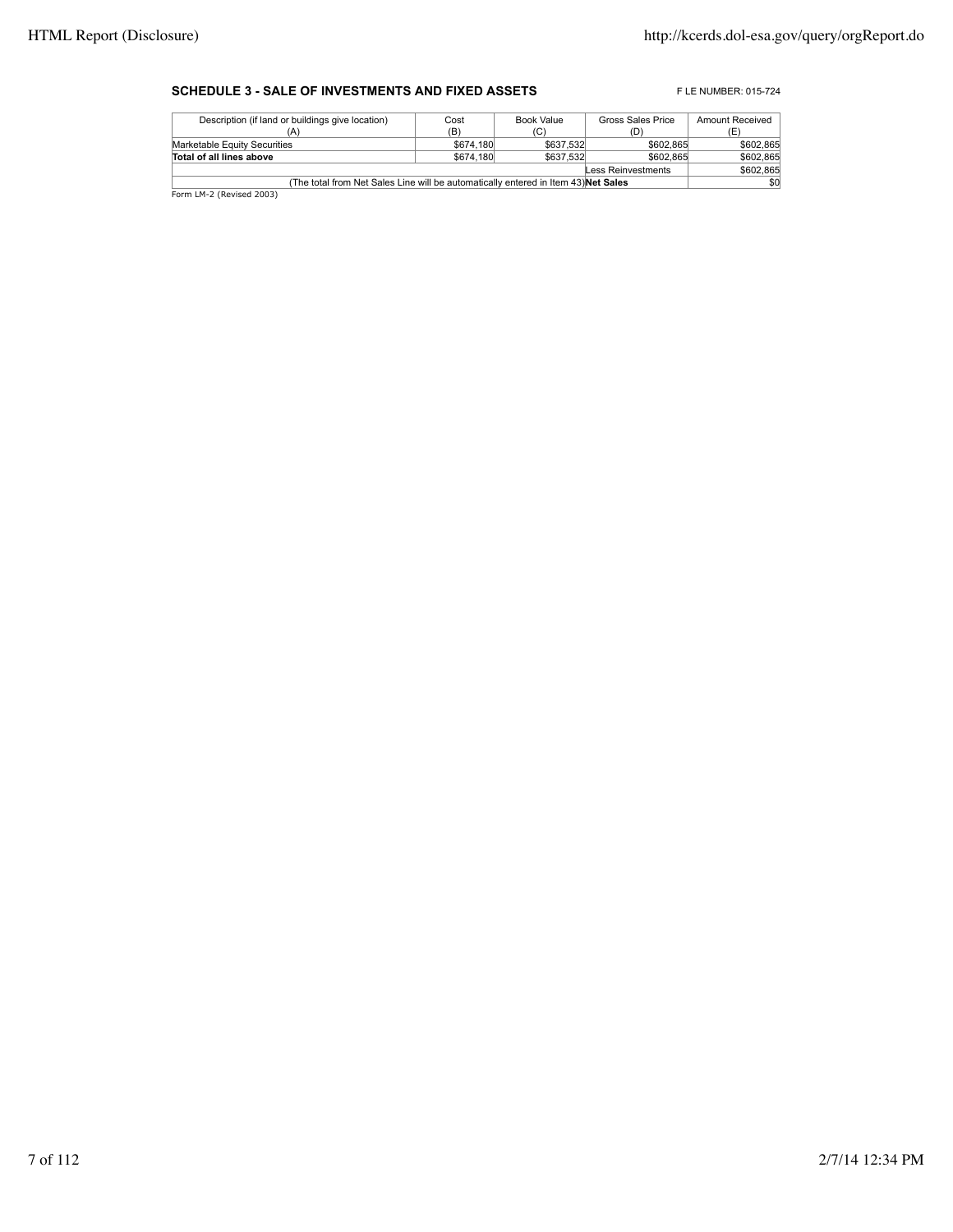### **SCHEDULE 3 - SALE OF INVESTMENTS AND FIXED ASSETS** FLE NUMBER: 015-724

| Cost                                                                                      | Book Value | Gross Sales Price      | Amount Received        |  |  |
|-------------------------------------------------------------------------------------------|------------|------------------------|------------------------|--|--|
| (B)                                                                                       | (C)        | D.                     |                        |  |  |
|                                                                                           |            | \$602,865              | \$602.865              |  |  |
|                                                                                           |            | \$602.865              | \$602.865              |  |  |
| Less Reinvestments                                                                        |            |                        |                        |  |  |
| (The total from Net Sales Line will be automatically entered in Item 43) <b>Net Sales</b> |            |                        |                        |  |  |
|                                                                                           |            | \$674,180<br>\$674,180 | \$637,532<br>\$637,532 |  |  |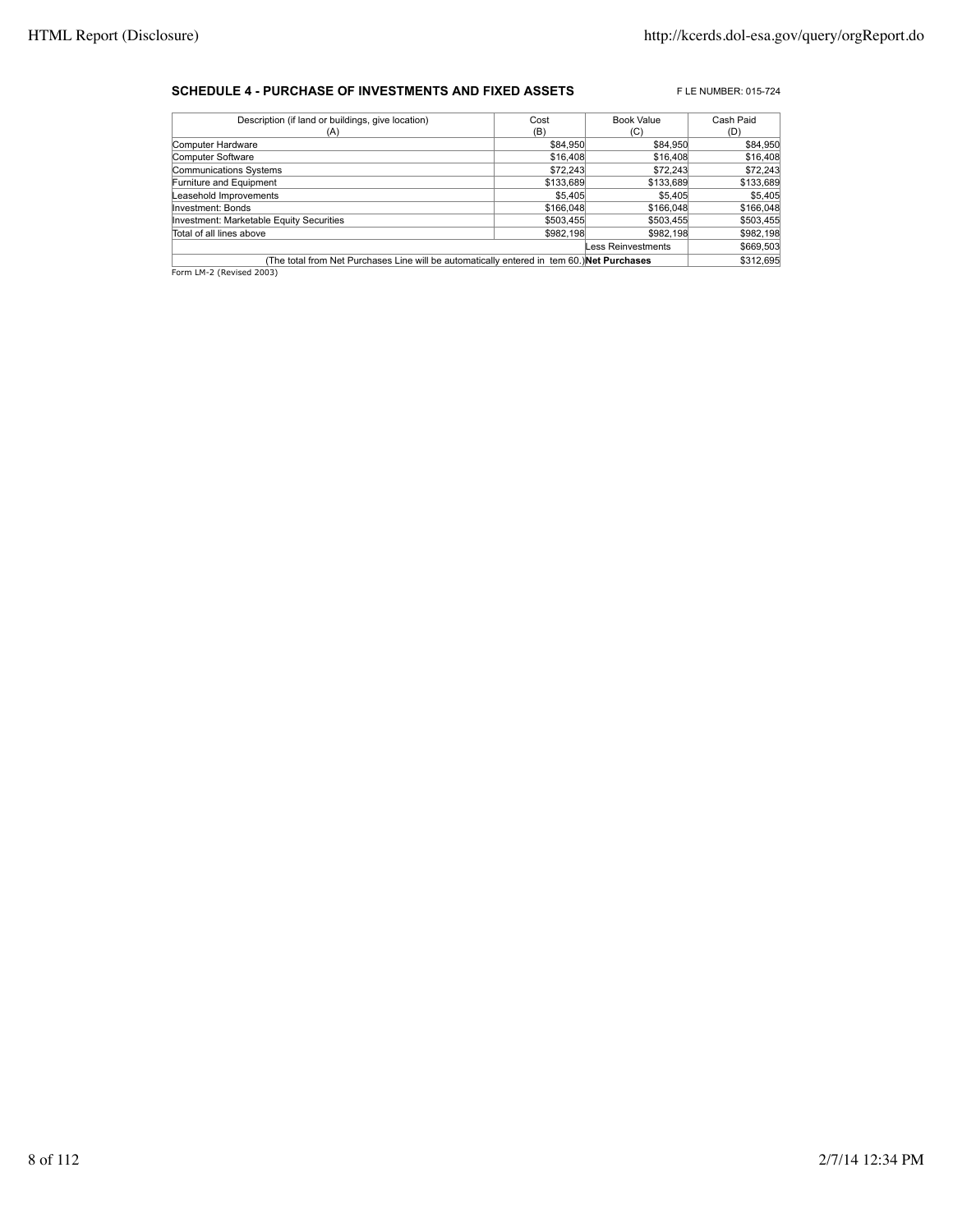#### **SCHEDULE 4 - PURCHASE OF INVESTMENTS AND FIXED ASSETS** FLE NUMBER: 015-724

| Description (if land or buildings, give location)                                          | Cost      | <b>Book Value</b>  | Cash Paid |
|--------------------------------------------------------------------------------------------|-----------|--------------------|-----------|
| (A)                                                                                        | (B)       | (C)                | (D)       |
| Computer Hardware                                                                          | \$84,950  | \$84,950           | \$84,950  |
| Computer Software                                                                          | \$16,408  | \$16,408           | \$16,408  |
| Communications Systems                                                                     | \$72,243  | \$72.243           | \$72,243  |
| Furniture and Equipment                                                                    | \$133,689 | \$133,689          | \$133,689 |
| Leasehold Improvements                                                                     | \$5.405   | \$5.405            | \$5,405   |
| Investment: Bonds                                                                          | \$166,048 | \$166,048          | \$166,048 |
| Investment: Marketable Equity Securities                                                   | \$503,455 | \$503,455          | \$503,455 |
| Total of all lines above                                                                   | \$982,198 | \$982.198          | \$982,198 |
|                                                                                            |           | Less Reinvestments | \$669,503 |
| (The total from Net Purchases Line will be automatically entered in tem 60.) Net Purchases |           |                    | \$312,695 |
| $ \cdots$ $\cdots$ $\cdots$                                                                |           |                    |           |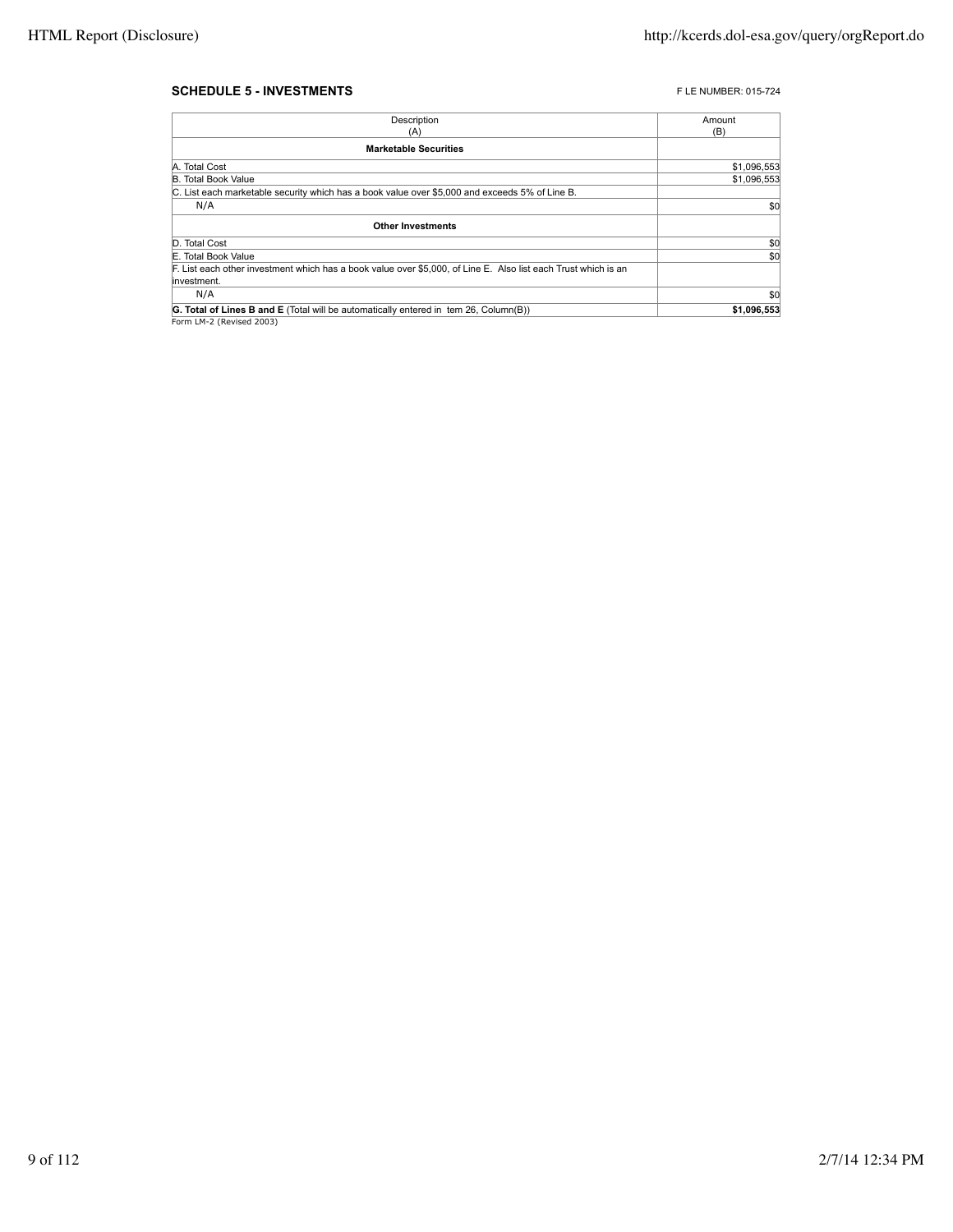#### **SCHEDULE 5 - INVESTMENTS FLE NUMBER: 015-724**

| Description                                                                                                    | Amount      |
|----------------------------------------------------------------------------------------------------------------|-------------|
| (A)                                                                                                            | (B)         |
| <b>Marketable Securities</b>                                                                                   |             |
| A. Total Cost                                                                                                  | \$1,096,553 |
| <b>B. Total Book Value</b>                                                                                     | \$1,096,553 |
| C. List each marketable security which has a book value over \$5,000 and exceeds 5% of Line B.                 |             |
| N/A                                                                                                            | \$0         |
| <b>Other Investments</b>                                                                                       |             |
| D. Total Cost                                                                                                  | \$0         |
| E. Total Book Value                                                                                            | \$0         |
| F. List each other investment which has a book value over \$5,000, of Line E. Also list each Trust which is an |             |
| linvestment.                                                                                                   |             |
| N/A                                                                                                            | \$0         |
| <b>G. Total of Lines B and E</b> (Total will be automatically entered in tem 26, Column(B))                    | \$1,096,553 |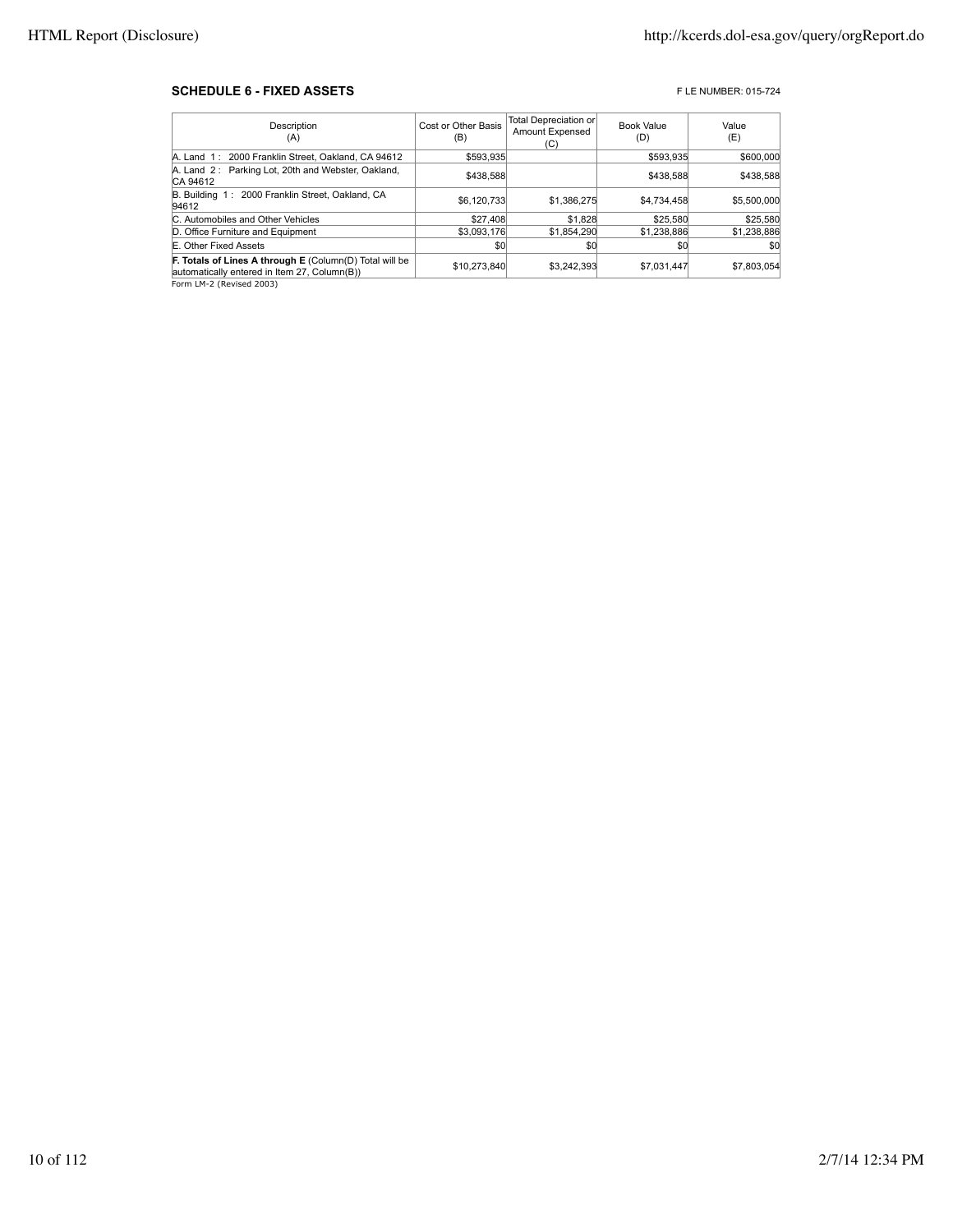#### **SCHEDULE 6 - FIXED ASSETS FIXED ASSETS FIXED ASSETS**

| Description<br>(A)                                                                                             | Cost or Other Basis<br>(B) | Total Depreciation or<br><b>Amount Expensed</b><br>(C) | <b>Book Value</b><br>(D) | Value<br>(E) |
|----------------------------------------------------------------------------------------------------------------|----------------------------|--------------------------------------------------------|--------------------------|--------------|
| A. Land 1: 2000 Franklin Street, Oakland, CA 94612                                                             | \$593,935                  |                                                        | \$593.935                | \$600,000    |
| A. Land 2: Parking Lot, 20th and Webster, Oakland,<br>CA 94612                                                 | \$438,588                  |                                                        | \$438,588                | \$438,588    |
| B. Building 1: 2000 Franklin Street, Oakland, CA<br>94612                                                      | \$6,120,733                | \$1.386.275                                            | \$4,734,458              | \$5,500,000  |
| C. Automobiles and Other Vehicles                                                                              | \$27,408                   | \$1,828                                                | \$25,580                 | \$25,580     |
| D. Office Furniture and Equipment                                                                              | \$3,093,176                | \$1,854,290                                            | \$1,238,886              | \$1,238,886  |
| E. Other Fixed Assets                                                                                          | \$0                        | \$0                                                    | \$0                      | \$0          |
| <b>F. Totals of Lines A through E</b> (Column(D) Total will be<br>automatically entered in Item 27, Column(B)) | \$10,273,840               | \$3.242.393                                            | \$7,031,447              | \$7,803,054  |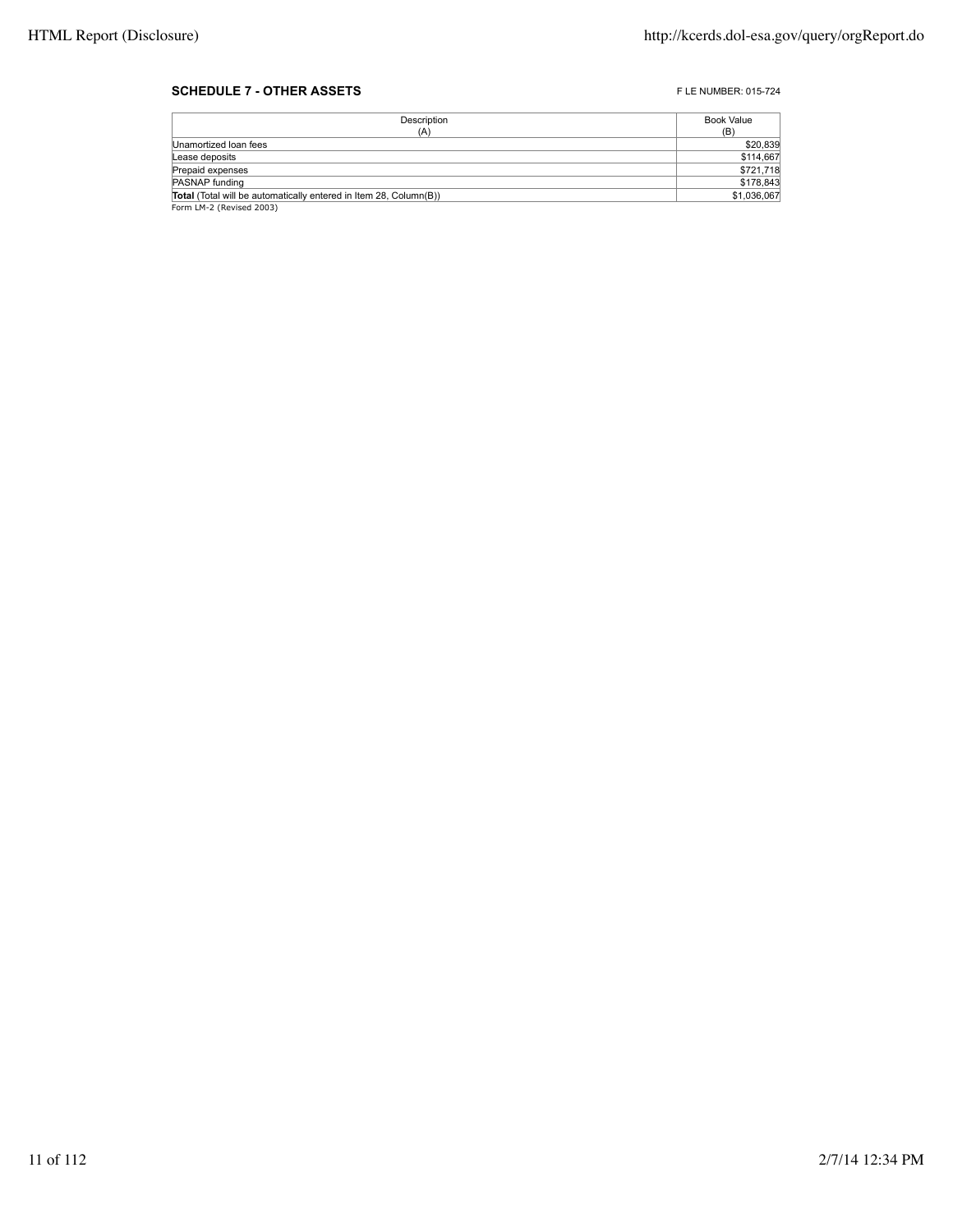#### **SCHEDULE 7 - OTHER ASSETS FLE NUMBER: 015-724**

| Description                                                       | Book Value  |
|-------------------------------------------------------------------|-------------|
| (A)                                                               | (B)         |
| Unamortized Ioan fees                                             | \$20,839    |
| Lease deposits                                                    | \$114,667   |
| Prepaid expenses                                                  | \$721,718   |
| PASNAP funding                                                    | \$178,843   |
| Total (Total will be automatically entered in Item 28, Column(B)) | \$1,036,067 |
| Form LM-2 (Revised 2003)                                          |             |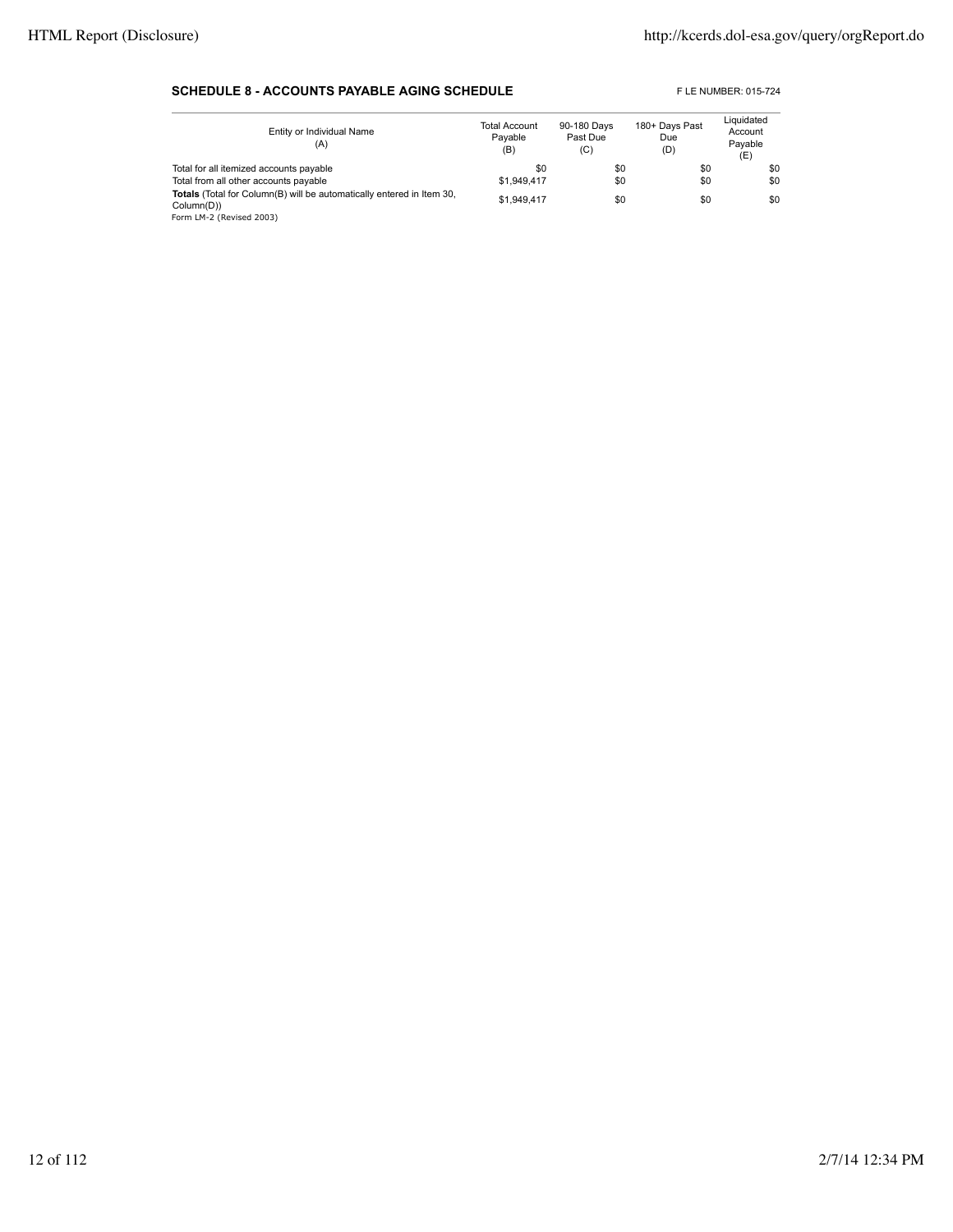#### **SCHEDULE 8 - ACCOUNTS PAYABLE AGING SCHEDULE** FLE NUMBER: 015-724

| Entity or Individual Name<br>(A)                                                                                | <b>Total Account</b><br>Pavable<br>(B) | 90-180 Days<br>Past Due<br>(C) | 180+ Days Past<br>Due<br>(D) | Liquidated<br>Account<br>Pavable<br>(E) |
|-----------------------------------------------------------------------------------------------------------------|----------------------------------------|--------------------------------|------------------------------|-----------------------------------------|
| Total for all itemized accounts payable                                                                         | \$0                                    | \$0                            | \$0                          | \$0                                     |
| Total from all other accounts payable                                                                           | \$1.949.417                            | \$0                            | \$0                          | \$0                                     |
| Totals (Total for Column(B) will be automatically entered in Item 30,<br>Column(D))<br>Form LM-2 (Revised 2003) | \$1.949.417                            | \$0                            | \$0                          | \$0                                     |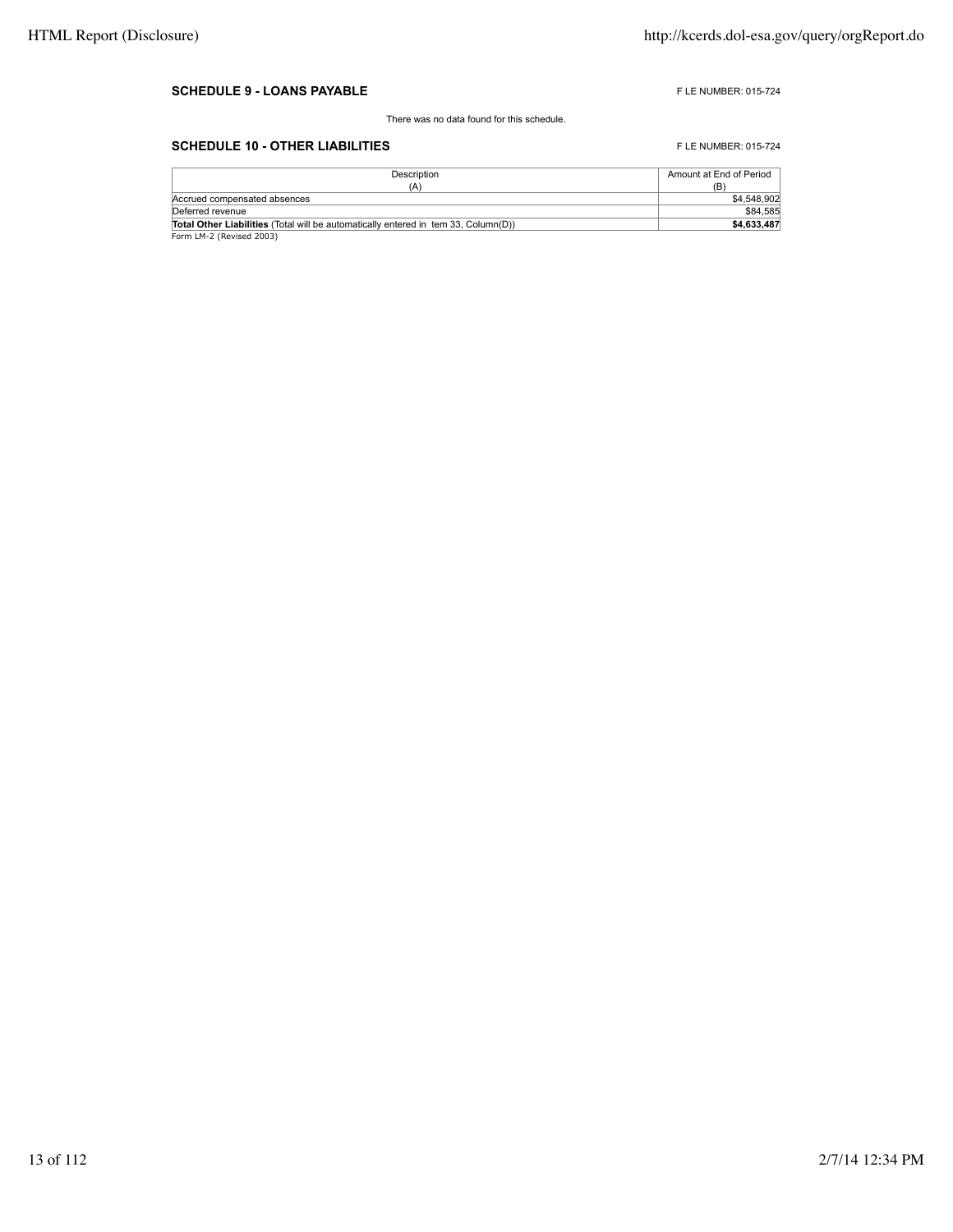#### **SCHEDULE 9 - LOANS PAYABLE FLE NUMBER: 015-724**

There was no data found for this schedule.

### **SCHEDULE 10 - OTHER LIABILITIES** FLE NUMBER: 015-724

| Description                                                                               | Amount at End of Period |
|-------------------------------------------------------------------------------------------|-------------------------|
| (A)                                                                                       | (B)                     |
| Accrued compensated absences                                                              | \$4,548,902             |
| Deferred revenue                                                                          | \$84,585                |
| <b>Total Other Liabilities</b> (Total will be automatically entered in tem 33. Column(D)) | \$4.633.487             |
| Form LM-2 (Revised 2003)                                                                  |                         |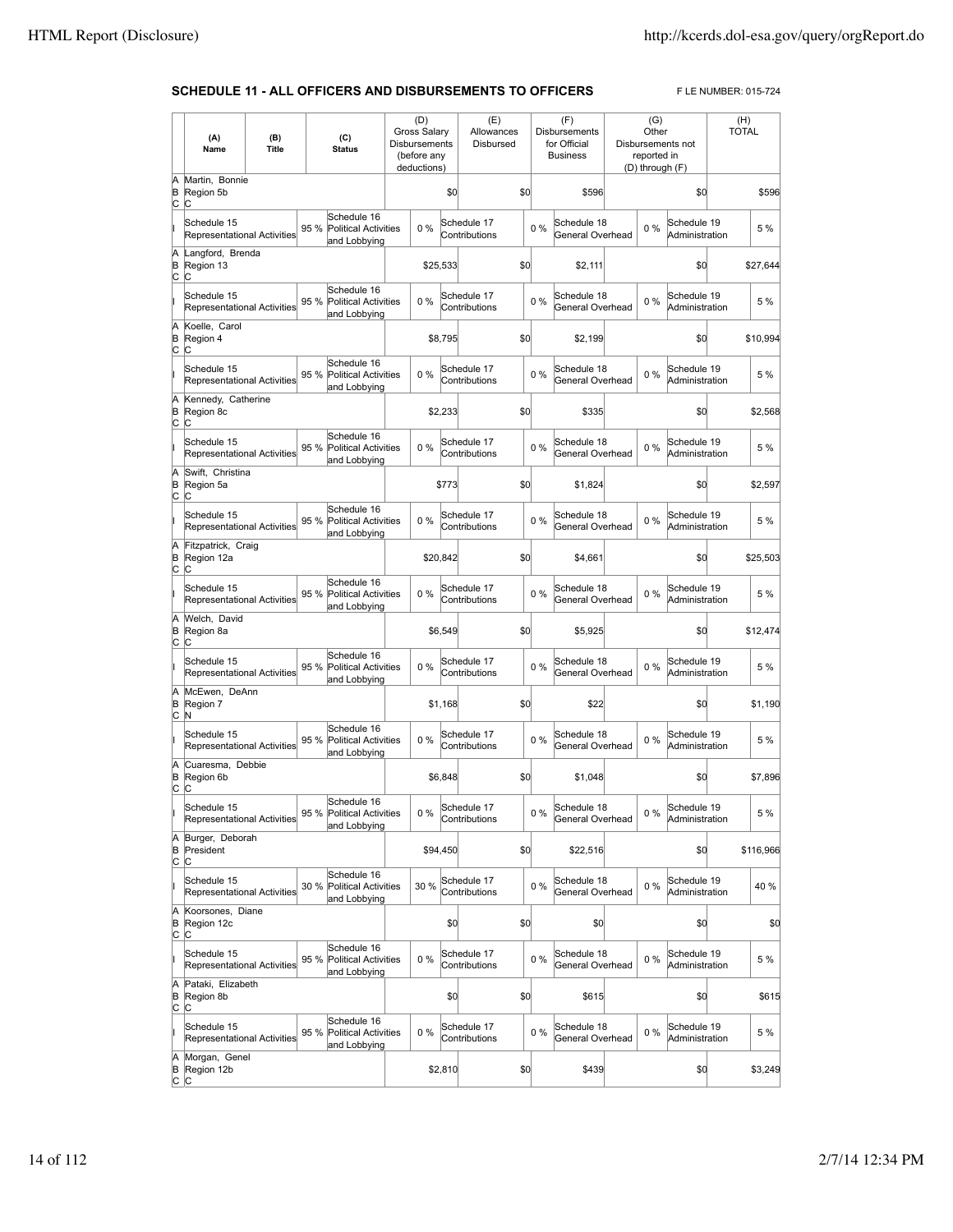## **SCHEDULE 11 - ALL OFFICERS AND DISBURSEMENTS TO OFFICERS** FLE NUMBER: 015-724

|                   | (A)<br>Name                                       | (B)<br>Title |      | (C)<br><b>Status</b>                                       | (D)<br><b>Gross Salary</b><br>Disbursements<br>(before any<br>deductions) |          | (E)<br>Allowances<br>Disbursed |     |       | (F)<br><b>Disbursements</b><br>for Official<br><b>Business</b> | (G)<br>Other<br>reported in<br>(D) through (F) | Disbursements not             | (H)<br><b>TOTAL</b> |
|-------------------|---------------------------------------------------|--------------|------|------------------------------------------------------------|---------------------------------------------------------------------------|----------|--------------------------------|-----|-------|----------------------------------------------------------------|------------------------------------------------|-------------------------------|---------------------|
| Ā<br>B<br>c       | Martin, Bonnie<br>Region 5b<br>C                  |              |      |                                                            |                                                                           | \$0      |                                | \$0 |       | \$596                                                          |                                                | \$0                           | \$596               |
|                   | Schedule 15<br>Representational Activities        |              | 95 % | Schedule 16<br><b>Political Activities</b><br>and Lobbying | $0\%$                                                                     |          | Schedule 17<br>Contributions   |     | $0\%$ | Schedule 18<br>General Overhead                                | 0%                                             | Schedule 19<br>Administration | 5 %                 |
| Ā<br>B<br>C       | Langford, Brenda<br>Region 13<br>C                |              |      |                                                            |                                                                           | \$25.533 |                                | \$0 |       | \$2.111                                                        |                                                | \$0                           | \$27,644            |
|                   | Schedule 15<br>Representational Activities        |              | 95 % | Schedule 16<br><b>Political Activities</b><br>and Lobbying | 0%                                                                        |          | Schedule 17<br>Contributions   |     | 0%    | Schedule 18<br>General Overhead                                | 0%                                             | Schedule 19<br>Administration | 5 %                 |
| A<br>B<br>C       | Koelle, Carol<br>Region 4<br>C                    |              |      |                                                            |                                                                           | \$8,795  |                                | \$0 |       | \$2,199                                                        |                                                | \$0                           | \$10,994            |
|                   | Schedule 15<br>Representational Activities        |              | 95 % | Schedule 16<br><b>Political Activities</b><br>and Lobbying | 0%                                                                        |          | Schedule 17<br>Contributions   |     | 0%    | Schedule 18<br>General Overhead                                | 0%                                             | Schedule 19<br>Administration | 5 %                 |
| A<br>B<br>C       | Kennedy, Catherine<br>Region 8c<br>C              |              |      |                                                            |                                                                           | \$2,233  |                                | \$0 |       | \$335                                                          |                                                | \$0                           | \$2,568             |
|                   | Schedule 15<br><b>Representational Activities</b> |              | 95 % | Schedule 16<br><b>Political Activities</b><br>and Lobbying | 0%                                                                        |          | Schedule 17<br>Contributions   |     | 0%    | Schedule 18<br>General Overhead                                | 0%                                             | Schedule 19<br>Administration | 5 %                 |
| A<br>B<br>C       | Swift. Christina<br>Region 5a<br>C                |              |      |                                                            |                                                                           | \$773    |                                | \$0 |       | \$1,824                                                        |                                                | \$0                           | \$2,597             |
|                   | Schedule 15<br><b>Representational Activities</b> |              | 95 % | Schedule 16<br><b>Political Activities</b><br>and Lobbying | 0%                                                                        |          | Schedule 17<br>Contributions   |     | 0%    | Schedule 18<br>General Overhead                                | 0%                                             | Schedule 19<br>Administration | 5 %                 |
| A<br>B<br>C       | Fitzpatrick, Craig<br>Region 12a<br>C             |              |      |                                                            |                                                                           | \$20,842 |                                | \$0 |       | \$4,661                                                        |                                                | \$0                           | \$25,503            |
|                   | Schedule 15<br>Representational Activities        |              | 95 % | Schedule 16<br><b>Political Activities</b><br>and Lobbying | 0%                                                                        |          | Schedule 17<br>Contributions   |     | 0%    | Schedule 18<br>General Overhead                                | $0\%$                                          | Schedule 19<br>Administration | 5 %                 |
| A<br>B<br>C       | Welch, David<br>Region 8a<br>C                    |              |      |                                                            |                                                                           | \$6,549  |                                | \$0 |       | \$5,925                                                        |                                                | \$0                           | \$12,474            |
|                   | Schedule 15<br>Representational Activities        |              | 95 % | Schedule 16<br>Political Activities<br>and Lobbying        | 0%                                                                        |          | Schedule 17<br>Contributions   |     | 0%    | Schedule 18<br>General Overhead                                | $0\%$                                          | Schedule 19<br>Administration | 5 %                 |
| Ā<br>B<br>C       | McEwen, DeAnn<br>Region 7<br>N                    |              |      |                                                            |                                                                           | \$1,168  |                                | \$0 |       | \$22                                                           |                                                | \$0                           | \$1,190             |
|                   | Schedule 15<br>Representational Activities        |              | 95 % | Schedule 16<br><b>Political Activities</b><br>and Lobbying | 0%                                                                        |          | Schedule 17<br>Contributions   |     | 0%    | Schedule 18<br>General Overhead                                | 0%                                             | Schedule 19<br>Administration | 5 %                 |
| A<br>B<br>C       | Cuaresma. Debbie<br>Region 6b<br>C                |              |      |                                                            |                                                                           | \$6,848  |                                | \$0 |       | \$1,048                                                        |                                                | \$0                           | \$7,896             |
|                   | Schedule 15<br>Representational Activities        |              |      | Schedule 16<br>95 % Political Activities<br>and Lobbying   | $0\%$                                                                     |          | Schedule 17<br>Contributions   |     | $0\%$ | Schedule 18<br>General Overhead                                | 0 %                                            | Schedule 19<br>Administration | 5 %                 |
| A<br>B<br>C       | Burger, Deborah<br>President<br>C                 |              |      |                                                            |                                                                           | \$94,450 |                                | \$0 |       | \$22,516                                                       |                                                | \$0                           | \$116,966           |
|                   | Schedule 15<br>Representational Activities        |              | 30 % | Schedule 16<br>Political Activities<br>and Lobbying        | 30 %                                                                      |          | Schedule 17<br>Contributions   |     | $0\%$ | Schedule 18<br>General Overhead                                | 0%                                             | Schedule 19<br>Administration | 40 %                |
| A<br>B<br>C       | Koorsones, Diane<br>Region 12c<br>lC.             |              |      |                                                            |                                                                           |          | \$0                            | \$0 |       | \$0                                                            |                                                | \$0                           | \$0                 |
| lï                | Schedule 15<br><b>Representational Activities</b> |              | 95 % | Schedule 16<br><b>Political Activities</b><br>and Lobbying | $0\%$                                                                     |          | Schedule 17<br>Contributions   |     | 0%    | Schedule 18<br>General Overhead                                | $0\%$                                          | Schedule 19<br>Administration | 5 %                 |
| A<br>B<br>C       | Pataki, Elizabeth<br>Region 8b<br>C               |              |      |                                                            |                                                                           |          | \$0                            | \$0 |       | \$615                                                          |                                                | \$0                           | \$615               |
|                   | Schedule 15<br>Representational Activities        |              | 95 % | Schedule 16<br>Political Activities<br>and Lobbying        | 0%                                                                        |          | Schedule 17<br>Contributions   |     | 0%    | Schedule 18<br>General Overhead                                | 0%                                             | Schedule 19<br>Administration | 5 %                 |
| A<br>B<br>$c$ $c$ | Morgan, Genel<br>Region 12b                       |              |      |                                                            |                                                                           | \$2,810  |                                | \$0 |       | \$439                                                          |                                                | \$0                           | \$3,249             |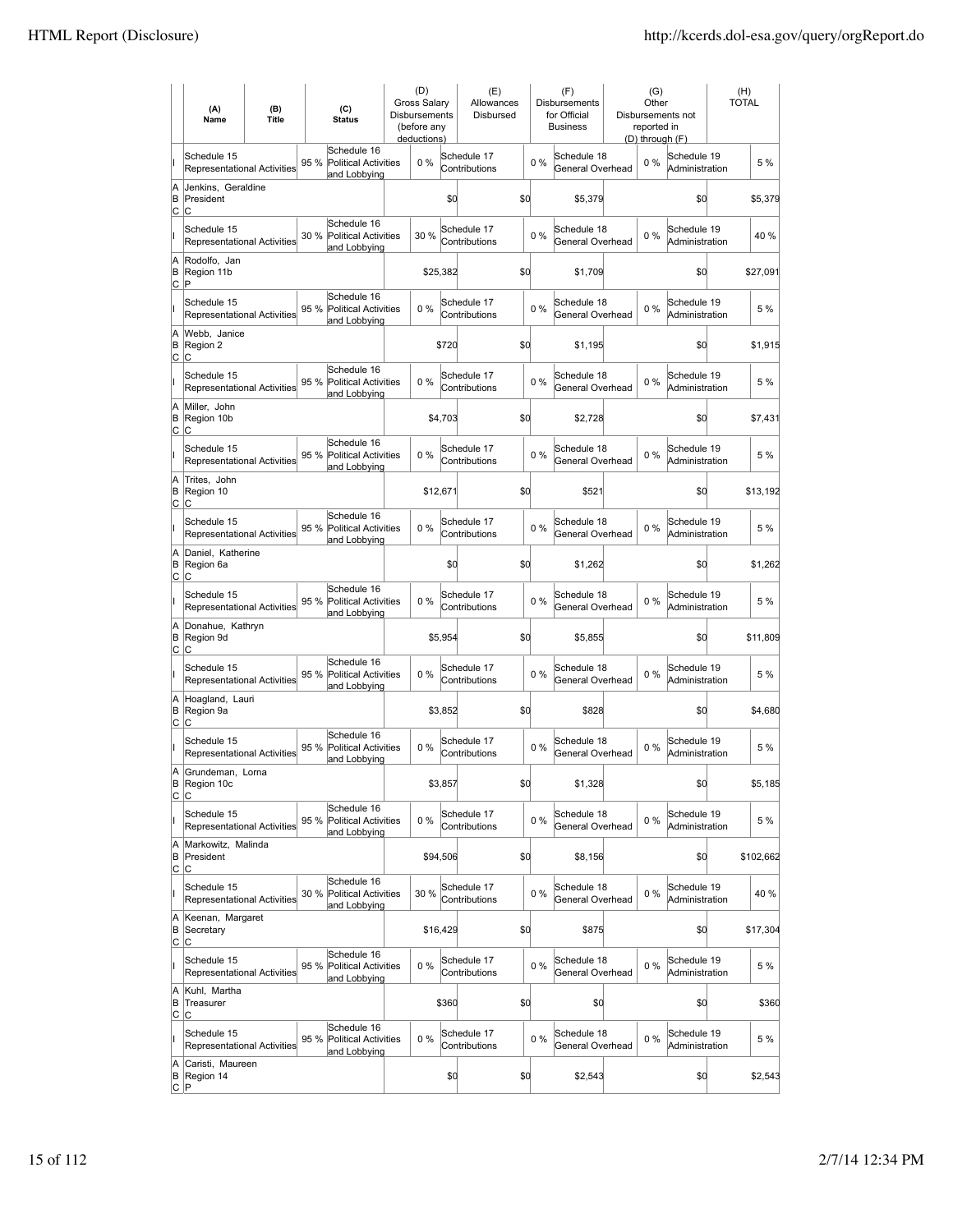|                 | (A)<br>Name                                       | (B)<br><b>Title</b> | (C)<br><b>Status</b> |                                                            | (D)<br>Gross Salary<br><b>Disbursements</b><br>(before any<br>deductions) |          | (E)<br>Allowances<br>Disbursed |     |       | (F)<br><b>Disbursements</b><br>for Official<br><b>Business</b> | (G)<br>Other<br>reported in<br>(D) through (F) | Disbursements not             | (H)<br><b>TOTAL</b> |
|-----------------|---------------------------------------------------|---------------------|----------------------|------------------------------------------------------------|---------------------------------------------------------------------------|----------|--------------------------------|-----|-------|----------------------------------------------------------------|------------------------------------------------|-------------------------------|---------------------|
| II              | Schedule 15<br><b>Representational Activities</b> |                     | 95 %                 | Schedule 16<br><b>Political Activities</b><br>and Lobbying | 0%                                                                        |          | Schedule 17<br>Contributions   |     | 0%    | Schedule 18<br>General Overhead                                | 0%                                             | Schedule 19<br>Administration | 5 %                 |
| A<br>B<br>C     | Jenkins, Geraldine<br>President<br>C              |                     |                      |                                                            |                                                                           | \$d      |                                | \$0 |       | \$5,379                                                        |                                                | \$0                           | \$5,379             |
| II              | Schedule 15<br>Representational Activities        |                     | 30 %                 | Schedule 16<br><b>Political Activities</b><br>and Lobbying | 30 %                                                                      |          | Schedule 17<br>Contributions   |     | 0%    | Schedule 18<br>General Overhead                                | $0\%$                                          | Schedule 19<br>Administration | 40%                 |
| A<br>B<br>C     | Rodolfo, Jan<br>Region 11b<br>ΙP                  |                     |                      |                                                            |                                                                           | \$25.382 |                                | \$0 |       | \$1,709                                                        |                                                | \$0                           | \$27,091            |
| II              | Schedule 15<br><b>Representational Activities</b> |                     | 95 %                 | Schedule 16<br><b>Political Activities</b><br>and Lobbying | 0%                                                                        |          | Schedule 17<br>Contributions   |     | 0%    | Schedule 18<br>General Overhead                                | $0\%$                                          | Schedule 19<br>Administration | 5 %                 |
| A<br>B<br>lc.   | Webb, Janice<br>Region 2<br>C                     |                     |                      |                                                            |                                                                           | \$720    |                                | \$d |       | \$1,195                                                        |                                                | \$0                           | \$1,915             |
| ı               | Schedule 15<br><b>Representational Activities</b> |                     | 95 %                 | Schedule 16<br><b>Political Activities</b><br>and Lobbying | 0%                                                                        |          | Schedule 17<br>Contributions   |     | $0\%$ | Schedule 18<br>General Overhead                                | $0\%$                                          | Schedule 19<br>Administration | 5 %                 |
| A<br>B<br>lc.   | Miller, John<br>Region 10b<br>С                   |                     |                      |                                                            |                                                                           | \$4,703  |                                | \$0 |       | \$2,728                                                        |                                                | \$0                           | \$7,431             |
| Iı              | Schedule 15<br>Representational Activities        |                     | 95 %                 | Schedule 16<br><b>Political Activities</b><br>and Lobbying | 0%                                                                        |          | Schedule 17<br>Contributions   |     | 0%    | Schedule 18<br>General Overhead                                | 0%                                             | Schedule 19<br>Administration | 5 %                 |
| A<br>B<br>C     | Trites, John<br>Region 10<br>Iс                   |                     |                      |                                                            |                                                                           | \$12,671 |                                | \$d |       | \$521                                                          |                                                | \$d                           | \$13,192            |
| lı.             | Schedule 15<br><b>Representational Activities</b> |                     | 95 %                 | Schedule 16<br>Political Activities<br>and Lobbying        | 0%                                                                        |          | Schedule 17<br>Contributions   |     | $0\%$ | Schedule 18<br>General Overhead                                | $0\%$                                          | Schedule 19<br>Administration | 5 %                 |
| A<br>B<br>lc.   | Daniel, Katherine<br>Region 6a<br>lc.             |                     |                      |                                                            |                                                                           | \$0      |                                | \$d |       | \$1,262                                                        |                                                | \$d                           | \$1,262             |
| lı.             | Schedule 15<br>Representational Activities        |                     | 95 %                 | Schedule 16<br><b>Political Activities</b><br>and Lobbying | 0%                                                                        |          | Schedule 17<br>Contributions   |     | 0%    | Schedule 18<br>General Overhead                                | $0\%$                                          | Schedule 19<br>Administration | 5 %                 |
| A<br>B<br>C     | Donahue, Kathryn<br>Region 9d<br>C                |                     |                      |                                                            |                                                                           | \$5,954  |                                | \$d |       | \$5,855                                                        |                                                | \$d                           | \$11,809            |
| lı.             | Schedule 15<br>Representational Activities        |                     | 95 %                 | Schedule 16<br><b>Political Activities</b><br>and Lobbying | 0%                                                                        |          | Schedule 17<br>Contributions   |     | 0%    | Schedule 18<br>General Overhead                                | 0%                                             | Schedule 19<br>Administration | 5 %                 |
| A<br>B<br>C     | Hoagland, Lauri<br>Region 9a<br>Iс                |                     |                      |                                                            |                                                                           | \$3,852  |                                | \$d |       | \$828                                                          |                                                | \$d                           | \$4,680             |
|                 | Schedule 15<br><b>Representational Activities</b> |                     | 95 %                 | Schedule 16<br>Political Activities<br>and Lobbying        | 0%                                                                        |          | Schedule 17<br>Contributions   |     | $0\%$ | Schedule 18<br>General Overhead                                | $0\%$                                          | Schedule 19<br>Administration | 5 %                 |
| A               | Grundeman, Lorna<br>B Region 10c<br>C C           |                     |                      |                                                            |                                                                           | \$3,857  |                                | \$q |       | \$1,328                                                        |                                                | \$0                           | \$5,185             |
| lı.             | Schedule 15<br><b>Representational Activities</b> |                     | 95 %                 | Schedule 16<br><b>Political Activities</b><br>and Lobbying | 0%                                                                        |          | Schedule 17<br>Contributions   |     | $0\%$ | Schedule 18<br>General Overhead                                | $0\%$                                          | Schedule 19<br>Administration | 5 %                 |
| A<br>B<br>C     | Markowitz, Malinda<br>President<br>C              |                     |                      |                                                            |                                                                           | \$94,506 |                                | \$d |       | \$8,156                                                        |                                                | \$d                           | \$102,662           |
| lı.             | Schedule 15<br><b>Representational Activities</b> |                     | 30 %                 | Schedule 16<br><b>Political Activities</b><br>and Lobbying | 30 %                                                                      |          | Schedule 17<br>Contributions   |     | 0%    | Schedule 18<br>General Overhead                                | $0\%$                                          | Schedule 19<br>Administration | 40 %                |
| A<br>B<br>C     | Keenan, Margaret<br>Secretary<br>C                |                     |                      |                                                            |                                                                           | \$16,429 |                                | \$d |       | \$875                                                          |                                                | \$d                           | \$17,304            |
| lı.             | Schedule 15<br>Representational Activities        |                     | 95 %                 | Schedule 16<br><b>Political Activities</b><br>and Lobbying | $0\%$                                                                     |          | Schedule 17<br>Contributions   |     | $0\%$ | Schedule 18<br>General Overhead                                | $0\%$                                          | Schedule 19<br>Administration | 5 %                 |
| A<br>B<br>Iс    | Kuhl, Martha<br>Treasurer<br>C                    |                     |                      |                                                            |                                                                           | \$360    |                                | \$d |       | \$0                                                            |                                                | \$d                           | \$360               |
| lı.             | Schedule 15<br><b>Representational Activities</b> |                     | 95 %                 | Schedule 16<br>Political Activities<br>and Lobbying        | 0%                                                                        |          | Schedule 17<br>Contributions   |     | 0%    | Schedule 18<br>General Overhead                                | 0%                                             | Schedule 19<br>Administration | 5 %                 |
| A<br>B<br> C  P | Caristi, Maureen<br>Region 14                     |                     |                      |                                                            |                                                                           | \$d      |                                | \$0 |       | \$2,543                                                        |                                                | \$0                           | \$2,543             |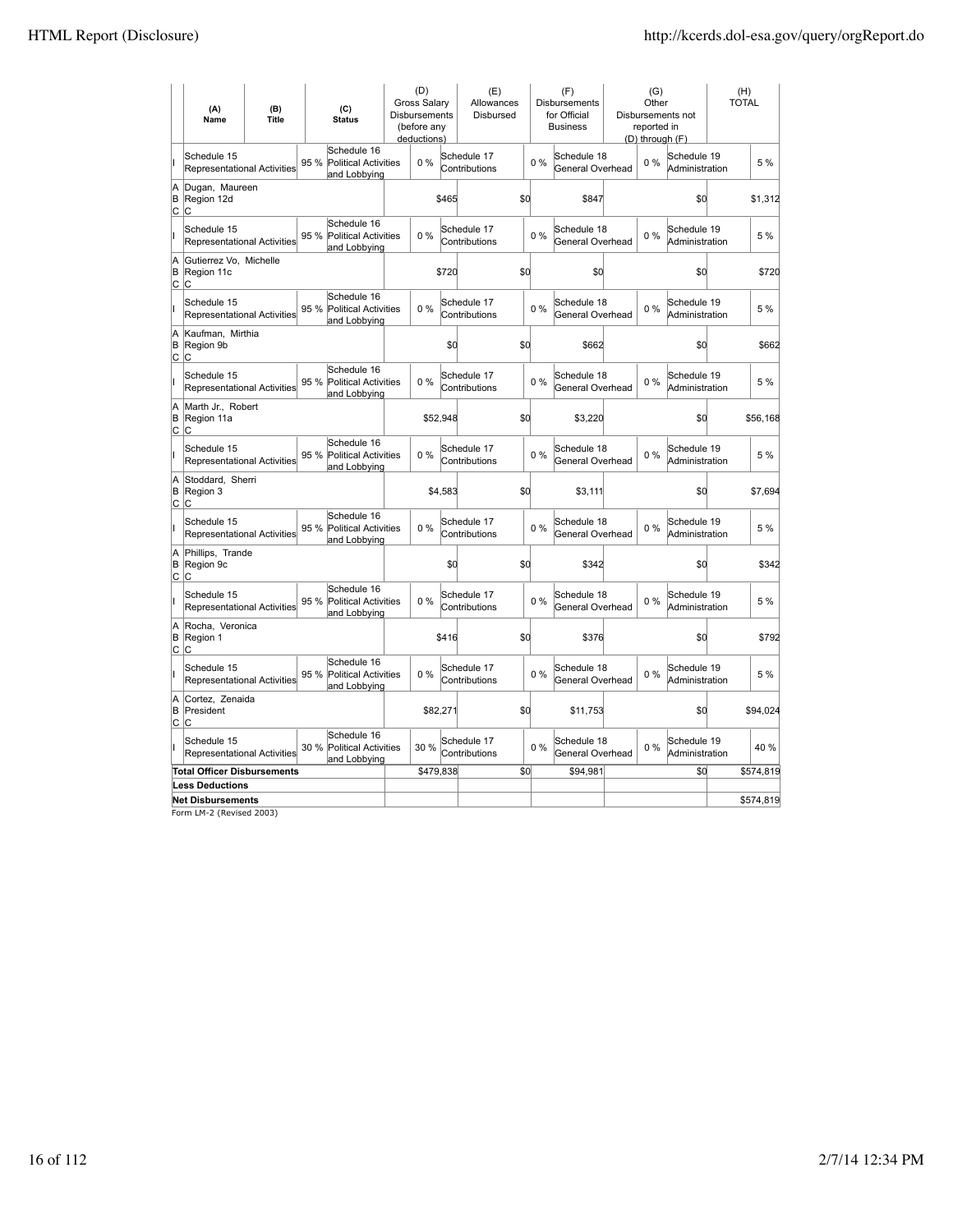|             | (A)<br>Name                                       | (B)<br><b>Title</b> |      | (C)<br><b>Status</b>                                       |  | (D)<br><b>Gross Salary</b><br>Disbursements<br>(before any<br>deductions) |         | (E)<br>Allowances<br>Disbursed |     |       | (F)<br>Disbursements<br>for Official<br><b>Business</b> | (G)<br>Other<br>reported in<br>(D) through (F) | Disbursements not             | (H)<br><b>TOTAL</b> |
|-------------|---------------------------------------------------|---------------------|------|------------------------------------------------------------|--|---------------------------------------------------------------------------|---------|--------------------------------|-----|-------|---------------------------------------------------------|------------------------------------------------|-------------------------------|---------------------|
|             | Schedule 15<br><b>Representational Activities</b> |                     | 95 % | Schedule 16<br>Political Activities<br>and Lobbying        |  | $0\%$                                                                     |         | Schedule 17<br>Contributions   |     | 0%    | Schedule 18<br>General Overhead                         | $0\%$                                          | Schedule 19<br>Administration | 5 %                 |
| A<br>B      | Dugan, Maureen<br>Region 12d<br>c  c              |                     |      |                                                            |  |                                                                           | \$465   |                                | \$d |       | \$847                                                   |                                                | \$d                           | \$1,312             |
|             | Schedule 15<br><b>Representational Activities</b> |                     | 95 % | Schedule 16<br><b>Political Activities</b><br>and Lobbying |  | $0\%$                                                                     |         | Schedule 17<br>Contributions   |     | $0\%$ | Schedule 18<br>General Overhead                         | $0\%$                                          | Schedule 19<br>Administration | 5 %                 |
| A<br>B<br>C | Gutierrez Vo, Michelle<br>Region 11c<br>Iс        |                     |      |                                                            |  |                                                                           | \$720   |                                | \$d |       | \$0                                                     |                                                | \$d                           | \$720               |
|             | Schedule 15<br><b>Representational Activities</b> |                     | 95 % | Schedule 16<br><b>Political Activities</b><br>and Lobbying |  | 0%                                                                        |         | Schedule 17<br>Contributions   |     | $0\%$ | Schedule 18<br>General Overhead                         | $0\%$                                          | Schedule 19<br>Administration | 5 %                 |
| A<br>B<br>C | Kaufman, Mirthia<br>Region 9b<br> c               |                     |      |                                                            |  |                                                                           | \$d     |                                | \$d |       | \$662                                                   |                                                | \$d                           | \$662               |
|             | Schedule 15<br><b>Representational Activities</b> |                     | 95 % | Schedule 16<br>Political Activities<br>and Lobbying        |  | 0%                                                                        |         | Schedule 17<br>Contributions   |     | $0\%$ | Schedule 18<br>General Overhead                         | $0\%$                                          | Schedule 19<br>Administration | 5 %                 |
| A<br>B<br>C | Marth Jr., Robert<br>Region 11a<br>lc.            |                     |      |                                                            |  | \$52,948                                                                  |         |                                | \$d |       | \$3,220                                                 |                                                | \$d                           | \$56,168            |
|             | Schedule 15<br><b>Representational Activities</b> |                     | 95 % | Schedule 16<br><b>Political Activities</b><br>and Lobbying |  | 0%                                                                        |         | Schedule 17<br>Contributions   |     | $0\%$ | Schedule 18<br>General Overhead                         | 0%                                             | Schedule 19<br>Administration | 5 %                 |
| A<br>B<br>C | Stoddard, Sherri<br>Region 3<br>Iс                |                     |      |                                                            |  |                                                                           | \$4,583 |                                | \$d |       | \$3,111                                                 |                                                | \$d                           | \$7,694             |
|             | Schedule 15<br><b>Representational Activities</b> |                     | 95 % | Schedule 16<br>Political Activities<br>and Lobbying        |  | $0\%$                                                                     |         | Schedule 17<br>Contributions   |     | $0\%$ | Schedule 18<br>General Overhead                         | $0\%$                                          | Schedule 19<br>Administration | 5 %                 |
| Α<br>B      | Phillips, Trande<br>Region 9c<br>c  c             |                     |      |                                                            |  |                                                                           | \$d     |                                | \$d |       | \$342                                                   |                                                | \$d                           | \$342               |
|             | Schedule 15<br><b>Representational Activities</b> |                     |      | Schedule 16<br>95 % Political Activities<br>and Lobbying   |  | $0\%$                                                                     |         | Schedule 17<br>Contributions   |     | $0\%$ | Schedule 18<br>General Overhead                         | $0\%$                                          | Schedule 19<br>Administration | 5 %                 |
| A<br>B<br>C | Rocha, Veronica<br>Region 1<br>Iс                 |                     |      |                                                            |  |                                                                           | \$416   |                                | \$d |       | \$376                                                   |                                                | \$d                           | \$792               |
|             | Schedule 15<br>Representational Activities        |                     | 95 % | Schedule 16<br><b>Political Activities</b><br>and Lobbying |  | $0\%$                                                                     |         | Schedule 17<br>Contributions   |     | $0\%$ | Schedule 18<br>General Overhead                         | 0%                                             | Schedule 19<br>Administration | 5 %                 |
| A<br>B      | Cortez, Zenaida<br>President<br>c  c              |                     |      |                                                            |  | \$82,271                                                                  |         |                                | \$d |       | \$11,753                                                |                                                | \$d                           | \$94,024            |
|             | Schedule 15<br><b>Representational Activities</b> |                     | 30 % | Schedule 16<br>Political Activities<br>and Lobbying        |  | 30 %                                                                      |         | Schedule 17<br>Contributions   |     | 0%    | Schedule 18<br>General Overhead                         | $0\%$                                          | Schedule 19<br>Administration | 40 %                |
|             | <b>Total Officer Disbursements</b>                |                     |      |                                                            |  | \$479,838                                                                 |         |                                | \$0 |       | \$94,981                                                |                                                | \$0                           | \$574,819           |
|             | <b>Less Deductions</b>                            |                     |      |                                                            |  |                                                                           |         |                                |     |       |                                                         |                                                |                               |                     |
|             | <b>Net Disbursements</b>                          |                     |      |                                                            |  |                                                                           |         |                                |     |       |                                                         |                                                |                               | \$574,819           |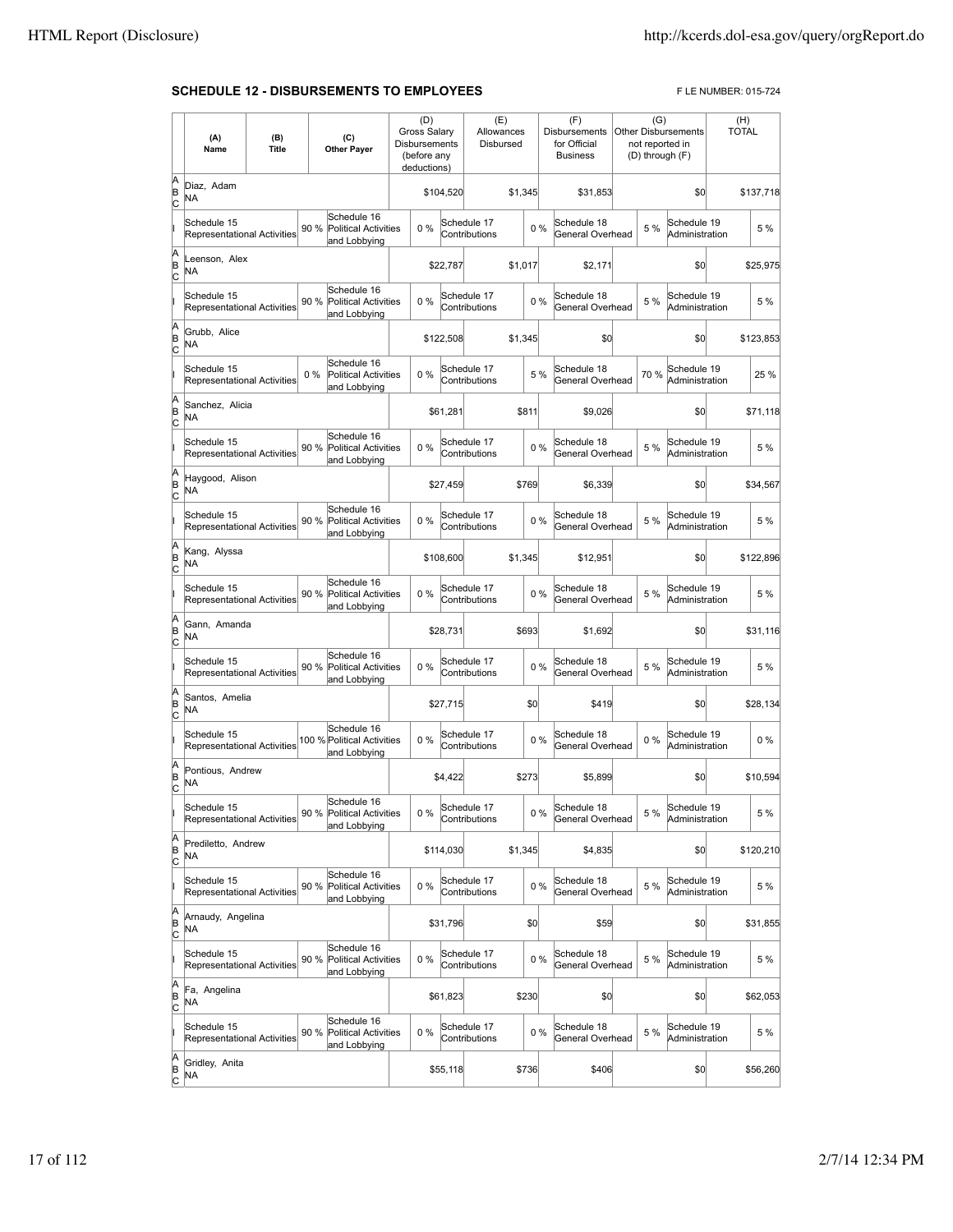### **SCHEDULE 12 - DISBURSEMENTS TO EMPLOYEES** FLE NUMBER: 015-724

|             | (A)<br>Name                                       | (B)<br>Title |       | (C)<br><b>Other Payer</b>                                  | (D)<br>Gross Salary<br>Disbursements<br>(before any<br>deductions) |           | (E)<br>Allowances<br>Disbursed |         |     | (F)<br><b>Disbursements</b><br>for Official<br><b>Business</b> | (G)  | <b>Other Disbursements</b><br>not reported in<br>(D) through (F) | (H)<br><b>TOTAL</b> |           |
|-------------|---------------------------------------------------|--------------|-------|------------------------------------------------------------|--------------------------------------------------------------------|-----------|--------------------------------|---------|-----|----------------------------------------------------------------|------|------------------------------------------------------------------|---------------------|-----------|
| A<br>B<br>c | Diaz, Adam<br>ΝA                                  |              |       |                                                            |                                                                    | \$104,520 |                                | \$1,345 |     | \$31,853                                                       |      | \$0                                                              |                     | \$137,718 |
|             | Schedule 15<br>Representational Activities        |              | 90 %  | Schedule 16<br><b>Political Activities</b><br>and Lobbying | 0%                                                                 |           | Schedule 17<br>Contributions   |         | 0%  | Schedule 18<br>General Overhead                                | 5 %  | Schedule 19<br>Administration                                    |                     | 5 %       |
| A<br>B<br>C | Leenson, Alex<br>NA                               |              |       |                                                            |                                                                    | \$22,787  |                                | \$1,017 |     | \$2.171                                                        |      | \$0                                                              |                     | \$25,975  |
|             | Schedule 15<br><b>Representational Activities</b> |              | 90 %  | Schedule 16<br><b>Political Activities</b><br>and Lobbying | 0%                                                                 |           | Schedule 17<br>Contributions   |         | 0%  | Schedule 18<br>General Overhead                                | 5 %  | Schedule 19<br>Administration                                    |                     | 5 %       |
| A<br>B<br>C | Grubb, Alice<br><b>NA</b>                         |              |       |                                                            |                                                                    | \$122,508 |                                | \$1,345 |     | \$0                                                            |      | \$0                                                              |                     | \$123,853 |
|             | Schedule 15<br>Representational Activities        |              | $0\%$ | Schedule 16<br><b>Political Activities</b><br>and Lobbying | 0%                                                                 |           | Schedule 17<br>Contributions   |         | 5 % | Schedule 18<br>General Overhead                                | 70 % | Schedule 19<br>Administration                                    |                     | 25 %      |
| A<br>B<br>c | Sanchez, Alicia<br>NA                             |              |       |                                                            |                                                                    | \$61.281  |                                | \$811   |     | \$9,026                                                        |      | \$0                                                              |                     | \$71,118  |
|             | Schedule 15<br>Representational Activities        |              | 90 %  | Schedule 16<br><b>Political Activities</b><br>and Lobbying | 0%                                                                 |           | Schedule 17<br>Contributions   |         | 0%  | Schedule 18<br>General Overhead                                | 5 %  | Schedule 19<br>Administration                                    |                     | 5 %       |
| A<br>B<br>C | Haygood, Alison<br>NA                             |              |       |                                                            |                                                                    | \$27,459  |                                | \$769   |     | \$6.339                                                        |      | \$0                                                              |                     | \$34,567  |
|             | Schedule 15<br><b>Representational Activities</b> |              | 90 %  | Schedule 16<br><b>Political Activities</b><br>and Lobbying | 0%                                                                 |           | Schedule 17<br>Contributions   |         | 0%  | Schedule 18<br>General Overhead                                | 5 %  | Schedule 19<br>Administration                                    |                     | 5 %       |
| A<br>B<br>C | Kang, Alyssa<br>NA                                |              |       |                                                            |                                                                    | \$108,600 |                                | \$1,345 |     | \$12,951                                                       |      | \$0                                                              |                     | \$122,896 |
|             | Schedule 15<br>Representational Activities        |              | 90 %  | Schedule 16<br>Political Activities<br>and Lobbying        | 0%                                                                 |           | Schedule 17<br>Contributions   |         | 0%  | Schedule 18<br>General Overhead                                | 5 %  | Schedule 19<br>Administration                                    |                     | 5 %       |
| A<br>B<br>c | Gann, Amanda<br>NA                                |              |       |                                                            |                                                                    | \$28,731  |                                | \$693   |     | \$1,692                                                        |      | \$0                                                              |                     | \$31,116  |
|             | Schedule 15<br>Representational Activities        |              | 90 %  | Schedule 16<br>Political Activities<br>and Lobbying        | $0\%$                                                              |           | Schedule 17<br>Contributions   |         | 0%  | Schedule 18<br>General Overhead                                | 5 %  | Schedule 19<br>Administration                                    |                     | 5 %       |
| A<br>B<br>C | Santos, Amelia<br>NA                              |              |       |                                                            |                                                                    | \$27,715  |                                |         | \$0 | \$419                                                          |      | \$0                                                              |                     | \$28,134  |
|             | Schedule 15<br>Representational Activities        |              |       | Schedule 16<br>100 % Political Activities<br>and Lobbying  | 0%                                                                 |           | Schedule 17<br>Contributions   |         | 0%  | Schedule 18<br>General Overhead                                | 0%   | Schedule 19<br>Administration                                    |                     | $0\%$     |
| A<br>B<br>C | Pontious, Andrew<br><b>NA</b>                     |              |       |                                                            |                                                                    | \$4,422   |                                | \$273   |     | \$5,899                                                        |      | \$0                                                              |                     | \$10,594  |
|             | Schedule 15<br>Representational Activities        |              |       | Schedule 16<br>90 % Political Activities<br>and Lobbying   | $0\%$                                                              |           | Schedule 17<br>Contributions   |         | 0%  | Schedule 18<br>General Overhead                                | 5 %  | Schedule 19<br>Administration                                    |                     | 5 %       |
| A<br>B<br>C | Prediletto, Andrew<br>NA                          |              |       |                                                            |                                                                    | \$114,030 |                                | \$1,345 |     | \$4,835                                                        |      | \$0                                                              |                     | \$120,210 |
|             | Schedule 15<br>Representational Activities        |              | 90 %  | Schedule 16<br><b>Political Activities</b><br>and Lobbying | 0%                                                                 |           | Schedule 17<br>Contributions   |         | 0%  | Schedule 18<br>General Overhead                                | 5 %  | Schedule 19<br>Administration                                    |                     | 5 %       |
| A<br>B<br>C | Arnaudy, Angelina<br>NA                           |              |       |                                                            |                                                                    | \$31,796  |                                |         | \$0 | \$59                                                           |      | \$0                                                              |                     | \$31,855  |
|             | Schedule 15<br>Representational Activities        |              | 90 %  | Schedule 16<br>Political Activities<br>and Lobbying        | 0%                                                                 |           | Schedule 17<br>Contributions   |         | 0%  | Schedule 18<br>General Overhead                                | 5 %  | Schedule 19<br>Administration                                    |                     | 5 %       |
| A<br>B<br>C | Fa, Angelina<br>NA                                |              |       |                                                            |                                                                    | \$61,823  |                                | \$230   |     | \$0                                                            |      | \$0                                                              |                     | \$62,053  |
|             | Schedule 15<br>Representational Activities        |              | 90 %  | Schedule 16<br><b>Political Activities</b><br>and Lobbying | 0%                                                                 |           | Schedule 17<br>Contributions   |         | 0%  | Schedule 18<br>General Overhead                                | 5 %  | Schedule 19<br>Administration                                    |                     | 5 %       |
| A<br>B<br>C | Gridley, Anita<br>NA                              |              |       |                                                            |                                                                    | \$55,118  |                                | \$736   |     | \$406                                                          |      | \$0                                                              |                     | \$56,260  |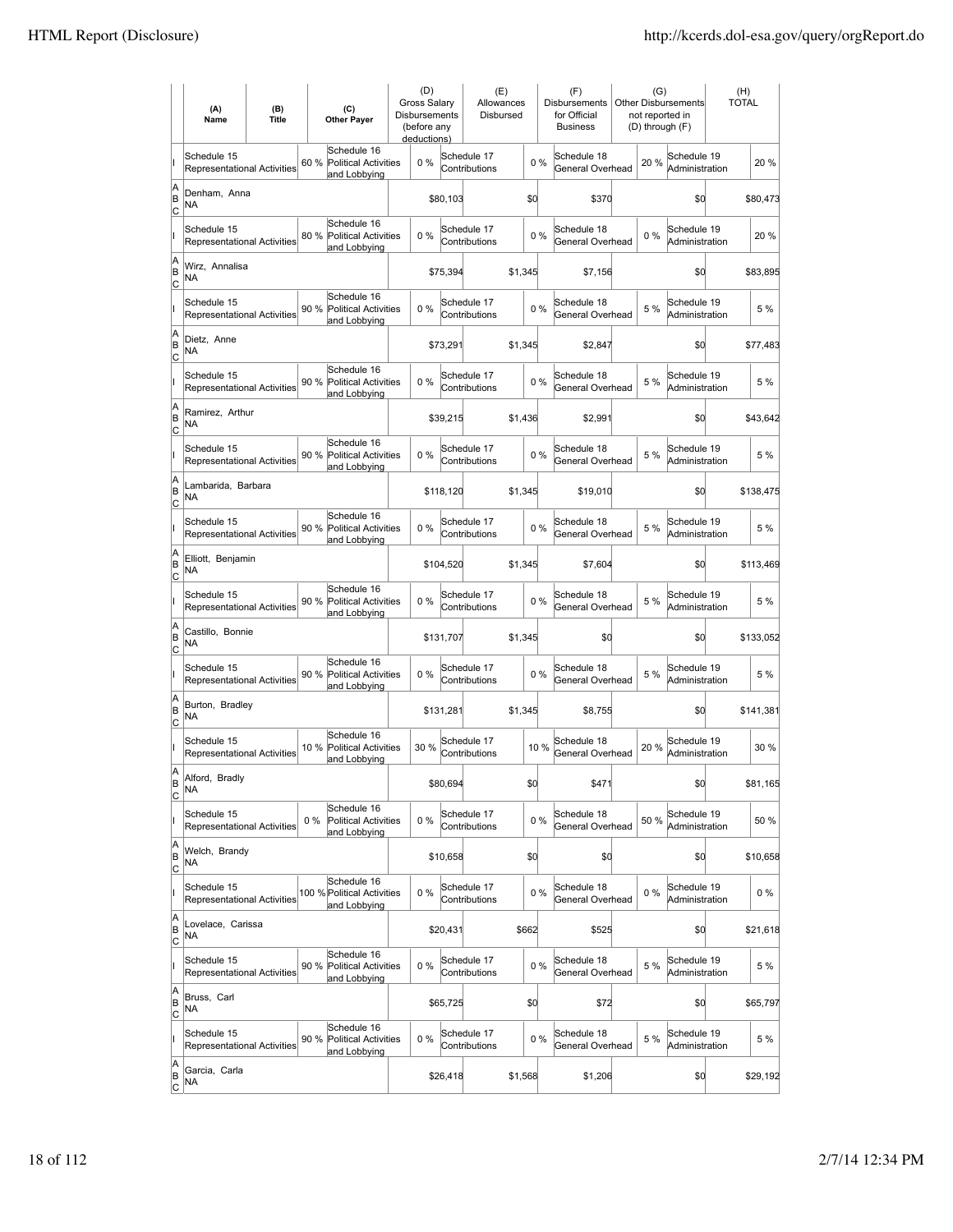|                           | (A)<br>Name                                       | (B)<br><b>Title</b> | (C)<br><b>Other Payer</b>                                           | (D)<br><b>Gross Salarv</b><br><b>Disbursements</b><br>(before any<br>deductions) |           | (E)<br>Allowances<br>Disbursed |         |      | (F)<br><b>Disbursements</b><br>for Official<br><b>Business</b> | (G)<br>not reported in<br>(D) through (F) | <b>Other Disbursements</b>    | (H)<br><b>TOTAL</b> |
|---------------------------|---------------------------------------------------|---------------------|---------------------------------------------------------------------|----------------------------------------------------------------------------------|-----------|--------------------------------|---------|------|----------------------------------------------------------------|-------------------------------------------|-------------------------------|---------------------|
|                           | Schedule 15<br>Representational Activities        |                     | Schedule 16<br>60 %<br><b>Political Activities</b><br>and Lobbying  | 0%                                                                               |           | Schedule 17<br>Contributions   |         | 0%   | Schedule 18<br>General Overhead                                | 20%                                       | Schedule 19<br>Administration | 20 %                |
| A<br>B<br>C               | Denham, Anna<br>NA                                |                     |                                                                     |                                                                                  | \$80,103  |                                | \$0     |      | \$370                                                          |                                           | \$0                           | \$80,473            |
|                           | Schedule 15<br>Representational Activities        |                     | Schedule 16<br><b>Political Activities</b><br>80 %<br>and Lobbying  | 0%                                                                               |           | Schedule 17<br>Contributions   |         | 0%   | Schedule 18<br>General Overhead                                | 0%                                        | Schedule 19<br>Administration | 20 %                |
| A<br>B<br>Iс              | Wirz, Annalisa<br>ΝA                              |                     |                                                                     |                                                                                  | \$75,394  |                                | \$1,345 |      | \$7,156                                                        |                                           | \$0                           | \$83,895            |
|                           | Schedule 15<br><b>Representational Activities</b> |                     | Schedule 16<br>90 %<br><b>Political Activities</b><br>and Lobbying  | 0%                                                                               |           | Schedule 17<br>Contributions   |         | 0%   | Schedule 18<br>General Overhead                                | 5 %                                       | Schedule 19<br>Administration | 5 %                 |
| A<br>B<br> c              | Dietz, Anne<br>ΝA                                 |                     |                                                                     |                                                                                  | \$73,291  |                                | \$1,345 |      | \$2,847                                                        |                                           | \$0                           | \$77,483            |
|                           | Schedule 15<br>Representational Activities        |                     | Schedule 16<br>90%<br>Political Activities<br>and Lobbying          | 0%                                                                               |           | Schedule 17<br>Contributions   |         | 0%   | Schedule 18<br>General Overhead                                | 5 %                                       | Schedule 19<br>Administration | 5 %                 |
| A<br>B<br> c              | Ramirez, Arthur<br>NA                             |                     |                                                                     |                                                                                  | \$39,215  |                                | \$1,436 |      | \$2,991                                                        |                                           | \$0                           | \$43,642            |
|                           | Schedule 15<br><b>Representational Activities</b> |                     | Schedule 16<br>90 %<br><b>Political Activities</b><br>and Lobbying  | 0%                                                                               |           | Schedule 17<br>Contributions   |         | 0%   | Schedule 18<br>General Overhead                                | 5 %                                       | Schedule 19<br>Administration | 5 %                 |
| A<br>B<br>Iс              | Lambarida, Barbara<br>NA                          |                     |                                                                     |                                                                                  | \$118,120 |                                | \$1,345 |      | \$19,010                                                       |                                           | \$0                           | \$138,475           |
|                           | Schedule 15<br>Representational Activities        |                     | Schedule 16<br>90 % Political Activities<br>and Lobbying            | 0%                                                                               |           | Schedule 17<br>Contributions   |         | 0%   | Schedule 18<br>General Overhead                                | 5 %                                       | Schedule 19<br>Administration | 5 %                 |
| A<br>B<br>C               | Elliott, Benjamin<br>NA                           |                     |                                                                     |                                                                                  | \$104,520 |                                | \$1,345 |      | \$7,604                                                        |                                           | \$0                           | \$113,469           |
|                           | Schedule 15<br>Representational Activities        |                     | Schedule 16<br>90 %<br><b>Political Activities</b><br>and Lobbying  | 0%                                                                               |           | Schedule 17<br>Contributions   |         | 0%   | Schedule 18<br>General Overhead                                | 5 %                                       | Schedule 19<br>Administration | 5 %                 |
| A<br>B<br>lc              | Castillo, Bonnie<br>NA                            |                     |                                                                     |                                                                                  | \$131,707 |                                | \$1,345 |      | \$0                                                            |                                           | \$0                           | \$133,052           |
|                           | Schedule 15<br>Representational Activities        |                     | Schedule 16<br><b>Political Activities</b><br>90 %<br>and Lobbying  | 0%                                                                               |           | Schedule 17<br>Contributions   |         | 0%   | Schedule 18<br>General Overhead                                | 5 %                                       | Schedule 19<br>Administration | 5 %                 |
| A<br>B<br>Iс              | Burton, Bradley<br>NA                             |                     |                                                                     |                                                                                  | \$131,281 |                                | \$1,345 |      | \$8,755                                                        |                                           | \$0                           | \$141,381           |
|                           | Schedule 15<br>Representational Activities        |                     | Schedule 16<br>10 %<br><b>Political Activities</b><br>and Lobbying  | 30 %                                                                             |           | Schedule 17<br>Contributions   |         | 10 % | Schedule 18<br>General Overhead                                | 20%                                       | Schedule 19<br>Administration | 30 %                |
| ΙA<br>B<br>$\overline{c}$ | Alford, Bradly<br>NA                              |                     |                                                                     |                                                                                  | \$80,694  |                                | \$d     |      | \$471                                                          |                                           | \$0                           | \$81,165            |
|                           | Schedule 15<br>Representational Activities        |                     | Schedule 16<br>$0\%$<br><b>Political Activities</b><br>and Lobbying | 0%                                                                               |           | Schedule 17<br>Contributions   |         | 0%   | Schedule 18<br>General Overhead                                | 50%                                       | Schedule 19<br>Administration | 50 %                |
| A<br>B<br> c              | Welch, Brandy<br>NA                               |                     |                                                                     |                                                                                  | \$10,658  |                                | \$0     |      | \$0                                                            |                                           | \$0                           | \$10,658            |
|                           | Schedule 15<br><b>Representational Activities</b> |                     | Schedule 16<br>100 % Political Activities<br>and Lobbying           | 0%                                                                               |           | Schedule 17<br>Contributions   |         | 0%   | Schedule 18<br>General Overhead                                | $0\%$                                     | Schedule 19<br>Administration | $0\%$               |
| A<br>B<br><u>lc</u>       | Lovelace, Carissa<br>NA                           |                     |                                                                     |                                                                                  | \$20,431  |                                | \$662   |      | \$525                                                          |                                           | \$0                           | \$21,618            |
|                           | Schedule 15<br>Representational Activities        |                     | Schedule 16<br>90 % Political Activities<br>and Lobbying            | 0%                                                                               |           | Schedule 17<br>Contributions   |         | 0%   | Schedule 18<br>General Overhead                                | 5 %                                       | Schedule 19<br>Administration | 5 %                 |
| A<br>B<br>$\circ$         | Bruss, Carl<br>NA                                 |                     |                                                                     |                                                                                  | \$65,725  |                                | \$0     |      | \$72                                                           |                                           | \$0                           | \$65,797            |
|                           | Schedule 15<br>Representational Activities        |                     | Schedule 16<br>90 %<br>Political Activities<br>and Lobbying         | 0%                                                                               |           | Schedule 17<br>Contributions   |         | 0%   | Schedule 18<br>General Overhead                                | 5 %                                       | Schedule 19<br>Administration | 5 %                 |
| A<br>B<br>$\overline{c}$  | Garcia, Carla<br>NA                               |                     |                                                                     |                                                                                  | \$26,418  |                                | \$1,568 |      | \$1,206                                                        |                                           | \$0                           | \$29,192            |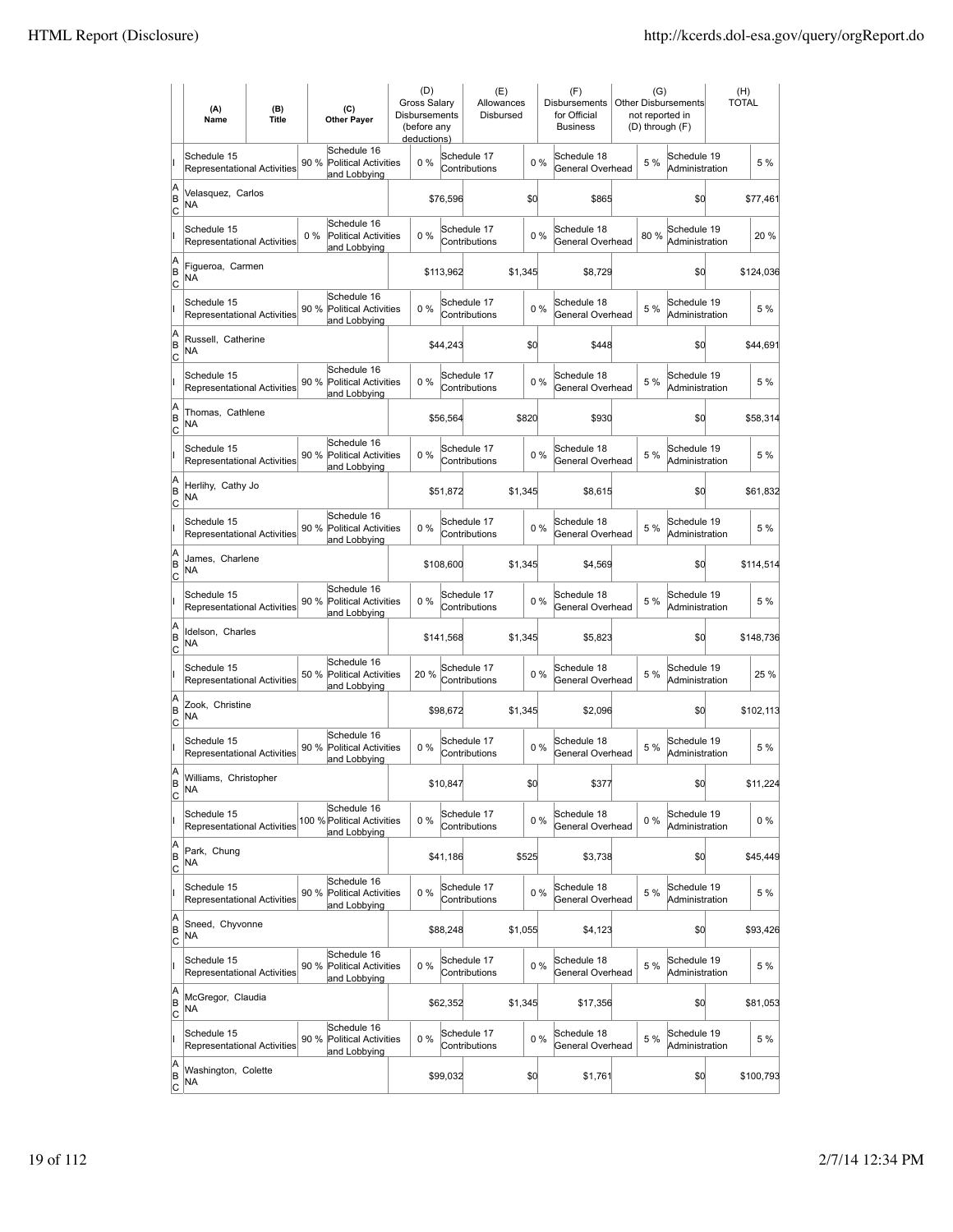|                          | (A)<br>Name                                       | (B)<br><b>Title</b> | (C)<br><b>Other Payer</b>                                          | (D)<br><b>Gross Salarv</b><br><b>Disbursements</b><br>(before any<br>deductions) |           | (E)<br>Allowances<br>Disbursed |         |       | (F)<br><b>Disbursements</b><br>for Official<br><b>Business</b> | (G)<br>not reported in<br>(D) through (F) | <b>Other Disbursements</b>    | (H)<br><b>TOTAL</b> |
|--------------------------|---------------------------------------------------|---------------------|--------------------------------------------------------------------|----------------------------------------------------------------------------------|-----------|--------------------------------|---------|-------|----------------------------------------------------------------|-------------------------------------------|-------------------------------|---------------------|
|                          | Schedule 15<br><b>Representational Activities</b> |                     | Schedule 16<br>90 %<br><b>Political Activities</b><br>and Lobbying | 0%                                                                               |           | Schedule 17<br>Contributions   |         | 0%    | Schedule 18<br>General Overhead                                | 5 %                                       | Schedule 19<br>Administration | 5 %                 |
| A<br>B<br>lc             | Velasquez, Carlos<br>NA                           |                     |                                                                    |                                                                                  | \$76,596  |                                | \$0     |       | \$865                                                          |                                           | \$0                           | \$77,461            |
|                          | Schedule 15<br>Representational Activities        |                     | Schedule 16<br>0%<br><b>Political Activities</b><br>and Lobbying   | 0%                                                                               |           | Schedule 17<br>Contributions   |         | 0%    | Schedule 18<br>General Overhead                                | 80%                                       | Schedule 19<br>Administration | 20%                 |
| A<br>B<br>C              | Figueroa, Carmen<br>NA                            |                     |                                                                    |                                                                                  | \$113,962 |                                | \$1,345 |       | \$8,729                                                        |                                           | \$0                           | \$124,036           |
|                          | Schedule 15<br>Representational Activities        |                     | Schedule 16<br>90 %<br><b>Political Activities</b><br>and Lobbying | 0%                                                                               |           | Schedule 17<br>Contributions   |         | 0%    | Schedule 18<br>General Overhead                                | 5 %                                       | Schedule 19<br>Administration | 5 %                 |
| A<br>B<br>Iс             | Russell, Catherine<br>NA                          |                     |                                                                    |                                                                                  | \$44,243  |                                | \$0     |       | \$448                                                          |                                           | \$0                           | \$44,691            |
|                          | Schedule 15<br><b>Representational Activities</b> |                     | Schedule 16<br>90%<br>Political Activities<br>and Lobbying         | $0\%$                                                                            |           | Schedule 17<br>Contributions   |         | 0%    | Schedule 18<br>General Overhead                                | 5 %                                       | Schedule 19<br>Administration | 5 %                 |
| A<br>B<br>Iс             | Thomas, Cathlene<br>ΝA                            |                     |                                                                    |                                                                                  | \$56,564  |                                | \$820   |       | \$930                                                          |                                           | \$0                           | \$58,314            |
|                          | Schedule 15<br><b>Representational Activities</b> |                     | Schedule 16<br>90 %<br><b>Political Activities</b><br>and Lobbying | 0%                                                                               |           | Schedule 17<br>Contributions   |         | 0%    | Schedule 18<br>General Overhead                                | 5 %                                       | Schedule 19<br>Administration | 5 %                 |
| A<br>B<br>C              | Herlihy, Cathy Jo<br>NA                           |                     |                                                                    |                                                                                  | \$51,872  |                                | \$1,345 |       | \$8,615                                                        |                                           | \$0                           | \$61,832            |
|                          | Schedule 15<br>Representational Activities        |                     | Schedule 16<br>90 % Political Activities<br>and Lobbying           | 0%                                                                               |           | Schedule 17<br>Contributions   |         | 0%    | Schedule 18<br>General Overhead                                | 5 %                                       | Schedule 19<br>Administration | 5 %                 |
| A<br>B<br>C              | James, Charlene<br>NA                             |                     |                                                                    |                                                                                  | \$108,600 |                                | \$1,345 |       | \$4,569                                                        |                                           | \$0                           | \$114,514           |
|                          | Schedule 15<br><b>Representational Activities</b> |                     | Schedule 16<br>90%<br><b>Political Activities</b><br>and Lobbying  | $0\%$                                                                            |           | Schedule 17<br>Contributions   |         | $0\%$ | Schedule 18<br>General Overhead                                | 5 %                                       | Schedule 19<br>Administration | 5 %                 |
| A<br>B<br> c             | Idelson, Charles<br>NA                            |                     |                                                                    |                                                                                  | \$141,568 |                                | \$1,345 |       | \$5,823                                                        |                                           | \$0                           | \$148,736           |
|                          | Schedule 15<br>Representational Activities        |                     | Schedule 16<br>50 %<br><b>Political Activities</b><br>and Lobbying | 20%                                                                              |           | Schedule 17<br>Contributions   |         | 0%    | Schedule 18<br>General Overhead                                | 5 %                                       | Schedule 19<br>Administration | 25 %                |
| A<br>B<br>C              | Zook, Christine<br>ΝA                             |                     |                                                                    |                                                                                  | \$98,672  |                                | \$1,345 |       | \$2,096                                                        |                                           | \$0                           | \$102,113           |
|                          | Schedule 15<br>Representational Activities        |                     | Schedule 16<br>90%<br>Political Activities<br>and Lobbying         | 0%                                                                               |           | Schedule 17<br>Contributions   |         | 0%    | Schedule 18<br>General Overhead                                | 5 %                                       | Schedule 19<br>Administration | 5 %                 |
| A<br>B<br>$\overline{c}$ | Williams, Christopher<br>ΝA                       |                     |                                                                    |                                                                                  | \$10,847  |                                | \$d     |       | \$377                                                          |                                           | \$0                           | \$11,224            |
|                          | Schedule 15<br>Representational Activities        |                     | Schedule 16<br>100 % Political Activities<br>and Lobbying          | 0%                                                                               |           | Schedule 17<br>Contributions   |         | 0%    | Schedule 18<br>General Overhead                                | $0\%$                                     | Schedule 19<br>Administration | $0\%$               |
| A<br>B<br><u>lc</u>      | Park, Chung<br>NA                                 |                     |                                                                    |                                                                                  | \$41,186  |                                | \$525   |       | \$3,738                                                        |                                           | \$0                           | \$45,449            |
|                          | Schedule 15<br>Representational Activities        |                     | Schedule 16<br>90 %<br><b>Political Activities</b><br>and Lobbying | 0%                                                                               |           | Schedule 17<br>Contributions   |         | 0%    | Schedule 18<br>General Overhead                                | 5 %                                       | Schedule 19<br>Administration | 5 %                 |
| A<br>B<br>$\mathsf{C}$   | Sneed, Chyvonne<br>NA                             |                     |                                                                    |                                                                                  | \$88,248  |                                | \$1,055 |       | \$4,123                                                        |                                           | \$0                           | \$93,426            |
|                          | Schedule 15<br>Representational Activities        |                     | Schedule 16<br>90 % Political Activities<br>and Lobbying           | 0%                                                                               |           | Schedule 17<br>Contributions   |         | 0%    | Schedule 18<br>General Overhead                                | 5 %                                       | Schedule 19<br>Administration | 5 %                 |
| A<br>B<br> c             | McGregor, Claudia<br>NA                           |                     |                                                                    |                                                                                  | \$62,352  |                                | \$1,345 |       | \$17,356                                                       |                                           | \$0                           | \$81,053            |
|                          | Schedule 15<br>Representational Activities        |                     | Schedule 16<br>90%<br>Political Activities<br>and Lobbying         | 0%                                                                               |           | Schedule 17<br>Contributions   |         | $0\%$ | Schedule 18<br>General Overhead                                | 5 %                                       | Schedule 19<br>Administration | 5 %                 |
| A<br>B<br>$\overline{c}$ | Washington, Colette<br>NA                         |                     |                                                                    |                                                                                  | \$99,032  |                                | \$0     |       | \$1,761                                                        |                                           | \$0                           | \$100,793           |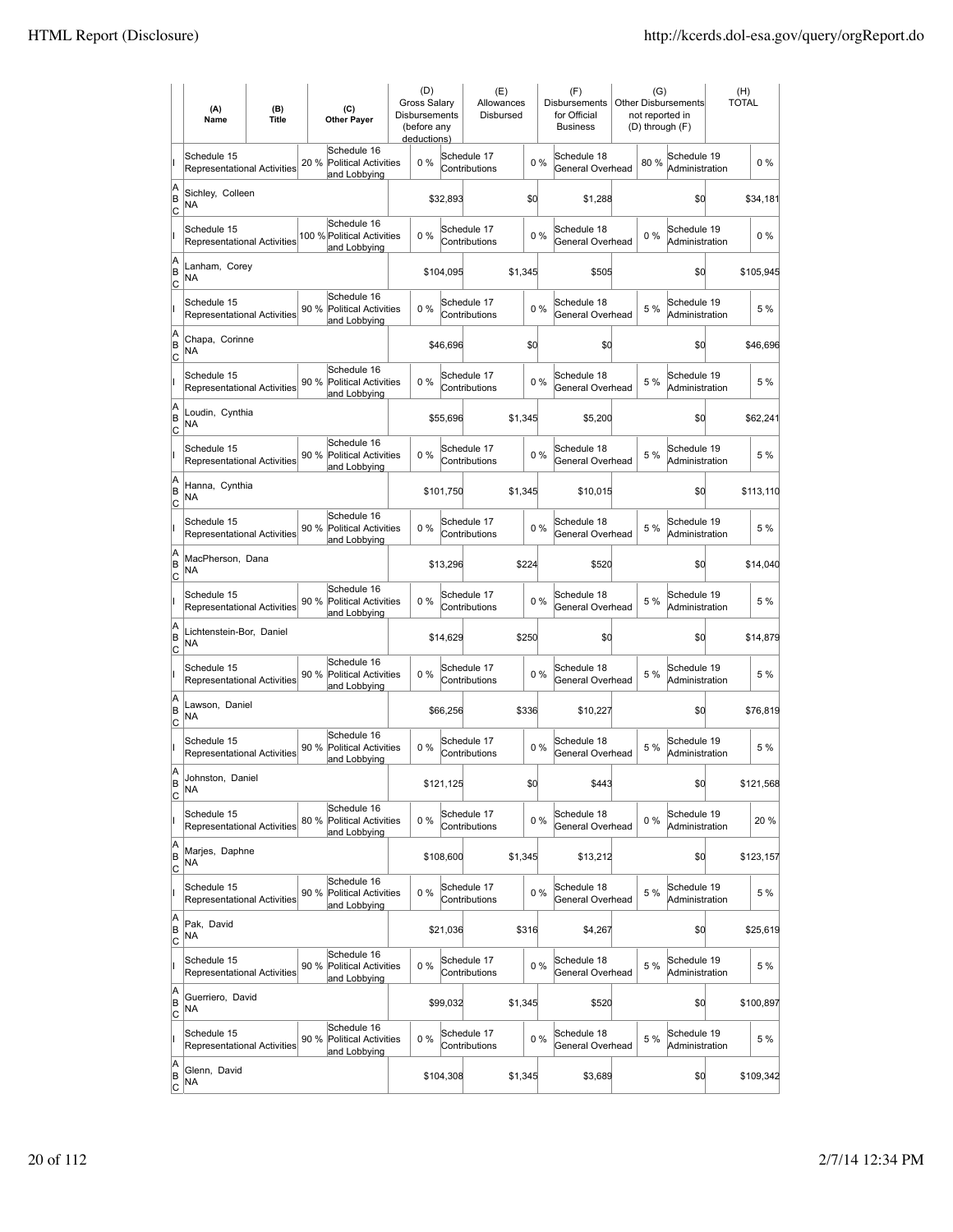|                           | (A)<br>Name                                       | (B)<br><b>Title</b> | (C)<br><b>Other Payer</b>                                          | (D)<br>Gross Salary<br>Disbursements<br>(before any<br>deductions) |           | (E)<br>Allowances<br>Disbursed |         |       | (F)<br>Disbursements<br>for Official<br><b>Business</b> | (G)<br>not reported in<br>(D) through (F) | <b>Other Disbursements</b>    | (H)<br><b>TOTAL</b> |           |
|---------------------------|---------------------------------------------------|---------------------|--------------------------------------------------------------------|--------------------------------------------------------------------|-----------|--------------------------------|---------|-------|---------------------------------------------------------|-------------------------------------------|-------------------------------|---------------------|-----------|
|                           | Schedule 15<br>Representational Activities        |                     | Schedule 16<br>20 %<br><b>Political Activities</b><br>and Lobbying | 0%                                                                 |           | Schedule 17<br>Contributions   |         | $0\%$ | Schedule 18<br>General Overhead                         | 80%                                       | Schedule 19<br>Administration |                     | $0\%$     |
| A<br>ΙB<br> c             | Sichley, Colleen<br>NA                            |                     |                                                                    |                                                                    | \$32,893  |                                | \$d     |       | \$1,288                                                 |                                           | \$0                           |                     | \$34,181  |
|                           | Schedule 15<br><b>Representational Activities</b> |                     | Schedule 16<br>100 % Political Activities<br>and Lobbying          | 0%                                                                 |           | Schedule 17<br>Contributions   |         | 0%    | Schedule 18<br>General Overhead                         | $0\%$                                     | Schedule 19<br>Administration |                     | $0\%$     |
| A<br>B<br>C               | Lanham, Corey<br>NA                               |                     |                                                                    |                                                                    | \$104,095 |                                | \$1,345 |       | \$505                                                   |                                           | \$0                           |                     | \$105,945 |
|                           | Schedule 15<br><b>Representational Activities</b> |                     | Schedule 16<br>90 %<br><b>Political Activities</b><br>and Lobbying | 0%                                                                 |           | Schedule 17<br>Contributions   |         | 0%    | Schedule 18<br>General Overhead                         | 5 %                                       | Schedule 19<br>Administration |                     | 5 %       |
| A<br>B<br> c              | Chapa, Corinne<br>NA                              |                     |                                                                    |                                                                    | \$46,696  |                                | \$d     |       | \$0                                                     |                                           | \$0                           |                     | \$46,696  |
|                           | Schedule 15<br><b>Representational Activities</b> |                     | Schedule 16<br>90 %<br><b>Political Activities</b><br>and Lobbying | 0%                                                                 |           | Schedule 17<br>Contributions   |         | 0%    | Schedule 18<br>General Overhead                         | 5 %                                       | Schedule 19<br>Administration |                     | 5 %       |
| A<br>B<br> c              | Loudin, Cynthia<br>NA                             |                     |                                                                    |                                                                    | \$55,696  |                                | \$1,345 |       | \$5.200                                                 |                                           | \$0                           |                     | \$62,241  |
|                           | Schedule 15<br><b>Representational Activities</b> |                     | Schedule 16<br>90 % Political Activities<br>and Lobbying           | $0\%$                                                              |           | Schedule 17<br>Contributions   |         | 0%    | Schedule 18<br>General Overhead                         | 5 %                                       | Schedule 19<br>Administration |                     | 5 %       |
| A<br>B<br>C               | Hanna, Cynthia<br><b>NA</b>                       |                     |                                                                    |                                                                    | \$101,750 |                                | \$1,345 |       | \$10,015                                                |                                           | \$0                           |                     | \$113,110 |
|                           | Schedule 15<br>Representational Activities        |                     | Schedule 16<br>90 % Political Activities<br>and Lobbying           | 0%                                                                 |           | Schedule 17<br>Contributions   |         | 0%    | Schedule 18<br>General Overhead                         | 5 %                                       | Schedule 19<br>Administration |                     | 5 %       |
| A<br>B<br>c               | MacPherson, Dana<br>NA                            |                     |                                                                    |                                                                    | \$13,296  |                                | \$224   |       | \$520                                                   |                                           | \$0                           |                     | \$14,040  |
|                           | Schedule 15<br>Representational Activities        |                     | Schedule 16<br>90 %<br><b>Political Activities</b><br>and Lobbying | 0%                                                                 |           | Schedule 17<br>Contributions   |         | 0%    | Schedule 18<br>General Overhead                         | 5 %                                       | Schedule 19<br>Administration |                     | 5 %       |
| A<br>B<br>Iс              | Lichtenstein-Bor, Daniel<br><b>NA</b>             |                     |                                                                    |                                                                    | \$14,629  |                                | \$250   |       | \$0                                                     |                                           | \$d                           |                     | \$14,879  |
|                           | Schedule 15<br>Representational Activities        |                     | Schedule 16<br>90 %<br><b>Political Activities</b><br>and Lobbying | 0%                                                                 |           | Schedule 17<br>Contributions   |         | 0%    | Schedule 18<br>General Overhead                         | 5 %                                       | Schedule 19<br>Administration |                     | 5 %       |
| A<br>B<br>C               | Lawson, Daniel<br>NA                              |                     |                                                                    |                                                                    | \$66,256  |                                | \$336   |       | \$10,227                                                |                                           | \$0                           |                     | \$76,819  |
|                           | Schedule 15<br>Representational Activities        |                     | Schedule 16<br>90 %<br><b>Political Activities</b><br>and Lobbying | 0%                                                                 |           | Schedule 17<br>Contributions   |         | 0%    | Schedule 18<br>General Overhead                         | 5 %                                       | Schedule 19<br>Administration |                     | 5 %       |
| A<br>ΙB<br>$\overline{c}$ | Johnston, Daniel<br>ΝA                            |                     |                                                                    |                                                                    | \$121,125 |                                | \$d     |       | \$443                                                   |                                           | \$0                           |                     | \$121,568 |
|                           | Schedule 15<br><b>Representational Activities</b> |                     | Schedule 16<br>80 %<br><b>Political Activities</b><br>and Lobbying | 0%                                                                 |           | Schedule 17<br>Contributions   |         | $0\%$ | Schedule 18<br>General Overhead                         | $0\%$                                     | Schedule 19<br>Administration |                     | 20 %      |
| A<br>B<br><u>lc</u>       | Marjes, Daphne<br>NA                              |                     |                                                                    |                                                                    | \$108,600 |                                | \$1,345 |       | \$13,212                                                |                                           | \$d                           |                     | \$123,157 |
|                           | Schedule 15<br>Representational Activities        |                     | Schedule 16<br>90 % Political Activities<br>and Lobbying           | $0\%$                                                              |           | Schedule 17<br>Contributions   |         | $0\%$ | Schedule 18<br>General Overhead                         | 5 %                                       | Schedule 19<br>Administration |                     | 5 %       |
| A<br>B<br>C               | Pak, David<br>NA                                  |                     |                                                                    |                                                                    | \$21,036  |                                | \$316   |       | \$4,267                                                 |                                           | \$0                           |                     | \$25,619  |
|                           | Schedule 15<br>Representational Activities        |                     | Schedule 16<br>90 %<br><b>Political Activities</b><br>and Lobbying | 0%                                                                 |           | Schedule 17<br>Contributions   |         | $0\%$ | Schedule 18<br>General Overhead                         | 5 %                                       | Schedule 19<br>Administration |                     | 5 %       |
| A<br>B<br>C               | Guerriero, David<br>NA.                           |                     |                                                                    |                                                                    | \$99,032  |                                | \$1,345 |       | \$520                                                   |                                           | \$d                           |                     | \$100,897 |
|                           | Schedule 15<br>Representational Activities        |                     | Schedule 16<br>90 %<br><b>Political Activities</b><br>and Lobbying | $0\%$                                                              |           | Schedule 17<br>Contributions   |         | 0%    | Schedule 18<br>General Overhead                         | 5 %                                       | Schedule 19<br>Administration |                     | 5 %       |
| A<br>B<br>$\overline{c}$  | Glenn, David<br>NA                                |                     |                                                                    |                                                                    | \$104,308 |                                | \$1,345 |       | \$3,689                                                 |                                           | \$d                           |                     | \$109,342 |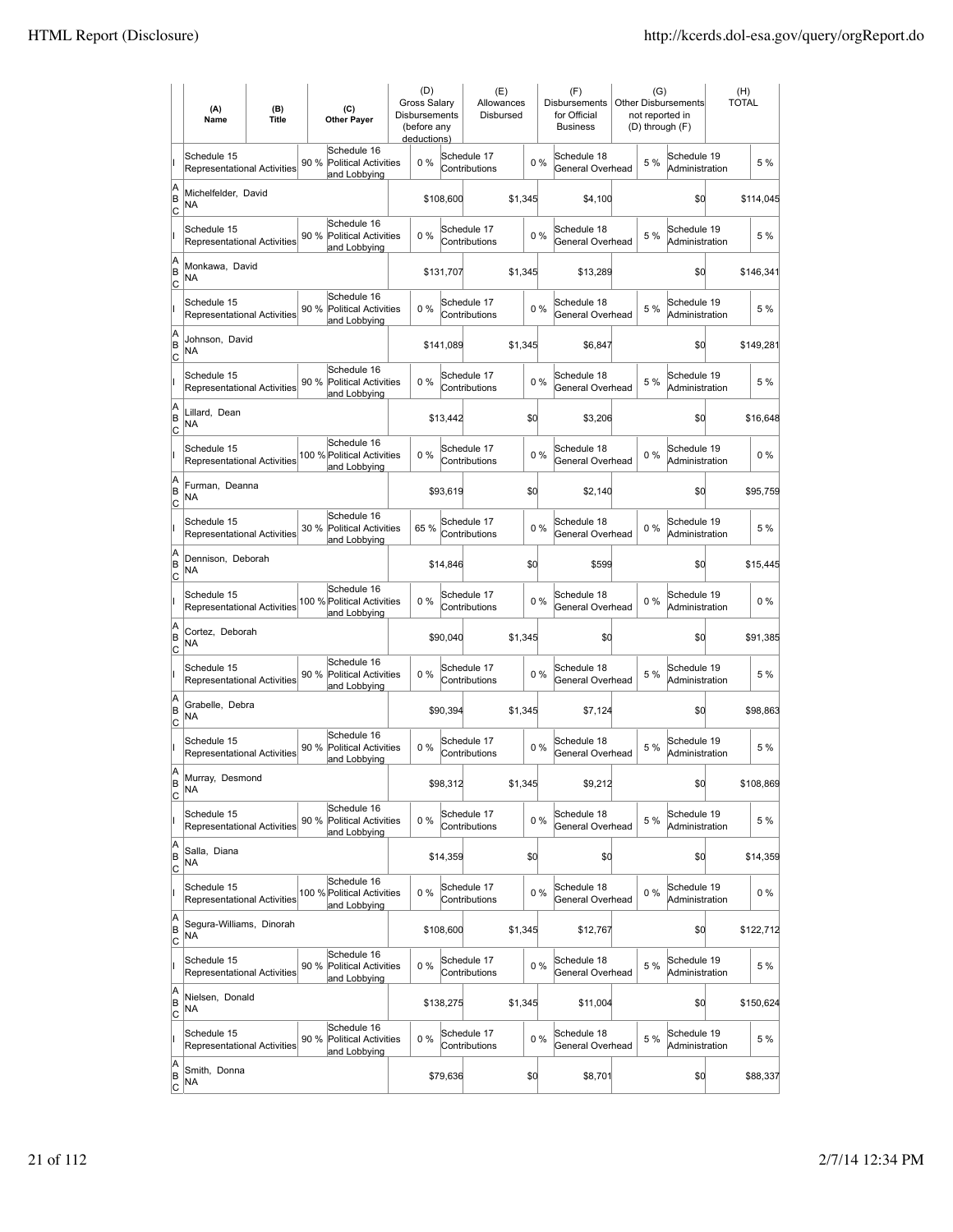|                           | (A)<br>Name                                       | (B)<br><b>Title</b> | (C)<br><b>Other Payer</b>                                          | (D)<br><b>Gross Salarv</b><br><b>Disbursements</b><br>(before any<br>deductions) |           | (E)<br>Allowances<br>Disbursed |         |       | (F)<br><b>Disbursements</b><br>for Official<br><b>Business</b> | (G)<br>not reported in<br>(D) through (F) | <b>Other Disbursements</b>    | (H)<br><b>TOTAL</b> |           |
|---------------------------|---------------------------------------------------|---------------------|--------------------------------------------------------------------|----------------------------------------------------------------------------------|-----------|--------------------------------|---------|-------|----------------------------------------------------------------|-------------------------------------------|-------------------------------|---------------------|-----------|
|                           | Schedule 15<br>Representational Activities        |                     | Schedule 16<br>90 %<br><b>Political Activities</b><br>and Lobbying | 0%                                                                               |           | Schedule 17<br>Contributions   |         | 0%    | Schedule 18<br>General Overhead                                | 5 %                                       | Schedule 19<br>Administration |                     | 5 %       |
| A<br>B<br>lc              | Michelfelder, David<br>NA                         |                     |                                                                    |                                                                                  | \$108,600 |                                | \$1,345 |       | \$4,100                                                        |                                           | \$0                           |                     | \$114,045 |
|                           | Schedule 15<br><b>Representational Activities</b> |                     | Schedule 16<br>90 %<br><b>Political Activities</b><br>and Lobbying | 0%                                                                               |           | Schedule 17<br>Contributions   |         | 0%    | Schedule 18<br>General Overhead                                | 5 %                                       | Schedule 19<br>Administration |                     | 5 %       |
| A<br>B<br>C               | Monkawa, David<br>NA                              |                     |                                                                    |                                                                                  | \$131,707 |                                | \$1,345 |       | \$13,289                                                       |                                           | \$0                           |                     | \$146,341 |
|                           | Schedule 15<br>Representational Activities        |                     | Schedule 16<br>90 %<br><b>Political Activities</b><br>and Lobbying | 0%                                                                               |           | Schedule 17<br>Contributions   |         | 0%    | Schedule 18<br>General Overhead                                | 5 %                                       | Schedule 19<br>Administration |                     | 5 %       |
| A<br>B<br> c              | Johnson, David<br>NA                              |                     |                                                                    |                                                                                  | \$141,089 |                                | \$1,345 |       | \$6,847                                                        |                                           | \$0                           |                     | \$149,281 |
|                           | Schedule 15<br>Representational Activities        |                     | Schedule 16<br>90%<br>Political Activities<br>and Lobbying         | $0\%$                                                                            |           | Schedule 17<br>Contributions   |         | 0%    | Schedule 18<br>General Overhead                                | 5 %                                       | Schedule 19<br>Administration |                     | 5 %       |
| A<br>B<br>lc              | Lillard, Dean<br>NA                               |                     |                                                                    |                                                                                  | \$13,442  |                                | \$d     |       | \$3,206                                                        |                                           | \$0                           |                     | \$16,648  |
|                           | Schedule 15<br><b>Representational Activities</b> |                     | Schedule 16<br>100 % Political Activities<br>and Lobbying          | 0%                                                                               |           | Schedule 17<br>Contributions   |         | 0%    | Schedule 18<br>General Overhead                                | $0\%$                                     | Schedule 19<br>Administration |                     | $0\%$     |
| A<br>B<br>C               | Furman, Deanna<br>NA                              |                     |                                                                    |                                                                                  | \$93,619  |                                | \$0     |       | \$2,140                                                        |                                           | \$0                           |                     | \$95,759  |
|                           | Schedule 15<br>Representational Activities        |                     | Schedule 16<br>30 % Political Activities<br>and Lobbying           | 65%                                                                              |           | Schedule 17<br>Contributions   |         | 0%    | Schedule 18<br>General Overhead                                | $0\%$                                     | Schedule 19<br>Administration |                     | 5 %       |
| A<br>B<br>C               | Dennison, Deborah<br>NA                           |                     |                                                                    |                                                                                  | \$14,846  |                                | \$0     |       | \$599                                                          |                                           | \$0                           |                     | \$15,445  |
|                           | Schedule 15<br><b>Representational Activities</b> |                     | Schedule 16<br>100 % Political Activities<br>and Lobbying          | $0\%$                                                                            |           | Schedule 17<br>Contributions   |         | $0\%$ | Schedule 18<br>General Overhead                                | 0%                                        | Schedule 19<br>Administration |                     | $0\%$     |
| A<br>B<br> c              | Cortez, Deborah<br><b>NA</b>                      |                     |                                                                    |                                                                                  | \$90,040  |                                | \$1,345 |       | \$0                                                            |                                           | \$d                           |                     | \$91,385  |
|                           | Schedule 15<br><b>Representational Activities</b> |                     | Schedule 16<br>90 %<br><b>Political Activities</b><br>and Lobbying | 0%                                                                               |           | Schedule 17<br>Contributions   |         | 0%    | Schedule 18<br>General Overhead                                | 5 %                                       | Schedule 19<br>Administration |                     | 5 %       |
| A<br>B<br>C               | Grabelle, Debra<br>NA                             |                     |                                                                    |                                                                                  | \$90,394  |                                | \$1,345 |       | \$7,124                                                        |                                           | \$0                           |                     | \$98,863  |
|                           | Schedule 15<br>Representational Activities        |                     | Schedule 16<br>90%<br><b>Political Activities</b><br>and Lobbying  | 0%                                                                               |           | Schedule 17<br>Contributions   |         | 0%    | Schedule 18<br>General Overhead                                | 5 %                                       | Schedule 19<br>Administration |                     | 5 %       |
| A<br> B<br>$\overline{c}$ | Murray, Desmond<br><b>NA</b>                      |                     |                                                                    |                                                                                  | \$98,312  |                                | \$1,345 |       | \$9,212                                                        |                                           | \$0                           |                     | \$108,869 |
|                           | Schedule 15<br>Representational Activities        |                     | Schedule 16<br>90%<br>Political Activities<br>and Lobbying         | 0%                                                                               |           | Schedule 17<br>Contributions   |         | 0%    | Schedule 18<br>General Overhead                                | 5 %                                       | Schedule 19<br>Administration |                     | 5 %       |
| A<br>B<br><u>lc</u>       | Salla, Diana<br>NA                                |                     |                                                                    |                                                                                  | \$14,359  |                                | \$0     |       | \$0                                                            |                                           | \$0                           |                     | \$14,359  |
|                           | Schedule 15<br><b>Representational Activities</b> |                     | Schedule 16<br>100 % Political Activities<br>and Lobbying          | 0%                                                                               |           | Schedule 17<br>Contributions   |         | 0%    | Schedule 18<br>General Overhead                                | $0\%$                                     | Schedule 19<br>Administration |                     | $0\%$     |
| A<br> B<br>$\mathsf{C}$   | Segura-Williams, Dinorah<br>NA                    |                     |                                                                    |                                                                                  | \$108,600 |                                | \$1,345 |       | \$12,767                                                       |                                           | \$0                           |                     | \$122,712 |
|                           | Schedule 15<br>Representational Activities        |                     | Schedule 16<br>90 % Political Activities<br>and Lobbying           | 0%                                                                               |           | Schedule 17<br>Contributions   |         | 0%    | Schedule 18<br>General Overhead                                | 5 %                                       | Schedule 19<br>Administration |                     | 5 %       |
| A<br>B<br> c              | Nielsen, Donald<br>NA                             |                     |                                                                    |                                                                                  | \$138,275 |                                | \$1,345 |       | \$11,004                                                       |                                           | \$0                           |                     | \$150,624 |
|                           | Schedule 15<br>Representational Activities        |                     | Schedule 16<br>90%<br>Political Activities<br>and Lobbying         | 0%                                                                               |           | Schedule 17<br>Contributions   |         | 0%    | Schedule 18<br>General Overhead                                | 5 %                                       | Schedule 19<br>Administration |                     | 5 %       |
| A<br> B<br>$\overline{c}$ | Smith, Donna<br>NA                                |                     |                                                                    |                                                                                  | \$79,636  |                                | \$0     |       | \$8,701                                                        |                                           | \$0                           |                     | \$88,337  |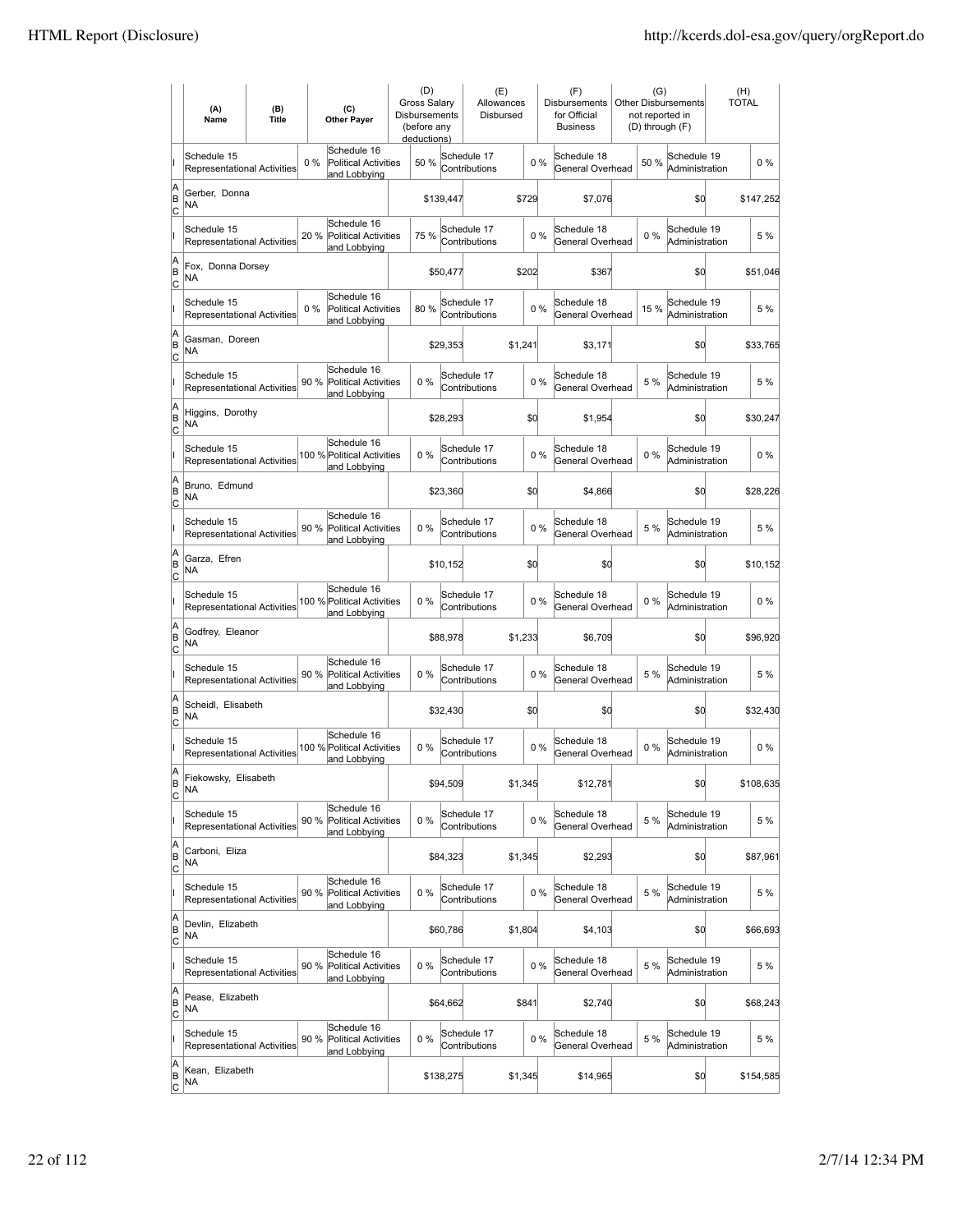|                          | (A)<br>Name                                       | (B)<br><b>Title</b> |       | (C)<br><b>Other Payer</b>                                  | (D)<br><b>Gross Salarv</b><br><b>Disbursements</b><br>(before any<br>deductions) |           | (E)<br>Allowances<br>Disbursed |         |       | (F)<br><b>Disbursements</b><br>for Official<br><b>Business</b> | (G)<br>not reported in<br>(D) through (F) | <b>Other Disbursements</b>    | (H)<br><b>TOTAL</b> |           |
|--------------------------|---------------------------------------------------|---------------------|-------|------------------------------------------------------------|----------------------------------------------------------------------------------|-----------|--------------------------------|---------|-------|----------------------------------------------------------------|-------------------------------------------|-------------------------------|---------------------|-----------|
|                          | Schedule 15<br><b>Representational Activities</b> |                     | 0%    | Schedule 16<br><b>Political Activities</b><br>and Lobbying | 50 %                                                                             |           | Schedule 17<br>Contributions   |         | 0%    | Schedule 18<br>General Overhead                                | 50%                                       | Schedule 19<br>Administration |                     | $0\%$     |
| A<br>B<br>lc             | Gerber, Donna<br>NA                               |                     |       |                                                            |                                                                                  | \$139,447 |                                | \$729   |       | \$7,076                                                        |                                           | \$0                           |                     | \$147,252 |
|                          | Schedule 15<br>Representational Activities        |                     | 20 %  | Schedule 16<br><b>Political Activities</b><br>and Lobbying | 75 %                                                                             |           | Schedule 17<br>Contributions   |         | 0%    | Schedule 18<br>General Overhead                                | 0%                                        | Schedule 19<br>Administration |                     | 5 %       |
| A<br>B<br>C              | Fox, Donna Dorsey<br>NA                           |                     |       |                                                            |                                                                                  | \$50,477  |                                | \$202   |       | \$367                                                          |                                           | \$0                           |                     | \$51,046  |
|                          | Schedule 15<br>Representational Activities        |                     | $0\%$ | Schedule 16<br>Political Activities<br>and Lobbying        | 80%                                                                              |           | Schedule 17<br>Contributions   |         | 0%    | Schedule 18<br>General Overhead                                | 15 %                                      | Schedule 19<br>Administration |                     | 5 %       |
| A<br>B<br>C              | Gasman, Doreen<br>NA                              |                     |       |                                                            |                                                                                  | \$29,353  |                                | \$1,241 |       | \$3,171                                                        |                                           | \$0                           |                     | \$33,765  |
|                          | Schedule 15<br><b>Representational Activities</b> |                     | 90%   | Schedule 16<br>Political Activities<br>and Lobbying        | 0%                                                                               |           | Schedule 17<br>Contributions   |         | 0%    | Schedule 18<br>General Overhead                                | 5 %                                       | Schedule 19<br>Administration |                     | 5 %       |
| A<br>B<br>lc             | Higgins, Dorothy<br>NA                            |                     |       |                                                            |                                                                                  | \$28,293  |                                |         | \$d   | \$1,954                                                        |                                           | \$0                           |                     | \$30,247  |
|                          | Schedule 15<br><b>Representational Activities</b> |                     |       | Schedule 16<br>100 % Political Activities<br>and Lobbying  | 0%                                                                               |           | Schedule 17<br>Contributions   |         | 0%    | Schedule 18<br>General Overhead                                | $0\%$                                     | Schedule 19<br>Administration |                     | $0\%$     |
| A<br>B<br>C              | Bruno, Edmund<br>NA                               |                     |       |                                                            |                                                                                  | \$23,360  |                                |         | \$0   | \$4,866                                                        |                                           | \$0                           |                     | \$28,226  |
|                          | Schedule 15<br>Representational Activities        |                     |       | Schedule 16<br>90 % Political Activities<br>and Lobbying   | 0%                                                                               |           | Schedule 17<br>Contributions   |         | 0%    | Schedule 18<br>General Overhead                                | 5 %                                       | Schedule 19<br>Administration |                     | 5 %       |
| A<br>B<br>C              | Garza, Efren<br><b>NA</b>                         |                     |       |                                                            |                                                                                  | \$10,152  |                                |         | \$0   | \$0                                                            |                                           | \$0                           |                     | \$10,152  |
|                          | Schedule 15<br><b>Representational Activities</b> |                     |       | Schedule 16<br>100 % Political Activities<br>and Lobbying  | $0\%$                                                                            |           | Schedule 17<br>Contributions   |         | $0\%$ | Schedule 18<br>General Overhead                                | 0%                                        | Schedule 19<br>Administration |                     | $0\%$     |
| A<br>B<br> c             | Godfrey, Eleanor<br><b>NA</b>                     |                     |       |                                                            |                                                                                  | \$88,978  |                                | \$1,233 |       | \$6,709                                                        |                                           | \$d                           |                     | \$96,920  |
|                          | Schedule 15<br>Representational Activities        |                     | 90 %  | Schedule 16<br><b>Political Activities</b><br>and Lobbying | 0%                                                                               |           | Schedule 17<br>Contributions   |         | 0%    | Schedule 18<br>General Overhead                                | 5 %                                       | Schedule 19<br>Administration |                     | 5 %       |
| A<br>B<br>C              | Scheidl, Elisabeth<br>NA                          |                     |       |                                                            |                                                                                  | \$32,430  |                                |         | \$0   | \$0                                                            |                                           | \$0                           |                     | \$32,430  |
|                          | Schedule 15<br>Representational Activities        |                     |       | Schedule 16<br>100 % Political Activities<br>and Lobbying  | 0%                                                                               |           | Schedule 17<br>Contributions   |         | 0%    | Schedule 18<br>General Overhead                                | 0%                                        | Schedule 19<br>Administration |                     | $0\%$     |
| A<br>B<br>$\overline{c}$ | Fiekowsky, Elisabeth<br>ΝA                        |                     |       |                                                            |                                                                                  | \$94,509  |                                | \$1,345 |       | \$12,781                                                       |                                           | \$0                           |                     | \$108,635 |
|                          | Schedule 15<br>Representational Activities        |                     | 90%   | Schedule 16<br>Political Activities<br>and Lobbying        | 0%                                                                               |           | Schedule 17<br>Contributions   |         | 0%    | Schedule 18<br>General Overhead                                | 5 %                                       | Schedule 19<br>Administration |                     | 5 %       |
| A<br>B<br><u>lc</u>      | Carboni, Eliza<br>NA                              |                     |       |                                                            |                                                                                  | \$84,323  |                                | \$1,345 |       | \$2,293                                                        |                                           | \$0                           |                     | \$87,961  |
|                          | Schedule 15<br>Representational Activities        |                     | 90 %  | Schedule 16<br><b>Political Activities</b><br>and Lobbying | 0%                                                                               |           | Schedule 17<br>Contributions   |         | 0%    | Schedule 18<br>General Overhead                                | 5 %                                       | Schedule 19<br>Administration |                     | 5 %       |
| A<br>B<br>$\mathsf{C}$   | Devlin, Elizabeth<br>NA                           |                     |       |                                                            |                                                                                  | \$60,786  |                                | \$1,804 |       | \$4,103                                                        |                                           | \$0                           |                     | \$66,693  |
|                          | Schedule 15<br>Representational Activities        |                     |       | Schedule 16<br>90 % Political Activities<br>and Lobbying   | 0%                                                                               |           | Schedule 17<br>Contributions   |         | 0%    | Schedule 18<br>General Overhead                                | 5 %                                       | Schedule 19<br>Administration |                     | 5 %       |
| A<br>B<br> c             | Pease, Elizabeth<br>NA                            |                     |       |                                                            |                                                                                  | \$64,662  |                                | \$841   |       | \$2,740                                                        |                                           | \$0                           |                     | \$68,243  |
|                          | Schedule 15<br>Representational Activities        |                     | 90%   | Schedule 16<br>Political Activities<br>and Lobbying        | 0%                                                                               |           | Schedule 17<br>Contributions   |         | 0%    | Schedule 18<br>General Overhead                                | 5 %                                       | Schedule 19<br>Administration |                     | 5 %       |
| A<br>B<br>$\overline{c}$ | Kean, Elizabeth<br>NA                             |                     |       |                                                            |                                                                                  | \$138,275 |                                | \$1,345 |       | \$14,965                                                       |                                           | \$0                           |                     | \$154,585 |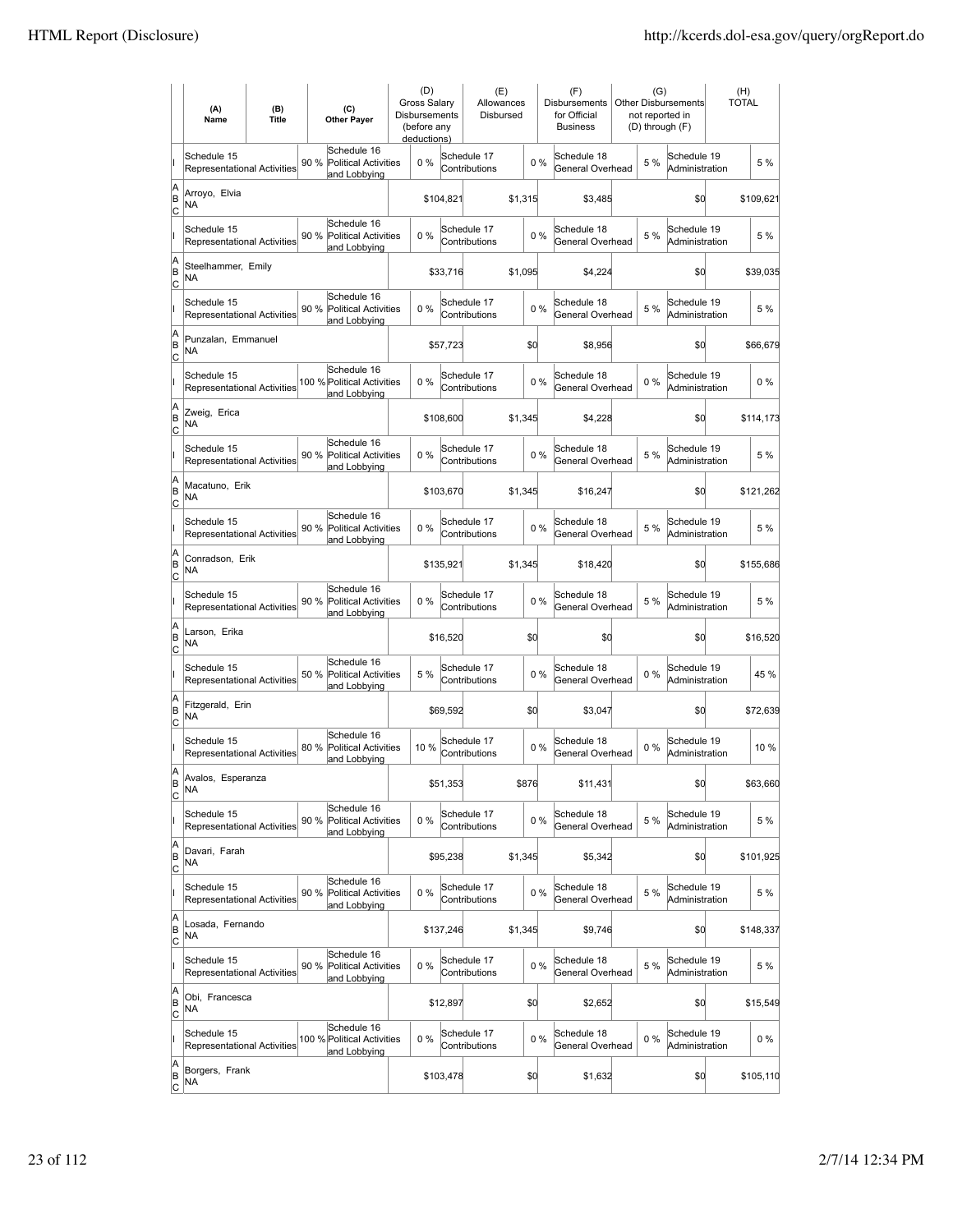|                          | (A)<br>Name                                       | (B)<br><b>Title</b> | (C)<br><b>Other Payer</b>                                          | (D)<br><b>Gross Salary</b><br><b>Disbursements</b><br>(before any<br>deductions) |           | (E)<br>Allowances<br>Disbursed |         |       | (F)<br><b>Disbursements</b><br>for Official<br><b>Business</b> |       | (G)<br><b>Other Disbursements</b><br>not reported in<br>(D) through (F) | (H)<br><b>TOTAL</b> |
|--------------------------|---------------------------------------------------|---------------------|--------------------------------------------------------------------|----------------------------------------------------------------------------------|-----------|--------------------------------|---------|-------|----------------------------------------------------------------|-------|-------------------------------------------------------------------------|---------------------|
|                          | Schedule 15<br><b>Representational Activities</b> |                     | Schedule 16<br>90 %<br><b>Political Activities</b><br>and Lobbying | 0%                                                                               |           | Schedule 17<br>Contributions   |         | $0\%$ | Schedule 18<br>General Overhead                                | 5 %   | Schedule 19<br>Administration                                           | 5 %                 |
| A<br>B<br> c             | Arroyo, Elvia<br>NA                               |                     |                                                                    |                                                                                  | \$104,821 |                                | \$1,315 |       | \$3,485                                                        |       | \$0                                                                     | \$109,621           |
|                          | Schedule 15<br><b>Representational Activities</b> |                     | Schedule 16<br>90 % Political Activities<br>and Lobbying           | 0%                                                                               |           | Schedule 17<br>Contributions   |         | 0%    | Schedule 18<br>General Overhead                                | 5 %   | Schedule 19<br>Administration                                           | 5 %                 |
| A<br>B<br>C              | Steelhammer, Emily<br>NA                          |                     |                                                                    |                                                                                  | \$33,716  |                                | \$1,095 |       | \$4,224                                                        |       | \$0                                                                     | \$39,035            |
|                          | Schedule 15<br>Representational Activities        |                     | Schedule 16<br>90 %<br><b>Political Activities</b><br>and Lobbying | 0%                                                                               |           | Schedule 17<br>Contributions   |         | 0%    | Schedule 18<br>General Overhead                                | 5 %   | Schedule 19<br>Administration                                           | 5 %                 |
| A<br>B<br> c             | Punzalan, Emmanuel<br>NA                          |                     |                                                                    |                                                                                  | \$57,723  |                                | \$0     |       | \$8,956                                                        |       | \$0                                                                     | \$66,679            |
|                          | Schedule 15<br><b>Representational Activities</b> |                     | Schedule 16<br>100 % Political Activities<br>and Lobbying          | 0%                                                                               |           | Schedule 17<br>Contributions   |         | 0%    | Schedule 18<br>General Overhead                                | $0\%$ | Schedule 19<br>Administration                                           | $0\%$               |
| A<br>B<br> c             | Zweig, Erica<br>NA                                |                     |                                                                    |                                                                                  | \$108,600 |                                | \$1,345 |       | \$4,228                                                        |       | \$0                                                                     | \$114,173           |
|                          | Schedule 15<br><b>Representational Activities</b> |                     | Schedule 16<br>90 % Political Activities<br>and Lobbying           | $0\%$                                                                            |           | Schedule 17<br>Contributions   |         | 0%    | Schedule 18<br>General Overhead                                | 5 %   | Schedule 19<br>Administration                                           | 5 %                 |
| A<br>B<br>C              | Macatuno, Erik<br>ΝA                              |                     |                                                                    |                                                                                  | \$103,670 |                                | \$1,345 |       | \$16,247                                                       |       | \$0                                                                     | \$121,262           |
|                          | Schedule 15<br>Representational Activities        |                     | Schedule 16<br>90 % Political Activities<br>and Lobbying           | 0%                                                                               |           | Schedule 17<br>Contributions   |         | 0%    | Schedule 18<br>General Overhead                                | 5 %   | Schedule 19<br>Administration                                           | 5 %                 |
| A<br>B<br>C              | Conradson, Erik<br><b>NA</b>                      |                     |                                                                    |                                                                                  | \$135,921 |                                | \$1,345 |       | \$18,420                                                       |       | \$0                                                                     | \$155,686           |
|                          | Schedule 15<br>Representational Activities        |                     | Schedule 16<br>90 %<br><b>Political Activities</b><br>and Lobbying | 0%                                                                               |           | Schedule 17<br>Contributions   |         | 0%    | Schedule 18<br>General Overhead                                | 5 %   | Schedule 19<br>Administration                                           | 5 %                 |
| A<br>B<br>Iс             | Larson, Erika<br><b>NA</b>                        |                     |                                                                    |                                                                                  | \$16,520  |                                | \$0     |       | \$0                                                            |       | \$d                                                                     | \$16,520            |
|                          | Schedule 15<br>Representational Activities        |                     | Schedule 16<br>50 %<br><b>Political Activities</b><br>and Lobbying | 5 %                                                                              |           | Schedule 17<br>Contributions   |         | $0\%$ | Schedule 18<br>General Overhead                                | 0%    | Schedule 19<br>Administration                                           | 45 %                |
| A<br>B<br>C              | Fitzgerald, Erin<br>NA                            |                     |                                                                    |                                                                                  | \$69,592  |                                | \$0     |       | \$3,047                                                        |       | \$d                                                                     | \$72,639            |
|                          | Schedule 15<br>Representational Activities        |                     | Schedule 16<br>80 %<br><b>Political Activities</b><br>and Lobbying | 10 %                                                                             |           | Schedule 17<br>Contributions   |         | 0%    | Schedule 18<br>General Overhead                                | $0\%$ | Schedule 19<br>Administration                                           | 10%                 |
| A<br>B<br>$\overline{c}$ | Avalos, Esperanza<br>ΝA                           |                     |                                                                    |                                                                                  | \$51,353  |                                | \$876   |       | \$11,431                                                       |       | \$d                                                                     | \$63,660            |
|                          | Schedule 15<br>Representational Activities        |                     | Schedule 16<br>90 %<br><b>Political Activities</b><br>and Lobbying | 0%                                                                               |           | Schedule 17<br>Contributions   |         | $0\%$ | Schedule 18<br>General Overhead                                | 5 %   | Schedule 19<br>Administration                                           | 5 %                 |
| A<br>B<br>$\overline{c}$ | Davari, Farah<br>NA                               |                     |                                                                    |                                                                                  | \$95,238  |                                | \$1,345 |       | \$5,342                                                        |       | \$d                                                                     | \$101,925           |
|                          | Schedule 15<br>Representational Activities        |                     | Schedule 16<br>90 % Political Activities<br>and Lobbying           | $0\%$                                                                            |           | Schedule 17<br>Contributions   |         | 0%    | Schedule 18<br>General Overhead                                | 5 %   | Schedule 19<br>Administration                                           | 5 %                 |
| A<br>B<br>$\circ$        | Losada, Fernando<br>NA                            |                     |                                                                    |                                                                                  | \$137,246 |                                | \$1,345 |       | \$9,746                                                        |       | \$d                                                                     | \$148,337           |
|                          | Schedule 15<br>Representational Activities        |                     | Schedule 16<br>90 % Political Activities<br>and Lobbying           | 0%                                                                               |           | Schedule 17<br>Contributions   |         | 0%    | Schedule 18<br>General Overhead                                | 5 %   | Schedule 19<br>Administration                                           | 5 %                 |
| A<br>B<br> c             | Obi, Francesca<br>NA.                             |                     |                                                                    |                                                                                  | \$12,897  |                                | \$0     |       | \$2,652                                                        |       | \$d                                                                     | \$15,549            |
|                          | Schedule 15<br>Representational Activities        |                     | Schedule 16<br>100 % Political Activities<br>and Lobbying          | 0%                                                                               |           | Schedule 17<br>Contributions   |         | 0%    | Schedule 18<br>General Overhead                                | 0%    | Schedule 19<br>Administration                                           | 0%                  |
| A<br>B<br>$\overline{c}$ | Borgers, Frank<br>NA                              |                     |                                                                    |                                                                                  | \$103,478 |                                | \$0     |       | \$1,632                                                        |       | \$d                                                                     | \$105,110           |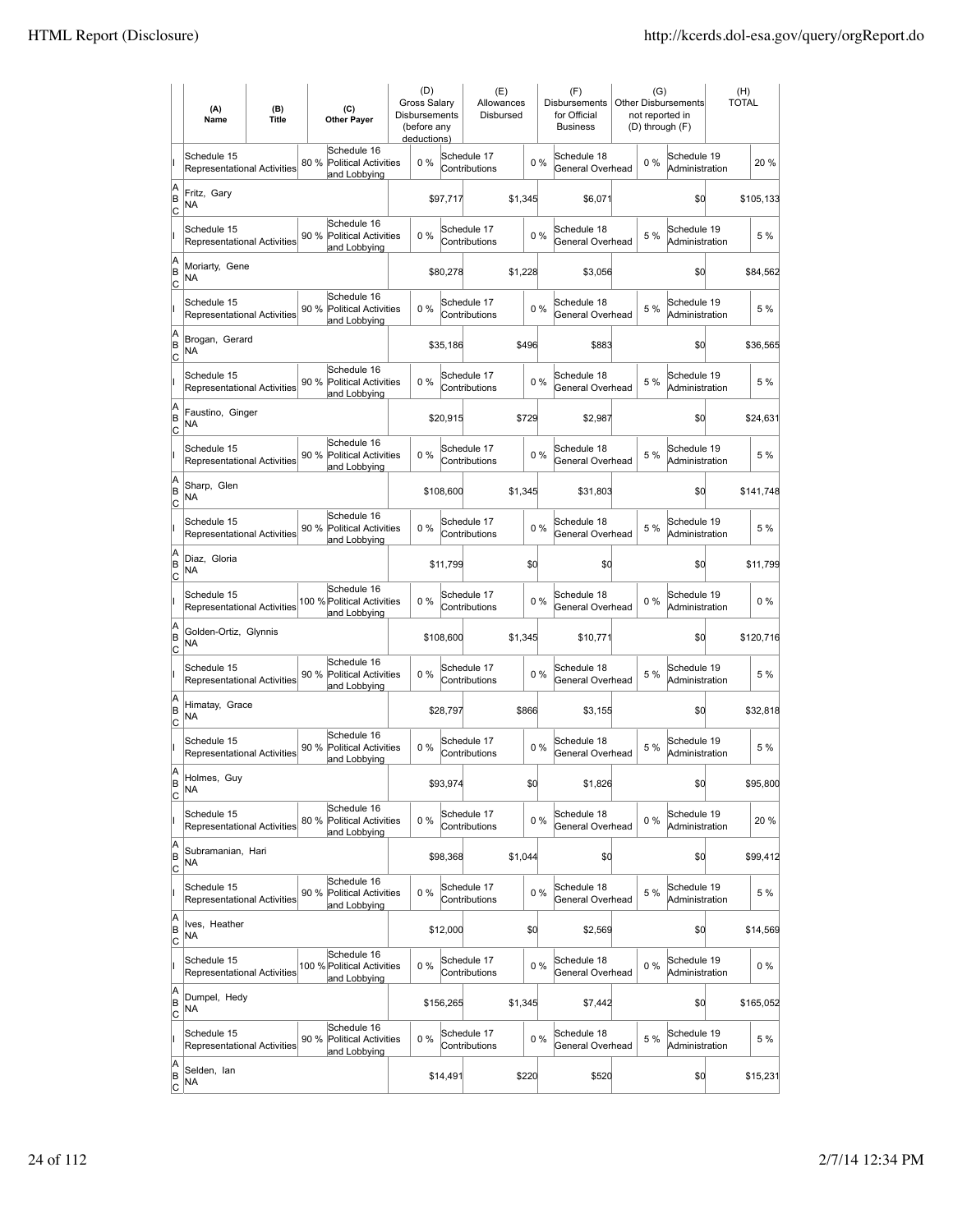|                           | (A)<br>Name                                       | (B)<br><b>Title</b> | (C)<br><b>Other Payer</b>                                          | (D)<br>Gross Salary<br>Disbursements<br>(before any<br>deductions) |           | (E)<br>Allowances<br>Disbursed |         |       | (F)<br>Disbursements<br>for Official<br><b>Business</b> | (G)   | <b>Other Disbursements</b><br>not reported in<br>(D) through (F) | (H)<br><b>TOTAL</b> |           |
|---------------------------|---------------------------------------------------|---------------------|--------------------------------------------------------------------|--------------------------------------------------------------------|-----------|--------------------------------|---------|-------|---------------------------------------------------------|-------|------------------------------------------------------------------|---------------------|-----------|
|                           | Schedule 15<br>Representational Activities        |                     | Schedule 16<br>80 %<br><b>Political Activities</b><br>and Lobbying | $0\%$                                                              |           | Schedule 17<br>Contributions   |         | 0%    | Schedule 18<br>General Overhead                         | $0\%$ | Schedule 19<br>Administration                                    |                     | 20 %      |
| A<br>B<br>C               | Fritz, Gary<br>NA                                 |                     |                                                                    |                                                                    | \$97,717  |                                | \$1,345 |       | \$6,071                                                 |       | \$0                                                              |                     | \$105,133 |
|                           | Schedule 15<br>Representational Activities        |                     | Schedule 16<br>90 %<br><b>Political Activities</b><br>and Lobbying | 0%                                                                 |           | Schedule 17<br>Contributions   |         | 0%    | Schedule 18<br>General Overhead                         | 5 %   | Schedule 19<br>Administration                                    |                     | 5 %       |
| A<br>B<br>Iс              | Moriarty, Gene<br>NA                              |                     |                                                                    |                                                                    | \$80,278  |                                | \$1,228 |       | \$3,056                                                 |       | \$0                                                              |                     | \$84,562  |
|                           | Schedule 15<br><b>Representational Activities</b> |                     | Schedule 16<br>90 %<br><b>Political Activities</b><br>and Lobbying | 0%                                                                 |           | Schedule 17<br>Contributions   |         | 0%    | Schedule 18<br>General Overhead                         | 5 %   | Schedule 19<br>Administration                                    |                     | 5 %       |
| A<br>B<br> c              | Brogan, Gerard<br>ΝA                              |                     |                                                                    |                                                                    | \$35,186  |                                | \$496   |       | \$883                                                   |       | \$0                                                              |                     | \$36,565  |
|                           | Schedule 15<br>Representational Activities        |                     | Schedule 16<br>90 %<br><b>Political Activities</b><br>and Lobbying | 0%                                                                 |           | Schedule 17<br>Contributions   |         | 0%    | Schedule 18<br>General Overhead                         | 5 %   | Schedule 19<br>Administration                                    |                     | 5 %       |
| A<br>B<br> c              | Faustino, Ginger<br>NA                            |                     |                                                                    |                                                                    | \$20,915  |                                | \$729   |       | \$2,987                                                 |       | \$0                                                              |                     | \$24,631  |
|                           | Schedule 15<br>Representational Activities        |                     | Schedule 16<br>90 %<br><b>Political Activities</b><br>and Lobbying | 0%                                                                 |           | Schedule 17<br>Contributions   |         | 0%    | Schedule 18<br>General Overhead                         | 5 %   | Schedule 19<br>Administration                                    |                     | 5 %       |
| A<br>B<br>Iс              | Sharp, Glen<br>ΝA                                 |                     |                                                                    |                                                                    | \$108,600 |                                | \$1,345 |       | \$31,803                                                |       | \$0                                                              |                     | \$141,748 |
|                           | Schedule 15<br><b>Representational Activities</b> |                     | Schedule 16<br>90 % Political Activities<br>and Lobbying           | 0%                                                                 |           | Schedule 17<br>Contributions   |         | 0%    | Schedule 18<br>General Overhead                         | 5 %   | Schedule 19<br>Administration                                    |                     | 5 %       |
| A<br>B<br>C               | Diaz, Gloria<br>ΝA                                |                     |                                                                    |                                                                    | \$11,799  |                                | \$Q     |       | \$0                                                     |       | \$0                                                              |                     | \$11,799  |
|                           | Schedule 15<br>Representational Activities        |                     | Schedule 16<br>100 % Political Activities<br>and Lobbying          | 0%                                                                 |           | Schedule 17<br>Contributions   |         | 0%    | Schedule 18<br>General Overhead                         | $0\%$ | Schedule 19<br>Administration                                    |                     | $0\%$     |
| A<br>B<br>lc              | Golden-Ortiz, Glynnis<br>NA                       |                     |                                                                    |                                                                    | \$108,600 |                                | \$1,345 |       | \$10,771                                                |       | \$0                                                              |                     | \$120,716 |
|                           | Schedule 15<br>Representational Activities        |                     | Schedule 16<br>90 %<br><b>Political Activities</b><br>and Lobbying | 0%                                                                 |           | Schedule 17<br>Contributions   |         | 0%    | Schedule 18<br>General Overhead                         | 5 %   | Schedule 19<br>Administration                                    |                     | 5 %       |
| A<br>B<br>Iс              | Himatay, Grace<br>NA                              |                     |                                                                    |                                                                    | \$28,797  |                                | \$866   |       | \$3,155                                                 |       | \$0                                                              |                     | \$32,818  |
|                           | Schedule 15<br><b>Representational Activities</b> |                     | Schedule 16<br>90 %<br><b>Political Activities</b><br>and Lobbying | 0%                                                                 |           | Schedule 17<br>Contributions   |         | 0%    | Schedule 18<br>General Overhead                         | 5 %   | Schedule 19<br>Administration                                    |                     | 5 %       |
| ΙA<br>B<br>$\overline{c}$ | Holmes, Guy<br>ΝA                                 |                     |                                                                    |                                                                    | \$93,974  |                                | \$d     |       | \$1,826                                                 |       | \$0                                                              |                     | \$95,800  |
|                           | Schedule 15<br>Representational Activities        |                     | Schedule 16<br>80 %<br>Political Activities<br>and Lobbying        | 0%                                                                 |           | Schedule 17<br>Contributions   |         | 0%    | Schedule 18<br>General Overhead                         | $0\%$ | Schedule 19<br>Administration                                    |                     | 20 %      |
| A<br>B<br> c              | Subramanian, Hari<br>NA                           |                     |                                                                    |                                                                    | \$98,368  |                                | \$1,044 |       | \$0                                                     |       | \$0                                                              |                     | \$99,412  |
|                           | Schedule 15<br>Representational Activities        |                     | Schedule 16<br>90 %<br><b>Political Activities</b><br>and Lobbying | 0%                                                                 |           | Schedule 17<br>Contributions   |         | 0%    | Schedule 18<br>General Overhead                         | 5 %   | Schedule 19<br>Administration                                    |                     | 5 %       |
| A<br>B<br><u>lc</u>       | Ives, Heather<br>NA                               |                     |                                                                    |                                                                    | \$12,000  |                                | \$d     |       | \$2,569                                                 |       | \$0                                                              |                     | \$14,569  |
|                           | Schedule 15<br>Representational Activities        |                     | Schedule 16<br>100 % Political Activities<br>and Lobbying          | 0%                                                                 |           | Schedule 17<br>Contributions   |         | $0\%$ | Schedule 18<br>General Overhead                         | $0\%$ | Schedule 19<br>Administration                                    |                     | $0\%$     |
| A<br>B<br>$\circ$         | Dumpel, Hedy<br>NA                                |                     |                                                                    |                                                                    | \$156,265 |                                | \$1,345 |       | \$7,442                                                 |       | \$0                                                              |                     | \$165,052 |
|                           | Schedule 15<br>Representational Activities        |                     | Schedule 16<br>90 %<br><b>Political Activities</b><br>and Lobbying | 0%                                                                 |           | Schedule 17<br>Contributions   |         | $0\%$ | Schedule 18<br>General Overhead                         | 5 %   | Schedule 19<br>Administration                                    |                     | 5 %       |
| A<br>B<br>$\overline{c}$  | Selden, lan<br>NA                                 |                     |                                                                    |                                                                    | \$14,491  |                                | \$220   |       | \$520                                                   |       | \$d                                                              |                     | \$15,231  |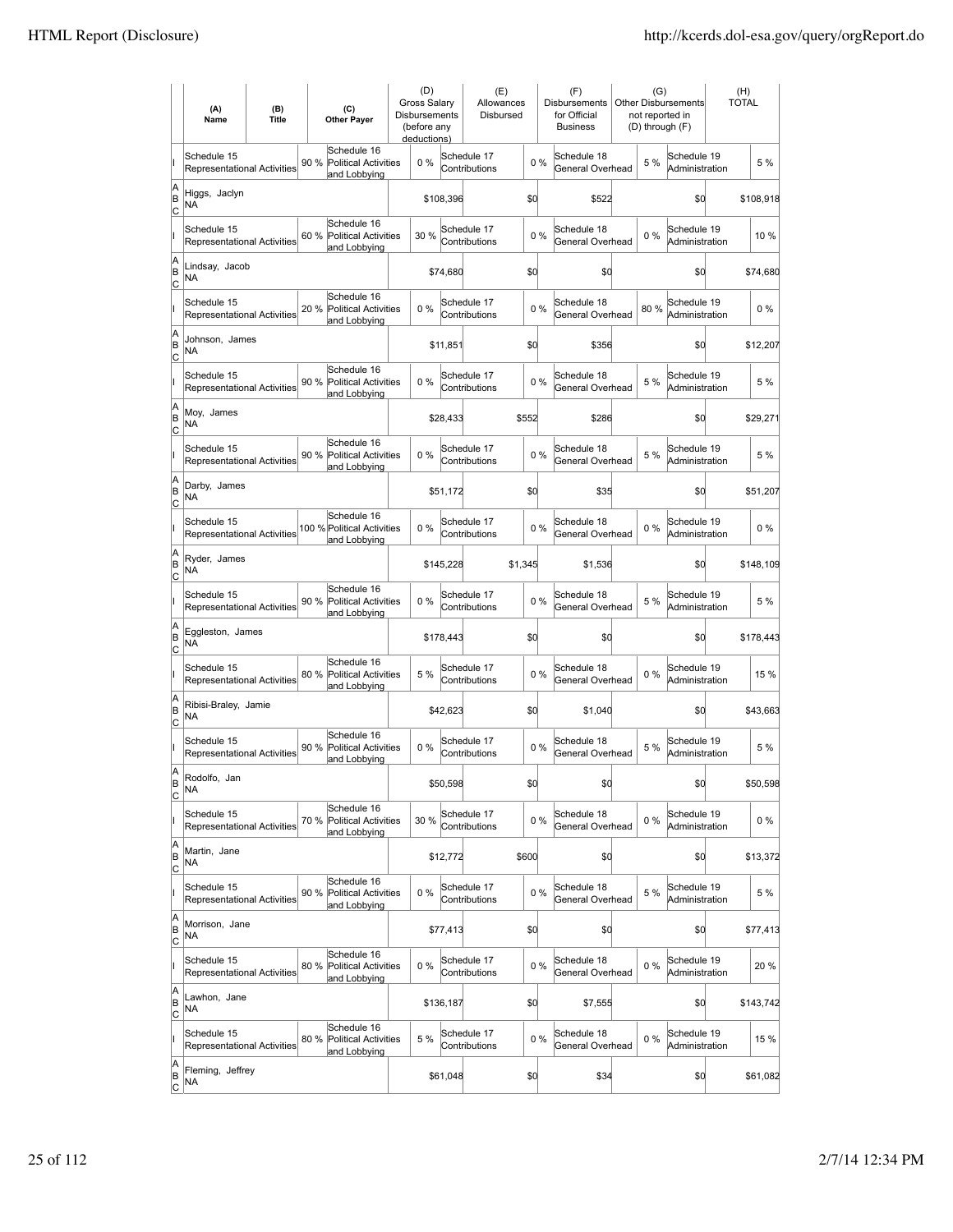|                           | (A)<br>Name                                       | (B)<br><b>Title</b> | (C)<br><b>Other Payer</b>                                          | (D)<br><b>Gross Salarv</b><br>Disbursements<br>(before any<br>deductions) |           | (E)<br>Allowances<br>Disbursed |         | (F)<br>Disbursements<br>for Official<br><b>Business</b> | (G)   | <b>Other Disbursements</b><br>not reported in<br>(D) through (F) | (H)<br><b>TOTAL</b> |
|---------------------------|---------------------------------------------------|---------------------|--------------------------------------------------------------------|---------------------------------------------------------------------------|-----------|--------------------------------|---------|---------------------------------------------------------|-------|------------------------------------------------------------------|---------------------|
|                           | Schedule 15<br><b>Representational Activities</b> |                     | Schedule 16<br>90 %<br><b>Political Activities</b><br>and Lobbying | $0\%$                                                                     |           | Schedule 17<br>Contributions   | $0\%$   | Schedule 18<br>General Overhead                         | 5 %   | Schedule 19<br>Administration                                    | 5 %                 |
| A<br>B<br>c               | Higgs, Jaclyn<br>NA                               |                     |                                                                    |                                                                           | \$108,396 |                                | \$d     | \$522                                                   |       | \$d                                                              | \$108,918           |
|                           | Schedule 15<br><b>Representational Activities</b> |                     | Schedule 16<br>60 %<br><b>Political Activities</b><br>and Lobbying | 30 %                                                                      |           | Schedule 17<br>Contributions   | 0%      | Schedule 18<br>General Overhead                         | $0\%$ | Schedule 19<br>Administration                                    | 10 %                |
| A<br>B<br>C               | Lindsay, Jacob<br>NA                              |                     |                                                                    |                                                                           | \$74,680  |                                | \$0     | \$0                                                     |       | \$d                                                              | \$74,680            |
|                           | Schedule 15<br>Representational Activities        |                     | Schedule 16<br>20 %<br><b>Political Activities</b><br>and Lobbying | 0%                                                                        |           | Schedule 17<br>Contributions   | 0%      | Schedule 18<br>General Overhead                         | 80%   | Schedule 19<br>Administration                                    | $0\%$               |
| A<br>B<br>C               | Johnson, James<br>NA                              |                     |                                                                    |                                                                           | \$11,851  |                                | \$0     | \$356                                                   |       | \$0                                                              | \$12,207            |
|                           | Schedule 15<br><b>Representational Activities</b> |                     | Schedule 16<br>90 %<br><b>Political Activities</b><br>and Lobbying | $0\%$                                                                     |           | Schedule 17<br>Contributions   | 0%      | Schedule 18<br>General Overhead                         | 5 %   | Schedule 19<br>Administration                                    | 5 %                 |
| A<br>B<br> c              | Moy, James<br>ΝA                                  |                     |                                                                    |                                                                           | \$28,433  |                                | \$552   | \$286                                                   |       | \$0                                                              | \$29,271            |
|                           | Schedule 15<br>Representational Activities        |                     | Schedule 16<br>90 % Political Activities<br>and Lobbying           | 0%                                                                        |           | Schedule 17<br>Contributions   | 0%      | Schedule 18<br>General Overhead                         | 5 %   | Schedule 19<br>Administration                                    | 5 %                 |
| A<br>B<br>C               | Darby, James<br>NA                                |                     |                                                                    |                                                                           | \$51,172  |                                | \$0     | \$35                                                    |       | \$0                                                              | \$51,207            |
|                           | Schedule 15<br>Representational Activities        |                     | Schedule 16<br>100 % Political Activities<br>and Lobbying          | $0\%$                                                                     |           | Schedule 17<br>Contributions   | 0%      | Schedule 18<br>General Overhead                         | $0\%$ | Schedule 19<br>Administration                                    | $0\%$               |
| A<br>B<br>C               | Ryder, James<br>NA                                |                     |                                                                    |                                                                           | \$145,228 |                                | \$1,345 | \$1,536                                                 |       | \$d                                                              | \$148,109           |
|                           | Schedule 15<br>Representational Activities        |                     | Schedule 16<br>90 %<br><b>Political Activities</b><br>and Lobbying | $0\%$                                                                     |           | Schedule 17<br>Contributions   | 0%      | Schedule 18<br>General Overhead                         | 5 %   | Schedule 19<br>Administration                                    | 5 %                 |
| A<br>B<br> c              | Eggleston, James<br><b>NA</b>                     |                     |                                                                    |                                                                           | \$178,443 |                                | \$0     | \$0                                                     |       | \$d                                                              | \$178,443           |
|                           | Schedule 15<br>Representational Activities        |                     | Schedule 16<br>80 %<br><b>Political Activities</b><br>and Lobbying | 5 %                                                                       |           | Schedule 17<br>Contributions   | 0%      | Schedule 18<br>General Overhead                         | $0\%$ | Schedule 19<br>Administration                                    | 15 %                |
| A<br>B<br>C               | Ribisi-Braley, Jamie<br><b>NA</b>                 |                     |                                                                    |                                                                           | \$42,623  |                                | \$0     | \$1,040                                                 |       | \$0                                                              | \$43,663            |
|                           | Schedule 15<br>Representational Activities        |                     | Schedule 16<br>90 %<br>Political Activities<br>and Lobbying        | 0%                                                                        |           | Schedule 17<br>Contributions   | 0%      | Schedule 18<br>General Overhead                         | 5 %   | Schedule 19<br>Administration                                    | 5 %                 |
| A<br>B<br>C               | Rodolfo, Jan<br>ΝA                                |                     |                                                                    |                                                                           | \$50,598  |                                | \$0     | \$0                                                     |       | \$d                                                              | \$50,598            |
|                           | Schedule 15<br>Representational Activities        |                     | Schedule 16<br>70 %<br><b>Political Activities</b><br>and Lobbying | 30 %                                                                      |           | Schedule 17<br>Contributions   | 0%      | Schedule 18<br>General Overhead                         | 0%    | Schedule 19<br>Administration                                    | 0%                  |
| A<br>B<br><u>lc</u>       | Martin, Jane<br><b>NA</b>                         |                     |                                                                    |                                                                           | \$12,772  |                                | \$600   | \$0                                                     |       | \$0                                                              | \$13,372            |
|                           | Schedule 15<br><b>Representational Activities</b> |                     | Schedule 16<br>90 %<br><b>Political Activities</b><br>and Lobbying | 0%                                                                        |           | Schedule 17<br>Contributions   | 0%      | Schedule 18<br>General Overhead                         | 5 %   | Schedule 19<br>Administration                                    | 5 %                 |
| A<br>B<br>$\mathsf{C}$    | Morrison, Jane<br>NA                              |                     |                                                                    |                                                                           | \$77,413  |                                | \$0     | \$0                                                     |       | \$0                                                              | \$77,413            |
|                           | Schedule 15<br>Representational Activities        |                     | Schedule 16<br>80 % Political Activities<br>and Lobbying           | 0%                                                                        |           | Schedule 17<br>Contributions   | $0\%$   | Schedule 18<br>General Overhead                         | 0%    | Schedule 19<br>Administration                                    | 20 %                |
| A<br>B<br>C               | Lawhon, Jane<br>NA                                |                     |                                                                    |                                                                           | \$136,187 |                                | \$0     | \$7,555                                                 |       | \$d                                                              | \$143,742           |
|                           | Schedule 15<br>Representational Activities        |                     | Schedule 16<br>80 %<br><b>Political Activities</b><br>and Lobbying | 5 %                                                                       |           | Schedule 17<br>Contributions   | 0%      | Schedule 18<br>General Overhead                         | 0%    | Schedule 19<br>Administration                                    | 15 %                |
| A<br> B<br>$\overline{c}$ | Fleming, Jeffrey<br>NA                            |                     |                                                                    |                                                                           | \$61,048  |                                | \$0     | \$34                                                    |       | \$d                                                              | \$61,082            |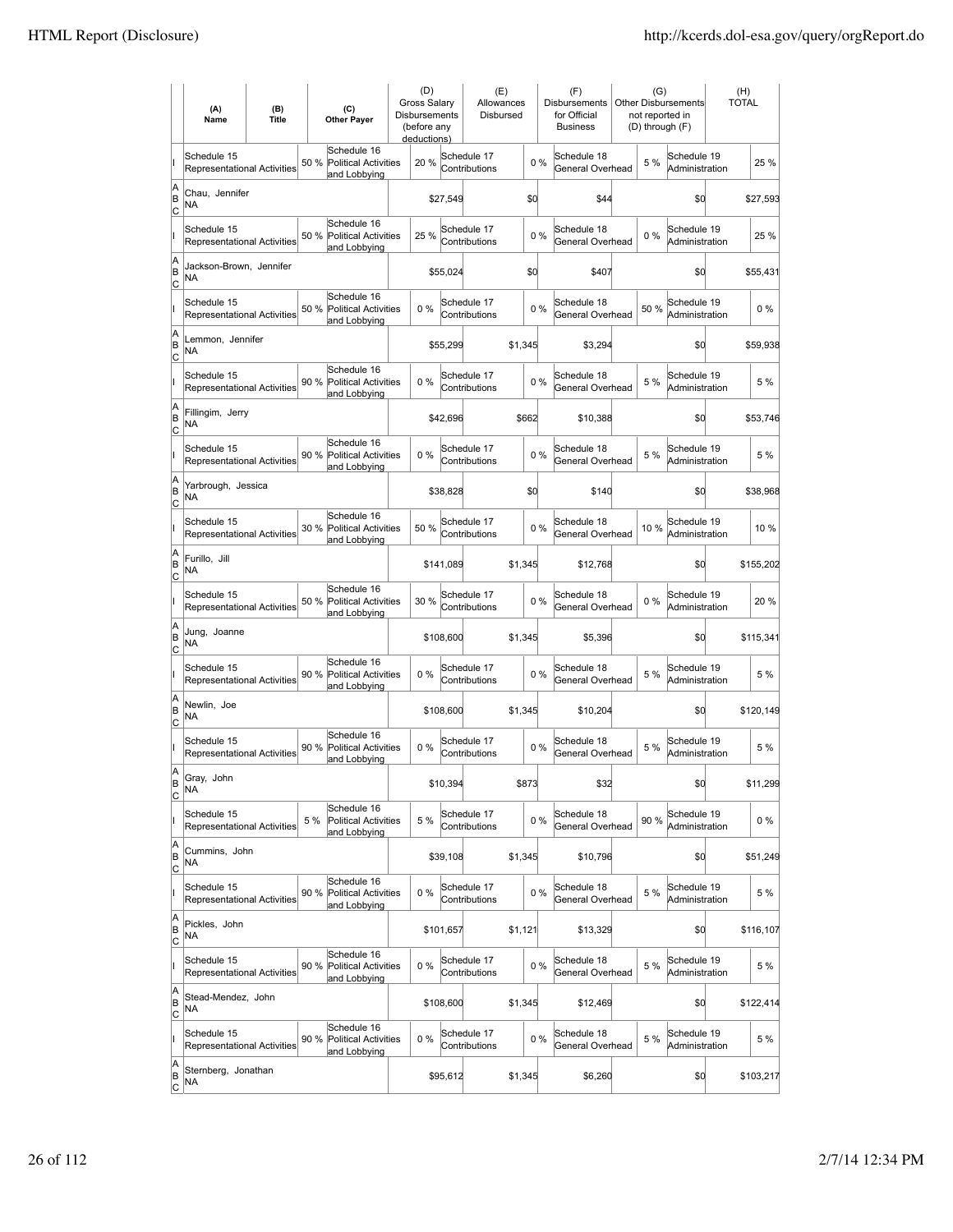|                          | (A)<br>Name                                       | (B)<br><b>Title</b> | (C)<br><b>Other Payer</b>                                          | (D)<br>Gross Salarv<br>Disbursements<br>(before any<br>deductions) |           | (E)<br>Allowances<br>Disbursed |         |       | (F)<br>Disbursements<br>for Official<br><b>Business</b> | (G)<br>not reported in<br>(D) through (F) | <b>Other Disbursements</b>    | (H)<br><b>TOTAL</b> |
|--------------------------|---------------------------------------------------|---------------------|--------------------------------------------------------------------|--------------------------------------------------------------------|-----------|--------------------------------|---------|-------|---------------------------------------------------------|-------------------------------------------|-------------------------------|---------------------|
|                          | Schedule 15<br><b>Representational Activities</b> |                     | Schedule 16<br>50 %<br><b>Political Activities</b><br>and Lobbying | 20 %                                                               |           | Schedule 17<br>Contributions   |         | 0%    | Schedule 18<br>General Overhead                         | 5 %                                       | Schedule 19<br>Administration | 25 %                |
| A<br>B<br> c             | Chau, Jennifer<br>ΝA                              |                     |                                                                    |                                                                    | \$27,549  |                                | \$d     |       | \$44                                                    |                                           | \$0                           | \$27,593            |
|                          | Schedule 15<br>Representational Activities        |                     | Schedule 16<br>50 %<br><b>Political Activities</b><br>and Lobbying | 25 %                                                               |           | Schedule 17<br>Contributions   |         | 0%    | Schedule 18<br>General Overhead                         | 0%                                        | Schedule 19<br>Administration | 25 %                |
| A<br>B<br>C              | Jackson-Brown, Jennifer<br>NA                     |                     |                                                                    |                                                                    | \$55,024  |                                | \$d     |       | \$407                                                   |                                           | \$0                           | \$55,431            |
|                          | Schedule 15<br>Representational Activities        |                     | Schedule 16<br>50 %<br><b>Political Activities</b><br>and Lobbying | 0%                                                                 |           | Schedule 17<br>Contributions   |         | 0%    | Schedule 18<br>General Overhead                         | 50 %                                      | Schedule 19<br>Administration | $0\%$               |
| A<br>B<br>C              | Lemmon, Jennifer<br>NA                            |                     |                                                                    |                                                                    | \$55,299  |                                | \$1,345 |       | \$3,294                                                 |                                           | \$0                           | \$59,938            |
|                          | Schedule 15<br><b>Representational Activities</b> |                     | Schedule 16<br>90 %<br>Political Activities<br>and Lobbying        | 0%                                                                 |           | Schedule 17<br>Contributions   |         | 0%    | Schedule 18<br>General Overhead                         | 5 %                                       | Schedule 19<br>Administration | 5 %                 |
| A<br>B<br>lc             | Fillingim, Jerry<br>NA                            |                     |                                                                    |                                                                    | \$42,696  |                                | \$662   |       | \$10,388                                                |                                           | \$0                           | \$53,746            |
|                          | Schedule 15<br>Representational Activities        |                     | Schedule 16<br>90 %<br><b>Political Activities</b><br>and Lobbying | $0\%$                                                              |           | Schedule 17<br>Contributions   |         | 0%    | Schedule 18<br>General Overhead                         | 5 %                                       | Schedule 19<br>Administration | 5 %                 |
| A<br>B<br>C              | Yarbrough, Jessica<br>ΝA                          |                     |                                                                    |                                                                    | \$38,828  |                                | \$d     |       | \$140                                                   |                                           | \$0                           | \$38,968            |
|                          | Schedule 15<br>Representational Activities        |                     | Schedule 16<br>30 % Political Activities<br>and Lobbying           | 50 %                                                               |           | Schedule 17<br>Contributions   |         | 0%    | Schedule 18<br>General Overhead                         | 10%                                       | Schedule 19<br>Administration | 10 %                |
| A<br>B<br>C              | Furillo, Jill<br>NA                               |                     |                                                                    |                                                                    | \$141,089 |                                | \$1,345 |       | \$12,768                                                |                                           | \$0                           | \$155,202           |
|                          | Schedule 15<br><b>Representational Activities</b> |                     | Schedule 16<br>50 %<br><b>Political Activities</b><br>and Lobbying | 30 %                                                               |           | Schedule 17<br>Contributions   |         | 0%    | Schedule 18<br>General Overhead                         | $0\%$                                     | Schedule 19<br>Administration | 20 %                |
| A<br>B<br> c             | Jung, Joanne<br>NA                                |                     |                                                                    |                                                                    | \$108,600 |                                | \$1,345 |       | \$5,396                                                 |                                           | \$0                           | \$115,341           |
|                          | Schedule 15<br><b>Representational Activities</b> |                     | Schedule 16<br>90 %<br><b>Political Activities</b><br>and Lobbying | $0\%$                                                              |           | Schedule 17<br>Contributions   |         | $0\%$ | Schedule 18<br>General Overhead                         | 5 %                                       | Schedule 19<br>Administration | 5 %                 |
| A<br>B<br>C              | Newlin, Joe<br>ΝA                                 |                     |                                                                    |                                                                    | \$108,600 |                                | \$1,345 |       | \$10,204                                                |                                           | \$0                           | \$120,149           |
|                          | Schedule 15<br>Representational Activities        |                     | Schedule 16<br>90 %<br>Political Activities<br>and Lobbying        | 0%                                                                 |           | Schedule 17<br>Contributions   |         | 0%    | Schedule 18<br>General Overhead                         | 5 %                                       | Schedule 19<br>Administration | 5 %                 |
| A<br> B<br> c            | Gray, Jonn<br>NA                                  |                     |                                                                    |                                                                    | \$10,394  |                                | \$873   |       | \$32                                                    |                                           | \$0                           | \$11,299            |
|                          | Schedule 15<br>Representational Activities        |                     | Schedule 16<br>5 %<br>Political Activities<br>and Lobbying         | 5 %                                                                |           | Schedule 17<br>Contributions   |         | 0%    | Schedule 18<br>General Overhead                         | 90%                                       | Schedule 19<br>Administration | $0\%$               |
| A<br>B<br><u>lc</u>      | Cummins, John<br>NA                               |                     |                                                                    |                                                                    | \$39,108  |                                | \$1,345 |       | \$10,796                                                |                                           | \$d                           | \$51,249            |
|                          | Schedule 15<br>Representational Activities        |                     | Schedule 16<br>90 %<br><b>Political Activities</b><br>and Lobbying | $0\%$                                                              |           | Schedule 17<br>Contributions   |         | $0\%$ | Schedule 18<br>General Overhead                         | 5 %                                       | Schedule 19<br>Administration | 5 %                 |
| A<br>B<br>$\mathsf{C}$   | Pickles, John<br><b>NA</b>                        |                     |                                                                    |                                                                    | \$101,657 |                                | \$1,121 |       | \$13,329                                                |                                           | \$0                           | \$116,107           |
|                          | Schedule 15<br>Representational Activities        |                     | Schedule 16<br>90 % Political Activities<br>and Lobbying           | 0%                                                                 |           | Schedule 17<br>Contributions   |         | $0\%$ | Schedule 18<br>General Overhead                         | 5 %                                       | Schedule 19<br>Administration | 5 %                 |
| A<br>B<br> c             | Stead-Mendez, John<br>NA                          |                     |                                                                    |                                                                    | \$108,600 |                                | \$1,345 |       | \$12,469                                                |                                           | \$0                           | \$122,414           |
|                          | Schedule 15<br>Representational Activities        |                     | Schedule 16<br>90 %<br>Political Activities<br>and Lobbying        | 0%                                                                 |           | Schedule 17<br>Contributions   |         | 0%    | Schedule 18<br>General Overhead                         | 5 %                                       | Schedule 19<br>Administration | 5 %                 |
| A<br>B<br>$\overline{c}$ | Sternberg, Jonathan<br>NA                         |                     |                                                                    |                                                                    | \$95,612  |                                | \$1,345 |       | \$6,260                                                 |                                           | \$d                           | \$103,217           |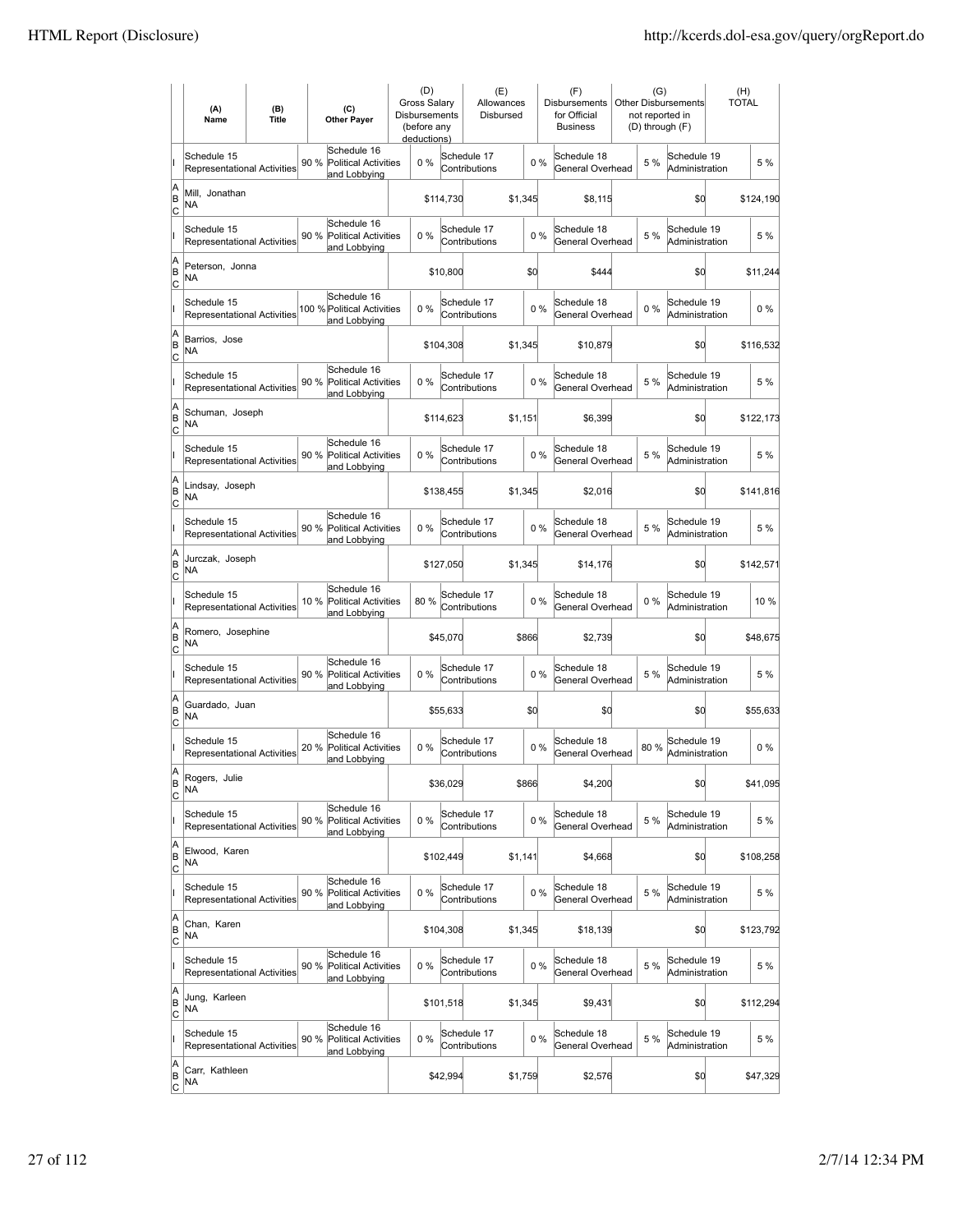|                            | (A)<br>Name                                       | (B)<br><b>Title</b> | (C)<br><b>Other Payer</b>                                          | (D)<br><b>Gross Salarv</b><br><b>Disbursements</b><br>(before any<br>deductions) |           | (E)<br>Allowances<br>Disbursed |         |    | (F)<br><b>Disbursements</b><br>for Official<br><b>Business</b> | (G)   | <b>Other Disbursements</b><br>not reported in<br>(D) through (F) | (H)<br><b>TOTAL</b> |
|----------------------------|---------------------------------------------------|---------------------|--------------------------------------------------------------------|----------------------------------------------------------------------------------|-----------|--------------------------------|---------|----|----------------------------------------------------------------|-------|------------------------------------------------------------------|---------------------|
|                            | Schedule 15<br>Representational Activities        |                     | Schedule 16<br>90 %<br><b>Political Activities</b><br>and Lobbying | 0%                                                                               |           | Schedule 17<br>Contributions   |         | 0% | Schedule 18<br>General Overhead                                | 5 %   | Schedule 19<br>Administration                                    | 5 %                 |
| A<br>B<br>C                | Mill, Jonathan<br>NA                              |                     |                                                                    |                                                                                  | \$114,730 |                                | \$1,345 |    | \$8,115                                                        |       | \$0                                                              | \$124,190           |
|                            | Schedule 15<br>Representational Activities        |                     | Schedule 16<br><b>Political Activities</b><br>90 %<br>and Lobbying | 0%                                                                               |           | Schedule 17<br>Contributions   |         | 0% | Schedule 18<br>General Overhead                                | 5 %   | Schedule 19<br>Administration                                    | 5 %                 |
| A<br>B<br>Iс               | Peterson, Jonna<br>ΝA                             |                     |                                                                    |                                                                                  | \$10,800  |                                | \$0     |    | \$444                                                          |       | \$0                                                              | \$11,244            |
|                            | Schedule 15<br><b>Representational Activities</b> |                     | Schedule 16<br>100 % Political Activities<br>and Lobbying          | 0%                                                                               |           | Schedule 17<br>Contributions   |         | 0% | Schedule 18<br>General Overhead                                | 0%    | Schedule 19<br>Administration                                    | $0\%$               |
| A<br>B<br> c               | Barrios, Jose<br>ΝA                               |                     |                                                                    |                                                                                  | \$104,308 |                                | \$1,345 |    | \$10,879                                                       |       | \$0                                                              | \$116,532           |
|                            | Schedule 15<br>Representational Activities        |                     | Schedule 16<br>90 %<br>Political Activities<br>and Lobbying        | 0%                                                                               |           | Schedule 17<br>Contributions   |         | 0% | Schedule 18<br>General Overhead                                | 5 %   | Schedule 19<br>Administration                                    | 5 %                 |
| A<br>B<br> c               | Schuman, Joseph<br>NA                             |                     |                                                                    |                                                                                  | \$114,623 |                                | \$1,151 |    | \$6,399                                                        |       | \$0                                                              | \$122,173           |
|                            | Schedule 15<br>Representational Activities        |                     | Schedule 16<br>90 %<br><b>Political Activities</b><br>and Lobbying | 0%                                                                               |           | Schedule 17<br>Contributions   |         | 0% | Schedule 18<br>General Overhead                                | 5 %   | Schedule 19<br>Administration                                    | 5 %                 |
| A<br>B<br>Iс               | Lindsay, Joseph<br>ΝA                             |                     |                                                                    |                                                                                  | \$138,455 |                                | \$1,345 |    | \$2,016                                                        |       | \$0                                                              | \$141,816           |
|                            | Schedule 15<br><b>Representational Activities</b> |                     | Schedule 16<br>90 % Political Activities<br>and Lobbying           | 0%                                                                               |           | Schedule 17<br>Contributions   |         | 0% | Schedule 18<br>General Overhead                                | 5 %   | Schedule 19<br>Administration                                    | 5 %                 |
| A<br>B<br>C                | Jurczak, Joseph<br>ΝA                             |                     |                                                                    |                                                                                  | \$127,050 |                                | \$1,345 |    | \$14,176                                                       |       | \$0                                                              | \$142,571           |
|                            | Schedule 15<br>Representational Activities        |                     | Schedule 16<br>10 %<br><b>Political Activities</b><br>and Lobbying | 80%                                                                              |           | Schedule 17<br>Contributions   |         | 0% | Schedule 18<br>General Overhead                                | $0\%$ | Schedule 19<br>Administration                                    | 10%                 |
| A<br>B<br>lc               | Romero, Josephine<br><b>NA</b>                    |                     |                                                                    |                                                                                  | \$45,070  |                                | \$866   |    | \$2,739                                                        |       | \$0                                                              | \$48,675            |
|                            | Schedule 15<br>Representational Activities        |                     | Schedule 16<br><b>Political Activities</b><br>90 %<br>and Lobbying | 0%                                                                               |           | Schedule 17<br>Contributions   |         | 0% | Schedule 18<br>General Overhead                                | 5 %   | Schedule 19<br>Administration                                    | 5 %                 |
| A<br>B<br>Iс               | Guardado, Juan<br><b>NA</b>                       |                     |                                                                    |                                                                                  | \$55,633  |                                | \$0     |    | \$0                                                            |       | \$0                                                              | \$55,633            |
|                            | Schedule 15<br>Representational Activities        |                     | Schedule 16<br>20%<br><b>Political Activities</b><br>and Lobbying  | 0%                                                                               |           | Schedule 17<br>Contributions   |         | 0% | Schedule 18<br>General Overhead                                | 80%   | Schedule 19<br>Administration                                    | $0\%$               |
| ΙA<br> B<br>$\overline{c}$ | Rogers, Julie<br>NA                               |                     |                                                                    |                                                                                  | \$36,029  |                                | \$866   |    | \$4,200                                                        |       | \$0                                                              | \$41,095            |
|                            | Schedule 15<br>Representational Activities        |                     | Schedule 16<br>90%<br>Political Activities<br>and Lobbying         | 0%                                                                               |           | Schedule 17<br>Contributions   |         | 0% | Schedule 18<br>General Overhead                                | 5 %   | Schedule 19<br>Administration                                    | 5 %                 |
| A<br>B<br> c               | Elwood, Karen<br>NA                               |                     |                                                                    |                                                                                  | \$102,449 |                                | \$1,141 |    | \$4,668                                                        |       | \$d                                                              | \$108,258           |
|                            | Schedule 15<br>Representational Activities        |                     | Schedule 16<br>90 %<br><b>Political Activities</b><br>and Lobbying | 0%                                                                               |           | Schedule 17<br>Contributions   |         | 0% | Schedule 18<br>General Overhead                                | 5 %   | Schedule 19<br>Administration                                    | 5 %                 |
| A<br>B<br><u>lc</u>        | Chan. Karen<br>NA                                 |                     |                                                                    |                                                                                  | \$104,308 |                                | \$1,345 |    | \$18,139                                                       |       | \$0                                                              | \$123,792           |
|                            | Schedule 15<br>Representational Activities        |                     | Schedule 16<br>90 % Political Activities<br>and Lobbying           | 0%                                                                               |           | Schedule 17<br>Contributions   |         | 0% | Schedule 18<br>General Overhead                                | 5 %   | Schedule 19<br>Administration                                    | 5 %                 |
| A<br>B<br>$\circ$          | Jung, Karleen<br><b>NA</b>                        |                     |                                                                    |                                                                                  | \$101,518 |                                | \$1,345 |    | \$9,431                                                        |       | \$0                                                              | \$112,294           |
|                            | Schedule 15<br>Representational Activities        |                     | Schedule 16<br>90 %<br><b>Political Activities</b><br>and Lobbying | 0%                                                                               |           | Schedule 17<br>Contributions   |         | 0% | Schedule 18<br>General Overhead                                | 5 %   | Schedule 19<br>Administration                                    | 5 %                 |
| A<br>B<br>$\overline{c}$   | Carr, Kathleen<br>NA                              |                     |                                                                    |                                                                                  | \$42,994  |                                | \$1,759 |    | \$2,576                                                        |       | \$0                                                              | \$47,329            |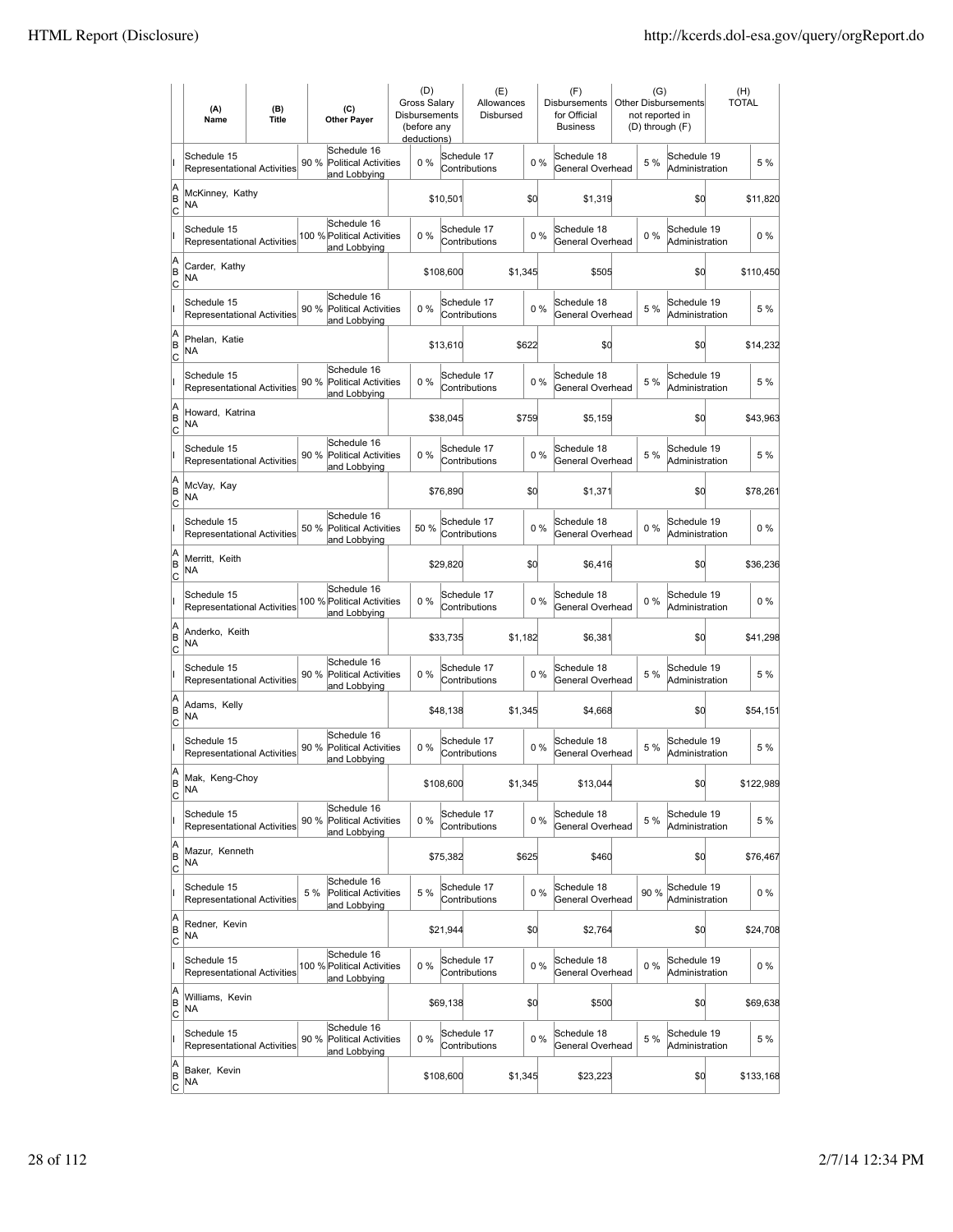|                          | (A)<br>Name                                       | (B)<br><b>Title</b> | (C)<br><b>Other Payer</b>                                 |                                      | Disbursements | (D)<br><b>Gross Salary</b><br>(before any<br>deductions) |           | (E)<br>Allowances<br>Disbursed |         |       | (F)<br><b>Disbursements</b><br>for Official<br><b>Business</b> | (G)<br>not reported in<br>(D) through (F) | Other Disbursements           | (H)<br><b>TOTAL</b> |  |
|--------------------------|---------------------------------------------------|---------------------|-----------------------------------------------------------|--------------------------------------|---------------|----------------------------------------------------------|-----------|--------------------------------|---------|-------|----------------------------------------------------------------|-------------------------------------------|-------------------------------|---------------------|--|
|                          | Schedule 15<br><b>Representational Activities</b> |                     | Schedule 16<br>90 %<br>and Lobbying                       | <b>Political Activities</b>          |               | $0\%$                                                    |           | Schedule 17<br>Contributions   |         | 0%    | Schedule 18<br>General Overhead                                | 5 %                                       | Schedule 19<br>Administration | 5 %                 |  |
| A<br>B<br>lc             | McKinney, Kathy<br>NA                             |                     |                                                           |                                      |               |                                                          | \$10,501  |                                | \$d     |       | \$1,319                                                        |                                           | \$0                           | \$11,820            |  |
|                          | Schedule 15<br><b>Representational Activities</b> |                     | Schedule 16<br>100 % Political Activities<br>and Lobbying |                                      |               | 0%                                                       |           | Schedule 17<br>Contributions   |         | 0%    | Schedule 18<br>General Overhead                                | 0%                                        | Schedule 19<br>Administration | $0\%$               |  |
| A<br>B<br>C              | Carder, Kathy<br>NA                               |                     |                                                           |                                      |               |                                                          | \$108,600 |                                | \$1,345 |       | \$505                                                          |                                           | \$0                           | \$110,450           |  |
|                          | Schedule 15<br>Representational Activities        |                     | Schedule 16<br>90 %<br>and Lobbying                       | <b>Political Activities</b>          |               | 0%                                                       |           | Schedule 17<br>Contributions   |         | 0%    | Schedule 18<br>General Overhead                                | 5 %                                       | Schedule 19<br>Administration | 5 %                 |  |
| A<br>B<br>C              | Phelan, Katie<br>NA                               |                     |                                                           |                                      |               |                                                          | \$13,610  |                                | \$622   |       | \$0                                                            |                                           | \$0                           | \$14,232            |  |
|                          | Schedule 15<br><b>Representational Activities</b> |                     | Schedule 16<br>90 %<br>and Lobbying                       | <b>Political Activities</b>          |               | $0\%$                                                    |           | Schedule 17<br>Contributions   |         | 0%    | Schedule 18<br>General Overhead                                | 5 %                                       | Schedule 19<br>Administration | 5 %                 |  |
| A<br>B<br> c             | Howard, Katrina<br>NA                             |                     |                                                           |                                      |               |                                                          | \$38,045  |                                | \$759   |       | \$5,159                                                        |                                           | \$0                           | \$43,963            |  |
|                          | Schedule 15<br><b>Representational Activities</b> |                     | Schedule 16<br>90 %<br>and Lobbying                       | <b>Political Activities</b>          |               | 0%                                                       |           | Schedule 17<br>Contributions   |         | 0%    | Schedule 18<br>General Overhead                                | 5 %                                       | Schedule 19<br>Administration | 5 %                 |  |
| A<br>B<br>C              | McVay, Kay<br>NA                                  |                     |                                                           |                                      |               |                                                          | \$76,890  |                                | \$d     |       | \$1,371                                                        |                                           | \$0                           | \$78,261            |  |
|                          | Schedule 15<br>Representational Activities        |                     | Schedule 16<br>50 %<br>and Lobbying                       | <b>Political Activities</b>          |               | 50 %                                                     |           | Schedule 17<br>Contributions   |         | 0%    | Schedule 18<br>General Overhead                                | $0\%$                                     | Schedule 19<br>Administration | $0\%$               |  |
| A<br>B<br>C              | Merritt, Keith<br>NA                              |                     |                                                           |                                      |               |                                                          | \$29,820  |                                | \$d     |       | \$6,416                                                        |                                           | \$0                           | \$36,236            |  |
|                          | Schedule 15<br><b>Representational Activities</b> |                     | Schedule 16<br>100 % Political Activities<br>and Lobbying |                                      |               | $0\%$                                                    |           | Schedule 17<br>Contributions   |         | 0%    | Schedule 18<br>General Overhead                                | 0%                                        | Schedule 19<br>Administration | $0\%$               |  |
| A<br>B<br> c             | Anderko, Keith<br>NA                              |                     |                                                           |                                      |               |                                                          | \$33,735  |                                | \$1,182 |       | \$6,381                                                        |                                           | \$0                           | \$41,298            |  |
|                          | Schedule 15<br><b>Representational Activities</b> |                     | Schedule 16<br>90 %<br>and Lobbying                       | <b>Political Activities</b>          |               | 0%                                                       |           | Schedule 17<br>Contributions   |         | 0%    | Schedule 18<br>General Overhead                                | 5 %                                       | Schedule 19<br>Administration | 5 %                 |  |
| A<br>B<br>C              | Adams, Kelly<br>NA                                |                     |                                                           |                                      |               |                                                          | \$48,138  |                                | \$1,345 |       | \$4,668                                                        |                                           | \$0                           | \$54,151            |  |
|                          | Schedule 15<br>Representational Activities        |                     | Schedule 16<br>90 %<br>and Lobbying                       | <b>Political Activities</b>          |               | 0%                                                       |           | Schedule 17<br>Contributions   |         | 0%    | Schedule 18<br>General Overhead                                | 5 %                                       | Schedule 19<br>Administration | 5 %                 |  |
| A<br>B<br>C              | Mak, Keng-Choy<br>NA                              |                     |                                                           |                                      |               |                                                          | \$108,600 |                                | \$1,345 |       | \$13,044                                                       |                                           | \$0                           | \$122,989           |  |
|                          | Schedule 15<br>Representational Activities        |                     | Schedule 16<br>90%<br>and Lobbying                        | Political Activities                 |               | $0\%$                                                    |           | Schedule 17<br>Contributions   |         | 0%    | Schedule 18<br>General Overhead                                | 5 %                                       | Schedule 19<br>Administration | 5 %                 |  |
| A<br>B<br><u>lc</u>      | Mazur, Kenneth<br><b>NA</b>                       |                     |                                                           |                                      |               |                                                          | \$75,382  |                                | \$625   |       | \$460                                                          |                                           | \$0                           | \$76,467            |  |
|                          | Schedule 15<br>Representational Activities        |                     | Schedule 16<br>5 %<br>and Lobbying                        | <b>Political Activities</b>          |               | 5 %                                                      |           | Schedule 17<br>Contributions   |         | 0%    | Schedule 18<br>General Overhead                                | 90 %                                      | Schedule 19<br>Administration | $0\%$               |  |
| A<br>B<br>$\mathsf{C}$   | Redner, Kevin<br>NA                               |                     |                                                           |                                      |               |                                                          | \$21,944  |                                | \$0     |       | \$2,764                                                        |                                           | \$0                           | \$24,708            |  |
|                          | Schedule 15<br>Representational Activities        |                     | Schedule 16<br>100 % Political Activities<br>and Lobbying |                                      |               | $0\%$                                                    |           | Schedule 17<br>Contributions   |         | $0\%$ | Schedule 18<br>General Overhead                                | $0\%$                                     | Schedule 19<br>Administration | $0\%$               |  |
| A<br>B<br> c             | Williams, Kevin<br>NA                             |                     |                                                           |                                      |               |                                                          | \$69,138  |                                | \$d     |       | \$500                                                          |                                           | \$0                           | \$69,638            |  |
|                          | Schedule 15<br>Representational Activities        |                     | Schedule 16<br>90 %                                       | Political Activities<br>and Lobbying |               | $0\%$                                                    |           | Schedule 17<br>Contributions   |         | 0%    | Schedule 18<br>General Overhead                                | 5 %                                       | Schedule 19<br>Administration | 5 %                 |  |
| A<br>B<br>$\overline{c}$ | Baker, Kevin<br>NA                                |                     |                                                           |                                      |               |                                                          | \$108,600 |                                | \$1,345 |       | \$23,223                                                       |                                           | \$q                           | \$133,168           |  |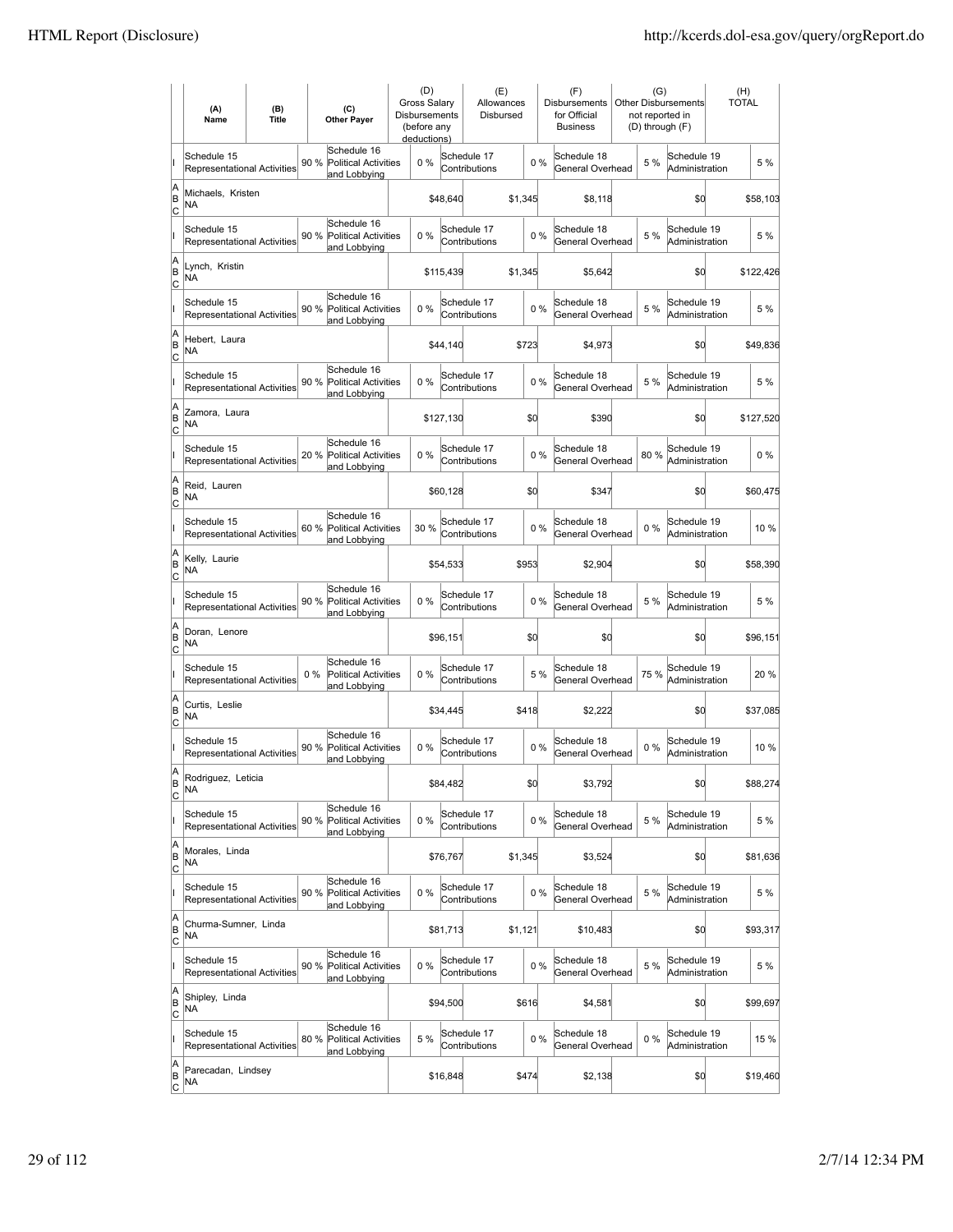|                                    | (A)<br>Name                                       | (B)<br><b>Title</b> |       | (C)<br><b>Other Payer</b>                                  | (D)<br>Gross Salary<br><b>Disbursements</b><br>(before any<br>deductions) |           | (E)<br>Allowances<br>Disbursed |         |       | (F)<br><b>Disbursements</b><br>for Official<br><b>Business</b> |       | (G)<br><b>Other Disbursements</b><br>not reported in<br>(D) through (F) | (H)<br><b>TOTAL</b> |           |
|------------------------------------|---------------------------------------------------|---------------------|-------|------------------------------------------------------------|---------------------------------------------------------------------------|-----------|--------------------------------|---------|-------|----------------------------------------------------------------|-------|-------------------------------------------------------------------------|---------------------|-----------|
|                                    | Schedule 15<br><b>Representational Activities</b> |                     | 90 %  | Schedule 16<br><b>Political Activities</b><br>and Lobbying | 0%                                                                        |           | Schedule 17<br>Contributions   |         | $0\%$ | Schedule 18<br>General Overhead                                | 5 %   | Schedule 19<br>Administration                                           |                     | 5 %       |
| A<br>ΙB<br> c                      | Michaels, Kristen<br>NA                           |                     |       |                                                            |                                                                           | \$48,640  |                                | \$1,345 |       | \$8,118                                                        |       | \$0                                                                     |                     | \$58,103  |
|                                    | Schedule 15<br><b>Representational Activities</b> |                     | 90 %  | Schedule 16<br><b>Political Activities</b><br>and Lobbying | 0%                                                                        |           | Schedule 17<br>Contributions   |         | 0%    | Schedule 18<br>General Overhead                                | 5 %   | Schedule 19<br>Administration                                           |                     | 5 %       |
| A<br>B<br>C                        | Lynch, Kristin<br>ΝA                              |                     |       |                                                            |                                                                           | \$115,439 |                                | \$1,345 |       | \$5,642                                                        |       | \$0                                                                     |                     | \$122,426 |
|                                    | Schedule 15<br>Representational Activities        |                     | 90 %  | Schedule 16<br><b>Political Activities</b><br>and Lobbying | 0%                                                                        |           | Schedule 17<br>Contributions   |         | 0%    | Schedule 18<br>General Overhead                                | 5 %   | Schedule 19<br>Administration                                           |                     | 5 %       |
| A<br>B<br> c                       | Hebert, Laura<br>NA                               |                     |       |                                                            |                                                                           | \$44,140  |                                | \$723   |       | \$4,973                                                        |       | \$0                                                                     |                     | \$49,836  |
|                                    | Schedule 15<br>Representational Activities        |                     | 90 %  | Schedule 16<br><b>Political Activities</b><br>and Lobbying | 0%                                                                        |           | Schedule 17<br>Contributions   |         | 0%    | Schedule 18<br>General Overhead                                | 5 %   | Schedule 19<br>Administration                                           |                     | 5 %       |
| A<br>ΙB<br> c                      | Zamora, Laura<br>ΝA                               |                     |       |                                                            |                                                                           | \$127,130 |                                | \$0     |       | \$390                                                          |       | \$0                                                                     |                     | \$127,520 |
|                                    | Schedule 15<br><b>Representational Activities</b> |                     |       | Schedule 16<br>20 % Political Activities<br>and Lobbying   | $0\%$                                                                     |           | Schedule 17<br>Contributions   |         | 0%    | Schedule 18<br>General Overhead                                | 80%   | Schedule 19<br>Administration                                           |                     | $0\%$     |
| A<br>B<br>C                        | Reid, Lauren<br>ΝA                                |                     |       |                                                            |                                                                           | \$60,128  |                                | \$0     |       | \$347                                                          |       | \$0                                                                     |                     | \$60,475  |
|                                    | Schedule 15<br>Representational Activities        |                     |       | Schedule 16<br>60 % Political Activities<br>and Lobbying   | 30 %                                                                      |           | Schedule 17<br>Contributions   |         | 0%    | Schedule 18<br>General Overhead                                | $0\%$ | Schedule 19<br>Administration                                           |                     | 10 %      |
| A<br>B<br>C                        | Kelly, Laurie<br>NA                               |                     |       |                                                            |                                                                           | \$54,533  |                                | \$953   |       | \$2,904                                                        |       | \$0                                                                     |                     | \$58,390  |
|                                    | Schedule 15<br>Representational Activities        |                     | 90 %  | Schedule 16<br><b>Political Activities</b><br>and Lobbying | 0%                                                                        |           | Schedule 17<br>Contributions   |         | 0%    | Schedule 18<br>General Overhead                                | 5 %   | Schedule 19<br>Administration                                           |                     | 5 %       |
| A<br>B<br>Iс                       | Doran, Lenore<br>NA                               |                     |       |                                                            |                                                                           | \$96,151  |                                | \$0     |       | \$0                                                            |       | \$0                                                                     |                     | \$96,151  |
|                                    | Schedule 15<br>Representational Activities        |                     | $0\%$ | Schedule 16<br><b>Political Activities</b><br>and Lobbying | 0%                                                                        |           | Schedule 17<br>Contributions   |         | 5 %   | Schedule 18<br>General Overhead                                | 75 %  | Schedule 19<br>Administration                                           |                     | 20 %      |
| A<br>B<br>C                        | Curtis, Leslie<br>ΝA                              |                     |       |                                                            |                                                                           | \$34,445  |                                | \$418   |       | \$2,222                                                        |       | \$0                                                                     |                     | \$37,085  |
|                                    | Schedule 15<br>Representational Activities        |                     | 90 %  | Schedule 16<br><b>Political Activities</b><br>and Lobbving | 0%                                                                        |           | Schedule 17<br>Contributions   |         | 0%    | Schedule 18<br>General Overhead                                | $0\%$ | Schedule 19<br>Administration                                           |                     | 10 %      |
| A<br>B<br>$\overline{c}$           | Rodriguez, Leticia<br>ΝA                          |                     |       |                                                            |                                                                           | \$84,482  |                                | \$d     |       | \$3,792                                                        |       | \$d                                                                     |                     | \$88,274  |
|                                    | Schedule 15<br><b>Representational Activities</b> |                     | 90 %  | Schedule 16<br><b>Political Activities</b><br>and Lobbying | 0%                                                                        |           | Schedule 17<br>Contributions   |         | $0\%$ | Schedule 18<br>General Overhead                                | 5 %   | Schedule 19<br>Administration                                           |                     | 5 %       |
| A<br>B<br>$\overline{c}$           | Morales, Linda<br>NA                              |                     |       |                                                            |                                                                           | \$76,767  |                                | \$1,345 |       | \$3,524                                                        |       | \$d                                                                     |                     | \$81,636  |
|                                    | Schedule 15<br><b>Representational Activities</b> |                     |       | Schedule 16<br>90 % Political Activities<br>and Lobbying   | $0\%$                                                                     |           | Schedule 17<br>Contributions   |         | 0%    | Schedule 18<br>General Overhead                                | 5 %   | Schedule 19<br>Administration                                           |                     | 5 %       |
| A<br>B<br>$\circ$                  | Churma-Sumner, Linda<br>NA                        |                     |       |                                                            |                                                                           | \$81,713  |                                | \$1,121 |       | \$10,483                                                       |       | \$d                                                                     |                     | \$93,317  |
|                                    | Schedule 15<br>Representational Activities        |                     | 90 %  | Schedule 16<br><b>Political Activities</b><br>and Lobbying | 0%                                                                        |           | Schedule 17<br>Contributions   |         | 0%    | Schedule 18<br>General Overhead                                | 5 %   | Schedule 19<br>Administration                                           |                     | 5 %       |
| A<br>B<br>C                        | Shipley, Linda<br>NA                              |                     |       |                                                            |                                                                           | \$94,500  |                                | \$616   |       | \$4,581                                                        |       | \$d                                                                     |                     | \$99,697  |
|                                    | Schedule 15<br>Representational Activities        |                     | 80 %  | Schedule 16<br><b>Political Activities</b><br>and Lobbying | 5 %                                                                       |           | Schedule 17<br>Contributions   |         | 0%    | Schedule 18<br>General Overhead                                | $0\%$ | Schedule 19<br>Administration                                           |                     | 15 %      |
| A<br> B<br>$\overline{\mathsf{c}}$ | Parecadan, Lindsey<br>NA                          |                     |       |                                                            |                                                                           | \$16,848  |                                | \$474   |       | \$2,138                                                        |       | \$d                                                                     |                     | \$19,460  |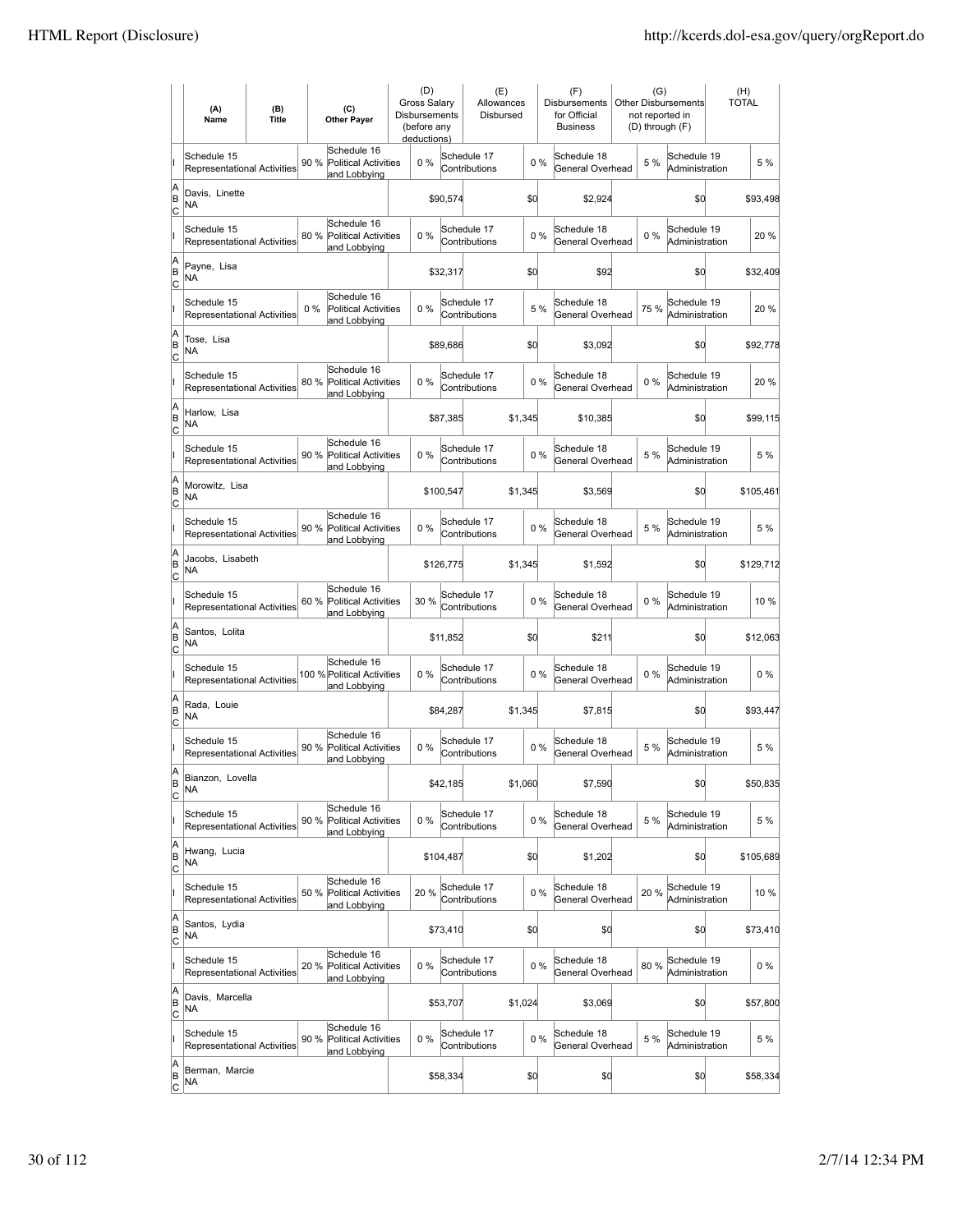|                           | (A)<br>Name                                       | (B)<br><b>Title</b> |       | (C)<br><b>Other Payer</b>                                  | <b>Gross Salarv</b><br>Disbursements | (D)<br>(before any<br>deductions) |           | (E)<br>Allowances<br>Disbursed |         |       | (F)<br>Disbursements<br>for Official<br><b>Business</b> | (G)   | <b>Other Disbursements</b><br>not reported in<br>(D) through (F) | (H)<br><b>TOTAL</b> |           |
|---------------------------|---------------------------------------------------|---------------------|-------|------------------------------------------------------------|--------------------------------------|-----------------------------------|-----------|--------------------------------|---------|-------|---------------------------------------------------------|-------|------------------------------------------------------------------|---------------------|-----------|
|                           | Schedule 15<br><b>Representational Activities</b> |                     | 90 %  | Schedule 16<br><b>Political Activities</b><br>and Lobbying |                                      | $0\%$                             |           | Schedule 17<br>Contributions   |         | $0\%$ | Schedule 18<br>General Overhead                         | 5 %   | Schedule 19<br>Administration                                    |                     | 5 %       |
| A<br>B<br> c              | Davis, Linette<br>NA                              |                     |       |                                                            |                                      |                                   | \$90,574  |                                |         | \$0   | \$2,924                                                 |       | \$0                                                              |                     | \$93,498  |
|                           | Schedule 15<br><b>Representational Activities</b> |                     | 80 %  | Schedule 16<br><b>Political Activities</b><br>and Lobbying |                                      | 0%                                |           | Schedule 17<br>Contributions   |         | 0%    | Schedule 18<br>General Overhead                         | $0\%$ | Schedule 19<br>Administration                                    |                     | 20 %      |
| A<br>B<br>C               | Payne, Lisa<br>NA                                 |                     |       |                                                            |                                      |                                   | \$32,317  |                                |         | \$0   | \$92                                                    |       | \$d                                                              |                     | \$32,409  |
|                           | Schedule 15<br>Representational Activities        |                     | $0\%$ | Schedule 16<br>Political Activities<br>and Lobbying        |                                      | 0%                                |           | Schedule 17<br>Contributions   |         | 5 %   | Schedule 18<br>General Overhead                         | 75 %  | Schedule 19<br>Administration                                    |                     | 20%       |
| A<br>B<br>C               | Tose, Lisa<br>NA                                  |                     |       |                                                            |                                      |                                   | \$89,686  |                                |         | \$0   | \$3,092                                                 |       | \$0                                                              |                     | \$92,778  |
|                           | Schedule 15<br><b>Representational Activities</b> |                     | 80 %  | Schedule 16<br><b>Political Activities</b><br>and Lobbying |                                      | $0\%$                             |           | Schedule 17<br>Contributions   |         | 0%    | Schedule 18<br>General Overhead                         | 0%    | Schedule 19<br>Administration                                    |                     | 20%       |
| A<br>B<br> c              | Harlow, Lisa<br>NA                                |                     |       |                                                            |                                      |                                   | \$87,385  |                                | \$1.345 |       | \$10,385                                                |       | \$0                                                              |                     | \$99,115  |
|                           | Schedule 15<br><b>Representational Activities</b> |                     | 90 %  | Schedule 16<br><b>Political Activities</b><br>and Lobbying |                                      | 0%                                |           | Schedule 17<br>Contributions   |         | 0%    | Schedule 18<br>General Overhead                         | 5 %   | Schedule 19<br>Administration                                    |                     | 5 %       |
| A<br>B<br>C               | Morowitz, Lisa<br>ΝA                              |                     |       |                                                            |                                      |                                   | \$100,547 |                                | \$1,345 |       | \$3,569                                                 |       | \$0                                                              |                     | \$105,461 |
|                           | Schedule 15<br>Representational Activities        |                     |       | Schedule 16<br>90 % Political Activities<br>and Lobbying   |                                      | 0%                                |           | Schedule 17<br>Contributions   |         | 0%    | Schedule 18<br>General Overhead                         | 5 %   | Schedule 19<br>Administration                                    |                     | 5 %       |
| A<br>B<br>C               | Jacobs, Lisabeth<br>NA                            |                     |       |                                                            |                                      |                                   | \$126,775 |                                | \$1,345 |       | \$1,592                                                 |       | \$0                                                              |                     | \$129,712 |
|                           | Schedule 15<br><b>Representational Activities</b> |                     | 60 %  | Schedule 16<br><b>Political Activities</b><br>and Lobbying |                                      | 30 %                              |           | Schedule 17<br>Contributions   |         | 0%    | Schedule 18<br>General Overhead                         | $0\%$ | Schedule 19<br>Administration                                    |                     | 10 %      |
| A<br>B<br> c              | Santos, Lolita<br>NA                              |                     |       |                                                            |                                      |                                   | \$11,852  |                                |         | \$0   | \$211                                                   |       | \$d                                                              |                     | \$12,063  |
|                           | Schedule 15<br>Representational Activities        |                     |       | Schedule 16<br>100 % Political Activities<br>and Lobbying  |                                      | 0%                                |           | Schedule 17<br>Contributions   |         | 0%    | Schedule 18<br>General Overhead                         | $0\%$ | Schedule 19<br>Administration                                    |                     | $0\%$     |
| A<br>B<br>C               | Rada, Louie<br>NA                                 |                     |       |                                                            |                                      |                                   | \$84,287  |                                | \$1,345 |       | \$7,815                                                 |       | \$0                                                              |                     | \$93,447  |
|                           | Schedule 15<br>Representational Activities        |                     | 90%   | Schedule 16<br>Political Activities<br>and Lobbying        |                                      | 0%                                |           | Schedule 17<br>Contributions   |         | 0%    | Schedule 18<br>General Overhead                         | 5 %   | Schedule 19<br>Administration                                    |                     | 5 %       |
| A<br>B<br>C               | Bianzon, Lovella<br>NA                            |                     |       |                                                            |                                      |                                   | \$42,185  |                                | \$1,060 |       | \$7,590                                                 |       | \$d                                                              |                     | \$50,835  |
|                           | Schedule 15<br>Representational Activities        |                     | 90 %  | Schedule 16<br><b>Political Activities</b><br>and Lobbying |                                      | 0%                                |           | Schedule 17<br>Contributions   |         | 0%    | Schedule 18<br>General Overhead                         | 5 %   | Schedule 19<br>Administration                                    |                     | 5 %       |
| A<br>B<br><u>lc</u>       | Hwang, Lucia<br>NA                                |                     |       |                                                            |                                      |                                   | \$104,487 |                                |         | \$0   | \$1,202                                                 |       | \$0                                                              |                     | \$105,689 |
|                           | Schedule 15<br>Representational Activities        |                     | 50 %  | Schedule 16<br><b>Political Activities</b><br>and Lobbying |                                      | 20 %                              |           | Schedule 17<br>Contributions   |         | 0%    | Schedule 18<br>General Overhead                         | 20%   | Schedule 19<br>Administration                                    |                     | 10 %      |
| A<br>B<br>$\mathsf{C}$    | Santos, Lydia<br>NA                               |                     |       |                                                            |                                      |                                   | \$73,410  |                                |         | \$0   | \$0                                                     |       | \$0                                                              |                     | \$73,410  |
|                           | Schedule 15<br>Representational Activities        |                     |       | Schedule 16<br>20 % Political Activities<br>and Lobbying   |                                      | 0%                                |           | Schedule 17<br>Contributions   |         | $0\%$ | Schedule 18<br>General Overhead                         | 80%   | Schedule 19<br>Administration                                    |                     | 0 %       |
| A<br>B<br>C               | Davis, Marcella<br>NA                             |                     |       |                                                            |                                      |                                   | \$53,707  |                                | \$1,024 |       | \$3,069                                                 |       | \$0                                                              |                     | \$57,800  |
|                           | Schedule 15<br>Representational Activities        |                     | 90 %  | Schedule 16<br><b>Political Activities</b><br>and Lobbying |                                      | 0%                                |           | Schedule 17<br>Contributions   |         | 0%    | Schedule 18<br>General Overhead                         | 5 %   | Schedule 19<br>Administration                                    |                     | 5 %       |
| A<br> B<br>$\overline{c}$ | Berman, Marcie<br>NA                              |                     |       |                                                            |                                      |                                   | \$58,334  |                                |         | \$0   | \$0                                                     |       | \$d                                                              |                     | \$58,334  |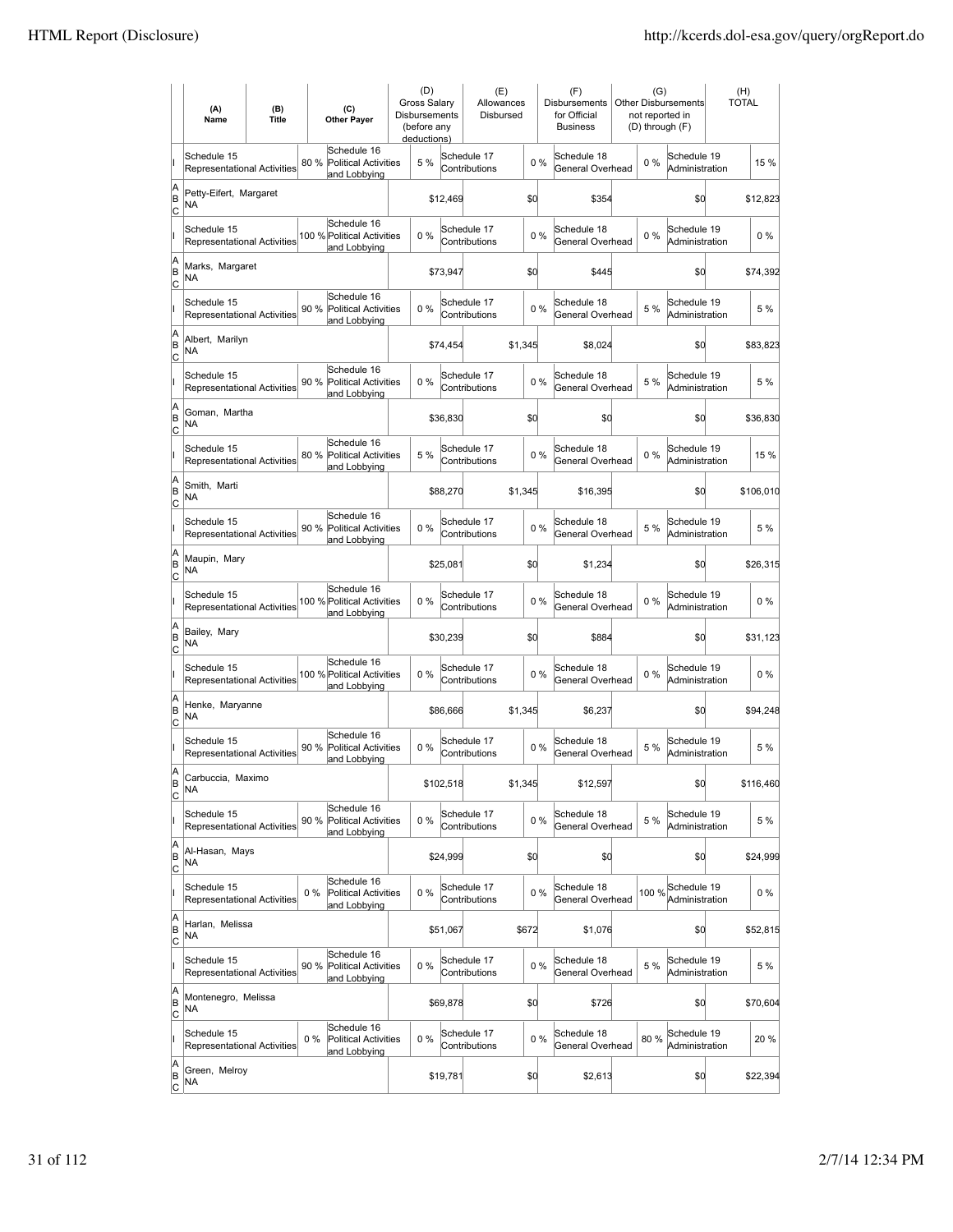|                           | (A)<br>Name                                       | (B)<br><b>Title</b> |       | (C)<br><b>Other Payer</b>                                  | (D)<br><b>Gross Salary</b><br>Disbursements<br>(before any<br>deductions) |           | (E)<br>Allowances<br>Disbursed |         |       | (F)<br>Disbursements<br>for Official<br><b>Business</b> | (G)<br>not reported in<br>(D) through (F) | Other Disbursements           | (H)<br><b>TOTAL</b> |
|---------------------------|---------------------------------------------------|---------------------|-------|------------------------------------------------------------|---------------------------------------------------------------------------|-----------|--------------------------------|---------|-------|---------------------------------------------------------|-------------------------------------------|-------------------------------|---------------------|
|                           | Schedule 15<br>Representational Activities        |                     | 80 %  | Schedule 16<br><b>Political Activities</b><br>and Lobbying | 5 %                                                                       |           | Schedule 17<br>Contributions   |         | 0%    | Schedule 18<br>General Overhead                         | $0\%$                                     | Schedule 19<br>Administration | 15 %                |
| A<br>B<br>C               | Petty-Eifert, Margaret<br>NA                      |                     |       |                                                            |                                                                           | \$12,469  |                                | \$d     |       | \$354                                                   |                                           | \$0                           | \$12,823            |
|                           | Schedule 15<br>Representational Activities        |                     |       | Schedule 16<br>100 % Political Activities<br>and Lobbying  | $0\%$                                                                     |           | Schedule 17<br>Contributions   |         | $0\%$ | Schedule 18<br>General Overhead                         | 0%                                        | Schedule 19<br>Administration | $0\%$               |
| A<br>ΙB<br>C              | Marks, Margaret<br><b>NA</b>                      |                     |       |                                                            |                                                                           | \$73,947  |                                | \$d     |       | \$445                                                   |                                           | \$0                           | \$74,392            |
|                           | Schedule 15<br>Representational Activities        |                     | 90 %  | Schedule 16<br><b>Political Activities</b><br>and Lobbying | 0%                                                                        |           | Schedule 17<br>Contributions   |         | 0%    | Schedule 18<br>General Overhead                         | 5 %                                       | Schedule 19<br>Administration | 5 %                 |
| A<br>B<br>C               | Albert, Marilyn<br>NA                             |                     |       |                                                            |                                                                           | \$74,454  |                                | \$1,345 |       | \$8,024                                                 |                                           | \$0                           | \$83,823            |
|                           | Schedule 15<br>Representational Activities        |                     | 90 %  | Schedule 16<br><b>Political Activities</b><br>and Lobbying | 0%                                                                        |           | Schedule 17<br>Contributions   |         | 0%    | Schedule 18<br>General Overhead                         | 5 %                                       | Schedule 19<br>Administration | 5 %                 |
| A<br>B<br>C               | Goman, Martha<br>NA                               |                     |       |                                                            |                                                                           | \$36,830  |                                | \$0     |       | \$0                                                     |                                           | \$0                           | \$36,830            |
|                           | Schedule 15<br><b>Representational Activities</b> |                     | 80%   | Schedule 16<br>Political Activities<br>and Lobbying        | 5 %                                                                       |           | Schedule 17<br>Contributions   |         | 0%    | Schedule 18<br>General Overhead                         | $0\%$                                     | Schedule 19<br>Administration | 15 %                |
| A<br>ΙB<br> c             | Smith, Marti<br>ΝA                                |                     |       |                                                            |                                                                           | \$88,270  |                                | \$1,345 |       | \$16,395                                                |                                           | \$0                           | \$106,010           |
|                           | Schedule 15<br><b>Representational Activities</b> |                     |       | Schedule 16<br>90 % Political Activities<br>and Lobbying   | $0\%$                                                                     |           | Schedule 17<br>Contributions   |         | 0%    | Schedule 18<br>General Overhead                         | 5 %                                       | Schedule 19<br>Administration | 5 %                 |
| A<br>B<br>C               | Maupin, Mary<br>ΝA                                |                     |       |                                                            |                                                                           | \$25,081  |                                | \$d     |       | \$1,234                                                 |                                           | \$0                           | \$26,315            |
|                           | Schedule 15<br>Representational Activities        |                     |       | Schedule 16<br>100 % Political Activities<br>and Lobbying  | 0%                                                                        |           | Schedule 17<br>Contributions   |         | 0%    | Schedule 18<br>General Overhead                         | 0%                                        | Schedule 19<br>Administration | $0\%$               |
| A<br>B<br>C               | Bailey, Mary<br>NA.                               |                     |       |                                                            |                                                                           | \$30,239  |                                | \$0     |       | \$884                                                   |                                           | \$0                           | \$31,123            |
|                           | Schedule 15<br>Representational Activities        |                     |       | Schedule 16<br>100 % Political Activities<br>and Lobbying  | $0\%$                                                                     |           | Schedule 17<br>Contributions   |         | 0%    | Schedule 18<br>General Overhead                         | 0%                                        | Schedule 19<br>Administration | $0\%$               |
| A<br>B<br> c              | Henke, Maryanne<br>NA                             |                     |       |                                                            |                                                                           | \$86,666  |                                | \$1,345 |       | \$6,237                                                 |                                           | \$d                           | \$94,248            |
|                           | Schedule 15<br><b>Representational Activities</b> |                     | 90 %  | Schedule 16<br><b>Political Activities</b><br>and Lobbying | 0%                                                                        |           | Schedule 17<br>Contributions   |         | 0%    | Schedule 18<br>General Overhead                         | 5 %                                       | Schedule 19<br>Administration | 5 %                 |
| ΙA<br>B<br>$\overline{c}$ | Carbuccia, Maximo<br>ΝA                           |                     |       |                                                            |                                                                           | \$102,518 |                                | \$1,345 |       | \$12,597                                                |                                           | \$d                           | \$116,460           |
|                           | Schedule 15<br>Representational Activities        |                     | 90 %  | Schedule 16<br>Political Activities<br>and Lobbying        | 0%                                                                        |           | Schedule 17<br>Contributions   |         | 0%    | Schedule 18<br>General Overhead                         | 5 %                                       | Schedule 19<br>Administration | 5 %                 |
| A<br>B<br>$\overline{c}$  | Al-Hasan, Mays<br>NA                              |                     |       |                                                            |                                                                           | \$24,999  |                                | \$d     |       | \$0                                                     |                                           | \$d                           | \$24,999            |
|                           | Schedule 15<br><b>Representational Activities</b> |                     | 0%    | Schedule 16<br>Political Activities<br>and Lobbying        | $0\%$                                                                     |           | Schedule 17<br>Contributions   |         | $0\%$ | Schedule 18<br>General Overhead                         | 100 %                                     | Schedule 19<br>Administration | $0\%$               |
| A<br>B<br>$\overline{c}$  | Harlan, Melissa<br>NA                             |                     |       |                                                            |                                                                           | \$51,067  |                                | \$672   |       | \$1,076                                                 |                                           | \$d                           | \$52,815            |
|                           | Schedule 15<br>Representational Activities        |                     |       | Schedule 16<br>90 % Political Activities<br>and Lobbying   | 0%                                                                        |           | Schedule 17<br>Contributions   |         | 0%    | Schedule 18<br>General Overhead                         | 5 %                                       | Schedule 19<br>Administration | 5 %                 |
| A<br>B<br>$\circ$         | Montenegro, Melissa<br><b>NA</b>                  |                     |       |                                                            |                                                                           | \$69,878  |                                | \$d     |       | \$726                                                   |                                           | \$0                           | \$70,604            |
|                           | Schedule 15<br>Representational Activities        |                     | $0\%$ | Schedule 16<br>Political Activities<br>and Lobbying        | 0%                                                                        |           | Schedule 17<br>Contributions   |         | 0%    | Schedule 18<br>General Overhead                         | 80%                                       | Schedule 19<br>Administration | 20%                 |
| A<br>B<br>$\overline{c}$  | Green, Melroy<br>NA                               |                     |       |                                                            |                                                                           | \$19,781  |                                | \$0     |       | \$2,613                                                 |                                           | \$0                           | \$22,394            |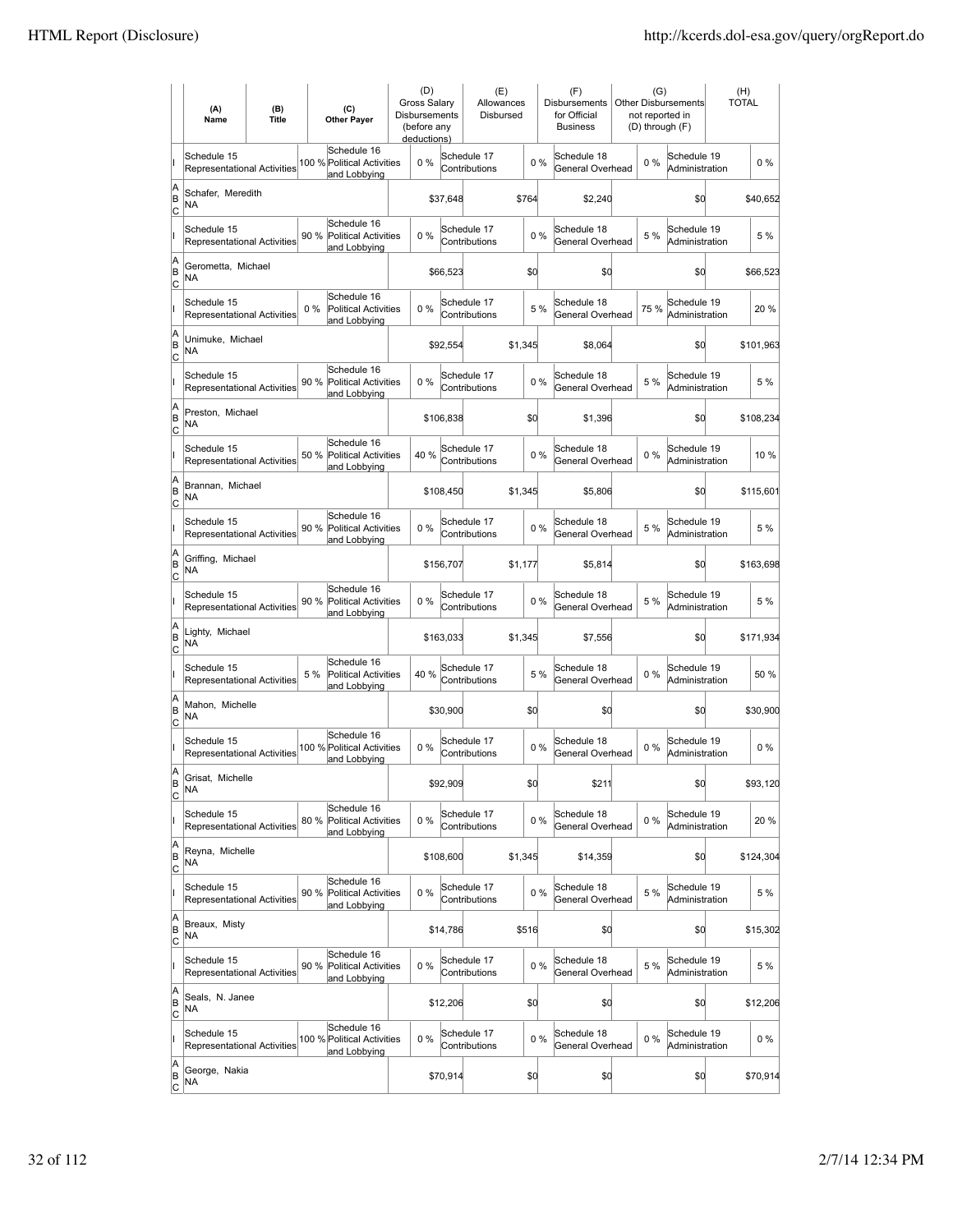|                          | (A)<br>Name                                       | (B)<br><b>Title</b> |      | (C)<br><b>Other Paver</b>                                  | Gross Salarv<br>Disbursements<br>(before any<br>deductions) | (D) |           | (E)<br>Allowances<br>Disbursed |         |       | (F)<br><b>Disbursements</b><br>for Official<br><b>Business</b> | (G)   | Other Disbursements<br>not reported in<br>(D) through (F) | (H)<br><b>TOTAL</b> |           |
|--------------------------|---------------------------------------------------|---------------------|------|------------------------------------------------------------|-------------------------------------------------------------|-----|-----------|--------------------------------|---------|-------|----------------------------------------------------------------|-------|-----------------------------------------------------------|---------------------|-----------|
|                          | Schedule 15<br>Representational Activities        |                     |      | Schedule 16<br>100 % Political Activities<br>and Lobbying  |                                                             | 0%  |           | Schedule 17<br>Contributions   |         | $0\%$ | Schedule 18<br>General Overhead                                | 0%    | Schedule 19<br>Administration                             |                     | $0\%$     |
| A<br>B<br>lc             | Schafer, Meredith<br><b>NA</b>                    |                     |      |                                                            |                                                             |     | \$37,648  |                                | \$764   |       | \$2,240                                                        |       | \$d                                                       |                     | \$40,652  |
|                          | Schedule 15<br>Representational Activities        |                     | 90 % | Schedule 16<br><b>Political Activities</b><br>and Lobbying | 0%                                                          |     |           | Schedule 17<br>Contributions   |         | 0%    | Schedule 18<br>General Overhead                                | 5 %   | Schedule 19<br>Administration                             |                     | 5 %       |
| A<br>B<br>C              | Gerometta, Michael<br>NA                          |                     |      |                                                            |                                                             |     | \$66,523  |                                | \$0     |       | \$0                                                            |       | \$0                                                       |                     | \$66,523  |
|                          | Schedule 15<br>Representational Activities        |                     | 0%   | Schedule 16<br><b>Political Activities</b><br>and Lobbying | 0%                                                          |     |           | Schedule 17<br>Contributions   |         | 5 %   | Schedule 18<br>General Overhead                                | 75 %  | Schedule 19<br>Administration                             |                     | 20%       |
| A<br>B<br>C              | Unimuke, Michael<br>NA                            |                     |      |                                                            |                                                             |     | \$92,554  |                                | \$1,345 |       | \$8,064                                                        |       | \$0                                                       |                     | \$101,963 |
|                          | Schedule 15<br><b>Representational Activities</b> |                     | 90 % | Schedule 16<br><b>Political Activities</b><br>and Lobbying | $0\%$                                                       |     |           | Schedule 17<br>Contributions   |         | 0%    | Schedule 18<br>General Overhead                                | 5 %   | Schedule 19<br>Administration                             |                     | 5 %       |
| A<br>B<br>lc             | Preston, Michael<br>NA                            |                     |      |                                                            |                                                             |     | \$106,838 |                                | \$0     |       | \$1,396                                                        |       | \$Ó                                                       |                     | \$108,234 |
|                          | Schedule 15<br>Representational Activities        |                     | 50 % | Schedule 16<br>Political Activities<br>and Lobbying        | 40 %                                                        |     |           | Schedule 17<br>Contributions   |         | 0%    | Schedule 18<br>General Overhead                                | $0\%$ | Schedule 19<br>Administration                             |                     | 10 %      |
| Α<br>B<br>C              | Brannan, Michael<br>NA                            |                     |      |                                                            |                                                             |     | \$108,450 |                                | \$1,345 |       | \$5,806                                                        |       | \$0                                                       |                     | \$115,601 |
|                          | Schedule 15<br>Representational Activities        |                     |      | Schedule 16<br>90 % Political Activities<br>and Lobbying   | 0%                                                          |     |           | Schedule 17<br>Contributions   |         | 0%    | Schedule 18<br>General Overhead                                | 5 %   | Schedule 19<br>Administration                             |                     | 5 %       |
| A<br>B<br>C              | Griffing, Michael<br>NA                           |                     |      |                                                            |                                                             |     | \$156,707 |                                | \$1,177 |       | \$5,814                                                        |       | \$0                                                       |                     | \$163,698 |
|                          | Schedule 15<br>Representational Activities        |                     | 90 % | Schedule 16<br><b>Political Activities</b><br>and Lobbying | $0\%$                                                       |     |           | Schedule 17<br>Contributions   |         | $0\%$ | Schedule 18<br>General Overhead                                | 5 %   | Schedule 19<br>Administration                             |                     | 5 %       |
| A<br>B<br> c             | Lighty, Michael<br><b>NA</b>                      |                     |      |                                                            |                                                             |     | \$163,033 |                                | \$1,345 |       | \$7,556                                                        |       | \$d                                                       |                     | \$171,934 |
|                          | Schedule 15<br>Representational Activities        |                     | 5 %  | Schedule 16<br>Political Activities<br>and Lobbying        | 40 %                                                        |     |           | Schedule 17<br>Contributions   |         | 5 %   | Schedule 18<br>General Overhead                                | 0%    | Schedule 19<br>Administration                             |                     | 50 %      |
| A<br>B<br>C              | Mahon. Michelle<br><b>NA</b>                      |                     |      |                                                            |                                                             |     | \$30,900  |                                | \$0     |       | \$0                                                            |       | \$d                                                       |                     | \$30,900  |
|                          | Schedule 15<br><b>Representational Activities</b> |                     |      | Schedule 16<br>100 % Political Activities<br>and Lobbying  | 0%                                                          |     |           | Schedule 17<br>Contributions   |         | 0%    | Schedule 18<br>General Overhead                                | 0%    | Schedule 19<br>Administration                             |                     | $0\%$     |
| A<br>B<br>C              | Grisat, Michelle<br>NA                            |                     |      |                                                            |                                                             |     | \$92,909  |                                | \$0     |       | \$211                                                          |       | \$Q                                                       |                     | \$93,120  |
|                          | Schedule 15<br>Representational Activities        |                     | 80 % | Schedule 16<br><b>Political Activities</b><br>and Lobbying | 0%                                                          |     |           | Schedule 17<br>Contributions   |         | $0\%$ | Schedule 18<br>General Overhead                                | $0\%$ | Schedule 19<br>Administration                             |                     | 20%       |
| A<br>B<br><u>lc</u>      | Reyna, Michelle<br>NA                             |                     |      |                                                            |                                                             |     | \$108,600 |                                | \$1,345 |       | \$14,359                                                       |       | \$d                                                       |                     | \$124,304 |
|                          | Schedule 15<br><b>Representational Activities</b> |                     | 90 % | Schedule 16<br>Political Activities<br>and Lobbying        | 0%                                                          |     |           | Schedule 17<br>Contributions   |         | 0%    | Schedule 18<br>General Overhead                                | 5 %   | Schedule 19<br>Administration                             |                     | 5 %       |
| A<br>B<br>$\mathsf{C}$   | Breaux, Misty<br>NA                               |                     |      |                                                            |                                                             |     | \$14,786  |                                | \$516   |       | \$0                                                            |       | \$0                                                       |                     | \$15,302  |
|                          | Schedule 15<br>Representational Activities        |                     |      | Schedule 16<br>90 % Political Activities<br>and Lobbying   | 0%                                                          |     |           | Schedule 17<br>Contributions   |         | 0%    | Schedule 18<br>General Overhead                                | 5 %   | Schedule 19<br>Administration                             |                     | 5 %       |
| A<br>B<br>C              | Seals, N. Janee<br>NA                             |                     |      |                                                            |                                                             |     | \$12,206  |                                | \$0     |       | \$0                                                            |       | \$0                                                       |                     | \$12,206  |
|                          | Schedule 15<br>Representational Activities        |                     |      | Schedule 16<br>100 % Political Activities<br>and Lobbying  | 0%                                                          |     |           | Schedule 17<br>Contributions   |         | $0\%$ | Schedule 18<br>General Overhead                                | $0\%$ | Schedule 19<br>Administration                             |                     | 0%        |
| A<br>B<br>$\overline{c}$ | George, Nakia<br>NA                               |                     |      |                                                            |                                                             |     | \$70,914  |                                | \$0     |       | \$0                                                            |       | \$d                                                       |                     | \$70,914  |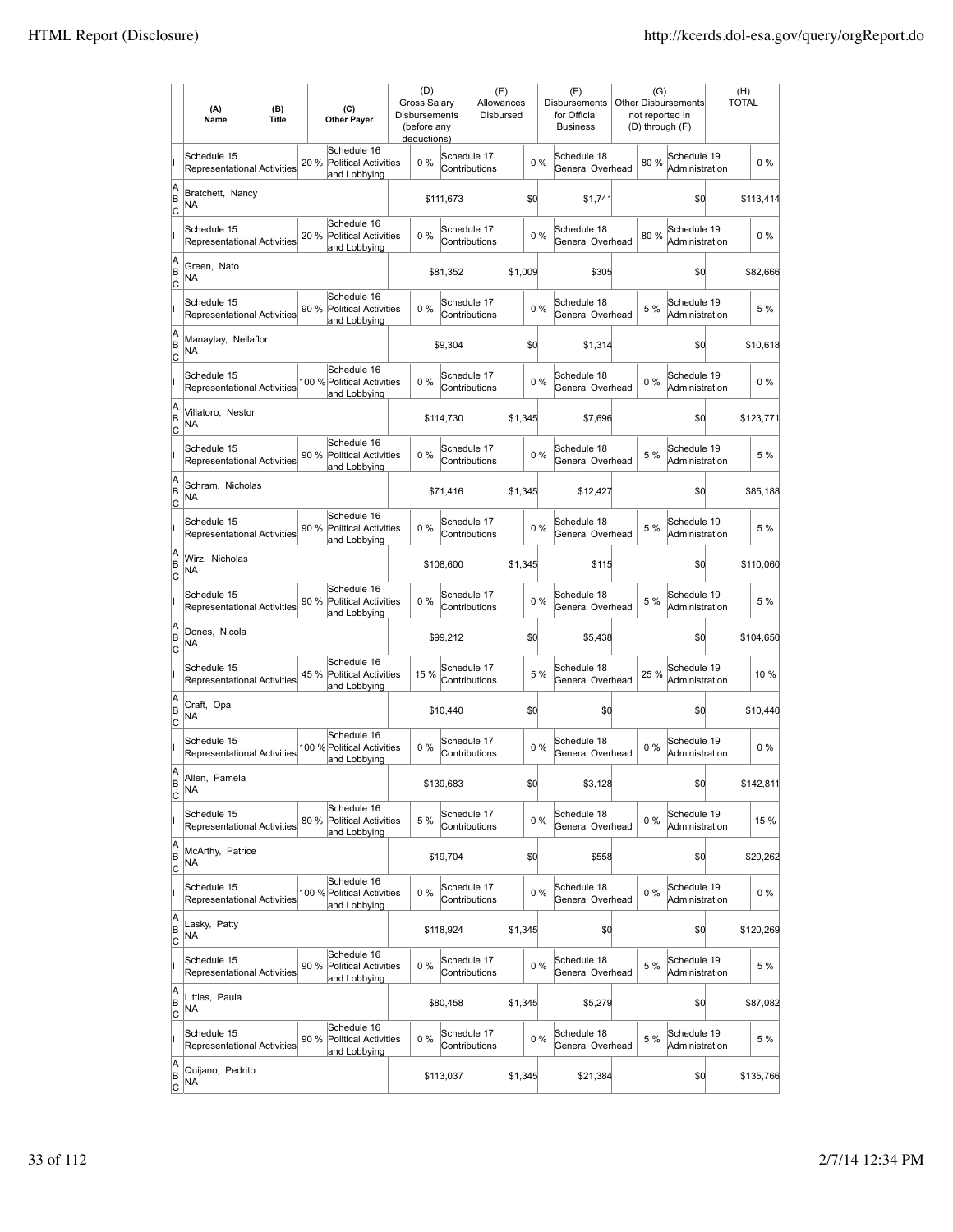|                          | (A)<br>Name                                       | (B)<br><b>Title</b> | (C)<br><b>Other Payer</b>                                          | (D)<br>Gross Salary<br>Disbursements<br>(before any<br>deductions) |           | (E)<br>Allowances<br>Disbursed |         |       | (F)<br>Disbursements<br>for Official<br><b>Business</b> | (G)<br>not reported in<br>(D) through (F) | <b>Other Disbursements</b>    | <b>TOTAL</b> | (H)       |
|--------------------------|---------------------------------------------------|---------------------|--------------------------------------------------------------------|--------------------------------------------------------------------|-----------|--------------------------------|---------|-------|---------------------------------------------------------|-------------------------------------------|-------------------------------|--------------|-----------|
|                          | Schedule 15<br>Representational Activities        |                     | Schedule 16<br>20 %<br><b>Political Activities</b><br>and Lobbying | 0%                                                                 |           | Schedule 17<br>Contributions   |         | 0%    | Schedule 18<br>General Overhead                         | 80%                                       | Schedule 19<br>Administration |              | $0\%$     |
| A<br>B<br>lc             | Bratchett, Nancy<br>NA                            |                     |                                                                    |                                                                    | \$111,673 |                                | \$d     |       | \$1,741                                                 |                                           | \$0                           |              | \$113,414 |
|                          | Schedule 15<br>Representational Activities        |                     | Schedule 16<br>20 %<br><b>Political Activities</b><br>and Lobbying | 0%                                                                 |           | Schedule 17<br>Contributions   |         | 0%    | Schedule 18<br>General Overhead                         | 80%                                       | Schedule 19<br>Administration |              | $0\%$     |
| A<br>B<br>C              | Green, Nato<br>NA                                 |                     |                                                                    |                                                                    | \$81,352  |                                | \$1,009 |       | \$305                                                   |                                           | \$0                           |              | \$82,666  |
|                          | Schedule 15<br>Representational Activities        |                     | Schedule 16<br>90 %<br><b>Political Activities</b><br>and Lobbying | 0%                                                                 |           | Schedule 17<br>Contributions   |         | 0%    | Schedule 18<br>General Overhead                         | 5 %                                       | Schedule 19<br>Administration |              | 5 %       |
| A<br>B<br> c             | Manaytay, Nellaflor<br>NA                         |                     |                                                                    |                                                                    | \$9,304   |                                | \$Q     |       | \$1,314                                                 |                                           | \$0                           |              | \$10,618  |
|                          | Schedule 15<br><b>Representational Activities</b> |                     | Schedule 16<br>100 % Political Activities<br>and Lobbying          | $0\%$                                                              |           | Schedule 17<br>Contributions   |         | 0%    | Schedule 18<br>General Overhead                         | 0%                                        | Schedule 19<br>Administration |              | $0\%$     |
| A<br>B<br> c             | Villatoro, Nestor<br>NA                           |                     |                                                                    |                                                                    | \$114,730 |                                | \$1,345 |       | \$7,696                                                 |                                           | \$0                           |              | \$123,771 |
|                          | Schedule 15<br>Representational Activities        |                     | Schedule 16<br>90 %<br><b>Political Activities</b><br>and Lobbying | 0%                                                                 |           | Schedule 17<br>Contributions   |         | 0%    | Schedule 18<br>General Overhead                         | 5 %                                       | Schedule 19<br>Administration |              | 5 %       |
| A<br>B<br>C              | Schram, Nicholas<br>ΝA                            |                     |                                                                    |                                                                    | \$71,416  |                                | \$1,345 |       | \$12,427                                                |                                           | \$0                           |              | \$85,188  |
|                          | Schedule 15<br>Representational Activities        |                     | Schedule 16<br>90 % Political Activities<br>and Lobbying           | 0%                                                                 |           | Schedule 17<br>Contributions   |         | 0%    | Schedule 18<br>General Overhead                         | 5 %                                       | Schedule 19<br>Administration |              | 5 %       |
| A<br>B<br>C              | Wirz, Nicholas<br>NA                              |                     |                                                                    |                                                                    | \$108,600 |                                | \$1,345 |       | \$115                                                   |                                           | \$0                           |              | \$110,060 |
|                          | Schedule 15<br><b>Representational Activities</b> |                     | Schedule 16<br>90 %<br><b>Political Activities</b><br>and Lobbying | $0\%$                                                              |           | Schedule 17<br>Contributions   |         | 0%    | Schedule 18<br>General Overhead                         | 5 %                                       | Schedule 19<br>Administration |              | 5 %       |
| A<br>B<br> c             | Dones, Nicola<br>NA                               |                     |                                                                    |                                                                    | \$99,212  |                                | \$d     |       | \$5,438                                                 |                                           | \$0                           |              | \$104,650 |
|                          | Schedule 15<br>Representational Activities        |                     | Schedule 16<br>45 %<br><b>Political Activities</b><br>and Lobbying | 15 %                                                               |           | Schedule 17<br>Contributions   |         | 5 %   | Schedule 18<br>General Overhead                         | 25 %                                      | Schedule 19<br>Administration |              | 10 %      |
| A<br>B<br>C              | Craft, Opal<br>ΝA                                 |                     |                                                                    |                                                                    | \$10,440  |                                | \$d     |       | \$0                                                     |                                           | \$0                           |              | \$10,440  |
|                          | Schedule 15<br>Representational Activities        |                     | Schedule 16<br>100 % Political Activities<br>and Lobbying          | 0%                                                                 |           | Schedule 17<br>Contributions   |         | 0%    | Schedule 18<br>General Overhead                         | $0\%$                                     | Schedule 19<br>Administration |              | $0\%$     |
| A<br>B<br>C              | Allen, Pamela<br><b>NA</b>                        |                     |                                                                    |                                                                    | \$139,683 |                                | \$d     |       | \$3,128                                                 |                                           | \$0                           |              | \$142,811 |
|                          | Schedule 15<br>Representational Activities        |                     | Schedule 16<br>80 %<br>Political Activities<br>and Lobbying        | 5 %                                                                |           | Schedule 17<br>Contributions   |         | 0%    | Schedule 18<br>General Overhead                         | $0\%$                                     | Schedule 19<br>Administration |              | 15 %      |
| A<br>B<br><u>lc</u>      | McArthy, Patrice<br>NA                            |                     |                                                                    |                                                                    | \$19,704  |                                | \$0     |       | \$558                                                   |                                           | \$d                           |              | \$20,262  |
|                          | Schedule 15<br><b>Representational Activities</b> |                     | Schedule 16<br>100 % Political Activities<br>and Lobbying          | 0%                                                                 |           | Schedule 17<br>Contributions   |         | $0\%$ | Schedule 18<br>General Overhead                         | $0\%$                                     | Schedule 19<br>Administration |              | $0\%$     |
| A<br>B<br>$\mathsf{C}$   | Lasky, Patty<br>NA                                |                     |                                                                    |                                                                    | \$118,924 |                                | \$1,345 |       | \$0                                                     |                                           | \$0                           |              | \$120,269 |
|                          | Schedule 15<br>Representational Activities        |                     | Schedule 16<br>90 % Political Activities<br>and Lobbying           | 0%                                                                 |           | Schedule 17<br>Contributions   |         | $0\%$ | Schedule 18<br>General Overhead                         | 5 %                                       | Schedule 19<br>Administration |              | 5 %       |
| A<br>B<br> c             | Littles, Paula<br>NA                              |                     |                                                                    |                                                                    | \$80,458  |                                | \$1,345 |       | \$5,279                                                 |                                           | \$0                           |              | \$87,082  |
|                          | Schedule 15<br>Representational Activities        |                     | Schedule 16<br>90 %<br>Political Activities<br>and Lobbying        | 0%                                                                 |           | Schedule 17<br>Contributions   |         | 0%    | Schedule 18<br>General Overhead                         | 5 %                                       | Schedule 19<br>Administration |              | 5 %       |
| A<br>B<br>$\overline{c}$ | Quijano, Pedrito<br>NA                            |                     |                                                                    |                                                                    | \$113,037 |                                | \$1,345 |       | \$21,384                                                |                                           | \$d                           |              | \$135,766 |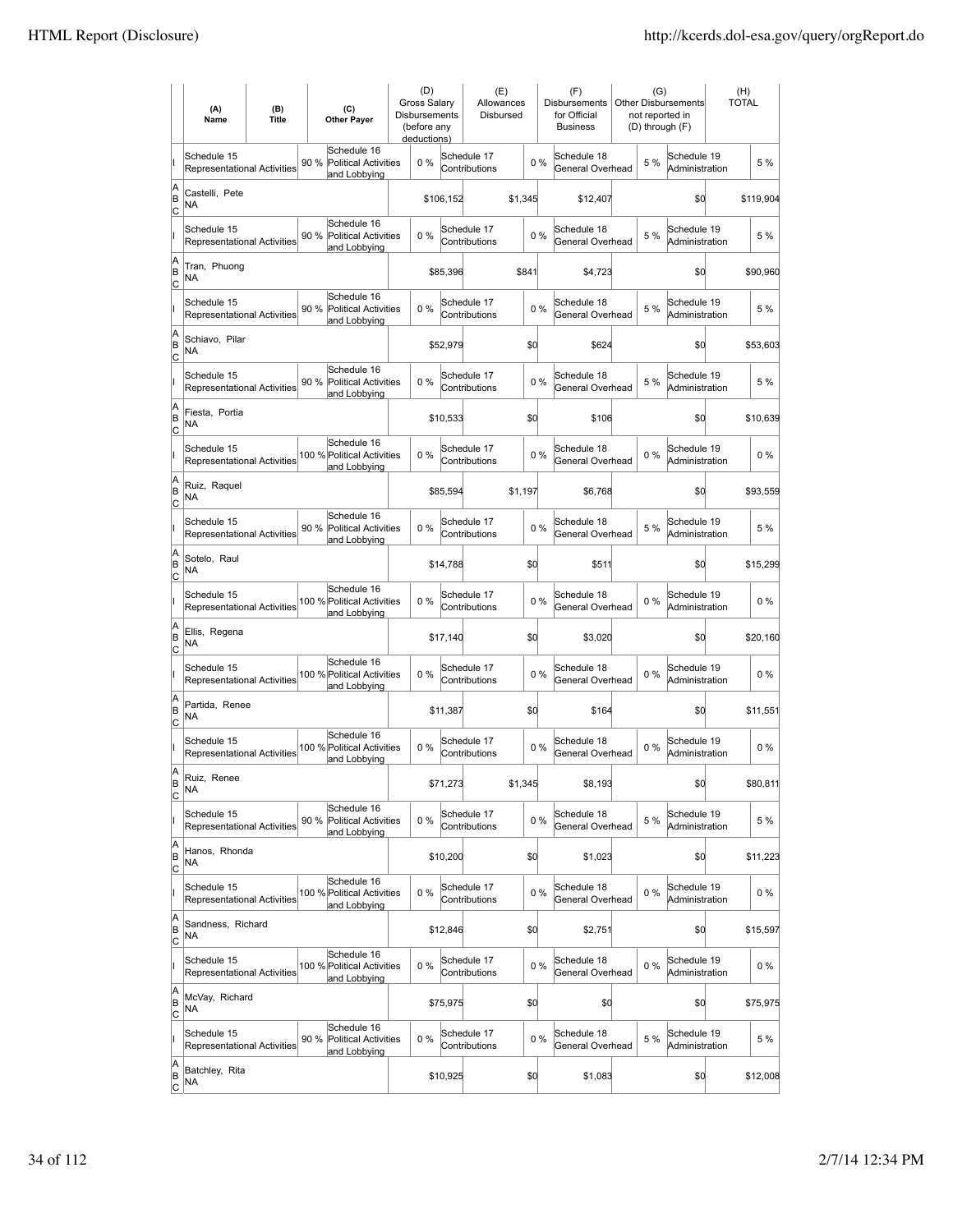|                           | (A)<br>Name                                       | (B)<br><b>Title</b> |      | (C)<br><b>Other Payer</b>                                  | (D)<br><b>Gross Salarv</b><br>Disbursements<br>(before any<br>deductions) |           | (E)<br>Allowances<br>Disbursed |         |       | (F)<br><b>Disbursements</b><br>for Official<br><b>Business</b> | (G)   | Other Disbursements<br>not reported in<br>(D) through (F) | (H)<br><b>TOTAL</b> |           |
|---------------------------|---------------------------------------------------|---------------------|------|------------------------------------------------------------|---------------------------------------------------------------------------|-----------|--------------------------------|---------|-------|----------------------------------------------------------------|-------|-----------------------------------------------------------|---------------------|-----------|
|                           | Schedule 15<br><b>Representational Activities</b> |                     | 90 % | Schedule 16<br>Political Activities<br>and Lobbying        | $0\%$                                                                     |           | Schedule 17<br>Contributions   |         | $0\%$ | Schedule 18<br>General Overhead                                | 5 %   | Schedule 19<br>Administration                             |                     | 5 %       |
| A<br>B<br> c              | Castelli, Pete<br>NA                              |                     |      |                                                            |                                                                           | \$106,152 |                                | \$1,345 |       | \$12,407                                                       |       | \$d                                                       |                     | \$119,904 |
|                           | Schedule 15<br>Representational Activities        |                     | 90 % | Schedule 16<br>Political Activities<br>and Lobbying        | 0%                                                                        |           | Schedule 17<br>Contributions   |         | 0%    | Schedule 18<br>General Overhead                                | 5 %   | Schedule 19<br>Administration                             |                     | 5 %       |
| A<br>B<br>c               | Tran, Phuong<br>NA                                |                     |      |                                                            |                                                                           | \$85,396  |                                | \$841   |       | \$4,723                                                        |       | \$0                                                       |                     | \$90,960  |
|                           | Schedule 15<br>Representational Activities        |                     | 90 % | Schedule 16<br><b>Political Activities</b><br>and Lobbying | 0%                                                                        |           | Schedule 17<br>Contributions   |         | 0%    | Schedule 18<br>General Overhead                                | 5 %   | Schedule 19<br>Administration                             |                     | 5 %       |
| A<br>B<br> c              | Schiavo, Pilar<br>NA                              |                     |      |                                                            |                                                                           | \$52,979  |                                | \$0     |       | \$624                                                          |       | \$0                                                       |                     | \$53,603  |
|                           | Schedule 15<br>Representational Activities        |                     | 90 % | Schedule 16<br><b>Political Activities</b><br>and Lobbying | 0%                                                                        |           | Schedule 17<br>Contributions   |         | 0%    | Schedule 18<br>General Overhead                                | 5 %   | Schedule 19<br>Administration                             |                     | 5 %       |
| A<br>ΙB<br> c             | Fiesta, Portia<br>NA                              |                     |      |                                                            |                                                                           | \$10,533  |                                | \$0     |       | \$106                                                          |       | \$0                                                       |                     | \$10,639  |
|                           | Schedule 15<br><b>Representational Activities</b> |                     |      | Schedule 16<br>100 % Political Activities<br>and Lobbying  | 0%                                                                        |           | Schedule 17<br>Contributions   |         | $0\%$ | Schedule 18<br>General Overhead                                | $0\%$ | Schedule 19<br>Administration                             |                     | $0\%$     |
| A<br>B<br>c               | Ruiz, Raquel<br><b>NA</b>                         |                     |      |                                                            |                                                                           | \$85,594  |                                | \$1,197 |       | \$6,768                                                        |       | \$0                                                       |                     | \$93,559  |
|                           | Schedule 15<br>Representational Activities        |                     |      | Schedule 16<br>90 % Political Activities<br>and Lobbying   | 0%                                                                        |           | Schedule 17<br>Contributions   |         | 0%    | Schedule 18<br>General Overhead                                | 5 %   | Schedule 19<br>Administration                             |                     | 5 %       |
| A<br>B<br>C               | Sotelo, Raul<br><b>NA</b>                         |                     |      |                                                            |                                                                           | \$14,788  |                                | \$0     |       | \$511                                                          |       | \$0                                                       |                     | \$15,299  |
|                           | Schedule 15<br>Representational Activities        |                     |      | Schedule 16<br>100 % Political Activities<br>and Lobbying  | 0%                                                                        |           | Schedule 17<br>Contributions   |         | 0%    | Schedule 18<br>General Overhead                                | 0%    | Schedule 19<br>Administration                             |                     | $0\%$     |
| A<br>B<br>Iс              | Ellis, Regena<br><b>NA</b>                        |                     |      |                                                            |                                                                           | \$17,140  |                                | \$0     |       | \$3,020                                                        |       | \$d                                                       |                     | \$20,160  |
|                           | Schedule 15<br><b>Representational Activities</b> |                     |      | Schedule 16<br>100 % Political Activities<br>and Lobbying  | 0%                                                                        |           | Schedule 17<br>Contributions   |         | 0%    | Schedule 18<br>General Overhead                                | $0\%$ | Schedule 19<br>Administration                             |                     | $0\%$     |
| A<br>B<br>C               | Partida, Renee<br>NA                              |                     |      |                                                            |                                                                           | \$11,387  |                                | \$0     |       | \$164                                                          |       | \$0                                                       |                     | \$11,551  |
|                           | Schedule 15<br>Representational Activities        |                     |      | Schedule 16<br>100 % Political Activities<br>and Lobbving  | 0%                                                                        |           | Schedule 17<br>Contributions   |         | 0%    | Schedule 18<br>General Overhead                                | $0\%$ | Schedule 19<br>Administration                             |                     | $0\%$     |
| A<br>B<br>$\overline{c}$  | Ruiz, Renee<br>NA                                 |                     |      |                                                            |                                                                           | \$71,273  |                                | \$1,345 |       | \$8,193                                                        |       | \$d                                                       |                     | \$80,811  |
|                           | Schedule 15<br><b>Representational Activities</b> |                     | 90%  | Schedule 16<br>Political Activities<br>and Lobbying        | 0%                                                                        |           | Schedule 17<br>Contributions   |         | $0\%$ | Schedule 18<br>General Overhead                                | 5 %   | Schedule 19<br>Administration                             |                     | 5 %       |
| A<br>B<br>$\overline{c}$  | Hanos, Rhonda<br>NA                               |                     |      |                                                            |                                                                           | \$10,200  |                                | \$0     |       | \$1,023                                                        |       | \$0                                                       |                     | \$11,223  |
|                           | Schedule 15<br>Representational Activities        |                     |      | Schedule 16<br>100 % Political Activities<br>and Lobbying  | $0\%$                                                                     |           | Schedule 17<br>Contributions   |         | $0\%$ | Schedule 18<br>General Overhead                                | $0\%$ | Schedule 19<br>Administration                             |                     | 0%        |
| A<br>B<br>$\circ$         | Sandness, Richard<br>NA                           |                     |      |                                                            |                                                                           | \$12,846  |                                | \$0     |       | \$2,751                                                        |       | \$d                                                       |                     | \$15,597  |
|                           | Schedule 15<br>Representational Activities        |                     |      | Schedule 16<br>100 % Political Activities<br>and Lobbying  | 0%                                                                        |           | Schedule 17<br>Contributions   |         | 0%    | Schedule 18<br>General Overhead                                | $0\%$ | Schedule 19<br>Administration                             |                     | $0\%$     |
| A<br>B<br>C               | McVay, Richard<br>NA.                             |                     |      |                                                            |                                                                           | \$75,975  |                                | \$0     |       | \$0                                                            |       | \$d                                                       |                     | \$75,975  |
|                           | Schedule 15<br>Representational Activities        |                     | 90 % | Schedule 16<br><b>Political Activities</b><br>and Lobbying | 0%                                                                        |           | Schedule 17<br>Contributions   |         | $0\%$ | Schedule 18<br>General Overhead                                | 5 %   | Schedule 19<br>Administration                             |                     | 5 %       |
| A<br> B<br>$\overline{c}$ | Batchley, Rita<br>NA                              |                     |      |                                                            |                                                                           | \$10,925  |                                | \$0     |       | \$1,083                                                        |       | \$0                                                       |                     | \$12,008  |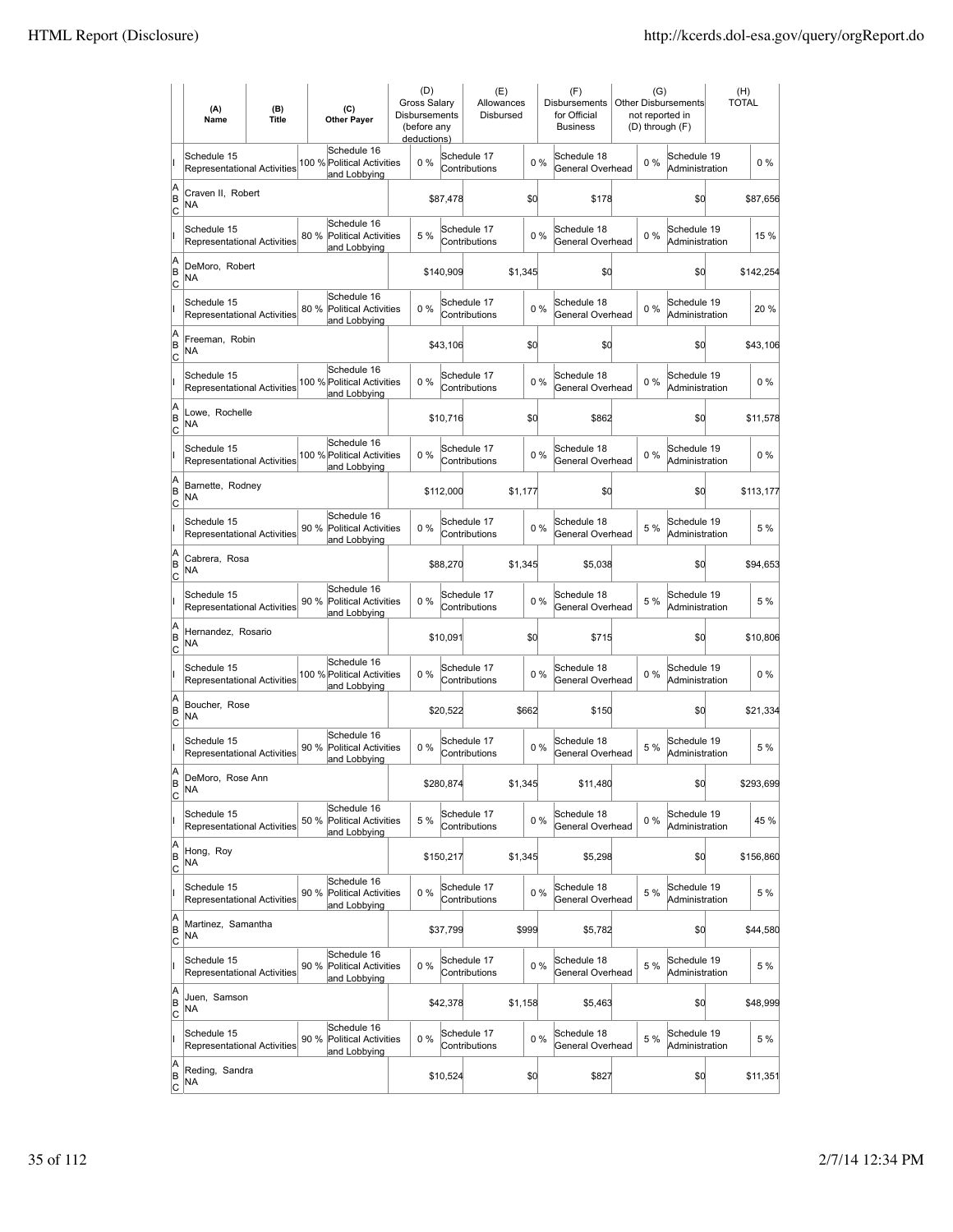|                          | (A)<br>Name                                       | (B)<br><b>Title</b> | (C)<br><b>Other Payer</b>                                          | (D)<br>Gross Salary<br>Disbursements<br>(before any<br>deductions) |           | (E)<br>Allowances<br>Disbursed |         |       | (F)<br>Disbursements<br>for Official<br><b>Business</b> | (G)<br><b>Other Disbursements</b><br>not reported in<br>(D) through (F) | (H)<br><b>TOTAL</b> |
|--------------------------|---------------------------------------------------|---------------------|--------------------------------------------------------------------|--------------------------------------------------------------------|-----------|--------------------------------|---------|-------|---------------------------------------------------------|-------------------------------------------------------------------------|---------------------|
|                          | Schedule 15<br><b>Representational Activities</b> |                     | Schedule 16<br>100 % Political Activities<br>and Lobbying          | 0%                                                                 |           | Schedule 17<br>Contributions   |         | 0%    | Schedule 18<br>General Overhead                         | Schedule 19<br>$0\%$<br>Administration                                  | $0\%$               |
| A<br>B<br>lc             | Craven II, Robert<br><b>NA</b>                    |                     |                                                                    |                                                                    | \$87,478  |                                | \$d     |       | \$178                                                   | \$0                                                                     | \$87,656            |
|                          | Schedule 15<br>Representational Activities        |                     | Schedule 16<br>80 %<br><b>Political Activities</b><br>and Lobbying | 5 %                                                                |           | Schedule 17<br>Contributions   |         | 0%    | Schedule 18<br>General Overhead                         | Schedule 19<br>$0\%$<br>Administration                                  | 15 %                |
| A<br>B<br>C              | DeMoro, Robert<br>NA                              |                     |                                                                    |                                                                    | \$140,909 |                                | \$1,345 |       | \$0                                                     | \$0                                                                     | \$142,254           |
|                          | Schedule 15<br>Representational Activities        |                     | Schedule 16<br>80 %<br><b>Political Activities</b><br>and Lobbying | 0%                                                                 |           | Schedule 17<br>Contributions   |         | 0%    | Schedule 18<br>General Overhead                         | Schedule 19<br>$0\%$<br>Administration                                  | 20 %                |
| A<br>B<br>C              | Freeman, Robin<br>NA                              |                     |                                                                    |                                                                    | \$43,106  |                                | \$d     |       | \$0                                                     | \$0                                                                     | \$43,106            |
|                          | Schedule 15<br><b>Representational Activities</b> |                     | Schedule 16<br>100 % Political Activities<br>and Lobbying          | $0\%$                                                              |           | Schedule 17<br>Contributions   |         | 0%    | Schedule 18<br>General Overhead                         | Schedule 19<br>$0\%$<br>Administration                                  | $0\%$               |
| A<br>B<br>lc             | Lowe, Rochelle<br>NA                              |                     |                                                                    |                                                                    | \$10,716  |                                | \$d     |       | \$862                                                   | \$0                                                                     | \$11,578            |
|                          | Schedule 15<br>Representational Activities        |                     | Schedule 16<br>100 % Political Activities<br>and Lobbying          | 0%                                                                 |           | Schedule 17<br>Contributions   |         | $0\%$ | Schedule 18<br>General Overhead                         | Schedule 19<br>$0\%$<br>Administration                                  | $0\%$               |
| A<br>B<br>C              | Barnette, Rodney<br>NA                            |                     |                                                                    |                                                                    | \$112,000 |                                | \$1,177 |       | \$0                                                     | \$0                                                                     | \$113,177           |
|                          | Schedule 15<br>Representational Activities        |                     | Schedule 16<br>90 % Political Activities<br>and Lobbying           | 0%                                                                 |           | Schedule 17<br>Contributions   |         | 0%    | Schedule 18<br>General Overhead                         | Schedule 19<br>5 %<br>Administration                                    | 5 %                 |
| A<br>B<br>C              | Cabrera, Rosa<br><b>NA</b>                        |                     |                                                                    |                                                                    | \$88,270  |                                | \$1,345 |       | \$5,038                                                 | \$0                                                                     | \$94,653            |
|                          | Schedule 15<br><b>Representational Activities</b> |                     | Schedule 16<br>90 %<br><b>Political Activities</b><br>and Lobbying | $0\%$                                                              |           | Schedule 17<br>Contributions   |         | $0\%$ | Schedule 18<br>General Overhead                         | Schedule 19<br>5 %<br>Administration                                    | 5 %                 |
| A<br>B<br> c             | Hernandez, Rosario<br><b>NA</b>                   |                     |                                                                    |                                                                    | \$10,091  |                                | \$d     |       | \$715                                                   | \$d                                                                     | \$10,806            |
|                          | Schedule 15<br>Representational Activities        |                     | Schedule 16<br>100 % Political Activities<br>and Lobbying          | 0%                                                                 |           | Schedule 17<br>Contributions   |         | $0\%$ | Schedule 18<br>General Overhead                         | Schedule 19<br>$0\%$<br>Administration                                  | $0\%$               |
| A<br>B<br>C              | Boucher, Rose<br>NA                               |                     |                                                                    |                                                                    | \$20,522  |                                | \$662   |       | \$150                                                   | \$0                                                                     | \$21,334            |
|                          | Schedule 15<br><b>Representational Activities</b> |                     | Schedule 16<br>90 %<br><b>Political Activities</b><br>and Lobbying | 0%                                                                 |           | Schedule 17<br>Contributions   |         | 0%    | Schedule 18<br>General Overhead                         | Schedule 19<br>5 %<br>Administration                                    | 5 %                 |
| A<br>B<br>$\overline{c}$ | DeMoro, Rose Ann<br>NA                            |                     |                                                                    |                                                                    | \$280,874 |                                | \$1,345 |       | \$11,480                                                | \$0                                                                     | \$293,699           |
|                          | Schedule 15<br>Representational Activities        |                     | Schedule 16<br>50 %<br><b>Political Activities</b><br>and Lobbying | 5 %                                                                |           | Schedule 17<br>Contributions   |         | 0%    | Schedule 18<br>General Overhead                         | Schedule 19<br>$0\%$<br>Administration                                  | 45 %                |
| A<br>B<br><u>lc</u>      | Hong, Roy<br>NA                                   |                     |                                                                    |                                                                    | \$150,217 |                                | \$1,345 |       | \$5,298                                                 | \$d                                                                     | \$156,860           |
|                          | Schedule 15<br>Representational Activities        |                     | Schedule 16<br><b>Political Activities</b><br>90 %<br>and Lobbying | 0%                                                                 |           | Schedule 17<br>Contributions   |         | $0\%$ | Schedule 18<br>General Overhead                         | Schedule 19<br>5 %<br>Administration                                    | 5 %                 |
| A<br>B<br>$\mathsf{C}$   | Martinez, Samantha<br>NA                          |                     |                                                                    |                                                                    | \$37,799  |                                | \$999   |       | \$5,782                                                 | \$0                                                                     | \$44,580            |
|                          | Schedule 15<br>Representational Activities        |                     | Schedule 16<br>90 % Political Activities<br>and Lobbying           | 0%                                                                 |           | Schedule 17<br>Contributions   |         | $0\%$ | Schedule 18<br>General Overhead                         | Schedule 19<br>5 %<br>Administration                                    | 5 %                 |
| A<br>B<br> c             | Juen, Samson<br>NA                                |                     |                                                                    |                                                                    | \$42,378  |                                | \$1,158 |       | \$5,463                                                 | \$0                                                                     | \$48,999            |
|                          | Schedule 15<br>Representational Activities        |                     | Schedule 16<br>90 %<br>Political Activities<br>and Lobbying        | 0%                                                                 |           | Schedule 17<br>Contributions   |         | 0%    | Schedule 18<br>General Overhead                         | Schedule 19<br>5 %<br>Administration                                    | 5 %                 |
| A<br>B<br>$\overline{c}$ | Reding, Sandra<br>NA                              |                     |                                                                    |                                                                    | \$10,524  |                                | \$0     |       | \$827                                                   | \$0                                                                     | \$11,351            |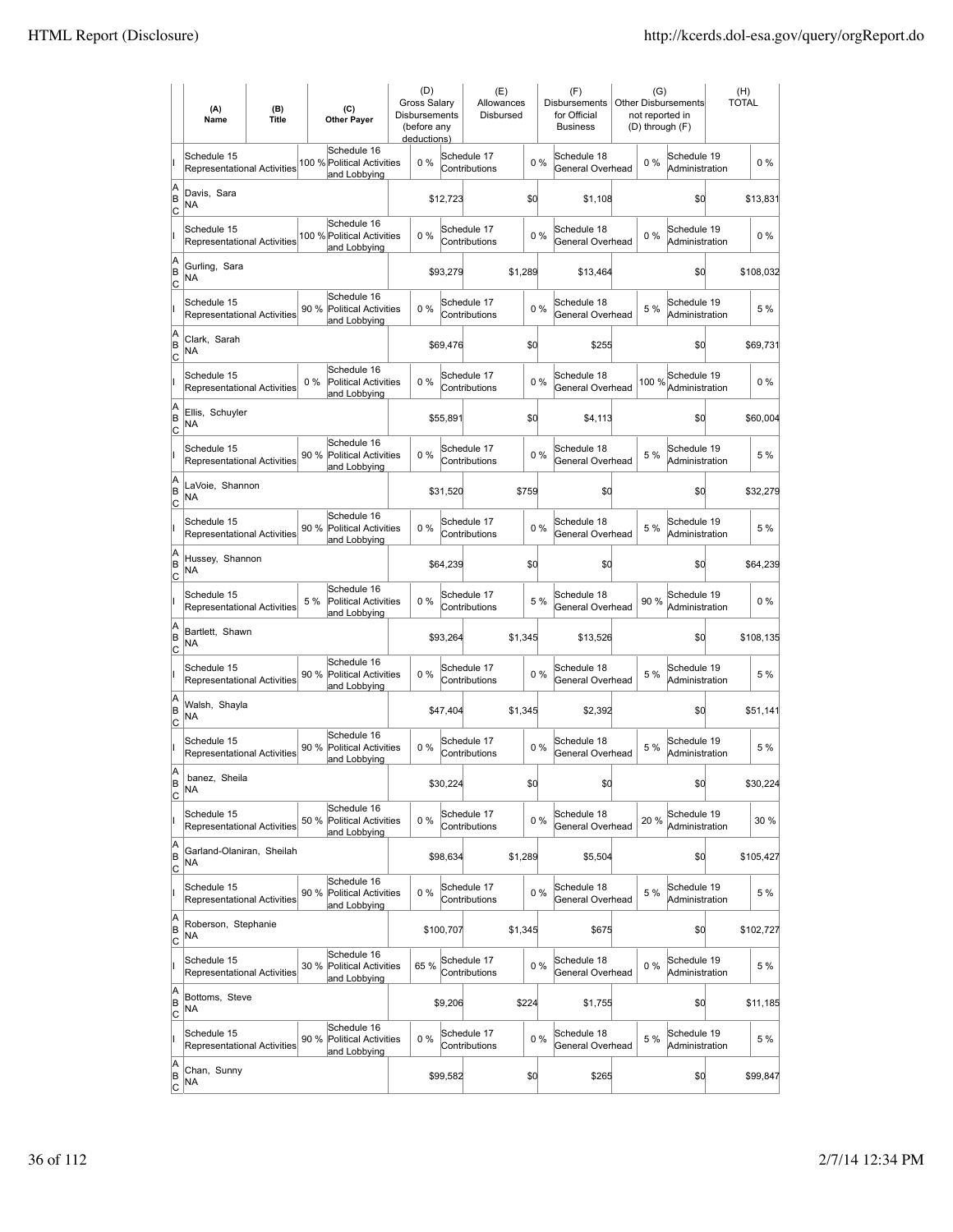|                           | (A)<br>Name                                       | (B)<br><b>Title</b> | (C)<br><b>Other Payer</b>                                          | (D)<br>Gross Salary<br><b>Disbursements</b><br>(before any<br>deductions) |           | (E)<br>Allowances<br>Disbursed |         |       | (F)<br><b>Disbursements</b><br>for Official<br><b>Business</b> |       | (G)<br><b>Other Disbursements</b><br>not reported in<br>(D) through (F) | (H)<br><b>TOTAL</b> |
|---------------------------|---------------------------------------------------|---------------------|--------------------------------------------------------------------|---------------------------------------------------------------------------|-----------|--------------------------------|---------|-------|----------------------------------------------------------------|-------|-------------------------------------------------------------------------|---------------------|
|                           | Schedule 15<br><b>Representational Activities</b> |                     | Schedule 16<br>100 % Political Activities<br>and Lobbying          | $0\%$                                                                     |           | Schedule 17<br>Contributions   |         | $0\%$ | Schedule 18<br>General Overhead                                | $0\%$ | Schedule 19<br>Administration                                           | $0\%$               |
| A<br>B<br> c              | Davis, Sara<br>NA                                 |                     |                                                                    |                                                                           | \$12,723  |                                | \$0     |       | \$1,108                                                        |       | \$0                                                                     | \$13,831            |
|                           | Schedule 15<br>Representational Activities        |                     | Schedule 16<br>100 % Political Activities<br>and Lobbying          | 0%                                                                        |           | Schedule 17<br>Contributions   |         | 0%    | Schedule 18<br>General Overhead                                | $0\%$ | Schedule 19<br>Administration                                           | $0\%$               |
| A<br>B<br>C               | Gurling, Sara<br>NA                               |                     |                                                                    |                                                                           | \$93,279  |                                | \$1,289 |       | \$13,464                                                       |       | \$0                                                                     | \$108,032           |
|                           | Schedule 15<br><b>Representational Activities</b> |                     | Schedule 16<br>90 %<br><b>Political Activities</b><br>and Lobbying | 0%                                                                        |           | Schedule 17<br>Contributions   |         | 0%    | Schedule 18<br>General Overhead                                | 5 %   | Schedule 19<br>Administration                                           | 5 %                 |
| A<br>B<br> c              | Clark, Sarah<br>NA                                |                     |                                                                    |                                                                           | \$69,476  |                                | \$0     |       | \$255                                                          |       | \$0                                                                     | \$69,731            |
|                           | Schedule 15<br><b>Representational Activities</b> |                     | Schedule 16<br>0%<br><b>Political Activities</b><br>and Lobbying   | 0%                                                                        |           | Schedule 17<br>Contributions   |         | 0%    | Schedule 18<br>General Overhead                                | 100 % | Schedule 19<br>Administration                                           | $0\%$               |
| A<br>B<br> c              | Ellis, Schuyler<br>NA                             |                     |                                                                    |                                                                           | \$55,891  |                                | \$0     |       | \$4,113                                                        |       | \$0                                                                     | \$60,004            |
|                           | Schedule 15<br><b>Representational Activities</b> |                     | Schedule 16<br>90 % Political Activities<br>and Lobbying           | $0\%$                                                                     |           | Schedule 17<br>Contributions   |         | 0%    | Schedule 18<br>General Overhead                                | 5 %   | Schedule 19<br>Administration                                           | 5 %                 |
| A<br>B<br>C               | LaVoie, Shannon<br>NA                             |                     |                                                                    |                                                                           | \$31,520  |                                | \$759   |       | \$0                                                            |       | \$0                                                                     | \$32,279            |
|                           | Schedule 15<br>Representational Activities        |                     | Schedule 16<br>90 % Political Activities<br>and Lobbying           | 0%                                                                        |           | Schedule 17<br>Contributions   |         | 0%    | Schedule 18<br>General Overhead                                | 5 %   | Schedule 19<br>Administration                                           | 5 %                 |
| A<br>B<br>C               | Hussey, Shannon<br>NA                             |                     |                                                                    |                                                                           | \$64,239  |                                | \$0     |       | \$0                                                            |       | \$d                                                                     | \$64,239            |
|                           | Schedule 15<br>Representational Activities        |                     | Schedule 16<br>5 %<br><b>Political Activities</b><br>and Lobbying  | 0%                                                                        |           | Schedule 17<br>Contributions   |         | 5 %   | Schedule 18<br>General Overhead                                | 90%   | Schedule 19<br>Administration                                           | $0\%$               |
| A<br>B<br>Iс              | Bartlett, Shawn<br><b>NA</b>                      |                     |                                                                    |                                                                           | \$93,264  |                                | \$1,345 |       | \$13,526                                                       |       | \$0                                                                     | \$108,135           |
|                           | Schedule 15<br><b>Representational Activities</b> |                     | Schedule 16<br>90 %<br><b>Political Activities</b><br>and Lobbying | 0%                                                                        |           | Schedule 17<br>Contributions   |         | $0\%$ | Schedule 18<br>General Overhead                                | 5 %   | Schedule 19<br>Administration                                           | 5 %                 |
| A<br>B<br>C               | Walsh, Shayla<br>NA                               |                     |                                                                    |                                                                           | \$47,404  |                                | \$1,345 |       | \$2,392                                                        |       | \$0                                                                     | \$51,141            |
|                           | Schedule 15<br>Representational Activities        |                     | Schedule 16<br>90 %<br><b>Political Activities</b><br>and Lobbying | 0%                                                                        |           | Schedule 17<br>Contributions   |         | 0%    | Schedule 18<br>General Overhead                                | 5 %   | Schedule 19<br>Administration                                           | 5 %                 |
| A<br>ΙB<br>$\overline{c}$ | banez, Sheila<br>ΝA                               |                     |                                                                    |                                                                           | \$30,224  |                                | \$0     |       | \$0                                                            |       | \$d                                                                     | \$30,224            |
|                           | Schedule 15<br>Representational Activities        |                     | Schedule 16<br>50 %<br><b>Political Activities</b><br>and Lobbying | 0%                                                                        |           | Schedule 17<br>Contributions   |         | $0\%$ | Schedule 18<br>General Overhead                                | 20%   | Schedule 19<br>Administration                                           | 30 %                |
| A<br>B<br><u>lc</u>       | Garland-Olaniran, Sheilah<br>NA                   |                     |                                                                    |                                                                           | \$98,634  |                                | \$1,289 |       | \$5,504                                                        |       | \$d                                                                     | \$105,427           |
|                           | Schedule 15<br>Representational Activities        |                     | Schedule 16<br>90 % Political Activities<br>and Lobbying           | $0\%$                                                                     |           | Schedule 17<br>Contributions   |         | 0%    | Schedule 18<br>General Overhead                                | 5 %   | Schedule 19<br>Administration                                           | 5 %                 |
| A<br>B<br>C               | Roberson, Stephanie<br>NA                         |                     |                                                                    |                                                                           | \$100,707 |                                | \$1,345 |       | \$675                                                          |       | \$d                                                                     | \$102,727           |
|                           | Schedule 15<br>Representational Activities        |                     | Schedule 16<br>30 %<br><b>Political Activities</b><br>and Lobbying | 65 %                                                                      |           | Schedule 17<br>Contributions   |         | 0%    | Schedule 18<br>General Overhead                                | $0\%$ | Schedule 19<br>Administration                                           | 5 %                 |
| A<br>B<br>C               | Bottoms, Steve<br>NA.                             |                     |                                                                    |                                                                           | \$9,206   |                                | \$224   |       | \$1,755                                                        |       | \$d                                                                     | \$11,185            |
|                           | Schedule 15<br>Representational Activities        |                     | Schedule 16<br>90 %<br><b>Political Activities</b><br>and Lobbying | 0%                                                                        |           | Schedule 17<br>Contributions   |         | 0%    | Schedule 18<br>General Overhead                                | 5 %   | Schedule 19<br>Administration                                           | 5 %                 |
| A<br>B<br>$\overline{c}$  | Chan, Sunny<br>NA                                 |                     |                                                                    |                                                                           | \$99,582  |                                | \$0     |       | \$265                                                          |       | \$d                                                                     | \$99,847            |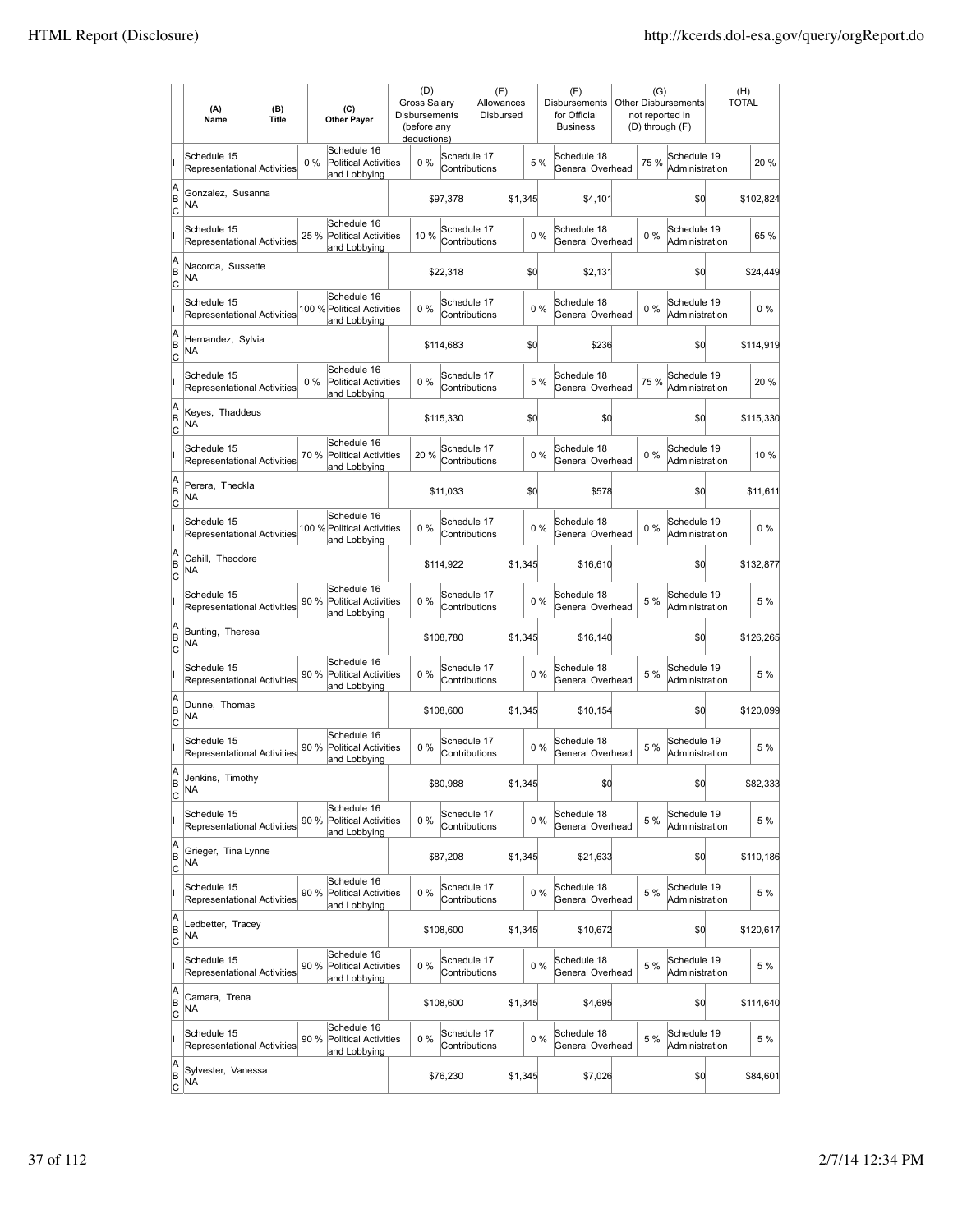|                           | (A)<br>Name                                       | (B)<br><b>Title</b> | (C)<br><b>Other Payer</b>                                           | (D)<br>Gross Salary<br>Disbursements<br>(before any<br>deductions) |           | (E)<br>Allowances<br>Disbursed |         |       | (F)<br>Disbursements<br>for Official<br><b>Business</b> | (G)<br>not reported in<br>(D) through (F) | Other Disbursements           | (H)<br><b>TOTAL</b> |
|---------------------------|---------------------------------------------------|---------------------|---------------------------------------------------------------------|--------------------------------------------------------------------|-----------|--------------------------------|---------|-------|---------------------------------------------------------|-------------------------------------------|-------------------------------|---------------------|
|                           | Schedule 15<br>Representational Activities        |                     | Schedule 16<br>$0\%$<br><b>Political Activities</b><br>and Lobbying | $0\%$                                                              |           | Schedule 17<br>Contributions   |         | 5 %   | Schedule 18<br>General Overhead                         | 75%                                       | Schedule 19<br>Administration | 20%                 |
| A<br>B<br>c               | Gonzalez, Susanna<br><b>NA</b>                    |                     |                                                                     |                                                                    | \$97,378  |                                | \$1,345 |       | \$4,101                                                 |                                           | \$0                           | \$102,824           |
|                           | Schedule 15<br><b>Representational Activities</b> |                     | Schedule 16<br>Political Activities<br>25 %<br>and Lobbying         | 10%                                                                |           | Schedule 17<br>Contributions   |         | 0%    | Schedule 18<br>General Overhead                         | 0%                                        | Schedule 19<br>Administration | 65 %                |
| A<br>B<br>Iс              | Nacorda, Sussette<br>NA                           |                     |                                                                     |                                                                    | \$22,318  |                                |         | \$d   | \$2,131                                                 |                                           | \$0                           | \$24,449            |
|                           | Schedule 15<br><b>Representational Activities</b> |                     | Schedule 16<br>100 % Political Activities<br>and Lobbying           | 0%                                                                 |           | Schedule 17<br>Contributions   |         | 0%    | Schedule 18<br>General Overhead                         | 0%                                        | Schedule 19<br>Administration | $0\%$               |
| A<br>B<br> c              | Hernandez, Sylvia<br>NA                           |                     |                                                                     |                                                                    | \$114,683 |                                |         | \$d   | \$236                                                   |                                           | \$0                           | \$114,919           |
|                           | Schedule 15<br>Representational Activities        |                     | Schedule 16<br>$0\%$<br><b>Political Activities</b><br>and Lobbying | 0%                                                                 |           | Schedule 17<br>Contributions   |         | 5 %   | Schedule 18<br>General Overhead                         | 75 %                                      | Schedule 19<br>Administration | 20%                 |
| A<br>B<br> c              | Keyes, Thaddeus<br>NA                             |                     |                                                                     |                                                                    | \$115,330 |                                |         | \$0   | \$0                                                     |                                           | \$d                           | \$115,330           |
|                           | Schedule 15<br><b>Representational Activities</b> |                     | Schedule 16<br>70 %<br><b>Political Activities</b><br>and Lobbying  | 20%                                                                |           | Schedule 17<br>Contributions   |         | 0%    | Schedule 18<br>General Overhead                         | $0\%$                                     | Schedule 19<br>Administration | 10%                 |
| A<br>B<br>Iс              | Perera, Theckla<br>NA                             |                     |                                                                     |                                                                    | \$11,033  |                                |         | \$d   | \$578                                                   |                                           | \$0                           | \$11,611            |
|                           | Schedule 15<br>Representational Activities        |                     | Schedule 16<br>100 % Political Activities<br>and Lobbying           | $0\%$                                                              |           | Schedule 17<br>Contributions   |         | 0%    | Schedule 18<br>General Overhead                         | $0\%$                                     | Schedule 19<br>Administration | $0\%$               |
| A<br>B<br>C               | Cahill, Theodore<br>NA                            |                     |                                                                     |                                                                    | \$114,922 |                                | \$1,345 |       | \$16,610                                                |                                           | \$0                           | \$132,877           |
|                           | Schedule 15<br>Representational Activities        |                     | Schedule 16<br>90 %<br><b>Political Activities</b><br>and Lobbying  | 0%                                                                 |           | Schedule 17<br>Contributions   |         | 0%    | Schedule 18<br>General Overhead                         | 5 %                                       | Schedule 19<br>Administration | 5 %                 |
| A<br>B<br>lc              | Bunting, Theresa<br>NA                            |                     |                                                                     |                                                                    | \$108,780 |                                | \$1,345 |       | \$16,140                                                |                                           | \$d                           | \$126,265           |
|                           | Schedule 15<br>Representational Activities        |                     | Schedule 16<br>Political Activities<br>90 %<br>and Lobbying         | 0%                                                                 |           | Schedule 17<br>Contributions   |         | 0%    | Schedule 18<br>General Overhead                         | 5 %                                       | Schedule 19<br>Administration | 5 %                 |
| A<br>B<br>Iс              | Dunne, Thomas<br><b>NA</b>                        |                     |                                                                     |                                                                    | \$108,600 |                                | \$1,345 |       | \$10,154                                                |                                           | \$0                           | \$120,099           |
|                           | Schedule 15<br>Representational Activities        |                     | Schedule 16<br>90 %<br><b>Political Activities</b><br>and Lobbying  | 0%                                                                 |           | Schedule 17<br>Contributions   |         | 0%    | Schedule 18<br>General Overhead                         | 5 %                                       | Schedule 19<br>Administration | 5 %                 |
| ΙA<br>B<br>$\overline{c}$ | Jenkins, limothy<br>NA                            |                     |                                                                     |                                                                    | \$80,988  |                                | \$1,345 |       | \$0                                                     |                                           | \$0                           | \$82,333            |
|                           | Schedule 15<br>Representational Activities        |                     | Schedule 16<br>90%<br>Political Activities<br>and Lobbying          | 0%                                                                 |           | Schedule 17<br>Contributions   |         | 0%    | Schedule 18<br>General Overhead                         | 5 %                                       | Schedule 19<br>Administration | 5 %                 |
| A<br>B<br> c              | Grieger, Tina Lynne<br>NA                         |                     |                                                                     |                                                                    | \$87,208  |                                | \$1,345 |       | \$21,633                                                |                                           | \$d                           | \$110,186           |
|                           | Schedule 15<br><b>Representational Activities</b> |                     | Schedule 16<br><b>Political Activities</b><br>90%<br>and Lobbying   | $0\%$                                                              |           | Schedule 17<br>Contributions   |         | 0%    | Schedule 18<br>General Overhead                         | 5 %                                       | Schedule 19<br>Administration | 5 %                 |
| A<br>B<br><u>lc</u>       | Ledbetter, Tracey<br>NA                           |                     |                                                                     |                                                                    | \$108,600 |                                | \$1,345 |       | \$10,672                                                |                                           | \$0                           | \$120,617           |
|                           | Schedule 15<br>Representational Activities        |                     | Schedule 16<br>90 % Political Activities<br>and Lobbying            | $0\%$                                                              |           | Schedule 17<br>Contributions   |         | $0\%$ | Schedule 18<br>General Overhead                         | 5 %                                       | Schedule 19<br>Administration | 5 %                 |
| A<br>B<br>$\overline{C}$  | Camara, Trena<br><b>NA</b>                        |                     |                                                                     |                                                                    | \$108,600 |                                | \$1,345 |       | \$4,695                                                 |                                           | \$0                           | \$114,640           |
|                           | Schedule 15<br>Representational Activities        |                     | Schedule 16<br>90 %<br><b>Political Activities</b><br>and Lobbying  | 0%                                                                 |           | Schedule 17<br>Contributions   |         | $0\%$ | Schedule 18<br>General Overhead                         | 5 %                                       | Schedule 19<br>Administration | 5 %                 |
| A<br>B<br>$\overline{c}$  | Sylvester, Vanessa<br>NA                          |                     |                                                                     |                                                                    | \$76,230  |                                | \$1,345 |       | \$7,026                                                 |                                           | \$d                           | \$84,601            |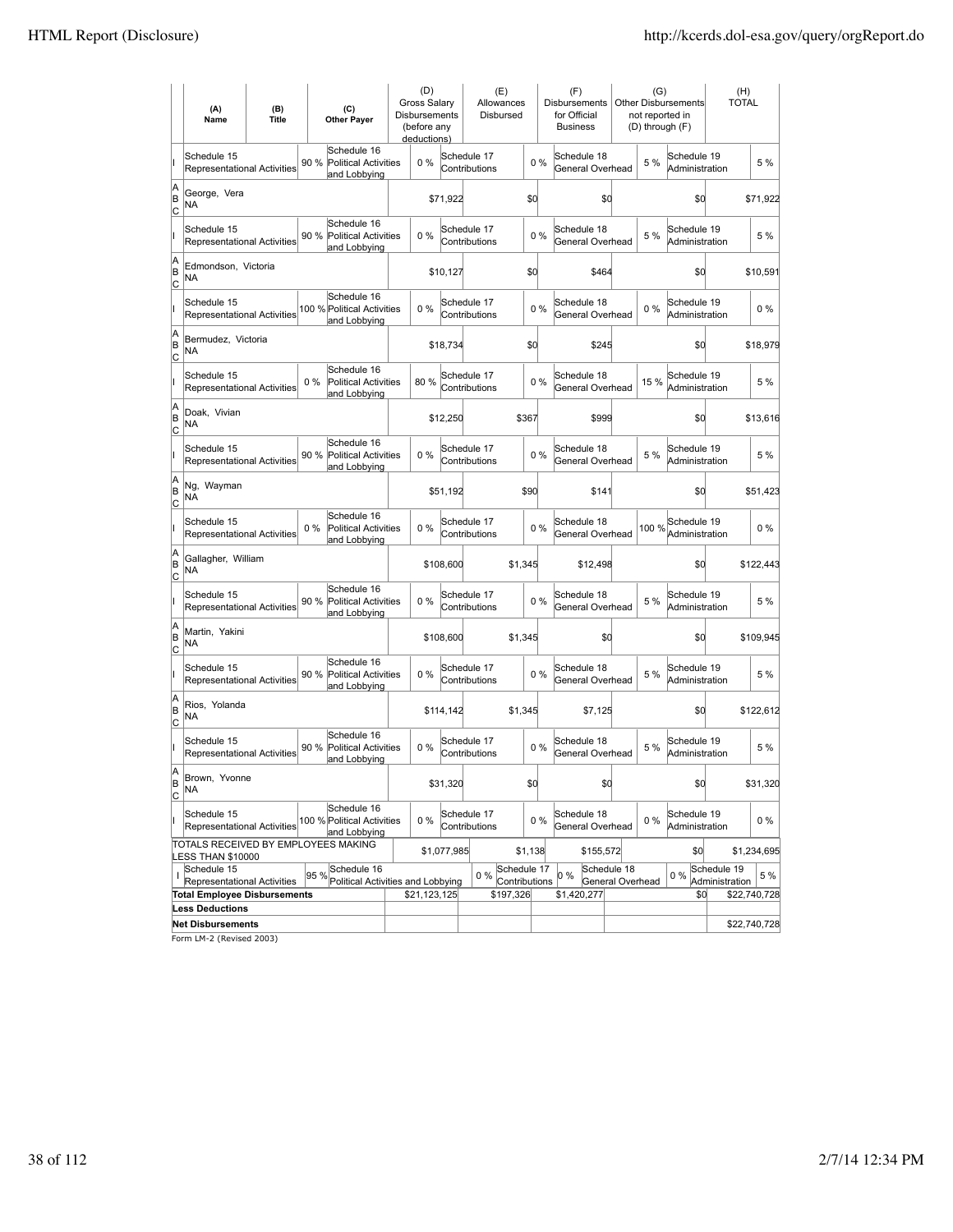|               | (A)<br>Name                                       | (B)<br><b>Title</b> | (C)<br><b>Other Payer</b>                                           | (D)<br>Gross Salary<br>Disbursements<br>(before any<br>deductions) |             | (E)<br>Allowances<br>Disbursed        |         | (F)<br>Disbursements<br>for Official<br><b>Business</b> | (G)<br>not reported in<br>(D) through (F) | Other Disbursements           | (H)<br><b>TOTAL</b>           |              |
|---------------|---------------------------------------------------|---------------------|---------------------------------------------------------------------|--------------------------------------------------------------------|-------------|---------------------------------------|---------|---------------------------------------------------------|-------------------------------------------|-------------------------------|-------------------------------|--------------|
|               | Schedule 15<br><b>Representational Activities</b> |                     | Schedule 16<br>90 %<br><b>Political Activities</b><br>and Lobbying  | $0\%$                                                              |             | Schedule 17<br>Contributions          | $0\%$   | Schedule 18<br>General Overhead                         | 5 %                                       | Schedule 19<br>Administration |                               | 5 %          |
| A<br>B<br> c  | George, Vera<br>NA                                |                     |                                                                     |                                                                    | \$71,922    |                                       | \$0     | \$0                                                     |                                           | \$d                           |                               | \$71,922     |
|               | Schedule 15<br>Representational Activities        |                     | Schedule 16<br>90%<br><b>Political Activities</b><br>and Lobbying   | 0%                                                                 |             | Schedule 17<br>Contributions          | 0%      | Schedule 18<br>General Overhead                         | 5 %                                       | Schedule 19<br>Administration |                               | 5 %          |
| A<br>B<br> c  | Edmondson, Victoria<br>NA                         |                     |                                                                     |                                                                    | \$10,127    |                                       | \$0     | \$464                                                   |                                           | \$0                           |                               | \$10,591     |
|               | Schedule 15<br>Representational Activities        |                     | Schedule 16<br>100 % Political Activities<br>and Lobbying           | 0%                                                                 |             | Schedule 17<br>Contributions          | 0%      | Schedule 18<br>General Overhead                         | $0\%$                                     | Schedule 19<br>Administration |                               | 0%           |
| A<br>ΙB<br>Iс | Bermudez, Victoria<br>NA                          |                     |                                                                     |                                                                    | \$18,734    |                                       | \$0     | \$245                                                   |                                           | \$d                           |                               | \$18,979     |
|               | Schedule 15<br><b>Representational Activities</b> |                     | Schedule 16<br>$0\%$<br><b>Political Activities</b><br>and Lobbying | 80%                                                                |             | Schedule 17<br>Contributions          | 0%      | Schedule 18<br>General Overhead                         | 15 %                                      | Schedule 19<br>Administration |                               | 5 %          |
| A<br>B<br>C   | Doak, Vivian<br><b>NA</b>                         |                     |                                                                     |                                                                    | \$12,250    |                                       | \$367   | \$999                                                   |                                           | \$0                           |                               | \$13,616     |
|               | Schedule 15<br>Representational Activities        |                     | Schedule 16<br>90 %<br><b>Political Activities</b><br>and Lobbying  | 0%                                                                 |             | Schedule 17<br>Contributions          | 0%      | Schedule 18<br>General Overhead                         | 5 %                                       | Schedule 19<br>Administration |                               | 5 %          |
| A<br>B<br>Iс  | Ng, Wayman<br><b>NA</b>                           |                     |                                                                     |                                                                    | \$51,192    |                                       | \$90    | \$141                                                   |                                           | \$0                           |                               | \$51,423     |
|               | Schedule 15<br>Representational Activities        |                     | Schedule 16<br>$0\%$<br>Political Activities<br>and Lobbying        | 0%                                                                 |             | Schedule 17<br>Contributions          | $0\%$   | Schedule 18<br>General Overhead                         | 100 %                                     | Schedule 19<br>Administration |                               | $0\%$        |
| A<br>B<br>Iс  | Gallagher, William<br>NA                          |                     |                                                                     |                                                                    | \$108,600   | \$1,345                               |         | \$12,498                                                |                                           | \$d                           |                               | \$122,443    |
|               | Schedule 15<br><b>Representational Activities</b> |                     | Schedule 16<br>90 %<br><b>Political Activities</b><br>and Lobbying  | $0\%$                                                              |             | Schedule 17<br>Contributions          | 0%      | Schedule 18<br>General Overhead                         | 5 %                                       | Schedule 19<br>Administration |                               | 5 %          |
| A<br>B<br> c  | Martin, Yakini<br>NA                              |                     |                                                                     |                                                                    | \$108,600   | \$1,345                               |         | \$0                                                     |                                           | \$0                           |                               | \$109,945    |
|               | Schedule 15<br>Representational Activities        |                     | Schedule 16<br>90%<br><b>Political Activities</b><br>and Lobbying   | 0%                                                                 |             | Schedule 17<br>Contributions          | 0%      | Schedule 18<br>General Overhead                         | 5 %                                       | Schedule 19<br>Administration |                               | 5 %          |
| A<br>B<br> c  | Rios, Yolanda<br>NA                               |                     |                                                                     |                                                                    | \$114,142   | \$1,345                               |         | \$7,125                                                 |                                           | \$d                           |                               | \$122,612    |
|               | Schedule 15<br><b>Representational Activities</b> |                     | Schedule 16<br>90 %<br><b>Political Activities</b><br>and Lobbying  | 0%                                                                 |             | Schedule 17<br>Contributions          | 0%      | Schedule 18<br>General Overhead                         | 5 %                                       | Schedule 19<br>Administration |                               | 5 %          |
| A<br>B<br>lc. | Brown, Yvonne<br>NA                               |                     |                                                                     |                                                                    | \$31,320    |                                       | \$q     | \$0                                                     |                                           | \$0                           |                               | \$31,320     |
| н             | Schedule 15<br>Representational Activities        |                     | Schedule 16<br>100 % Political Activities<br>and Lobbying           | $0\%$                                                              |             | Schedule 17<br>Contributions          | $0\%$   | Schedule 18<br>General Overhead                         | $0\%$                                     | Schedule 19<br>Administration |                               | 0 %          |
|               | LESS THAN \$10000                                 |                     | TOTALS RECEIVED BY EMPLOYEES MAKING                                 |                                                                    | \$1,077,985 |                                       | \$1,138 | \$155,572                                               |                                           | \$0                           |                               | \$1,234,695  |
| ı             | Schedule 15<br>Representational Activities        |                     | Schedule 16<br>95 %<br>Political Activities and Lobbying            |                                                                    |             | Schedule 17<br>$0\%$<br>Contributions |         | Schedule 18<br>0 %<br>General Overhead                  |                                           | $0\%$                         | Schedule 19<br>Administration | 5 %          |
|               | <b>Total Employee Disbursements</b>               |                     |                                                                     | \$21,123,125                                                       |             | \$197,326                             |         | \$1,420,277                                             |                                           | \$0                           |                               | \$22,740,728 |
|               | <b>Less Deductions</b>                            |                     |                                                                     |                                                                    |             |                                       |         |                                                         |                                           |                               |                               |              |
|               | <b>Net Disbursements</b>                          |                     |                                                                     |                                                                    |             |                                       |         |                                                         |                                           |                               |                               | \$22,740,728 |

Form LM-2 (Revised 2003)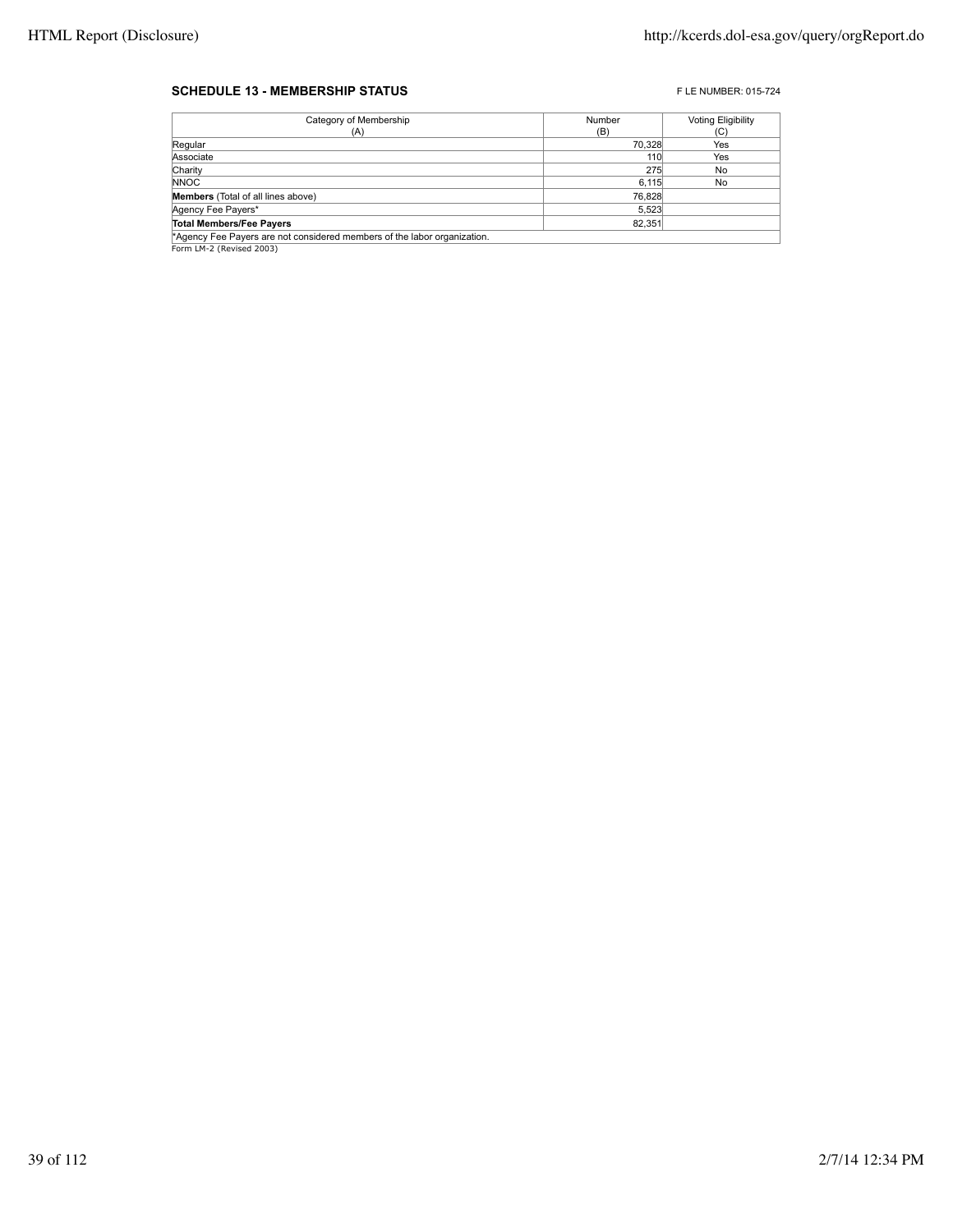## **SCHEDULE 13 - MEMBERSHIP STATUS EXECUTE 2015-724** FLE NUMBER: 015-724

| Category of Membership                                                   | Number | <b>Voting Eligibility</b> |
|--------------------------------------------------------------------------|--------|---------------------------|
| (A)                                                                      | (B)    | (C)                       |
| Regular                                                                  | 70,328 | Yes                       |
| Associate                                                                | 110    | Yes                       |
| Charity                                                                  | 275    | No                        |
| <b>NNOC</b>                                                              | 6,115  | No                        |
| <b>Members</b> (Total of all lines above)                                | 76,828 |                           |
| Agency Fee Payers*                                                       | 5,523  |                           |
| <b>Total Members/Fee Payers</b>                                          | 82.351 |                           |
| *Agency Fee Payers are not considered members of the labor organization. |        |                           |

**Agency Fee Payers are n\***<br>Form LM-2 (Revised 2003)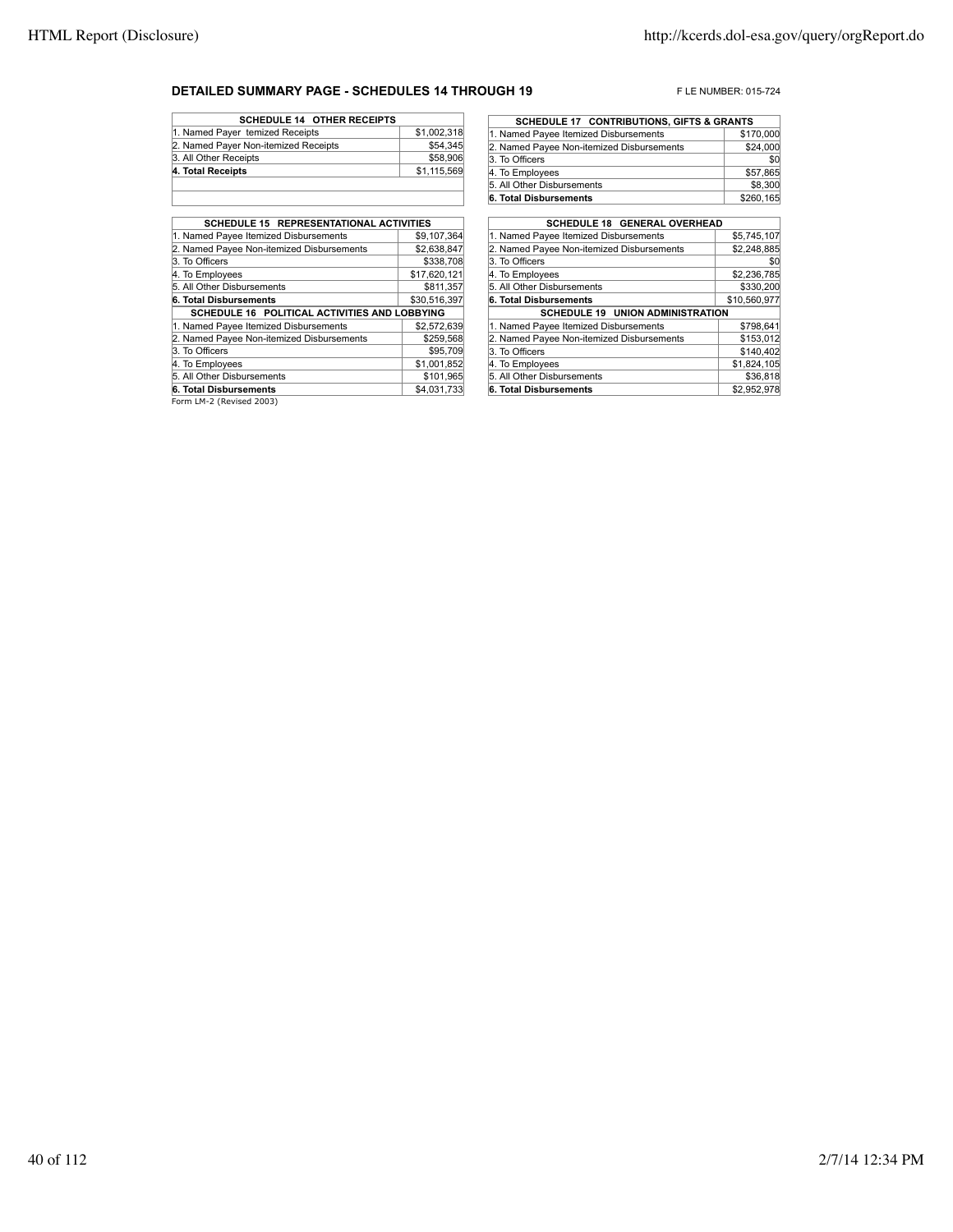## **DETAILED SUMMARY PAGE - SCHEDULES 14 THROUGH 19** FLE NUMBER: 015-724

| <b>SCHEDULE 14 OTHER RECEIPTS</b>    |             |
|--------------------------------------|-------------|
| 1. Named Payer temized Receipts      | \$1,002,318 |
| 2. Named Payer Non-itemized Receipts | \$54,345    |
| 3. All Other Receipts                | \$58,906    |
| 4. Total Receipts                    | \$1,115,569 |
|                                      |             |

| <b>SCHEDULE 15 REPRESENTATIONAL ACTIVITIES</b> |              |
|------------------------------------------------|--------------|
| 1. Named Payee Itemized Disbursements          | \$9,107,364  |
| 2. Named Payee Non-itemized Disbursements      | \$2,638,847  |
| 3. To Officers                                 | \$338,708    |
| 4. To Employees                                | \$17,620,121 |
| 5. All Other Disbursements                     | \$811.357    |
| 6. Total Disbursements                         | \$30,516,397 |
| SCHEDULE 16 POLITICAL ACTIVITIES AND LOBBYING  |              |
| 1. Named Payee Itemized Disbursements          | \$2.572.639  |
| 2. Named Payee Non-itemized Disbursements      | \$259,568    |
| 3. To Officers                                 | \$95,709     |
| 4. To Employees                                | \$1,001,852  |
| 5. All Other Disbursements                     | \$101.965    |
| 6. Total Disbursements                         | \$4,031,733  |
|                                                |              |

Form LM-2 (Revised 2003)

| <b>SCHEDULE 17 CONTRIBUTIONS, GIFTS &amp; GRANTS</b> |
|------------------------------------------------------|
| \$170,000                                            |
| \$24,000                                             |
| \$0                                                  |
| \$57,865                                             |
| \$8,300                                              |
| \$260,165                                            |
|                                                      |

| <b>SCHEDULE 18 GENERAL OVERHEAD</b>       |              |
|-------------------------------------------|--------------|
| 1. Named Payee Itemized Disbursements     | \$5,745,107  |
| 2. Named Payee Non-itemized Disbursements | \$2,248,885  |
| 3. To Officers                            | \$0          |
| 4. To Employees                           | \$2,236,785  |
| 5. All Other Disbursements                | \$330,200    |
| 6. Total Disbursements                    | \$10,560,977 |
| <b>SCHEDULE 19 UNION ADMINISTRATION</b>   |              |
| 1. Named Payee Itemized Disbursements     | \$798.641    |
| 2. Named Payee Non-itemized Disbursements | \$153,012    |
| 3. To Officers                            | \$140,402    |
| 4. To Employees                           | \$1,824,105  |
| 5. All Other Disbursements                | \$36.818     |
| 6. Total Disbursements                    | \$2,952,978  |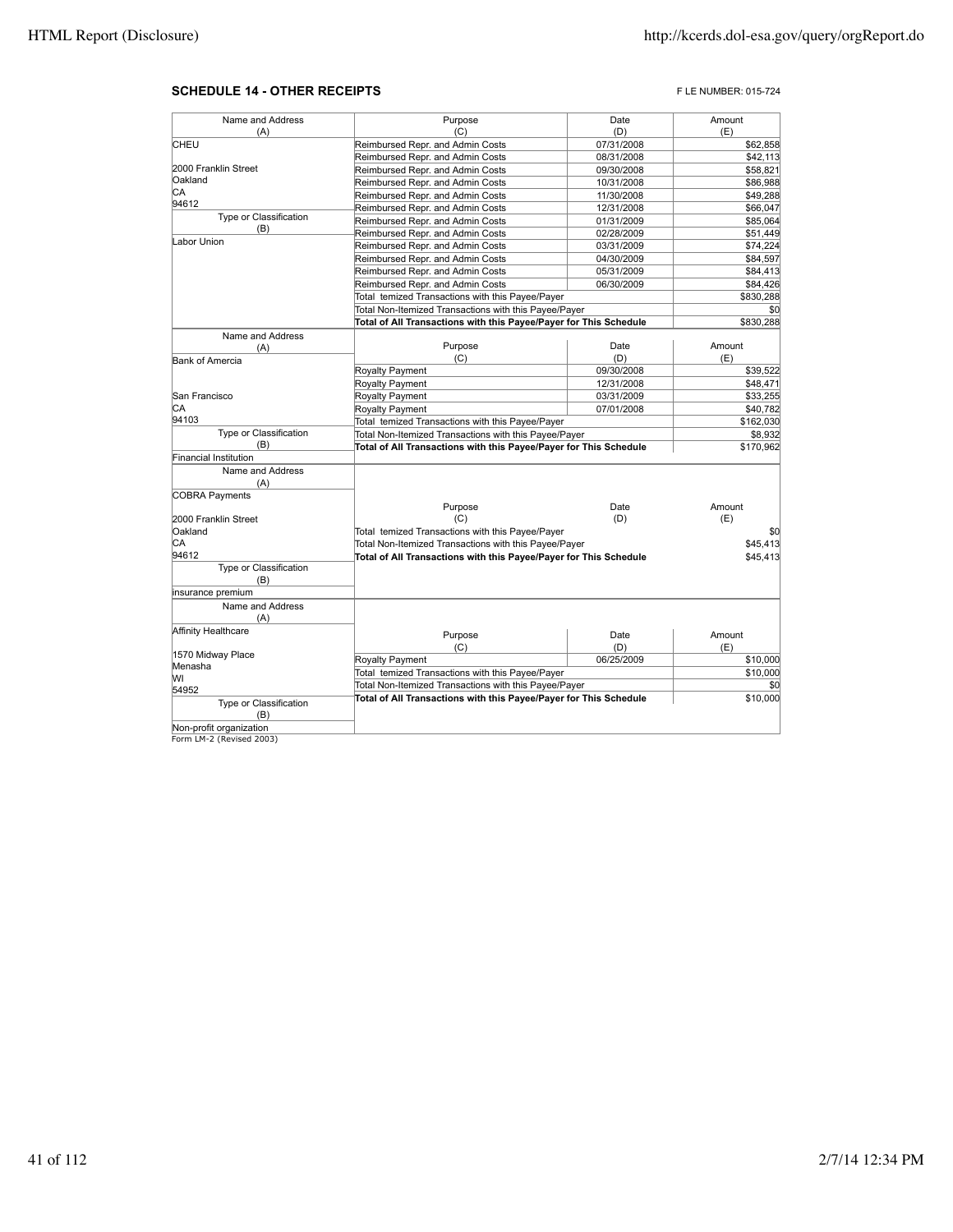## **SCHEDULE 14 - OTHER RECEIPTS FLE NUMBER: 015-724**

| Name and Address              | Purpose                                                           | Date       | Amount    |
|-------------------------------|-------------------------------------------------------------------|------------|-----------|
| (A)                           | (C)                                                               | (D)        | (E)       |
| CHEU                          | Reimbursed Repr. and Admin Costs                                  | 07/31/2008 | \$62,858  |
|                               | Reimbursed Repr. and Admin Costs                                  | 08/31/2008 | \$42,113  |
| 2000 Franklin Street          | Reimbursed Repr. and Admin Costs                                  | 09/30/2008 | \$58,821  |
| Oakland                       | Reimbursed Repr. and Admin Costs                                  | 10/31/2008 | \$86,988  |
| СA                            | Reimbursed Repr. and Admin Costs                                  | 11/30/2008 | \$49,288  |
| 94612                         | Reimbursed Repr. and Admin Costs                                  | 12/31/2008 | \$66,047  |
| Type or Classification        | Reimbursed Repr. and Admin Costs                                  | 01/31/2009 | \$85,064  |
| (B)                           | Reimbursed Repr. and Admin Costs                                  | 02/28/2009 | \$51,449  |
| Labor Union                   | Reimbursed Repr. and Admin Costs                                  |            | \$74,224  |
|                               |                                                                   | 03/31/2009 |           |
|                               | Reimbursed Repr. and Admin Costs                                  | 04/30/2009 | \$84,597  |
|                               | Reimbursed Repr. and Admin Costs                                  | 05/31/2009 | \$84,413  |
|                               | Reimbursed Repr. and Admin Costs                                  | 06/30/2009 | \$84,426  |
|                               | Total temized Transactions with this Payee/Payer                  |            | \$830,288 |
|                               | Total Non-Itemized Transactions with this Payee/Payer             |            | \$0       |
|                               | Total of All Transactions with this Payee/Payer for This Schedule |            | \$830,288 |
| Name and Address              |                                                                   |            |           |
| (A)                           | Purpose                                                           | Date       | Amount    |
| <b>Bank of Amercia</b>        | (C)                                                               | (D)        | (E)       |
|                               | Royalty Payment                                                   | 09/30/2008 | \$39,522  |
|                               | Royalty Payment                                                   | 12/31/2008 | \$48,471  |
| San Francisco                 | Royalty Payment                                                   | 03/31/2009 | \$33,255  |
| СA                            | Royalty Payment                                                   | 07/01/2008 | \$40,782  |
| 94103                         | Total temized Transactions with this Payee/Payer                  |            | \$162,030 |
| Type or Classification<br>(B) | Total Non-Itemized Transactions with this Payee/Payer             |            | \$8,932   |
| Financial Institution         | Total of All Transactions with this Payee/Payer for This Schedule |            | \$170,962 |
|                               |                                                                   |            |           |
| Name and Address              |                                                                   |            |           |
| (A)                           |                                                                   |            |           |
| <b>COBRA Payments</b>         | Purpose                                                           | Date       | Amount    |
| 2000 Franklin Street          | (C)                                                               | (D)        | (E)       |
| Oakland                       | Total temized Transactions with this Payee/Payer                  |            | \$0       |
| СA                            | Total Non-Itemized Transactions with this Payee/Payer             |            | \$45,413  |
| 94612                         | Total of All Transactions with this Payee/Payer for This Schedule |            | \$45,413  |
| Type or Classification        |                                                                   |            |           |
| (B)                           |                                                                   |            |           |
| insurance premium             |                                                                   |            |           |
| Name and Address              |                                                                   |            |           |
| (A)                           |                                                                   |            |           |
| Affinity Healthcare           |                                                                   |            |           |
|                               | Purpose                                                           | Date       | Amount    |
| 1570 Midway Place             | (C)                                                               | (D)        | (E)       |
| Menasha                       | <b>Royalty Payment</b>                                            | 06/25/2009 | \$10,000  |
| W١                            | Total temized Transactions with this Payee/Payer                  |            | \$10,000  |
| 54952                         | Total Non-Itemized Transactions with this Payee/Payer             |            | \$0       |
| Type or Classification        | Total of All Transactions with this Payee/Payer for This Schedule |            | \$10,000  |
| (B)                           |                                                                   |            |           |
| Non-profit organization       |                                                                   |            |           |
| Form LM-2 (Revised 2003)      |                                                                   |            |           |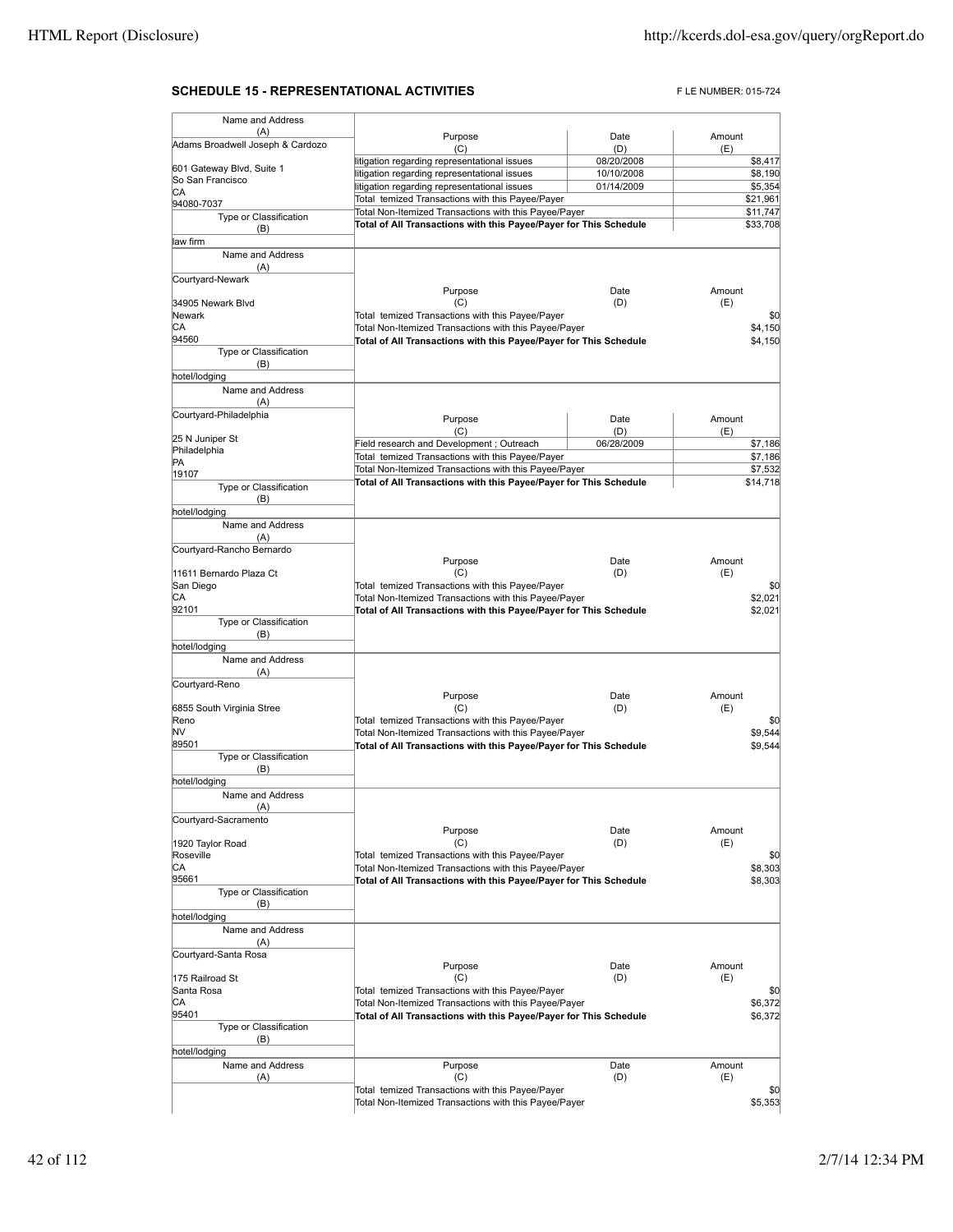## **SCHEDULE 15 - REPRESENTATIONAL ACTIVITIES** FLE NUMBER: 015-724

| Name and Address                 |                                                                   |            |        |                      |
|----------------------------------|-------------------------------------------------------------------|------------|--------|----------------------|
| (A)                              | Purpose                                                           | Date       | Amount |                      |
| Adams Broadwell Joseph & Cardozo | (C)                                                               | (D)        | (E)    |                      |
| 601 Gateway Blvd, Suite 1        | litigation regarding representational issues                      | 08/20/2008 |        | \$8,417              |
| So San Francisco                 | litigation regarding representational issues                      | 10/10/2008 |        | \$8,190              |
| CА                               | litigation regarding representational issues                      | 01/14/2009 |        | \$5,354              |
| 94080-7037                       | Total temized Transactions with this Payee/Payer                  |            |        | \$21,961             |
| Type or Classification           | Total Non-Itemized Transactions with this Payee/Payer             |            |        | \$11,747<br>\$33,708 |
| (B)                              | Total of All Transactions with this Payee/Payer for This Schedule |            |        |                      |
| law firm                         |                                                                   |            |        |                      |
| Name and Address                 |                                                                   |            |        |                      |
| (A)                              |                                                                   |            |        |                      |
| Courtyard-Newark                 | Purpose                                                           | Date       | Amount |                      |
| 34905 Newark Blvd                | (C)                                                               | (D)        | (E)    |                      |
| Newark                           | Total temized Transactions with this Payee/Payer                  |            |        | \$0                  |
| СA                               | Total Non-Itemized Transactions with this Payee/Payer             |            |        | \$4,150              |
| 94560                            | Total of All Transactions with this Payee/Payer for This Schedule |            |        | \$4,150              |
| Type or Classification           |                                                                   |            |        |                      |
| (B)                              |                                                                   |            |        |                      |
| hotel/lodging                    |                                                                   |            |        |                      |
| Name and Address                 |                                                                   |            |        |                      |
| (A)                              |                                                                   |            |        |                      |
| Courtyard-Philadelphia           | Purpose                                                           | Date       | Amount |                      |
|                                  | (C)                                                               | (D)        | (E)    |                      |
| 25 N Juniper St<br>Philadelphia  | Field research and Development; Outreach                          | 06/28/2009 |        | \$7,186              |
| PA                               | Total temized Transactions with this Payee/Payer                  |            |        | \$7,186              |
| 19107                            | Total Non-Itemized Transactions with this Payee/Payer             |            |        | \$7,532              |
| Type or Classification           | Total of All Transactions with this Payee/Payer for This Schedule |            |        | \$14,718             |
| (B)                              |                                                                   |            |        |                      |
| hotel/lodging                    |                                                                   |            |        |                      |
| Name and Address                 |                                                                   |            |        |                      |
| (A)                              |                                                                   |            |        |                      |
| Courtyard-Rancho Bernardo        |                                                                   |            |        |                      |
|                                  | Purpose                                                           | Date       | Amount |                      |
| 11611 Bernardo Plaza Ct          | (C)                                                               | (D)        | (E)    |                      |
| San Diego                        | Total temized Transactions with this Payee/Payer                  |            |        | \$0                  |
| CА<br>92101                      | Total Non-Itemized Transactions with this Payee/Payer             |            |        | \$2,021              |
| Type or Classification           | Total of All Transactions with this Payee/Payer for This Schedule |            |        | \$2,021              |
| (B)                              |                                                                   |            |        |                      |
| hotel/lodging                    |                                                                   |            |        |                      |
| Name and Address                 |                                                                   |            |        |                      |
| (A)                              |                                                                   |            |        |                      |
| Courtyard-Reno                   |                                                                   |            |        |                      |
|                                  | Purpose                                                           | Date       | Amount |                      |
| 6855 South Virginia Stree        | (C)                                                               | (D)        | (E)    |                      |
| Reno                             | Total temized Transactions with this Payee/Payer                  |            |        | \$0                  |
| <b>NV</b>                        | Total Non-Itemized Transactions with this Payee/Payer             |            |        | \$9,544              |
| 89501                            | Total of All Transactions with this Payee/Payer for This Schedule |            |        | \$9,544              |
| Type or Classification           |                                                                   |            |        |                      |
| (B)<br>hotel/lodging             |                                                                   |            |        |                      |
| Name and Address                 |                                                                   |            |        |                      |
| (A)                              |                                                                   |            |        |                      |
| Courtyard-Sacramento             |                                                                   |            |        |                      |
|                                  | Purpose                                                           | Date       | Amount |                      |
| 1920 Taylor Road                 | (C)                                                               | (D)        | (E)    |                      |
| Roseville                        | Total temized Transactions with this Payee/Payer                  |            |        | \$0                  |
| CА                               | Total Non-Itemized Transactions with this Payee/Payer             |            |        | \$8,303              |
| 95661                            | Total of All Transactions with this Payee/Payer for This Schedule |            |        | \$8,303              |
| Type or Classification           |                                                                   |            |        |                      |
| (B)                              |                                                                   |            |        |                      |
| hotel/lodging                    |                                                                   |            |        |                      |
| Name and Address                 |                                                                   |            |        |                      |
| (A)<br>Courtyard-Santa Rosa      |                                                                   |            |        |                      |
|                                  | Purpose                                                           | Date       | Amount |                      |
| 175 Railroad St                  | (C)                                                               | (D)        | (E)    |                      |
| Santa Rosa                       | Total temized Transactions with this Payee/Payer                  |            |        | \$0                  |
| CА                               | Total Non-Itemized Transactions with this Payee/Payer             |            |        | \$6,372              |
| 95401                            | Total of All Transactions with this Payee/Payer for This Schedule |            |        | \$6,372              |
| Type or Classification           |                                                                   |            |        |                      |
| (B)                              |                                                                   |            |        |                      |
| hotel/lodging                    |                                                                   |            |        |                      |
| Name and Address                 | Purpose                                                           | Date       | Amount |                      |
| (A)                              | (C)                                                               | (D)        | (E)    |                      |
|                                  | Total temized Transactions with this Payee/Payer                  |            |        | \$0                  |
|                                  | Total Non-Itemized Transactions with this Payee/Payer             |            |        | \$5,353              |
|                                  |                                                                   |            |        |                      |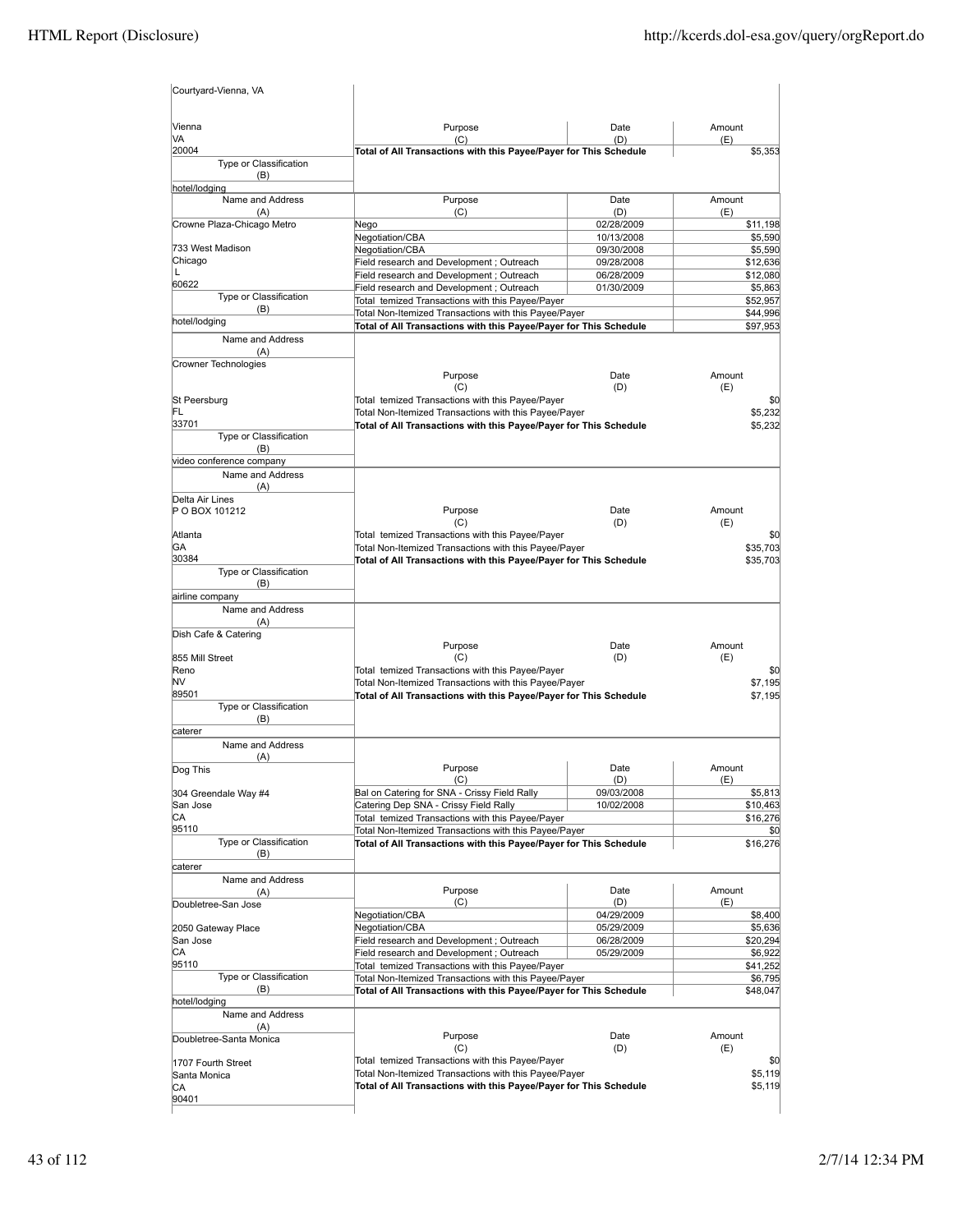| Courtyard-Vienna, VA              |                                                                                                           |                          |                     |
|-----------------------------------|-----------------------------------------------------------------------------------------------------------|--------------------------|---------------------|
| Vienna                            | Purpose                                                                                                   | Date                     | Amount              |
| VA<br>20004                       | (C)<br>Total of All Transactions with this Payee/Payer for This Schedule                                  | (D)                      | (E)<br>\$5,353      |
| Type or Classification<br>(B)     |                                                                                                           |                          |                     |
| hotel/lodging<br>Name and Address |                                                                                                           | Date                     | Amount              |
| (A)                               | Purpose<br>(C)                                                                                            | (D)                      | (E)                 |
| Crowne Plaza-Chicago Metro        | Nego                                                                                                      | 02/28/2009               | \$11,198            |
|                                   | Negotiation/CBA                                                                                           | 10/13/2008               | \$5,590             |
| 733 West Madison                  | Negotiation/CBA                                                                                           | 09/30/2008               | \$5,590             |
| Chicago<br>L                      | Field research and Development ; Outreach                                                                 | 09/28/2008               | \$12,636            |
| 60622                             | Field research and Development; Outreach                                                                  | 06/28/2009               | \$12,080            |
| Type or Classification            | Field research and Development ; Outreach<br>Total temized Transactions with this Payee/Payer             | 01/30/2009               | \$5,863<br>\$52,957 |
| (B)                               | Total Non-Itemized Transactions with this Payee/Payer                                                     |                          | \$44,996            |
| hotel/lodging                     | Total of All Transactions with this Payee/Payer for This Schedule                                         |                          | \$97,953            |
| Name and Address                  |                                                                                                           |                          |                     |
| (A)<br>Crowner Technologies       |                                                                                                           |                          |                     |
|                                   | Purpose                                                                                                   | Date                     | Amount              |
| St Peersburg                      | (C)<br>Total temized Transactions with this Payee/Payer                                                   | (D)                      | (E)<br>\$0          |
| FL                                | Total Non-Itemized Transactions with this Payee/Payer                                                     |                          | \$5,232             |
| 33701                             | Total of All Transactions with this Payee/Payer for This Schedule                                         |                          | \$5,232             |
| Type or Classification            |                                                                                                           |                          |                     |
| (B)                               |                                                                                                           |                          |                     |
| video conference company          |                                                                                                           |                          |                     |
| Name and Address                  |                                                                                                           |                          |                     |
| (A)<br>Delta Air Lines            |                                                                                                           |                          |                     |
| P O BOX 101212                    | Purpose                                                                                                   | Date                     | Amount              |
|                                   | (C)                                                                                                       | (D)                      | (E)                 |
| Atlanta                           | Total temized Transactions with this Payee/Payer                                                          |                          | \$0                 |
| GA                                | Total Non-Itemized Transactions with this Payee/Payer                                                     |                          | \$35,703            |
| 30384<br>Type or Classification   | Total of All Transactions with this Payee/Payer for This Schedule                                         |                          | \$35,703            |
| (B)<br>airline company            |                                                                                                           |                          |                     |
| Name and Address                  |                                                                                                           |                          |                     |
| (A)                               |                                                                                                           |                          |                     |
| Dish Cafe & Catering              |                                                                                                           |                          |                     |
|                                   | Purpose                                                                                                   | Date                     | Amount              |
| 855 Mill Street                   | (C)                                                                                                       | (D)                      | (E)                 |
| Reno<br>NV                        | Total temized Transactions with this Payee/Payer<br>Total Non-Itemized Transactions with this Payee/Payer |                          | \$0<br>\$7,195      |
| 89501                             | Total of All Transactions with this Payee/Payer for This Schedule                                         |                          | \$7,195             |
| Type or Classification            |                                                                                                           |                          |                     |
| (B)                               |                                                                                                           |                          |                     |
| lcaterer                          |                                                                                                           |                          |                     |
| Name and Address                  |                                                                                                           |                          |                     |
| (A)<br>Dog This                   | Purpose                                                                                                   | Date                     | Amount              |
|                                   | (C)                                                                                                       | (D)                      | (E)                 |
| 304 Greendale Way #4              | Bal on Catering for SNA - Crissy Field Rally                                                              | 09/03/2008               | \$5,813             |
| San Jose                          | Catering Dep SNA - Crissy Field Rally                                                                     | 10/02/2008               | \$10,463            |
| СA                                | Total temized Transactions with this Payee/Payer                                                          |                          | \$16,276            |
| 95110<br>Type or Classification   | Total Non-Itemized Transactions with this Payee/Payer                                                     |                          | \$0                 |
| (B)                               | Total of All Transactions with this Payee/Payer for This Schedule                                         |                          | \$16,276            |
| caterer                           |                                                                                                           |                          |                     |
| Name and Address                  |                                                                                                           |                          |                     |
| (A)                               | Purpose                                                                                                   | Date                     | Amount              |
| Doubletree-San Jose               | (C)                                                                                                       | (D)                      | (E)                 |
|                                   | Negotiation/CBA                                                                                           | 04/29/2009<br>05/29/2009 | \$8,400<br>\$5,636  |
| 2050 Gateway Place<br>San Jose    | Negotiation/CBA<br>Field research and Development ; Outreach                                              | 06/28/2009               | \$20,294            |
| СA                                | Field research and Development; Outreach                                                                  | 05/29/2009               | \$6,922             |
| 95110                             | Total temized Transactions with this Payee/Payer                                                          |                          | \$41,252            |
| Type or Classification            | Total Non-Itemized Transactions with this Payee/Payer                                                     |                          | \$6,795             |
| (B)                               | Total of All Transactions with this Payee/Payer for This Schedule                                         |                          | \$48,047            |
| hotel/lodging<br>Name and Address |                                                                                                           |                          |                     |
| (A)                               |                                                                                                           |                          |                     |
| Doubletree-Santa Monica           | Purpose                                                                                                   | Date                     | Amount              |
|                                   | (C)                                                                                                       | (D)                      | (E)                 |
| 1707 Fourth Street                | Total temized Transactions with this Payee/Payer<br>Total Non-Itemized Transactions with this Payee/Payer |                          | \$0<br>\$5,119      |
| Santa Monica<br>СA                | Total of All Transactions with this Payee/Payer for This Schedule                                         |                          | \$5,119             |
| 90401                             |                                                                                                           |                          |                     |
|                                   |                                                                                                           |                          |                     |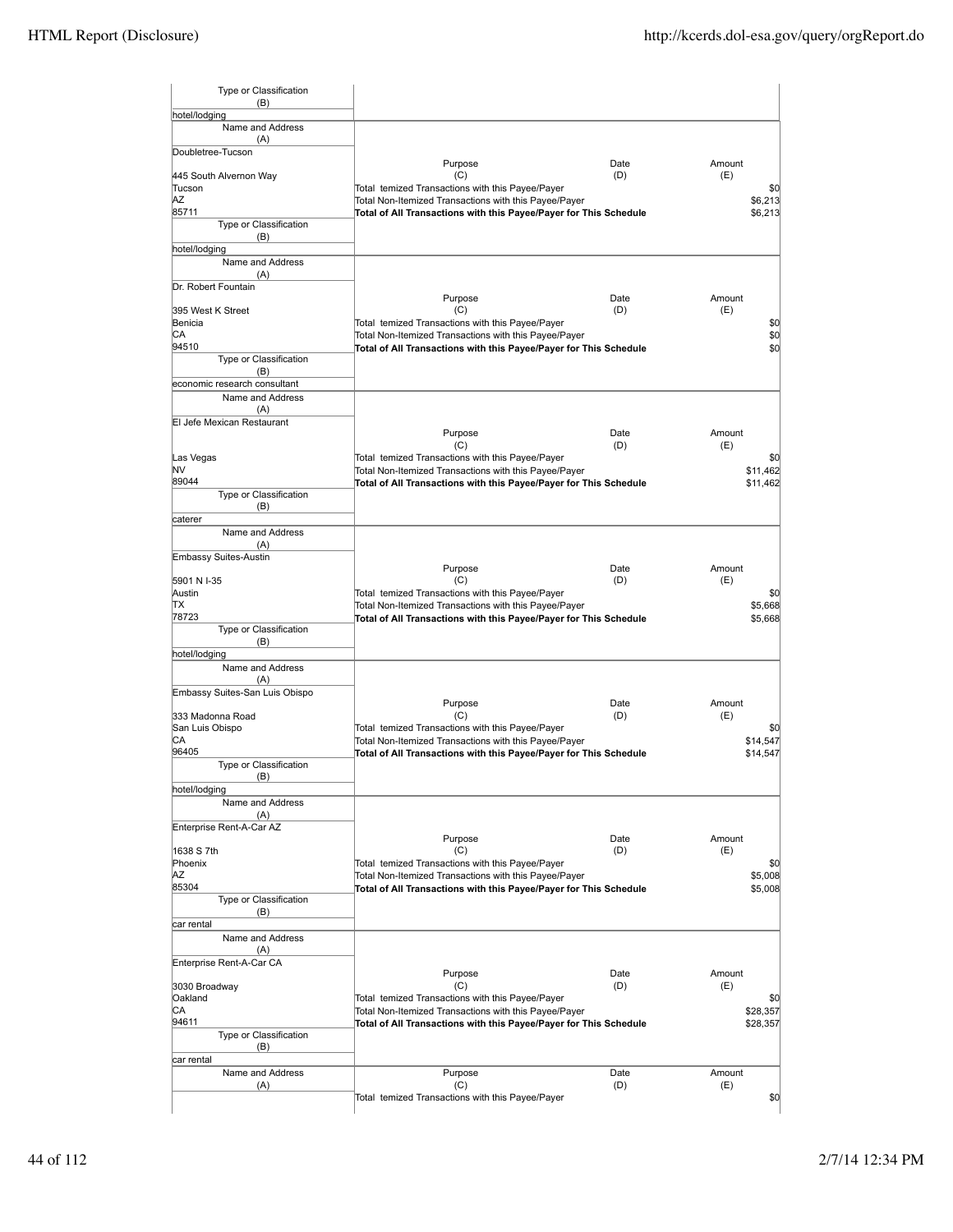| Type or Classification              |                                                                                                                            |             |               |                    |
|-------------------------------------|----------------------------------------------------------------------------------------------------------------------------|-------------|---------------|--------------------|
| (B)<br>hotel/lodging                |                                                                                                                            |             |               |                    |
| Name and Address                    |                                                                                                                            |             |               |                    |
| (A)                                 |                                                                                                                            |             |               |                    |
| Doubletree-Tucson                   | Purpose                                                                                                                    | Date        | Amount        |                    |
| 445 South Alvernon Way              | (C)                                                                                                                        | (D)         | (E)           |                    |
| Tucson<br>ΑZ                        | Total temized Transactions with this Payee/Payer                                                                           |             |               | \$0                |
| 85711                               | Total Non-Itemized Transactions with this Payee/Payer<br>Total of All Transactions with this Payee/Payer for This Schedule |             |               | \$6,213<br>\$6,213 |
| Type or Classification              |                                                                                                                            |             |               |                    |
| (B)                                 |                                                                                                                            |             |               |                    |
| hotel/lodging<br>Name and Address   |                                                                                                                            |             |               |                    |
| (A)                                 |                                                                                                                            |             |               |                    |
| Dr. Robert Fountain                 |                                                                                                                            |             |               |                    |
| 395 West K Street                   | Purpose<br>(C)                                                                                                             | Date<br>(D) | Amount<br>(E) |                    |
| Benicia                             | Total temized Transactions with this Payee/Payer                                                                           |             |               | \$0                |
| СA                                  | Total Non-Itemized Transactions with this Payee/Payer                                                                      |             |               | \$0                |
| 94510<br>Type or Classification     | Total of All Transactions with this Payee/Payer for This Schedule                                                          |             |               | \$0                |
| (B)                                 |                                                                                                                            |             |               |                    |
| economic research consultant        |                                                                                                                            |             |               |                    |
| Name and Address                    |                                                                                                                            |             |               |                    |
| (A)<br>El Jefe Mexican Restaurant   |                                                                                                                            |             |               |                    |
|                                     | Purpose                                                                                                                    | Date        | Amount        |                    |
|                                     | (C)                                                                                                                        | (D)         | (E)           |                    |
| Las Vegas<br>NV                     | Total temized Transactions with this Payee/Payer<br>Total Non-Itemized Transactions with this Payee/Payer                  |             |               | \$0<br>\$11.462    |
| 89044                               | Total of All Transactions with this Payee/Payer for This Schedule                                                          |             |               | \$11,462           |
| Type or Classification              |                                                                                                                            |             |               |                    |
| (B)<br>caterer                      |                                                                                                                            |             |               |                    |
| Name and Address                    |                                                                                                                            |             |               |                    |
| (A)                                 |                                                                                                                            |             |               |                    |
| Embassy Suites-Austin               | Purpose                                                                                                                    | Date        | Amount        |                    |
| 5901 N I-35                         | (C)                                                                                                                        | (D)         | (E)           |                    |
| Austin                              | Total temized Transactions with this Payee/Payer                                                                           |             |               | \$0                |
| ТX                                  | Total Non-Itemized Transactions with this Payee/Payer                                                                      |             |               | \$5,668            |
| 78723<br>Type or Classification     | Total of All Transactions with this Payee/Payer for This Schedule                                                          |             |               | \$5,668            |
| (B)                                 |                                                                                                                            |             |               |                    |
| hotel/lodging                       |                                                                                                                            |             |               |                    |
| Name and Address<br>(A)             |                                                                                                                            |             |               |                    |
| Embassy Suites-San Luis Obispo      |                                                                                                                            |             |               |                    |
|                                     | Purpose                                                                                                                    | Date        | Amount        |                    |
| 333 Madonna Road<br>San Luis Obispo | (C)<br>Total temized Transactions with this Payee/Payer                                                                    | (D)         | (E)           | \$0                |
| СA                                  | Total Non-Itemized Transactions with this Payee/Payer                                                                      |             |               | \$14,547           |
| 96405                               | Total of All Transactions with this Payee/Payer for This Schedule                                                          |             |               | \$14,547           |
| Type or Classification<br>(B)       |                                                                                                                            |             |               |                    |
| hotel/lodging                       |                                                                                                                            |             |               |                    |
| Name and Address                    |                                                                                                                            |             |               |                    |
| (A)<br>Enterprise Rent-A-Car AZ     |                                                                                                                            |             |               |                    |
|                                     | Purpose                                                                                                                    | Date        | Amount        |                    |
| 1638 S 7th                          | (C)                                                                                                                        | (D)         | (E)           |                    |
| Phoenix<br>ΑZ                       | Total temized Transactions with this Payee/Payer                                                                           |             |               | \$0                |
| 85304                               | Total Non-Itemized Transactions with this Payee/Payer<br>Total of All Transactions with this Payee/Payer for This Schedule |             |               | \$5,008<br>\$5,008 |
| Type or Classification              |                                                                                                                            |             |               |                    |
| (B)                                 |                                                                                                                            |             |               |                    |
| car rental<br>Name and Address      |                                                                                                                            |             |               |                    |
| (A)                                 |                                                                                                                            |             |               |                    |
| Enterprise Rent-A-Car CA            |                                                                                                                            |             |               |                    |
|                                     | Purpose                                                                                                                    | Date<br>(D) | Amount<br>(E) |                    |
| 3030 Broadway<br>Oakland            | (C)<br>Total temized Transactions with this Payee/Payer                                                                    |             |               | \$0                |
| СA                                  | Total Non-Itemized Transactions with this Payee/Payer                                                                      |             |               | \$28,357           |
| 94611                               | Total of All Transactions with this Payee/Payer for This Schedule                                                          |             |               | \$28,357           |
| Type or Classification<br>(B)       |                                                                                                                            |             |               |                    |
| car rental                          |                                                                                                                            |             |               |                    |
| Name and Address                    | Purpose                                                                                                                    | Date        | Amount        |                    |
| (A)                                 | (C)<br>Total temized Transactions with this Payee/Payer                                                                    | (D)         | (E)           | \$0                |
|                                     |                                                                                                                            |             |               |                    |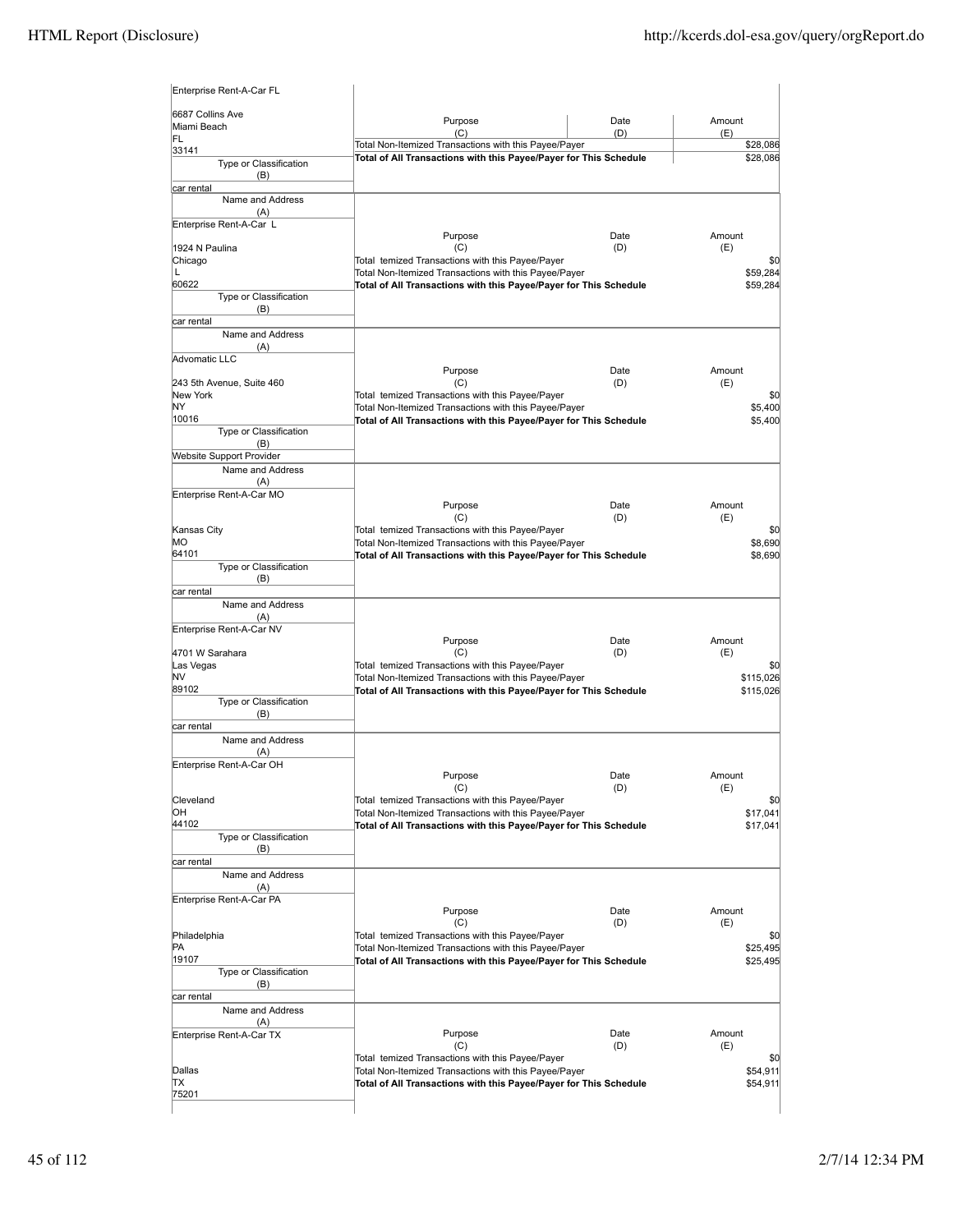| 6687 Collins Ave                       |                                                                                                                            |             |                      |
|----------------------------------------|----------------------------------------------------------------------------------------------------------------------------|-------------|----------------------|
| Miami Beach                            | Purpose<br>(C)                                                                                                             | Date<br>(D) | Amount<br>(E)        |
| FL<br>33141                            | Total Non-Itemized Transactions with this Payee/Payer                                                                      |             | \$28,086             |
| Type or Classification<br>(B)          | Total of All Transactions with this Payee/Payer for This Schedule                                                          |             | \$28,086             |
| car rental                             |                                                                                                                            |             |                      |
| Name and Address<br>(A)                |                                                                                                                            |             |                      |
| Enterprise Rent-A-Car L                |                                                                                                                            |             |                      |
| 1924 N Paulina                         | Purpose<br>(C)                                                                                                             | Date<br>(D) | Amount<br>(E)        |
| Chicago                                | Total temized Transactions with this Payee/Payer                                                                           |             | \$0                  |
| L<br>60622                             | Total Non-Itemized Transactions with this Payee/Payer                                                                      |             | \$59,284             |
| Type or Classification                 | Total of All Transactions with this Payee/Payer for This Schedule                                                          |             | \$59,284             |
| (B)                                    |                                                                                                                            |             |                      |
| car rental<br>Name and Address         |                                                                                                                            |             |                      |
| (A)                                    |                                                                                                                            |             |                      |
| Advomatic LLC                          | Purpose                                                                                                                    | Date        | Amount               |
| 243 5th Avenue, Suite 460              | (C)                                                                                                                        | (D)         | (E)                  |
| New York<br>NY                         | Total temized Transactions with this Payee/Payer                                                                           |             | \$0                  |
| 10016                                  | Total Non-Itemized Transactions with this Payee/Payer<br>Total of All Transactions with this Payee/Payer for This Schedule |             | \$5,400<br>\$5,400   |
| Type or Classification                 |                                                                                                                            |             |                      |
| (B)<br><b>Website Support Provider</b> |                                                                                                                            |             |                      |
| Name and Address                       |                                                                                                                            |             |                      |
| (A)                                    |                                                                                                                            |             |                      |
| Enterprise Rent-A-Car MO               | Purpose                                                                                                                    | Date        | Amount               |
|                                        | (C)                                                                                                                        | (D)         | (E)                  |
| Kansas City<br>MО                      | Total temized Transactions with this Payee/Payer                                                                           |             | \$0                  |
| 64101                                  | Total Non-Itemized Transactions with this Payee/Payer<br>Total of All Transactions with this Payee/Payer for This Schedule |             | \$8,690<br>\$8,690   |
| Type or Classification<br>(B)          |                                                                                                                            |             |                      |
| car rental                             |                                                                                                                            |             |                      |
| Name and Address<br>(A)                |                                                                                                                            |             |                      |
| Enterprise Rent-A-Car NV               |                                                                                                                            |             |                      |
|                                        | Purpose                                                                                                                    | Date        | Amount               |
| 4701 W Sarahara<br>Las Vegas           | (C)<br>Total temized Transactions with this Payee/Payer                                                                    | (D)         | (E)<br>\$0           |
| N٧                                     | Total Non-Itemized Transactions with this Payee/Payer                                                                      |             | \$115,026            |
| 89102<br>Type or Classification        | Total of All Transactions with this Payee/Payer for This Schedule                                                          |             | \$115,026            |
| (B)                                    |                                                                                                                            |             |                      |
| car rental                             |                                                                                                                            |             |                      |
| Name and Address<br>(A)                |                                                                                                                            |             |                      |
| Enterprise Rent-A-Car OH               |                                                                                                                            |             |                      |
|                                        | Purpose<br>(C)                                                                                                             | Date<br>(D) | Amount<br>(E)        |
| Cleveland                              | Total temized Transactions with this Payee/Payer                                                                           |             | \$0                  |
| ЮH                                     | Total Non-Itemized Transactions with this Payee/Payer                                                                      |             | \$17,041             |
| 44102<br>Type or Classification        | Total of All Transactions with this Payee/Payer for This Schedule                                                          |             | \$17,041             |
| (B)                                    |                                                                                                                            |             |                      |
| car rental<br>Name and Address         |                                                                                                                            |             |                      |
| (A)                                    |                                                                                                                            |             |                      |
| Enterprise Rent-A-Car PA               |                                                                                                                            |             |                      |
|                                        | Purpose<br>(C)                                                                                                             | Date<br>(D) | Amount<br>(E)        |
| Philadelphia                           | Total temized Transactions with this Payee/Payer                                                                           |             | \$0                  |
| PA<br>19107                            | Total Non-Itemized Transactions with this Payee/Payer<br>Total of All Transactions with this Payee/Payer for This Schedule |             | \$25,495<br>\$25,495 |
| Type or Classification                 |                                                                                                                            |             |                      |
| (B)                                    |                                                                                                                            |             |                      |
| car rental<br>Name and Address         |                                                                                                                            |             |                      |
| (A)                                    |                                                                                                                            |             |                      |
| Enterprise Rent-A-Car TX               | Purpose                                                                                                                    | Date        | Amount               |
|                                        | (C)                                                                                                                        | (D)         | (E)<br>\$0           |
|                                        | Total Non-Itemized Transactions with this Payee/Payer                                                                      |             | \$54,911             |
|                                        | Total of All Transactions with this Payee/Payer for This Schedule                                                          |             | \$54,911             |
| Dallas<br>ΠX<br>75201                  | Total temized Transactions with this Payee/Payer                                                                           |             |                      |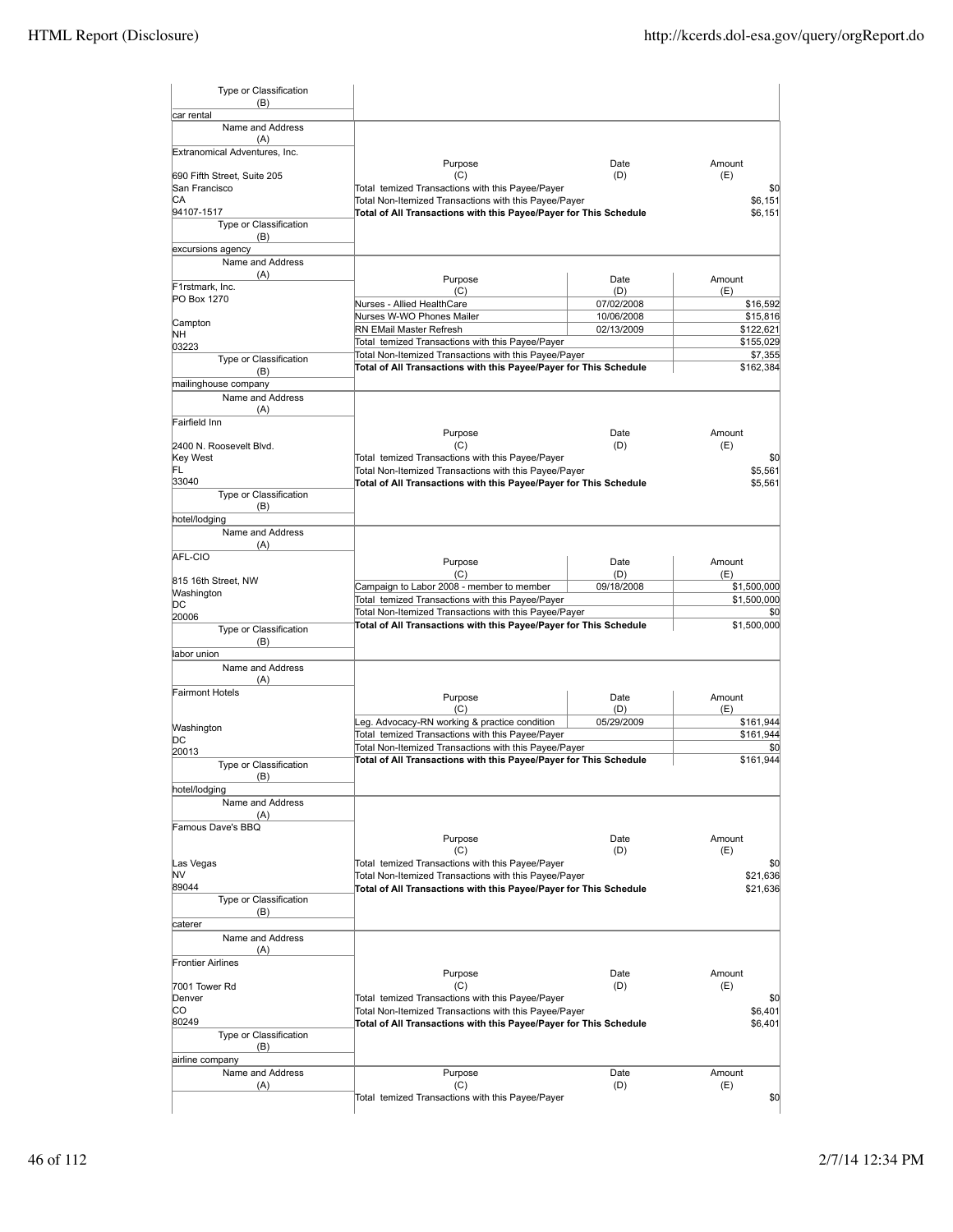| Type or Classification<br>(B)         |                                                                                                                            |                          |                        |
|---------------------------------------|----------------------------------------------------------------------------------------------------------------------------|--------------------------|------------------------|
| car rental<br>Name and Address        |                                                                                                                            |                          |                        |
| (A)                                   |                                                                                                                            |                          |                        |
| Extranomical Adventures, Inc.         | Purpose                                                                                                                    | Date                     | Amount                 |
| 690 Fifth Street, Suite 205           | (C)                                                                                                                        | (D)                      | (E)                    |
| San Francisco<br>СA                   | Total temized Transactions with this Payee/Payer<br>Total Non-Itemized Transactions with this Payee/Payer                  |                          | \$0<br>\$6,151         |
| 94107-1517                            | Total of All Transactions with this Payee/Payer for This Schedule                                                          |                          | \$6,151                |
| Type or Classification<br>(B)         |                                                                                                                            |                          |                        |
| excursions agency<br>Name and Address |                                                                                                                            |                          |                        |
| (A)                                   | Purpose                                                                                                                    | Date                     | Amount                 |
| F1rstmark, Inc.<br>PO Box 1270        | (C)                                                                                                                        | (D)                      | (E)                    |
|                                       | Nurses - Allied HealthCare                                                                                                 | 07/02/2008               | \$16,592               |
| Campton                               | Nurses W-WO Phones Mailer<br>RN EMail Master Refresh                                                                       | 10/06/2008<br>02/13/2009 | \$15,816<br>\$122,621  |
| NΗ<br>03223                           | Total temized Transactions with this Payee/Payer                                                                           |                          | \$155,029              |
| Type or Classification                | Total Non-Itemized Transactions with this Payee/Payer<br>Total of All Transactions with this Payee/Payer for This Schedule |                          | \$7,355                |
| (B)<br>mailinghouse company           |                                                                                                                            |                          | \$162,384              |
| Name and Address                      |                                                                                                                            |                          |                        |
| (A)<br>Fairfield Inn                  |                                                                                                                            |                          |                        |
|                                       | Purpose                                                                                                                    | Date                     | Amount                 |
| 2400 N. Roosevelt Blvd.<br>Key West   | (C)<br>Total temized Transactions with this Payee/Payer                                                                    | (D)                      | (E)<br>\$0             |
| FL                                    | Total Non-Itemized Transactions with this Payee/Payer                                                                      |                          | \$5,561                |
| 33040                                 | Total of All Transactions with this Payee/Payer for This Schedule                                                          |                          | \$5,561                |
| Type or Classification<br>(B)         |                                                                                                                            |                          |                        |
| hotel/lodging                         |                                                                                                                            |                          |                        |
| Name and Address<br>(A)               |                                                                                                                            |                          |                        |
| AFL-CIO                               | Purpose                                                                                                                    | Date                     | Amount                 |
| 815 16th Street, NW                   | (C)<br>Campaign to Labor 2008 - member to member                                                                           | (D)<br>09/18/2008        | (E)<br>\$1,500,000     |
| Washington<br>DC                      | Total temized Transactions with this Payee/Payer                                                                           |                          | \$1,500,000            |
| 20006                                 | Total Non-Itemized Transactions with this Payee/Payer                                                                      |                          | \$0                    |
| Type or Classification<br>(B)         | Total of All Transactions with this Payee/Payer for This Schedule                                                          |                          | \$1,500,000            |
| labor union<br>Name and Address       |                                                                                                                            |                          |                        |
| (A)                                   |                                                                                                                            |                          |                        |
| <b>Fairmont Hotels</b>                | Purpose                                                                                                                    | Date                     | Amount                 |
|                                       | (C)                                                                                                                        | (D)                      | (E)                    |
| Washington                            | Leg. Advocacy-RN working & practice condition<br>Total temized Transactions with this Payee/Payer                          | 05/29/2009               | \$161,944<br>\$161,944 |
| DC<br>20013                           | Total Non-Itemized Transactions with this Payee/Payer                                                                      |                          | \$0                    |
| Type or Classification                | Total of All Transactions with this Payee/Payer for This Schedule                                                          |                          | \$161,944              |
| (B)<br>hotel/lodging                  |                                                                                                                            |                          |                        |
| Name and Address                      |                                                                                                                            |                          |                        |
| (A)<br>Famous Dave's BBQ              |                                                                                                                            |                          |                        |
|                                       | Purpose                                                                                                                    | Date                     | Amount                 |
|                                       | (C)                                                                                                                        | (D)                      | (E)                    |
| Las Vegas<br>NV                       | Total temized Transactions with this Payee/Payer<br>Total Non-Itemized Transactions with this Payee/Payer                  |                          | \$0<br>\$21,636        |
| 89044                                 | Total of All Transactions with this Payee/Payer for This Schedule                                                          |                          | \$21,636               |
| Type or Classification<br>(B)         |                                                                                                                            |                          |                        |
| caterer                               |                                                                                                                            |                          |                        |
| Name and Address<br>(A)               |                                                                                                                            |                          |                        |
| <b>Frontier Airlines</b>              |                                                                                                                            |                          |                        |
| 7001 Tower Rd                         | Purpose<br>(C)                                                                                                             | Date<br>(D)              | Amount<br>(E)          |
| Denver                                | Total temized Transactions with this Payee/Payer                                                                           |                          | \$0                    |
| CO<br>80249                           | Total Non-Itemized Transactions with this Payee/Payer                                                                      |                          | \$6,401                |
| Type or Classification<br>(B)         | Total of All Transactions with this Payee/Payer for This Schedule                                                          |                          | \$6,401                |
| airline company                       |                                                                                                                            |                          |                        |
| Name and Address                      | Purpose                                                                                                                    | Date<br>(D)              | Amount<br>(E)          |
| (A)                                   | (C)<br>Total temized Transactions with this Payee/Payer                                                                    |                          | \$0                    |
|                                       |                                                                                                                            |                          |                        |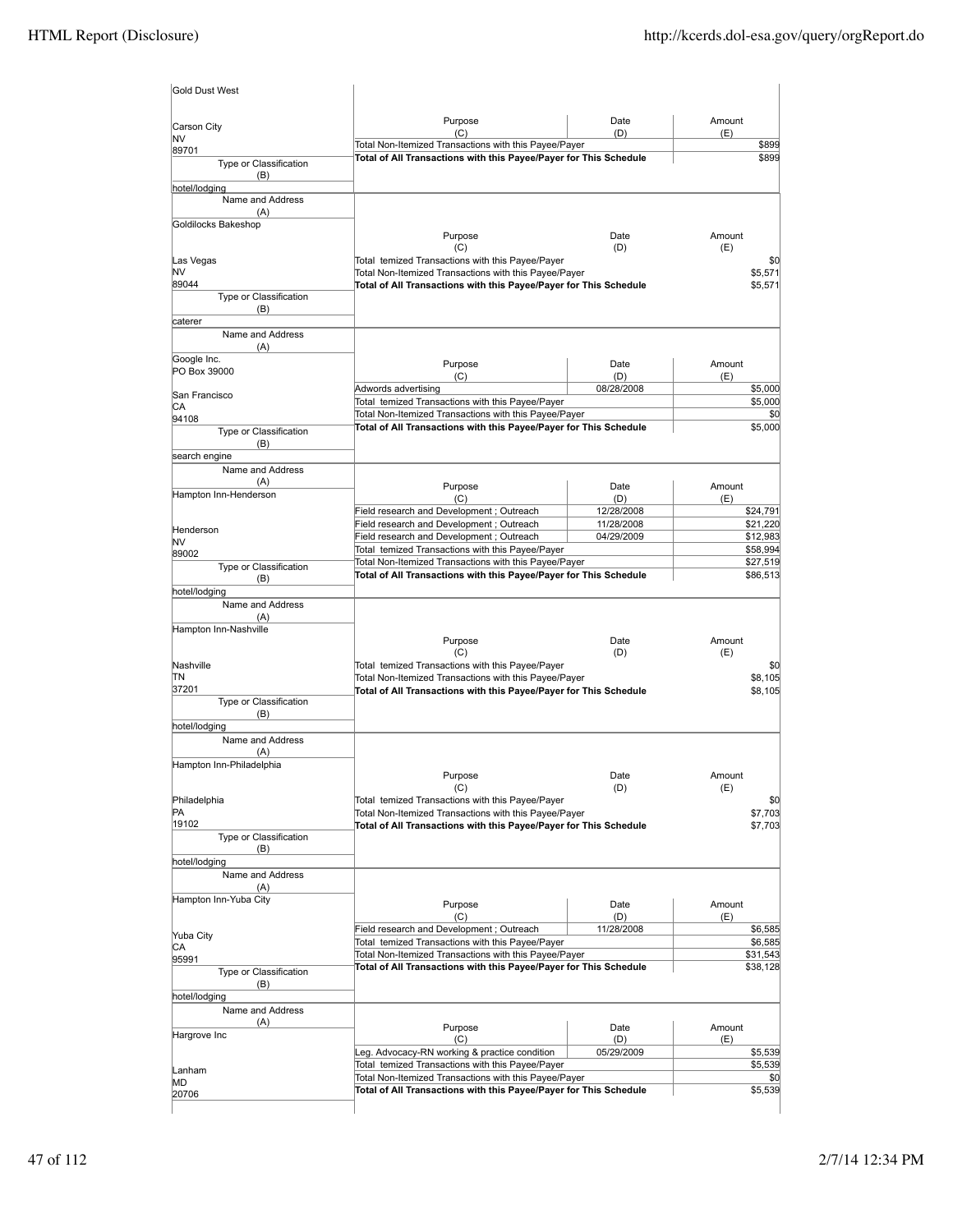|                                 | Purpose                                                                                                                    | Date              | Amount             |
|---------------------------------|----------------------------------------------------------------------------------------------------------------------------|-------------------|--------------------|
| Carson City<br>NV               | (C)                                                                                                                        | (D)               | (E)                |
| 89701                           | Total Non-Itemized Transactions with this Payee/Payer                                                                      |                   | \$899              |
| Type or Classification<br>(B)   | Total of All Transactions with this Payee/Payer for This Schedule                                                          |                   | \$899              |
| hotel/lodging                   |                                                                                                                            |                   |                    |
| Name and Address                |                                                                                                                            |                   |                    |
| (A)                             |                                                                                                                            |                   |                    |
| Goldilocks Bakeshop             | Purpose                                                                                                                    | Date              | Amount             |
|                                 | (C)                                                                                                                        | (D)               | (E)                |
| Las Vegas                       | Total temized Transactions with this Payee/Payer                                                                           |                   | \$0                |
| NV                              | Total Non-Itemized Transactions with this Payee/Payer                                                                      |                   | \$5,571            |
| 89044                           | Total of All Transactions with this Payee/Payer for This Schedule                                                          |                   | \$5,571            |
| Type or Classification          |                                                                                                                            |                   |                    |
| (B)                             |                                                                                                                            |                   |                    |
| caterer<br>Name and Address     |                                                                                                                            |                   |                    |
| (A)                             |                                                                                                                            |                   |                    |
| Google Inc.                     |                                                                                                                            |                   |                    |
| PO Box 39000                    | Purpose                                                                                                                    | Date              | Amount             |
|                                 | (C)<br>Adwords advertising                                                                                                 | (D)<br>08/28/2008 | (E)<br>\$5,000     |
| San Francisco                   | Total temized Transactions with this Payee/Payer                                                                           |                   | \$5,000            |
| СA                              | Total Non-Itemized Transactions with this Payee/Payer                                                                      |                   | \$0                |
| 94108                           | Total of All Transactions with this Payee/Payer for This Schedule                                                          |                   | \$5,000            |
| Type or Classification<br>(B)   |                                                                                                                            |                   |                    |
| search engine                   |                                                                                                                            |                   |                    |
| Name and Address                |                                                                                                                            |                   |                    |
| (A)                             | Purpose                                                                                                                    | Date              | Amount             |
| Hampton Inn-Henderson           | (C)                                                                                                                        | (D)               | (E)                |
|                                 | Field research and Development ; Outreach                                                                                  | 12/28/2008        | \$24,791           |
|                                 | Field research and Development ; Outreach                                                                                  | 11/28/2008        | \$21,220           |
| Henderson<br>NV                 | Field research and Development; Outreach                                                                                   | 04/29/2009        | \$12,983           |
| 89002                           | Total temized Transactions with this Payee/Payer                                                                           |                   | \$58,994           |
| Type or Classification          | Total Non-Itemized Transactions with this Payee/Payer                                                                      |                   | \$27,519           |
| (B)                             | Total of All Transactions with this Payee/Payer for This Schedule                                                          |                   | \$86,513           |
| hotel/lodging                   |                                                                                                                            |                   |                    |
| Name and Address                |                                                                                                                            |                   |                    |
| (A)                             |                                                                                                                            |                   |                    |
| Hampton Inn-Nashville           |                                                                                                                            |                   |                    |
|                                 | Purpose<br>(C)                                                                                                             | Date<br>(D)       | Amount<br>(E)      |
| Nashville                       | Total temized Transactions with this Payee/Payer                                                                           |                   | \$0                |
| TΝ                              | Total Non-Itemized Transactions with this Payee/Payer                                                                      |                   | \$8,105            |
| 37201                           | Total of All Transactions with this Payee/Payer for This Schedule                                                          |                   | \$8,105            |
| Type or Classification          |                                                                                                                            |                   |                    |
| (B)                             |                                                                                                                            |                   |                    |
| hotel/lodging                   |                                                                                                                            |                   |                    |
| Name and Address                |                                                                                                                            |                   |                    |
| (A)<br>Hampton Inn-Philadelphia |                                                                                                                            |                   |                    |
|                                 |                                                                                                                            |                   |                    |
|                                 |                                                                                                                            |                   |                    |
|                                 | Purpose<br>(C)                                                                                                             | Date<br>(D)       | Amount<br>(E)      |
| Philadelphia                    | Total temized Transactions with this Payee/Payer                                                                           |                   | \$0                |
| PA                              | Total Non-Itemized Transactions with this Payee/Payer                                                                      |                   | \$7,703            |
| 19102                           | Total of All Transactions with this Payee/Payer for This Schedule                                                          |                   | \$7,703            |
| Type or Classification          |                                                                                                                            |                   |                    |
| (B)                             |                                                                                                                            |                   |                    |
| hotel/lodging                   |                                                                                                                            |                   |                    |
| Name and Address<br>(A)         |                                                                                                                            |                   |                    |
| Hampton Inn-Yuba City           |                                                                                                                            |                   |                    |
|                                 | Purpose                                                                                                                    | Date              | Amount             |
|                                 | (C)                                                                                                                        | (D)               | (E)                |
| Yuba City                       | Field research and Development; Outreach<br>Total temized Transactions with this Payee/Payer                               | 11/28/2008        | \$6,585<br>\$6,585 |
| СA                              | Total Non-Itemized Transactions with this Payee/Payer                                                                      |                   | \$31,543           |
| 95991<br>Type or Classification | Total of All Transactions with this Payee/Payer for This Schedule                                                          |                   | \$38,128           |
| (B)                             |                                                                                                                            |                   |                    |
| hotel/lodging                   |                                                                                                                            |                   |                    |
| Name and Address                |                                                                                                                            |                   |                    |
| (A)                             | Purpose                                                                                                                    | Date              | Amount             |
| Hargrove Inc                    | (C)                                                                                                                        | (D)               | (E)                |
|                                 | Leg. Advocacy-RN working & practice condition                                                                              | 05/29/2009        | \$5,539            |
| Lanham                          | Total temized Transactions with this Payee/Payer                                                                           |                   | \$5,539            |
| МD                              | Total Non-Itemized Transactions with this Payee/Payer<br>Total of All Transactions with this Payee/Payer for This Schedule |                   | \$0<br>\$5,539     |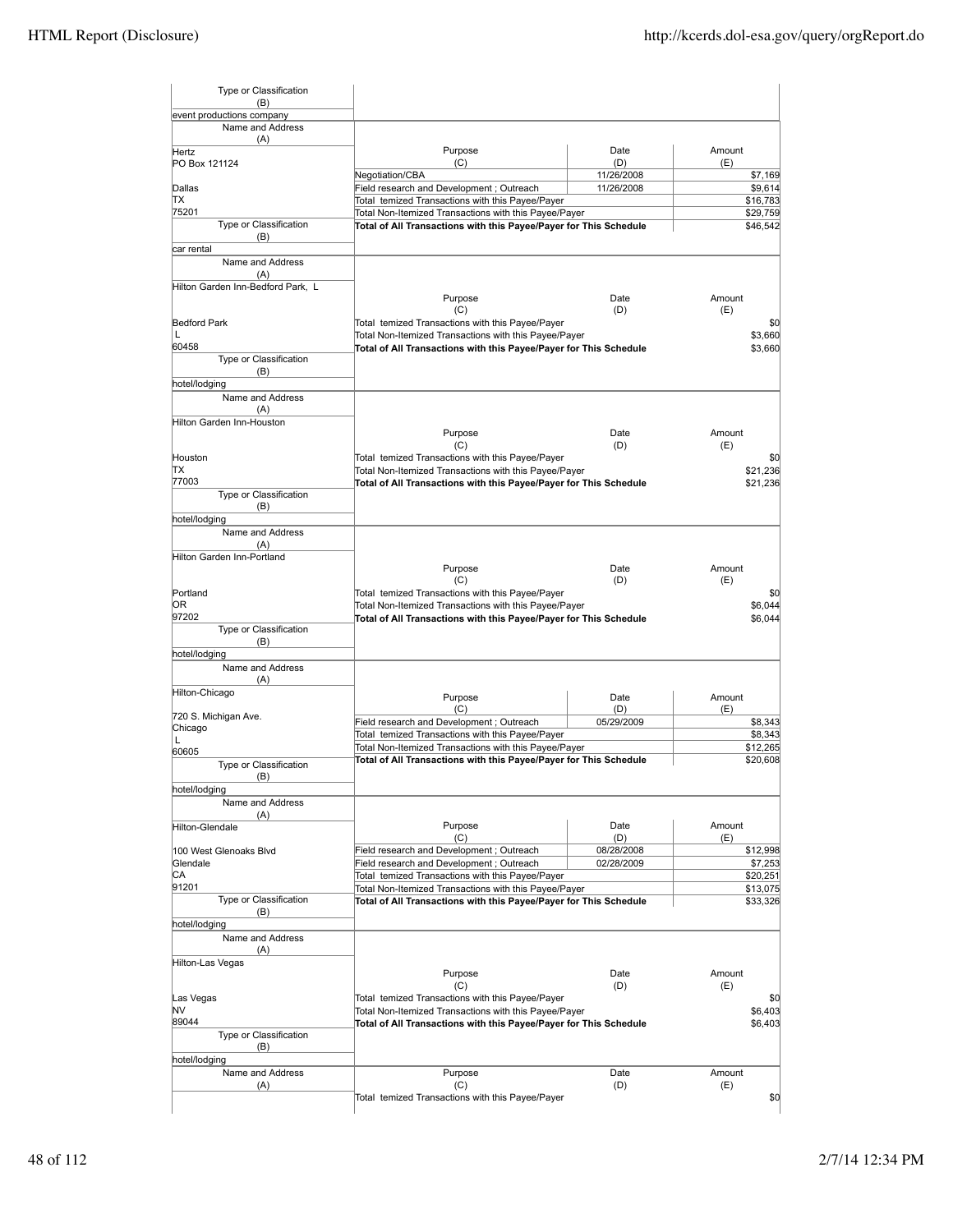| Type or Classification                        |                                                                                              |            |        |                                       |
|-----------------------------------------------|----------------------------------------------------------------------------------------------|------------|--------|---------------------------------------|
| (B)                                           |                                                                                              |            |        |                                       |
| event productions company<br>Name and Address |                                                                                              |            |        |                                       |
| (A)                                           |                                                                                              |            |        |                                       |
| Hertz                                         | Purpose                                                                                      | Date       | Amount |                                       |
| PO Box 121124                                 | (C)                                                                                          | (D)        | (E)    |                                       |
|                                               | Negotiation/CBA                                                                              | 11/26/2008 |        | \$7,169                               |
| Dallas                                        | Field research and Development; Outreach                                                     | 11/26/2008 |        | \$9,614                               |
| ΠX                                            | Total temized Transactions with this Payee/Payer                                             |            |        | \$16,783                              |
| 75201                                         | Total Non-Itemized Transactions with this Payee/Payer                                        |            |        | \$29,759                              |
| Type or Classification                        | Total of All Transactions with this Payee/Payer for This Schedule                            |            |        | \$46,542                              |
| (B)                                           |                                                                                              |            |        |                                       |
| car rental                                    |                                                                                              |            |        |                                       |
| Name and Address                              |                                                                                              |            |        |                                       |
| (A)                                           |                                                                                              |            |        |                                       |
| Hilton Garden Inn-Bedford Park. L             |                                                                                              | Date       | Amount |                                       |
|                                               | Purpose<br>(C)                                                                               | (D)        | (E)    |                                       |
| <b>Bedford Park</b>                           | Total temized Transactions with this Payee/Payer                                             |            |        | \$0                                   |
| L                                             | Total Non-Itemized Transactions with this Payee/Payer                                        |            |        | \$3,660                               |
| 60458                                         |                                                                                              |            |        |                                       |
| Type or Classification                        | Total of All Transactions with this Payee/Payer for This Schedule                            |            |        | \$3,660                               |
| (B)                                           |                                                                                              |            |        |                                       |
| hotel/lodging                                 |                                                                                              |            |        |                                       |
|                                               |                                                                                              |            |        |                                       |
| Name and Address                              |                                                                                              |            |        |                                       |
| (A)                                           |                                                                                              |            |        |                                       |
| Hilton Garden Inn-Houston                     |                                                                                              | Date       | Amount |                                       |
|                                               | Purpose                                                                                      |            |        |                                       |
|                                               | (C)                                                                                          | (D)        | (E)    |                                       |
| Houston<br>ТX                                 | Total temized Transactions with this Payee/Payer                                             |            |        | \$0                                   |
| 77003                                         | Total Non-Itemized Transactions with this Payee/Payer                                        |            |        | \$21,236                              |
| <b>Type or Classification</b>                 | Total of All Transactions with this Payee/Payer for This Schedule                            |            |        | \$21,236                              |
| (B)                                           |                                                                                              |            |        |                                       |
| hotel/lodging                                 |                                                                                              |            |        |                                       |
| Name and Address                              |                                                                                              |            |        |                                       |
|                                               |                                                                                              |            |        |                                       |
| (A)<br>Hilton Garden Inn-Portland             |                                                                                              |            |        |                                       |
|                                               | Purpose                                                                                      | Date       | Amount |                                       |
|                                               | (C)                                                                                          | (D)        | (E)    |                                       |
| Portland                                      | Total temized Transactions with this Payee/Payer                                             |            |        | \$0                                   |
| OR                                            | Total Non-Itemized Transactions with this Payee/Payer                                        |            |        | \$6,044                               |
| 97202                                         | Total of All Transactions with this Payee/Payer for This Schedule                            |            |        | \$6,044                               |
| Type or Classification                        |                                                                                              |            |        |                                       |
| (B)                                           |                                                                                              |            |        |                                       |
| hotel/lodging                                 |                                                                                              |            |        |                                       |
| Name and Address                              |                                                                                              |            |        |                                       |
| (A)                                           |                                                                                              |            |        |                                       |
| Hilton-Chicago                                |                                                                                              |            |        |                                       |
|                                               | Purpose                                                                                      | Date       | Amount |                                       |
| 720 S. Michigan Ave.                          |                                                                                              | (D)        |        |                                       |
|                                               | (C)                                                                                          |            | (E)    |                                       |
|                                               | Field research and Development; Outreach                                                     | 05/29/2009 |        | \$8,343                               |
| Chicago<br>L                                  | Total temized Transactions with this Payee/Payer                                             |            |        |                                       |
|                                               | Total Non-Itemized Transactions with this Payee/Payer                                        |            |        |                                       |
| 60605                                         | Total of All Transactions with this Payee/Payer for This Schedule                            |            |        |                                       |
| Type or Classification                        |                                                                                              |            |        |                                       |
| (B)                                           |                                                                                              |            |        |                                       |
| hotel/lodging                                 |                                                                                              |            |        |                                       |
| Name and Address                              |                                                                                              |            |        | \$8,343<br>\$12,265<br>\$20,608       |
| (A)                                           | Purpose                                                                                      | Date       | Amount |                                       |
| Hilton-Glendale                               | (C)                                                                                          | (D)        | (E)    |                                       |
| 100 West Glenoaks Blvd                        | Field research and Development ; Outreach                                                    | 08/28/2008 |        |                                       |
| Glendale                                      |                                                                                              | 02/28/2009 |        | \$12,998                              |
| СA                                            | Field research and Development; Outreach<br>Total temized Transactions with this Pavee/Paver |            |        | \$7,253                               |
| 91201                                         | Total Non-Itemized Transactions with this Payee/Payer                                        |            |        |                                       |
| Type or Classification                        |                                                                                              |            |        | \$20,251<br>\$13,075                  |
| (B)                                           | Total of All Transactions with this Payee/Payer for This Schedule                            |            |        |                                       |
| hotel/lodging                                 |                                                                                              |            |        |                                       |
|                                               |                                                                                              |            |        |                                       |
| Name and Address<br>(A)                       |                                                                                              |            |        |                                       |
| Hilton-Las Vegas                              |                                                                                              |            |        |                                       |
|                                               | Purpose                                                                                      | Date       | Amount |                                       |
|                                               | (C)                                                                                          | (D)        | (E)    |                                       |
| Las Vegas                                     | Total temized Transactions with this Payee/Payer                                             |            |        |                                       |
| NV                                            | Total Non-Itemized Transactions with this Payee/Payer                                        |            |        |                                       |
| 89044                                         | Total of All Transactions with this Payee/Payer for This Schedule                            |            |        |                                       |
| Type or Classification                        |                                                                                              |            |        |                                       |
| (B)                                           |                                                                                              |            |        |                                       |
| hotel/lodging                                 |                                                                                              |            |        | \$33,326<br>\$0<br>\$6,403<br>\$6,403 |
| Name and Address                              | Purpose                                                                                      | Date       | Amount |                                       |
| (A)                                           | (C)                                                                                          | (D)        | (E)    |                                       |
|                                               | Total temized Transactions with this Payee/Payer                                             |            |        | \$0                                   |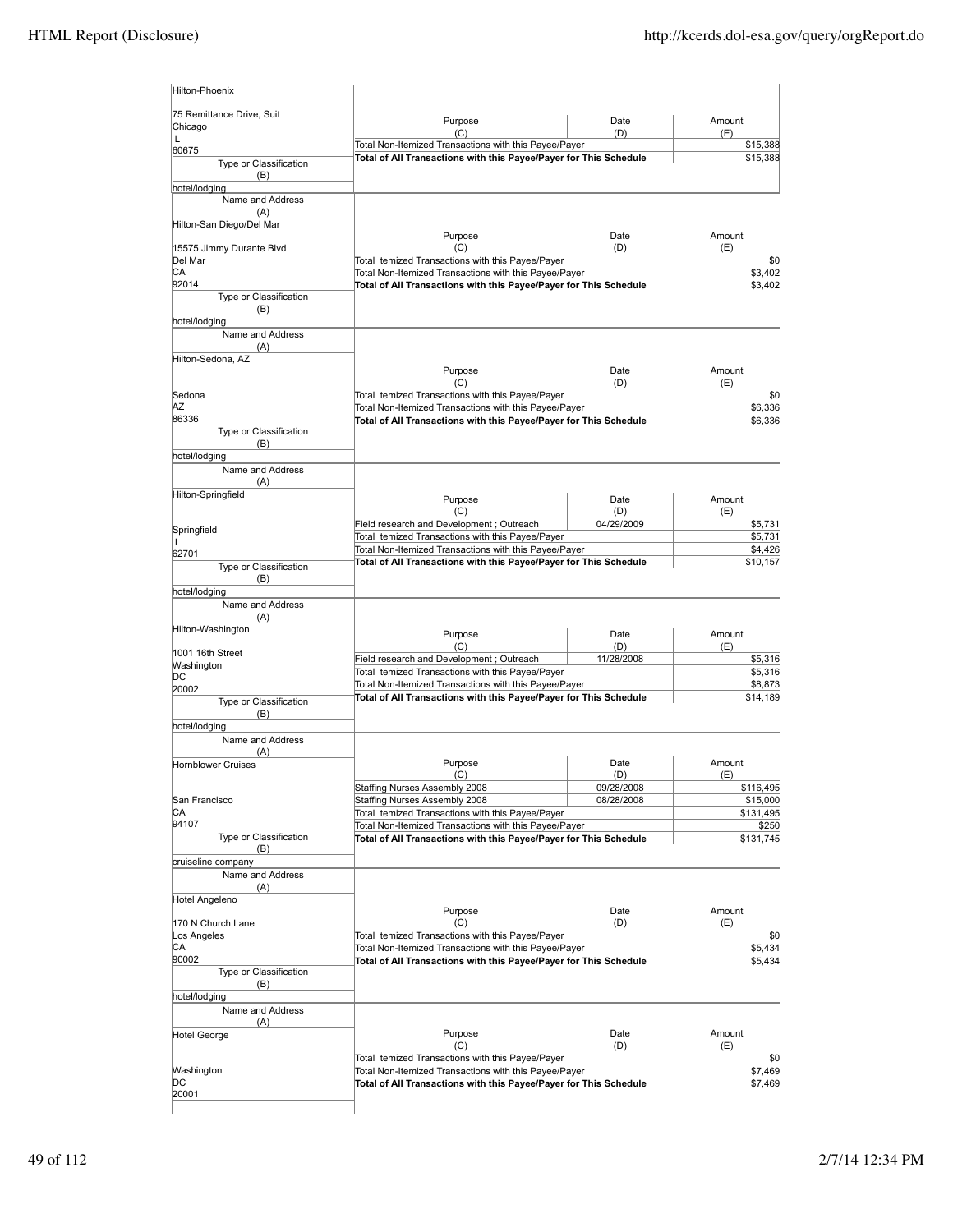| 75 Remittance Drive, Suit                       |                                                                                                                            |                          |                                                                            |
|-------------------------------------------------|----------------------------------------------------------------------------------------------------------------------------|--------------------------|----------------------------------------------------------------------------|
| Chicago                                         | Purpose<br>(C)                                                                                                             | Date<br>(D)              | Amount<br>(E)                                                              |
| L<br>60675                                      | Total Non-Itemized Transactions with this Payee/Payer                                                                      |                          | \$15,388                                                                   |
| Type or Classification                          | Total of All Transactions with this Payee/Payer for This Schedule                                                          |                          | \$15,388                                                                   |
| (B)                                             |                                                                                                                            |                          |                                                                            |
| hotel/lodging                                   |                                                                                                                            |                          |                                                                            |
| Name and Address<br>(A)                         |                                                                                                                            |                          |                                                                            |
| Hilton-San Diego/Del Mar                        |                                                                                                                            |                          |                                                                            |
|                                                 | Purpose                                                                                                                    | Date                     | Amount                                                                     |
| 15575 Jimmy Durante Blvd                        | (C)                                                                                                                        | (D)                      | (E)                                                                        |
| Del Mar<br>СA                                   | Total temized Transactions with this Payee/Payer<br>Total Non-Itemized Transactions with this Payee/Payer                  |                          | \$0<br>\$3,402                                                             |
| 92014                                           | Total of All Transactions with this Payee/Payer for This Schedule                                                          |                          | \$3,402                                                                    |
| Type or Classification                          |                                                                                                                            |                          |                                                                            |
| (B)                                             |                                                                                                                            |                          |                                                                            |
| hotel/lodging<br>Name and Address               |                                                                                                                            |                          |                                                                            |
| (A)                                             |                                                                                                                            |                          |                                                                            |
| Hilton-Sedona, AZ                               |                                                                                                                            |                          |                                                                            |
|                                                 | Purpose                                                                                                                    | Date                     | Amount                                                                     |
| Sedona                                          | (C)<br>Total temized Transactions with this Payee/Payer                                                                    | (D)                      | (E)<br>\$C                                                                 |
| ΑZ                                              | Total Non-Itemized Transactions with this Payee/Payer                                                                      |                          | \$6,336                                                                    |
| 86336                                           | Total of All Transactions with this Payee/Payer for This Schedule                                                          |                          | \$6,336                                                                    |
| Type or Classification                          |                                                                                                                            |                          |                                                                            |
| (B)                                             |                                                                                                                            |                          |                                                                            |
| hotel/lodging<br>Name and Address               |                                                                                                                            |                          |                                                                            |
| (A)                                             |                                                                                                                            |                          |                                                                            |
| Hilton-Springfield                              | Purpose                                                                                                                    | Date                     | Amount                                                                     |
|                                                 | (C)                                                                                                                        | (D)                      | (E)                                                                        |
| Springfield                                     | Field research and Development ; Outreach                                                                                  | 04/29/2009               | \$5,731                                                                    |
| L                                               | Total temized Transactions with this Payee/Payer                                                                           |                          | \$5,731                                                                    |
| 62701                                           | Total Non-Itemized Transactions with this Payee/Payer                                                                      |                          | \$4,426                                                                    |
| Type or Classification                          | Total of All Transactions with this Payee/Payer for This Schedule                                                          |                          | \$10,157                                                                   |
| (B)                                             |                                                                                                                            |                          |                                                                            |
| hotel/lodging<br>Name and Address               |                                                                                                                            |                          |                                                                            |
| (A)                                             |                                                                                                                            |                          |                                                                            |
| Hilton-Washington                               | Purpose                                                                                                                    | Date                     | Amount                                                                     |
| 1001 16th Street                                | (C)                                                                                                                        | (D)                      | (E)                                                                        |
| Washington                                      | Field research and Development ; Outreach                                                                                  | 11/28/2008               | \$5,316                                                                    |
| DC                                              | Total temized Transactions with this Payee/Payer                                                                           |                          | \$5,316                                                                    |
| 20002                                           | Total Non-Itemized Transactions with this Payee/Payer                                                                      |                          | \$8,873                                                                    |
|                                                 |                                                                                                                            |                          |                                                                            |
| Type or Classification                          | Total of All Transactions with this Payee/Payer for This Schedule                                                          |                          |                                                                            |
| (B)                                             |                                                                                                                            |                          |                                                                            |
| hotel/lodging<br>Name and Address               |                                                                                                                            |                          |                                                                            |
| (A)                                             |                                                                                                                            |                          |                                                                            |
| <b>Hornblower Cruises</b>                       | Purpose                                                                                                                    | Date                     | Amount                                                                     |
|                                                 | (C)                                                                                                                        | (D)                      | \$14,189<br>(E)                                                            |
|                                                 | Staffing Nurses Assembly 2008<br>Staffing Nurses Assembly 2008                                                             | 09/28/2008<br>08/28/2008 |                                                                            |
|                                                 | Total temized Transactions with this Payee/Payer                                                                           |                          |                                                                            |
| San Francisco<br>СA<br>94107                    | Total Non-Itemized Transactions with this Payee/Payer                                                                      |                          |                                                                            |
| Type or Classification                          | Total of All Transactions with this Payee/Payer for This Schedule                                                          |                          |                                                                            |
| (B)                                             |                                                                                                                            |                          |                                                                            |
| cruiseline company<br>Name and Address          |                                                                                                                            |                          |                                                                            |
| (A)                                             |                                                                                                                            |                          |                                                                            |
| Hotel Angeleno                                  |                                                                                                                            |                          |                                                                            |
|                                                 | Purpose                                                                                                                    | Date                     | Amount                                                                     |
|                                                 | (C)<br>Total temized Transactions with this Payee/Payer                                                                    | (D)                      | (E)                                                                        |
|                                                 | Total Non-Itemized Transactions with this Payee/Payer                                                                      |                          | \$116,495<br>\$15,000<br>\$131,495<br>\$250<br>\$131,745<br>\$0<br>\$5,434 |
| 170 N Church Lane<br>Los Angeles<br>СA<br>90002 | Total of All Transactions with this Payee/Payer for This Schedule                                                          |                          |                                                                            |
| Type or Classification                          |                                                                                                                            |                          |                                                                            |
| (B)                                             |                                                                                                                            |                          |                                                                            |
| hotel/lodging<br>Name and Address               |                                                                                                                            |                          |                                                                            |
| (A)                                             |                                                                                                                            |                          |                                                                            |
| Hotel George                                    | Purpose                                                                                                                    | Date                     | Amount                                                                     |
|                                                 | (C)                                                                                                                        | (D)                      | \$5,434<br>(E)                                                             |
|                                                 | Total temized Transactions with this Payee/Payer                                                                           |                          | \$0                                                                        |
| Washington<br>DC                                | Total Non-Itemized Transactions with this Payee/Payer<br>Total of All Transactions with this Payee/Payer for This Schedule |                          | \$7,469<br>\$7,469                                                         |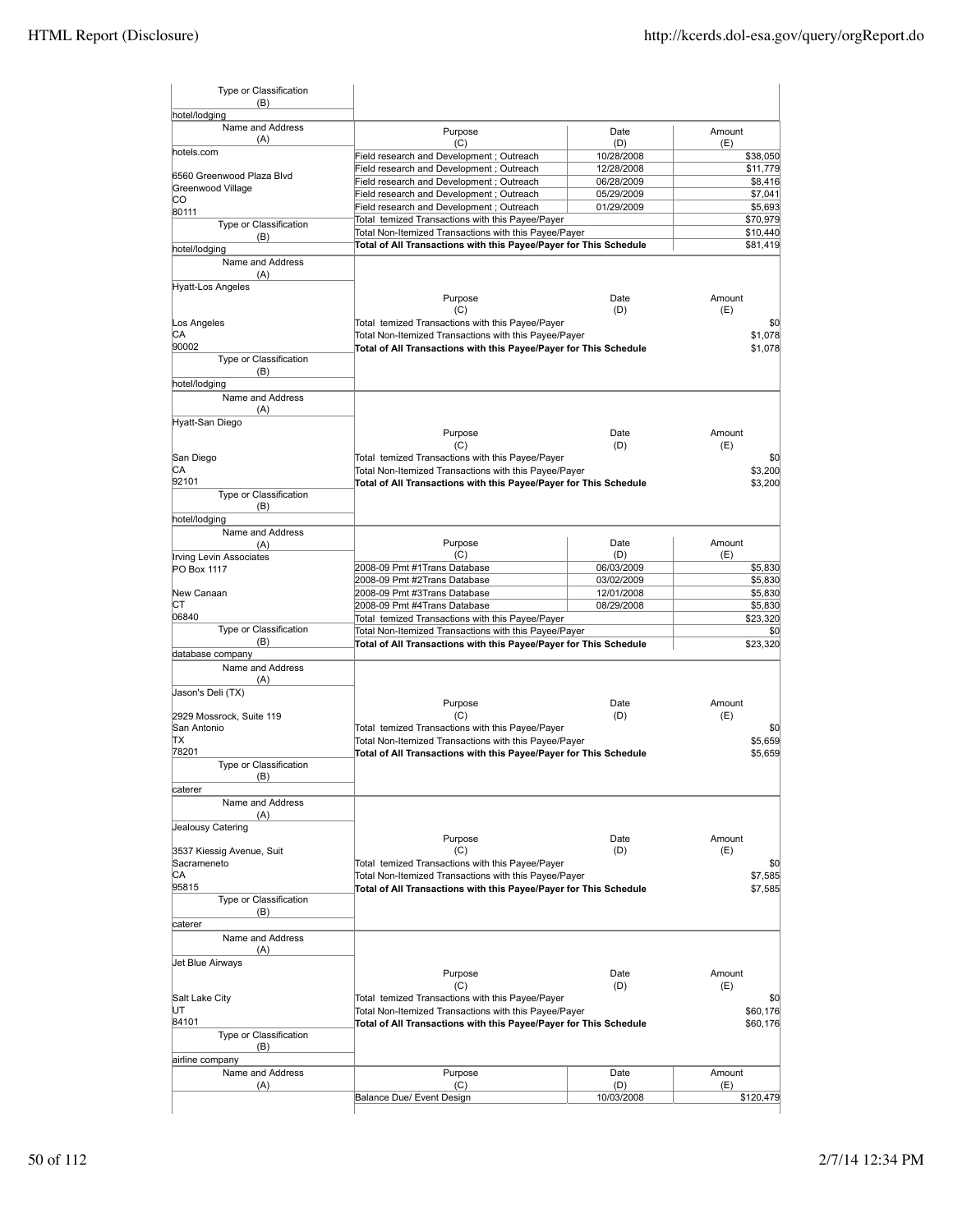| Type or Classification<br>(B)     |                                                                                                           |                   |                              |
|-----------------------------------|-----------------------------------------------------------------------------------------------------------|-------------------|------------------------------|
| hotel/lodging<br>Name and Address | Purpose                                                                                                   | Date              | Amount                       |
| (A)                               | (C)                                                                                                       | (D)               | (E)                          |
| hotels.com                        | Field research and Development ; Outreach                                                                 | 10/28/2008        | \$38,050                     |
| 6560 Greenwood Plaza Blvd         | Field research and Development ; Outreach                                                                 | 12/28/2008        | \$11,779                     |
| Greenwood Village                 | Field research and Development; Outreach                                                                  | 06/28/2009        | \$8,416                      |
| CO                                | Field research and Development ; Outreach                                                                 | 05/29/2009        | \$7,041                      |
| 80111                             | Field research and Development; Outreach                                                                  | 01/29/2009        | \$5,693                      |
| Type or Classification            | Total temized Transactions with this Payee/Payer                                                          |                   | \$70,979                     |
| (B)                               | Total Non-Itemized Transactions with this Payee/Payer                                                     |                   | \$10,440                     |
| hotel/lodging                     | Total of All Transactions with this Payee/Payer for This Schedule                                         |                   | \$81,419                     |
| Name and Address                  |                                                                                                           |                   |                              |
| (A)                               |                                                                                                           |                   |                              |
| <b>Hyatt-Los Angeles</b>          |                                                                                                           |                   |                              |
|                                   | Purpose                                                                                                   | Date              | Amount                       |
|                                   | (C)                                                                                                       | (D)               | (E)                          |
| Los Angeles                       | Total temized Transactions with this Payee/Payer                                                          |                   | \$0                          |
| СA                                | Total Non-Itemized Transactions with this Payee/Payer                                                     |                   | \$1,078                      |
| 90002                             | Total of All Transactions with this Payee/Payer for This Schedule                                         |                   | \$1,078                      |
| Type or Classification            |                                                                                                           |                   |                              |
| (B)                               |                                                                                                           |                   |                              |
| hotel/lodging                     |                                                                                                           |                   |                              |
| Name and Address                  |                                                                                                           |                   |                              |
| (A)                               |                                                                                                           |                   |                              |
| Hyatt-San Diego                   |                                                                                                           |                   |                              |
|                                   | Purpose                                                                                                   | Date              | Amount                       |
|                                   | (C)                                                                                                       | (D)               | (E)                          |
| San Diego                         | Total temized Transactions with this Payee/Payer                                                          |                   | \$0                          |
| СA                                | Total Non-Itemized Transactions with this Payee/Payer                                                     |                   | \$3,200                      |
| 92101                             | Total of All Transactions with this Payee/Payer for This Schedule                                         |                   | \$3,200                      |
| Type or Classification            |                                                                                                           |                   |                              |
| (B)                               |                                                                                                           |                   |                              |
| hotel/lodging                     |                                                                                                           |                   |                              |
| Name and Address                  |                                                                                                           |                   |                              |
| (A)                               | Purpose                                                                                                   | Date              | Amount                       |
| Irving Levin Associates           | (C)                                                                                                       | (D)               | (E)                          |
| <b>PO Box 1117</b>                | 2008-09 Pmt #1Trans Database                                                                              | 06/03/2009        | \$5,830                      |
|                                   | 2008-09 Pmt #2Trans Database                                                                              | 03/02/2009        | \$5,830                      |
| New Canaan                        | 2008-09 Pmt #3Trans Database                                                                              | 12/01/2008        | \$5,830                      |
| СT                                | 2008-09 Pmt #4Trans Database                                                                              | 08/29/2008        | \$5,830                      |
| 06840                             | Total temized Transactions with this Payee/Payer                                                          |                   | \$23,320                     |
| Type or Classification            | Total Non-Itemized Transactions with this Payee/Payer                                                     |                   | \$0                          |
| (B)                               | Total of All Transactions with this Payee/Payer for This Schedule                                         |                   | \$23,320                     |
| database company                  |                                                                                                           |                   |                              |
| Name and Address                  |                                                                                                           |                   |                              |
| (A)                               |                                                                                                           |                   |                              |
| Jason's Deli (TX)                 |                                                                                                           |                   |                              |
|                                   | Purpose                                                                                                   | Date              | Amount                       |
| 2929 Mossrock, Suite 119          | (C)                                                                                                       | (D)               | (E)                          |
| San Antonio                       | Total temized Transactions with this Payee/Payer                                                          |                   | \$0                          |
| ТX                                | Total Non-Itemized Transactions with this Payee/Payer                                                     |                   | \$5,659                      |
| 78201                             | Total of All Transactions with this Payee/Payer for This Schedule                                         |                   | \$5,659                      |
| Type or Classification<br>(R)     |                                                                                                           |                   |                              |
|                                   |                                                                                                           |                   |                              |
| caterer                           |                                                                                                           |                   |                              |
| Name and Address                  |                                                                                                           |                   |                              |
| (A)                               |                                                                                                           |                   |                              |
| Jealousy Catering                 |                                                                                                           |                   |                              |
|                                   | Purpose                                                                                                   | Date              | Amount                       |
| 3537 Kiessig Avenue, Suit         | (C)                                                                                                       | (D)               | (E)                          |
| Sacrameneto                       | Total temized Transactions with this Payee/Payer                                                          |                   | \$0                          |
| СA                                | Total Non-Itemized Transactions with this Payee/Payer                                                     |                   | \$7,585                      |
| 95815                             | Total of All Transactions with this Payee/Payer for This Schedule                                         |                   | \$7,585                      |
| Type or Classification            |                                                                                                           |                   |                              |
| (B)                               |                                                                                                           |                   |                              |
| caterer                           |                                                                                                           |                   |                              |
| Name and Address                  |                                                                                                           |                   |                              |
| (A)                               |                                                                                                           |                   |                              |
| Jet Blue Airways                  |                                                                                                           |                   |                              |
|                                   | Purpose                                                                                                   | Date              | Amount                       |
|                                   | (C)                                                                                                       | (D)               | (E)                          |
| Salt Lake City<br>UT              | Total temized Transactions with this Payee/Payer<br>Total Non-Itemized Transactions with this Payee/Payer |                   | \$0                          |
|                                   |                                                                                                           |                   | \$60,176                     |
|                                   |                                                                                                           |                   |                              |
| 84101                             | Total of All Transactions with this Payee/Payer for This Schedule                                         |                   |                              |
| Type or Classification            |                                                                                                           |                   |                              |
| (B)                               |                                                                                                           |                   |                              |
| airline company                   |                                                                                                           |                   |                              |
| Name and Address                  | Purpose                                                                                                   | Date              | Amount                       |
| (A)                               | (C)<br>Balance Due/ Event Design                                                                          | (D)<br>10/03/2008 | \$60,176<br>(E)<br>\$120,479 |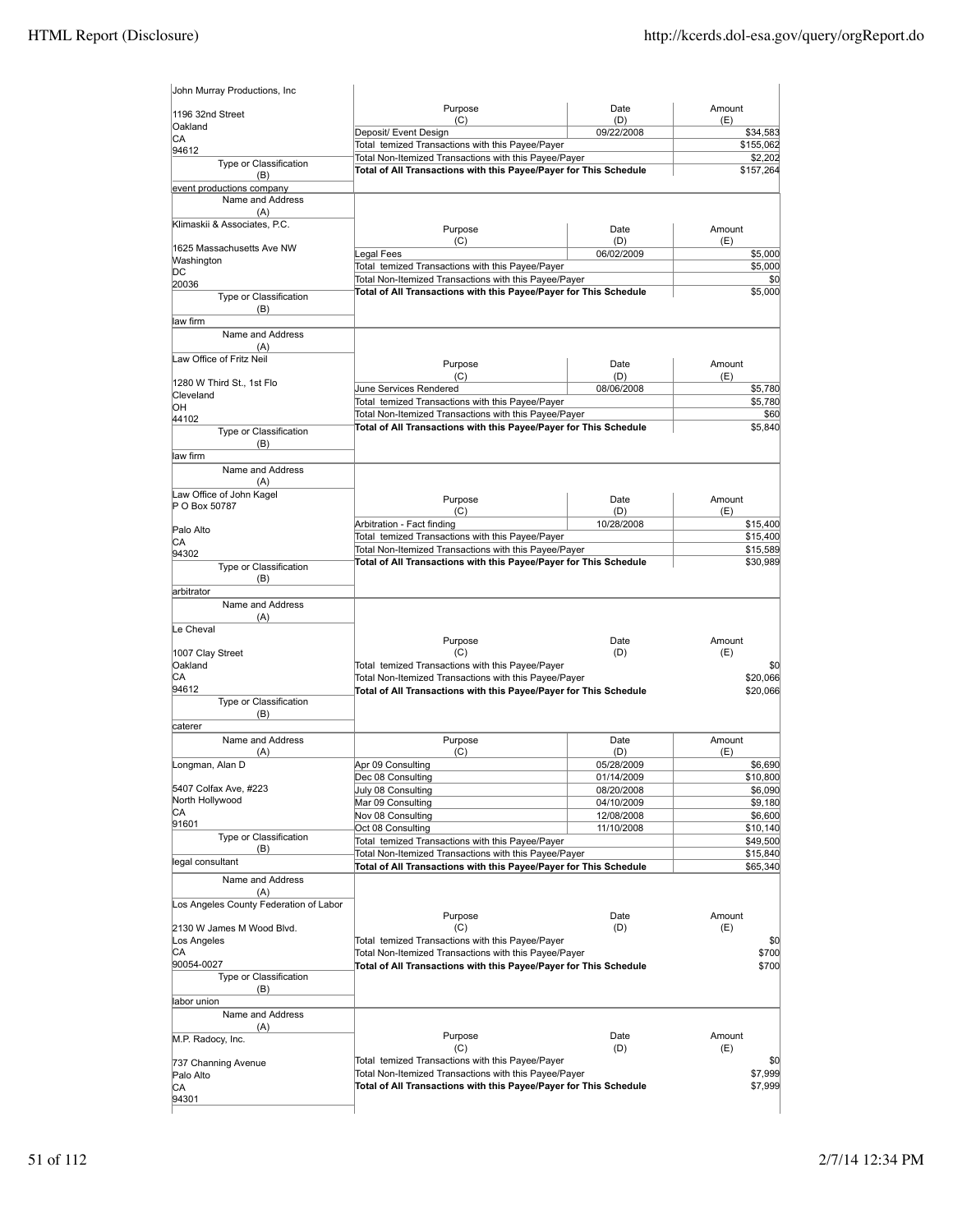| 1196 32nd Street                       |                                                                                                                            |            |                                                                                                                                                                                |
|----------------------------------------|----------------------------------------------------------------------------------------------------------------------------|------------|--------------------------------------------------------------------------------------------------------------------------------------------------------------------------------|
|                                        | Purpose                                                                                                                    | Date       | Amount                                                                                                                                                                         |
| Oakland                                | (C)                                                                                                                        | (D)        | (E)                                                                                                                                                                            |
| CA                                     | Deposit/ Event Design                                                                                                      | 09/22/2008 | \$34,583                                                                                                                                                                       |
| 94612                                  | Total temized Transactions with this Payee/Payer                                                                           |            | \$155,062                                                                                                                                                                      |
| Type or Classification                 | Total Non-Itemized Transactions with this Payee/Payer                                                                      |            | \$2,202                                                                                                                                                                        |
| (B)                                    | Total of All Transactions with this Payee/Payer for This Schedule                                                          |            | \$157,264                                                                                                                                                                      |
| event productions company              |                                                                                                                            |            |                                                                                                                                                                                |
| Name and Address<br>(A)                |                                                                                                                            |            |                                                                                                                                                                                |
| Klimaskii & Associates, P.C.           |                                                                                                                            |            |                                                                                                                                                                                |
|                                        | Purpose                                                                                                                    | Date       | Amount                                                                                                                                                                         |
| 1625 Massachusetts Ave NW              | (C)                                                                                                                        | (D)        | (E)                                                                                                                                                                            |
| Washington                             | Legal Fees                                                                                                                 | 06/02/2009 | \$5,000                                                                                                                                                                        |
| DС                                     | Total temized Transactions with this Payee/Payer                                                                           |            | \$5,000                                                                                                                                                                        |
| 20036                                  | Total Non-Itemized Transactions with this Payee/Payer<br>Total of All Transactions with this Payee/Payer for This Schedule |            | \$0<br>\$5,000                                                                                                                                                                 |
| Type or Classification                 |                                                                                                                            |            |                                                                                                                                                                                |
| (B)                                    |                                                                                                                            |            |                                                                                                                                                                                |
| law firm                               |                                                                                                                            |            |                                                                                                                                                                                |
| Name and Address                       |                                                                                                                            |            |                                                                                                                                                                                |
| (A)<br>Law Office of Fritz Neil        |                                                                                                                            |            |                                                                                                                                                                                |
|                                        | Purpose                                                                                                                    | Date       | Amount                                                                                                                                                                         |
| 1280 W Third St., 1st Flo              | (C)                                                                                                                        | (D)        | (E)                                                                                                                                                                            |
| Cleveland                              | June Services Rendered                                                                                                     | 08/06/2008 | \$5,780                                                                                                                                                                        |
| OН                                     | Total temized Transactions with this Payee/Payer                                                                           |            | \$5,780                                                                                                                                                                        |
| 44102                                  | Total Non-Itemized Transactions with this Payee/Payer                                                                      |            | \$60                                                                                                                                                                           |
| Type or Classification                 | Total of All Transactions with this Payee/Payer for This Schedule                                                          |            | \$5,840                                                                                                                                                                        |
| (B)                                    |                                                                                                                            |            |                                                                                                                                                                                |
| law firm                               |                                                                                                                            |            |                                                                                                                                                                                |
| Name and Address                       |                                                                                                                            |            |                                                                                                                                                                                |
| (A)                                    |                                                                                                                            |            |                                                                                                                                                                                |
| Law Office of John Kagel               | Purpose                                                                                                                    | Date       | Amount                                                                                                                                                                         |
| P O Box 50787                          | (C)                                                                                                                        | (D)        | (E)                                                                                                                                                                            |
|                                        | Arbitration - Fact finding                                                                                                 | 10/28/2008 | \$15,400                                                                                                                                                                       |
| Palo Alto                              | Total temized Transactions with this Payee/Payer                                                                           |            | \$15,400                                                                                                                                                                       |
| CА                                     | Total Non-Itemized Transactions with this Payee/Payer                                                                      |            | \$15,589                                                                                                                                                                       |
| 94302                                  | Total of All Transactions with this Payee/Payer for This Schedule                                                          |            | \$30,989                                                                                                                                                                       |
| Type or Classification<br>(B)          |                                                                                                                            |            |                                                                                                                                                                                |
| arbitrator                             |                                                                                                                            |            |                                                                                                                                                                                |
| Name and Address                       |                                                                                                                            |            |                                                                                                                                                                                |
|                                        |                                                                                                                            |            |                                                                                                                                                                                |
|                                        |                                                                                                                            |            |                                                                                                                                                                                |
| (A)                                    |                                                                                                                            |            |                                                                                                                                                                                |
| Le Cheval                              | Purpose                                                                                                                    | Date       | Amount                                                                                                                                                                         |
|                                        | (C)                                                                                                                        | (D)        | (E)                                                                                                                                                                            |
| 1007 Clay Street<br>Oakland            | Total temized Transactions with this Payee/Payer                                                                           |            |                                                                                                                                                                                |
| СA                                     | Total Non-Itemized Transactions with this Payee/Payer                                                                      |            |                                                                                                                                                                                |
| 94612                                  | Total of All Transactions with this Payee/Payer for This Schedule                                                          |            |                                                                                                                                                                                |
| Type or Classification                 |                                                                                                                            |            |                                                                                                                                                                                |
| (B)                                    |                                                                                                                            |            |                                                                                                                                                                                |
| caterer                                |                                                                                                                            |            |                                                                                                                                                                                |
| Name and Address                       | Purpose                                                                                                                    | Date       | Amount                                                                                                                                                                         |
| (A)                                    | (C)                                                                                                                        | (D)        | (E)                                                                                                                                                                            |
| Longman, Alan D                        | Apr 09 Consulting                                                                                                          | 05/28/2009 |                                                                                                                                                                                |
|                                        | Dec 08 Consulting                                                                                                          | 01/14/2009 |                                                                                                                                                                                |
| 5407 Colfax Ave, #223                  | July 08 Consulting                                                                                                         | 08/20/2008 |                                                                                                                                                                                |
| North Hollywood                        | Mar 09 Consulting                                                                                                          | 04/10/2009 |                                                                                                                                                                                |
| СA                                     | Nov 08 Consulting                                                                                                          | 12/08/2008 | \$6,690                                                                                                                                                                        |
| 91601<br>Type or Classification        | Oct 08 Consulting                                                                                                          | 11/10/2008 |                                                                                                                                                                                |
| (B)                                    | Total temized Transactions with this Payee/Payer                                                                           |            |                                                                                                                                                                                |
| legal consultant                       | Total Non-Itemized Transactions with this Payee/Payer                                                                      |            |                                                                                                                                                                                |
|                                        | Total of All Transactions with this Payee/Payer for This Schedule                                                          |            |                                                                                                                                                                                |
| Name and Address                       |                                                                                                                            |            |                                                                                                                                                                                |
| (A)                                    |                                                                                                                            |            |                                                                                                                                                                                |
| Los Angeles County Federation of Labor | Purpose                                                                                                                    | Date       | Amount                                                                                                                                                                         |
| 2130 W James M Wood Blvd.              | (C)                                                                                                                        | (D)        | (E)                                                                                                                                                                            |
| Los Angeles                            | Total temized Transactions with this Payee/Payer                                                                           |            |                                                                                                                                                                                |
| СA                                     | Total Non-Itemized Transactions with this Payee/Payer                                                                      |            |                                                                                                                                                                                |
| 90054-0027                             | Total of All Transactions with this Payee/Payer for This Schedule                                                          |            |                                                                                                                                                                                |
| Type or Classification                 |                                                                                                                            |            |                                                                                                                                                                                |
| (B)                                    |                                                                                                                            |            |                                                                                                                                                                                |
| labor union                            |                                                                                                                            |            |                                                                                                                                                                                |
| Name and Address                       |                                                                                                                            |            |                                                                                                                                                                                |
| (A)                                    |                                                                                                                            |            |                                                                                                                                                                                |
| M.P. Radocy, Inc.                      | Purpose                                                                                                                    | Date       | Amount                                                                                                                                                                         |
|                                        | (C)                                                                                                                        | (D)        | (E)                                                                                                                                                                            |
| 737 Channing Avenue                    | Total temized Transactions with this Payee/Payer                                                                           |            |                                                                                                                                                                                |
| Palo Alto                              | Total Non-Itemized Transactions with this Payee/Payer                                                                      |            |                                                                                                                                                                                |
| CA<br>94301                            | Total of All Transactions with this Payee/Payer for This Schedule                                                          |            | \$0<br>\$20,066<br>\$20,066<br>\$10,800<br>\$6,090<br>\$9,180<br>\$6,600<br>\$10,140<br>\$49,500<br>\$15,840<br>\$65,340<br>\$0<br>\$700<br>\$700<br>\$0<br>\$7,999<br>\$7,999 |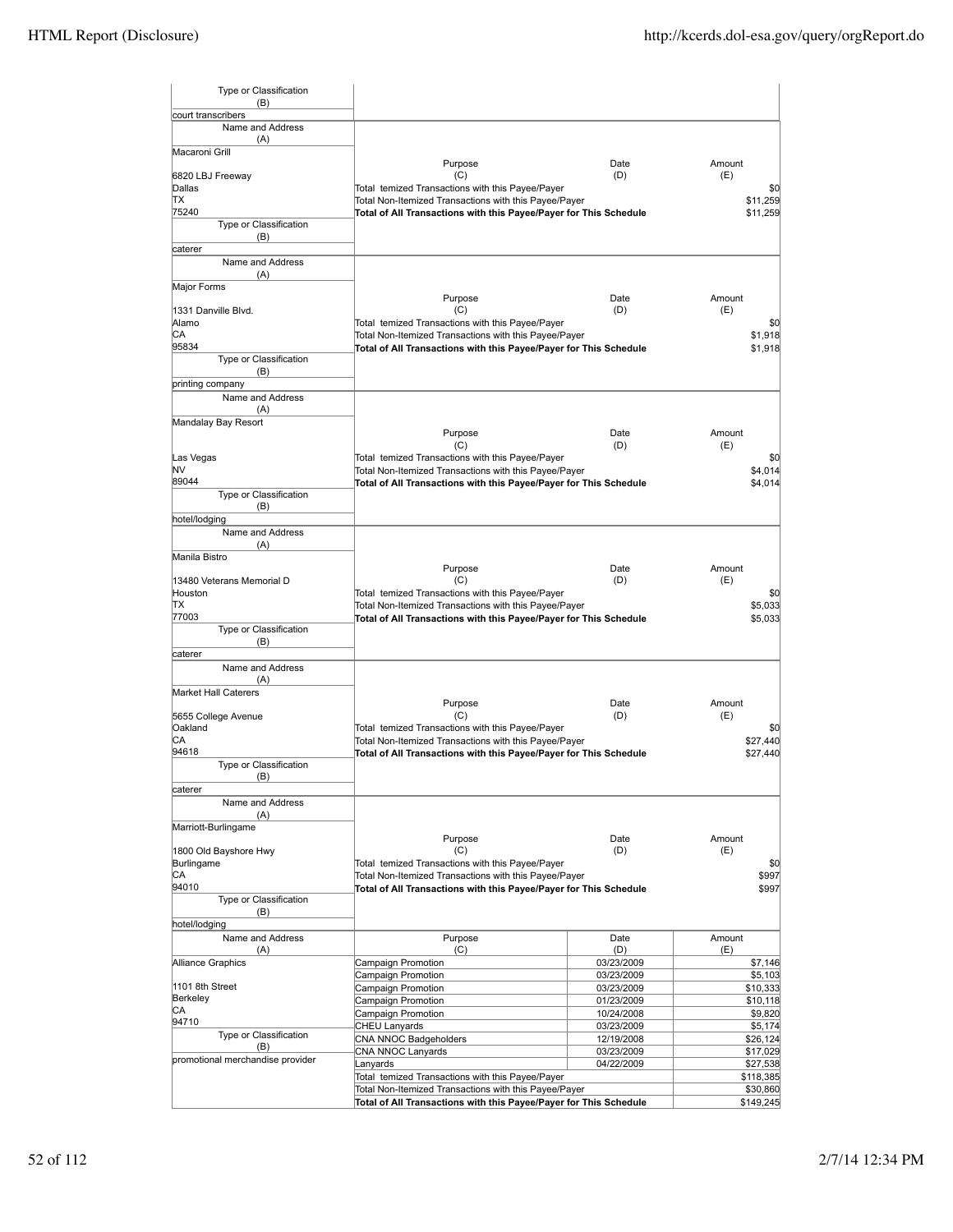| Type or Classification<br>(B)          |                                                                                                           |                          |                      |
|----------------------------------------|-----------------------------------------------------------------------------------------------------------|--------------------------|----------------------|
| court transcribers<br>Name and Address |                                                                                                           |                          |                      |
| (A)                                    |                                                                                                           |                          |                      |
| Macaroni Grill                         | Purpose                                                                                                   | Date                     | Amount               |
| 6820 LBJ Freeway                       | (C)                                                                                                       | (D)                      | (E)                  |
| Dallas                                 | Total temized Transactions with this Payee/Payer                                                          |                          | \$0                  |
| IΤX                                    | Total Non-Itemized Transactions with this Payee/Payer                                                     |                          | \$11,259             |
| 75240                                  | Total of All Transactions with this Payee/Payer for This Schedule                                         |                          | \$11,259             |
| Type or Classification<br>(B)          |                                                                                                           |                          |                      |
| caterer                                |                                                                                                           |                          |                      |
| Name and Address                       |                                                                                                           |                          |                      |
| (A)                                    |                                                                                                           |                          |                      |
| Major Forms                            |                                                                                                           |                          |                      |
|                                        | Purpose                                                                                                   | Date                     | Amount               |
| 1331 Danville Blvd.                    | (C)                                                                                                       | (D)                      | (E)                  |
| Alamo<br>CА                            | Total temized Transactions with this Payee/Payer<br>Total Non-Itemized Transactions with this Payee/Payer |                          | \$0<br>\$1,918       |
| 95834                                  | Total of All Transactions with this Payee/Payer for This Schedule                                         |                          | \$1,918              |
| Type or Classification                 |                                                                                                           |                          |                      |
| (B)                                    |                                                                                                           |                          |                      |
| printing company                       |                                                                                                           |                          |                      |
| Name and Address                       |                                                                                                           |                          |                      |
| (A)                                    |                                                                                                           |                          |                      |
| Mandalay Bay Resort                    |                                                                                                           |                          |                      |
|                                        | Purpose<br>(C)                                                                                            | Date<br>(D)              | Amount<br>(E)        |
| Las Vegas                              | Total temized Transactions with this Payee/Payer                                                          |                          | \$0                  |
| NV                                     | Total Non-Itemized Transactions with this Payee/Payer                                                     |                          | \$4,014              |
| 89044                                  | Total of All Transactions with this Payee/Payer for This Schedule                                         |                          | \$4,014              |
| Type or Classification                 |                                                                                                           |                          |                      |
| (B)                                    |                                                                                                           |                          |                      |
| hotel/lodging                          |                                                                                                           |                          |                      |
| Name and Address                       |                                                                                                           |                          |                      |
| (A)                                    |                                                                                                           |                          |                      |
| Manila Bistro                          | Purpose                                                                                                   | Date                     | Amount               |
| 13480 Veterans Memorial D              | (C)                                                                                                       | (D)                      | (E)                  |
| Houston                                | Total temized Transactions with this Payee/Payer                                                          |                          | \$0                  |
| ΠX                                     | Total Non-Itemized Transactions with this Payee/Payer                                                     |                          | \$5,033              |
| 77003                                  | Total of All Transactions with this Payee/Payer for This Schedule                                         |                          | \$5,033              |
| Type or Classification                 |                                                                                                           |                          |                      |
| (B)                                    |                                                                                                           |                          |                      |
| caterer                                |                                                                                                           |                          |                      |
| Name and Address<br>(A)                |                                                                                                           |                          |                      |
| <b>Market Hall Caterers</b>            |                                                                                                           |                          |                      |
|                                        | Purpose                                                                                                   | Date                     | Amount               |
| 5655 College Avenue                    | (C)                                                                                                       | (D)                      | (E)                  |
| Oakland                                | Total temized Transactions with this Payee/Payer                                                          |                          | \$0                  |
| IСA                                    | Total Non-Itemized Transactions with this Payee/Payer                                                     |                          | \$27,440             |
| 94618                                  | Total of All Transactions with this Payee/Payer for This Schedule                                         |                          | \$27,440             |
| Type or Classification                 |                                                                                                           |                          |                      |
| (B)<br>caterer                         |                                                                                                           |                          |                      |
| Name and Address                       |                                                                                                           |                          |                      |
| (A)                                    |                                                                                                           |                          |                      |
| Marriott-Burlingame                    |                                                                                                           |                          |                      |
|                                        | Purpose                                                                                                   | Date                     | Amount               |
| 1800 Old Bayshore Hwy                  | (C)                                                                                                       | (D)                      | (E)                  |
| Burlingame                             | Total temized Transactions with this Payee/Payer                                                          |                          | \$0                  |
| CA                                     | Total Non-Itemized Transactions with this Payee/Payer                                                     |                          | \$997                |
| 94010<br>Type or Classification        | Total of All Transactions with this Payee/Payer for This Schedule                                         |                          | \$997                |
| (B)                                    |                                                                                                           |                          |                      |
| hotel/lodging                          |                                                                                                           |                          |                      |
| Name and Address                       | Purpose                                                                                                   | Date                     | Amount               |
| (A)                                    | (C)                                                                                                       | (D)                      | (E)                  |
| Alliance Graphics                      | Campaign Promotion                                                                                        | 03/23/2009               | \$7,146              |
|                                        | Campaign Promotion                                                                                        | 03/23/2009               | \$5,103              |
| 1101 8th Street                        | Campaign Promotion                                                                                        | 03/23/2009               | \$10,333             |
| Berkeley<br>CA                         | Campaign Promotion                                                                                        | 01/23/2009               | \$10,118             |
| 94710                                  | Campaign Promotion                                                                                        | 10/24/2008               | \$9,820              |
| Type or Classification                 | CHEU Lanyards                                                                                             | 03/23/2009               | \$5,174              |
| (B)                                    | CNA NNOC Badgeholders<br>CNA NNOC Lanyards                                                                | 12/19/2008<br>03/23/2009 | \$26,124<br>\$17,029 |
| promotional merchandise provider       | Lanyards                                                                                                  | 04/22/2009               | \$27,538             |
|                                        | Total temized Transactions with this Payee/Payer                                                          |                          | \$118,385            |
|                                        | Total Non-Itemized Transactions with this Payee/Payer                                                     |                          | \$30,860             |
|                                        | Total of All Transactions with this Payee/Payer for This Schedule                                         |                          | \$149,245            |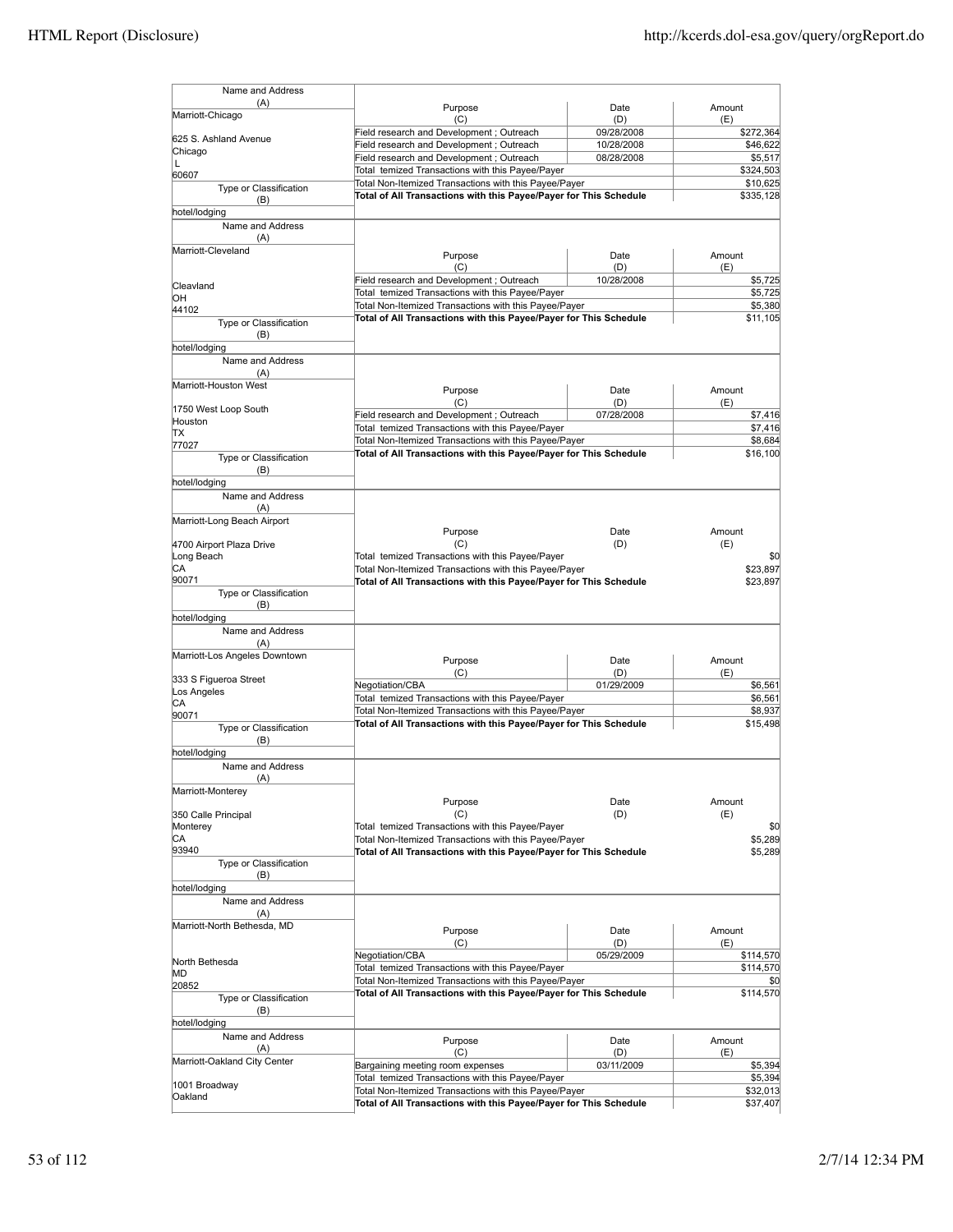| Name and Address                                                                                                                                                                                                                                                                                                                           |                                                                   |                                                       |                  |
|--------------------------------------------------------------------------------------------------------------------------------------------------------------------------------------------------------------------------------------------------------------------------------------------------------------------------------------------|-------------------------------------------------------------------|-------------------------------------------------------|------------------|
| (A)<br>Marriott-Chicago                                                                                                                                                                                                                                                                                                                    | Purpose<br>(C)                                                    | Date<br>(D)                                           | Amount<br>(E)    |
| 625 S. Ashland Avenue                                                                                                                                                                                                                                                                                                                      | Field research and Development ; Outreach                         | 09/28/2008                                            | \$272,364        |
| Chicago                                                                                                                                                                                                                                                                                                                                    | Field research and Development; Outreach                          | 10/28/2008                                            | \$46,622         |
| Г                                                                                                                                                                                                                                                                                                                                          | Field research and Development ; Outreach                         | 08/28/2008                                            | \$5,517          |
| 60607                                                                                                                                                                                                                                                                                                                                      | Total temized Transactions with this Payee/Payer                  |                                                       | \$324,503        |
| Type or Classification                                                                                                                                                                                                                                                                                                                     |                                                                   | Total Non-Itemized Transactions with this Payee/Payer |                  |
| (B)                                                                                                                                                                                                                                                                                                                                        | Total of All Transactions with this Payee/Payer for This Schedule |                                                       | \$335,128        |
| hotel/lodging                                                                                                                                                                                                                                                                                                                              |                                                                   |                                                       |                  |
| Name and Address<br>(A)                                                                                                                                                                                                                                                                                                                    |                                                                   |                                                       |                  |
| Marriott-Cleveland                                                                                                                                                                                                                                                                                                                         | Purpose                                                           | Date                                                  | Amount           |
|                                                                                                                                                                                                                                                                                                                                            | (C)                                                               | (D)                                                   | (E)              |
|                                                                                                                                                                                                                                                                                                                                            | Field research and Development; Outreach                          | 10/28/2008                                            | \$5,725          |
| Cleavland                                                                                                                                                                                                                                                                                                                                  | Total temized Transactions with this Payee/Payer                  |                                                       | \$5,725          |
| ЮH                                                                                                                                                                                                                                                                                                                                         | Total Non-Itemized Transactions with this Payee/Payer             |                                                       | \$5,380          |
| 44102                                                                                                                                                                                                                                                                                                                                      | Total of All Transactions with this Payee/Payer for This Schedule |                                                       | \$11,105         |
| Type or Classification                                                                                                                                                                                                                                                                                                                     |                                                                   |                                                       |                  |
| (B)                                                                                                                                                                                                                                                                                                                                        |                                                                   |                                                       |                  |
| hotel/lodging                                                                                                                                                                                                                                                                                                                              |                                                                   |                                                       |                  |
| Name and Address                                                                                                                                                                                                                                                                                                                           |                                                                   |                                                       |                  |
| (A)                                                                                                                                                                                                                                                                                                                                        |                                                                   |                                                       |                  |
| Marriott-Houston West                                                                                                                                                                                                                                                                                                                      | Purpose                                                           | Date                                                  | Amount           |
|                                                                                                                                                                                                                                                                                                                                            | (C)                                                               | (D)                                                   | (E)              |
| 1750 West Loop South                                                                                                                                                                                                                                                                                                                       | Field research and Development; Outreach                          | 07/28/2008                                            | \$7,416          |
| Houston                                                                                                                                                                                                                                                                                                                                    | Total temized Transactions with this Payee/Payer                  |                                                       | \$7,416          |
| TХ                                                                                                                                                                                                                                                                                                                                         | Total Non-Itemized Transactions with this Payee/Payer             |                                                       | \$8,684          |
| 77027                                                                                                                                                                                                                                                                                                                                      | Total of All Transactions with this Payee/Payer for This Schedule |                                                       | \$16,100         |
| Type or Classification                                                                                                                                                                                                                                                                                                                     |                                                                   |                                                       |                  |
| (B)                                                                                                                                                                                                                                                                                                                                        |                                                                   |                                                       |                  |
| hotel/lodging                                                                                                                                                                                                                                                                                                                              |                                                                   |                                                       |                  |
| Name and Address                                                                                                                                                                                                                                                                                                                           |                                                                   |                                                       |                  |
| (A)                                                                                                                                                                                                                                                                                                                                        |                                                                   |                                                       |                  |
| Marriott-Long Beach Airport                                                                                                                                                                                                                                                                                                                |                                                                   |                                                       |                  |
|                                                                                                                                                                                                                                                                                                                                            |                                                                   |                                                       | Amount           |
|                                                                                                                                                                                                                                                                                                                                            | Purpose                                                           | Date                                                  |                  |
|                                                                                                                                                                                                                                                                                                                                            | (C)                                                               | (D)                                                   | (E)              |
|                                                                                                                                                                                                                                                                                                                                            | Total temized Transactions with this Payee/Payer                  |                                                       | \$0              |
|                                                                                                                                                                                                                                                                                                                                            | Total Non-Itemized Transactions with this Payee/Payer             |                                                       | \$23,897         |
| 4700 Airport Plaza Drive<br>Long Beach<br>CА<br>90071                                                                                                                                                                                                                                                                                      | Total of All Transactions with this Payee/Payer for This Schedule |                                                       | \$23,897         |
| Type or Classification                                                                                                                                                                                                                                                                                                                     |                                                                   |                                                       |                  |
| (B)                                                                                                                                                                                                                                                                                                                                        |                                                                   |                                                       |                  |
|                                                                                                                                                                                                                                                                                                                                            |                                                                   |                                                       |                  |
| Name and Address                                                                                                                                                                                                                                                                                                                           |                                                                   |                                                       |                  |
| hotel/lodging                                                                                                                                                                                                                                                                                                                              |                                                                   |                                                       |                  |
| (A)                                                                                                                                                                                                                                                                                                                                        |                                                                   |                                                       |                  |
|                                                                                                                                                                                                                                                                                                                                            | Purpose                                                           | Date                                                  | Amount           |
|                                                                                                                                                                                                                                                                                                                                            | (C)                                                               | (D)                                                   | (E)              |
|                                                                                                                                                                                                                                                                                                                                            | Negotiation/CBA                                                   | 01/29/2009                                            | \$6,561          |
|                                                                                                                                                                                                                                                                                                                                            | Total temized Transactions with this Payee/Payer                  |                                                       | \$6.561          |
|                                                                                                                                                                                                                                                                                                                                            | Total Non-Itemized Transactions with this Payee/Payer             |                                                       | \$8,937          |
| Type or Classification                                                                                                                                                                                                                                                                                                                     | Total of All Transactions with this Payee/Payer for This Schedule |                                                       | \$15,498         |
| (B)                                                                                                                                                                                                                                                                                                                                        |                                                                   |                                                       |                  |
|                                                                                                                                                                                                                                                                                                                                            |                                                                   |                                                       |                  |
| Name and Address                                                                                                                                                                                                                                                                                                                           |                                                                   |                                                       |                  |
|                                                                                                                                                                                                                                                                                                                                            |                                                                   |                                                       |                  |
| (A)                                                                                                                                                                                                                                                                                                                                        |                                                                   |                                                       |                  |
|                                                                                                                                                                                                                                                                                                                                            | Purpose                                                           | Date                                                  | Amount           |
|                                                                                                                                                                                                                                                                                                                                            | (C)                                                               | (D)                                                   | (E)              |
|                                                                                                                                                                                                                                                                                                                                            | Total temized Transactions with this Payee/Payer                  |                                                       | \$0              |
|                                                                                                                                                                                                                                                                                                                                            |                                                                   |                                                       | \$5.289          |
|                                                                                                                                                                                                                                                                                                                                            | Total Non-Itemized Transactions with this Payee/Payer             |                                                       |                  |
| Type or Classification                                                                                                                                                                                                                                                                                                                     | Total of All Transactions with this Payee/Payer for This Schedule |                                                       | \$5,289          |
| (B)                                                                                                                                                                                                                                                                                                                                        |                                                                   |                                                       |                  |
|                                                                                                                                                                                                                                                                                                                                            |                                                                   |                                                       |                  |
|                                                                                                                                                                                                                                                                                                                                            |                                                                   |                                                       |                  |
| Name and Address                                                                                                                                                                                                                                                                                                                           |                                                                   |                                                       |                  |
| (A)                                                                                                                                                                                                                                                                                                                                        |                                                                   |                                                       |                  |
|                                                                                                                                                                                                                                                                                                                                            | Purpose                                                           | Date                                                  | Amount           |
|                                                                                                                                                                                                                                                                                                                                            | (C)                                                               | (D)                                                   | (E)              |
|                                                                                                                                                                                                                                                                                                                                            | Negotiation/CBA                                                   | 05/29/2009                                            | \$114,570        |
|                                                                                                                                                                                                                                                                                                                                            | Total temized Transactions with this Payee/Payer                  |                                                       | \$114,570        |
|                                                                                                                                                                                                                                                                                                                                            | Total Non-Itemized Transactions with this Payee/Payer             |                                                       |                  |
|                                                                                                                                                                                                                                                                                                                                            | Total of All Transactions with this Payee/Payer for This Schedule |                                                       |                  |
| Type or Classification                                                                                                                                                                                                                                                                                                                     |                                                                   |                                                       |                  |
| (B)                                                                                                                                                                                                                                                                                                                                        |                                                                   |                                                       | \$0<br>\$114,570 |
|                                                                                                                                                                                                                                                                                                                                            |                                                                   |                                                       |                  |
| Name and Address                                                                                                                                                                                                                                                                                                                           | Purpose                                                           | Date                                                  | Amount           |
| (A)                                                                                                                                                                                                                                                                                                                                        | (C)                                                               | (D)                                                   | (E)              |
|                                                                                                                                                                                                                                                                                                                                            | Bargaining meeting room expenses                                  | 03/11/2009                                            | \$5,394          |
|                                                                                                                                                                                                                                                                                                                                            | Total temized Transactions with this Payee/Payer                  |                                                       | \$5,394          |
| Marriott-Los Angeles Downtown<br>333 S Figueroa Street<br>Los Angeles<br>СA<br>90071<br>hotel/lodging<br>Marriott-Monterey<br>350 Calle Principal<br>Monterey<br>СA<br>93940<br>hotel/lodging<br>Marriott-North Bethesda, MD<br>North Bethesda<br>MD<br>20852<br>hotel/lodging<br>Marriott-Oakland City Center<br>1001 Broadway<br>Oakland | Total Non-Itemized Transactions with this Payee/Payer             |                                                       | \$32,013         |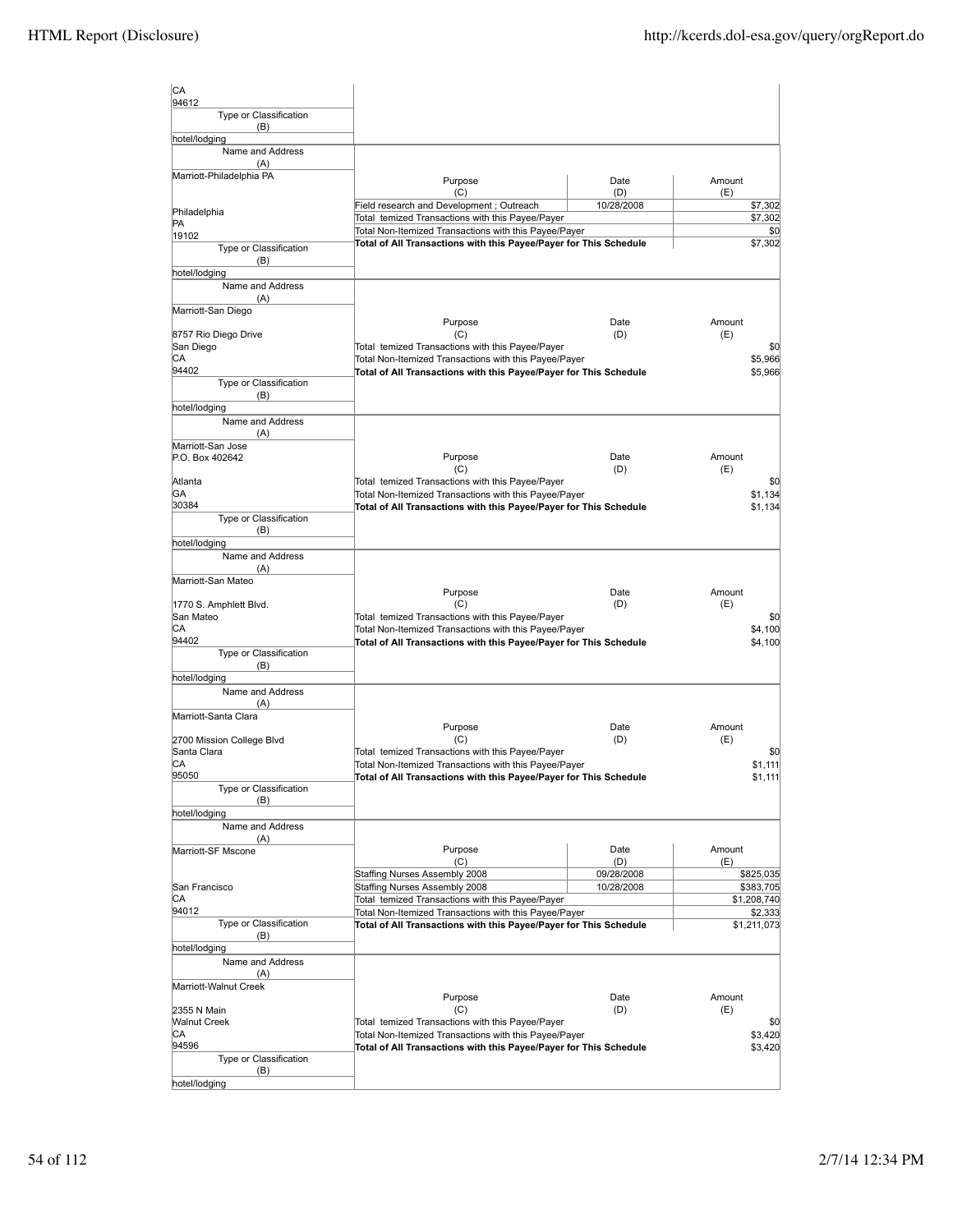| lсA<br>94612                      |                                                                                                                            |             |                          |
|-----------------------------------|----------------------------------------------------------------------------------------------------------------------------|-------------|--------------------------|
| Type or Classification<br>(B)     |                                                                                                                            |             |                          |
| hotel/lodging                     |                                                                                                                            |             |                          |
| Name and Address<br>(A)           |                                                                                                                            |             |                          |
| Marriott-Philadelphia PA          | Purpose<br>(C)                                                                                                             | Date<br>(D) | Amount<br>(E)            |
| Philadelphia                      | Field research and Development; Outreach                                                                                   | 10/28/2008  | \$7,302                  |
| PA                                | Total temized Transactions with this Payee/Payer                                                                           |             | \$7,302                  |
| 19102                             | Total Non-Itemized Transactions with this Payee/Payer<br>Total of All Transactions with this Payee/Payer for This Schedule |             | \$0<br>\$7,302           |
| Type or Classification<br>(B)     |                                                                                                                            |             |                          |
| hotel/lodging                     |                                                                                                                            |             |                          |
| Name and Address<br>(A)           |                                                                                                                            |             |                          |
| Marriott-San Diego                |                                                                                                                            |             |                          |
|                                   | Purpose<br>(C)                                                                                                             | Date<br>(D) | Amount                   |
| 8757 Rio Diego Drive<br>San Diego | Total temized Transactions with this Payee/Payer                                                                           |             | (E)<br>\$0               |
| CA                                | Total Non-Itemized Transactions with this Payee/Payer                                                                      |             | \$5,966                  |
| 94402<br>Type or Classification   | Total of All Transactions with this Payee/Payer for This Schedule                                                          |             | \$5,966                  |
| (B)                               |                                                                                                                            |             |                          |
| hotel/lodging                     |                                                                                                                            |             |                          |
| Name and Address<br>(A)           |                                                                                                                            |             |                          |
| Marriott-San Jose                 |                                                                                                                            |             |                          |
| P.O. Box 402642                   | Purpose<br>(C)                                                                                                             | Date<br>(D) | Amount<br>(E)            |
| Atlanta                           | Total temized Transactions with this Payee/Payer                                                                           |             | \$0                      |
| ΙGΑ                               | Total Non-Itemized Transactions with this Payee/Payer                                                                      |             | \$1.134                  |
| 30384<br>Type or Classification   | Total of All Transactions with this Payee/Payer for This Schedule                                                          |             | \$1.134                  |
| (B)                               |                                                                                                                            |             |                          |
| hotel/lodging<br>Name and Address |                                                                                                                            |             |                          |
| (A)                               |                                                                                                                            |             |                          |
| Marriott-San Mateo                |                                                                                                                            |             |                          |
| 1770 S. Amphlett Blvd.            | Purpose<br>(C)                                                                                                             | Date<br>(D) | Amount<br>(E)            |
| San Mateo                         | Total temized Transactions with this Payee/Payer                                                                           |             | \$0                      |
| IСA<br>94402                      | Total Non-Itemized Transactions with this Payee/Payer                                                                      |             | \$4,100                  |
| Type or Classification            | Total of All Transactions with this Payee/Payer for This Schedule                                                          |             | \$4,100                  |
| (B)                               |                                                                                                                            |             |                          |
| hotel/lodging<br>Name and Address |                                                                                                                            |             |                          |
| (A)                               |                                                                                                                            |             |                          |
| Marriott-Santa Clara              | Purpose                                                                                                                    | Date        | Amount                   |
| 2700 Mission College Blvd         | (C)                                                                                                                        | (D)         | (E)                      |
| Santa Clara                       | Total temized Transactions with this Payee/Payer                                                                           |             | \$0                      |
| IСA<br>95050                      | Total Non-Itemized Transactions with this Payee/Payer<br>Total of All Transactions with this Payee/Payer for This Schedule |             | \$1,111<br>\$1,111       |
| Type or Classification            |                                                                                                                            |             |                          |
| (B)<br>hotel/lodging              |                                                                                                                            |             |                          |
| Name and Address                  |                                                                                                                            |             |                          |
| (A)                               |                                                                                                                            |             |                          |
| Marriott-SF Mscone                | Purpose<br>(C)                                                                                                             | Date<br>(D) | Amount<br>(E)            |
|                                   | Staffing Nurses Assembly 2008                                                                                              | 09/28/2008  | \$825,035                |
| San Francisco<br>IСA              | Staffing Nurses Assembly 2008<br>Total temized Transactions with this Payee/Payer                                          | 10/28/2008  | \$383,705<br>\$1,208,740 |
| 94012                             | Total Non-Itemized Transactions with this Payee/Payer                                                                      |             | \$2,333                  |
| Type or Classification            | Total of All Transactions with this Payee/Payer for This Schedule                                                          |             | \$1,211,073              |
| (B)<br>hotel/lodging              |                                                                                                                            |             |                          |
| Name and Address                  |                                                                                                                            |             |                          |
| (A)                               |                                                                                                                            |             |                          |
| Marriott-Walnut Creek             | Purpose                                                                                                                    | Date        | Amount                   |
| 2355 N Main                       | (C)                                                                                                                        | (D)         | (E)                      |
| <b>Walnut Creek</b><br>CА         | Total temized Transactions with this Payee/Payer<br>Total Non-Itemized Transactions with this Payee/Payer                  |             | \$0<br>\$3,420           |
| 94596                             | Total of All Transactions with this Payee/Payer for This Schedule                                                          |             | \$3,420                  |
| Type or Classification            |                                                                                                                            |             |                          |
| (B)<br>hotel/lodging              |                                                                                                                            |             |                          |
|                                   |                                                                                                                            |             |                          |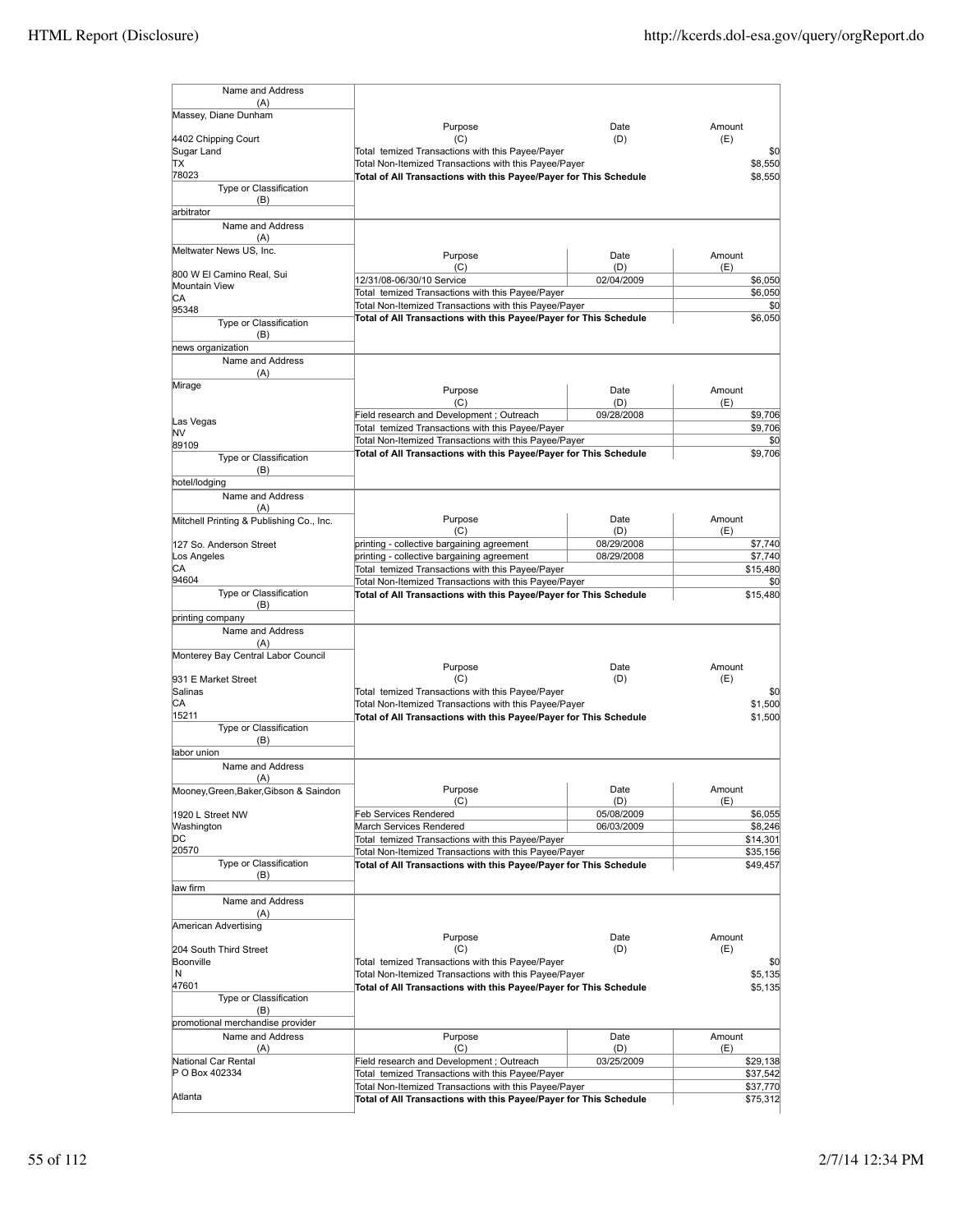| Name and Address                                     |                                                                                                                            |                   |                      |
|------------------------------------------------------|----------------------------------------------------------------------------------------------------------------------------|-------------------|----------------------|
| (A)<br>Massey, Diane Dunham                          |                                                                                                                            |                   |                      |
|                                                      | Purpose                                                                                                                    | Date              | Amount               |
| 4402 Chipping Court                                  | (C)                                                                                                                        | (D)               | (E)                  |
| Sugar Land<br>ΠX                                     | Total temized Transactions with this Payee/Payer<br>Total Non-Itemized Transactions with this Payee/Payer                  | \$0<br>\$8,550    |                      |
| 78023                                                | Total of All Transactions with this Payee/Payer for This Schedule                                                          |                   | \$8,550              |
| Type or Classification                               |                                                                                                                            |                   |                      |
| (B)<br>arbitrator                                    |                                                                                                                            |                   |                      |
| Name and Address                                     |                                                                                                                            |                   |                      |
| (A)                                                  |                                                                                                                            |                   |                      |
| Meltwater News US, Inc.                              | Purpose                                                                                                                    | Date              | Amount               |
| 800 W El Camino Real, Sui                            | (C)                                                                                                                        | (D)               | (E)                  |
| Mountain View                                        | 12/31/08-06/30/10 Service<br>Total temized Transactions with this Payee/Payer                                              | 02/04/2009        | \$6,050<br>\$6,050   |
| СA<br>95348                                          | Total Non-Itemized Transactions with this Payee/Payer                                                                      |                   | \$0                  |
| Type or Classification                               | Total of All Transactions with this Payee/Payer for This Schedule                                                          |                   | \$6,050              |
| (B)                                                  |                                                                                                                            |                   |                      |
| news organization                                    |                                                                                                                            |                   |                      |
| Name and Address<br>(A)                              |                                                                                                                            |                   |                      |
| Mirage                                               |                                                                                                                            |                   |                      |
|                                                      | Purpose<br>(C)                                                                                                             | Date<br>(D)       | Amount<br>(E)        |
|                                                      | Field research and Development; Outreach                                                                                   | 09/28/2008        | \$9,706              |
| Las Vegas<br>NV                                      | Total temized Transactions with this Payee/Payer                                                                           |                   | \$9,706              |
| 89109                                                | Total Non-Itemized Transactions with this Payee/Payer                                                                      |                   | \$0                  |
| Type or Classification                               | Total of All Transactions with this Payee/Payer for This Schedule                                                          |                   | \$9,706              |
| (B)<br>hotel/lodging                                 |                                                                                                                            |                   |                      |
| Name and Address                                     |                                                                                                                            |                   |                      |
| (A)                                                  |                                                                                                                            |                   |                      |
| Mitchell Printing & Publishing Co., Inc.             | Purpose                                                                                                                    | Date              | Amount               |
| 127 So. Anderson Street                              | (C)<br>printing - collective bargaining agreement                                                                          | (D)<br>08/29/2008 | (E)<br>\$7,740       |
| Los Angeles                                          | printing - collective bargaining agreement                                                                                 | 08/29/2008        | \$7,740              |
| СA                                                   | Total temized Transactions with this Payee/Payer                                                                           |                   | \$15,480             |
| 94604<br>Type or Classification                      | Total Non-Itemized Transactions with this Payee/Payer                                                                      |                   | \$0                  |
| (B)                                                  | Total of All Transactions with this Payee/Payer for This Schedule                                                          |                   | \$15,480             |
| printing company                                     |                                                                                                                            |                   |                      |
| Name and Address                                     |                                                                                                                            |                   |                      |
| (A)<br>Monterey Bay Central Labor Council            |                                                                                                                            |                   |                      |
|                                                      | Purpose                                                                                                                    | Date              | Amount               |
| 931 E Market Street                                  | (C)                                                                                                                        | (D)               | (E)                  |
| Salinas<br>CА                                        | Total temized Transactions with this Payee/Payer<br>Total Non-Itemized Transactions with this Payee/Payer                  |                   | \$0<br>\$1,500       |
| 15211                                                | Total of All Transactions with this Payee/Payer for This Schedule                                                          |                   | \$1,500              |
| Type or Classification                               |                                                                                                                            |                   |                      |
| (B)<br>labor union                                   |                                                                                                                            |                   |                      |
| Name and Address                                     |                                                                                                                            |                   |                      |
| (A)                                                  |                                                                                                                            |                   |                      |
| Mooney, Green, Baker, Gibson & Saindon               | Purpose                                                                                                                    | Date              | Amount               |
| 1920 L Street NW                                     | (C)<br>Feb Services Rendered                                                                                               | (D)<br>05/08/2009 | (E)<br>\$6,055       |
| Washington                                           | March Services Rendered                                                                                                    | 06/03/2009        | \$8,246              |
| DС                                                   | Total temized Transactions with this Payee/Payer                                                                           |                   | \$14,301             |
| 20570<br>Type or Classification                      | Total Non-Itemized Transactions with this Payee/Payer                                                                      |                   | \$35,156             |
| (B)                                                  | Total of All Transactions with this Payee/Payer for This Schedule                                                          |                   | \$49,457             |
| law firm                                             |                                                                                                                            |                   |                      |
| Name and Address                                     |                                                                                                                            |                   |                      |
| (A)<br>American Advertising                          |                                                                                                                            |                   |                      |
|                                                      | Purpose                                                                                                                    | Date              | Amount               |
| 204 South Third Street                               | (C)                                                                                                                        | (D)               | (E)                  |
| Boonville<br>N                                       | Total temized Transactions with this Payee/Payer<br>Total Non-Itemized Transactions with this Payee/Payer                  |                   | \$0<br>\$5,135       |
| 47601                                                | Total of All Transactions with this Payee/Payer for This Schedule                                                          |                   | \$5,135              |
| Type or Classification                               |                                                                                                                            |                   |                      |
| (B)                                                  |                                                                                                                            |                   |                      |
| promotional merchandise provider<br>Name and Address | Purpose                                                                                                                    | Date              | Amount               |
| (A)                                                  | (C)                                                                                                                        | (D)               | (E)                  |
| National Car Rental                                  | Field research and Development; Outreach                                                                                   | 03/25/2009        | \$29,138             |
| P O Box 402334                                       | Total temized Transactions with this Payee/Payer                                                                           |                   | \$37,542             |
| Atlanta                                              | Total Non-Itemized Transactions with this Payee/Payer<br>Total of All Transactions with this Payee/Payer for This Schedule |                   | \$37,770<br>\$75,312 |
|                                                      |                                                                                                                            |                   |                      |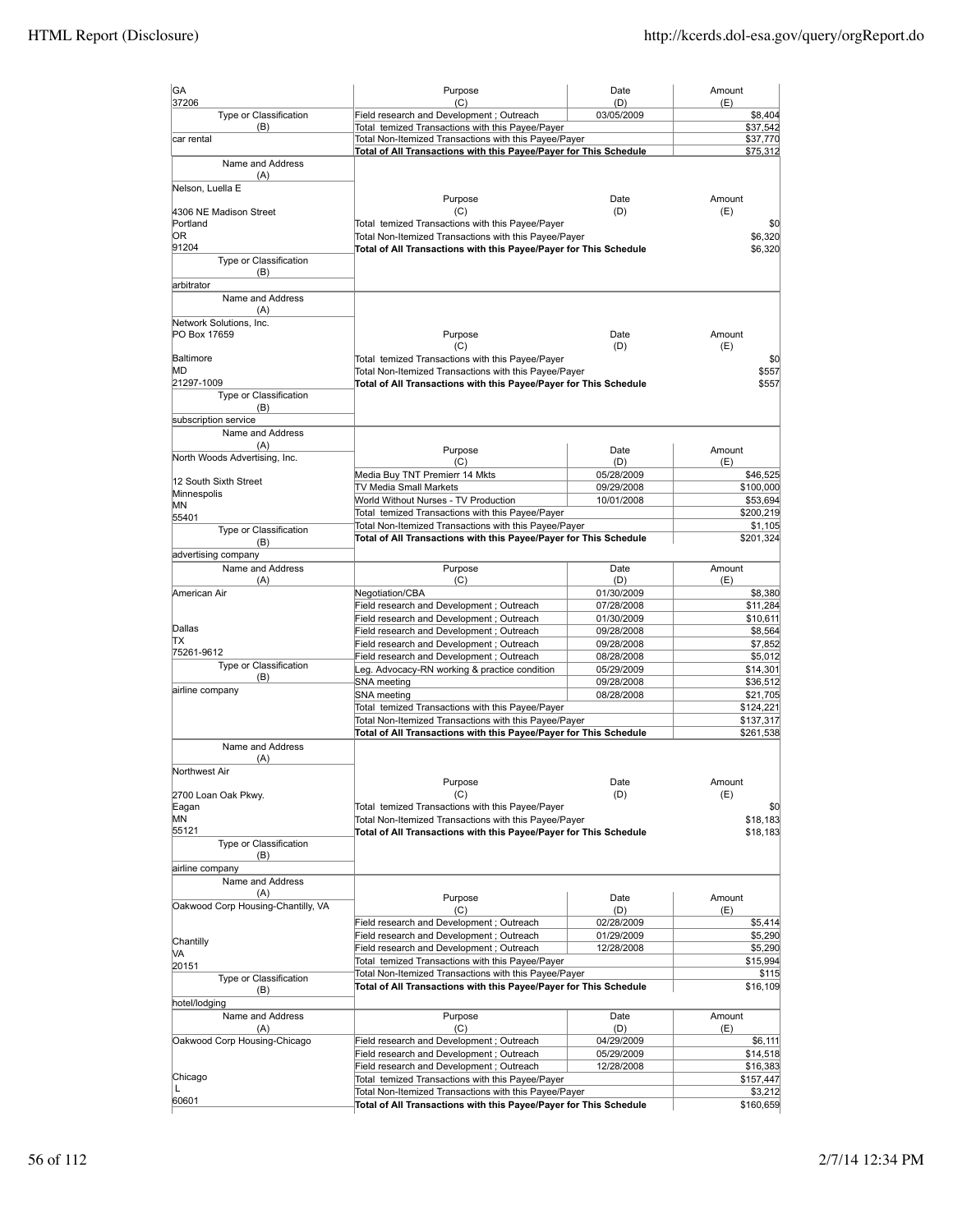| GA<br>37206                               | Purpose<br>(C)                                                                                                             | Date<br>(D)              | Amount<br>(E)        |
|-------------------------------------------|----------------------------------------------------------------------------------------------------------------------------|--------------------------|----------------------|
| Type or Classification                    | Field research and Development ; Outreach                                                                                  | 03/05/2009               | \$8,404              |
| (B)                                       | Total temized Transactions with this Payee/Payer                                                                           |                          | \$37,542             |
| car rental                                | Total Non-Itemized Transactions with this Payee/Payer<br>Total of All Transactions with this Payee/Payer for This Schedule |                          | \$37,770<br>\$75,312 |
| Name and Address                          |                                                                                                                            |                          |                      |
| (A)<br>Nelson, Luella E                   |                                                                                                                            |                          |                      |
|                                           | Purpose                                                                                                                    | Date                     | Amount               |
| 4306 NE Madison Street<br>Portland        | (C)<br>Total temized Transactions with this Payee/Payer                                                                    | (D)                      | (E)<br>\$0           |
| 0R                                        | Total Non-Itemized Transactions with this Payee/Payer                                                                      |                          | \$6,320              |
| 91204                                     | Total of All Transactions with this Payee/Payer for This Schedule                                                          |                          | \$6,320              |
| Type or Classification                    |                                                                                                                            |                          |                      |
| (B)                                       |                                                                                                                            |                          |                      |
| arbitrator<br>Name and Address            |                                                                                                                            |                          |                      |
| (A)                                       |                                                                                                                            |                          |                      |
| Network Solutions, Inc.                   |                                                                                                                            |                          |                      |
| PO Box 17659                              | Purpose                                                                                                                    | Date                     | Amount               |
| Baltimore                                 | (C)                                                                                                                        | (D)                      | (E)                  |
| МD                                        | Total temized Transactions with this Payee/Payer<br>Total Non-Itemized Transactions with this Payee/Payer                  |                          | \$0<br>\$557         |
| 21297-1009                                | Total of All Transactions with this Payee/Payer for This Schedule                                                          |                          | \$557                |
| Type or Classification                    |                                                                                                                            |                          |                      |
| (B)                                       |                                                                                                                            |                          |                      |
| subscription service<br>Name and Address  |                                                                                                                            |                          |                      |
| (A)                                       |                                                                                                                            |                          |                      |
| North Woods Advertising, Inc.             | Purpose                                                                                                                    | Date                     | Amount               |
|                                           | (C)<br>Media Buy TNT Premierr 14 Mkts                                                                                      | (D)<br>05/28/2009        | (E)<br>\$46,525      |
| 12 South Sixth Street                     | TV Media Small Markets                                                                                                     | 09/29/2008               | \$100,000            |
| Minnespolis<br>ΜN                         | World Without Nurses - TV Production                                                                                       | 10/01/2008               | \$53,694             |
| 55401                                     | Total temized Transactions with this Payee/Payer                                                                           |                          | \$200,219            |
| Type or Classification                    | Total Non-Itemized Transactions with this Payee/Payer                                                                      |                          | \$1,105              |
| (B)                                       | Total of All Transactions with this Payee/Payer for This Schedule                                                          |                          | \$201,324            |
| advertising company                       |                                                                                                                            |                          |                      |
| Name and Address                          | Purpose                                                                                                                    | Date                     | Amount               |
| (A)<br>American Air                       | (C)<br>Negotiation/CBA                                                                                                     | (D)<br>01/30/2009        | (E)<br>\$8,380       |
|                                           | Field research and Development; Outreach                                                                                   | 07/28/2008               | \$11,284             |
|                                           | Field research and Development; Outreach                                                                                   | 01/30/2009               | \$10,611             |
| Dallas                                    | Field research and Development; Outreach                                                                                   | 09/28/2008               | \$8,564              |
| lΤX<br>75261-9612                         | Field research and Development; Outreach                                                                                   | 09/28/2008               | \$7,852              |
| Type or Classification                    | Field research and Development; Outreach                                                                                   | 08/28/2008               | \$5,012              |
| (B)                                       | Leg. Advocacy-RN working & practice condition<br>SNA meeting                                                               | 05/29/2009<br>09/28/2008 | \$14,301<br>\$36,512 |
| airline company                           | SNA meeting                                                                                                                | 08/28/2008               | \$21,705             |
|                                           | Total temized Transactions with this Payee/Payer                                                                           |                          | \$124,221            |
|                                           | Total Non-Itemized Transactions with this Payee/Payer                                                                      |                          | \$137,317            |
|                                           | Total of All Transactions with this Payee/Payer for This Schedule                                                          |                          | \$261,538            |
| Name and Address                          |                                                                                                                            |                          |                      |
| (A)<br>Northwest Air                      |                                                                                                                            |                          |                      |
|                                           | Purpose                                                                                                                    | Date                     | Amount               |
| 2700 Loan Oak Pkwy.                       | (C)                                                                                                                        | (D)                      | (E)                  |
| Eagan<br>ΜN                               | Total temized Transactions with this Payee/Payer                                                                           |                          | \$0                  |
| 55121                                     | Total Non-Itemized Transactions with this Payee/Payer<br>Total of All Transactions with this Payee/Payer for This Schedule |                          | \$18,183<br>\$18,183 |
| Type or Classification                    |                                                                                                                            |                          |                      |
| (B)                                       |                                                                                                                            |                          |                      |
| airline company                           |                                                                                                                            |                          |                      |
| Name and Address                          |                                                                                                                            |                          |                      |
| (A)<br>Oakwood Corp Housing-Chantilly, VA | Purpose                                                                                                                    | Date                     | Amount               |
|                                           | (C)<br>Field research and Development; Outreach                                                                            | (D)<br>02/28/2009        | (E)<br>\$5,414       |
|                                           | Field research and Development ; Outreach                                                                                  | 01/29/2009               | \$5,290              |
| Chantilly                                 | Field research and Development; Outreach                                                                                   | 12/28/2008               | \$5,290              |
| MА<br>20151                               | Total temized Transactions with this Payee/Payer                                                                           |                          | \$15,994             |
| Type or Classification                    | Total Non-Itemized Transactions with this Payee/Payer                                                                      |                          | \$115                |
| (B)                                       | Total of All Transactions with this Payee/Payer for This Schedule                                                          |                          | \$16,109             |
| hotel/lodging                             |                                                                                                                            |                          |                      |
| Name and Address                          | Purpose                                                                                                                    | Date                     | Amount               |
| (A)                                       | (C)                                                                                                                        | (D)                      | (E)                  |
| Oakwood Corp Housing-Chicago              | Field research and Development; Outreach<br>Field research and Development; Outreach                                       | 04/29/2009<br>05/29/2009 | \$6,111<br>\$14,518  |
|                                           | Field research and Development; Outreach                                                                                   | 12/28/2008               | \$16,383             |
| Chicago                                   | Total temized Transactions with this Payee/Payer                                                                           |                          | \$157,447            |
| L                                         | Total Non-Itemized Transactions with this Payee/Payer                                                                      |                          | \$3,212              |
| 60601                                     | Total of All Transactions with this Payee/Payer for This Schedule                                                          |                          | \$160,659            |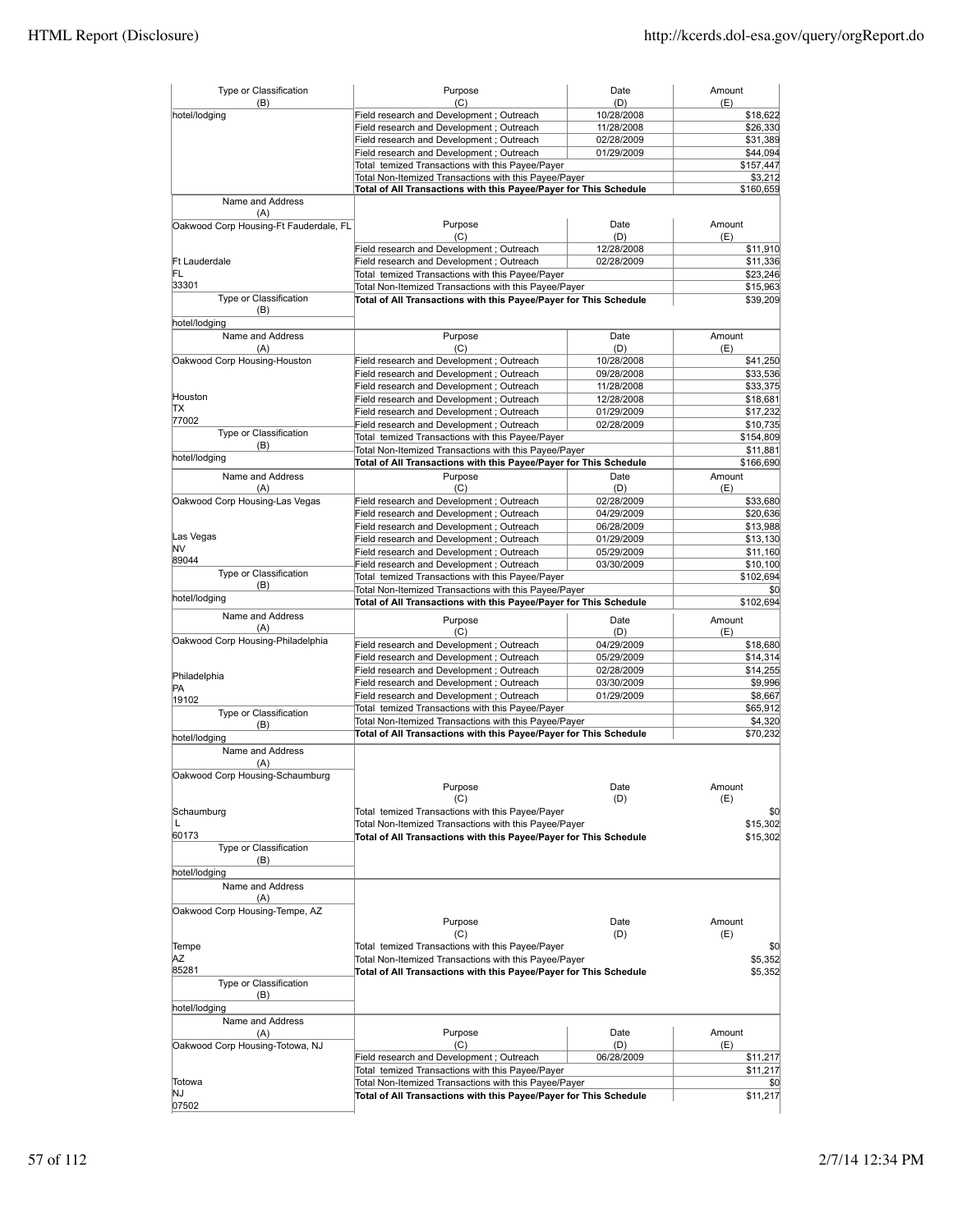| Type or Classification<br>(B)          | Purpose<br>(C)                                                    | Date<br>(D) | Amount<br>(E) |
|----------------------------------------|-------------------------------------------------------------------|-------------|---------------|
| hotel/lodging                          | Field research and Development ; Outreach                         | 10/28/2008  | \$18,622      |
|                                        | Field research and Development ; Outreach                         | 11/28/2008  | \$26,330      |
|                                        | Field research and Development; Outreach                          | 02/28/2009  | \$31,389      |
|                                        | Field research and Development; Outreach                          | 01/29/2009  | \$44,094      |
|                                        | Total temized Transactions with this Pavee/Paver                  |             | \$157,447     |
|                                        | Total Non-Itemized Transactions with this Payee/Payer             |             | \$3,212       |
|                                        | Total of All Transactions with this Payee/Payer for This Schedule |             | \$160,659     |
| Name and Address                       |                                                                   |             |               |
| (A)                                    |                                                                   |             |               |
| Oakwood Corp Housing-Ft Fauderdale, FL | Purpose                                                           | Date        | Amount        |
|                                        | (C)                                                               | (D)         | (E)           |
|                                        | Field research and Development; Outreach                          | 12/28/2008  | \$11,910      |
| <b>Ft Lauderdale</b>                   | Field research and Development ; Outreach                         | 02/28/2009  | \$11,336      |
| FL                                     | Total temized Transactions with this Payee/Payer                  |             | \$23,246      |
| 33301                                  | Total Non-Itemized Transactions with this Payee/Payer             |             | \$15,963      |
| Type or Classification                 | Total of All Transactions with this Payee/Payer for This Schedule |             | \$39,209      |
| (B)                                    |                                                                   |             |               |
| hotel/lodging                          |                                                                   |             |               |
| Name and Address                       | Purpose                                                           | Date        | Amount        |
| (A)                                    | (C)                                                               | (D)         | (E)           |
| Oakwood Corp Housing-Houston           | Field research and Development; Outreach                          | 10/28/2008  | \$41,250      |
|                                        | Field research and Development; Outreach                          | 09/28/2008  | \$33,536      |
|                                        | Field research and Development ; Outreach                         | 11/28/2008  | \$33,375      |
| Houston                                | Field research and Development; Outreach                          | 12/28/2008  | \$18,681      |
| lΤX                                    | Field research and Development; Outreach                          | 01/29/2009  | \$17,232      |
| 77002                                  | Field research and Development; Outreach                          | 02/28/2009  | \$10,735      |
| Type or Classification                 | Total temized Transactions with this Payee/Payer                  |             | \$154,809     |
| (B)                                    | Total Non-Itemized Transactions with this Payee/Payer             |             | \$11,881      |
| hotel/lodging                          |                                                                   |             |               |
|                                        | Total of All Transactions with this Payee/Payer for This Schedule |             | \$166,690     |
| Name and Address                       | Purpose                                                           | Date        | Amount        |
| (A)                                    | (C)                                                               | (D)         | (E)           |
| Oakwood Corp Housing-Las Vegas         | Field research and Development; Outreach                          | 02/28/2009  | \$33,680      |
|                                        | Field research and Development ; Outreach                         | 04/29/2009  | \$20,636      |
|                                        | Field research and Development; Outreach                          | 06/28/2009  | \$13,988      |
| Las Vegas                              | Field research and Development; Outreach                          | 01/29/2009  | \$13,130      |
| NV                                     | Field research and Development; Outreach                          | 05/29/2009  | \$11,160      |
| 89044                                  | Field research and Development ; Outreach                         | 03/30/2009  | \$10,100      |
| Type or Classification                 | Total temized Transactions with this Payee/Payer                  |             | \$102,694     |
| (B)                                    | Total Non-Itemized Transactions with this Payee/Payer             |             | \$0           |
| hotel/lodging                          | Total of All Transactions with this Payee/Payer for This Schedule |             | \$102,694     |
| Name and Address                       | Purpose                                                           | Date        | Amount        |
| (A)                                    | (C)                                                               | (D)         | (E)           |
| Oakwood Corp Housing-Philadelphia      | Field research and Development; Outreach                          | 04/29/2009  | \$18,680      |
|                                        |                                                                   |             |               |
|                                        | Field research and Development; Outreach                          | 05/29/2009  | \$14,314      |
| Philadelphia                           | Field research and Development; Outreach                          | 02/28/2009  | \$14,255      |
| PA                                     | Field research and Development; Outreach                          | 03/30/2009  | \$9,996       |
| 19102                                  | Field research and Development ; Outreach                         | 01/29/2009  | \$8,667       |
| Type or Classification                 | Total temized Transactions with this Payee/Payer                  |             | \$65,912      |
| (B)                                    | Total Non-Itemized Transactions with this Payee/Payer             |             | \$4,320       |
| hotel/lodging                          | Total of All Transactions with this Payee/Payer for This Schedule |             | \$70,232      |
| Name and Address                       |                                                                   |             |               |
| (A)                                    |                                                                   |             |               |
| Oakwood Corp Housing-Schaumburg        |                                                                   |             |               |
|                                        | Purpose                                                           | Date        | Amount        |
|                                        | (C)                                                               | (D)         | (E)           |
| Schaumburg                             | Total temized Transactions with this Payee/Payer                  |             | \$0           |
| Г                                      | Total Non-Itemized Transactions with this Payee/Payer             |             | \$15,302      |
| 60173                                  | Total of All Transactions with this Payee/Payer for This Schedule |             | \$15,302      |
| Type or Classification                 |                                                                   |             |               |
| (B)                                    |                                                                   |             |               |
| hotel/lodging                          |                                                                   |             |               |
| Name and Address                       |                                                                   |             |               |
| (A)                                    |                                                                   |             |               |
| Oakwood Corp Housing-Tempe, AZ         |                                                                   |             |               |
|                                        | Purpose                                                           | Date        | Amount        |
|                                        | (C)                                                               | (D)         | (E)           |
| Tempe                                  | Total temized Transactions with this Payee/Payer                  |             | \$0           |
| ΑZ                                     | Total Non-Itemized Transactions with this Payee/Payer             |             | \$5,352       |
| 85281                                  | Total of All Transactions with this Payee/Payer for This Schedule |             | \$5,352       |
| Type or Classification                 |                                                                   |             |               |
| (B)                                    |                                                                   |             |               |
| hotel/lodging                          |                                                                   |             |               |
| Name and Address                       |                                                                   |             |               |
|                                        | Purpose                                                           | Date        | Amount        |
| (A)                                    | (C)                                                               | (D)         | (E)           |
| Oakwood Corp Housing-Totowa, NJ        |                                                                   |             |               |
|                                        | Field research and Development ; Outreach                         | 06/28/2009  | \$11,217      |
| Totowa                                 | Total temized Transactions with this Payee/Payer                  |             | \$11,217      |
| NJ                                     | Total Non-Itemized Transactions with this Payee/Payer             |             | \$0           |
| 07502                                  | Total of All Transactions with this Payee/Payer for This Schedule |             | \$11,217      |
|                                        |                                                                   |             |               |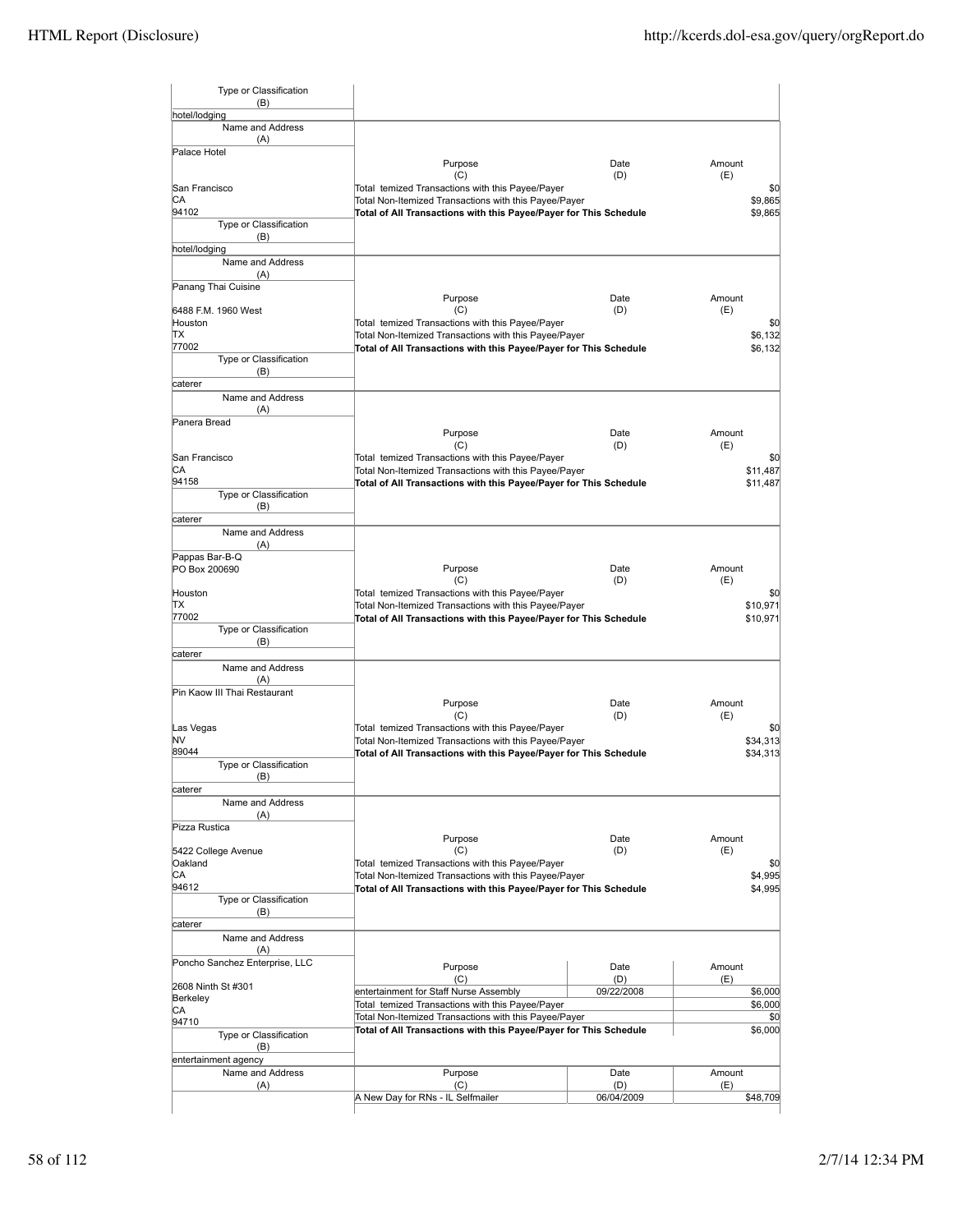| hotel/lodging<br>Name and Address<br>(A)<br>Palace Hotel<br>Purpose<br>Date<br>Amount<br>(D)<br>(C)<br>(E)<br>Total temized Transactions with this Payee/Payer<br>San Francisco<br>СA<br>Total Non-Itemized Transactions with this Payee/Payer<br>94102<br>Total of All Transactions with this Payee/Payer for This Schedule<br>Type or Classification<br>(B)<br>hotel/lodging<br>Name and Address<br>(A)<br>Panang Thai Cuisine<br>Purpose<br>Amount<br>Date<br>(C)<br>(D)<br>(E)<br>6488 F.M. 1960 West<br>Total temized Transactions with this Payee/Payer<br>Houston<br>ТX<br>Total Non-Itemized Transactions with this Payee/Payer<br>77002<br>Total of All Transactions with this Payee/Payer for This Schedule<br>Type or Classification<br>(B)<br>caterer<br>Name and Address<br>(A)<br>Panera Bread<br>Purpose<br>Date<br>Amount<br>(D)<br>(C)<br>(E)<br>Total temized Transactions with this Payee/Payer<br>San Francisco<br>СA<br>Total Non-Itemized Transactions with this Payee/Payer<br>94158<br>Total of All Transactions with this Payee/Payer for This Schedule<br>Type or Classification<br>(B)<br>caterer<br>Name and Address<br>(A)<br>Pappas Bar-B-Q<br>Purpose<br>Date<br>Amount<br>PO Box 200690<br>(C)<br>(D)<br>(E)<br>Total temized Transactions with this Payee/Payer<br>Houston<br>ТX<br>Total Non-Itemized Transactions with this Payee/Payer<br>77002<br>Total of All Transactions with this Payee/Payer for This Schedule<br>Type or Classification<br>(B)<br>caterer<br>Name and Address<br>(A)<br>Pin Kaow III Thai Restaurant<br>Purpose<br>Date<br>Amount<br>(C)<br>(D)<br>(E)<br>Las Vegas<br>Total temized Transactions with this Payee/Payer<br>NV<br>Total Non-Itemized Transactions with this Payee/Payer<br>89044<br>Total of All Transactions with this Payee/Payer for This Schedule<br>Type or Classification<br>(B)<br>caterer<br>Name and Address<br>(A)<br>Pizza Rustica<br>Purpose<br>Amount<br>Date<br>(C)<br>(E)<br>5422 College Avenue<br>(D)<br>Oakland<br>Total temized Transactions with this Payee/Payer<br>СA<br>Total Non-Itemized Transactions with this Payee/Payer<br>94612<br>Total of All Transactions with this Payee/Payer for This Schedule<br>Type or Classification<br>(B)<br>caterer<br>Name and Address<br>(A)<br>Poncho Sanchez Enterprise, LLC<br>Amount<br>Purpose<br>Date<br>(C)<br>(D)<br>(E)<br>2608 Ninth St #301<br>entertainment for Staff Nurse Assembly<br>09/22/2008<br>Berkeley<br>Total temized Transactions with this Payee/Payer<br>СA<br>Total Non-Itemized Transactions with this Payee/Payer<br>94710<br>Total of All Transactions with this Payee/Payer for This Schedule<br>Type or Classification<br>(B)<br>entertainment agency<br>Name and Address<br>Purpose<br>Date<br>Amount<br>(A)<br>(C)<br>(D)<br>(E)<br>A New Day for RNs - IL Selfmailer<br>06/04/2009 | Type or Classification<br>(B) |  |  |
|-------------------------------------------------------------------------------------------------------------------------------------------------------------------------------------------------------------------------------------------------------------------------------------------------------------------------------------------------------------------------------------------------------------------------------------------------------------------------------------------------------------------------------------------------------------------------------------------------------------------------------------------------------------------------------------------------------------------------------------------------------------------------------------------------------------------------------------------------------------------------------------------------------------------------------------------------------------------------------------------------------------------------------------------------------------------------------------------------------------------------------------------------------------------------------------------------------------------------------------------------------------------------------------------------------------------------------------------------------------------------------------------------------------------------------------------------------------------------------------------------------------------------------------------------------------------------------------------------------------------------------------------------------------------------------------------------------------------------------------------------------------------------------------------------------------------------------------------------------------------------------------------------------------------------------------------------------------------------------------------------------------------------------------------------------------------------------------------------------------------------------------------------------------------------------------------------------------------------------------------------------------------------------------------------------------------------------------------------------------------------------------------------------------------------------------------------------------------------------------------------------------------------------------------------------------------------------------------------------------------------------------------------------------------------------------------------------------------------------------------------------------------------------------------------------------------------------------------------------------|-------------------------------|--|--|
|                                                                                                                                                                                                                                                                                                                                                                                                                                                                                                                                                                                                                                                                                                                                                                                                                                                                                                                                                                                                                                                                                                                                                                                                                                                                                                                                                                                                                                                                                                                                                                                                                                                                                                                                                                                                                                                                                                                                                                                                                                                                                                                                                                                                                                                                                                                                                                                                                                                                                                                                                                                                                                                                                                                                                                                                                                                             |                               |  |  |
|                                                                                                                                                                                                                                                                                                                                                                                                                                                                                                                                                                                                                                                                                                                                                                                                                                                                                                                                                                                                                                                                                                                                                                                                                                                                                                                                                                                                                                                                                                                                                                                                                                                                                                                                                                                                                                                                                                                                                                                                                                                                                                                                                                                                                                                                                                                                                                                                                                                                                                                                                                                                                                                                                                                                                                                                                                                             |                               |  |  |
| \$0<br>\$0<br>\$11,487<br>\$0<br>\$10,971<br>\$10,971<br>\$0<br>\$34,313<br>\$0                                                                                                                                                                                                                                                                                                                                                                                                                                                                                                                                                                                                                                                                                                                                                                                                                                                                                                                                                                                                                                                                                                                                                                                                                                                                                                                                                                                                                                                                                                                                                                                                                                                                                                                                                                                                                                                                                                                                                                                                                                                                                                                                                                                                                                                                                                                                                                                                                                                                                                                                                                                                                                                                                                                                                                             |                               |  |  |
| \$9,865<br>\$9,865                                                                                                                                                                                                                                                                                                                                                                                                                                                                                                                                                                                                                                                                                                                                                                                                                                                                                                                                                                                                                                                                                                                                                                                                                                                                                                                                                                                                                                                                                                                                                                                                                                                                                                                                                                                                                                                                                                                                                                                                                                                                                                                                                                                                                                                                                                                                                                                                                                                                                                                                                                                                                                                                                                                                                                                                                                          |                               |  |  |
|                                                                                                                                                                                                                                                                                                                                                                                                                                                                                                                                                                                                                                                                                                                                                                                                                                                                                                                                                                                                                                                                                                                                                                                                                                                                                                                                                                                                                                                                                                                                                                                                                                                                                                                                                                                                                                                                                                                                                                                                                                                                                                                                                                                                                                                                                                                                                                                                                                                                                                                                                                                                                                                                                                                                                                                                                                                             |                               |  |  |
|                                                                                                                                                                                                                                                                                                                                                                                                                                                                                                                                                                                                                                                                                                                                                                                                                                                                                                                                                                                                                                                                                                                                                                                                                                                                                                                                                                                                                                                                                                                                                                                                                                                                                                                                                                                                                                                                                                                                                                                                                                                                                                                                                                                                                                                                                                                                                                                                                                                                                                                                                                                                                                                                                                                                                                                                                                                             |                               |  |  |
|                                                                                                                                                                                                                                                                                                                                                                                                                                                                                                                                                                                                                                                                                                                                                                                                                                                                                                                                                                                                                                                                                                                                                                                                                                                                                                                                                                                                                                                                                                                                                                                                                                                                                                                                                                                                                                                                                                                                                                                                                                                                                                                                                                                                                                                                                                                                                                                                                                                                                                                                                                                                                                                                                                                                                                                                                                                             |                               |  |  |
|                                                                                                                                                                                                                                                                                                                                                                                                                                                                                                                                                                                                                                                                                                                                                                                                                                                                                                                                                                                                                                                                                                                                                                                                                                                                                                                                                                                                                                                                                                                                                                                                                                                                                                                                                                                                                                                                                                                                                                                                                                                                                                                                                                                                                                                                                                                                                                                                                                                                                                                                                                                                                                                                                                                                                                                                                                                             |                               |  |  |
|                                                                                                                                                                                                                                                                                                                                                                                                                                                                                                                                                                                                                                                                                                                                                                                                                                                                                                                                                                                                                                                                                                                                                                                                                                                                                                                                                                                                                                                                                                                                                                                                                                                                                                                                                                                                                                                                                                                                                                                                                                                                                                                                                                                                                                                                                                                                                                                                                                                                                                                                                                                                                                                                                                                                                                                                                                                             |                               |  |  |
| \$6,132<br>\$6,132                                                                                                                                                                                                                                                                                                                                                                                                                                                                                                                                                                                                                                                                                                                                                                                                                                                                                                                                                                                                                                                                                                                                                                                                                                                                                                                                                                                                                                                                                                                                                                                                                                                                                                                                                                                                                                                                                                                                                                                                                                                                                                                                                                                                                                                                                                                                                                                                                                                                                                                                                                                                                                                                                                                                                                                                                                          |                               |  |  |
|                                                                                                                                                                                                                                                                                                                                                                                                                                                                                                                                                                                                                                                                                                                                                                                                                                                                                                                                                                                                                                                                                                                                                                                                                                                                                                                                                                                                                                                                                                                                                                                                                                                                                                                                                                                                                                                                                                                                                                                                                                                                                                                                                                                                                                                                                                                                                                                                                                                                                                                                                                                                                                                                                                                                                                                                                                                             |                               |  |  |
|                                                                                                                                                                                                                                                                                                                                                                                                                                                                                                                                                                                                                                                                                                                                                                                                                                                                                                                                                                                                                                                                                                                                                                                                                                                                                                                                                                                                                                                                                                                                                                                                                                                                                                                                                                                                                                                                                                                                                                                                                                                                                                                                                                                                                                                                                                                                                                                                                                                                                                                                                                                                                                                                                                                                                                                                                                                             |                               |  |  |
|                                                                                                                                                                                                                                                                                                                                                                                                                                                                                                                                                                                                                                                                                                                                                                                                                                                                                                                                                                                                                                                                                                                                                                                                                                                                                                                                                                                                                                                                                                                                                                                                                                                                                                                                                                                                                                                                                                                                                                                                                                                                                                                                                                                                                                                                                                                                                                                                                                                                                                                                                                                                                                                                                                                                                                                                                                                             |                               |  |  |
|                                                                                                                                                                                                                                                                                                                                                                                                                                                                                                                                                                                                                                                                                                                                                                                                                                                                                                                                                                                                                                                                                                                                                                                                                                                                                                                                                                                                                                                                                                                                                                                                                                                                                                                                                                                                                                                                                                                                                                                                                                                                                                                                                                                                                                                                                                                                                                                                                                                                                                                                                                                                                                                                                                                                                                                                                                                             |                               |  |  |
|                                                                                                                                                                                                                                                                                                                                                                                                                                                                                                                                                                                                                                                                                                                                                                                                                                                                                                                                                                                                                                                                                                                                                                                                                                                                                                                                                                                                                                                                                                                                                                                                                                                                                                                                                                                                                                                                                                                                                                                                                                                                                                                                                                                                                                                                                                                                                                                                                                                                                                                                                                                                                                                                                                                                                                                                                                                             |                               |  |  |
|                                                                                                                                                                                                                                                                                                                                                                                                                                                                                                                                                                                                                                                                                                                                                                                                                                                                                                                                                                                                                                                                                                                                                                                                                                                                                                                                                                                                                                                                                                                                                                                                                                                                                                                                                                                                                                                                                                                                                                                                                                                                                                                                                                                                                                                                                                                                                                                                                                                                                                                                                                                                                                                                                                                                                                                                                                                             |                               |  |  |
|                                                                                                                                                                                                                                                                                                                                                                                                                                                                                                                                                                                                                                                                                                                                                                                                                                                                                                                                                                                                                                                                                                                                                                                                                                                                                                                                                                                                                                                                                                                                                                                                                                                                                                                                                                                                                                                                                                                                                                                                                                                                                                                                                                                                                                                                                                                                                                                                                                                                                                                                                                                                                                                                                                                                                                                                                                                             |                               |  |  |
|                                                                                                                                                                                                                                                                                                                                                                                                                                                                                                                                                                                                                                                                                                                                                                                                                                                                                                                                                                                                                                                                                                                                                                                                                                                                                                                                                                                                                                                                                                                                                                                                                                                                                                                                                                                                                                                                                                                                                                                                                                                                                                                                                                                                                                                                                                                                                                                                                                                                                                                                                                                                                                                                                                                                                                                                                                                             |                               |  |  |
|                                                                                                                                                                                                                                                                                                                                                                                                                                                                                                                                                                                                                                                                                                                                                                                                                                                                                                                                                                                                                                                                                                                                                                                                                                                                                                                                                                                                                                                                                                                                                                                                                                                                                                                                                                                                                                                                                                                                                                                                                                                                                                                                                                                                                                                                                                                                                                                                                                                                                                                                                                                                                                                                                                                                                                                                                                                             |                               |  |  |
| \$0<br>\$11,487<br>\$34,313<br>\$0<br>\$4,995<br>\$4,995                                                                                                                                                                                                                                                                                                                                                                                                                                                                                                                                                                                                                                                                                                                                                                                                                                                                                                                                                                                                                                                                                                                                                                                                                                                                                                                                                                                                                                                                                                                                                                                                                                                                                                                                                                                                                                                                                                                                                                                                                                                                                                                                                                                                                                                                                                                                                                                                                                                                                                                                                                                                                                                                                                                                                                                                    |                               |  |  |
|                                                                                                                                                                                                                                                                                                                                                                                                                                                                                                                                                                                                                                                                                                                                                                                                                                                                                                                                                                                                                                                                                                                                                                                                                                                                                                                                                                                                                                                                                                                                                                                                                                                                                                                                                                                                                                                                                                                                                                                                                                                                                                                                                                                                                                                                                                                                                                                                                                                                                                                                                                                                                                                                                                                                                                                                                                                             |                               |  |  |
|                                                                                                                                                                                                                                                                                                                                                                                                                                                                                                                                                                                                                                                                                                                                                                                                                                                                                                                                                                                                                                                                                                                                                                                                                                                                                                                                                                                                                                                                                                                                                                                                                                                                                                                                                                                                                                                                                                                                                                                                                                                                                                                                                                                                                                                                                                                                                                                                                                                                                                                                                                                                                                                                                                                                                                                                                                                             |                               |  |  |
|                                                                                                                                                                                                                                                                                                                                                                                                                                                                                                                                                                                                                                                                                                                                                                                                                                                                                                                                                                                                                                                                                                                                                                                                                                                                                                                                                                                                                                                                                                                                                                                                                                                                                                                                                                                                                                                                                                                                                                                                                                                                                                                                                                                                                                                                                                                                                                                                                                                                                                                                                                                                                                                                                                                                                                                                                                                             |                               |  |  |
|                                                                                                                                                                                                                                                                                                                                                                                                                                                                                                                                                                                                                                                                                                                                                                                                                                                                                                                                                                                                                                                                                                                                                                                                                                                                                                                                                                                                                                                                                                                                                                                                                                                                                                                                                                                                                                                                                                                                                                                                                                                                                                                                                                                                                                                                                                                                                                                                                                                                                                                                                                                                                                                                                                                                                                                                                                                             |                               |  |  |
|                                                                                                                                                                                                                                                                                                                                                                                                                                                                                                                                                                                                                                                                                                                                                                                                                                                                                                                                                                                                                                                                                                                                                                                                                                                                                                                                                                                                                                                                                                                                                                                                                                                                                                                                                                                                                                                                                                                                                                                                                                                                                                                                                                                                                                                                                                                                                                                                                                                                                                                                                                                                                                                                                                                                                                                                                                                             |                               |  |  |
|                                                                                                                                                                                                                                                                                                                                                                                                                                                                                                                                                                                                                                                                                                                                                                                                                                                                                                                                                                                                                                                                                                                                                                                                                                                                                                                                                                                                                                                                                                                                                                                                                                                                                                                                                                                                                                                                                                                                                                                                                                                                                                                                                                                                                                                                                                                                                                                                                                                                                                                                                                                                                                                                                                                                                                                                                                                             |                               |  |  |
|                                                                                                                                                                                                                                                                                                                                                                                                                                                                                                                                                                                                                                                                                                                                                                                                                                                                                                                                                                                                                                                                                                                                                                                                                                                                                                                                                                                                                                                                                                                                                                                                                                                                                                                                                                                                                                                                                                                                                                                                                                                                                                                                                                                                                                                                                                                                                                                                                                                                                                                                                                                                                                                                                                                                                                                                                                                             |                               |  |  |
|                                                                                                                                                                                                                                                                                                                                                                                                                                                                                                                                                                                                                                                                                                                                                                                                                                                                                                                                                                                                                                                                                                                                                                                                                                                                                                                                                                                                                                                                                                                                                                                                                                                                                                                                                                                                                                                                                                                                                                                                                                                                                                                                                                                                                                                                                                                                                                                                                                                                                                                                                                                                                                                                                                                                                                                                                                                             |                               |  |  |
|                                                                                                                                                                                                                                                                                                                                                                                                                                                                                                                                                                                                                                                                                                                                                                                                                                                                                                                                                                                                                                                                                                                                                                                                                                                                                                                                                                                                                                                                                                                                                                                                                                                                                                                                                                                                                                                                                                                                                                                                                                                                                                                                                                                                                                                                                                                                                                                                                                                                                                                                                                                                                                                                                                                                                                                                                                                             |                               |  |  |
| \$6,000<br>\$6,000<br>\$6,000<br>\$48,709                                                                                                                                                                                                                                                                                                                                                                                                                                                                                                                                                                                                                                                                                                                                                                                                                                                                                                                                                                                                                                                                                                                                                                                                                                                                                                                                                                                                                                                                                                                                                                                                                                                                                                                                                                                                                                                                                                                                                                                                                                                                                                                                                                                                                                                                                                                                                                                                                                                                                                                                                                                                                                                                                                                                                                                                                   |                               |  |  |
|                                                                                                                                                                                                                                                                                                                                                                                                                                                                                                                                                                                                                                                                                                                                                                                                                                                                                                                                                                                                                                                                                                                                                                                                                                                                                                                                                                                                                                                                                                                                                                                                                                                                                                                                                                                                                                                                                                                                                                                                                                                                                                                                                                                                                                                                                                                                                                                                                                                                                                                                                                                                                                                                                                                                                                                                                                                             |                               |  |  |
|                                                                                                                                                                                                                                                                                                                                                                                                                                                                                                                                                                                                                                                                                                                                                                                                                                                                                                                                                                                                                                                                                                                                                                                                                                                                                                                                                                                                                                                                                                                                                                                                                                                                                                                                                                                                                                                                                                                                                                                                                                                                                                                                                                                                                                                                                                                                                                                                                                                                                                                                                                                                                                                                                                                                                                                                                                                             |                               |  |  |
|                                                                                                                                                                                                                                                                                                                                                                                                                                                                                                                                                                                                                                                                                                                                                                                                                                                                                                                                                                                                                                                                                                                                                                                                                                                                                                                                                                                                                                                                                                                                                                                                                                                                                                                                                                                                                                                                                                                                                                                                                                                                                                                                                                                                                                                                                                                                                                                                                                                                                                                                                                                                                                                                                                                                                                                                                                                             |                               |  |  |
|                                                                                                                                                                                                                                                                                                                                                                                                                                                                                                                                                                                                                                                                                                                                                                                                                                                                                                                                                                                                                                                                                                                                                                                                                                                                                                                                                                                                                                                                                                                                                                                                                                                                                                                                                                                                                                                                                                                                                                                                                                                                                                                                                                                                                                                                                                                                                                                                                                                                                                                                                                                                                                                                                                                                                                                                                                                             |                               |  |  |
|                                                                                                                                                                                                                                                                                                                                                                                                                                                                                                                                                                                                                                                                                                                                                                                                                                                                                                                                                                                                                                                                                                                                                                                                                                                                                                                                                                                                                                                                                                                                                                                                                                                                                                                                                                                                                                                                                                                                                                                                                                                                                                                                                                                                                                                                                                                                                                                                                                                                                                                                                                                                                                                                                                                                                                                                                                                             |                               |  |  |
|                                                                                                                                                                                                                                                                                                                                                                                                                                                                                                                                                                                                                                                                                                                                                                                                                                                                                                                                                                                                                                                                                                                                                                                                                                                                                                                                                                                                                                                                                                                                                                                                                                                                                                                                                                                                                                                                                                                                                                                                                                                                                                                                                                                                                                                                                                                                                                                                                                                                                                                                                                                                                                                                                                                                                                                                                                                             |                               |  |  |
|                                                                                                                                                                                                                                                                                                                                                                                                                                                                                                                                                                                                                                                                                                                                                                                                                                                                                                                                                                                                                                                                                                                                                                                                                                                                                                                                                                                                                                                                                                                                                                                                                                                                                                                                                                                                                                                                                                                                                                                                                                                                                                                                                                                                                                                                                                                                                                                                                                                                                                                                                                                                                                                                                                                                                                                                                                                             |                               |  |  |
|                                                                                                                                                                                                                                                                                                                                                                                                                                                                                                                                                                                                                                                                                                                                                                                                                                                                                                                                                                                                                                                                                                                                                                                                                                                                                                                                                                                                                                                                                                                                                                                                                                                                                                                                                                                                                                                                                                                                                                                                                                                                                                                                                                                                                                                                                                                                                                                                                                                                                                                                                                                                                                                                                                                                                                                                                                                             |                               |  |  |
|                                                                                                                                                                                                                                                                                                                                                                                                                                                                                                                                                                                                                                                                                                                                                                                                                                                                                                                                                                                                                                                                                                                                                                                                                                                                                                                                                                                                                                                                                                                                                                                                                                                                                                                                                                                                                                                                                                                                                                                                                                                                                                                                                                                                                                                                                                                                                                                                                                                                                                                                                                                                                                                                                                                                                                                                                                                             |                               |  |  |
|                                                                                                                                                                                                                                                                                                                                                                                                                                                                                                                                                                                                                                                                                                                                                                                                                                                                                                                                                                                                                                                                                                                                                                                                                                                                                                                                                                                                                                                                                                                                                                                                                                                                                                                                                                                                                                                                                                                                                                                                                                                                                                                                                                                                                                                                                                                                                                                                                                                                                                                                                                                                                                                                                                                                                                                                                                                             |                               |  |  |
|                                                                                                                                                                                                                                                                                                                                                                                                                                                                                                                                                                                                                                                                                                                                                                                                                                                                                                                                                                                                                                                                                                                                                                                                                                                                                                                                                                                                                                                                                                                                                                                                                                                                                                                                                                                                                                                                                                                                                                                                                                                                                                                                                                                                                                                                                                                                                                                                                                                                                                                                                                                                                                                                                                                                                                                                                                                             |                               |  |  |
|                                                                                                                                                                                                                                                                                                                                                                                                                                                                                                                                                                                                                                                                                                                                                                                                                                                                                                                                                                                                                                                                                                                                                                                                                                                                                                                                                                                                                                                                                                                                                                                                                                                                                                                                                                                                                                                                                                                                                                                                                                                                                                                                                                                                                                                                                                                                                                                                                                                                                                                                                                                                                                                                                                                                                                                                                                                             |                               |  |  |
|                                                                                                                                                                                                                                                                                                                                                                                                                                                                                                                                                                                                                                                                                                                                                                                                                                                                                                                                                                                                                                                                                                                                                                                                                                                                                                                                                                                                                                                                                                                                                                                                                                                                                                                                                                                                                                                                                                                                                                                                                                                                                                                                                                                                                                                                                                                                                                                                                                                                                                                                                                                                                                                                                                                                                                                                                                                             |                               |  |  |
|                                                                                                                                                                                                                                                                                                                                                                                                                                                                                                                                                                                                                                                                                                                                                                                                                                                                                                                                                                                                                                                                                                                                                                                                                                                                                                                                                                                                                                                                                                                                                                                                                                                                                                                                                                                                                                                                                                                                                                                                                                                                                                                                                                                                                                                                                                                                                                                                                                                                                                                                                                                                                                                                                                                                                                                                                                                             |                               |  |  |
|                                                                                                                                                                                                                                                                                                                                                                                                                                                                                                                                                                                                                                                                                                                                                                                                                                                                                                                                                                                                                                                                                                                                                                                                                                                                                                                                                                                                                                                                                                                                                                                                                                                                                                                                                                                                                                                                                                                                                                                                                                                                                                                                                                                                                                                                                                                                                                                                                                                                                                                                                                                                                                                                                                                                                                                                                                                             |                               |  |  |
|                                                                                                                                                                                                                                                                                                                                                                                                                                                                                                                                                                                                                                                                                                                                                                                                                                                                                                                                                                                                                                                                                                                                                                                                                                                                                                                                                                                                                                                                                                                                                                                                                                                                                                                                                                                                                                                                                                                                                                                                                                                                                                                                                                                                                                                                                                                                                                                                                                                                                                                                                                                                                                                                                                                                                                                                                                                             |                               |  |  |
|                                                                                                                                                                                                                                                                                                                                                                                                                                                                                                                                                                                                                                                                                                                                                                                                                                                                                                                                                                                                                                                                                                                                                                                                                                                                                                                                                                                                                                                                                                                                                                                                                                                                                                                                                                                                                                                                                                                                                                                                                                                                                                                                                                                                                                                                                                                                                                                                                                                                                                                                                                                                                                                                                                                                                                                                                                                             |                               |  |  |
|                                                                                                                                                                                                                                                                                                                                                                                                                                                                                                                                                                                                                                                                                                                                                                                                                                                                                                                                                                                                                                                                                                                                                                                                                                                                                                                                                                                                                                                                                                                                                                                                                                                                                                                                                                                                                                                                                                                                                                                                                                                                                                                                                                                                                                                                                                                                                                                                                                                                                                                                                                                                                                                                                                                                                                                                                                                             |                               |  |  |
|                                                                                                                                                                                                                                                                                                                                                                                                                                                                                                                                                                                                                                                                                                                                                                                                                                                                                                                                                                                                                                                                                                                                                                                                                                                                                                                                                                                                                                                                                                                                                                                                                                                                                                                                                                                                                                                                                                                                                                                                                                                                                                                                                                                                                                                                                                                                                                                                                                                                                                                                                                                                                                                                                                                                                                                                                                                             |                               |  |  |
|                                                                                                                                                                                                                                                                                                                                                                                                                                                                                                                                                                                                                                                                                                                                                                                                                                                                                                                                                                                                                                                                                                                                                                                                                                                                                                                                                                                                                                                                                                                                                                                                                                                                                                                                                                                                                                                                                                                                                                                                                                                                                                                                                                                                                                                                                                                                                                                                                                                                                                                                                                                                                                                                                                                                                                                                                                                             |                               |  |  |
|                                                                                                                                                                                                                                                                                                                                                                                                                                                                                                                                                                                                                                                                                                                                                                                                                                                                                                                                                                                                                                                                                                                                                                                                                                                                                                                                                                                                                                                                                                                                                                                                                                                                                                                                                                                                                                                                                                                                                                                                                                                                                                                                                                                                                                                                                                                                                                                                                                                                                                                                                                                                                                                                                                                                                                                                                                                             |                               |  |  |
|                                                                                                                                                                                                                                                                                                                                                                                                                                                                                                                                                                                                                                                                                                                                                                                                                                                                                                                                                                                                                                                                                                                                                                                                                                                                                                                                                                                                                                                                                                                                                                                                                                                                                                                                                                                                                                                                                                                                                                                                                                                                                                                                                                                                                                                                                                                                                                                                                                                                                                                                                                                                                                                                                                                                                                                                                                                             |                               |  |  |
|                                                                                                                                                                                                                                                                                                                                                                                                                                                                                                                                                                                                                                                                                                                                                                                                                                                                                                                                                                                                                                                                                                                                                                                                                                                                                                                                                                                                                                                                                                                                                                                                                                                                                                                                                                                                                                                                                                                                                                                                                                                                                                                                                                                                                                                                                                                                                                                                                                                                                                                                                                                                                                                                                                                                                                                                                                                             |                               |  |  |
|                                                                                                                                                                                                                                                                                                                                                                                                                                                                                                                                                                                                                                                                                                                                                                                                                                                                                                                                                                                                                                                                                                                                                                                                                                                                                                                                                                                                                                                                                                                                                                                                                                                                                                                                                                                                                                                                                                                                                                                                                                                                                                                                                                                                                                                                                                                                                                                                                                                                                                                                                                                                                                                                                                                                                                                                                                                             |                               |  |  |
|                                                                                                                                                                                                                                                                                                                                                                                                                                                                                                                                                                                                                                                                                                                                                                                                                                                                                                                                                                                                                                                                                                                                                                                                                                                                                                                                                                                                                                                                                                                                                                                                                                                                                                                                                                                                                                                                                                                                                                                                                                                                                                                                                                                                                                                                                                                                                                                                                                                                                                                                                                                                                                                                                                                                                                                                                                                             |                               |  |  |
|                                                                                                                                                                                                                                                                                                                                                                                                                                                                                                                                                                                                                                                                                                                                                                                                                                                                                                                                                                                                                                                                                                                                                                                                                                                                                                                                                                                                                                                                                                                                                                                                                                                                                                                                                                                                                                                                                                                                                                                                                                                                                                                                                                                                                                                                                                                                                                                                                                                                                                                                                                                                                                                                                                                                                                                                                                                             |                               |  |  |
|                                                                                                                                                                                                                                                                                                                                                                                                                                                                                                                                                                                                                                                                                                                                                                                                                                                                                                                                                                                                                                                                                                                                                                                                                                                                                                                                                                                                                                                                                                                                                                                                                                                                                                                                                                                                                                                                                                                                                                                                                                                                                                                                                                                                                                                                                                                                                                                                                                                                                                                                                                                                                                                                                                                                                                                                                                                             |                               |  |  |
|                                                                                                                                                                                                                                                                                                                                                                                                                                                                                                                                                                                                                                                                                                                                                                                                                                                                                                                                                                                                                                                                                                                                                                                                                                                                                                                                                                                                                                                                                                                                                                                                                                                                                                                                                                                                                                                                                                                                                                                                                                                                                                                                                                                                                                                                                                                                                                                                                                                                                                                                                                                                                                                                                                                                                                                                                                                             |                               |  |  |
|                                                                                                                                                                                                                                                                                                                                                                                                                                                                                                                                                                                                                                                                                                                                                                                                                                                                                                                                                                                                                                                                                                                                                                                                                                                                                                                                                                                                                                                                                                                                                                                                                                                                                                                                                                                                                                                                                                                                                                                                                                                                                                                                                                                                                                                                                                                                                                                                                                                                                                                                                                                                                                                                                                                                                                                                                                                             |                               |  |  |
|                                                                                                                                                                                                                                                                                                                                                                                                                                                                                                                                                                                                                                                                                                                                                                                                                                                                                                                                                                                                                                                                                                                                                                                                                                                                                                                                                                                                                                                                                                                                                                                                                                                                                                                                                                                                                                                                                                                                                                                                                                                                                                                                                                                                                                                                                                                                                                                                                                                                                                                                                                                                                                                                                                                                                                                                                                                             |                               |  |  |
|                                                                                                                                                                                                                                                                                                                                                                                                                                                                                                                                                                                                                                                                                                                                                                                                                                                                                                                                                                                                                                                                                                                                                                                                                                                                                                                                                                                                                                                                                                                                                                                                                                                                                                                                                                                                                                                                                                                                                                                                                                                                                                                                                                                                                                                                                                                                                                                                                                                                                                                                                                                                                                                                                                                                                                                                                                                             |                               |  |  |
|                                                                                                                                                                                                                                                                                                                                                                                                                                                                                                                                                                                                                                                                                                                                                                                                                                                                                                                                                                                                                                                                                                                                                                                                                                                                                                                                                                                                                                                                                                                                                                                                                                                                                                                                                                                                                                                                                                                                                                                                                                                                                                                                                                                                                                                                                                                                                                                                                                                                                                                                                                                                                                                                                                                                                                                                                                                             |                               |  |  |
|                                                                                                                                                                                                                                                                                                                                                                                                                                                                                                                                                                                                                                                                                                                                                                                                                                                                                                                                                                                                                                                                                                                                                                                                                                                                                                                                                                                                                                                                                                                                                                                                                                                                                                                                                                                                                                                                                                                                                                                                                                                                                                                                                                                                                                                                                                                                                                                                                                                                                                                                                                                                                                                                                                                                                                                                                                                             |                               |  |  |
|                                                                                                                                                                                                                                                                                                                                                                                                                                                                                                                                                                                                                                                                                                                                                                                                                                                                                                                                                                                                                                                                                                                                                                                                                                                                                                                                                                                                                                                                                                                                                                                                                                                                                                                                                                                                                                                                                                                                                                                                                                                                                                                                                                                                                                                                                                                                                                                                                                                                                                                                                                                                                                                                                                                                                                                                                                                             |                               |  |  |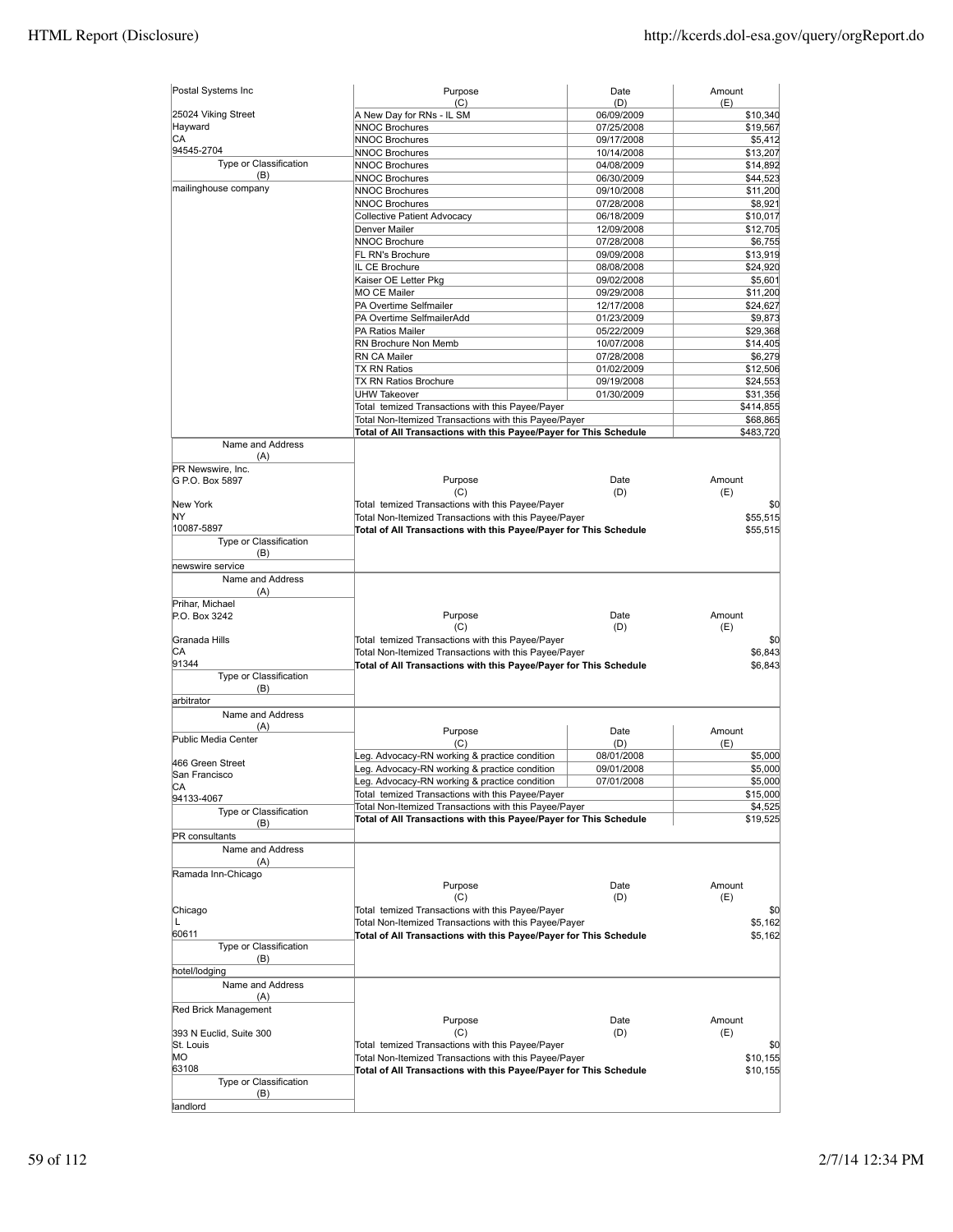| Postal Systems Inc      | Purpose                                                                                                                    | Date              | Amount             |
|-------------------------|----------------------------------------------------------------------------------------------------------------------------|-------------------|--------------------|
| 25024 Viking Street     | (C)<br>A New Day for RNs - IL SM                                                                                           | (D)<br>06/09/2009 | (E)<br>\$10,340    |
| Hayward                 | <b>NNOC Brochures</b>                                                                                                      | 07/25/2008        | \$19,567           |
| СA                      | <b>NNOC Brochures</b>                                                                                                      | 09/17/2008        | \$5,412            |
| 94545-2704              | <b>NNOC Brochures</b>                                                                                                      | 10/14/2008        | \$13,207           |
| Type or Classification  | <b>NNOC Brochures</b>                                                                                                      | 04/08/2009        | \$14,892           |
| (B)                     | <b>NNOC Brochures</b>                                                                                                      | 06/30/2009        | \$44,523           |
| mailinghouse company    | <b>NNOC Brochures</b>                                                                                                      | 09/10/2008        | \$11,200           |
|                         | NNOC Brochures                                                                                                             | 07/28/2008        | \$8,921            |
|                         |                                                                                                                            |                   |                    |
|                         | Collective Patient Advocacy                                                                                                | 06/18/2009        | \$10,017           |
|                         | Denver Mailer                                                                                                              | 12/09/2008        | \$12,705           |
|                         | <b>NNOC Brochure</b>                                                                                                       | 07/28/2008        | \$6,755            |
|                         | FL RN's Brochure                                                                                                           | 09/09/2008        | \$13,919           |
|                         | IL CE Brochure                                                                                                             | 08/08/2008        | \$24,920           |
|                         | Kaiser OE Letter Pkg                                                                                                       | 09/02/2008        | \$5,601            |
|                         | <b>MO CE Mailer</b>                                                                                                        | 09/29/2008        | \$11,200           |
|                         | PA Overtime Selfmailer                                                                                                     | 12/17/2008        | \$24,627           |
|                         | PA Overtime SelfmailerAdd                                                                                                  | 01/23/2009        | \$9,873            |
|                         | PA Ratios Mailer                                                                                                           | 05/22/2009        | \$29,368           |
|                         | RN Brochure Non Memb                                                                                                       | 10/07/2008        | \$14,405           |
|                         | RN CA Mailer                                                                                                               | 07/28/2008        | \$6,279            |
|                         | <b>TX RN Ratios</b>                                                                                                        | 01/02/2009        | \$12,506           |
|                         | TX RN Ratios Brochure                                                                                                      | 09/19/2008        | \$24,553           |
|                         | <b>UHW Takeover</b>                                                                                                        | 01/30/2009        | \$31,356           |
|                         | Total temized Transactions with this Payee/Payer                                                                           |                   | \$414,855          |
|                         | Total Non-Itemized Transactions with this Payee/Payer                                                                      |                   | \$68,865           |
|                         | Total of All Transactions with this Payee/Payer for This Schedule                                                          |                   | \$483,720          |
| Name and Address        |                                                                                                                            |                   |                    |
| (A)                     |                                                                                                                            |                   |                    |
| PR Newswire, Inc.       |                                                                                                                            |                   |                    |
| G P.O. Box 5897         | Purpose                                                                                                                    | Date              | Amount             |
|                         | (C)                                                                                                                        | (D)               | (E)                |
| New York                | Total temized Transactions with this Payee/Payer                                                                           |                   | \$0                |
| ΝY                      | Total Non-Itemized Transactions with this Payee/Payer                                                                      |                   | \$55,515           |
| 10087-5897              | Total of All Transactions with this Payee/Payer for This Schedule                                                          |                   | \$55,515           |
| Type or Classification  |                                                                                                                            |                   |                    |
| (B)                     |                                                                                                                            |                   |                    |
| newswire service        |                                                                                                                            |                   |                    |
| Name and Address        |                                                                                                                            |                   |                    |
| (A)                     |                                                                                                                            |                   |                    |
| Prihar, Michael         |                                                                                                                            |                   |                    |
| P.O. Box 3242           | Purpose                                                                                                                    | Date              | Amount             |
|                         | (C)                                                                                                                        | (D)               | (E)                |
| Granada Hills           | Total temized Transactions with this Payee/Payer                                                                           |                   | \$0                |
| CА                      | Total Non-Itemized Transactions with this Payee/Payer                                                                      |                   | \$6,843            |
| 91344                   | Total of All Transactions with this Payee/Payer for This Schedule                                                          |                   | \$6,843            |
| Type or Classification  |                                                                                                                            |                   |                    |
| (B)                     |                                                                                                                            |                   |                    |
| arbitrator              |                                                                                                                            |                   |                    |
| Name and Address        |                                                                                                                            |                   |                    |
| (A)                     |                                                                                                                            |                   |                    |
| Public Media Center     | Purpose                                                                                                                    | Date              | Amount             |
|                         | (C)                                                                                                                        | (D)               | (E)                |
| 466 Green Street        | Leg. Advocacy-RN working & practice condition                                                                              | 08/01/2008        | \$5,000            |
| San Francisco           | Leg. Advocacy-RN working & practice condition                                                                              | 09/01/2008        | \$5,000            |
| CA                      | Leg. Advocacy-RN working & practice condition                                                                              | 07/01/2008        | \$5,000            |
| 94133-4067              | Total temized Transactions with this Payee/Payer                                                                           |                   | \$15,000           |
| Type or Classification  | Total Non-Itemized Transactions with this Payee/Payer                                                                      |                   | \$4,525            |
| (B)                     | Total of All Transactions with this Payee/Payer for This Schedule                                                          |                   | \$19,525           |
| PR consultants          |                                                                                                                            |                   |                    |
| Name and Address        |                                                                                                                            |                   |                    |
| (A)                     |                                                                                                                            |                   |                    |
| Ramada Inn-Chicago      |                                                                                                                            |                   |                    |
|                         | Purpose                                                                                                                    | Date              | Amount             |
|                         | (C)                                                                                                                        | (D)               | (E)                |
| Chicago                 | Total temized Transactions with this Payee/Payer                                                                           |                   | \$0                |
| L                       |                                                                                                                            |                   |                    |
| 60611                   | Total Non-Itemized Transactions with this Payee/Payer<br>Total of All Transactions with this Payee/Payer for This Schedule |                   | \$5,162<br>\$5,162 |
| Type or Classification  |                                                                                                                            |                   |                    |
|                         |                                                                                                                            |                   |                    |
| (B)<br>hotel/lodging    |                                                                                                                            |                   |                    |
|                         |                                                                                                                            |                   |                    |
| Name and Address        |                                                                                                                            |                   |                    |
| (A)                     |                                                                                                                            |                   |                    |
| Red Brick Management    |                                                                                                                            |                   | Amount             |
|                         | Purpose                                                                                                                    | Date              |                    |
| 393 N Euclid, Suite 300 | (C)                                                                                                                        | (D)               | (E)                |
| St. Louis               | Total temized Transactions with this Payee/Payer                                                                           |                   | \$0                |
| МO                      | Total Non-Itemized Transactions with this Payee/Payer                                                                      |                   | \$10,155           |
| 63108                   | Total of All Transactions with this Payee/Payer for This Schedule                                                          |                   | \$10,155           |
| Type or Classification  |                                                                                                                            |                   |                    |
|                         |                                                                                                                            |                   |                    |
| (B)<br>landlord         |                                                                                                                            |                   |                    |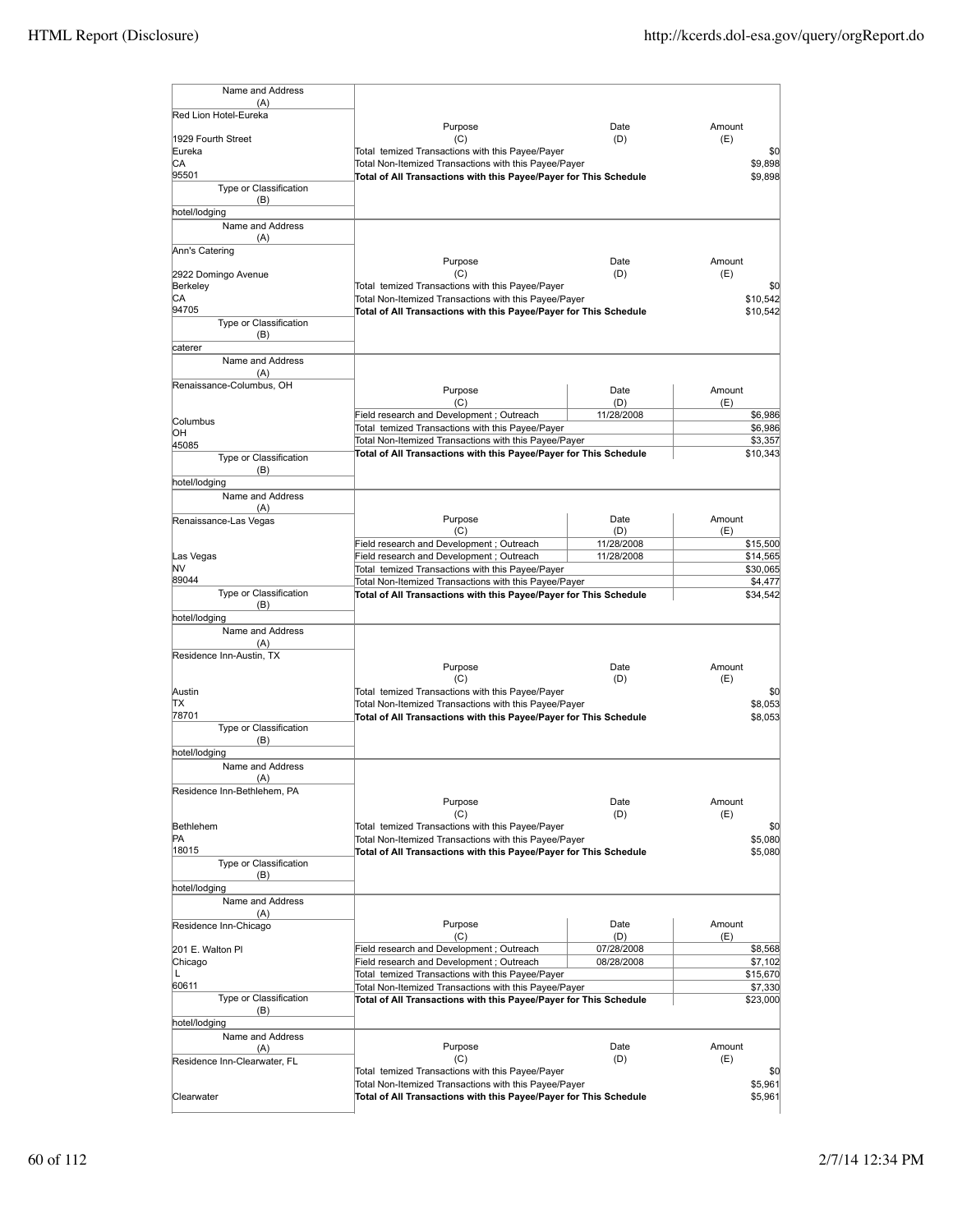| Name and Address                |                                                                   |            |        |          |
|---------------------------------|-------------------------------------------------------------------|------------|--------|----------|
| (A)<br>Red Lion Hotel-Eureka    |                                                                   |            |        |          |
|                                 | Purpose                                                           | Date       | Amount |          |
| 1929 Fourth Street              | (C)                                                               | (D)        | (E)    |          |
| Eureka                          | Total temized Transactions with this Payee/Payer                  |            |        | \$0      |
| СA                              | Total Non-Itemized Transactions with this Payee/Payer             |            |        | \$9,898  |
| 95501                           | Total of All Transactions with this Payee/Payer for This Schedule |            |        | \$9.898  |
| Type or Classification          |                                                                   |            |        |          |
| (B)                             |                                                                   |            |        |          |
| hotel/lodging                   |                                                                   |            |        |          |
| Name and Address                |                                                                   |            |        |          |
| (A)                             |                                                                   |            |        |          |
| Ann's Catering                  | Purpose                                                           | Date       | Amount |          |
| 2922 Domingo Avenue             | (C)                                                               | (D)        | (E)    |          |
| Berkeley                        | Total temized Transactions with this Payee/Payer                  |            |        | \$0      |
| СA                              | Total Non-Itemized Transactions with this Payee/Payer             |            |        | \$10,542 |
| 94705                           | Total of All Transactions with this Payee/Payer for This Schedule |            |        | \$10,542 |
| Type or Classification          |                                                                   |            |        |          |
| (B)                             |                                                                   |            |        |          |
| caterer                         |                                                                   |            |        |          |
| Name and Address                |                                                                   |            |        |          |
| (A)                             |                                                                   |            |        |          |
| Renaissance-Columbus, OH        | Purpose                                                           | Date       | Amount |          |
|                                 | (C)                                                               | (D)        | (E)    |          |
|                                 | Field research and Development; Outreach                          | 11/28/2008 |        | \$6,986  |
| Columbus<br>OН                  | Total temized Transactions with this Payee/Payer                  |            |        | \$6,986  |
| 45085                           | Total Non-Itemized Transactions with this Payee/Payer             |            |        | \$3,357  |
| Type or Classification          | Total of All Transactions with this Payee/Payer for This Schedule |            |        | \$10,343 |
| (B)                             |                                                                   |            |        |          |
| hotel/lodging                   |                                                                   |            |        |          |
| Name and Address                |                                                                   |            |        |          |
| (A)                             |                                                                   |            |        |          |
| Renaissance-Las Vegas           | Purpose                                                           | Date       | Amount |          |
|                                 | (C)                                                               | (D)        | (E)    |          |
|                                 | Field research and Development; Outreach                          | 11/28/2008 |        | \$15,500 |
| Las Vegas                       | Field research and Development; Outreach                          | 11/28/2008 |        | \$14,565 |
| N٧                              | Total temized Transactions with this Payee/Payer                  |            |        | \$30,065 |
| 89044                           | Total Non-Itemized Transactions with this Payee/Payer             |            |        | \$4,477  |
| Type or Classification          | Total of All Transactions with this Payee/Payer for This Schedule |            |        | \$34,542 |
| (B)                             |                                                                   |            |        |          |
| hotel/lodging                   |                                                                   |            |        |          |
| Name and Address                |                                                                   |            |        |          |
| (A)                             |                                                                   |            |        |          |
| Residence Inn-Austin, TX        | Purpose                                                           | Date       | Amount |          |
|                                 | (C)                                                               | (D)        | (E)    |          |
| Austin                          | Total temized Transactions with this Payee/Payer                  |            |        | \$0      |
| ΠX                              | Total Non-Itemized Transactions with this Payee/Payer             |            |        | \$8,053  |
| 78701                           | Total of All Transactions with this Payee/Payer for This Schedule |            |        | \$8,053  |
| Type or Classification          |                                                                   |            |        |          |
| (B)                             |                                                                   |            |        |          |
| hotel/lodging                   |                                                                   |            |        |          |
| Name and Address                |                                                                   |            |        |          |
| (A)                             |                                                                   |            |        |          |
| Residence Inn-Bethlehem, PA     |                                                                   |            |        |          |
|                                 | Purpose                                                           | Date       | Amount |          |
|                                 | (C)                                                               | (D)        | (E)    |          |
| Bethlehem                       | Total temized Transactions with this Payee/Payer                  |            |        | \$0      |
| PA                              | Total Non-Itemized Transactions with this Payee/Payer             |            |        | \$5,080  |
| 18015<br>Type or Classification | Total of All Transactions with this Payee/Payer for This Schedule |            |        | \$5,080  |
| (B)                             |                                                                   |            |        |          |
| hotel/lodging                   |                                                                   |            |        |          |
| Name and Address                |                                                                   |            |        |          |
| (A)                             |                                                                   |            |        |          |
| Residence Inn-Chicago           | Purpose                                                           | Date       | Amount |          |
|                                 | (C)                                                               | (D)        | (E)    |          |
| 201 E. Walton PI                | Field research and Development; Outreach                          | 07/28/2008 |        | \$8,568  |
| Chicago                         | Field research and Development; Outreach                          | 08/28/2008 |        | \$7,102  |
| L                               | Total temized Transactions with this Payee/Payer                  |            |        | \$15,670 |
| 60611                           | Total Non-Itemized Transactions with this Payee/Payer             |            |        | \$7,330  |
| Type or Classification          | Total of All Transactions with this Payee/Payer for This Schedule |            |        | \$23,000 |
| (B)                             |                                                                   |            |        |          |
| hotel/lodging                   |                                                                   |            |        |          |
| Name and Address                |                                                                   |            |        |          |
| (A)                             | Purpose                                                           | Date       | Amount |          |
| Residence Inn-Clearwater, FL    | (C)                                                               | (D)        | (E)    |          |
|                                 | Total temized Transactions with this Payee/Payer                  |            |        | \$0      |
|                                 | Total Non-Itemized Transactions with this Payee/Payer             |            |        | \$5,961  |
| Clearwater                      | Total of All Transactions with this Payee/Payer for This Schedule |            |        | \$5,961  |
|                                 |                                                                   |            |        |          |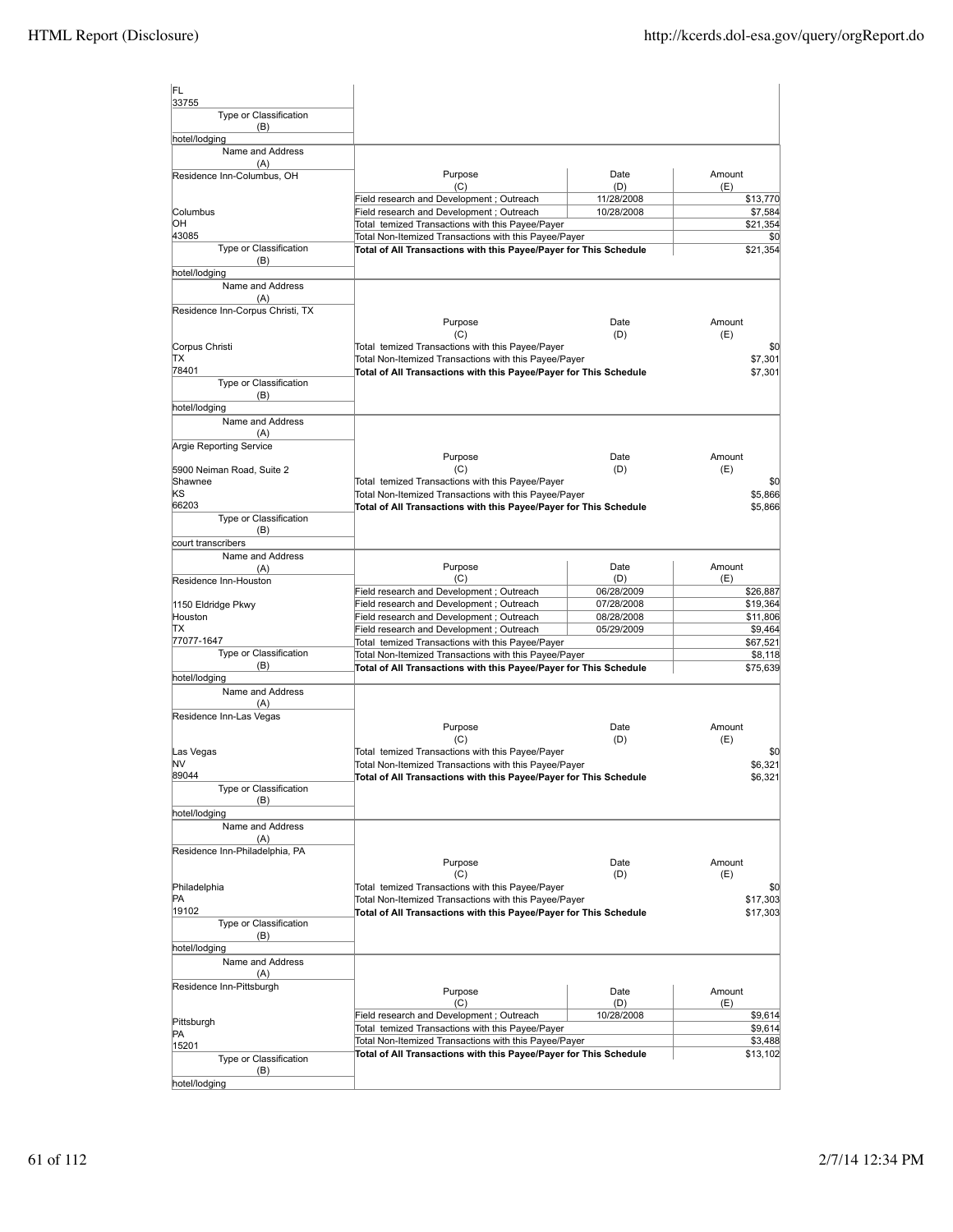| IFL.<br>33755                     |                                                                                                                            |             |                     |
|-----------------------------------|----------------------------------------------------------------------------------------------------------------------------|-------------|---------------------|
| Type or Classification<br>(B)     |                                                                                                                            |             |                     |
| hotel/lodging                     |                                                                                                                            |             |                     |
| Name and Address                  |                                                                                                                            |             |                     |
| (A)<br>Residence Inn-Columbus, OH | Purpose                                                                                                                    | Date        | Amount              |
|                                   | (C)                                                                                                                        | (D)         | (E)                 |
|                                   | Field research and Development; Outreach                                                                                   | 11/28/2008  | \$13,770            |
| Columbus<br>ЮH                    | Field research and Development; Outreach                                                                                   | 10/28/2008  | \$7,584             |
| 43085                             | Total temized Transactions with this Payee/Payer<br>Total Non-Itemized Transactions with this Payee/Payer                  |             | \$21,354<br>\$0     |
| Type or Classification<br>(B)     | Total of All Transactions with this Payee/Payer for This Schedule                                                          |             | \$21,354            |
| hotel/lodging                     |                                                                                                                            |             |                     |
| Name and Address                  |                                                                                                                            |             |                     |
| (A)                               |                                                                                                                            |             |                     |
| Residence Inn-Corpus Christi, TX  | Purpose<br>(C)                                                                                                             | Date<br>(D) | Amount<br>(E)       |
| Corpus Christi                    | Total temized Transactions with this Payee/Payer                                                                           |             | \$0                 |
| TХ                                | Total Non-Itemized Transactions with this Payee/Payer                                                                      |             | \$7,301             |
| 78401                             | Total of All Transactions with this Payee/Payer for This Schedule                                                          |             | \$7,301             |
| Type or Classification<br>(B)     |                                                                                                                            |             |                     |
| hotel/lodging                     |                                                                                                                            |             |                     |
| Name and Address<br>(A)           |                                                                                                                            |             |                     |
| Argie Reporting Service           |                                                                                                                            |             |                     |
| 5900 Neiman Road, Suite 2         | Purpose<br>(C)                                                                                                             | Date<br>(D) | Amount<br>(E)       |
| Shawnee                           | Total temized Transactions with this Payee/Payer                                                                           |             | \$0                 |
| ΚS                                | Total Non-Itemized Transactions with this Payee/Payer                                                                      |             | \$5,866             |
| 66203                             | Total of All Transactions with this Payee/Payer for This Schedule                                                          |             | \$5,866             |
| Type or Classification<br>(B)     |                                                                                                                            |             |                     |
| court transcribers                |                                                                                                                            |             |                     |
| Name and Address                  |                                                                                                                            |             |                     |
| (A)<br>Residence Inn-Houston      | Purpose<br>(C)                                                                                                             | Date<br>(D) | Amount<br>(E)       |
|                                   | Field research and Development; Outreach                                                                                   | 06/28/2009  | \$26,887            |
| 1150 Eldridge Pkwy                | Field research and Development; Outreach                                                                                   | 07/28/2008  | \$19,364            |
| Houston                           | Field research and Development; Outreach                                                                                   | 08/28/2008  | \$11,806            |
| ΠX                                | Field research and Development; Outreach                                                                                   | 05/29/2009  | \$9,464             |
| 77077-1647                        | Total temized Transactions with this Payee/Payer                                                                           |             | \$67,521            |
| Type or Classification<br>(B)     | Total Non-Itemized Transactions with this Payee/Payer<br>Total of All Transactions with this Payee/Payer for This Schedule |             | \$8,118<br>\$75,639 |
| hotel/lodging                     |                                                                                                                            |             |                     |
| Name and Address                  |                                                                                                                            |             |                     |
| (A)                               |                                                                                                                            |             |                     |
| Residence Inn-Las Vegas           |                                                                                                                            |             |                     |
|                                   | Purpose<br>(C)                                                                                                             | Date<br>(D) | Amount<br>(E)       |
| Las Vegas                         | Total temized Transactions with this Payee/Payer                                                                           |             | SC.                 |
| NV                                | Total Non-Itemized Transactions with this Payee/Payer                                                                      |             | \$6.321             |
| 89044                             | Total of All Transactions with this Payee/Payer for This Schedule                                                          |             | \$6,321             |
| Type or Classification<br>(B)     |                                                                                                                            |             |                     |
| hotel/lodging                     |                                                                                                                            |             |                     |
| Name and Address                  |                                                                                                                            |             |                     |
| (A)                               |                                                                                                                            |             |                     |
| Residence Inn-Philadelphia, PA    |                                                                                                                            |             |                     |
|                                   | Purpose                                                                                                                    | Date        | Amount              |
| Philadelphia                      | (C)<br>Total temized Transactions with this Payee/Payer                                                                    | (D)         | (E)<br>\$0          |
| PA                                | Total Non-Itemized Transactions with this Payee/Payer                                                                      |             | \$17,303            |
| 19102                             | Total of All Transactions with this Payee/Payer for This Schedule                                                          |             | \$17,303            |
| Type or Classification            |                                                                                                                            |             |                     |
| (B)                               |                                                                                                                            |             |                     |
| hotel/lodging                     |                                                                                                                            |             |                     |
| Name and Address<br>(A)           |                                                                                                                            |             |                     |
| Residence Inn-Pittsburgh          |                                                                                                                            |             |                     |
|                                   | Purpose<br>(C)                                                                                                             | Date<br>(D) | Amount<br>(E)       |
|                                   | Field research and Development; Outreach                                                                                   | 10/28/2008  | \$9,614             |
| Pittsburgh                        | Total temized Transactions with this Payee/Payer                                                                           |             | \$9,614             |
| PA<br>15201                       | Total Non-Itemized Transactions with this Payee/Payer                                                                      |             | \$3,488             |
| Type or Classification            | Total of All Transactions with this Payee/Payer for This Schedule                                                          |             | \$13,102            |
| (B)                               |                                                                                                                            |             |                     |
| hotel/lodging                     |                                                                                                                            |             |                     |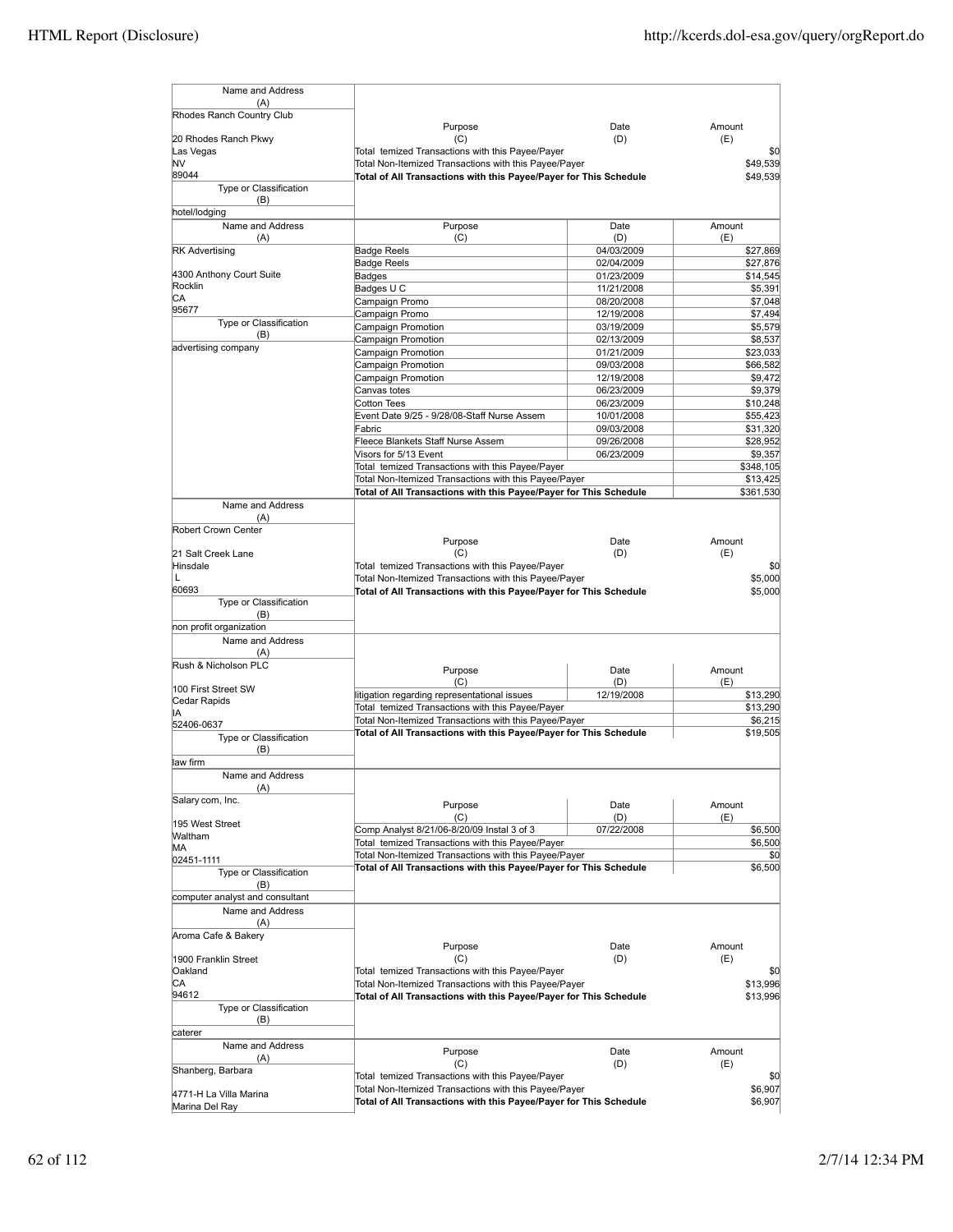| Name and Address                 |                                                                                                                            |             |               |
|----------------------------------|----------------------------------------------------------------------------------------------------------------------------|-------------|---------------|
| (A)<br>Rhodes Ranch Country Club |                                                                                                                            |             |               |
|                                  | Purpose                                                                                                                    | Date        | Amount        |
| 20 Rhodes Ranch Pkwy             | (C)                                                                                                                        | (D)         | (E)           |
| Las Vegas                        | Total temized Transactions with this Payee/Payer                                                                           |             | \$0           |
| NV                               | Total Non-Itemized Transactions with this Payee/Payer                                                                      |             | \$49,539      |
| 89044                            | Total of All Transactions with this Payee/Payer for This Schedule                                                          |             | \$49,539      |
| Type or Classification           |                                                                                                                            |             |               |
| (B)                              |                                                                                                                            |             |               |
| hotel/lodging                    |                                                                                                                            |             |               |
| Name and Address                 | Purpose                                                                                                                    | Date        | Amount        |
| (A)                              | (C)                                                                                                                        | (D)         | (E)           |
| <b>RK Advertising</b>            | <b>Badge Reels</b>                                                                                                         | 04/03/2009  | \$27,869      |
|                                  | <b>Badge Reels</b>                                                                                                         | 02/04/2009  | \$27,876      |
| 4300 Anthony Court Suite         | Badges                                                                                                                     | 01/23/2009  | \$14,545      |
| Rocklin                          | Badges U C                                                                                                                 | 11/21/2008  | \$5,391       |
| СA<br>95677                      | Campaign Promo                                                                                                             | 08/20/2008  | \$7,048       |
|                                  | Campaign Promo                                                                                                             | 12/19/2008  | \$7,494       |
| Type or Classification<br>(B)    | Campaign Promotion                                                                                                         | 03/19/2009  | \$5,579       |
| advertising company              | Campaign Promotion                                                                                                         | 02/13/2009  | \$8,537       |
|                                  | Campaign Promotion                                                                                                         | 01/21/2009  | \$23,033      |
|                                  | Campaign Promotion                                                                                                         | 09/03/2008  | \$66,582      |
|                                  | Campaign Promotion                                                                                                         | 12/19/2008  | \$9,472       |
|                                  | Canvas totes                                                                                                               | 06/23/2009  | \$9,379       |
|                                  | <b>Cotton Tees</b>                                                                                                         | 06/23/2009  | \$10,248      |
|                                  | Event Date 9/25 - 9/28/08-Staff Nurse Assem                                                                                | 10/01/2008  | \$55,423      |
|                                  | Fabric                                                                                                                     | 09/03/2008  | \$31,320      |
|                                  | Fleece Blankets Staff Nurse Assem                                                                                          | 09/26/2008  | \$28,952      |
|                                  | Visors for 5/13 Event                                                                                                      | 06/23/2009  | \$9,357       |
|                                  | Total temized Transactions with this Payee/Payer                                                                           |             | \$348,105     |
|                                  | Total Non-Itemized Transactions with this Payee/Payer                                                                      |             | \$13,425      |
|                                  | Total of All Transactions with this Payee/Payer for This Schedule                                                          |             | \$361,530     |
| Name and Address                 |                                                                                                                            |             |               |
| (A)                              |                                                                                                                            |             |               |
| Robert Crown Center              |                                                                                                                            |             |               |
|                                  | Purpose                                                                                                                    | Date        | Amount        |
| 21 Salt Creek Lane<br>Hinsdale   | (C)<br>Total temized Transactions with this Payee/Payer                                                                    | (D)         | (E)<br>\$0    |
| L                                | Total Non-Itemized Transactions with this Payee/Payer                                                                      |             | \$5,000       |
| 60693                            | Total of All Transactions with this Payee/Payer for This Schedule                                                          |             | \$5,000       |
| Type or Classification           |                                                                                                                            |             |               |
| (B)                              |                                                                                                                            |             |               |
| non profit organization          |                                                                                                                            |             |               |
| Name and Address                 |                                                                                                                            |             |               |
| (A)                              |                                                                                                                            |             |               |
| Rush & Nicholson PLC             |                                                                                                                            |             |               |
|                                  | Purpose<br>(C)                                                                                                             | Date<br>(D) | Amount<br>(E) |
| 100 First Street SW              |                                                                                                                            | 12/19/2008  | \$13,290      |
| Cedar Rapids                     | litigation regarding representational issues<br>Total temized Transactions with this Payee/Payer                           |             | \$13,290      |
| lіA                              |                                                                                                                            |             | \$6,215       |
| 52406-0637                       | Total Non-Itemized Transactions with this Payee/Payer<br>Total of All Transactions with this Payee/Payer for This Schedule |             | \$19,505      |
| Type or Classification           |                                                                                                                            |             |               |
| (B)                              |                                                                                                                            |             |               |
| law firm                         |                                                                                                                            |             |               |
| Name and Address                 |                                                                                                                            |             |               |
| (A)                              |                                                                                                                            |             |               |
| Salary com, Inc.                 | Purpose                                                                                                                    | Date        | Amount        |
|                                  | (C)                                                                                                                        | (D)         | (E)           |
| 195 West Street<br>Waltham       | Comp Analyst 8/21/06-8/20/09 Instal 3 of 3                                                                                 | 07/22/2008  | \$6,500       |
| MА                               | Total temized Transactions with this Payee/Payer                                                                           |             | \$6,500       |
| 02451-1111                       | Total Non-Itemized Transactions with this Payee/Payer                                                                      |             | \$0           |
| Type or Classification           | Total of All Transactions with this Payee/Payer for This Schedule                                                          |             | \$6,500       |
| (B)                              |                                                                                                                            |             |               |
| computer analyst and consultant  |                                                                                                                            |             |               |
| Name and Address                 |                                                                                                                            |             |               |
| (A)                              |                                                                                                                            |             |               |
| Aroma Cafe & Bakery              |                                                                                                                            |             |               |
|                                  | Purpose                                                                                                                    | Date        | Amount        |
| 1900 Franklin Street             | (C)                                                                                                                        | (D)         | (E)           |
| Oakland                          | Total temized Transactions with this Payee/Payer                                                                           |             | \$0           |
| СA                               | Total Non-Itemized Transactions with this Payee/Payer                                                                      |             | \$13,996      |
| 94612                            | Total of All Transactions with this Payee/Payer for This Schedule                                                          |             | \$13,996      |
| Type or Classification           |                                                                                                                            |             |               |
| (B)                              |                                                                                                                            |             |               |
| caterer                          |                                                                                                                            |             |               |
| Name and Address                 | Purpose                                                                                                                    | Date        | Amount        |
| (A)                              | (C)                                                                                                                        | (D)         | (E)           |
| Shanberg, Barbara                | Total temized Transactions with this Payee/Payer                                                                           |             | \$0           |
|                                  | Total Non-Itemized Transactions with this Payee/Payer                                                                      |             | \$6,907       |
| 4771-H La Villa Marina           | Total of All Transactions with this Payee/Payer for This Schedule                                                          |             | \$6,907       |
| Marina Del Ray                   |                                                                                                                            |             |               |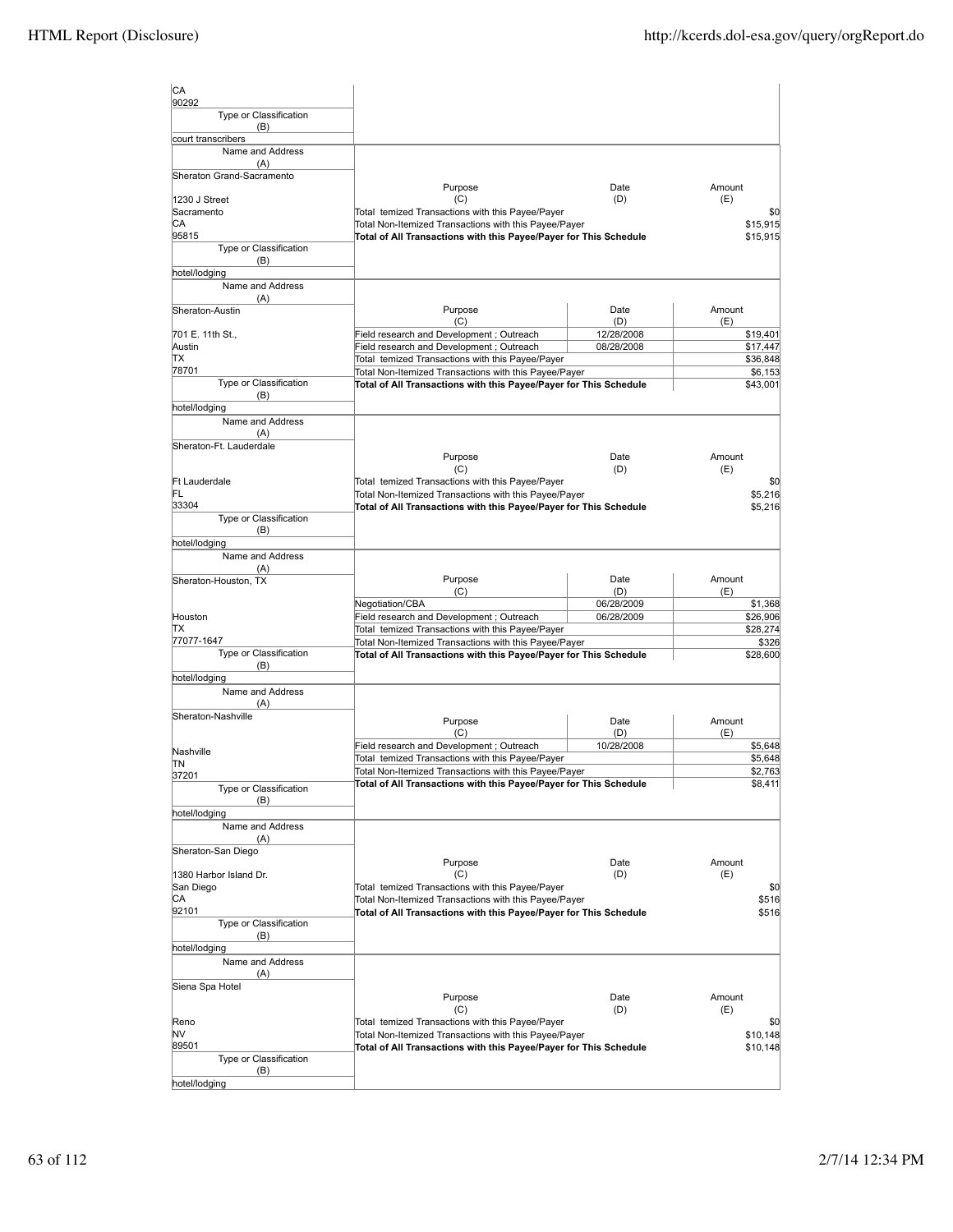| CA<br>90292                      |                                                                                                                            |             |                   |
|----------------------------------|----------------------------------------------------------------------------------------------------------------------------|-------------|-------------------|
| Type or Classification<br>(B)    |                                                                                                                            |             |                   |
| court transcribers               |                                                                                                                            |             |                   |
| Name and Address                 |                                                                                                                            |             |                   |
| (A)<br>Sheraton Grand-Sacramento |                                                                                                                            |             |                   |
|                                  | Purpose                                                                                                                    | Date        | Amount            |
| 1230 J Street                    | (C)                                                                                                                        | (D)         | (E)               |
| Sacramento                       | Total temized Transactions with this Payee/Payer                                                                           |             | \$0               |
| CА                               | Total Non-Itemized Transactions with this Payee/Payer                                                                      |             | \$15,915          |
| 95815                            | Total of All Transactions with this Payee/Payer for This Schedule                                                          |             | \$15,915          |
| Type or Classification           |                                                                                                                            |             |                   |
| (B)                              |                                                                                                                            |             |                   |
| hotel/lodging                    |                                                                                                                            |             |                   |
| Name and Address<br>(A)          |                                                                                                                            |             |                   |
| Sheraton-Austin                  | Purpose                                                                                                                    | Date        | Amount            |
|                                  | (C)                                                                                                                        | (D)         | (E)               |
| 701 E. 11th St.,                 | Field research and Development; Outreach                                                                                   | 12/28/2008  | \$19,401          |
| Austin                           | Field research and Development; Outreach                                                                                   | 08/28/2008  | \$17,447          |
| lΤX                              | Total temized Transactions with this Payee/Payer                                                                           |             | \$36,848          |
| 78701                            | Total Non-Itemized Transactions with this Payee/Payer                                                                      |             | \$6,153           |
| Type or Classification           | Total of All Transactions with this Payee/Payer for This Schedule                                                          |             | \$43,001          |
| (B)                              |                                                                                                                            |             |                   |
| hotel/lodging                    |                                                                                                                            |             |                   |
| Name and Address                 |                                                                                                                            |             |                   |
| (A)                              |                                                                                                                            |             |                   |
| Sheraton-Ft. Lauderdale          |                                                                                                                            |             |                   |
|                                  | Purpose<br>(C)                                                                                                             | Date<br>(D) | Amount<br>(E)     |
| <b>Ft Lauderdale</b>             | Total temized Transactions with this Payee/Payer                                                                           |             | \$0               |
| FL                               | Total Non-Itemized Transactions with this Payee/Payer                                                                      |             | \$5,216           |
| 33304                            | Total of All Transactions with this Payee/Payer for This Schedule                                                          |             | \$5,216           |
| Type or Classification           |                                                                                                                            |             |                   |
| (B)                              |                                                                                                                            |             |                   |
| hotel/lodging                    |                                                                                                                            |             |                   |
| Name and Address                 |                                                                                                                            |             |                   |
| (A)                              |                                                                                                                            |             |                   |
| Sheraton-Houston, TX             | Purpose                                                                                                                    | Date        | Amount            |
|                                  | (C)                                                                                                                        | (D)         | (E)               |
|                                  | Negotiation/CBA                                                                                                            | 06/28/2009  | \$1,368           |
| Houston<br>IΤX                   | Field research and Development; Outreach                                                                                   | 06/28/2009  | \$26,906          |
| 77077-1647                       | Total temized Transactions with this Payee/Payer                                                                           |             | \$28,274          |
| Type or Classification           | Total Non-Itemized Transactions with this Payee/Payer<br>Total of All Transactions with this Payee/Payer for This Schedule |             | \$326<br>\$28,600 |
| (B)                              |                                                                                                                            |             |                   |
| hotel/lodging                    |                                                                                                                            |             |                   |
| Name and Address                 |                                                                                                                            |             |                   |
| (A)                              |                                                                                                                            |             |                   |
| Sheraton-Nashville               | Purpose                                                                                                                    | Date        | Amount            |
|                                  | (C)                                                                                                                        | (D)         | (E)               |
|                                  | Field research and Development; Outreach                                                                                   | 10/28/2008  | \$5,648           |
| Nashville                        | Total temized Transactions with this Payee/Payer                                                                           |             | \$5,648           |
| ΠN                               | Total Non-Itemized Transactions with this Payee/Payer                                                                      |             | \$2,763           |
| 37201                            | Total of All Transactions with this Payee/Payer for This Schedule                                                          |             | \$8,411           |
| Type or Classification<br>(B)    |                                                                                                                            |             |                   |
| hotel/lodging                    |                                                                                                                            |             |                   |
| Name and Address                 |                                                                                                                            |             |                   |
| (A)                              |                                                                                                                            |             |                   |
| Sheraton-San Diego               |                                                                                                                            |             |                   |
|                                  | Purpose                                                                                                                    | Date        | Amount            |
| 1380 Harbor Island Dr.           | (C)                                                                                                                        | (D)         | (E)               |
| San Diego                        | Total temized Transactions with this Payee/Payer                                                                           |             | \$0               |
| CA                               | Total Non-Itemized Transactions with this Payee/Payer                                                                      |             | \$516             |
| 92101                            | Total of All Transactions with this Payee/Payer for This Schedule                                                          |             | \$516             |
| Type or Classification           |                                                                                                                            |             |                   |
| (B)                              |                                                                                                                            |             |                   |
| hotel/lodging                    |                                                                                                                            |             |                   |
| Name and Address                 |                                                                                                                            |             |                   |
| (A)                              |                                                                                                                            |             |                   |
| Siena Spa Hotel                  |                                                                                                                            |             | Amount            |
|                                  | Purpose<br>(C)                                                                                                             | Date<br>(D) | (E)               |
| Reno                             | Total temized Transactions with this Payee/Payer                                                                           |             | \$0               |
| NV                               | Total Non-Itemized Transactions with this Payee/Payer                                                                      |             | \$10,148          |
| 89501                            | Total of All Transactions with this Payee/Payer for This Schedule                                                          |             | \$10,148          |
| Type or Classification           |                                                                                                                            |             |                   |
| (B)                              |                                                                                                                            |             |                   |
| hotel/lodging                    |                                                                                                                            |             |                   |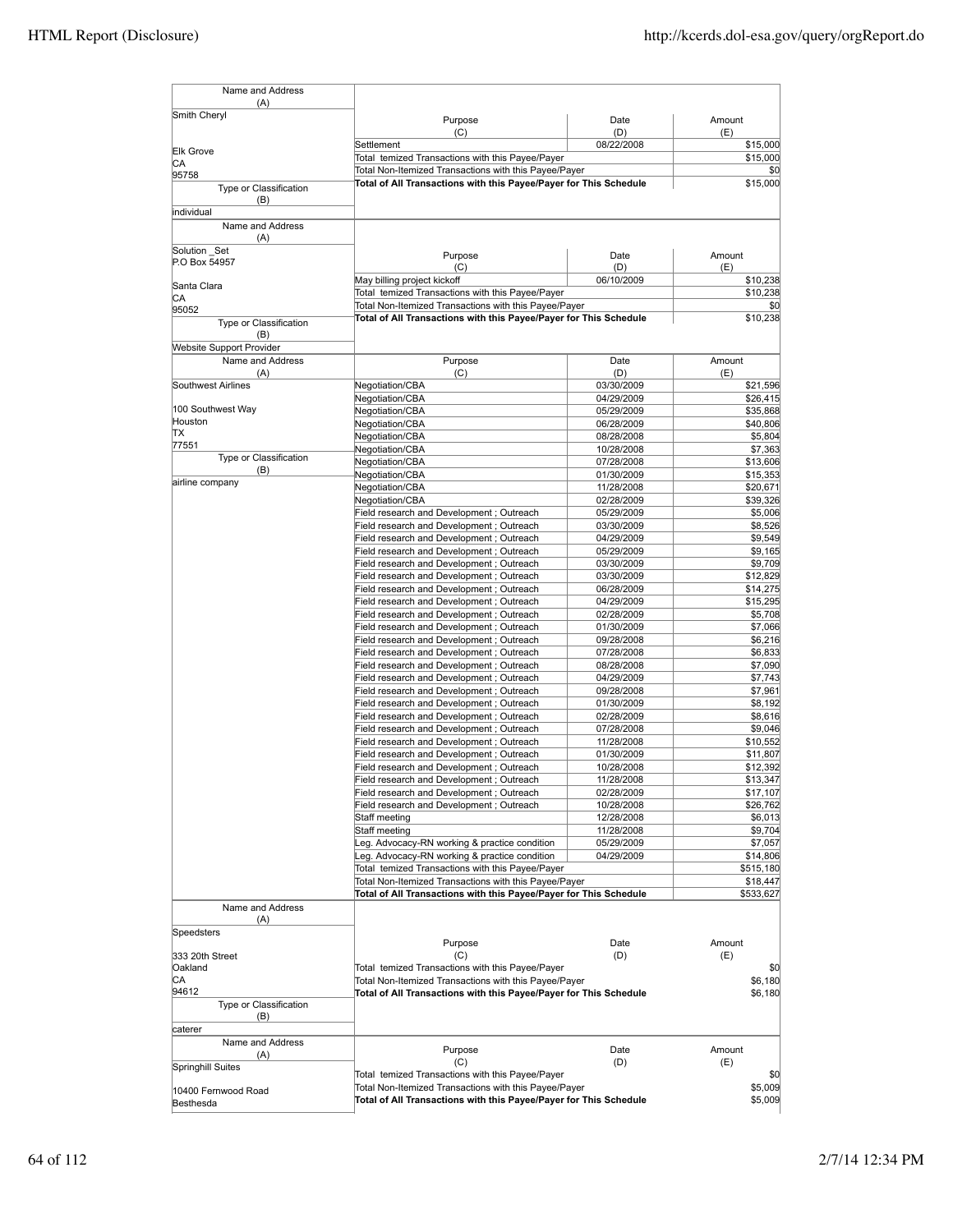| Name and Address                        |                                                                                       |                          |                      |
|-----------------------------------------|---------------------------------------------------------------------------------------|--------------------------|----------------------|
| (A)<br>Smith Cheryl                     |                                                                                       |                          |                      |
|                                         | Purpose<br>(C)                                                                        | Date<br>(D)              | Amount<br>(E)        |
| <b>Elk Grove</b>                        | Settlement                                                                            | 08/22/2008               | \$15,000             |
| CА                                      | Total temized Transactions with this Payee/Payer                                      |                          | \$15,000             |
| 95758                                   | Total Non-Itemized Transactions with this Payee/Payer                                 |                          | \$0                  |
| Type or Classification<br>(B)           | Total of All Transactions with this Payee/Payer for This Schedule                     |                          | \$15,000             |
| individual                              |                                                                                       |                          |                      |
| Name and Address<br>(A)<br>Solution Set |                                                                                       |                          |                      |
| P.O Box 54957                           | Purpose                                                                               | Date                     | Amount               |
|                                         | (C)<br>May billing project kickoff                                                    | (D)<br>06/10/2009        | (E)<br>\$10,238      |
| Santa Clara<br>СA                       | Total temized Transactions with this Payee/Payer                                      |                          | \$10,238             |
| 95052                                   | Total Non-Itemized Transactions with this Payee/Payer                                 |                          | \$0                  |
| Type or Classification<br>(B)           | Total of All Transactions with this Payee/Payer for This Schedule                     |                          | \$10,238             |
| <b>Website Support Provider</b>         |                                                                                       |                          |                      |
| Name and Address                        | Purpose                                                                               | Date                     | Amount               |
| (A)<br>Southwest Airlines               | (C)                                                                                   | (D)<br>03/30/2009        | (E)                  |
|                                         | Negotiation/CBA<br>Negotiation/CBA                                                    | 04/29/2009               | \$21,596<br>\$26,415 |
| 100 Southwest Way                       | Negotiation/CBA                                                                       | 05/29/2009               | \$35,868             |
| Houston                                 | Negotiation/CBA                                                                       | 06/28/2009               | \$40,806             |
| ΠX                                      | Negotiation/CBA                                                                       | 08/28/2008               | \$5,804              |
| 77551<br>Type or Classification         | Negotiation/CBA                                                                       | 10/28/2008               | \$7,363              |
| (B)                                     | Negotiation/CBA                                                                       | 07/28/2008               | \$13,606             |
| airline company                         | Negotiation/CBA                                                                       | 01/30/2009               | \$15,353             |
|                                         | Negotiation/CBA<br>Negotiation/CBA                                                    | 11/28/2008<br>02/28/2009 | \$20,671<br>\$39,326 |
|                                         | Field research and Development ; Outreach                                             | 05/29/2009               | \$5,006              |
|                                         | Field research and Development; Outreach                                              | 03/30/2009               | \$8,526              |
|                                         | Field research and Development; Outreach                                              | 04/29/2009               | \$9,549              |
|                                         | Field research and Development; Outreach                                              | 05/29/2009               | \$9,165              |
|                                         | Field research and Development; Outreach                                              | 03/30/2009               | \$9,709              |
|                                         | Field research and Development; Outreach                                              | 03/30/2009               | \$12,829             |
|                                         | Field research and Development; Outreach                                              | 06/28/2009               | \$14,275             |
|                                         | Field research and Development; Outreach<br>Field research and Development ; Outreach | 04/29/2009<br>02/28/2009 | \$15,295<br>\$5,708  |
|                                         | Field research and Development; Outreach                                              | 01/30/2009               | \$7,066              |
|                                         | Field research and Development; Outreach                                              | 09/28/2008               | \$6,216              |
|                                         | Field research and Development; Outreach                                              | 07/28/2008               | \$6,833              |
|                                         | Field research and Development; Outreach                                              | 08/28/2008               | \$7,090              |
|                                         | Field research and Development; Outreach                                              | 04/29/2009               | \$7,743              |
|                                         | Field research and Development ; Outreach                                             | 09/28/2008               | \$7,961              |
|                                         | Field research and Development ; Outreach                                             | 01/30/2009               | \$8,192<br>\$8,616   |
|                                         | Field research and Development; Outreach<br>Field research and Development; Outreach  | 02/28/2009<br>07/28/2008 | \$9,046              |
|                                         | Field research and Development; Outreach                                              | 11/28/2008               | \$10,552             |
|                                         | Field research and Development; Outreach                                              | 01/30/2009               | \$11,807             |
|                                         | Field research and Development ; Outreach                                             | 10/28/2008               | \$12,392             |
|                                         | Field research and Development ; Outreach                                             | 11/28/2008               | \$13,347             |
|                                         | Field research and Development; Outreach                                              | 02/28/2009               | \$17,107             |
|                                         | Field research and Development ; Outreach                                             | 10/28/2008               | \$26,762             |
|                                         | Staff meeting<br>Staff meeting                                                        | 12/28/2008               | \$6,013              |
|                                         | Leg. Advocacy-RN working & practice condition                                         | 11/28/2008<br>05/29/2009 | \$9,704<br>\$7,057   |
|                                         | Leg. Advocacy-RN working & practice condition                                         | 04/29/2009               | \$14,806             |
|                                         | Total temized Transactions with this Payee/Payer                                      |                          | \$515,180            |
|                                         | Total Non-Itemized Transactions with this Payee/Payer                                 |                          | \$18,447             |
|                                         | Total of All Transactions with this Payee/Payer for This Schedule                     |                          | \$533,627            |
| Name and Address                        |                                                                                       |                          |                      |
| (A)                                     |                                                                                       |                          |                      |
| Speedsters                              | Purpose                                                                               | Date                     | Amount               |
| 333 20th Street                         | (C)                                                                                   | (D)                      | (E)                  |
| Oakland                                 | Total temized Transactions with this Payee/Payer                                      |                          | \$0                  |
| CА                                      | Total Non-Itemized Transactions with this Payee/Payer                                 |                          | \$6,180              |
| 94612<br>Type or Classification         | Total of All Transactions with this Payee/Payer for This Schedule                     |                          | \$6,180              |
| (B)<br>caterer                          |                                                                                       |                          |                      |
| Name and Address                        |                                                                                       |                          |                      |
| (A)                                     | Purpose<br>(C)                                                                        | Date<br>(D)              | Amount<br>(E)        |
| Springhill Suites                       | Total temized Transactions with this Payee/Payer                                      |                          | \$0                  |
| 10400 Fernwood Road                     | Total Non-Itemized Transactions with this Payee/Payer                                 |                          | \$5,009              |
| Besthesda                               | Total of All Transactions with this Payee/Payer for This Schedule                     |                          | \$5,009              |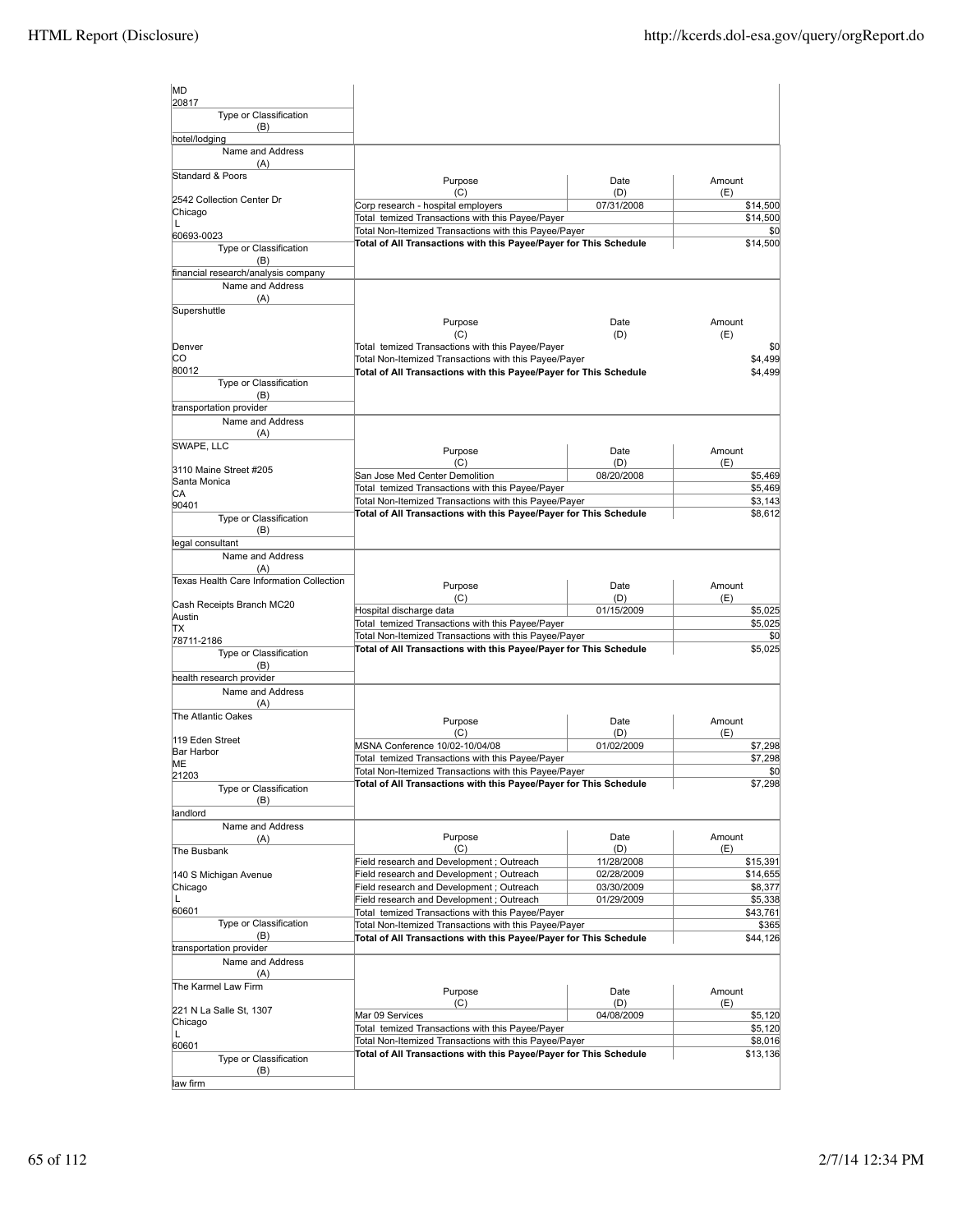| MD                                       |                                                                                                           |                   |                      |
|------------------------------------------|-----------------------------------------------------------------------------------------------------------|-------------------|----------------------|
| 20817<br>Type or Classification<br>(B)   |                                                                                                           |                   |                      |
| hotel/lodging                            |                                                                                                           |                   |                      |
| Name and Address<br>(A)                  |                                                                                                           |                   |                      |
| Standard & Poors                         | Purpose                                                                                                   | Date              | Amount               |
| 2542 Collection Center Dr                | (C)                                                                                                       | (D)               | (E)                  |
| Chicago                                  | Corp research - hospital employers<br>Total temized Transactions with this Payee/Payer                    | 07/31/2008        | \$14,500<br>\$14,500 |
| L                                        | Total Non-Itemized Transactions with this Payee/Payer                                                     |                   | \$0                  |
| 60693-0023<br>Type or Classification     | Total of All Transactions with this Payee/Payer for This Schedule                                         |                   | \$14,500             |
| (B)                                      |                                                                                                           |                   |                      |
| financial research/analysis company      |                                                                                                           |                   |                      |
| Name and Address                         |                                                                                                           |                   |                      |
| (A)                                      |                                                                                                           |                   |                      |
| Supershuttle                             | Purpose                                                                                                   | Date              | Amount               |
|                                          | (C)                                                                                                       | (D)               | (E)                  |
| Denver                                   | Total temized Transactions with this Payee/Payer                                                          |                   | \$0                  |
| CО                                       | Total Non-Itemized Transactions with this Payee/Payer                                                     |                   | \$4,499              |
| 80012<br>Type or Classification          | Total of All Transactions with this Payee/Payer for This Schedule                                         |                   | \$4,499              |
| (B)                                      |                                                                                                           |                   |                      |
| transportation provider                  |                                                                                                           |                   |                      |
| Name and Address                         |                                                                                                           |                   |                      |
| (A)                                      |                                                                                                           |                   |                      |
| SWAPE, LLC                               | Purpose                                                                                                   | Date              | Amount               |
| 3110 Maine Street #205                   | (C)                                                                                                       | (D)               | (E)                  |
| Santa Monica                             | San Jose Med Center Demolition<br>Total temized Transactions with this Payee/Payer                        | 08/20/2008        | \$5,469              |
| СA                                       | Total Non-Itemized Transactions with this Payee/Payer                                                     |                   | \$5,469<br>\$3,143   |
| 90401                                    | Total of All Transactions with this Payee/Payer for This Schedule                                         |                   | \$8,612              |
| Type or Classification<br>(B)            |                                                                                                           |                   |                      |
| legal consultant                         |                                                                                                           |                   |                      |
| Name and Address                         |                                                                                                           |                   |                      |
| (A)                                      |                                                                                                           |                   |                      |
| Texas Health Care Information Collection | Purpose                                                                                                   | Date              | Amount               |
| Cash Receipts Branch MC20                | (C)                                                                                                       | (D)               | (E)                  |
| Austin                                   | Hospital discharge data                                                                                   | 01/15/2009        | \$5,025              |
| ΠX                                       | Total temized Transactions with this Payee/Payer<br>Total Non-Itemized Transactions with this Payee/Payer |                   | \$5,025<br>\$0       |
| 78711-2186                               | Total of All Transactions with this Payee/Payer for This Schedule                                         |                   | \$5,025              |
| Type or Classification<br>(B)            |                                                                                                           |                   |                      |
| health research provider                 |                                                                                                           |                   |                      |
| Name and Address                         |                                                                                                           |                   |                      |
| (A)                                      |                                                                                                           |                   |                      |
| The Atlantic Oakes                       | Purpose                                                                                                   | Date              | Amount               |
| 119 Eden Street                          | (C)                                                                                                       | (D)               | (E)                  |
| Bar Harbor                               | MSNA Conference 10/02-10/04/08                                                                            | 01/02/2009        | \$7,298              |
| MЕ                                       | Total temized Transactions with this Payee/Payer<br>Total Non-Itemized Transactions with this Payee/Payer |                   | \$7,298<br>\$0       |
| 21203                                    | Total of All Transactions with this Payee/Payer for This Schedule                                         |                   | \$7,298              |
| Type or Classification<br>(B)            |                                                                                                           |                   |                      |
| landlord                                 |                                                                                                           |                   |                      |
| Name and Address                         |                                                                                                           |                   |                      |
| (A)                                      | Purpose                                                                                                   | Date              | Amount               |
| The Busbank                              | (C)<br>Field research and Development; Outreach                                                           | (D)<br>11/28/2008 | (E)                  |
| 140 S Michigan Avenue                    | Field research and Development ; Outreach                                                                 | 02/28/2009        | \$15,391<br>\$14,655 |
| Chicago                                  | Field research and Development; Outreach                                                                  | 03/30/2009        | \$8,377              |
| L                                        | Field research and Development; Outreach                                                                  | 01/29/2009        | \$5,338              |
| 60601                                    | Total temized Transactions with this Payee/Payer                                                          |                   | \$43,761             |
| Type or Classification                   | Total Non-Itemized Transactions with this Payee/Payer                                                     |                   | \$365                |
| (B)<br>transportation provider           | Total of All Transactions with this Payee/Payer for This Schedule                                         |                   | \$44,126             |
| Name and Address                         |                                                                                                           |                   |                      |
| (A)                                      |                                                                                                           |                   |                      |
| The Karmel Law Firm                      | Purpose                                                                                                   | Date              | Amount               |
|                                          | (C)                                                                                                       | (D)               | (E)                  |
| 221 N La Salle St, 1307<br>Chicago       | Mar 09 Services                                                                                           | 04/08/2009        | \$5,120              |
| L                                        | Total temized Transactions with this Payee/Payer                                                          |                   | \$5,120              |
| 60601                                    | Total Non-Itemized Transactions with this Payee/Payer                                                     |                   | \$8,016              |
| Type or Classification                   | Total of All Transactions with this Payee/Payer for This Schedule                                         |                   | \$13,136             |
| (B)                                      |                                                                                                           |                   |                      |
| law firm                                 |                                                                                                           |                   |                      |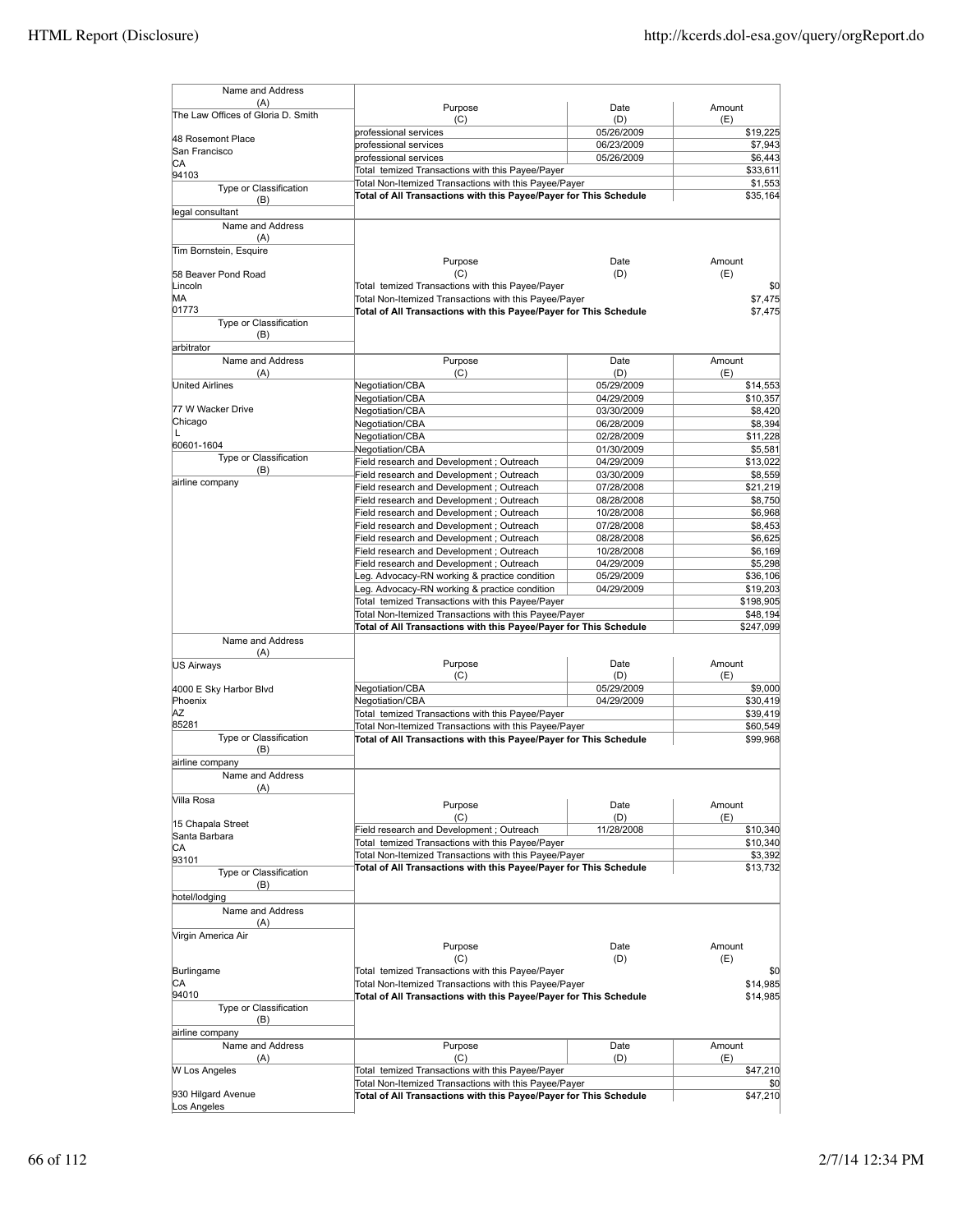| Name and Address                   |                                                                   |            |                             |
|------------------------------------|-------------------------------------------------------------------|------------|-----------------------------|
| (A)                                | Purpose                                                           | Date       | Amount                      |
| The Law Offices of Gloria D. Smith | (C)                                                               | (D)        | (E)                         |
| 48 Rosemont Place                  | professional services                                             | 05/26/2009 | \$19,225                    |
| San Francisco                      | professional services                                             | 06/23/2009 | \$7,943                     |
| IСA                                | professional services                                             | 05/26/2009 | \$6,443                     |
| 94103                              | Total temized Transactions with this Payee/Payer                  |            | \$33,611                    |
| Type or Classification             | Total Non-Itemized Transactions with this Payee/Payer             |            | \$1,553                     |
| (B)                                | Total of All Transactions with this Payee/Payer for This Schedule |            | \$35,164                    |
| legal consultant                   |                                                                   |            |                             |
| Name and Address                   |                                                                   |            |                             |
| (A)                                |                                                                   |            |                             |
| Tim Bornstein, Esquire             |                                                                   |            |                             |
|                                    | Purpose                                                           | Date       | Amount                      |
| 58 Beaver Pond Road                | (C)                                                               | (D)        | (E)                         |
| Lincoln                            | Total temized Transactions with this Payee/Payer                  |            | \$0                         |
| MА                                 | Total Non-Itemized Transactions with this Payee/Payer             |            | \$7,475                     |
| 01773                              | Total of All Transactions with this Payee/Payer for This Schedule |            | \$7,475                     |
| Type or Classification             |                                                                   |            |                             |
| (B)                                |                                                                   |            |                             |
| arbitrator                         |                                                                   |            |                             |
| Name and Address                   | Purpose                                                           | Date       | Amount                      |
| (A)                                | (C)                                                               | (D)        | (E)                         |
| <b>United Airlines</b>             | Negotiation/CBA                                                   | 05/29/2009 | \$14,553                    |
|                                    | Negotiation/CBA                                                   | 04/29/2009 | \$10,357                    |
| 77 W Wacker Drive                  | Negotiation/CBA                                                   | 03/30/2009 | \$8,420                     |
| Chicago                            | Negotiation/CBA                                                   | 06/28/2009 | \$8,394                     |
| L                                  | Negotiation/CBA                                                   | 02/28/2009 | \$11,228                    |
| 60601-1604                         | Negotiation/CBA                                                   | 01/30/2009 | \$5,581                     |
| Type or Classification             | Field research and Development; Outreach                          | 04/29/2009 | \$13,022                    |
| (B)                                | Field research and Development; Outreach                          | 03/30/2009 | \$8,559                     |
| airline company                    | Field research and Development; Outreach                          | 07/28/2008 | \$21,219                    |
|                                    | Field research and Development ; Outreach                         | 08/28/2008 | \$8,750                     |
|                                    |                                                                   |            |                             |
|                                    | Field research and Development; Outreach                          | 10/28/2008 | \$6,968                     |
|                                    | Field research and Development; Outreach                          | 07/28/2008 | \$8,453                     |
|                                    | Field research and Development; Outreach                          | 08/28/2008 | \$6,625                     |
|                                    | Field research and Development; Outreach                          | 10/28/2008 | \$6,169                     |
|                                    | Field research and Development; Outreach                          | 04/29/2009 | \$5,298                     |
|                                    | eg. Advocacy-RN working & practice condition                      | 05/29/2009 | \$36,106                    |
|                                    | eg. Advocacy-RN working & practice condition                      | 04/29/2009 | \$19,203                    |
|                                    | Total temized Transactions with this Payee/Payer                  |            | \$198,905                   |
|                                    | Total Non-Itemized Transactions with this Payee/Payer             |            | \$48,194                    |
|                                    | Total of All Transactions with this Payee/Payer for This Schedule |            | \$247,099                   |
| Name and Address                   |                                                                   |            |                             |
| (A)                                |                                                                   |            |                             |
| US Airways                         | Purpose                                                           | Date       | Amount                      |
|                                    | (C)                                                               | (D)        | (E)                         |
| 4000 E Sky Harbor Blvd             | Negotiation/CBA                                                   | 05/29/2009 | \$9,000                     |
| Phoenix                            | Negotiation/CBA                                                   | 04/29/2009 | \$30,419                    |
| ΑZ                                 | Total temized Transactions with this Payee/Payer                  |            | \$39,419                    |
| 85281                              | Total Non-Itemized Transactions with this Payee/Payer             |            | \$60,549                    |
| <b>Type or Classification</b>      | Total of All Transactions with this Payee/Payer for This Schedule |            | \$99,968                    |
| (B)                                |                                                                   |            |                             |
| airline company                    |                                                                   |            |                             |
| Name and Address                   |                                                                   |            |                             |
| (A)                                |                                                                   |            |                             |
| Villa Rosa                         | Purpose                                                           | Date       | Amount                      |
|                                    | (C)                                                               | (D)        | (E)                         |
| 15 Chapala Street                  | Field research and Development; Outreach                          | 11/28/2008 | \$10,340                    |
| Santa Barbara                      | Total temized Transactions with this Payee/Payer                  |            | \$10,340                    |
| CА                                 | Total Non-Itemized Transactions with this Payee/Payer             |            | \$3,392                     |
| 93101                              | Total of All Transactions with this Payee/Payer for This Schedule |            | \$13,732                    |
| Type or Classification             |                                                                   |            |                             |
| (B)                                |                                                                   |            |                             |
| hotel/lodging                      |                                                                   |            |                             |
| Name and Address                   |                                                                   |            |                             |
| (A)                                |                                                                   |            |                             |
| Virgin America Air                 |                                                                   |            |                             |
|                                    | Purpose                                                           | Date       | Amount                      |
|                                    | (C)                                                               | (D)        | (E)                         |
| Burlingame                         | Total temized Transactions with this Payee/Payer                  |            | \$0                         |
| CA                                 | Total Non-Itemized Transactions with this Payee/Payer             |            | \$14,985                    |
|                                    |                                                                   |            | \$14,985                    |
| 94010                              | Total of All Transactions with this Payee/Payer for This Schedule |            |                             |
| Type or Classification             |                                                                   |            |                             |
| (B)                                |                                                                   |            |                             |
| airline company                    |                                                                   |            |                             |
| Name and Address                   | Purpose                                                           | Date       | Amount                      |
| (A)                                | (C)                                                               | (D)        | (E)                         |
| W Los Angeles                      | Total temized Transactions with this Payee/Payer                  |            |                             |
|                                    | Total Non-Itemized Transactions with this Payee/Payer             |            |                             |
| 930 Hilgard Avenue                 | Total of All Transactions with this Payee/Payer for This Schedule |            | \$47,210<br>\$0<br>\$47,210 |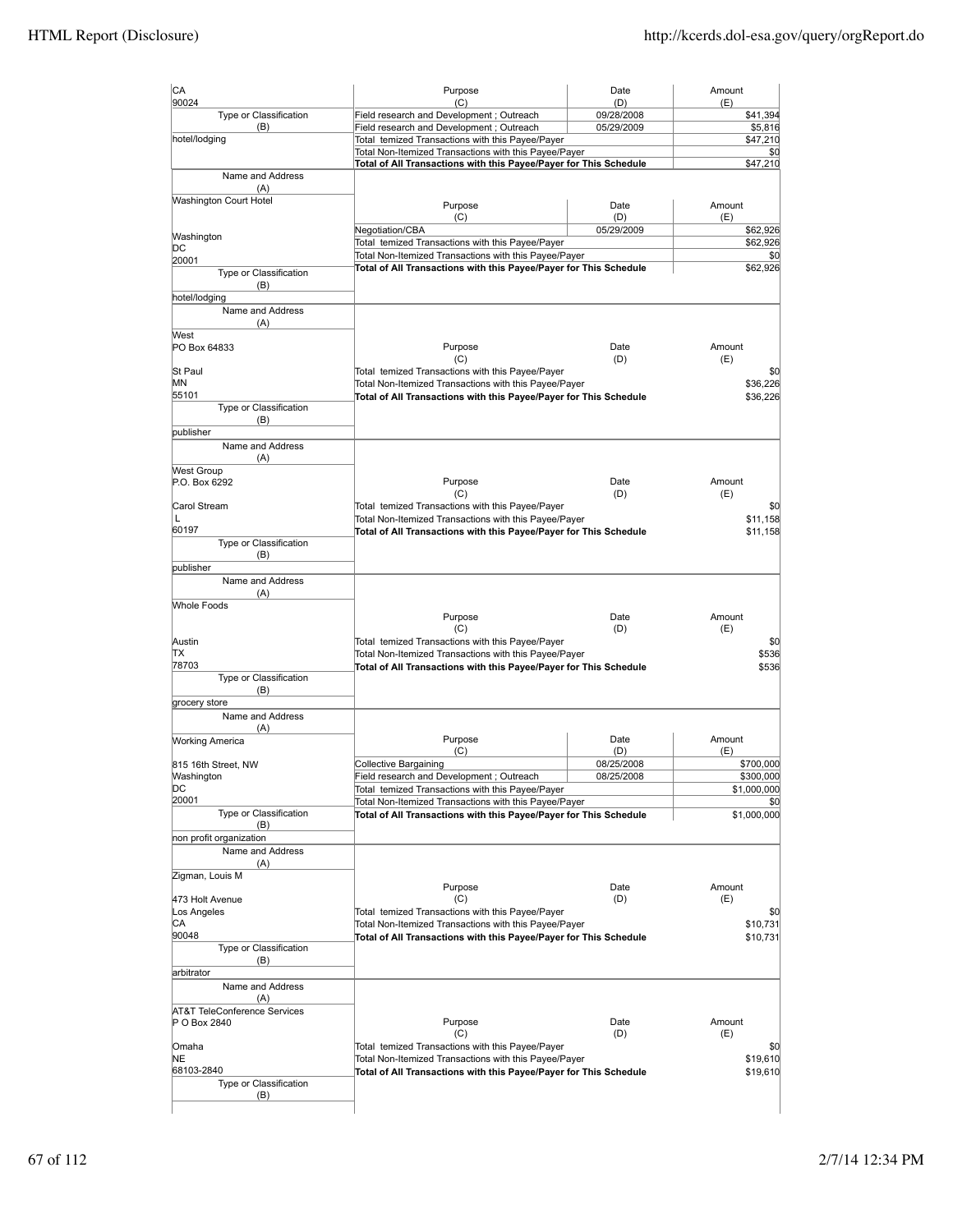| CA                                          | Purpose                                                                                                                    | Date                     | Amount                   |
|---------------------------------------------|----------------------------------------------------------------------------------------------------------------------------|--------------------------|--------------------------|
| 90024<br>Type or Classification             | (C)<br>Field research and Development ; Outreach                                                                           | (D)<br>09/28/2008        | (E)<br>\$41,394          |
| (B)                                         | Field research and Development ; Outreach                                                                                  | 05/29/2009               | \$5,816                  |
| hotel/lodging                               | Total temized Transactions with this Payee/Payer                                                                           |                          | \$47,210                 |
|                                             | Total Non-Itemized Transactions with this Payee/Payer                                                                      |                          | \$0                      |
| Name and Address                            | Total of All Transactions with this Payee/Payer for This Schedule                                                          |                          | \$47,210                 |
| (A)                                         |                                                                                                                            |                          |                          |
| <b>Washington Court Hotel</b>               | Purpose                                                                                                                    | Date                     | Amount                   |
|                                             | (C)                                                                                                                        | (D)                      | (E)                      |
| Washington                                  | Negotiation/CBA                                                                                                            | 05/29/2009               | \$62,926                 |
| DС                                          | Total temized Transactions with this Payee/Payer                                                                           |                          | \$62,926                 |
| 20001                                       | Total Non-Itemized Transactions with this Payee/Payer<br>Total of All Transactions with this Payee/Payer for This Schedule |                          | \$0<br>\$62,926          |
| Type or Classification                      |                                                                                                                            |                          |                          |
| (B)<br>hotel/lodging                        |                                                                                                                            |                          |                          |
| Name and Address                            |                                                                                                                            |                          |                          |
| (A)                                         |                                                                                                                            |                          |                          |
| West                                        |                                                                                                                            |                          |                          |
| PO Box 64833                                | Purpose<br>(C)                                                                                                             | Date<br>(D)              | Amount<br>(E)            |
| St Paul                                     | Total temized Transactions with this Payee/Payer                                                                           |                          | \$0                      |
| MN                                          | Total Non-Itemized Transactions with this Payee/Payer                                                                      |                          | \$36,226                 |
| 55101                                       | Total of All Transactions with this Payee/Payer for This Schedule                                                          |                          | \$36,226                 |
| Type or Classification                      |                                                                                                                            |                          |                          |
| (B)<br>publisher                            |                                                                                                                            |                          |                          |
| Name and Address                            |                                                                                                                            |                          |                          |
| (A)                                         |                                                                                                                            |                          |                          |
| <b>West Group</b>                           |                                                                                                                            |                          |                          |
| P.O. Box 6292                               | Purpose                                                                                                                    | Date                     | Amount                   |
| Carol Stream                                | (C)<br>Total temized Transactions with this Payee/Payer                                                                    | (D)                      | (E)<br>\$0               |
| L                                           | Total Non-Itemized Transactions with this Payee/Payer                                                                      |                          | \$11,158                 |
| 60197                                       | Total of All Transactions with this Payee/Payer for This Schedule                                                          |                          | \$11,158                 |
| Type or Classification                      |                                                                                                                            |                          |                          |
| (B)                                         |                                                                                                                            |                          |                          |
| publisher<br>Name and Address               |                                                                                                                            |                          |                          |
| (A)                                         |                                                                                                                            |                          |                          |
| <b>Whole Foods</b>                          |                                                                                                                            |                          |                          |
|                                             | Purpose                                                                                                                    | Date                     | Amount                   |
| Austin                                      | (C)<br>Total temized Transactions with this Payee/Payer                                                                    | (D)                      | (E)<br>\$0               |
| ΠX                                          | Total Non-Itemized Transactions with this Payee/Payer                                                                      |                          | \$536                    |
| 78703                                       | Total of All Transactions with this Payee/Payer for This Schedule                                                          |                          | \$536                    |
| Type or Classification                      |                                                                                                                            |                          |                          |
| (B)                                         |                                                                                                                            |                          |                          |
| grocery store<br>Name and Address           |                                                                                                                            |                          |                          |
| (A)                                         |                                                                                                                            |                          |                          |
| <b>Working America</b>                      | Purpose                                                                                                                    | Date                     | Amount                   |
|                                             | (C)                                                                                                                        | (D)                      | (E)                      |
| 815 16th Street, NW                         | <b>Collective Bargaining</b><br>Field research and Development; Outreach                                                   | 08/25/2008<br>08/25/2008 | \$700,000                |
| Washington<br>DС                            | Total temized Transactions with this Payee/Payer                                                                           |                          | \$300,000<br>\$1,000,000 |
| 20001                                       | Total Non-Itemized Transactions with this Payee/Payer                                                                      |                          | \$0                      |
| Type or Classification                      | Total of All Transactions with this Payee/Payer for This Schedule                                                          |                          | \$1,000,000              |
| (B)                                         |                                                                                                                            |                          |                          |
| non profit organization<br>Name and Address |                                                                                                                            |                          |                          |
| (A)                                         |                                                                                                                            |                          |                          |
| Zigman, Louis M                             |                                                                                                                            |                          |                          |
|                                             | Purpose                                                                                                                    | Date                     | Amount                   |
| 473 Holt Avenue                             | (C)                                                                                                                        | (D)                      | (E)                      |
| Los Angeles<br>CА                           | Total temized Transactions with this Payee/Payer<br>Total Non-Itemized Transactions with this Payee/Payer                  |                          | \$0<br>\$10,731          |
| 90048                                       | Total of All Transactions with this Payee/Payer for This Schedule                                                          |                          | \$10,731                 |
| Type or Classification                      |                                                                                                                            |                          |                          |
| (B)                                         |                                                                                                                            |                          |                          |
| arbitrator                                  |                                                                                                                            |                          |                          |
| Name and Address<br>(A)                     |                                                                                                                            |                          |                          |
| <b>AT&amp;T TeleConference Services</b>     |                                                                                                                            |                          |                          |
| P O Box 2840                                | Purpose                                                                                                                    | Date                     | Amount                   |
|                                             | (C)                                                                                                                        | (D)                      | (E)                      |
| Omaha<br>NE                                 | Total temized Transactions with this Payee/Payer                                                                           |                          | \$0<br>\$19,610          |
| 68103-2840                                  | Total Non-Itemized Transactions with this Payee/Payer<br>Total of All Transactions with this Payee/Payer for This Schedule |                          | \$19,610                 |
| Type or Classification                      |                                                                                                                            |                          |                          |
| (B)                                         |                                                                                                                            |                          |                          |
|                                             |                                                                                                                            |                          |                          |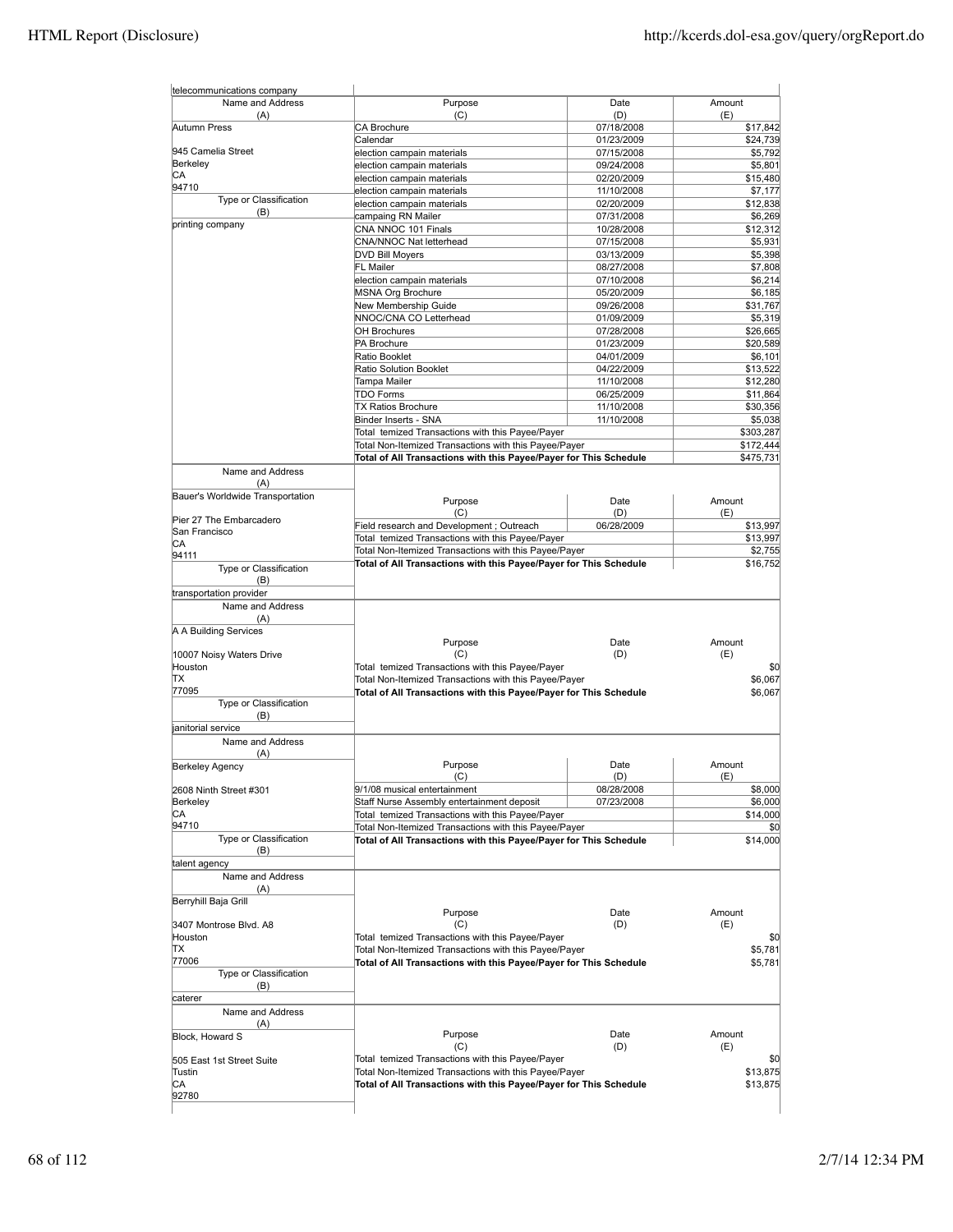| telecommunications company              |                                                                                                                            |                          |                     |
|-----------------------------------------|----------------------------------------------------------------------------------------------------------------------------|--------------------------|---------------------|
| Name and Address<br>(A)                 | Purpose<br>(C)                                                                                                             | Date<br>(D)              | Amount<br>(E)       |
| Autumn Press                            | CA Brochure                                                                                                                | 07/18/2008               | \$17,842            |
|                                         | Calendar                                                                                                                   | 01/23/2009               | \$24,739            |
| 945 Camelia Street                      | election campain materials                                                                                                 | 07/15/2008               | \$5,792             |
| Berkeley                                | election campain materials                                                                                                 | 09/24/2008               | \$5,801             |
| CА<br>94710                             | election campain materials                                                                                                 | 02/20/2009               | \$15,480            |
| Type or Classification                  | election campain materials                                                                                                 | 11/10/2008               | \$7,177             |
| (B)                                     | election campain materials                                                                                                 | 02/20/2009               | \$12,838            |
| printing company                        | campaing RN Mailer                                                                                                         | 07/31/2008               | \$6,269             |
|                                         | CNA NNOC 101 Finals                                                                                                        | 10/28/2008               | \$12,312            |
|                                         | CNA/NNOC Nat letterhead                                                                                                    | 07/15/2008               | \$5,931             |
|                                         | <b>DVD Bill Moyers</b><br><b>FL Mailer</b>                                                                                 | 03/13/2009               | \$5,398             |
|                                         | election campain materials                                                                                                 | 08/27/2008<br>07/10/2008 | \$7,808<br>\$6,214  |
|                                         | MSNA Org Brochure                                                                                                          | 05/20/2009               | \$6,185             |
|                                         | New Membership Guide                                                                                                       | 09/26/2008               | \$31,767            |
|                                         | NNOC/CNA CO Letterhead                                                                                                     | 01/09/2009               | \$5,319             |
|                                         | <b>OH Brochures</b>                                                                                                        | 07/28/2008               | \$26,665            |
|                                         | PA Brochure                                                                                                                | 01/23/2009               | \$20,589            |
|                                         | Ratio Booklet                                                                                                              | 04/01/2009               | \$6,101             |
|                                         | Ratio Solution Booklet                                                                                                     | 04/22/2009               | \$13,522            |
|                                         | Tampa Mailer                                                                                                               | 11/10/2008               | \$12,280            |
|                                         | <b>TDO Forms</b>                                                                                                           | 06/25/2009               | \$11,864            |
|                                         | <b>TX Ratios Brochure</b>                                                                                                  | 11/10/2008               | \$30,356            |
|                                         | Binder Inserts - SNA                                                                                                       | 11/10/2008               | \$5,038             |
|                                         | Total temized Transactions with this Payee/Payer                                                                           |                          | \$303,287           |
|                                         | Total Non-Itemized Transactions with this Payee/Payer                                                                      |                          | \$172,444           |
|                                         | Total of All Transactions with this Payee/Payer for This Schedule                                                          |                          | \$475,731           |
| Name and Address                        |                                                                                                                            |                          |                     |
| (A)<br>Bauer's Worldwide Transportation |                                                                                                                            |                          |                     |
|                                         | Purpose                                                                                                                    | Date                     | Amount              |
| Pier 27 The Embarcadero                 | (C)                                                                                                                        | (D)                      | (E)                 |
| San Francisco                           | Field research and Development; Outreach                                                                                   | 06/28/2009               | \$13,997            |
| CА                                      | Total temized Transactions with this Payee/Payer                                                                           |                          | \$13,997            |
| 94111                                   | Total Non-Itemized Transactions with this Payee/Payer<br>Total of All Transactions with this Payee/Payer for This Schedule |                          | \$2,755<br>\$16,752 |
| Type or Classification                  |                                                                                                                            |                          |                     |
| (B)                                     |                                                                                                                            |                          |                     |
| transportation provider                 |                                                                                                                            |                          |                     |
| Name and Address                        |                                                                                                                            |                          |                     |
| (A)                                     |                                                                                                                            |                          |                     |
| A A Building Services                   |                                                                                                                            | Date                     | Amount              |
|                                         | Purpose<br>(C)                                                                                                             | (D)                      | (E)                 |
| 10007 Noisy Waters Drive<br>Houston     | Total temized Transactions with this Payee/Payer                                                                           |                          | \$0                 |
| ΠX                                      | Total Non-Itemized Transactions with this Payee/Payer                                                                      |                          | \$6,067             |
| 77095                                   | Total of All Transactions with this Payee/Payer for This Schedule                                                          |                          | \$6,067             |
| Type or Classification                  |                                                                                                                            |                          |                     |
| (B)                                     |                                                                                                                            |                          |                     |
| janitorial service                      |                                                                                                                            |                          |                     |
| Name and Address                        |                                                                                                                            |                          |                     |
| (A)<br><b>Berkeley Agency</b>           | Purpose                                                                                                                    | Date                     | Amount              |
|                                         | (C)                                                                                                                        | (D)                      | (E)                 |
| 2608 Ninth Street #301                  | 9/1/08 musical entertainment                                                                                               | 08/28/2008               | \$8,000             |
| Berkeley                                | Staff Nurse Assembly entertainment deposit                                                                                 | 07/23/2008               | \$6,000             |
| CA                                      | Total temized Transactions with this Payee/Payer                                                                           |                          | \$14,000            |
| 94710                                   | Total Non-Itemized Transactions with this Payee/Payer                                                                      |                          | \$0                 |
| Type or Classification                  | Total of All Transactions with this Payee/Payer for This Schedule                                                          |                          | \$14,000            |
| (B)                                     |                                                                                                                            |                          |                     |
| talent agency                           |                                                                                                                            |                          |                     |
| Name and Address                        |                                                                                                                            |                          |                     |
| (A)                                     |                                                                                                                            |                          |                     |
| Berryhill Baja Grill                    |                                                                                                                            |                          |                     |
|                                         | Purpose                                                                                                                    | Date                     | Amount              |
| 3407 Montrose Blvd. A8                  | (C)                                                                                                                        | (D)                      | (E)                 |
| Houston                                 | Total temized Transactions with this Payee/Payer                                                                           |                          | \$0                 |
| ΠX                                      | Total Non-Itemized Transactions with this Payee/Payer                                                                      |                          | \$5,781             |
| 77006                                   | Total of All Transactions with this Payee/Payer for This Schedule                                                          |                          | \$5,781             |
| Type or Classification<br>(B)           |                                                                                                                            |                          |                     |
| caterer                                 |                                                                                                                            |                          |                     |
| Name and Address                        |                                                                                                                            |                          |                     |
| (A)                                     |                                                                                                                            |                          |                     |
| Block, Howard S                         | Purpose                                                                                                                    | Date                     | Amount              |
|                                         | (C)                                                                                                                        | (D)                      | (E)                 |
| 505 East 1st Street Suite               | Total temized Transactions with this Payee/Payer                                                                           |                          | \$0                 |
| Tustin                                  | Total Non-Itemized Transactions with this Payee/Payer                                                                      |                          | \$13,875            |
| IСA                                     | Total of All Transactions with this Payee/Payer for This Schedule                                                          |                          | \$13,875            |
| 92780                                   |                                                                                                                            |                          |                     |
|                                         |                                                                                                                            |                          |                     |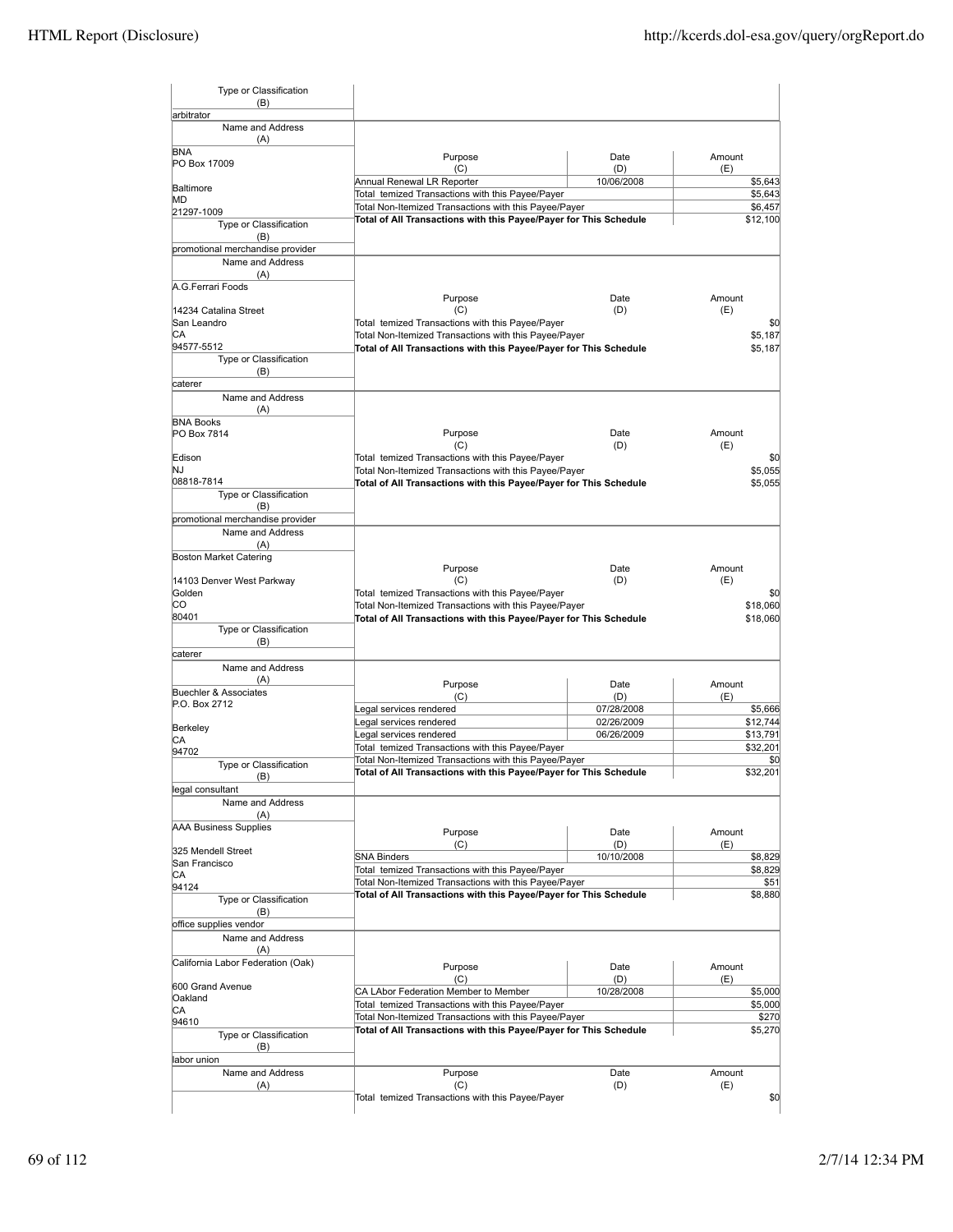| Type or Classification<br>(B)               |                                                                   |                   |                                                         |
|---------------------------------------------|-------------------------------------------------------------------|-------------------|---------------------------------------------------------|
| arbitrator<br>Name and Address              |                                                                   |                   |                                                         |
| (A)                                         |                                                                   |                   |                                                         |
| <b>BNA</b>                                  | Purpose                                                           | Date              | Amount                                                  |
| PO Box 17009                                | (C)                                                               | (D)               | (E)                                                     |
| Baltimore                                   | Annual Renewal LR Reporter                                        | 10/06/2008        | \$5,643                                                 |
| MD                                          | Total temized Transactions with this Payee/Payer                  |                   | \$5,643                                                 |
| 21297-1009                                  | Total Non-Itemized Transactions with this Payee/Payer             |                   | \$6,457                                                 |
| Type or Classification                      | Total of All Transactions with this Payee/Payer for This Schedule |                   | \$12,100                                                |
| (B)                                         |                                                                   |                   |                                                         |
| promotional merchandise provider            |                                                                   |                   |                                                         |
| Name and Address                            |                                                                   |                   |                                                         |
| (A)<br>A.G.Ferrari Foods                    |                                                                   |                   |                                                         |
|                                             | Purpose                                                           | Date              | Amount                                                  |
| 14234 Catalina Street                       | (C)                                                               | (D)               | (E)                                                     |
| San Leandro                                 | Total temized Transactions with this Payee/Payer                  |                   | \$0                                                     |
| CA                                          | Total Non-Itemized Transactions with this Payee/Payer             |                   | \$5,187                                                 |
| 94577-5512                                  | Total of All Transactions with this Payee/Payer for This Schedule |                   | \$5,187                                                 |
| Type or Classification                      |                                                                   |                   |                                                         |
| (B)<br>caterer                              |                                                                   |                   |                                                         |
| Name and Address                            |                                                                   |                   |                                                         |
| (A)                                         |                                                                   |                   |                                                         |
| <b>BNA Books</b>                            |                                                                   |                   |                                                         |
| PO Box 7814                                 | Purpose                                                           | Date              | Amount                                                  |
|                                             | (C)                                                               | (D)               | (E)                                                     |
| Edison                                      | Total temized Transactions with this Payee/Payer                  |                   | \$0                                                     |
| NJ                                          | Total Non-Itemized Transactions with this Payee/Payer             |                   | \$5,055                                                 |
| 08818-7814<br><b>Type or Classification</b> | Total of All Transactions with this Payee/Payer for This Schedule |                   | \$5,055                                                 |
| (B)                                         |                                                                   |                   |                                                         |
| promotional merchandise provider            |                                                                   |                   |                                                         |
| Name and Address                            |                                                                   |                   |                                                         |
| (A)                                         |                                                                   |                   |                                                         |
| <b>Boston Market Catering</b>               |                                                                   |                   |                                                         |
|                                             | Purpose                                                           | Date              | Amount                                                  |
| 14103 Denver West Parkway                   | (C)                                                               | (D)               | (E)                                                     |
| Golden                                      | Total temized Transactions with this Payee/Payer                  |                   | \$0                                                     |
| CO                                          | Total Non-Itemized Transactions with this Payee/Payer             |                   | \$18,060                                                |
| 80401<br>Type or Classification             | Total of All Transactions with this Payee/Payer for This Schedule |                   | \$18,060                                                |
| (B)                                         |                                                                   |                   |                                                         |
| caterer                                     |                                                                   |                   |                                                         |
| Name and Address                            |                                                                   |                   |                                                         |
| (A)                                         |                                                                   |                   |                                                         |
|                                             |                                                                   |                   |                                                         |
| <b>Buechler &amp; Associates</b>            | Purpose                                                           | Date              | Amount                                                  |
| P.O. Box 2712                               | (C)<br>Legal services rendered                                    | (D)<br>07/28/2008 | (E)<br>\$5,666                                          |
|                                             | Legal services rendered                                           | 02/26/2009        | \$12,744                                                |
| Berkeley                                    | Legal services rendered                                           | 06/26/2009        |                                                         |
| СA                                          | Total temized Transactions with this Payee/Payer                  |                   |                                                         |
| 94702                                       | Total Non-Itemized Transactions with this Payee/Payer             |                   |                                                         |
| Type or Classification<br>(B)               | Total of All Transactions with this Payee/Payer for This Schedule |                   |                                                         |
| legal consultant                            |                                                                   |                   |                                                         |
| Name and Address                            |                                                                   |                   |                                                         |
| (A)                                         |                                                                   |                   |                                                         |
| <b>AAA Business Supplies</b>                | Purpose                                                           | Date              | Amount                                                  |
|                                             | (C)                                                               | (D)               | \$13,791<br>\$32,201<br>\$0<br>\$32.201<br>(E)          |
| 325 Mendell Street                          | <b>SNA Binders</b>                                                | 10/10/2008        |                                                         |
| San Francisco                               | Total temized Transactions with this Payee/Payer                  |                   |                                                         |
| СA<br>94124                                 | Total Non-Itemized Transactions with this Payee/Payer             |                   |                                                         |
| Type or Classification                      | Total of All Transactions with this Payee/Payer for This Schedule |                   |                                                         |
| (B)                                         |                                                                   |                   |                                                         |
| office supplies vendor                      |                                                                   |                   |                                                         |
| Name and Address                            |                                                                   |                   |                                                         |
| (A)                                         |                                                                   |                   |                                                         |
| California Labor Federation (Oak)           | Purpose                                                           | Date              | \$8,829<br>\$8,829<br>\$51<br>\$8,880<br>Amount         |
|                                             | (C)                                                               | (D)               | (E)                                                     |
| 600 Grand Avenue                            | CA LAbor Federation Member to Member                              | 10/28/2008        |                                                         |
| Oakland<br>СA                               | Total temized Transactions with this Payee/Payer                  |                   |                                                         |
| 94610                                       | Total Non-Itemized Transactions with this Payee/Payer             |                   |                                                         |
| Type or Classification                      | Total of All Transactions with this Payee/Payer for This Schedule |                   |                                                         |
| (B)                                         |                                                                   |                   |                                                         |
| labor union                                 |                                                                   |                   |                                                         |
| Name and Address<br>(A)                     | Purpose<br>(C)                                                    | Date<br>(D)       | \$5,000<br>\$5,000<br>\$270<br>\$5,270<br>Amount<br>(E) |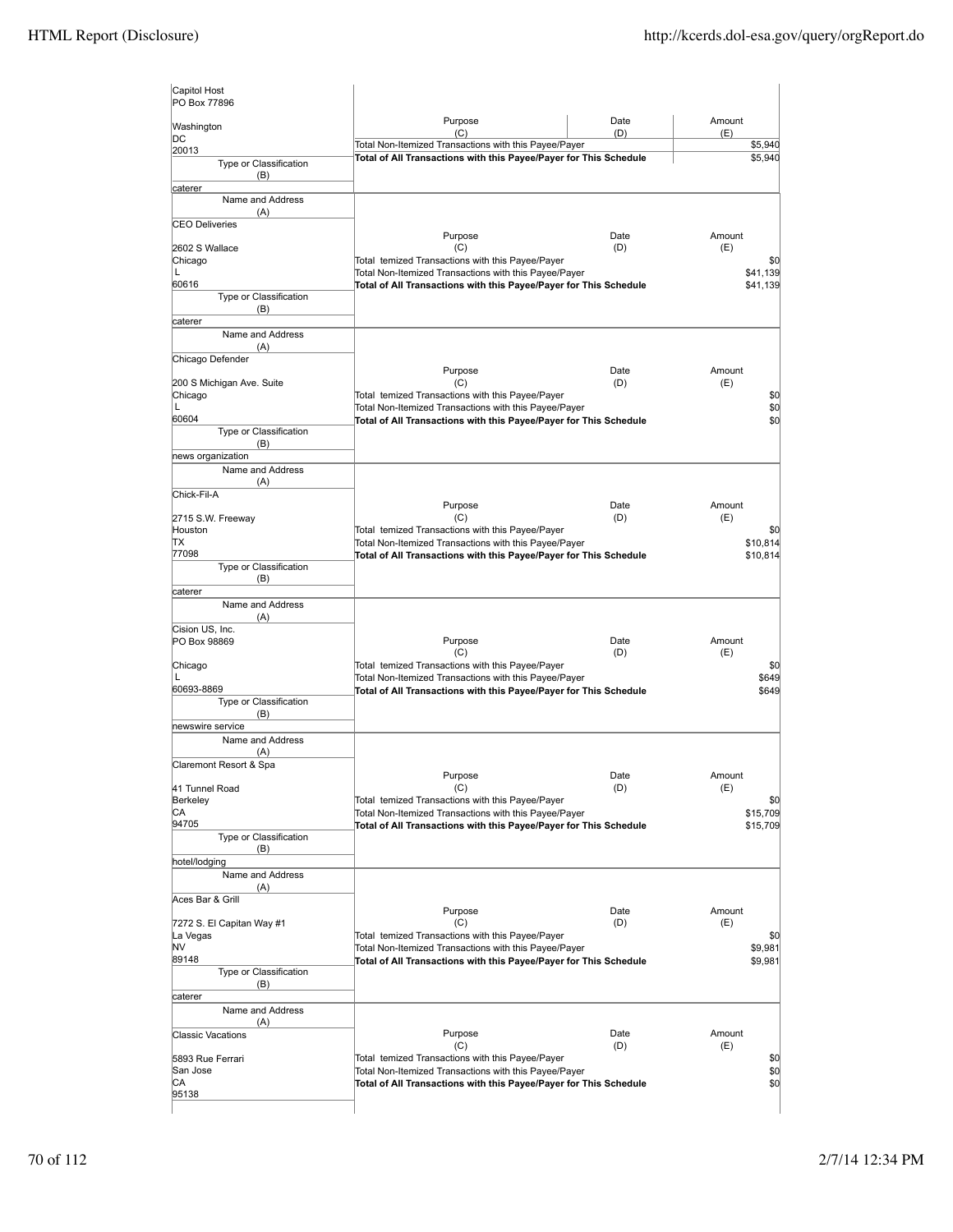| Capitol Host<br>PO Box 77896         |                                                                                                                            |             |                |
|--------------------------------------|----------------------------------------------------------------------------------------------------------------------------|-------------|----------------|
| Washington                           | Purpose<br>(C)                                                                                                             | Date<br>(D) | Amount<br>(E)  |
| DC                                   | Total Non-Itemized Transactions with this Payee/Payer                                                                      |             | \$5,940        |
| 20013<br>Type or Classification      | Total of All Transactions with this Payee/Payer for This Schedule                                                          | \$5,940     |                |
| (B)                                  |                                                                                                                            |             |                |
| caterer<br>Name and Address          |                                                                                                                            |             |                |
| (A)                                  |                                                                                                                            |             |                |
| <b>CEO Deliveries</b>                |                                                                                                                            |             |                |
|                                      | Purpose                                                                                                                    | Date        | Amount         |
| 2602 S Wallace<br>Chicago            | (C)<br>Total temized Transactions with this Payee/Payer                                                                    | (D)         | (E)<br>\$0     |
| L                                    | Total Non-Itemized Transactions with this Payee/Payer                                                                      |             | \$41,139       |
| 60616                                | Total of All Transactions with this Payee/Payer for This Schedule                                                          |             | \$41,139       |
| Type or Classification<br>(B)        |                                                                                                                            |             |                |
| caterer                              |                                                                                                                            |             |                |
| Name and Address                     |                                                                                                                            |             |                |
| (A)                                  |                                                                                                                            |             |                |
| Chicago Defender                     | Purpose                                                                                                                    | Date        | Amount         |
| 200 S Michigan Ave. Suite            | (C)                                                                                                                        | (D)         | (E)            |
| Chicago                              | Total temized Transactions with this Payee/Payer                                                                           |             | \$0<br>\$0     |
| L<br>60604                           | Total Non-Itemized Transactions with this Payee/Payer<br>Total of All Transactions with this Payee/Payer for This Schedule |             |                |
| Type or Classification               |                                                                                                                            |             | \$0            |
| (B)                                  |                                                                                                                            |             |                |
| news organization                    |                                                                                                                            |             |                |
| Name and Address<br>(A)              |                                                                                                                            |             |                |
| Chick-Fil-A                          |                                                                                                                            |             |                |
|                                      | Purpose                                                                                                                    | Date        | Amount         |
| 2715 S.W. Freeway<br>Houston         | (C)<br>Total temized Transactions with this Payee/Payer                                                                    | (D)         | (E)<br>\$0     |
| ТX                                   | Total Non-Itemized Transactions with this Payee/Payer                                                                      |             | \$10,814       |
| 77098                                | Total of All Transactions with this Payee/Payer for This Schedule                                                          |             | \$10,814       |
| Type or Classification<br>(B)        |                                                                                                                            |             |                |
| caterer                              |                                                                                                                            |             |                |
| Name and Address                     |                                                                                                                            |             |                |
| (A)                                  |                                                                                                                            |             |                |
| Cision US, Inc.<br>PO Box 98869      | Purpose                                                                                                                    | Date        | Amount         |
|                                      | (C)                                                                                                                        | (D)         | (E)            |
| Chicago                              | Total temized Transactions with this Payee/Payer                                                                           |             | \$0            |
| 60693-8869                           | Total Non-Itemized Transactions with this Payee/Payer<br>Total of All Transactions with this Payee/Payer for This Schedule |             | \$649<br>\$649 |
| Type or Classification               |                                                                                                                            |             |                |
| (B)                                  |                                                                                                                            |             |                |
| newswire service<br>Name and Address |                                                                                                                            |             |                |
| (A)                                  |                                                                                                                            |             |                |
| Claremont Resort & Spa               |                                                                                                                            |             |                |
| 41 Tunnel Road                       | Purpose<br>(C)                                                                                                             | Date<br>(D) | Amount<br>(E)  |
| Berkeley                             | Total temized Transactions with this Payee/Payer                                                                           |             | \$0            |
| СA                                   | Total Non-Itemized Transactions with this Payee/Payer                                                                      |             | \$15,709       |
| 94705<br>Type or Classification      | Total of All Transactions with this Payee/Payer for This Schedule                                                          |             | \$15,709       |
| (B)                                  |                                                                                                                            |             |                |
| hotel/lodging                        |                                                                                                                            |             |                |
| Name and Address                     |                                                                                                                            |             |                |
| (A)<br>Aces Bar & Grill              |                                                                                                                            |             |                |
|                                      | Purpose                                                                                                                    | Date        | Amount         |
| 7272 S. El Capitan Way #1            | (C)                                                                                                                        | (D)         | (E)            |
| La Vegas<br>NV                       | Total temized Transactions with this Payee/Payer<br>Total Non-Itemized Transactions with this Payee/Payer                  |             | \$0<br>\$9,981 |
| 89148                                | Total of All Transactions with this Payee/Payer for This Schedule                                                          |             | \$9,981        |
| Type or Classification               |                                                                                                                            |             |                |
| (B)                                  |                                                                                                                            |             |                |
| caterer<br>Name and Address          |                                                                                                                            |             |                |
| (A)                                  |                                                                                                                            |             |                |
| <b>Classic Vacations</b>             | Purpose                                                                                                                    | Date        | Amount         |
| 5893 Rue Ferrari                     | (C)<br>Total temized Transactions with this Payee/Payer                                                                    | (D)         | (E)<br>\$0     |
| San Jose                             | Total Non-Itemized Transactions with this Payee/Payer                                                                      |             | \$0            |
| СA                                   | Total of All Transactions with this Payee/Payer for This Schedule                                                          |             | \$0            |
| 95138                                |                                                                                                                            |             |                |
|                                      |                                                                                                                            |             |                |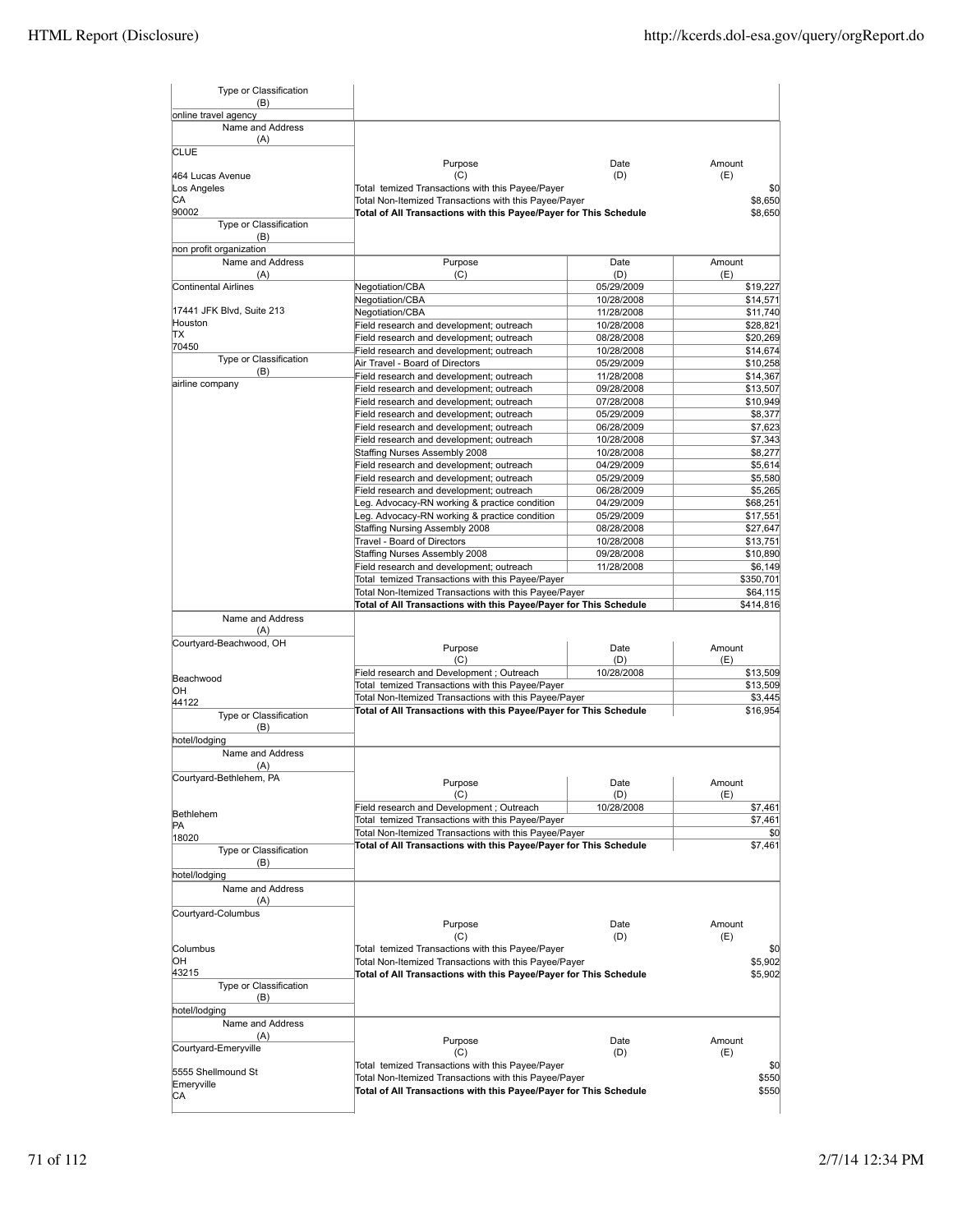| Type or Classification<br>(B)            |                                                                                                                                       |                          |                      |
|------------------------------------------|---------------------------------------------------------------------------------------------------------------------------------------|--------------------------|----------------------|
| online travel agency<br>Name and Address |                                                                                                                                       |                          |                      |
| (A)<br><b>CLUE</b>                       |                                                                                                                                       |                          |                      |
|                                          | Purpose                                                                                                                               | Date                     | Amount               |
| 464 Lucas Avenue<br>Los Angeles          | (C)                                                                                                                                   | (D)                      | (E)                  |
| CА                                       | Total temized Transactions with this Payee/Payer<br>Total Non-Itemized Transactions with this Payee/Payer                             |                          | \$0<br>\$8,650       |
| 90002                                    | Total of All Transactions with this Payee/Payer for This Schedule                                                                     |                          | \$8,650              |
| Type or Classification<br>(B)            |                                                                                                                                       |                          |                      |
| non profit organization                  |                                                                                                                                       |                          |                      |
| Name and Address                         | Purpose                                                                                                                               | Date                     | Amount               |
| (A)                                      | (C)                                                                                                                                   | (D)                      | (E)                  |
| Continental Airlines                     | Negotiation/CBA                                                                                                                       | 05/29/2009               | \$19,227             |
| 17441 JFK Blvd, Suite 213                | Negotiation/CBA                                                                                                                       | 10/28/2008               | \$14,571             |
| Houston                                  | <b>Negotiation/CBA</b>                                                                                                                | 11/28/2008               | \$11,740             |
| TХ                                       | Field research and development; outreach<br>Field research and development; outreach                                                  | 10/28/2008<br>08/28/2008 | \$28,821<br>\$20,269 |
| 70450                                    | Field research and development; outreach                                                                                              | 10/28/2008               | \$14,674             |
| Type or Classification                   | Air Travel - Board of Directors                                                                                                       | 05/29/2009               | \$10,258             |
| (B)                                      | Field research and development; outreach                                                                                              | 11/28/2008               | \$14,367             |
| airline company                          | Field research and development; outreach                                                                                              | 09/28/2008               | \$13,507             |
|                                          | Field research and development; outreach                                                                                              | 07/28/2008               | \$10,949             |
|                                          | Field research and development; outreach                                                                                              | 05/29/2009               | \$8,377              |
|                                          | Field research and development; outreach                                                                                              | 06/28/2009               | \$7,623              |
|                                          | Field research and development; outreach                                                                                              | 10/28/2008               | \$7,343              |
|                                          | Staffing Nurses Assembly 2008                                                                                                         | 10/28/2008               | \$8,277              |
|                                          | Field research and development; outreach                                                                                              | 04/29/2009               | \$5,614              |
|                                          | Field research and development; outreach                                                                                              | 05/29/2009               | \$5,580              |
|                                          | Field research and development; outreach                                                                                              | 06/28/2009               | \$5,265              |
|                                          | eg. Advocacy-RN working & practice condition                                                                                          | 04/29/2009               | \$68,251             |
|                                          | eg. Advocacy-RN working & practice condition                                                                                          | 05/29/2009               | \$17,551             |
|                                          | Staffing Nursing Assembly 2008                                                                                                        | 08/28/2008               | \$27,647             |
|                                          | Travel - Board of Directors                                                                                                           | 10/28/2008               | \$13,751             |
|                                          | Staffing Nurses Assembly 2008                                                                                                         | 09/28/2008               | \$10,890             |
|                                          | Field research and development; outreach                                                                                              | 11/28/2008               | \$6,149              |
|                                          | Total temized Transactions with this Payee/Payer                                                                                      |                          | \$350,701            |
|                                          | Total Non-Itemized Transactions with this Payee/Payer                                                                                 |                          | \$64,115             |
| Name and Address                         | Total of All Transactions with this Payee/Payer for This Schedule                                                                     |                          | \$414,816            |
| (A)                                      |                                                                                                                                       |                          |                      |
| Courtyard-Beachwood, OH                  |                                                                                                                                       |                          |                      |
|                                          | Purpose                                                                                                                               | Date                     | Amount               |
|                                          | (C)                                                                                                                                   | (D)                      | (E)                  |
| Beachwood                                | Field research and Development; Outreach<br>Total temized Transactions with this Payee/Payer                                          | 10/28/2008               | \$13,509<br>\$13,509 |
| OН                                       | Total Non-Itemized Transactions with this Payee/Payer                                                                                 |                          | \$3,445              |
| 44122                                    | Total of All Transactions with this Payee/Payer for This Schedule                                                                     |                          | \$16,954             |
| Type or Classification                   |                                                                                                                                       |                          |                      |
| (B)                                      |                                                                                                                                       |                          |                      |
| hotel/lodging                            |                                                                                                                                       |                          |                      |
| Name and Address                         |                                                                                                                                       |                          |                      |
| (A)                                      |                                                                                                                                       |                          |                      |
| Courtyard-Bethlehem, PA                  | Purpose                                                                                                                               | Date                     | Amount               |
|                                          | (C)                                                                                                                                   | (D)                      | (E)                  |
| Bethlehem                                | Field research and Development; Outreach                                                                                              | 10/28/2008               | \$7,461              |
| PA                                       | Total temized Transactions with this Payee/Payer                                                                                      |                          | \$7,461              |
| 18020                                    | Total Non-Itemized Transactions with this Payee/Payer                                                                                 |                          | \$0                  |
| Type or Classification                   | Total of All Transactions with this Payee/Payer for This Schedule                                                                     |                          | \$7,461              |
| (B)                                      |                                                                                                                                       |                          |                      |
| hotel/lodging                            |                                                                                                                                       |                          |                      |
| Name and Address                         |                                                                                                                                       |                          |                      |
| (A)                                      |                                                                                                                                       |                          |                      |
| Courtyard-Columbus                       |                                                                                                                                       |                          | Amount               |
|                                          | Purpose<br>(C)                                                                                                                        | Date<br>(D)              | (E)                  |
| Columbus                                 | Total temized Transactions with this Payee/Payer                                                                                      |                          | \$0                  |
| OН                                       |                                                                                                                                       |                          | \$5,902              |
| 43215                                    | Total Non-Itemized Transactions with this Payee/Payer<br>Total of All Transactions with this Payee/Payer for This Schedule<br>\$5,902 |                          |                      |
| Type or Classification                   |                                                                                                                                       |                          |                      |
|                                          |                                                                                                                                       |                          |                      |
| (B)                                      |                                                                                                                                       |                          |                      |
| hotel/lodging                            |                                                                                                                                       |                          |                      |
| Name and Address                         |                                                                                                                                       |                          |                      |
| (A)                                      |                                                                                                                                       |                          |                      |
| Courtyard-Emeryville                     | Purpose<br>(C)                                                                                                                        | Date<br>(D)              | Amount<br>(E)        |
|                                          | Total temized Transactions with this Payee/Payer                                                                                      |                          | \$0                  |
| 5555 Shellmound St                       | Total Non-Itemized Transactions with this Payee/Payer                                                                                 |                          | \$550                |
| Emeryville                               | Total of All Transactions with this Payee/Payer for This Schedule                                                                     |                          | \$550                |
| CА                                       |                                                                                                                                       |                          |                      |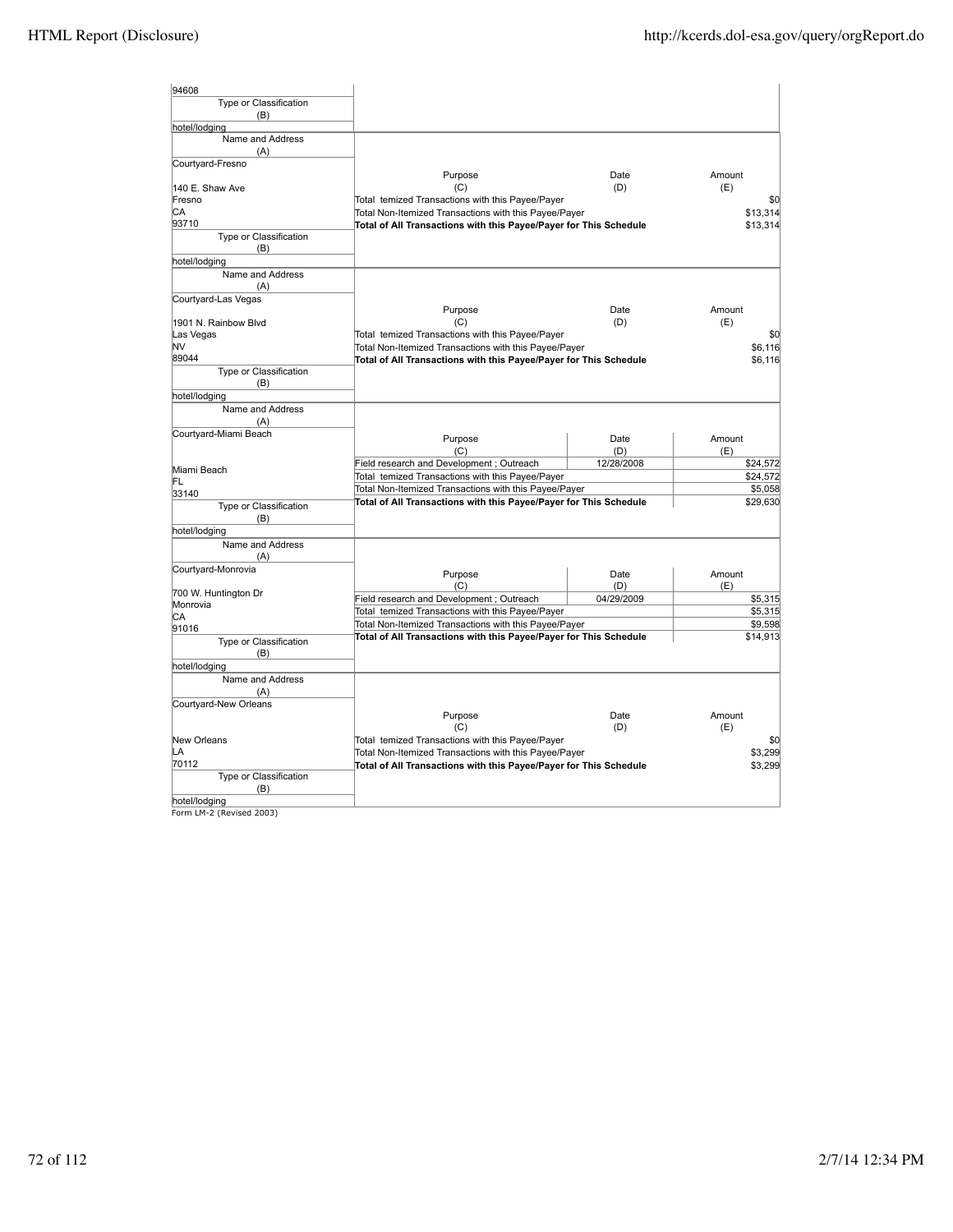| 94608                             |                                                                                                                            |                      |                    |  |
|-----------------------------------|----------------------------------------------------------------------------------------------------------------------------|----------------------|--------------------|--|
| Type or Classification            |                                                                                                                            |                      |                    |  |
| (B)                               |                                                                                                                            |                      |                    |  |
| hotel/lodging                     |                                                                                                                            |                      |                    |  |
| Name and Address                  |                                                                                                                            |                      |                    |  |
| (A)                               |                                                                                                                            |                      |                    |  |
| Courtyard-Fresno                  | Purpose                                                                                                                    | Date                 | Amount             |  |
| 140 E. Shaw Ave                   | (C)                                                                                                                        | (D)                  | (E)                |  |
| Fresno                            | Total temized Transactions with this Payee/Payer                                                                           |                      | \$0                |  |
| СA                                | Total Non-Itemized Transactions with this Payee/Payer                                                                      |                      |                    |  |
| 93710                             | Total of All Transactions with this Payee/Payer for This Schedule                                                          | \$13,314<br>\$13,314 |                    |  |
| Type or Classification            |                                                                                                                            |                      |                    |  |
| (B)                               |                                                                                                                            |                      |                    |  |
| hotel/lodging                     |                                                                                                                            |                      |                    |  |
| Name and Address                  |                                                                                                                            |                      |                    |  |
| (A)                               |                                                                                                                            |                      |                    |  |
| Courtyard-Las Vegas               |                                                                                                                            |                      |                    |  |
|                                   | Purpose                                                                                                                    | Date                 | Amount             |  |
| 1901 N. Rainbow Blvd<br>Las Vegas | (C)<br>Total temized Transactions with this Payee/Payer                                                                    | (D)                  | (E)<br>\$0         |  |
| NV                                | Total Non-Itemized Transactions with this Payee/Payer                                                                      |                      | \$6,116            |  |
| 89044                             | Total of All Transactions with this Payee/Payer for This Schedule                                                          |                      | \$6,116            |  |
| Type or Classification            |                                                                                                                            |                      |                    |  |
| (B)                               |                                                                                                                            |                      |                    |  |
| hotel/lodging                     |                                                                                                                            |                      |                    |  |
| Name and Address                  |                                                                                                                            |                      |                    |  |
| (A)                               |                                                                                                                            |                      |                    |  |
| Courtyard-Miami Beach             | Purpose                                                                                                                    | Date                 | Amount             |  |
|                                   | (C)                                                                                                                        | (D)                  | (E)                |  |
|                                   | Field research and Development; Outreach                                                                                   | 12/28/2008           | \$24,572           |  |
| Miami Beach                       | Total temized Transactions with this Payee/Payer                                                                           |                      | \$24,572           |  |
| FL<br>33140                       | Total Non-Itemized Transactions with this Payee/Payer                                                                      |                      | \$5,058            |  |
| Type or Classification            | Total of All Transactions with this Payee/Payer for This Schedule                                                          | \$29,630             |                    |  |
| (B)                               |                                                                                                                            |                      |                    |  |
| hotel/lodging                     |                                                                                                                            |                      |                    |  |
| Name and Address                  |                                                                                                                            |                      |                    |  |
| (A)                               |                                                                                                                            |                      |                    |  |
| Courtyard-Monrovia                |                                                                                                                            |                      |                    |  |
|                                   | Purpose<br>(C)                                                                                                             | Date<br>(D)          | Amount<br>(E)      |  |
| 700 W. Huntington Dr              | Field research and Development; Outreach                                                                                   | 04/29/2009           | \$5,315            |  |
| Monrovia                          | Total temized Transactions with this Payee/Payer                                                                           |                      | \$5,315            |  |
| СA                                |                                                                                                                            |                      | \$9,598            |  |
| 91016                             | Total Non-Itemized Transactions with this Payee/Payer<br>Total of All Transactions with this Payee/Payer for This Schedule |                      | \$14,913           |  |
| Type or Classification            |                                                                                                                            |                      |                    |  |
| (B)                               |                                                                                                                            |                      |                    |  |
| hotel/lodging                     |                                                                                                                            |                      |                    |  |
| Name and Address                  |                                                                                                                            |                      |                    |  |
| (A)<br>Courtyard-New Orleans      |                                                                                                                            |                      |                    |  |
|                                   | Purpose                                                                                                                    | Date                 | Amount             |  |
|                                   | (C)                                                                                                                        | (D)                  | (E)                |  |
| New Orleans                       | Total temized Transactions with this Payee/Payer                                                                           |                      | \$0                |  |
| LA                                | Total Non-Itemized Transactions with this Payee/Payer                                                                      |                      |                    |  |
| 70112                             | Total of All Transactions with this Payee/Payer for This Schedule                                                          |                      | \$3,299<br>\$3,299 |  |
| Type or Classification            |                                                                                                                            |                      |                    |  |
| (B)                               |                                                                                                                            |                      |                    |  |
| hotel/lodging                     |                                                                                                                            |                      |                    |  |
| Form LM-2 (Revised 2003)          |                                                                                                                            |                      |                    |  |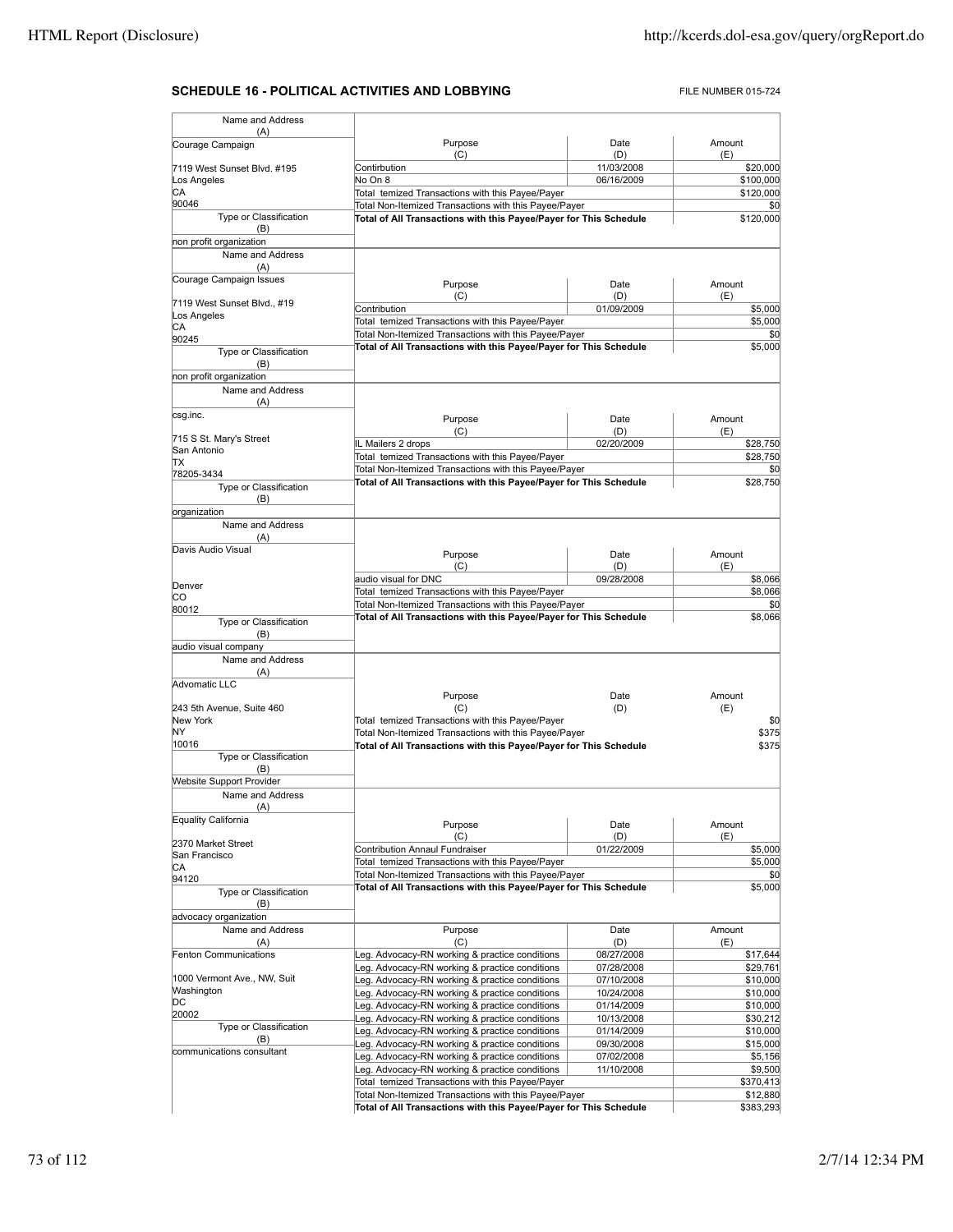## **SCHEDULE 16 - POLITICAL ACTIVITIES AND LOBBYING** FILE NUMBER 015-724

| Name and Address                    |                                                                                                                            |                          |                       |
|-------------------------------------|----------------------------------------------------------------------------------------------------------------------------|--------------------------|-----------------------|
| (A)<br>Courage Campaign             | Purpose                                                                                                                    | Date                     | Amount                |
|                                     | (C)                                                                                                                        | (D)                      | (E)                   |
| 7119 West Sunset Blvd. #195         | Contirbution                                                                                                               | 11/03/2008               | \$20,000              |
| Los Angeles                         | No On 8                                                                                                                    | 06/16/2009               | \$100,000             |
| CA<br>90046                         | Total temized Transactions with this Payee/Payer                                                                           |                          | \$120,000             |
| Type or Classification              | Total Non-Itemized Transactions with this Payee/Payer<br>Total of All Transactions with this Payee/Payer for This Schedule |                          | \$0<br>\$120,000      |
| (B)                                 |                                                                                                                            |                          |                       |
| non profit organization             |                                                                                                                            |                          |                       |
| Name and Address                    |                                                                                                                            |                          |                       |
| (A)                                 |                                                                                                                            |                          |                       |
| Courage Campaign Issues             | Purpose                                                                                                                    | Date                     | Amount                |
| 7119 West Sunset Blvd., #19         | (C)                                                                                                                        | (D)                      | (E)                   |
| Los Angeles                         | Contribution                                                                                                               | 01/09/2009               | \$5,000               |
| CА                                  | Total temized Transactions with this Payee/Payer                                                                           |                          | \$5,000               |
| 90245                               | Total Non-Itemized Transactions with this Payee/Payer<br>Total of All Transactions with this Payee/Payer for This Schedule |                          | \$0<br>\$5,000        |
| Type or Classification              |                                                                                                                            |                          |                       |
| (B)<br>non profit organization      |                                                                                                                            |                          |                       |
| Name and Address                    |                                                                                                                            |                          |                       |
| (A)                                 |                                                                                                                            |                          |                       |
| csg.inc.                            |                                                                                                                            |                          | Amount                |
|                                     | Purpose<br>(C)                                                                                                             | Date<br>(D)              | (E)                   |
| 715 S St. Mary's Street             | IL Mailers 2 drops                                                                                                         | 02/20/2009               | \$28,750              |
| San Antonio                         | Total temized Transactions with this Payee/Payer                                                                           |                          | \$28,750              |
| ΠX<br>78205-3434                    | Total Non-Itemized Transactions with this Payee/Payer                                                                      |                          | \$0                   |
| Type or Classification              | Total of All Transactions with this Payee/Payer for This Schedule                                                          |                          | \$28,750              |
| (B)                                 |                                                                                                                            |                          |                       |
| organization                        |                                                                                                                            |                          |                       |
| Name and Address                    |                                                                                                                            |                          |                       |
| (A)                                 |                                                                                                                            |                          |                       |
| Davis Audio Visual                  | Purpose                                                                                                                    | Date                     | Amount                |
|                                     | (C)                                                                                                                        | (D)                      | (E)                   |
| Denver                              | audio visual for DNC                                                                                                       | 09/28/2008               | \$8,066               |
| CО                                  | Total temized Transactions with this Payee/Payer                                                                           |                          | \$8,066               |
| 80012                               | Total Non-Itemized Transactions with this Payee/Payer                                                                      |                          | \$0                   |
| Type or Classification              | Total of All Transactions with this Payee/Payer for This Schedule                                                          |                          | \$8,066               |
| (B)                                 |                                                                                                                            |                          |                       |
| audio visual company                |                                                                                                                            |                          |                       |
| Name and Address                    |                                                                                                                            |                          |                       |
| (A)<br>Advomatic LLC                |                                                                                                                            |                          |                       |
|                                     | Purpose                                                                                                                    | Date                     | Amount                |
| 243 5th Avenue, Suite 460           | (C)                                                                                                                        | (D)                      | (E)                   |
| New York                            | Total temized Transactions with this Payee/Payer                                                                           |                          | \$0                   |
| NY                                  | Total Non-Itemized Transactions with this Payee/Payer                                                                      |                          | \$375                 |
| 10016<br>Type or Classification     | Total of All Transactions with this Payee/Payer for This Schedule                                                          |                          | \$375                 |
| (B)                                 |                                                                                                                            |                          |                       |
| <b>Website Support Provider</b>     |                                                                                                                            |                          |                       |
| Name and Address                    |                                                                                                                            |                          |                       |
| (A)                                 |                                                                                                                            |                          |                       |
| Equality California                 | Purpose                                                                                                                    | Date                     | Amount                |
|                                     | (C)                                                                                                                        | (D)                      | (E)                   |
| 2370 Market Street<br>San Francisco | <b>Contribution Annaul Fundraiser</b>                                                                                      | 01/22/2009               | \$5,000               |
| CA                                  | Total temized Transactions with this Payee/Payer                                                                           |                          | \$5,000               |
| 94120                               | Total Non-Itemized Transactions with this Payee/Payer                                                                      |                          | \$0                   |
| Type or Classification              | Total of All Transactions with this Payee/Payer for This Schedule                                                          |                          | \$5,000               |
| (B)                                 |                                                                                                                            |                          |                       |
| advocacy organization               |                                                                                                                            |                          |                       |
| Name and Address                    | Purpose                                                                                                                    | Date                     | Amount                |
| (A)                                 | (C)                                                                                                                        | (D)                      | (E)                   |
| Fenton Communications               | Leg. Advocacy-RN working & practice conditions<br>Leg. Advocacy-RN working & practice conditions                           | 08/27/2008<br>07/28/2008 | \$17,644<br>\$29,761  |
| 1000 Vermont Ave., NW, Suit         | Leg. Advocacy-RN working & practice conditions                                                                             | 07/10/2008               | \$10,000              |
| Washington                          | Leg. Advocacy-RN working & practice conditions                                                                             | 10/24/2008               | \$10,000              |
| DС                                  | Leg. Advocacy-RN working & practice conditions                                                                             | 01/14/2009               | \$10,000              |
| 20002                               | Leg. Advocacy-RN working & practice conditions                                                                             | 10/13/2008               | \$30,212              |
| Type or Classification              | Leg. Advocacy-RN working & practice conditions                                                                             | 01/14/2009               | \$10,000              |
| (B)<br>communications consultant    | Leg. Advocacy-RN working & practice conditions                                                                             | 09/30/2008               | \$15,000              |
|                                     | Leg. Advocacy-RN working & practice conditions                                                                             | 07/02/2008               | \$5,156               |
|                                     | Leg. Advocacy-RN working & practice conditions                                                                             | 11/10/2008               | \$9,500               |
|                                     | Total temized Transactions with this Payee/Payer<br>Total Non-Itemized Transactions with this Payee/Payer                  |                          | \$370,413             |
|                                     | Total of All Transactions with this Payee/Payer for This Schedule                                                          |                          | \$12,880<br>\$383,293 |
|                                     |                                                                                                                            |                          |                       |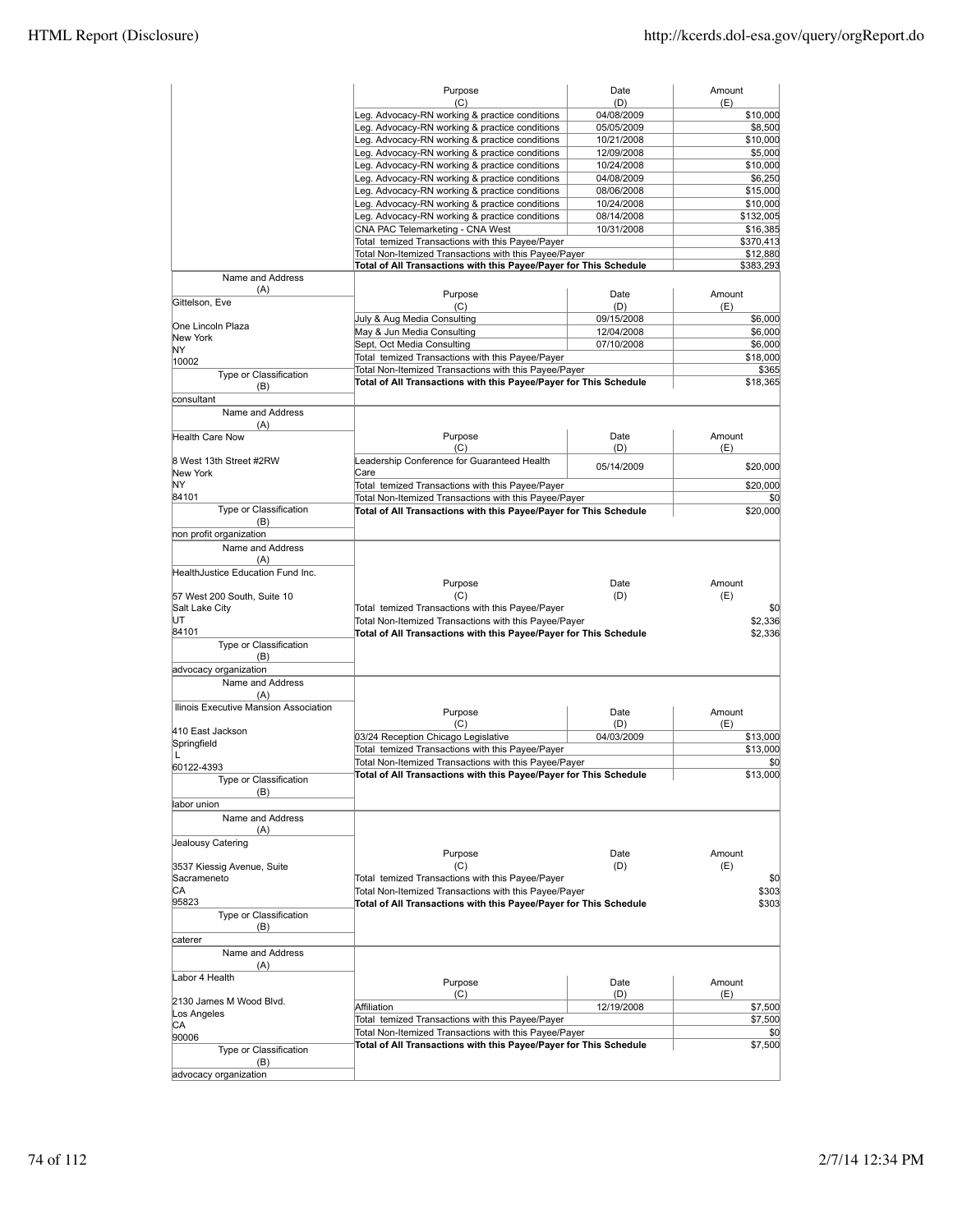|                                       | Purpose<br>(C)                                                    | Date<br>(D) | Amount<br>(E) |
|---------------------------------------|-------------------------------------------------------------------|-------------|---------------|
|                                       | Leg. Advocacy-RN working & practice conditions                    | 04/08/2009  | \$10,000      |
|                                       | Leg. Advocacy-RN working & practice conditions                    | 05/05/2009  | \$8,500       |
|                                       | Leg. Advocacy-RN working & practice conditions                    | 10/21/2008  | \$10,000      |
|                                       | Leg. Advocacy-RN working & practice conditions                    | 12/09/2008  | \$5,000       |
|                                       | Leg. Advocacy-RN working & practice conditions                    | 10/24/2008  | \$10,000      |
|                                       | Leg. Advocacy-RN working & practice conditions                    | 04/08/2009  | \$6,250       |
|                                       |                                                                   |             |               |
|                                       | Leg. Advocacy-RN working & practice conditions                    | 08/06/2008  | \$15,000      |
|                                       | Leg. Advocacy-RN working & practice conditions                    | 10/24/2008  | \$10,000      |
|                                       | Leg. Advocacy-RN working & practice conditions                    | 08/14/2008  | \$132,005     |
|                                       | CNA PAC Telemarketing - CNA West                                  | 10/31/2008  | \$16,385      |
|                                       | Total temized Transactions with this Payee/Payer                  |             | \$370,413     |
|                                       | Total Non-Itemized Transactions with this Payee/Payer             |             | \$12,880      |
|                                       | Total of All Transactions with this Payee/Payer for This Schedule |             | \$383,293     |
| Name and Address                      |                                                                   |             |               |
| (A)                                   | Purpose                                                           | Date        | Amount        |
| Gittelson, Eve                        | (C)                                                               | (D)         | (E)           |
|                                       | July & Aug Media Consulting                                       | 09/15/2008  | \$6,000       |
| One Lincoln Plaza                     | May & Jun Media Consulting                                        | 12/04/2008  | \$6,000       |
| New York                              |                                                                   | 07/10/2008  |               |
| ΝY                                    | Sept, Oct Media Consulting                                        |             | \$6,000       |
| 10002                                 | Total temized Transactions with this Payee/Payer                  |             | \$18,000      |
| Type or Classification                | Total Non-Itemized Transactions with this Payee/Payer             |             | \$365         |
| (B)                                   | Total of All Transactions with this Payee/Payer for This Schedule |             | \$18,365      |
| consultant                            |                                                                   |             |               |
| Name and Address                      |                                                                   |             |               |
| (A)                                   |                                                                   |             |               |
| <b>Health Care Now</b>                | Purpose                                                           | Date        | Amount        |
|                                       | (C)                                                               | (D)         | (E)           |
|                                       |                                                                   |             |               |
| 8 West 13th Street #2RW               | Leadership Conference for Guaranteed Health                       | 05/14/2009  | \$20,000      |
| New York                              | Care                                                              |             |               |
| NΥ                                    | Total temized Transactions with this Payee/Payer                  |             | \$20,000      |
| 84101                                 | Total Non-Itemized Transactions with this Payee/Payer             |             | \$0           |
| Type or Classification                | Total of All Transactions with this Payee/Payer for This Schedule |             | \$20,000      |
| (B)                                   |                                                                   |             |               |
| non profit organization               |                                                                   |             |               |
| Name and Address                      |                                                                   |             |               |
| (A)                                   |                                                                   |             |               |
| HealthJustice Education Fund Inc.     |                                                                   |             |               |
|                                       | Purpose                                                           | Date        | Amount        |
| 57 West 200 South, Suite 10           | (C)                                                               | (D)         | (E)           |
| Salt Lake City                        | Total temized Transactions with this Payee/Payer                  |             | \$0           |
| UT                                    | Total Non-Itemized Transactions with this Payee/Payer             |             | \$2,336       |
| 84101                                 | Total of All Transactions with this Payee/Payer for This Schedule |             | \$2,336       |
| Type or Classification                |                                                                   |             |               |
| (B)                                   |                                                                   |             |               |
|                                       |                                                                   |             |               |
| advocacy organization                 |                                                                   |             |               |
| Name and Address                      |                                                                   |             |               |
| (A)                                   |                                                                   |             |               |
| Ilinois Executive Mansion Association | Purpose                                                           | Date        | Amount        |
|                                       | (C)                                                               | (D)         | (E)           |
| 410 East Jackson                      | 03/24 Reception Chicago Legislative                               | 04/03/2009  | \$13,000      |
| Springfield                           |                                                                   |             |               |
| L                                     | Total temized Transactions with this Payee/Payer                  |             | \$13,000      |
| 60122-4393                            | Total Non-Itemized Transactions with this Payee/Payer             |             | \$0           |
| Type or Classification                | Total of All Transactions with this Pavee/Paver for This Schedule |             | \$13,000      |
| (B)                                   |                                                                   |             |               |
| labor union                           |                                                                   |             |               |
| Name and Address                      |                                                                   |             |               |
| (A)                                   |                                                                   |             |               |
|                                       |                                                                   |             |               |
| Jealousy Catering                     | Purpose                                                           |             | Amount        |
|                                       |                                                                   | Date        |               |
| 3537 Kiessig Avenue, Suite            | (C)                                                               | (D)         | (E)           |
| Sacrameneto                           | Total temized Transactions with this Payee/Payer                  |             | \$0           |
| СA                                    | Total Non-Itemized Transactions with this Payee/Payer             |             | \$303         |
| 95823                                 | Total of All Transactions with this Payee/Payer for This Schedule |             | \$303         |
| Type or Classification                |                                                                   |             |               |
| (B)                                   |                                                                   |             |               |
| caterer                               |                                                                   |             |               |
| Name and Address                      |                                                                   |             |               |
| (A)                                   |                                                                   |             |               |
| Labor 4 Health                        |                                                                   |             |               |
|                                       | Purpose                                                           | Date        | Amount        |
| 2130 James M Wood Blvd.               | (C)                                                               | (D)         | (E)           |
| Los Angeles                           | Affiliation                                                       | 12/19/2008  | \$7,500       |
| СA                                    | Total temized Transactions with this Payee/Payer                  |             | \$7,500       |
| 90006                                 | Total Non-Itemized Transactions with this Payee/Payer             |             | \$0           |
| Type or Classification                | Total of All Transactions with this Payee/Payer for This Schedule |             | \$7,500       |
| (B)                                   |                                                                   |             |               |
| advocacy organization                 |                                                                   |             |               |
|                                       |                                                                   |             |               |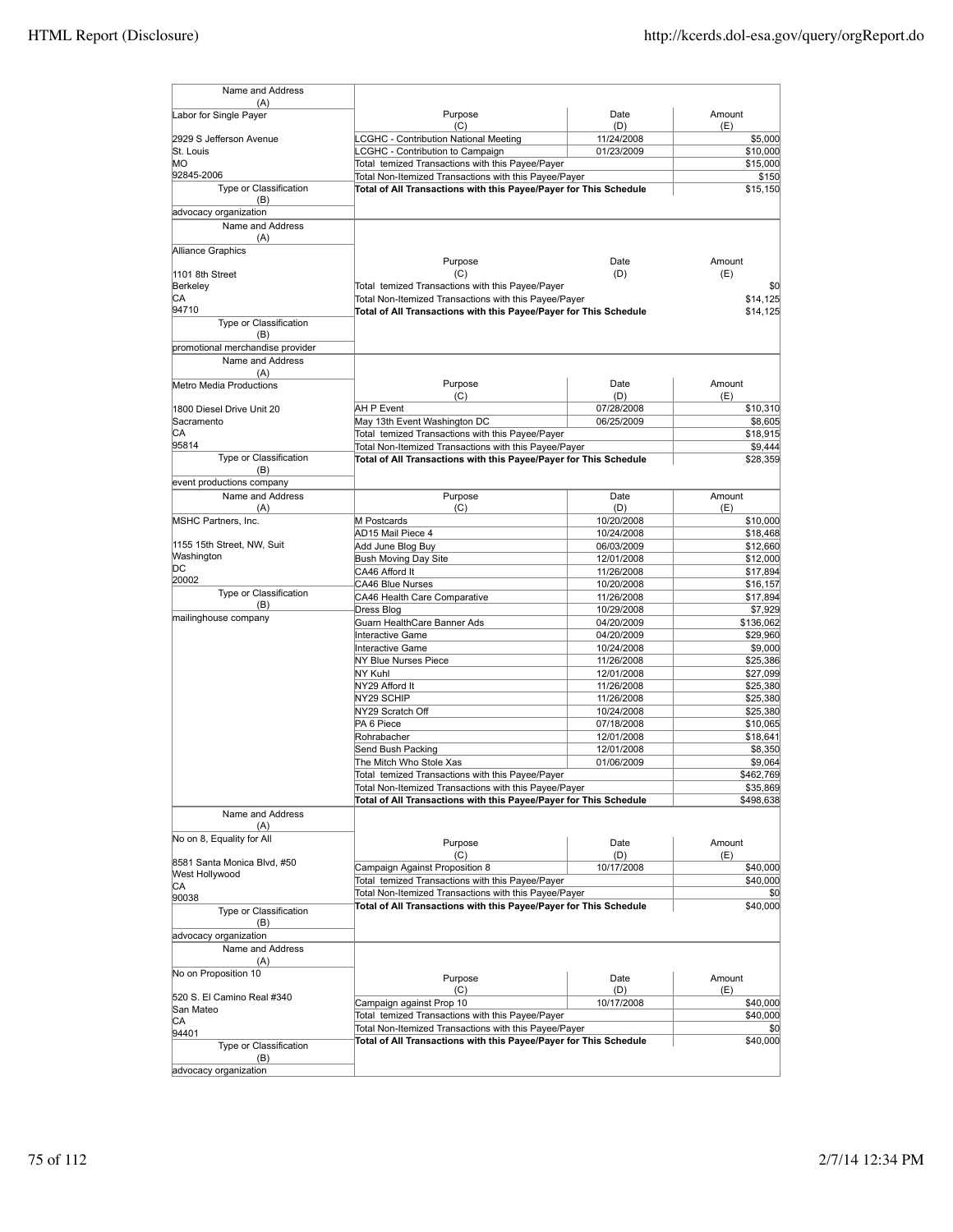| Name and Address                 |                                                                                                                            |                          |                      |
|----------------------------------|----------------------------------------------------------------------------------------------------------------------------|--------------------------|----------------------|
| (A)                              |                                                                                                                            |                          |                      |
| Labor for Single Payer           | Purpose<br>(C)                                                                                                             | Date<br>(D)              | Amount<br>(E)        |
| 2929 S Jefferson Avenue          | <b>LCGHC - Contribution National Meeting</b>                                                                               | 11/24/2008               | \$5,000              |
| St. Louis                        | LCGHC - Contribution to Campaign                                                                                           | 01/23/2009               | \$10,000             |
| MO                               | Total temized Transactions with this Payee/Payer                                                                           |                          | \$15,000             |
| 92845-2006                       | Total Non-Itemized Transactions with this Payee/Payer                                                                      |                          | \$150                |
| Type or Classification<br>(B)    | Total of All Transactions with this Payee/Payer for This Schedule                                                          |                          | \$15.150             |
| advocacy organization            |                                                                                                                            |                          |                      |
| Name and Address                 |                                                                                                                            |                          |                      |
| (A)                              |                                                                                                                            |                          |                      |
| Alliance Graphics                |                                                                                                                            |                          |                      |
|                                  | Purpose                                                                                                                    | Date                     | Amount               |
| 1101 8th Street                  | (C)                                                                                                                        | (D)                      | (E)                  |
| Berkeley<br>CA                   | Total temized Transactions with this Payee/Payer                                                                           |                          | \$0                  |
| 94710                            | Total Non-Itemized Transactions with this Payee/Payer<br>Total of All Transactions with this Payee/Payer for This Schedule |                          | \$14,125<br>\$14,125 |
| Type or Classification           |                                                                                                                            |                          |                      |
| (B)                              |                                                                                                                            |                          |                      |
| promotional merchandise provider |                                                                                                                            |                          |                      |
| Name and Address                 |                                                                                                                            |                          |                      |
| (A)                              |                                                                                                                            |                          |                      |
| Metro Media Productions          | Purpose                                                                                                                    | Date                     | Amount               |
| 1800 Diesel Drive Unit 20        | (C)<br>AH P Event                                                                                                          | (D)<br>07/28/2008        | (E)<br>\$10,310      |
| Sacramento                       | May 13th Event Washington DC                                                                                               | 06/25/2009               | \$8,605              |
| CА                               | Total temized Transactions with this Payee/Payer                                                                           |                          | \$18,915             |
| 95814                            | Total Non-Itemized Transactions with this Payee/Payer                                                                      |                          | \$9,444              |
| Type or Classification           | Total of All Transactions with this Payee/Payer for This Schedule                                                          |                          | \$28,359             |
| (B)                              |                                                                                                                            |                          |                      |
| event productions company        |                                                                                                                            |                          |                      |
| Name and Address                 | Purpose                                                                                                                    | Date                     | Amount               |
| (A)                              | (C)                                                                                                                        | (D)                      | (E)                  |
| MSHC Partners, Inc.              | M Postcards<br>AD15 Mail Piece 4                                                                                           | 10/20/2008<br>10/24/2008 | \$10,000<br>\$18,468 |
| 1155 15th Street, NW, Suit       | Add June Blog Buy                                                                                                          | 06/03/2009               | \$12,660             |
| Washington                       | Bush Moving Day Site                                                                                                       | 12/01/2008               | \$12,000             |
| DС                               | CA46 Afford It                                                                                                             | 11/26/2008               | \$17,894             |
| 20002                            | <b>CA46 Blue Nurses</b>                                                                                                    | 10/20/2008               | \$16,157             |
| Type or Classification           | CA46 Health Care Comparative                                                                                               | 11/26/2008               | \$17,894             |
| (B)<br>mailinghouse company      | Dress Blog                                                                                                                 | 10/29/2008               | \$7,929              |
|                                  | Guarn HealthCare Banner Ads                                                                                                | 04/20/2009               | \$136,062            |
|                                  | <b>Interactive Game</b>                                                                                                    | 04/20/2009               | \$29,960             |
|                                  | <b>Interactive Game</b><br>NY Blue Nurses Piece                                                                            | 10/24/2008               | \$9,000<br>\$25,386  |
|                                  | NY Kuhl                                                                                                                    | 11/26/2008<br>12/01/2008 | \$27,099             |
|                                  | NY29 Afford It                                                                                                             | 11/26/2008               | \$25,380             |
|                                  | NY29 SCHIP                                                                                                                 | 11/26/2008               | \$25,380             |
|                                  | NY29 Scratch Off                                                                                                           | 10/24/2008               | \$25,380             |
|                                  | PA 6 Piece                                                                                                                 | 07/18/2008               | \$10,065             |
|                                  | Rohrabacher                                                                                                                | 12/01/2008               | \$18,641             |
|                                  | Send Bush Packing                                                                                                          | 12/01/2008               | \$8,350              |
|                                  | The Mitch Who Stole Xas                                                                                                    | 01/06/2009               | \$9,064              |
|                                  | Total temized Transactions with this Payee/Payer                                                                           |                          | \$462,769            |
|                                  | Total Non-Itemized Transactions with this Payee/Payer<br>Total of All Transactions with this Payee/Payer for This Schedule |                          | \$35,869             |
| Name and Address                 |                                                                                                                            |                          | \$498,638            |
| (A)                              |                                                                                                                            |                          |                      |
| No on 8, Equality for All        |                                                                                                                            |                          |                      |
|                                  | Purpose<br>(C)                                                                                                             | Date<br>(D)              | Amount               |
| 8581 Santa Monica Blvd, #50      | Campaign Against Proposition 8                                                                                             | 10/17/2008               | (E)<br>\$40,000      |
| West Hollywood                   | Total temized Transactions with this Payee/Payer                                                                           |                          | \$40,000             |
| CA                               | Total Non-Itemized Transactions with this Payee/Payer                                                                      |                          | \$0                  |
| 90038<br>Type or Classification  | Total of All Transactions with this Payee/Payer for This Schedule                                                          |                          | \$40,000             |
| (B)                              |                                                                                                                            |                          |                      |
| advocacy organization            |                                                                                                                            |                          |                      |
| Name and Address                 |                                                                                                                            |                          |                      |
| (A)                              |                                                                                                                            |                          |                      |
| No on Proposition 10             | Purpose                                                                                                                    | Date                     | Amount               |
|                                  | (C)                                                                                                                        | (D)                      | (E)                  |
| 520 S. El Camino Real #340       | Campaign against Prop 10                                                                                                   | 10/17/2008               | \$40,000             |
| San Mateo<br>CА                  | Total temized Transactions with this Payee/Payer                                                                           |                          | \$40,000             |
| 94401                            | Total Non-Itemized Transactions with this Payee/Payer                                                                      |                          | \$0                  |
| Type or Classification           | Total of All Transactions with this Payee/Payer for This Schedule                                                          |                          | \$40,000             |
| (B)                              |                                                                                                                            |                          |                      |
| advocacy organization            |                                                                                                                            |                          |                      |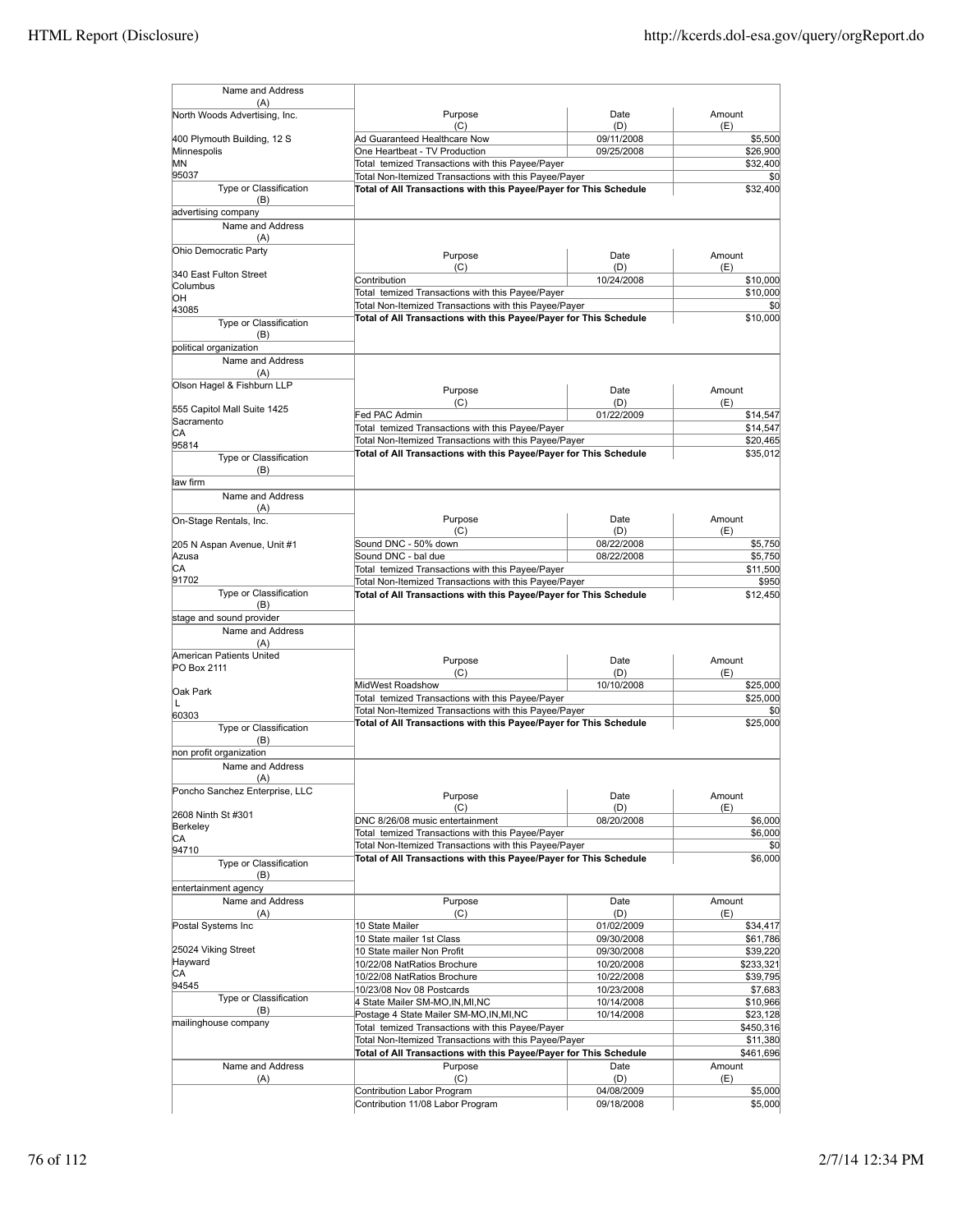| Name and Address               |                                                                   |                   |                 |
|--------------------------------|-------------------------------------------------------------------|-------------------|-----------------|
| (A)                            |                                                                   |                   |                 |
| North Woods Advertising, Inc.  | Purpose<br>(C)                                                    | Date<br>(D)       | Amount<br>(E)   |
| 400 Plymouth Building, 12 S    | Ad Guaranteed Healthcare Now                                      | 09/11/2008        | \$5,500         |
| Minnespolis                    | One Heartbeat - TV Production                                     | 09/25/2008        | \$26,900        |
| ΜN                             | Total temized Transactions with this Payee/Payer                  |                   | \$32,400        |
| 95037                          | Total Non-Itemized Transactions with this Payee/Payer             |                   | \$0             |
| Type or Classification<br>(B)  | Total of All Transactions with this Payee/Payer for This Schedule |                   | \$32,400        |
| advertising company            |                                                                   |                   |                 |
| Name and Address               |                                                                   |                   |                 |
| (A)                            |                                                                   |                   |                 |
| Ohio Democratic Party          | Purpose                                                           | Date              | Amount          |
|                                | (C)                                                               | (D)               | (E)             |
| 340 East Fulton Street         | Contribution                                                      | 10/24/2008        | \$10,000        |
| Columbus<br>ЮH                 | Total temized Transactions with this Payee/Payer                  |                   | \$10,000        |
| 43085                          | Total Non-Itemized Transactions with this Payee/Payer             |                   | \$0             |
| Type or Classification         | Total of All Transactions with this Payee/Payer for This Schedule |                   | \$10,000        |
| (B)                            |                                                                   |                   |                 |
| political organization         |                                                                   |                   |                 |
| Name and Address               |                                                                   |                   |                 |
| (A)                            |                                                                   |                   |                 |
| Olson Hagel & Fishburn LLP     |                                                                   |                   | Amount          |
|                                | Purpose                                                           | Date              |                 |
| 555 Capitol Mall Suite 1425    | (C)<br>Fed PAC Admin                                              | (D)<br>01/22/2009 | (E)<br>\$14,547 |
| Sacramento                     | Total temized Transactions with this Payee/Payer                  |                   | \$14,547        |
| СA                             | Total Non-Itemized Transactions with this Payee/Payer             |                   | \$20,465        |
| 95814                          | Total of All Transactions with this Payee/Payer for This Schedule |                   | \$35,012        |
| Type or Classification         |                                                                   |                   |                 |
| (B)                            |                                                                   |                   |                 |
| law firm                       |                                                                   |                   |                 |
| Name and Address<br>(A)        |                                                                   |                   |                 |
| On-Stage Rentals, Inc.         | Purpose                                                           | Date              | Amount          |
|                                | (C)                                                               | (D)               | (E)             |
| 205 N Aspan Avenue, Unit #1    | Sound DNC - 50% down                                              | 08/22/2008        | \$5,750         |
| Azusa                          | Sound DNC - bal due                                               | 08/22/2008        | \$5,750         |
| CА                             | Total temized Transactions with this Payee/Payer                  |                   | \$11,500        |
| 91702                          | Total Non-Itemized Transactions with this Payee/Payer             |                   | \$950           |
| Type or Classification         | Total of All Transactions with this Payee/Payer for This Schedule |                   | \$12,450        |
| (B)                            |                                                                   |                   |                 |
| stage and sound provider       |                                                                   |                   |                 |
| Name and Address               |                                                                   |                   |                 |
| (A)                            |                                                                   |                   |                 |
| American Patients United       | Purpose                                                           | Date              | Amount          |
| PO Box 2111                    | (C)                                                               | (D)               | (E)             |
| Oak Park                       | MidWest Roadshow                                                  | 10/10/2008        | \$25,000        |
| L                              | Total temized Transactions with this Payee/Payer                  |                   | \$25,000        |
| 60303                          | Total Non-Itemized Transactions with this Payee/Payer             |                   | \$0             |
| Type or Classification         | Total of All Transactions with this Payee/Payer for This Schedule |                   | \$25,000        |
| (B)                            |                                                                   |                   |                 |
| non profit organization        |                                                                   |                   |                 |
| Name and Address               |                                                                   |                   |                 |
| (A)                            |                                                                   |                   |                 |
| Poncho Sanchez Enterprise, LLC | Purpose                                                           | Date              | Amount          |
|                                | (C)                                                               | (D)               | (E)             |
| 2608 Ninth St #301             | DNC 8/26/08 music entertainment                                   | 08/20/2008        | \$6,000         |
| Berkeley                       | Total temized Transactions with this Payee/Payer                  |                   | \$6,000         |
| СA<br>94710                    | Total Non-Itemized Transactions with this Payee/Payer             |                   | \$0             |
| Type or Classification         | Total of All Transactions with this Payee/Payer for This Schedule |                   | \$6,000         |
| (B)                            |                                                                   |                   |                 |
| entertainment agency           |                                                                   |                   |                 |
| Name and Address               | Purpose                                                           | Date              | Amount          |
| (A)                            | (C)                                                               | (D)               | (E)             |
| Postal Systems Inc             | 10 State Mailer                                                   | 01/02/2009        | \$34,417        |
|                                | 10 State mailer 1st Class                                         | 09/30/2008        | \$61,786        |
| 25024 Viking Street            | 10 State mailer Non Profit                                        | 09/30/2008        | \$39,220        |
| Hayward                        | 10/22/08 NatRatios Brochure                                       | 10/20/2008        | \$233,321       |
| СA                             | 10/22/08 NatRatios Brochure                                       | 10/22/2008        | \$39,795        |
| 94545                          | 10/23/08 Nov 08 Postcards                                         | 10/23/2008        | \$7,683         |
| Type or Classification         | 4 State Mailer SM-MO, IN, MI, NC                                  | 10/14/2008        | \$10,966        |
| (B)                            | Postage 4 State Mailer SM-MO, IN, MI, NC                          | 10/14/2008        | \$23,128        |
| mailinghouse company           | Total temized Transactions with this Payee/Payer                  |                   | \$450,316       |
|                                | Total Non-Itemized Transactions with this Payee/Payer             |                   | \$11,380        |
|                                | Total of All Transactions with this Payee/Payer for This Schedule |                   | \$461,696       |
| Name and Address               | Purpose                                                           | Date              | Amount          |
| (A)                            | (C)                                                               | (D)               | (E)             |
|                                | Contribution Labor Program                                        | 04/08/2009        | \$5,000         |
|                                | Contribution 11/08 Labor Program                                  | 09/18/2008        | \$5,000         |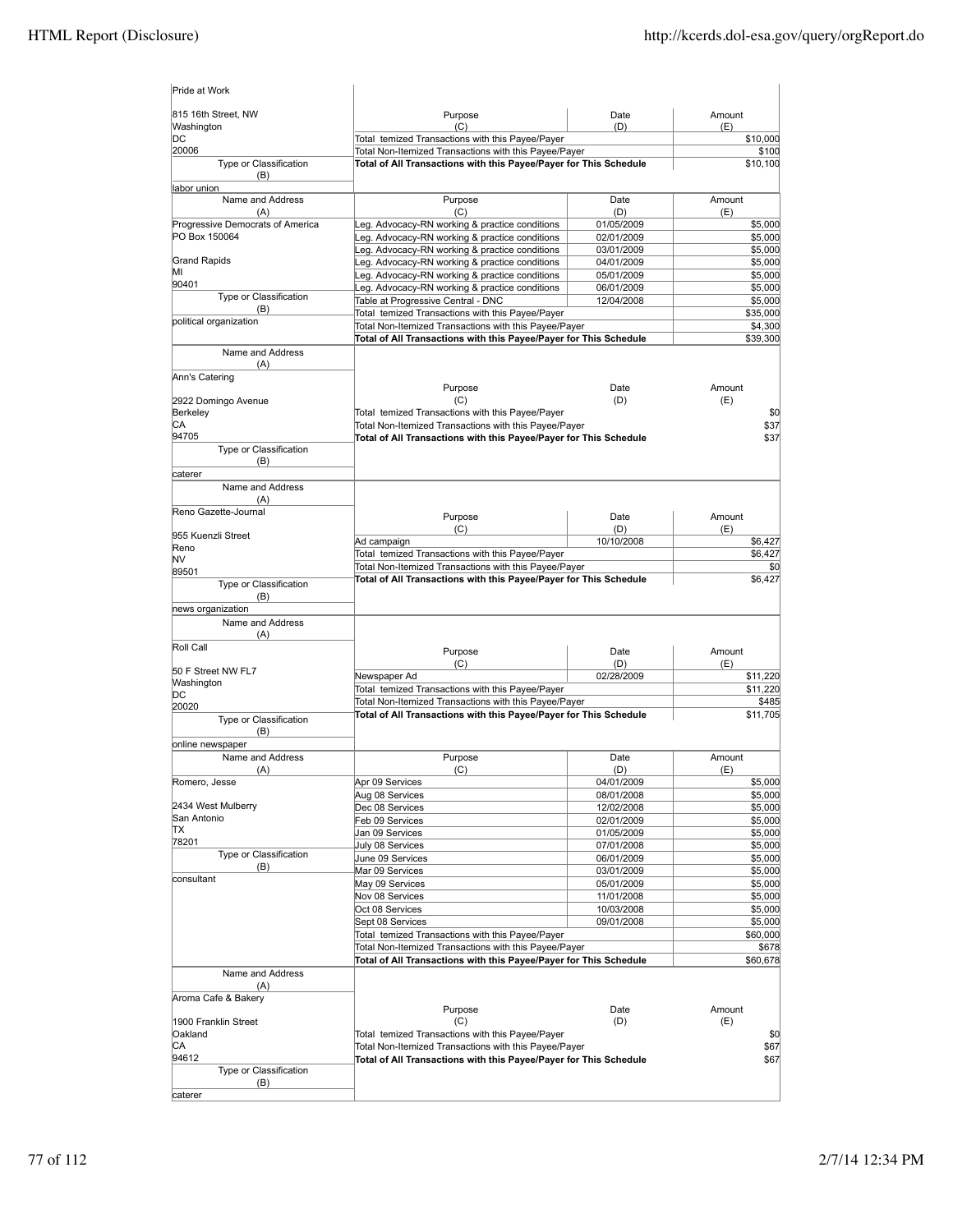| Pride at Work                     |                                                                                                                            |                          |                    |
|-----------------------------------|----------------------------------------------------------------------------------------------------------------------------|--------------------------|--------------------|
| 815 16th Street, NW<br>Washington | Purpose<br>(C)                                                                                                             | Date<br>(D)              | Amount<br>(E)      |
| DC                                | Total temized Transactions with this Payee/Payer                                                                           |                          | \$10,000           |
| 20006<br>Type or Classification   | Total Non-Itemized Transactions with this Payee/Payer<br>Total of All Transactions with this Payee/Payer for This Schedule |                          | \$100<br>\$10,100  |
| (B)                               |                                                                                                                            |                          |                    |
| labor union<br>Name and Address   | Purpose                                                                                                                    | Date                     | Amount             |
| (A)                               | (C)                                                                                                                        | (D)                      | (E)                |
| Progressive Democrats of America  | Leg. Advocacy-RN working & practice conditions                                                                             | 01/05/2009               | \$5,000            |
| PO Box 150064                     | Leg. Advocacy-RN working & practice conditions                                                                             | 02/01/2009               | \$5,000            |
|                                   | Leg. Advocacy-RN working & practice conditions                                                                             | 03/01/2009               | \$5,000            |
| <b>Grand Rapids</b><br>ΜI         | Leg. Advocacy-RN working & practice conditions                                                                             | 04/01/2009               | \$5,000            |
| 90401                             | Leg. Advocacy-RN working & practice conditions<br>eg. Advocacy-RN working & practice conditions                            | 05/01/2009<br>06/01/2009 | \$5,000<br>\$5,000 |
| Type or Classification            | Table at Progressive Central - DNC                                                                                         | 12/04/2008               | \$5,000            |
| (B)                               | Total temized Transactions with this Payee/Payer                                                                           |                          | \$35,000           |
| political organization            | Total Non-Itemized Transactions with this Payee/Payer                                                                      |                          | \$4,300            |
|                                   | Total of All Transactions with this Payee/Payer for This Schedule                                                          |                          | \$39,300           |
| Name and Address                  |                                                                                                                            |                          |                    |
| (A)                               |                                                                                                                            |                          |                    |
| Ann's Catering                    |                                                                                                                            | Date                     |                    |
| 2922 Domingo Avenue               | Purpose<br>(C)                                                                                                             | (D)                      | Amount<br>(E)      |
| Berkeley                          | Total temized Transactions with this Payee/Payer                                                                           |                          | \$0                |
| CА                                | Total Non-Itemized Transactions with this Payee/Payer                                                                      |                          | \$37               |
| 94705                             | Total of All Transactions with this Payee/Payer for This Schedule                                                          |                          | \$37               |
| Type or Classification            |                                                                                                                            |                          |                    |
| (B)                               |                                                                                                                            |                          |                    |
| caterer                           |                                                                                                                            |                          |                    |
| Name and Address<br>(A)           |                                                                                                                            |                          |                    |
| Reno Gazette-Journal              |                                                                                                                            |                          |                    |
|                                   | Purpose                                                                                                                    | Date                     | Amount             |
| 955 Kuenzli Street                | (C)                                                                                                                        | (D)<br>10/10/2008        | (E)                |
| Reno                              | Ad campaign<br>Total temized Transactions with this Payee/Payer                                                            |                          | \$6,427<br>\$6,427 |
| NV                                | Total Non-Itemized Transactions with this Payee/Payer                                                                      |                          | \$0                |
| 89501                             | Total of All Transactions with this Payee/Payer for This Schedule                                                          |                          | \$6,427            |
| Type or Classification<br>(B)     |                                                                                                                            |                          |                    |
| news organization                 |                                                                                                                            |                          |                    |
| Name and Address                  |                                                                                                                            |                          |                    |
| (A)                               |                                                                                                                            |                          |                    |
| Roll Call                         | Purpose                                                                                                                    | Date                     | Amount             |
|                                   | (C)                                                                                                                        | (D)                      | (E)                |
| 50 F Street NW FL7                | Newspaper Ad                                                                                                               | 02/28/2009               | \$11,220           |
| Washington<br>DС                  | Total temized Transactions with this Payee/Payer                                                                           |                          | \$11,220           |
| 20020                             | Total Non-Itemized Transactions with this Payee/Payer                                                                      |                          | \$485              |
| Type or Classification            | Total of All Transactions with this Payee/Payer for This Schedule                                                          |                          | \$11,705           |
| (B)                               |                                                                                                                            |                          |                    |
| online newspaper                  |                                                                                                                            |                          |                    |
| Name and Address                  | Purpose                                                                                                                    | Date                     | Amount             |
| (A)                               | (C)                                                                                                                        | (D)                      | (E)                |
| Romero, Jesse                     | Apr 09 Services                                                                                                            | 04/01/2009               | \$5,000            |
| 2434 West Mulberry                | Aug 08 Services<br>Dec 08 Services                                                                                         | 08/01/2008               | \$5,000<br>\$5,000 |
| San Antonio                       | Feb 09 Services                                                                                                            | 12/02/2008<br>02/01/2009 | \$5,000            |
| ΠX                                | Jan 09 Services                                                                                                            | 01/05/2009               | \$5,000            |
| 78201                             | July 08 Services                                                                                                           | 07/01/2008               | \$5,000            |
| Type or Classification            | June 09 Services                                                                                                           | 06/01/2009               | \$5,000            |
| (B)                               | Mar 09 Services                                                                                                            | 03/01/2009               | \$5,000            |
| consultant                        | May 09 Services                                                                                                            | 05/01/2009               | \$5,000            |
|                                   | Nov 08 Services                                                                                                            | 11/01/2008               | \$5,000            |
|                                   | Oct 08 Services                                                                                                            | 10/03/2008               | \$5,000            |
|                                   | Sept 08 Services                                                                                                           | 09/01/2008               | \$5,000            |
|                                   | Total temized Transactions with this Payee/Payer                                                                           |                          | \$60,000           |
|                                   | Total Non-Itemized Transactions with this Payee/Payer                                                                      |                          | \$678              |
| Name and Address                  | Total of All Transactions with this Payee/Payer for This Schedule                                                          |                          | \$60,678           |
| (A)                               |                                                                                                                            |                          |                    |
| Aroma Cafe & Bakery               |                                                                                                                            |                          |                    |
|                                   | Purpose                                                                                                                    | Date                     | Amount             |
| 1900 Franklin Street              | (C)                                                                                                                        | (D)                      | (E)                |
| Oakland                           | Total temized Transactions with this Payee/Payer                                                                           |                          | \$0                |
| CA                                | Total Non-Itemized Transactions with this Payee/Payer                                                                      |                          | \$67               |
| 94612                             | Total of All Transactions with this Payee/Payer for This Schedule                                                          |                          | \$67               |
| Type or Classification<br>(B)     |                                                                                                                            |                          |                    |
| caterer                           |                                                                                                                            |                          |                    |
|                                   |                                                                                                                            |                          |                    |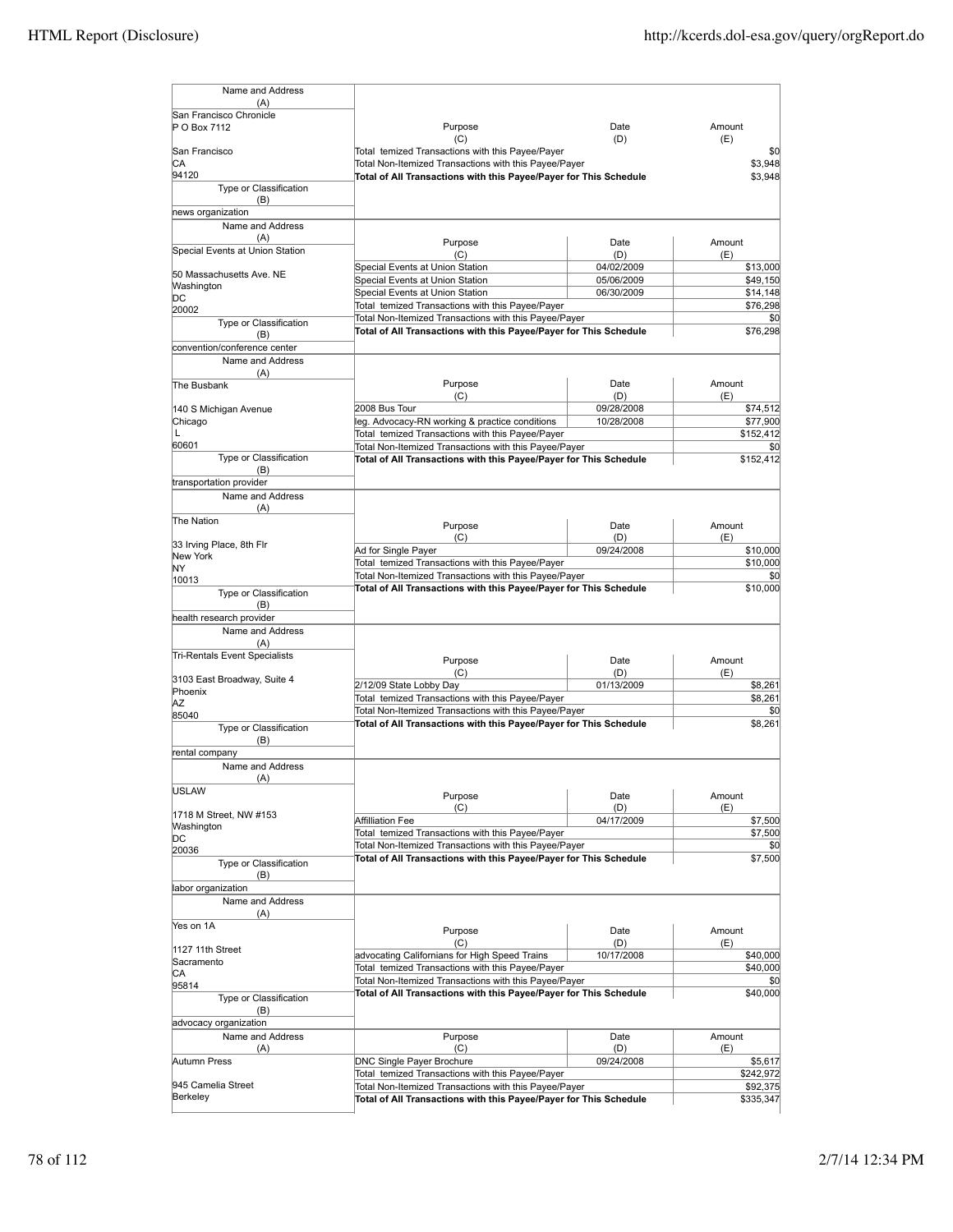| Name and Address                            |                                                                                                           |                   |                       |
|---------------------------------------------|-----------------------------------------------------------------------------------------------------------|-------------------|-----------------------|
| (A)                                         |                                                                                                           |                   |                       |
| San Francisco Chronicle                     |                                                                                                           |                   | Amount                |
| P O Box 7112                                | Purpose<br>(C)                                                                                            | Date<br>(D)       | (E)                   |
| San Francisco                               | Total temized Transactions with this Payee/Payer                                                          |                   | \$0                   |
| СA                                          | Total Non-Itemized Transactions with this Payee/Payer                                                     |                   | \$3,948               |
| 94120                                       | Total of All Transactions with this Payee/Payer for This Schedule                                         | \$3,948           |                       |
| Type or Classification<br>(B)               |                                                                                                           |                   |                       |
| news organization                           |                                                                                                           |                   |                       |
| Name and Address                            |                                                                                                           |                   |                       |
| (A)                                         | Purpose                                                                                                   | Date              | Amount                |
| Special Events at Union Station             | (C)                                                                                                       | (D)               | (E)                   |
| 50 Massachusetts Ave. NE                    | Special Events at Union Station                                                                           | 04/02/2009        | \$13,000              |
| Washington                                  | Special Events at Union Station                                                                           | 05/06/2009        | \$49,150              |
| DС                                          | Special Events at Union Station                                                                           | 06/30/2009        | \$14,148              |
| 20002                                       | Total temized Transactions with this Payee/Payer<br>Total Non-Itemized Transactions with this Payee/Payer |                   | \$76,298<br>\$0       |
| Type or Classification                      | Total of All Transactions with this Payee/Payer for This Schedule                                         |                   | \$76,298              |
| (B)<br>convention/conference center         |                                                                                                           |                   |                       |
| Name and Address                            |                                                                                                           |                   |                       |
| (A)                                         |                                                                                                           |                   |                       |
| The Busbank                                 | Purpose                                                                                                   | Date              | Amount                |
|                                             | (C)                                                                                                       | (D)               | (E)                   |
| 140 S Michigan Avenue                       | 2008 Bus Tour<br>leg. Advocacy-RN working & practice conditions                                           | 09/28/2008        | \$74,512              |
| Chicago<br>L                                | Total temized Transactions with this Payee/Payer                                                          | 10/28/2008        | \$77,900<br>\$152,412 |
| 60601                                       | Total Non-Itemized Transactions with this Payee/Payer                                                     |                   | \$0                   |
| Type or Classification                      | Total of All Transactions with this Payee/Payer for This Schedule                                         |                   | \$152,412             |
| (B)                                         |                                                                                                           |                   |                       |
| transportation provider                     |                                                                                                           |                   |                       |
| Name and Address<br>(A)                     |                                                                                                           |                   |                       |
| The Nation                                  |                                                                                                           |                   |                       |
|                                             | Purpose<br>(C)                                                                                            | Date<br>(D)       | Amount<br>(E)         |
| 33 Irving Place, 8th Flr                    | Ad for Single Payer                                                                                       | 09/24/2008        | \$10,000              |
| New York<br>NY                              | Total temized Transactions with this Payee/Payer                                                          |                   | \$10,000              |
| 10013                                       | Total Non-Itemized Transactions with this Payee/Payer                                                     |                   | \$0                   |
| Type or Classification                      | Total of All Transactions with this Payee/Payer for This Schedule                                         |                   | \$10,000              |
| (B)                                         |                                                                                                           |                   |                       |
| health research provider                    |                                                                                                           |                   |                       |
| Name and Address                            |                                                                                                           |                   |                       |
| (A)<br><b>Tri-Rentals Event Specialists</b> |                                                                                                           |                   |                       |
|                                             | Purpose<br>(C)                                                                                            | Date<br>(D)       | Amount                |
| 3103 East Broadway, Suite 4                 | 2/12/09 State Lobby Day                                                                                   | 01/13/2009        | (E)<br>\$8,261        |
| Phoenix                                     | Total temized Transactions with this Payee/Payer                                                          |                   | \$8,261               |
| ΑZ<br>85040                                 | Total Non-Itemized Transactions with this Payee/Payer                                                     |                   | \$0                   |
| Type or Classification                      | Total of All Transactions with this Payee/Payer for This Schedule                                         |                   | \$8.261               |
| (B)                                         |                                                                                                           |                   |                       |
| rental company                              |                                                                                                           |                   |                       |
| Name and Address                            |                                                                                                           |                   |                       |
| (A)<br><b>USLAW</b>                         |                                                                                                           |                   |                       |
|                                             | Purpose<br>(C)                                                                                            | Date<br>(D)       | Amount<br>(E)         |
| 1718 M Street, NW #153                      | <b>Affilliation Fee</b>                                                                                   | 04/17/2009        | \$7,500               |
| Washington                                  | Total temized Transactions with this Payee/Payer                                                          |                   | \$7,500               |
| DС<br>20036                                 | Total Non-Itemized Transactions with this Payee/Payer                                                     |                   | \$0                   |
| Type or Classification                      | Total of All Transactions with this Payee/Payer for This Schedule                                         |                   | \$7,500               |
| (B)                                         |                                                                                                           |                   |                       |
| labor organization                          |                                                                                                           |                   |                       |
| Name and Address                            |                                                                                                           |                   |                       |
| (A)<br>Yes on 1A                            |                                                                                                           |                   |                       |
|                                             | Purpose                                                                                                   | Date              | Amount                |
| 1127 11th Street                            | (C)<br>advocating Californians for High Speed Trains                                                      | (D)<br>10/17/2008 | (E)<br>\$40,000       |
| Sacramento                                  | Total temized Transactions with this Payee/Payer                                                          |                   | \$40,000              |
| СA<br>95814                                 | Total Non-Itemized Transactions with this Payee/Payer                                                     |                   | \$0                   |
| Type or Classification                      | Total of All Transactions with this Payee/Payer for This Schedule                                         |                   | \$40,000              |
| (B)                                         |                                                                                                           |                   |                       |
| advocacy organization                       |                                                                                                           |                   |                       |
| Name and Address                            | Purpose                                                                                                   | Date              | Amount                |
| (A)                                         | (C)                                                                                                       | (D)               | (E)                   |
| Autumn Press                                | DNC Single Payer Brochure<br>Total temized Transactions with this Payee/Payer                             | 09/24/2008        | \$5,617<br>\$242,972  |
| 945 Camelia Street                          | Total Non-Itemized Transactions with this Payee/Payer                                                     |                   | \$92,375              |
| Berkeley                                    | Total of All Transactions with this Payee/Payer for This Schedule                                         |                   | \$335,347             |
|                                             |                                                                                                           |                   |                       |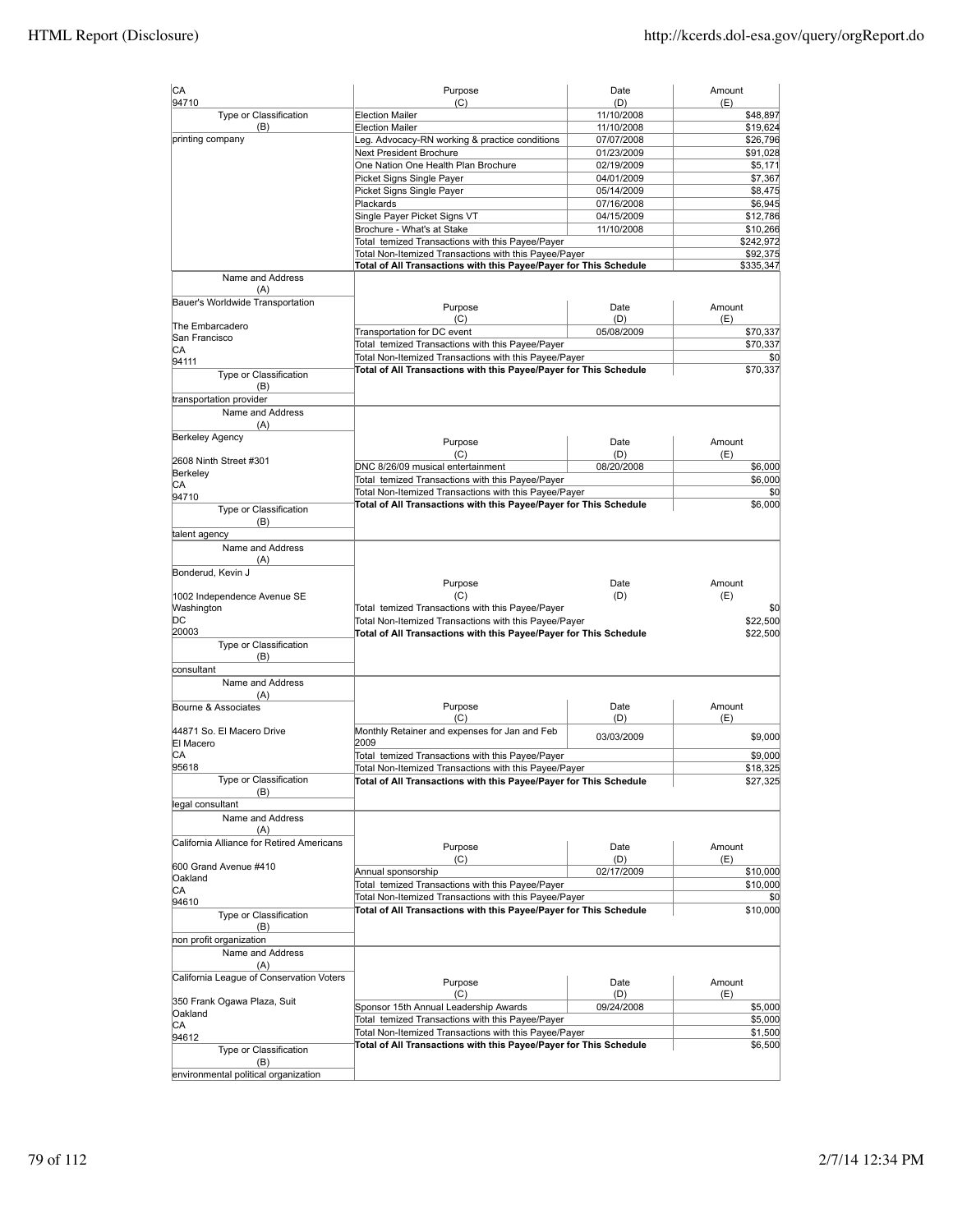| CA                                        | Purpose                                                                                                                                                                        | Date                     | Amount                             |
|-------------------------------------------|--------------------------------------------------------------------------------------------------------------------------------------------------------------------------------|--------------------------|------------------------------------|
| 94710                                     | (C)                                                                                                                                                                            | (D)                      | (E)                                |
| Type or Classification<br>(B)             | <b>Election Mailer</b><br><b>Election Mailer</b>                                                                                                                               | 11/10/2008<br>11/10/2008 | \$48,897<br>\$19,624               |
| printing company                          | Leg. Advocacy-RN working & practice conditions                                                                                                                                 | 07/07/2008               | \$26,796                           |
|                                           | <b>Next President Brochure</b>                                                                                                                                                 | 01/23/2009               | \$91,028                           |
|                                           | One Nation One Health Plan Brochure                                                                                                                                            | 02/19/2009               | \$5,171                            |
|                                           | Picket Signs Single Payer                                                                                                                                                      | 04/01/2009               | \$7,367                            |
|                                           | Picket Signs Single Payer                                                                                                                                                      | 05/14/2009               | \$8,475                            |
|                                           | Plackards                                                                                                                                                                      | 07/16/2008               | \$6,945                            |
|                                           | Single Payer Picket Signs VT                                                                                                                                                   | 04/15/2009               | \$12,786                           |
|                                           | Brochure - What's at Stake                                                                                                                                                     | 11/10/2008               | \$10,266                           |
|                                           | Total temized Transactions with this Payee/Payer<br>Total Non-Itemized Transactions with this Payee/Payer<br>Total of All Transactions with this Payee/Payer for This Schedule |                          | \$242,972<br>\$92,375<br>\$335,347 |
| Name and Address                          |                                                                                                                                                                                |                          |                                    |
| (A)                                       |                                                                                                                                                                                |                          |                                    |
| Bauer's Worldwide Transportation          | Purpose                                                                                                                                                                        | Date                     | Amount                             |
| The Embarcadero                           | (C)                                                                                                                                                                            | (D)                      | (E)                                |
| San Francisco                             | Transportation for DC event                                                                                                                                                    | 05/08/2009               | \$70,337                           |
| СA                                        | Total temized Transactions with this Payee/Payer                                                                                                                               |                          | \$70,337                           |
| 94111                                     | Total Non-Itemized Transactions with this Payee/Payer<br>Total of All Transactions with this Payee/Payer for This Schedule                                                     |                          | \$0<br>\$70,337                    |
| Type or Classification                    |                                                                                                                                                                                |                          |                                    |
| (B)                                       |                                                                                                                                                                                |                          |                                    |
| transportation provider                   |                                                                                                                                                                                |                          |                                    |
| Name and Address<br>(A)                   |                                                                                                                                                                                |                          |                                    |
| <b>Berkeley Agency</b>                    |                                                                                                                                                                                |                          |                                    |
|                                           | Purpose                                                                                                                                                                        | Date                     | Amount                             |
| 2608 Ninth Street #301                    | (C)                                                                                                                                                                            | (D)                      | (E)                                |
| Berkeley                                  | DNC 8/26/09 musical entertainment<br>Total temized Transactions with this Payee/Payer                                                                                          | 08/20/2008               | \$6,000<br>\$6,000                 |
| СA                                        | Total Non-Itemized Transactions with this Payee/Payer                                                                                                                          |                          | \$0                                |
| 94710                                     | Total of All Transactions with this Payee/Payer for This Schedule                                                                                                              |                          | \$6,000                            |
| Type or Classification<br>(B)             |                                                                                                                                                                                |                          |                                    |
| talent agency                             |                                                                                                                                                                                |                          |                                    |
| Name and Address                          |                                                                                                                                                                                |                          |                                    |
| (A)<br>Bonderud, Kevin J                  |                                                                                                                                                                                |                          |                                    |
|                                           | Purpose                                                                                                                                                                        | Date                     | Amount                             |
| 1002 Independence Avenue SE               | (C)                                                                                                                                                                            | (D)                      | (E)                                |
| Washington                                | Total temized Transactions with this Payee/Payer                                                                                                                               |                          | \$0                                |
| DС                                        | Total Non-Itemized Transactions with this Payee/Payer                                                                                                                          |                          | \$22,500                           |
| 20003                                     | Total of All Transactions with this Payee/Payer for This Schedule                                                                                                              |                          | \$22,500                           |
| Type or Classification<br>(B)             |                                                                                                                                                                                |                          |                                    |
| consultant                                |                                                                                                                                                                                |                          |                                    |
| Name and Address                          |                                                                                                                                                                                |                          |                                    |
| (A)                                       |                                                                                                                                                                                |                          |                                    |
| Bourne & Associates                       | Purpose                                                                                                                                                                        | Date                     | Amount                             |
|                                           | (C)                                                                                                                                                                            | (D)                      | (E)                                |
| 44871 So. El Macero Drive                 | Monthly Retainer and expenses for Jan and Feb                                                                                                                                  | 03/03/2009               | \$9,000                            |
| El Macero                                 | 2009                                                                                                                                                                           |                          |                                    |
| IСA<br>95618                              | Total temized Transactions with this Payee/Payer<br>Total Non-Itemized Transactions with this Payee/Payer                                                                      |                          | \$9,000                            |
| Type or Classification                    | Total of All Transactions with this Payee/Payer for This Schedule                                                                                                              |                          | \$18,325<br>\$27,325               |
| (B)                                       |                                                                                                                                                                                |                          |                                    |
| legal consultant                          |                                                                                                                                                                                |                          |                                    |
| Name and Address                          |                                                                                                                                                                                |                          |                                    |
| (A)                                       |                                                                                                                                                                                |                          |                                    |
| California Alliance for Retired Americans | Purpose                                                                                                                                                                        | Date                     | Amount                             |
|                                           | (C)                                                                                                                                                                            | (D)                      | (E)                                |
| 600 Grand Avenue #410                     | Annual sponsorship                                                                                                                                                             | 02/17/2009               | \$10,000                           |
| Oakland<br>CА                             | Total temized Transactions with this Payee/Payer                                                                                                                               |                          | \$10,000                           |
| 94610                                     | Total Non-Itemized Transactions with this Payee/Payer                                                                                                                          |                          | \$0                                |
| Type or Classification                    | Total of All Transactions with this Payee/Payer for This Schedule                                                                                                              |                          | \$10,000                           |
| (B)                                       |                                                                                                                                                                                |                          |                                    |
| non profit organization                   |                                                                                                                                                                                |                          |                                    |
| Name and Address                          |                                                                                                                                                                                |                          |                                    |
| (A)                                       |                                                                                                                                                                                |                          |                                    |
| California League of Conservation Voters  | Purpose                                                                                                                                                                        | Date                     | Amount                             |
|                                           | (C)                                                                                                                                                                            | (D)                      | (E)                                |
| 350 Frank Ogawa Plaza, Suit<br>Oakland    | Sponsor 15th Annual Leadership Awards                                                                                                                                          | 09/24/2008               | \$5,000                            |
| CА                                        | Total temized Transactions with this Payee/Payer                                                                                                                               |                          | \$5,000                            |
| 94612                                     | Total Non-Itemized Transactions with this Payee/Payer                                                                                                                          |                          | \$1,500                            |
| Type or Classification                    | Total of All Transactions with this Payee/Payer for This Schedule                                                                                                              |                          | \$6,500                            |
| (B)                                       |                                                                                                                                                                                |                          |                                    |
| environmental political organization      |                                                                                                                                                                                |                          |                                    |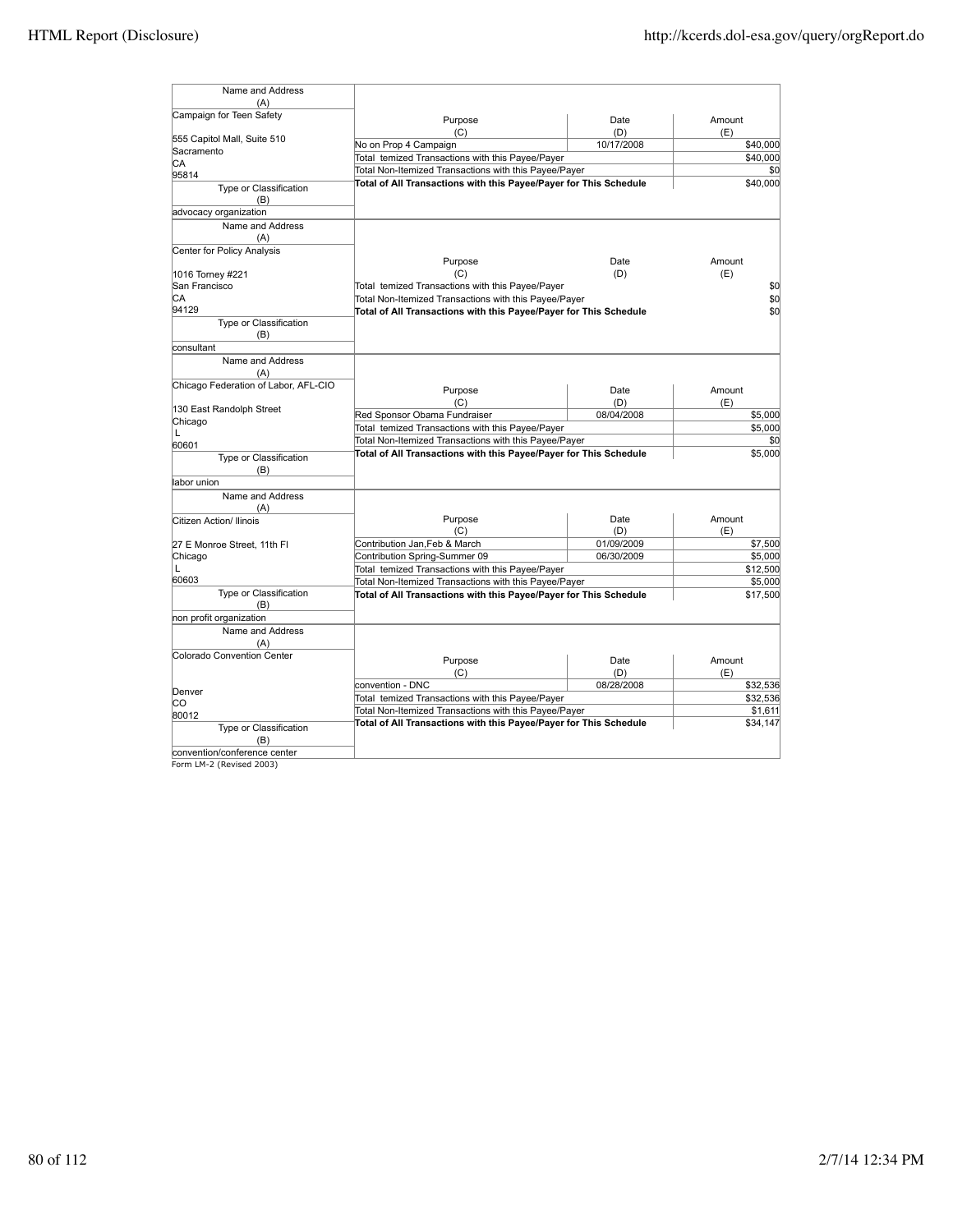| Name and Address                     |                                                                   |            |          |
|--------------------------------------|-------------------------------------------------------------------|------------|----------|
| (A)                                  |                                                                   |            |          |
| Campaign for Teen Safety             | Purpose                                                           | Date       | Amount   |
| 555 Capitol Mall, Suite 510          | (C)                                                               | (D)        | (E)      |
| Sacramento                           | No on Prop 4 Campaign                                             | 10/17/2008 | \$40,000 |
| CA                                   | Total temized Transactions with this Payee/Payer                  |            | \$40,000 |
| 95814                                | Total Non-Itemized Transactions with this Payee/Payer             |            | \$0      |
| Type or Classification<br>(B)        | Total of All Transactions with this Payee/Payer for This Schedule |            | \$40,000 |
| advocacy organization                |                                                                   |            |          |
| Name and Address<br>(A)              |                                                                   |            |          |
| Center for Policy Analysis           | Purpose                                                           | Date       | Amount   |
| 1016 Torney #221                     | (C)                                                               | (D)        | (E)      |
| San Francisco                        | Total temized Transactions with this Payee/Payer                  |            | \$0      |
| CA                                   | Total Non-Itemized Transactions with this Payee/Payer             |            | \$0      |
| 94129                                |                                                                   |            |          |
| Type or Classification               | Total of All Transactions with this Payee/Payer for This Schedule |            | \$0      |
| (B)                                  |                                                                   |            |          |
| consultant                           |                                                                   |            |          |
| Name and Address<br>(A)              |                                                                   |            |          |
| Chicago Federation of Labor, AFL-CIO | Purpose                                                           | Date       | Amount   |
|                                      | (C)                                                               | (D)        | (E)      |
| 130 East Randolph Street             | Red Sponsor Obama Fundraiser                                      | 08/04/2008 | \$5,000  |
| Chicago                              |                                                                   |            |          |
| Г                                    | Total temized Transactions with this Payee/Payer                  |            | \$5,000  |
| 60601                                | Total Non-Itemized Transactions with this Payee/Payer             |            | \$0      |
| Type or Classification<br>(B)        | Total of All Transactions with this Payee/Payer for This Schedule |            | \$5,000  |
| labor union                          |                                                                   |            |          |
| Name and Address                     |                                                                   |            |          |
| (A)                                  |                                                                   |            |          |
| Citizen Action/ Ilinois              | Purpose                                                           | Date       | Amount   |
|                                      | (C)                                                               | (D)        | (E)      |
| 27 E Monroe Street, 11th FI          | Contribution Jan, Feb & March                                     | 01/09/2009 | \$7,500  |
| Chicago                              | Contribution Spring-Summer 09                                     | 06/30/2009 | \$5,000  |
| L                                    | Total temized Transactions with this Payee/Payer                  |            | \$12,500 |
| 60603                                | Total Non-Itemized Transactions with this Payee/Payer             |            | \$5,000  |
| Type or Classification               | Total of All Transactions with this Payee/Payer for This Schedule |            |          |
| (B)                                  |                                                                   |            | \$17,500 |
| non profit organization              |                                                                   |            |          |
| Name and Address                     |                                                                   |            |          |
| (A)                                  |                                                                   |            |          |
| Colorado Convention Center           | Purpose                                                           | Date       | Amount   |
|                                      | (C)                                                               | (D)        | (E)      |
|                                      | convention - DNC                                                  | 08/28/2008 | \$32,536 |
| Denver                               | Total temized Transactions with this Payee/Payer                  |            | \$32,536 |
| lсо                                  | Total Non-Itemized Transactions with this Payee/Payer             |            | \$1,611  |
| 80012                                | Total of All Transactions with this Payee/Payer for This Schedule |            |          |
| Type or Classification<br>(B)        |                                                                   |            | \$34,147 |
| convention/conference center         |                                                                   |            |          |

convention/conference center Form LM-2 (Revised 2003)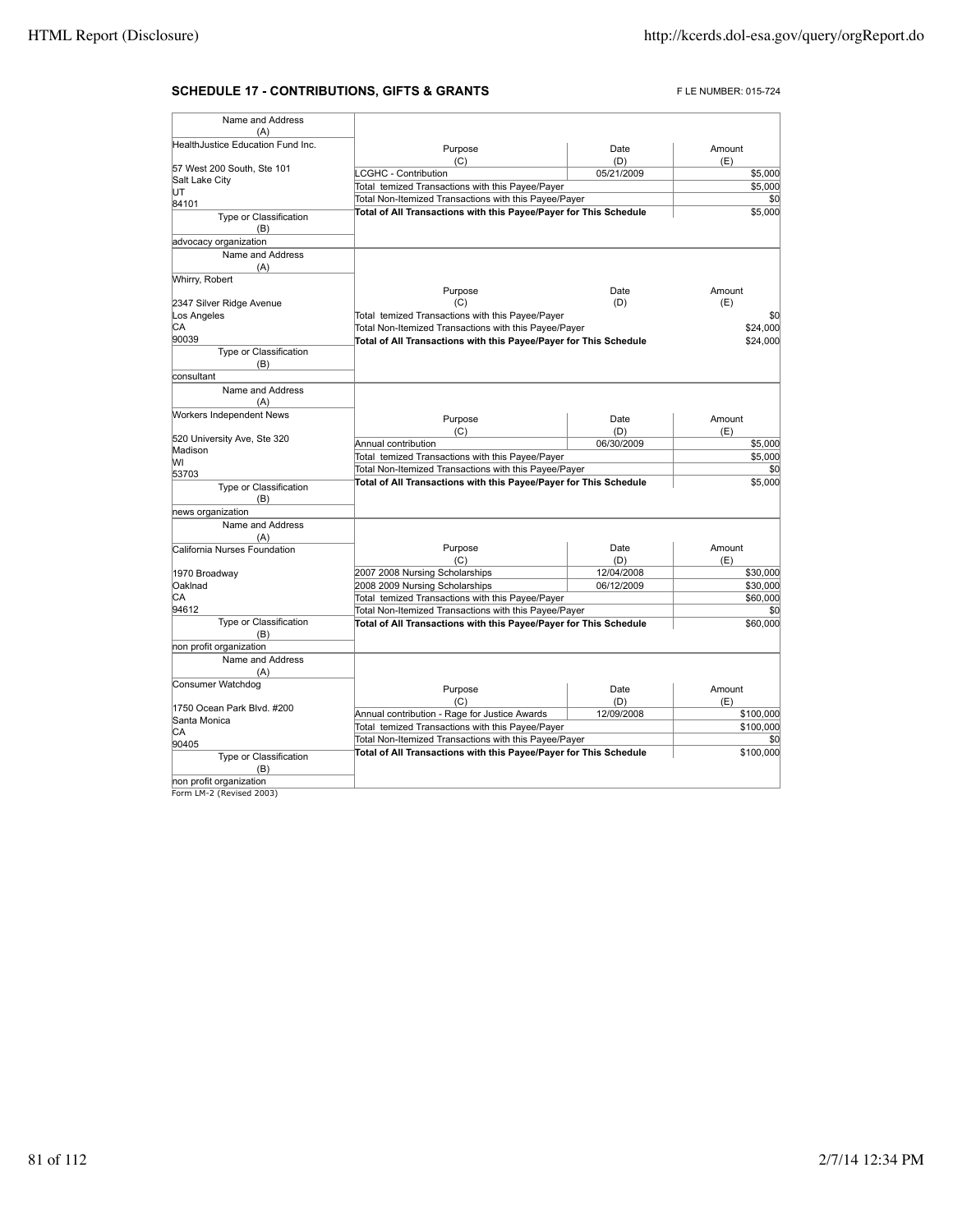## **SCHEDULE 17 - CONTRIBUTIONS, GIFTS & GRANTS** FLE NUMBER: 015-724

| Name and Address                  |                                                                   |             |               |
|-----------------------------------|-------------------------------------------------------------------|-------------|---------------|
| (A)                               |                                                                   |             |               |
| HealthJustice Education Fund Inc. | Purpose<br>(C)                                                    | Date<br>(D) | Amount<br>(E) |
| 57 West 200 South, Ste 101        | <b>LCGHC - Contribution</b>                                       | 05/21/2009  | \$5,000       |
| Salt Lake City                    | Total temized Transactions with this Payee/Payer                  |             | \$5,000       |
| UT                                | Total Non-Itemized Transactions with this Payee/Payer             |             | \$0           |
| 84101                             | Total of All Transactions with this Payee/Payer for This Schedule |             | \$5,000       |
| Type or Classification<br>(B)     |                                                                   |             |               |
| advocacy organization             |                                                                   |             |               |
| Name and Address<br>(A)           |                                                                   |             |               |
| Whirry, Robert                    |                                                                   |             |               |
|                                   | Purpose                                                           | Date        | Amount        |
| 2347 Silver Ridge Avenue          | (C)                                                               | (D)         | (E)           |
| Los Angeles                       | Total temized Transactions with this Payee/Payer                  |             | \$0           |
| СA                                | Total Non-Itemized Transactions with this Payee/Payer             |             | \$24,000      |
| 90039                             | Total of All Transactions with this Payee/Payer for This Schedule |             | \$24,000      |
| Type or Classification<br>(B)     |                                                                   |             |               |
| consultant                        |                                                                   |             |               |
| Name and Address<br>(A)           |                                                                   |             |               |
| Workers Independent News          | Purpose                                                           | Date        | Amount        |
|                                   | (C)                                                               | (D)         | (E)           |
| 520 University Ave, Ste 320       | Annual contribution                                               | 06/30/2009  | \$5,000       |
| Madison                           | Total temized Transactions with this Payee/Payer                  |             | \$5,000       |
| W١                                |                                                                   |             |               |
| 53703                             | Total Non-Itemized Transactions with this Payee/Payer             |             | \$0           |
| Type or Classification<br>(B)     | Total of All Transactions with this Payee/Payer for This Schedule |             | \$5,000       |
| news organization                 |                                                                   |             |               |
| Name and Address<br>(A)           |                                                                   |             |               |
| California Nurses Foundation      | Purpose                                                           | Date        | Amount        |
|                                   | (C)                                                               | (D)         | (E)           |
| 1970 Broadway                     | 2007 2008 Nursing Scholarships                                    | 12/04/2008  | \$30,000      |
| Oaklnad                           | 2008 2009 Nursing Scholarships                                    | 06/12/2009  | \$30,000      |
| CA                                | Total temized Transactions with this Payee/Payer                  |             | \$60,000      |
| 94612                             | Total Non-Itemized Transactions with this Payee/Payer             |             | \$0           |
| Type or Classification<br>(B)     | Total of All Transactions with this Payee/Payer for This Schedule |             | \$60,000      |
| non profit organization           |                                                                   |             |               |
| Name and Address<br>(A)           |                                                                   |             |               |
| Consumer Watchdog                 | Purpose<br>(C)                                                    | Date<br>(D) | Amount<br>(E) |
| 1750 Ocean Park Blvd, #200        | Annual contribution - Rage for Justice Awards                     | 12/09/2008  | \$100,000     |
| Santa Monica                      | Total temized Transactions with this Payee/Payer                  |             | \$100,000     |
| СA                                |                                                                   |             |               |
| 90405                             | Total Non-Itemized Transactions with this Payee/Payer             |             | \$0           |
| Type or Classification<br>(B)     | Total of All Transactions with this Payee/Payer for This Schedule |             | \$100,000     |
| non profit organization           |                                                                   |             |               |
| Form LM-2 (Revised 2003)          |                                                                   |             |               |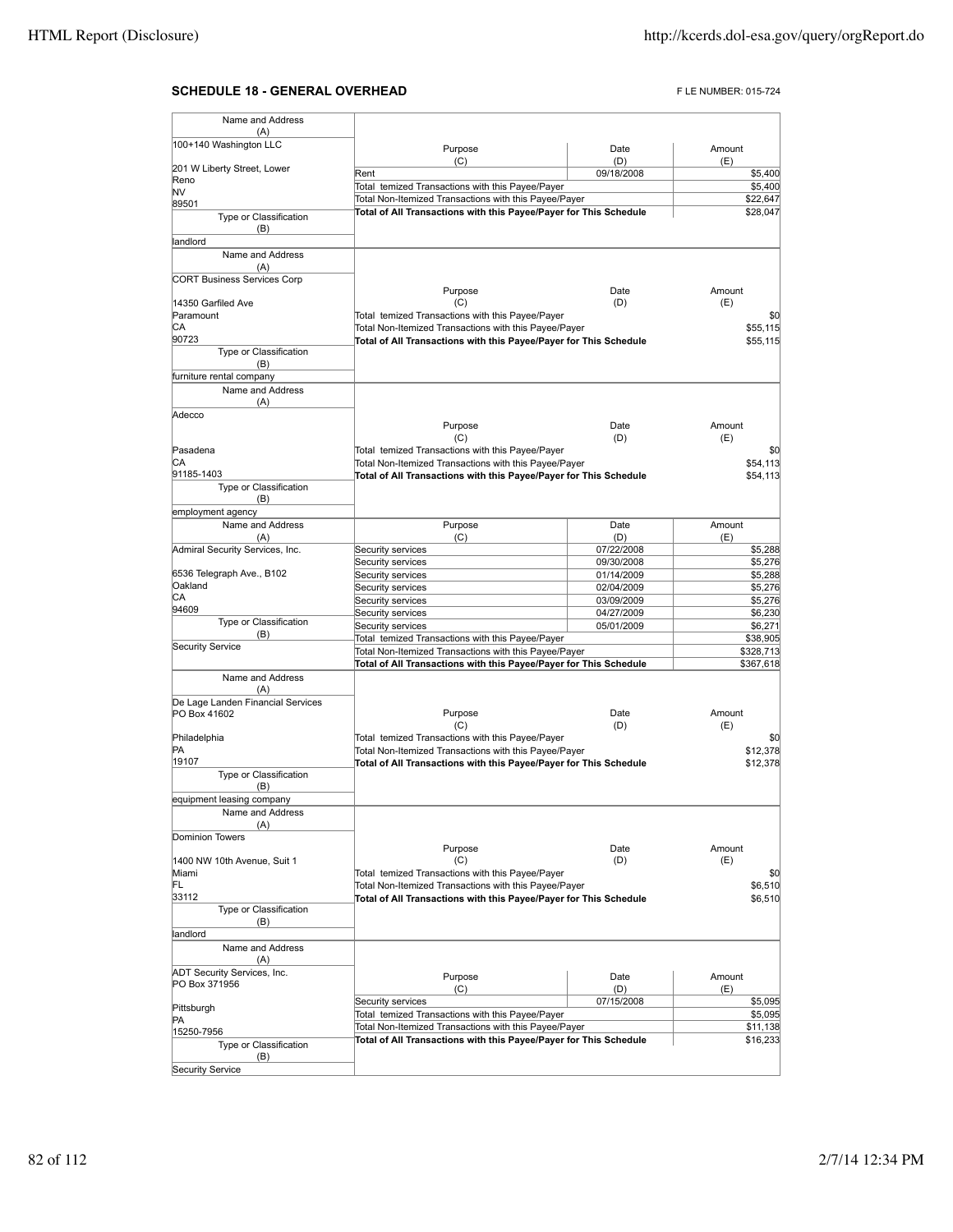## **SCHEDULE 18 - GENERAL OVERHEAD** FLE NUMBER: 015-724

| Name and Address                     |                                                                                                                            |             |                        |
|--------------------------------------|----------------------------------------------------------------------------------------------------------------------------|-------------|------------------------|
| (A)                                  |                                                                                                                            |             |                        |
| 100+140 Washington LLC               | Purpose                                                                                                                    | Date<br>(D) | Amount                 |
| 201 W Liberty Street, Lower          | (C)<br>Rent                                                                                                                | 09/18/2008  | (E)<br>\$5,400         |
| Reno                                 | Total temized Transactions with this Payee/Payer                                                                           |             | \$5,400                |
| NV                                   | Total Non-Itemized Transactions with this Payee/Payer                                                                      | \$22,647    |                        |
| 89501<br>Type or Classification      | Total of All Transactions with this Payee/Payer for This Schedule                                                          |             | \$28,047               |
| (B)                                  |                                                                                                                            |             |                        |
| landlord                             |                                                                                                                            |             |                        |
| Name and Address                     |                                                                                                                            |             |                        |
| (A)                                  |                                                                                                                            |             |                        |
| <b>CORT Business Services Corp</b>   |                                                                                                                            |             |                        |
| 14350 Garfiled Ave                   | Purpose<br>(C)                                                                                                             | Date<br>(D) | Amount<br>(E)          |
| Paramount                            | Total temized Transactions with this Payee/Payer                                                                           |             | \$0                    |
| СA                                   | Total Non-Itemized Transactions with this Payee/Payer                                                                      |             | \$55,115               |
| 90723                                | Total of All Transactions with this Payee/Payer for This Schedule                                                          |             | \$55,115               |
| Type or Classification               |                                                                                                                            |             |                        |
| (B)                                  |                                                                                                                            |             |                        |
| furniture rental company             |                                                                                                                            |             |                        |
| Name and Address                     |                                                                                                                            |             |                        |
| (A)<br>Adecco                        |                                                                                                                            |             |                        |
|                                      | Purpose                                                                                                                    | Date        | Amount                 |
|                                      | (C)                                                                                                                        | (D)         | (E)                    |
| Pasadena                             | Total temized Transactions with this Payee/Payer                                                                           |             | \$0                    |
| IСA                                  | Total Non-Itemized Transactions with this Payee/Payer                                                                      |             | \$54,113               |
| 91185-1403                           | Total of All Transactions with this Payee/Payer for This Schedule                                                          |             | \$54,113               |
| Type or Classification               |                                                                                                                            |             |                        |
| (B)<br>employment agency             |                                                                                                                            |             |                        |
| Name and Address                     | Purpose                                                                                                                    | Date        | Amount                 |
| (A)                                  | (C)                                                                                                                        | (D)         | (E)                    |
| Admiral Security Services, Inc.      | Security services                                                                                                          | 07/22/2008  | \$5,288                |
|                                      | Security services                                                                                                          | 09/30/2008  | \$5,276                |
| 6536 Telegraph Ave., B102            | Security services                                                                                                          | 01/14/2009  | \$5,288                |
| Oakland                              | Security services                                                                                                          | 02/04/2009  | \$5,276                |
| СA<br>94609                          | Security services                                                                                                          | 03/09/2009  | \$5,276                |
| Type or Classification               | Security services                                                                                                          | 04/27/2009  | \$6,230                |
| (B)                                  | Security services                                                                                                          | 05/01/2009  | \$6,271                |
| <b>Security Service</b>              | Total temized Transactions with this Payee/Payer                                                                           |             | \$38,905               |
|                                      | Total Non-Itemized Transactions with this Payee/Payer<br>Total of All Transactions with this Payee/Payer for This Schedule |             | \$328,713<br>\$367,618 |
| Name and Address                     |                                                                                                                            |             |                        |
| (A)                                  |                                                                                                                            |             |                        |
| De Lage Landen Financial Services    |                                                                                                                            |             |                        |
| PO Box 41602                         | Purpose                                                                                                                    | Date        | Amount                 |
|                                      | (C)<br>Total temized Transactions with this Payee/Payer                                                                    | (D)         | (E)                    |
| Philadelphia<br>PA                   | Total Non-Itemized Transactions with this Payee/Payer                                                                      |             | \$0<br>\$12,378        |
| 19107                                | Total of All Transactions with this Payee/Payer for This Schedule                                                          |             | \$12,378               |
| Type or Classification               |                                                                                                                            |             |                        |
| (B)                                  |                                                                                                                            |             |                        |
| equipment leasing company            |                                                                                                                            |             |                        |
| Name and Address                     |                                                                                                                            |             |                        |
| (A)                                  |                                                                                                                            |             |                        |
| Dominion Towers                      | Purpose                                                                                                                    | Date        | Amount                 |
| 1400 NW 10th Avenue, Suit 1          | (C)                                                                                                                        | (D)         | (E)                    |
| Miami                                | Total temized Transactions with this Payee/Payer                                                                           |             | \$0                    |
| FL                                   | Total Non-Itemized Transactions with this Payee/Payer                                                                      |             | \$6,510                |
| 33112                                | Total of All Transactions with this Payee/Payer for This Schedule                                                          |             | \$6,510                |
| Type or Classification               |                                                                                                                            |             |                        |
| (B)                                  |                                                                                                                            |             |                        |
| landlord<br>Name and Address         |                                                                                                                            |             |                        |
| (A)                                  |                                                                                                                            |             |                        |
| <b>ADT Security Services, Inc.</b>   |                                                                                                                            |             |                        |
| PO Box 371956                        | Purpose<br>(C)                                                                                                             | Date<br>(D) | Amount<br>(E)          |
|                                      | Security services                                                                                                          | 07/15/2008  | \$5,095                |
| Pittsburgh                           | Total temized Transactions with this Payee/Payer                                                                           |             | \$5,095                |
| PA                                   | Total Non-Itemized Transactions with this Payee/Payer                                                                      |             | \$11,138               |
| 15250-7956<br>Type or Classification | Total of All Transactions with this Payee/Payer for This Schedule                                                          |             | \$16,233               |
| (B)                                  |                                                                                                                            |             |                        |
| <b>Security Service</b>              |                                                                                                                            |             |                        |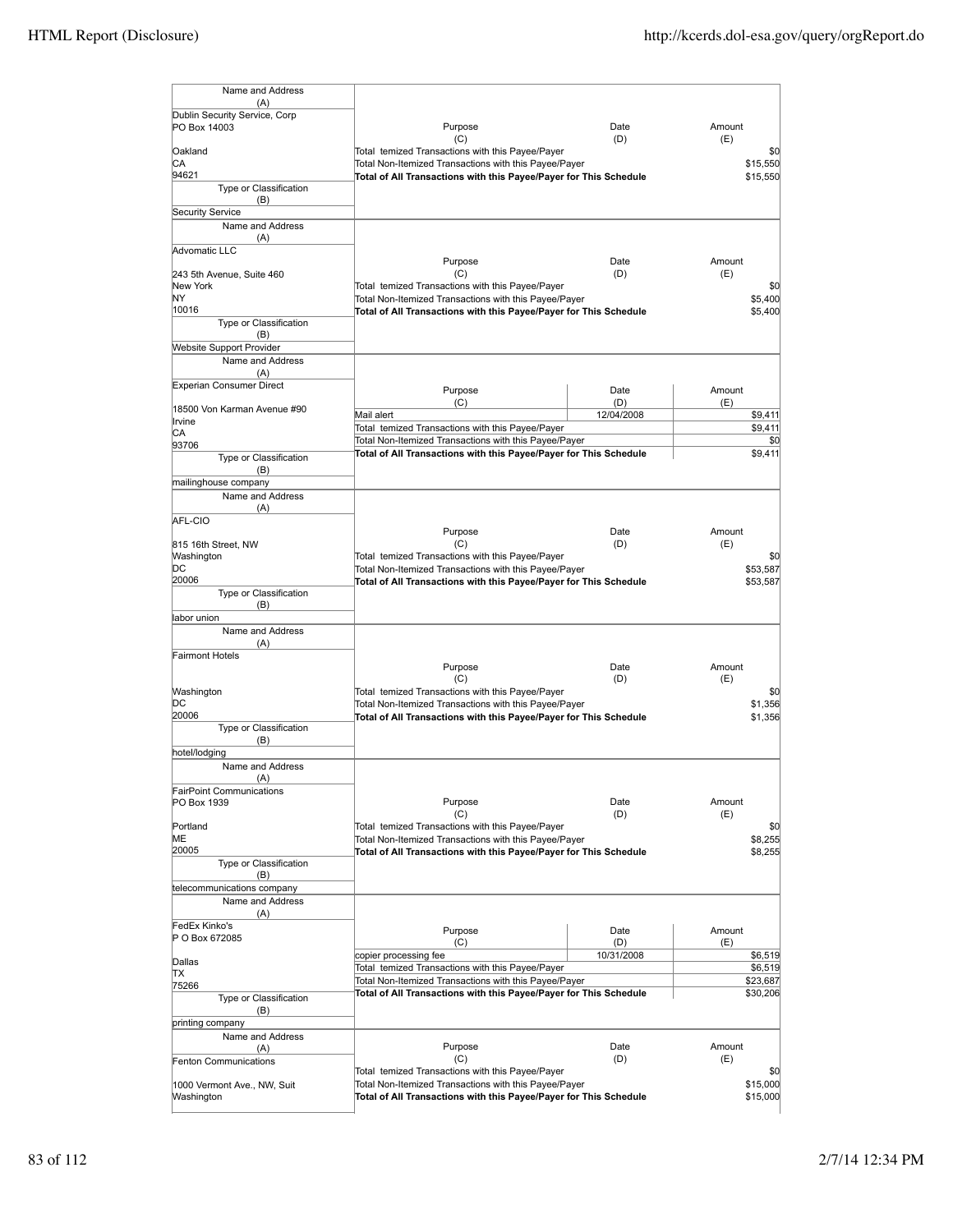| Name and Address                       |                                                                                                           |             |                 |
|----------------------------------------|-----------------------------------------------------------------------------------------------------------|-------------|-----------------|
| (A)<br>Dublin Security Service, Corp   |                                                                                                           |             |                 |
| PO Box 14003                           | Purpose                                                                                                   | Date        | Amount          |
|                                        | (C)                                                                                                       | (D)         | (E)             |
| Oakland<br>СA                          | Total temized Transactions with this Payee/Payer<br>Total Non-Itemized Transactions with this Payee/Payer |             | \$0<br>\$15,550 |
| 94621                                  | Total of All Transactions with this Payee/Payer for This Schedule                                         |             | \$15,550        |
| Type or Classification                 |                                                                                                           |             |                 |
| (B)                                    |                                                                                                           |             |                 |
| Security Service                       |                                                                                                           |             |                 |
| Name and Address                       |                                                                                                           |             |                 |
| (A)<br>Advomatic LLC                   |                                                                                                           |             |                 |
|                                        | Purpose                                                                                                   | Date        | Amount          |
| 243 5th Avenue, Suite 460              | (C)                                                                                                       | (D)         | (E)             |
| New York                               | Total temized Transactions with this Payee/Payer                                                          |             | \$0             |
| ΝY                                     | Total Non-Itemized Transactions with this Payee/Payer                                                     |             | \$5,400         |
| 10016<br>Type or Classification        | Total of All Transactions with this Payee/Payer for This Schedule                                         |             | \$5,400         |
| (B)                                    |                                                                                                           |             |                 |
| <b>Website Support Provider</b>        |                                                                                                           |             |                 |
| Name and Address                       |                                                                                                           |             |                 |
| (A)                                    |                                                                                                           |             |                 |
| <b>Experian Consumer Direct</b>        | Purpose                                                                                                   | Date        | Amount          |
| 18500 Von Karman Avenue #90            | (C)                                                                                                       | (D)         | (E)             |
| Irvine                                 | Mail alert                                                                                                | 12/04/2008  | \$9,411         |
| СA                                     | Total temized Transactions with this Payee/Payer                                                          |             | \$9,411         |
| 93706                                  | Total Non-Itemized Transactions with this Payee/Payer                                                     |             | \$0             |
| Type or Classification                 | Total of All Transactions with this Payee/Payer for This Schedule                                         |             | \$9,411         |
| (B)                                    |                                                                                                           |             |                 |
| mailinghouse company                   |                                                                                                           |             |                 |
| Name and Address                       |                                                                                                           |             |                 |
| (A)<br>AFL-CIO                         |                                                                                                           |             |                 |
|                                        | Purpose                                                                                                   | Date        | Amount          |
| 815 16th Street, NW                    | (C)                                                                                                       | (D)         | (E)             |
| Washington                             | Total temized Transactions with this Payee/Payer                                                          |             | \$0             |
| þс                                     | Total Non-Itemized Transactions with this Payee/Payer                                                     |             | \$53,587        |
| 20006<br>Type or Classification        | Total of All Transactions with this Payee/Payer for This Schedule                                         |             | \$53,587        |
| (B)                                    |                                                                                                           |             |                 |
| labor union                            |                                                                                                           |             |                 |
| Name and Address                       |                                                                                                           |             |                 |
| (A)                                    |                                                                                                           |             |                 |
| <b>Fairmont Hotels</b>                 |                                                                                                           |             |                 |
|                                        | Purpose                                                                                                   | Date        | Amount          |
| Washington                             | (C)<br>Total temized Transactions with this Payee/Payer                                                   | (D)         | (E)<br>\$0      |
| DС                                     | Total Non-Itemized Transactions with this Payee/Payer                                                     |             | \$1.356         |
| 20006                                  | Total of All Transactions with this Payee/Payer for This Schedule                                         |             | \$1,356         |
| Type or Classification                 |                                                                                                           |             |                 |
| (B)                                    |                                                                                                           |             |                 |
| hotel/lodging                          |                                                                                                           |             |                 |
| Name and Address                       |                                                                                                           |             |                 |
| (A)<br><b>FairPoint Communications</b> |                                                                                                           |             |                 |
| PO Box 1939                            | Purpose                                                                                                   | Date        | Amount          |
|                                        | (C)                                                                                                       | (D)         | (E)             |
| Portland                               | Total temized Transactions with this Payee/Payer                                                          |             | \$0             |
| ME                                     | Total Non-Itemized Transactions with this Payee/Payer                                                     |             | \$8,255         |
| 20005                                  | Total of All Transactions with this Payee/Payer for This Schedule                                         |             | \$8,255         |
| Type or Classification<br>(B)          |                                                                                                           |             |                 |
| telecommunications company             |                                                                                                           |             |                 |
| Name and Address                       |                                                                                                           |             |                 |
| (A)                                    |                                                                                                           |             |                 |
| FedEx Kinko's                          | Purpose                                                                                                   | Date        | Amount          |
| P O Box 672085                         | (C)                                                                                                       | (D)         | (E)             |
|                                        | copier processing fee                                                                                     | 10/31/2008  | \$6,519         |
| Dallas<br>lΤX                          | Total temized Transactions with this Payee/Payer                                                          |             | \$6,519         |
| 75266                                  | Total Non-Itemized Transactions with this Payee/Payer                                                     |             | \$23,687        |
| Type or Classification                 | Total of All Transactions with this Payee/Payer for This Schedule                                         |             | \$30,206        |
| (B)                                    |                                                                                                           |             |                 |
| printing company                       |                                                                                                           |             |                 |
| Name and Address                       |                                                                                                           |             |                 |
| (A)                                    | Purpose<br>(C)                                                                                            | Date<br>(D) | Amount<br>(E)   |
| <b>Fenton Communications</b>           | Total temized Transactions with this Payee/Payer                                                          |             | \$0             |
| 1000 Vermont Ave., NW, Suit            | Total Non-Itemized Transactions with this Payee/Payer                                                     |             | \$15,000        |
| Washington                             | Total of All Transactions with this Payee/Payer for This Schedule                                         |             | \$15,000        |
|                                        |                                                                                                           |             |                 |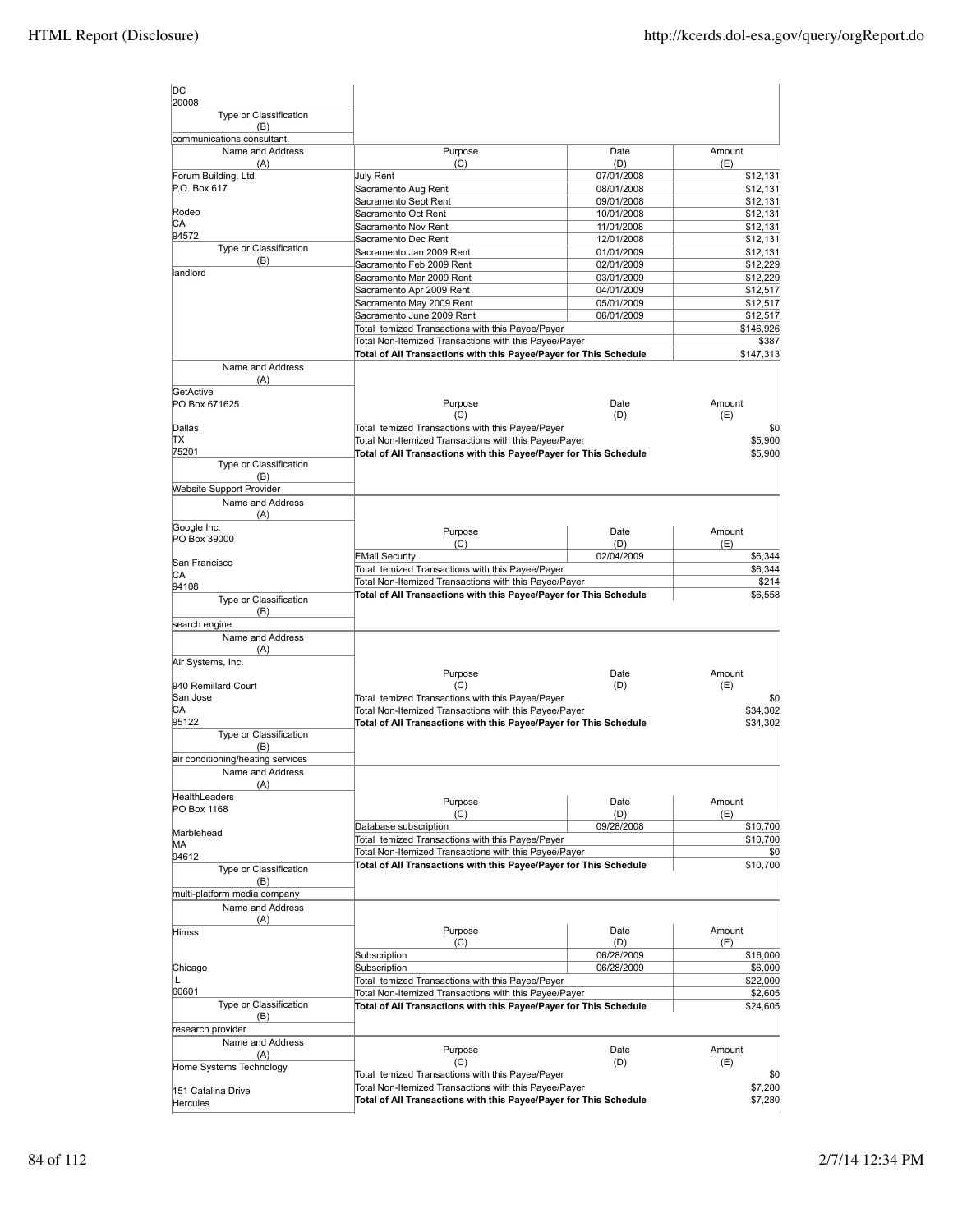| ldc<br>20008                        |                                                                   |                          |                      |
|-------------------------------------|-------------------------------------------------------------------|--------------------------|----------------------|
| Type or Classification<br>(B)       |                                                                   |                          |                      |
| communications consultant           |                                                                   |                          |                      |
| Name and Address                    | Purpose                                                           | Date                     | Amount               |
| (A)<br>Forum Building, Ltd.         | (C)                                                               | (D)                      | (E)                  |
| P.O. Box 617                        | July Rent<br>Sacramento Aug Rent                                  | 07/01/2008<br>08/01/2008 | \$12,131<br>\$12,131 |
|                                     | Sacramento Sept Rent                                              | 09/01/2008               | \$12,131             |
| Rodeo                               | Sacramento Oct Rent                                               | 10/01/2008               | \$12,131             |
| CА                                  |                                                                   |                          |                      |
| 94572                               | Sacramento Nov Rent                                               | 11/01/2008               | \$12,131<br>\$12,131 |
| Type or Classification              | Sacramento Dec Rent                                               | 12/01/2008<br>01/01/2009 |                      |
| (B)                                 | Sacramento Jan 2009 Rent                                          |                          | \$12,131             |
| landlord                            | Sacramento Feb 2009 Rent<br>Sacramento Mar 2009 Rent              | 02/01/2009               | \$12,229             |
|                                     |                                                                   | 03/01/2009               | \$12,229             |
|                                     | Sacramento Apr 2009 Rent                                          | 04/01/2009               | \$12,517             |
|                                     | Sacramento May 2009 Rent                                          | 05/01/2009               | \$12,517             |
|                                     | Sacramento June 2009 Rent                                         | 06/01/2009               | \$12,517             |
|                                     | Total temized Transactions with this Payee/Payer                  |                          | \$146,926            |
|                                     | Total Non-Itemized Transactions with this Payee/Payer             |                          | \$387                |
|                                     | Total of All Transactions with this Payee/Payer for This Schedule |                          | \$147,313            |
| Name and Address                    |                                                                   |                          |                      |
| (A)                                 |                                                                   |                          |                      |
| GetActive                           |                                                                   |                          |                      |
| PO Box 671625                       | Purpose                                                           | Date                     | Amount               |
|                                     | (C)                                                               | (D)                      | (E)                  |
| Dallas                              | Total temized Transactions with this Payee/Payer                  |                          | \$0                  |
| ΠX                                  | Total Non-Itemized Transactions with this Payee/Payer             |                          | \$5,900              |
| 75201                               | Total of All Transactions with this Payee/Payer for This Schedule |                          | \$5,900              |
| Type or Classification              |                                                                   |                          |                      |
| (B)                                 |                                                                   |                          |                      |
| <b>Website Support Provider</b>     |                                                                   |                          |                      |
| Name and Address                    |                                                                   |                          |                      |
| (A)                                 |                                                                   |                          |                      |
| Google Inc.                         | Purpose                                                           | Date                     | Amount               |
| PO Box 39000                        | (C)                                                               | (D)                      | (E)                  |
|                                     | <b>EMail Security</b>                                             | 02/04/2009               | \$6,344              |
| San Francisco                       | Total temized Transactions with this Payee/Payer                  |                          | \$6,344              |
| CА                                  | Total Non-Itemized Transactions with this Payee/Payer             |                          | \$214                |
| 94108                               | Total of All Transactions with this Payee/Payer for This Schedule |                          | \$6,558              |
| Type or Classification              |                                                                   |                          |                      |
| (B)                                 |                                                                   |                          |                      |
| search engine                       |                                                                   |                          |                      |
| Name and Address                    |                                                                   |                          |                      |
| (A)                                 |                                                                   |                          |                      |
| Air Systems, Inc.                   |                                                                   |                          |                      |
|                                     | Purpose                                                           | Date                     | Amount               |
| 940 Remillard Court<br>San Jose     | (C)<br>Total temized Transactions with this Payee/Payer           | (D)                      | (E)                  |
|                                     |                                                                   |                          | \$0                  |
| СA<br>95122                         | Total Non-Itemized Transactions with this Payee/Payer             |                          | \$34,302             |
|                                     | Total of All Transactions with this Payee/Payer for This Schedule |                          | \$34,302             |
| Type or Classification              |                                                                   |                          |                      |
| (B)                                 |                                                                   |                          |                      |
| air conditioning/heating services   |                                                                   |                          |                      |
| Name and Address                    |                                                                   |                          |                      |
| (A)                                 |                                                                   |                          |                      |
| HealthLeaders                       | Purpose                                                           | Date                     | Amount               |
| PO Box 1168                         | (C)                                                               | (D)                      | (E)                  |
|                                     | Database subscription                                             | 09/28/2008               | \$10,700             |
| Marblehead<br>MА                    | Total temized Transactions with this Payee/Payer                  |                          | \$10,700             |
| 94612                               | Total Non-Itemized Transactions with this Payee/Payer             |                          | \$0                  |
|                                     | Total of All Transactions with this Payee/Payer for This Schedule |                          | \$10,700             |
| Type or Classification              |                                                                   |                          |                      |
| (B)<br>multi-platform media company |                                                                   |                          |                      |
|                                     |                                                                   |                          |                      |
| Name and Address                    |                                                                   |                          |                      |
| (A)                                 |                                                                   |                          |                      |
| <b>Himss</b>                        | Purpose                                                           | Date<br>(D)              | Amount               |
|                                     | (C)                                                               |                          | (E)                  |
|                                     | Subscription<br>Subscription                                      | 06/28/2009<br>06/28/2009 | \$16,000<br>\$6,000  |
| Chicago                             |                                                                   |                          |                      |
| L<br>60601                          | Total temized Transactions with this Payee/Payer                  |                          | \$22,000             |
|                                     | Total Non-Itemized Transactions with this Payee/Payer             |                          | \$2,605              |
| Type or Classification              | Total of All Transactions with this Payee/Payer for This Schedule |                          | \$24,605             |
| (B)                                 |                                                                   |                          |                      |
| research provider                   |                                                                   |                          |                      |
| Name and Address                    | Purpose                                                           | Date                     | Amount               |
| (A)                                 | (C)                                                               | (D)                      | (E)                  |
| Home Systems Technology             | Total temized Transactions with this Payee/Payer                  |                          | \$0                  |
|                                     | Total Non-Itemized Transactions with this Payee/Payer             |                          | \$7,280              |
| 151 Catalina Drive                  | Total of All Transactions with this Payee/Payer for This Schedule |                          | \$7,280              |
| Hercules                            |                                                                   |                          |                      |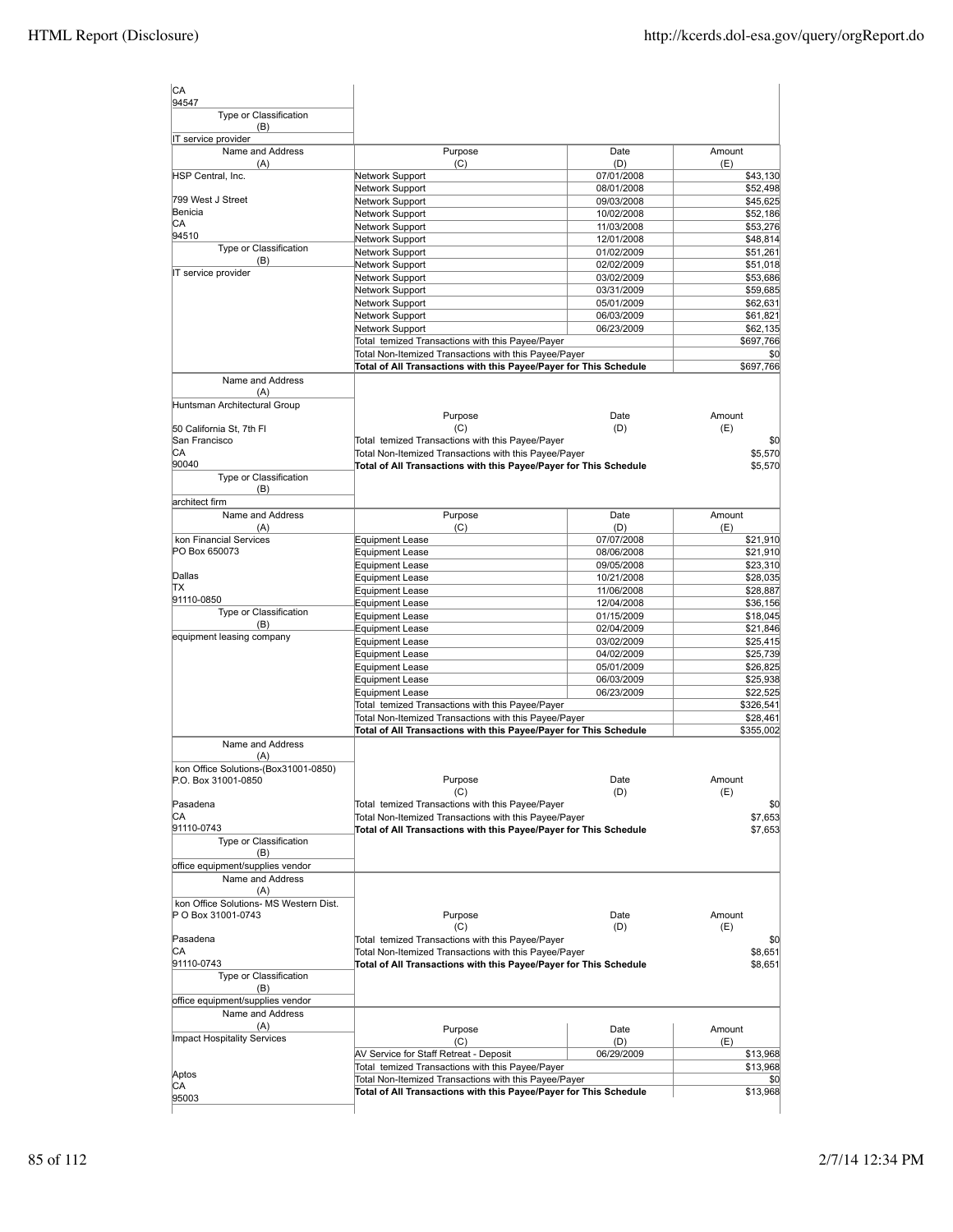| CA                                     |                                                                   |                          |                      |
|----------------------------------------|-------------------------------------------------------------------|--------------------------|----------------------|
| 94547<br>Type or Classification        |                                                                   |                          |                      |
| (B)<br>IT service provider             |                                                                   |                          |                      |
| Name and Address<br>(A)                | Purpose<br>(C)                                                    | Date<br>(D)              | Amount<br>(E)        |
| HSP Central, Inc.                      | Network Support                                                   | 07/01/2008               | \$43,130             |
|                                        | Network Support                                                   | 08/01/2008               | \$52,498             |
| 799 West J Street                      | Network Support                                                   | 09/03/2008               | \$45,625             |
| Benicia<br>IСA                         | Network Support                                                   | 10/02/2008               | \$52,186             |
| 94510                                  | Network Support                                                   | 11/03/2008               | \$53,276             |
| Type or Classification                 | Network Support<br>Network Support                                | 12/01/2008<br>01/02/2009 | \$48,814<br>\$51,261 |
| (B)                                    | Network Support                                                   | 02/02/2009               | \$51,018             |
| IT service provider                    | Network Support                                                   | 03/02/2009               | \$53,686             |
|                                        | Network Support                                                   | 03/31/2009               | \$59,685             |
|                                        | Network Support                                                   | 05/01/2009               | \$62,631             |
|                                        | Network Support                                                   | 06/03/2009               | \$61,821             |
|                                        | Network Support                                                   | 06/23/2009               | \$62,135             |
|                                        | Total temized Transactions with this Payee/Payer                  |                          | \$697,766            |
|                                        | Total Non-Itemized Transactions with this Payee/Payer             |                          | \$0                  |
|                                        | Total of All Transactions with this Payee/Payer for This Schedule |                          | \$697,766            |
| Name and Address<br>(A)                |                                                                   |                          |                      |
| Huntsman Architectural Group           |                                                                   |                          |                      |
|                                        | Purpose                                                           | Date                     | Amount               |
| 50 California St, 7th FI               | (C)                                                               | (D)                      | (E)                  |
| San Francisco                          | Total temized Transactions with this Payee/Payer                  |                          | \$0                  |
| CА<br>90040                            | Total Non-Itemized Transactions with this Payee/Payer             |                          | \$5,570              |
| Type or Classification                 | Total of All Transactions with this Payee/Payer for This Schedule |                          | \$5,570              |
| (B)                                    |                                                                   |                          |                      |
| architect firm                         |                                                                   |                          |                      |
| Name and Address                       | Purpose                                                           | Date                     | Amount               |
| (A)                                    | (C)                                                               | (D)                      | (E)                  |
| kon Financial Services                 | <b>Equipment Lease</b>                                            | 07/07/2008               | \$21,910             |
| PO Box 650073                          | <b>Equipment Lease</b>                                            | 08/06/2008               | \$21,910             |
| Dallas                                 | <b>Equipment Lease</b>                                            | 09/05/2008<br>10/21/2008 | \$23,310             |
| lΤX                                    | <b>Equipment Lease</b><br><b>Equipment Lease</b>                  | 11/06/2008               | \$28,035<br>\$28,887 |
| 91110-0850                             | <b>Equipment Lease</b>                                            | 12/04/2008               | \$36,156             |
| Type or Classification                 | <b>Equipment Lease</b>                                            | 01/15/2009               | \$18,045             |
| (B)                                    | <b>Equipment Lease</b>                                            | 02/04/2009               | \$21,846             |
| equipment leasing company              | <b>Equipment Lease</b>                                            | 03/02/2009               | \$25,415             |
|                                        | <b>Equipment Lease</b>                                            | 04/02/2009               | \$25,739             |
|                                        | <b>Equipment Lease</b>                                            | 05/01/2009               | \$26,825             |
|                                        | <b>Equipment Lease</b>                                            | 06/03/2009               | \$25,938             |
|                                        | <b>Equipment Lease</b>                                            | 06/23/2009               | \$22,525             |
|                                        | Total temized Transactions with this Payee/Payer                  |                          | \$326,541            |
|                                        | Total Non-Itemized Transactions with this Payee/Payer             |                          | \$28,461             |
|                                        | Total of All Transactions with this Payee/Payer for This Schedule |                          | \$355,002            |
| Name and Address<br>(A)                |                                                                   |                          |                      |
| kon Office Solutions-(Box31001-0850)   |                                                                   |                          |                      |
| P.O. Box 31001-0850                    | Purpose                                                           | Date                     | Amount               |
|                                        | (C)                                                               | (D)                      | (E)                  |
| Pasadena                               | Total temized Transactions with this Payee/Payer                  |                          | \$0                  |
| CА                                     | Total Non-Itemized Transactions with this Payee/Payer             |                          | \$7,653              |
| 91110-0743                             | Total of All Transactions with this Payee/Payer for This Schedule |                          | \$7,653              |
| Type or Classification<br>(B)          |                                                                   |                          |                      |
| office equipment/supplies vendor       |                                                                   |                          |                      |
| Name and Address                       |                                                                   |                          |                      |
| (A)                                    |                                                                   |                          |                      |
| kon Office Solutions- MS Western Dist. |                                                                   |                          |                      |
| P O Box 31001-0743                     | Purpose                                                           | Date                     | Amount               |
|                                        | (C)                                                               | (D)                      | (E)                  |
| Pasadena                               | Total temized Transactions with this Payee/Payer                  |                          | \$0                  |
| IСA                                    | Total Non-Itemized Transactions with this Payee/Payer             |                          | \$8,651              |
| 91110-0743<br>Type or Classification   | Total of All Transactions with this Payee/Payer for This Schedule |                          | \$8,651              |
| (B)                                    |                                                                   |                          |                      |
| office equipment/supplies vendor       |                                                                   |                          |                      |
| Name and Address                       |                                                                   |                          |                      |
| (A)                                    | Purpose                                                           | Date                     | Amount               |
| Impact Hospitality Services            | (C)                                                               | (D)                      | (E)                  |
|                                        | AV Service for Staff Retreat - Deposit                            | 06/29/2009               | \$13,968             |
|                                        | Total temized Transactions with this Payee/Payer                  |                          | \$13,968             |
| Aptos<br>CA                            | Total Non-Itemized Transactions with this Payee/Payer             |                          | \$0                  |
|                                        | Total of All Transactions with this Payee/Payer for This Schedule |                          | \$13,968             |
| 95003                                  |                                                                   |                          |                      |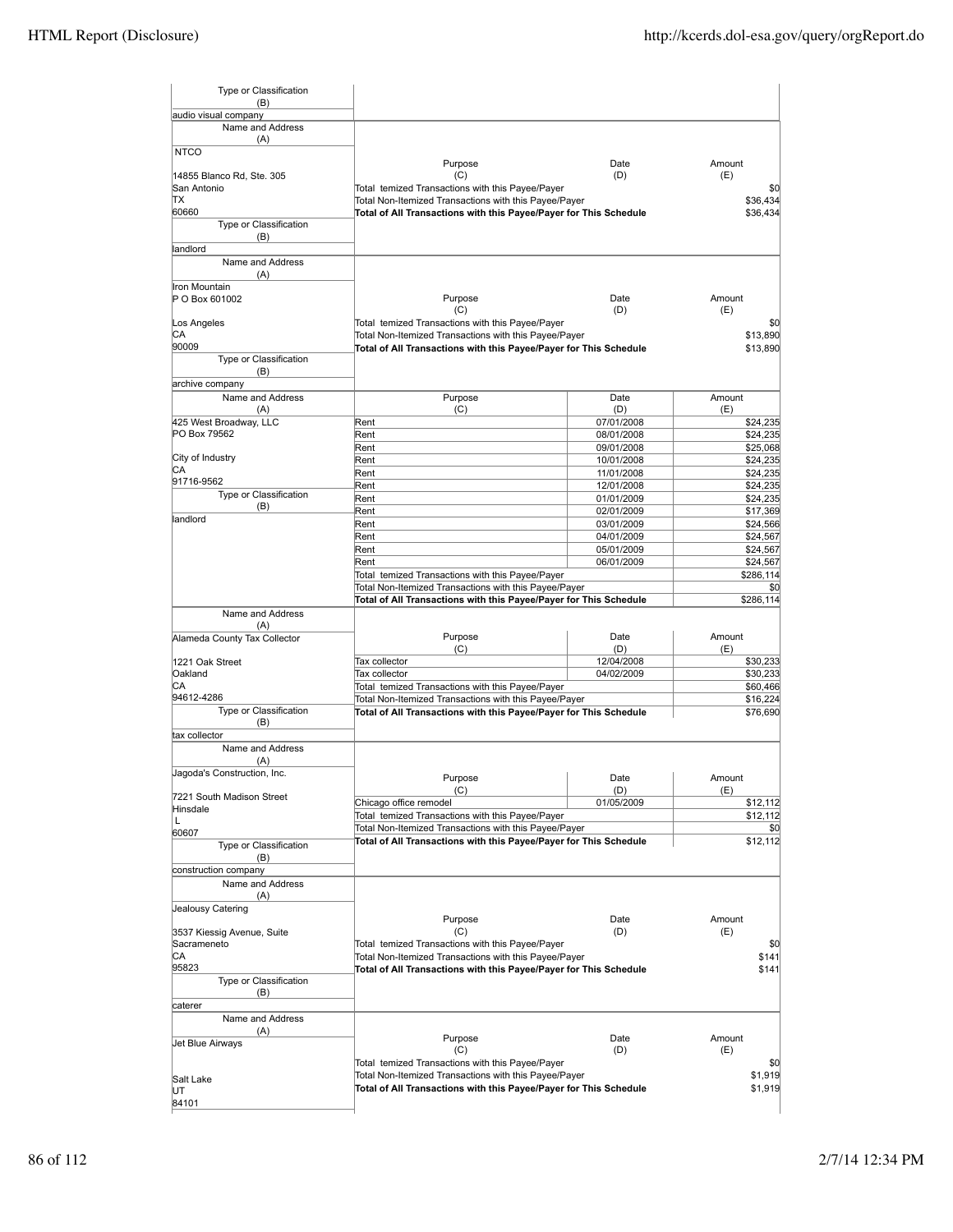| Type or Classification<br>(B)         |                                                                   |                          |                      |
|---------------------------------------|-------------------------------------------------------------------|--------------------------|----------------------|
| audio visual company                  |                                                                   |                          |                      |
| Name and Address                      |                                                                   |                          |                      |
| (A)                                   |                                                                   |                          |                      |
| <b>NTCO</b>                           | Purpose                                                           | Date                     | Amount               |
| 14855 Blanco Rd, Ste. 305             | (C)                                                               | (D)                      | (E)                  |
| San Antonio                           | Total temized Transactions with this Payee/Payer                  |                          | \$0                  |
| ΠX                                    | Total Non-Itemized Transactions with this Payee/Payer             |                          | \$36,434             |
| 60660<br>Type or Classification       | Total of All Transactions with this Payee/Payer for This Schedule |                          | \$36,434             |
| (B)                                   |                                                                   |                          |                      |
| landlord                              |                                                                   |                          |                      |
| Name and Address                      |                                                                   |                          |                      |
| (A)                                   |                                                                   |                          |                      |
| Iron Mountain                         |                                                                   |                          |                      |
| P O Box 601002                        | Purpose<br>(C)                                                    | Date<br>(D)              | Amount<br>(E)        |
| Los Angeles                           | Total temized Transactions with this Payee/Payer                  |                          | \$0                  |
| СA                                    | Total Non-Itemized Transactions with this Payee/Payer             |                          | \$13,890             |
| 90009                                 | Total of All Transactions with this Payee/Payer for This Schedule |                          | \$13,890             |
| Type or Classification                |                                                                   |                          |                      |
| (B)<br>archive company                |                                                                   |                          |                      |
| Name and Address                      | Purpose                                                           |                          |                      |
| (A)                                   | (C)                                                               | Date<br>(D)              | Amount<br>(E)        |
| 425 West Broadway, LLC                | Rent                                                              | 07/01/2008               | \$24,235             |
| PO Box 79562                          | Rent                                                              | 08/01/2008               | \$24,235             |
|                                       | Rent                                                              | 09/01/2008               | \$25,068             |
| City of Industry                      | Rent                                                              | 10/01/2008               | \$24,235             |
| CА<br>91716-9562                      | Rent                                                              | 11/01/2008               | \$24,235             |
| Type or Classification                | Rent                                                              | 12/01/2008               | \$24,235             |
| (B)                                   | Rent<br>Rent                                                      | 01/01/2009<br>02/01/2009 | \$24,235<br>\$17,369 |
| landlord                              | Rent                                                              | 03/01/2009               | \$24,566             |
|                                       | Rent                                                              | 04/01/2009               | \$24,567             |
|                                       | Rent                                                              | 05/01/2009               | \$24,567             |
|                                       | Rent                                                              | 06/01/2009               | \$24,567             |
|                                       | Total temized Transactions with this Payee/Payer                  |                          | \$286,114            |
|                                       | Total Non-Itemized Transactions with this Payee/Payer             |                          | \$0                  |
|                                       | Total of All Transactions with this Payee/Payer for This Schedule |                          | \$286,114            |
| Name and Address                      |                                                                   |                          |                      |
| (A)<br>Alameda County Tax Collector   | Purpose                                                           | Date                     | Amount               |
|                                       | (C)                                                               | (D)                      | (E)                  |
| l1221 Oak Street                      | Tax collector                                                     | 12/04/2008               | \$30,233             |
| Oakland                               | Tax collector                                                     | 04/02/2009               | \$30,233             |
| CА<br>94612-4286                      | Total temized Transactions with this Payee/Payer                  |                          | \$60,466             |
| Type or Classification                | Total Non-Itemized Transactions with this Payee/Payer             |                          | \$16,224             |
| (B)                                   | Total of All Transactions with this Payee/Payer for This Schedule |                          | \$76,690             |
| tax collector                         |                                                                   |                          |                      |
| Name and Address                      |                                                                   |                          |                      |
| (A)                                   |                                                                   |                          |                      |
| Jagoda's Construction, Inc.           | Purpose                                                           | Date                     | Amount               |
|                                       | (C)                                                               | (D)                      | (E)                  |
| 7221 South Madison Street<br>Hinsdale | Chicago office remodel                                            | 01/05/2009               | \$12,112             |
| L                                     | Total temized Transactions with this Payee/Payer                  |                          | \$12,112             |
| 60607                                 | Total Non-Itemized Transactions with this Payee/Payer             |                          | \$0                  |
| Type or Classification                | Total of All Transactions with this Payee/Payer for This Schedule |                          | \$12,112             |
| (B)                                   |                                                                   |                          |                      |
| construction company                  |                                                                   |                          |                      |
| Name and Address                      |                                                                   |                          |                      |
| (A)<br>Jealousy Catering              |                                                                   |                          |                      |
|                                       | Purpose                                                           | Date                     | Amount               |
| 3537 Kiessig Avenue, Suite            | (C)                                                               | (D)                      | (E)                  |
| Sacrameneto                           | Total temized Transactions with this Payee/Payer                  |                          | \$0                  |
| CА                                    | Total Non-Itemized Transactions with this Payee/Payer             |                          | \$141                |
| 95823<br>Type or Classification       | Total of All Transactions with this Payee/Payer for This Schedule |                          | \$141                |
| (B)                                   |                                                                   |                          |                      |
| caterer                               |                                                                   |                          |                      |
| Name and Address                      |                                                                   |                          |                      |
| (A)                                   |                                                                   | Date                     | Amount               |
| Jet Blue Airways                      | Purpose<br>(C)                                                    | (D)                      | (E)                  |
|                                       | Total temized Transactions with this Payee/Payer                  |                          | \$0                  |
| Salt Lake                             | Total Non-Itemized Transactions with this Payee/Payer             |                          | \$1,919              |
| UT                                    | Total of All Transactions with this Payee/Payer for This Schedule |                          | \$1,919              |
| 84101                                 |                                                                   |                          |                      |
|                                       |                                                                   |                          |                      |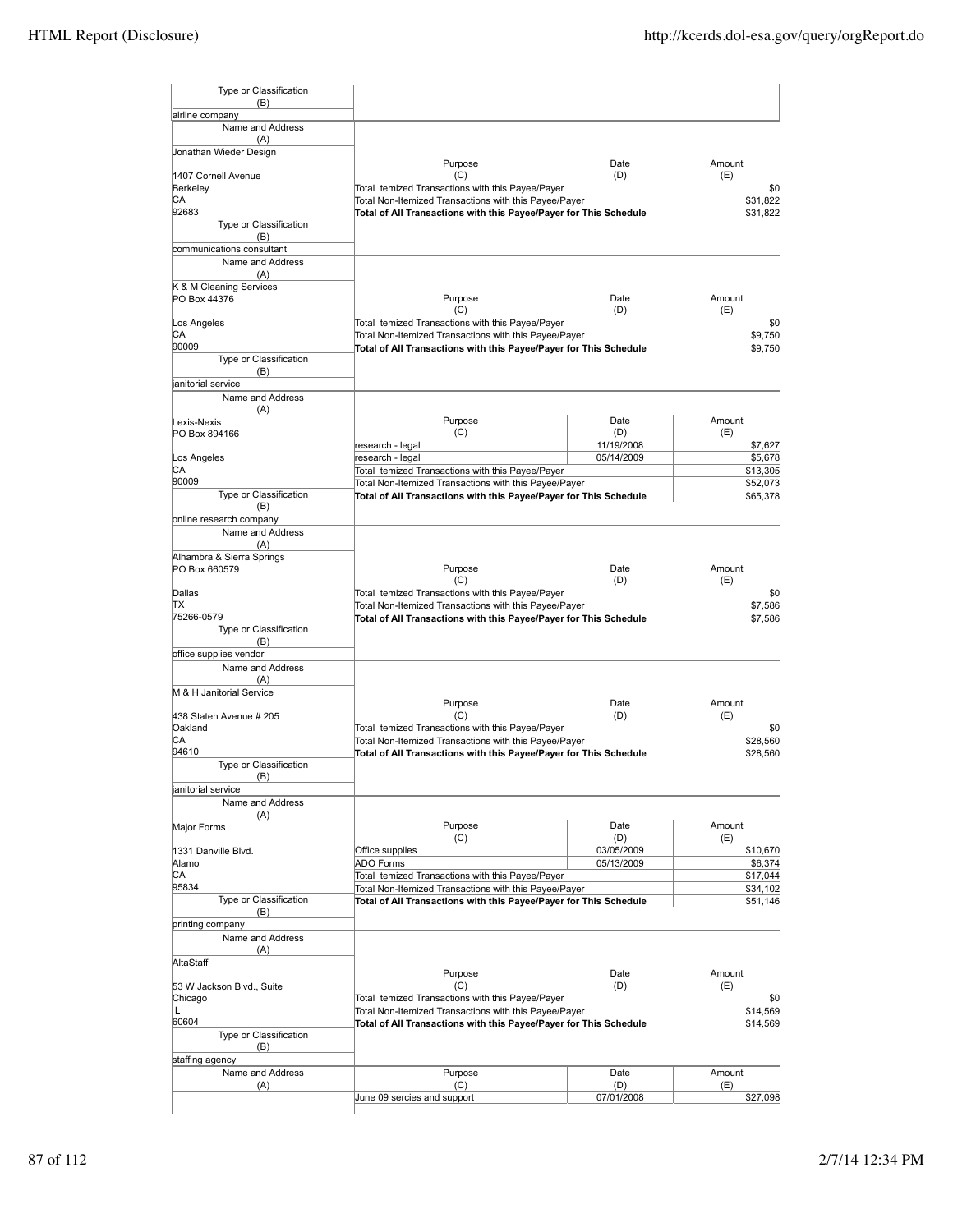| Type or Classification                     |                                                                   |             |               |
|--------------------------------------------|-------------------------------------------------------------------|-------------|---------------|
| (B)<br>airline company                     |                                                                   |             |               |
| Name and Address                           |                                                                   |             |               |
| (A)                                        |                                                                   |             |               |
| Jonathan Wieder Design                     | Purpose                                                           | Date        | Amount        |
| 1407 Cornell Avenue                        | (C)                                                               | (D)         | (E)           |
| Berkeley                                   | Total temized Transactions with this Payee/Payer                  |             | \$0           |
| CА                                         | Total Non-Itemized Transactions with this Payee/Payer             |             | \$31,822      |
| 92683<br>Type or Classification            | Total of All Transactions with this Payee/Payer for This Schedule |             | \$31,822      |
| (B)                                        |                                                                   |             |               |
| communications consultant                  |                                                                   |             |               |
| Name and Address                           |                                                                   |             |               |
| (A)<br>K & M Cleaning Services             |                                                                   |             |               |
| PO Box 44376                               | Purpose                                                           | Date        | Amount        |
|                                            | (C)                                                               | (D)         | (E)           |
| Los Angeles                                | Total temized Transactions with this Payee/Payer                  |             | \$0           |
| CА<br>90009                                | Total Non-Itemized Transactions with this Payee/Payer             |             | \$9,750       |
| Type or Classification                     | Total of All Transactions with this Payee/Payer for This Schedule |             | \$9,750       |
| (B)                                        |                                                                   |             |               |
| anitorial service                          |                                                                   |             |               |
| Name and Address                           |                                                                   |             |               |
| (A)<br>Lexis-Nexis                         | Purpose                                                           | Date        | Amount        |
| PO Box 894166                              | (C)                                                               | (D)         | (E)           |
|                                            | research - legal                                                  | 11/19/2008  | \$7,627       |
| Los Angeles                                | research - legal                                                  | 05/14/2009  | \$5,678       |
| IСA<br>90009                               | Total temized Transactions with this Payee/Payer                  |             | \$13,305      |
| Type or Classification                     | Total Non-Itemized Transactions with this Payee/Payer             |             | \$52,073      |
| (B)                                        | Total of All Transactions with this Payee/Payer for This Schedule |             | \$65,378      |
| online research company                    |                                                                   |             |               |
| Name and Address                           |                                                                   |             |               |
| (A)                                        |                                                                   |             |               |
| Alhambra & Sierra Springs<br>PO Box 660579 | Purpose                                                           | Date        | Amount        |
|                                            | (C)                                                               | (D)         | (E)           |
| Dallas                                     | Total temized Transactions with this Payee/Payer                  |             | \$0           |
| ΠX                                         | Total Non-Itemized Transactions with this Payee/Payer             |             | \$7,586       |
| 75266-0579                                 | Total of All Transactions with this Payee/Payer for This Schedule |             | \$7,586       |
| Type or Classification<br>(B)              |                                                                   |             |               |
| office supplies vendor                     |                                                                   |             |               |
| Name and Address                           |                                                                   |             |               |
| (A)                                        |                                                                   |             |               |
| M & H Janitorial Service                   | Purpose                                                           | Date        | Amount        |
| 438 Staten Avenue # 205                    | (C)                                                               | (D)         | (E)           |
| Oakland                                    | Total temized Transactions with this Payee/Payer                  |             | \$0           |
| СA                                         | Total Non-Itemized Transactions with this Payee/Payer             |             | \$28,560      |
| 94610                                      | Total of All Transactions with this Payee/Payer for This Schedule |             | \$28,560      |
| Type or Classification<br>(B)              |                                                                   |             |               |
| anitorial service                          |                                                                   |             |               |
| Name and Address                           |                                                                   |             |               |
| (A)                                        |                                                                   |             |               |
| Major Forms                                | Purpose<br>(C)                                                    | Date<br>(D) | Amount<br>(E) |
| 1331 Danville Blvd.                        | Office supplies                                                   | 03/05/2009  | \$10,670      |
| Alamo                                      | <b>ADO Forms</b>                                                  | 05/13/2009  | \$6,374       |
| СA                                         | Total temized Transactions with this Payee/Payer                  |             | \$17,044      |
| 95834                                      | Total Non-Itemized Transactions with this Payee/Payer             |             | \$34,102      |
| Type or Classification                     | Total of All Transactions with this Payee/Payer for This Schedule |             | \$51,146      |
| (B)<br>printing company                    |                                                                   |             |               |
| Name and Address                           |                                                                   |             |               |
| (A)                                        |                                                                   |             |               |
| AltaStaff                                  |                                                                   |             |               |
|                                            | Purpose<br>(C)                                                    | Date        | Amount<br>(E) |
| 53 W Jackson Blvd., Suite<br>Chicago       | Total temized Transactions with this Payee/Payer                  | (D)         | \$0           |
| L                                          | Total Non-Itemized Transactions with this Payee/Payer             |             | \$14,569      |
| 60604                                      | Total of All Transactions with this Payee/Payer for This Schedule |             | \$14,569      |
| Type or Classification                     |                                                                   |             |               |
| (B)                                        |                                                                   |             |               |
| staffing agency<br>Name and Address        | Purpose                                                           | Date        | Amount        |
| (A)                                        | (C)                                                               | (D)         | (E)           |
|                                            | June 09 sercies and support                                       | 07/01/2008  | \$27,098      |
|                                            |                                                                   |             |               |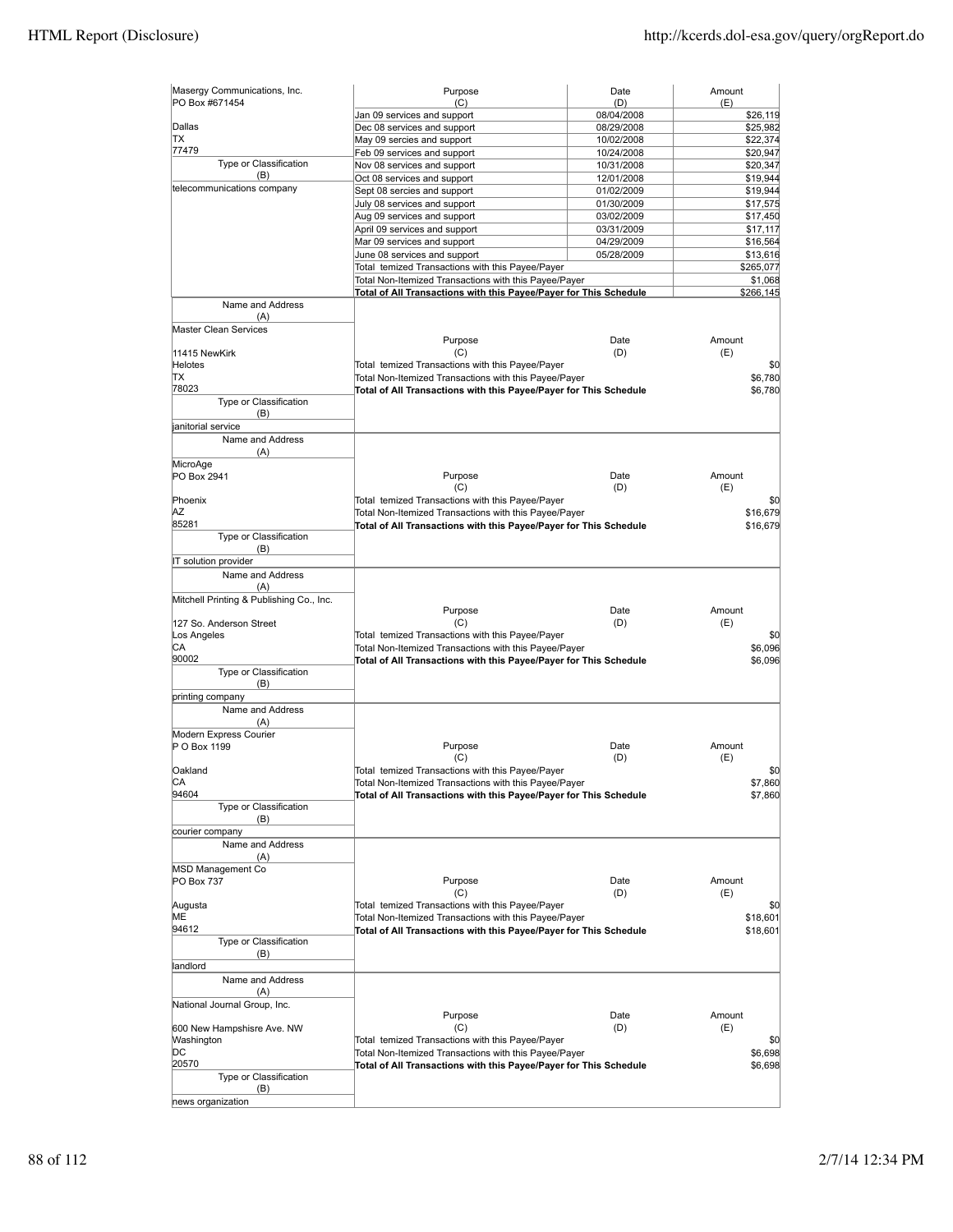| Masergy Communications, Inc.<br>PO Box #671454 | Purpose                                                           | Date              | Amount          |
|------------------------------------------------|-------------------------------------------------------------------|-------------------|-----------------|
|                                                | (C)<br>Jan 09 services and support                                | (D)<br>08/04/2008 | (E)<br>\$26,119 |
| Dallas                                         | Dec 08 services and support                                       | 08/29/2008        | \$25,982        |
| <b>TX</b>                                      | May 09 sercies and support                                        | 10/02/2008        | \$22,374        |
| 77479                                          | Feb 09 services and support                                       | 10/24/2008        | \$20,947        |
| Type or Classification                         | Nov 08 services and support                                       | 10/31/2008        | \$20,347        |
| (B)                                            | Oct 08 services and support                                       |                   |                 |
| telecommunications company                     |                                                                   | 12/01/2008        | \$19,944        |
|                                                | Sept 08 sercies and support                                       | 01/02/2009        | \$19,944        |
|                                                | July 08 services and support                                      | 01/30/2009        | \$17,575        |
|                                                | Aug 09 services and support                                       | 03/02/2009        | \$17,450        |
|                                                | April 09 services and support                                     | 03/31/2009        | \$17,117        |
|                                                | Mar 09 services and support                                       | 04/29/2009        | \$16,564        |
|                                                | June 08 services and support                                      | 05/28/2009        | \$13,616        |
|                                                | Total temized Transactions with this Payee/Payer                  |                   | \$265,077       |
|                                                | Total Non-Itemized Transactions with this Payee/Payer             |                   | \$1,068         |
|                                                | Total of All Transactions with this Payee/Payer for This Schedule |                   | \$266,145       |
| Name and Address                               |                                                                   |                   |                 |
| (A)                                            |                                                                   |                   |                 |
| <b>Master Clean Services</b>                   |                                                                   |                   |                 |
|                                                | Purpose                                                           | Date              | Amount          |
| 11415 NewKirk                                  | (C)                                                               | (D)               | (E)             |
| <b>Helotes</b>                                 | Total temized Transactions with this Payee/Payer                  |                   | \$0             |
| TХ                                             | Total Non-Itemized Transactions with this Payee/Payer             |                   | \$6,780         |
| 78023                                          | Total of All Transactions with this Payee/Payer for This Schedule |                   | \$6,780         |
| Type or Classification                         |                                                                   |                   |                 |
| (B)                                            |                                                                   |                   |                 |
| janitorial service                             |                                                                   |                   |                 |
| Name and Address                               |                                                                   |                   |                 |
| (A)                                            |                                                                   |                   |                 |
| MicroAge                                       |                                                                   |                   |                 |
| PO Box 2941                                    | Purpose                                                           | Date              | Amount          |
|                                                | (C)                                                               | (D)               | (E)             |
| Phoenix                                        | Total temized Transactions with this Payee/Payer                  |                   | \$0             |
| ΑZ                                             | Total Non-Itemized Transactions with this Payee/Payer             |                   | \$16,679        |
| 85281                                          | Total of All Transactions with this Payee/Payer for This Schedule |                   | \$16,679        |
| Type or Classification                         |                                                                   |                   |                 |
| (B)                                            |                                                                   |                   |                 |
| IT solution provider                           |                                                                   |                   |                 |
| Name and Address                               |                                                                   |                   |                 |
| (A)                                            |                                                                   |                   |                 |
|                                                |                                                                   |                   |                 |
| Mitchell Printing & Publishing Co., Inc.       |                                                                   |                   | Amount          |
|                                                | Purpose                                                           | Date              |                 |
| 127 So. Anderson Street                        | (C)                                                               | (D)               | (E)             |
| Los Angeles                                    | Total temized Transactions with this Payee/Payer                  |                   | \$0             |
| CА                                             | Total Non-Itemized Transactions with this Payee/Payer             |                   | \$6,096         |
| 90002                                          | Total of All Transactions with this Payee/Payer for This Schedule |                   | \$6,096         |
| Type or Classification                         |                                                                   |                   |                 |
| (B)                                            |                                                                   |                   |                 |
| printing company                               |                                                                   |                   |                 |
| Name and Address                               |                                                                   |                   |                 |
| (A)                                            |                                                                   |                   |                 |
| Modern Express Courier                         |                                                                   |                   |                 |
| P O Box 1199                                   | Purpose                                                           | Date              | Amount          |
|                                                | (C)                                                               | (D)               | (E)             |
| Oakland                                        | Total temized Transactions with this Payee/Payer                  |                   | \$0             |
| CА                                             | Total Non-Itemized Transactions with this Payee/Payer             |                   | \$7,860         |
| 94604                                          | Total of All Transactions with this Payee/Payer for This Schedule |                   | \$7,860         |
| Type or Classification                         |                                                                   |                   |                 |
| (B)                                            |                                                                   |                   |                 |
| courier company                                |                                                                   |                   |                 |
| Name and Address                               |                                                                   |                   |                 |
| (A)                                            |                                                                   |                   |                 |
| MSD Management Co                              |                                                                   |                   |                 |
| PO Box 737                                     | Purpose                                                           | Date              | Amount          |
|                                                | (C)                                                               | (D)               | (E)             |
| Augusta                                        | Total temized Transactions with this Payee/Payer                  |                   | \$0             |
| МE                                             | Total Non-Itemized Transactions with this Payee/Payer             |                   | \$18,601        |
| 94612                                          | Total of All Transactions with this Payee/Payer for This Schedule |                   | \$18,601        |
| Type or Classification                         |                                                                   |                   |                 |
| (B)                                            |                                                                   |                   |                 |
| landlord                                       |                                                                   |                   |                 |
|                                                |                                                                   |                   |                 |
| Name and Address                               |                                                                   |                   |                 |
| (A)                                            |                                                                   |                   |                 |
| National Journal Group, Inc.                   |                                                                   |                   |                 |
|                                                | Purpose                                                           | Date              | Amount          |
| 600 New Hampshisre Ave. NW                     | (C)                                                               | (D)               | (E)             |
| Washington                                     | Total temized Transactions with this Payee/Payer                  |                   | \$0             |
| DС                                             | Total Non-Itemized Transactions with this Payee/Payer             |                   | \$6,698         |
| 20570                                          | Total of All Transactions with this Payee/Payer for This Schedule |                   | \$6,698         |
| Type or Classification                         |                                                                   |                   |                 |
| (B)                                            |                                                                   |                   |                 |
| news organization                              |                                                                   |                   |                 |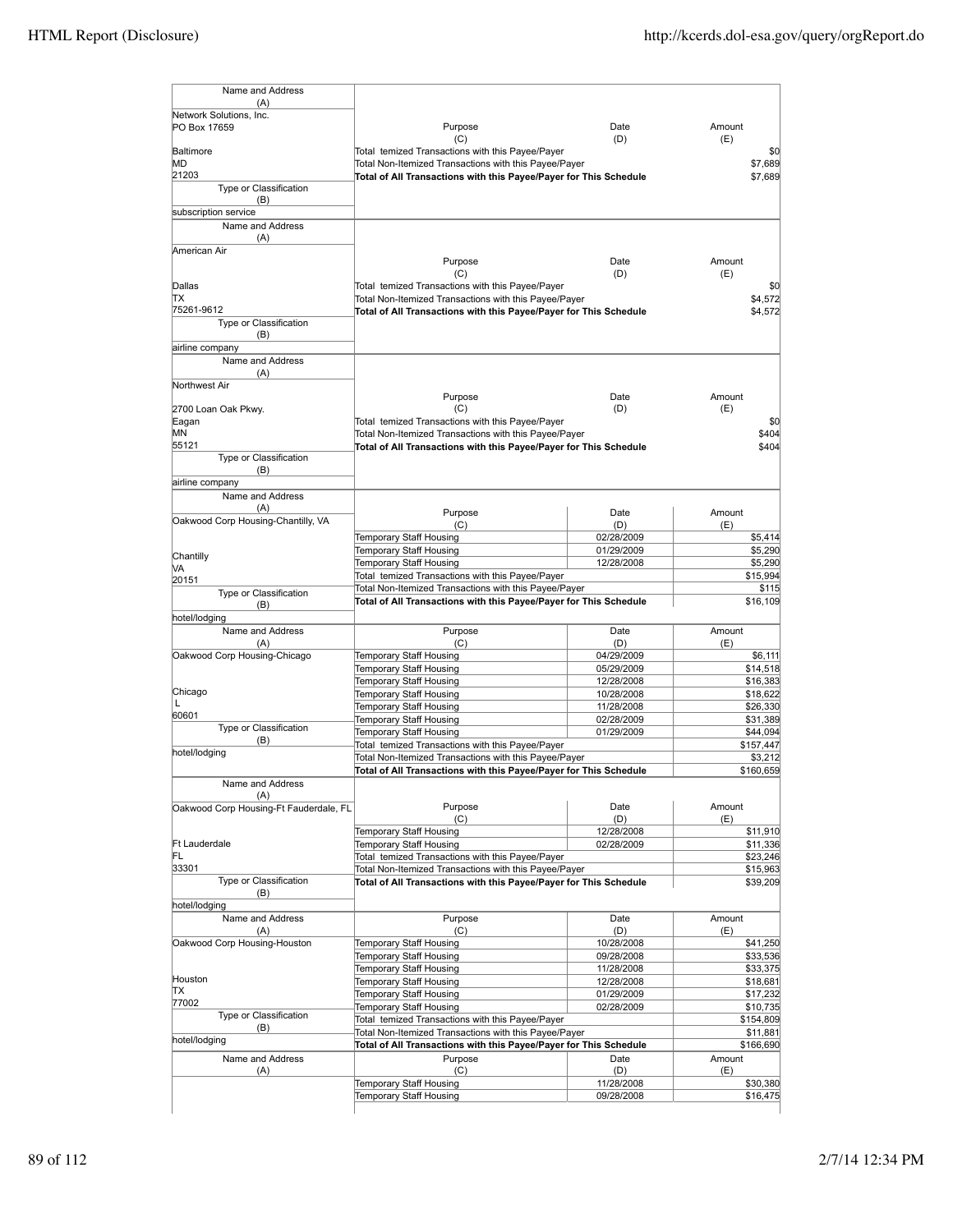| Name and Address                       |                                                                   |                          |                                                                                              |
|----------------------------------------|-------------------------------------------------------------------|--------------------------|----------------------------------------------------------------------------------------------|
| (A)<br>Network Solutions, Inc.         |                                                                   |                          |                                                                                              |
| PO Box 17659                           | Purpose                                                           | Date                     | Amount                                                                                       |
|                                        | (C)                                                               | (D)                      | (E)                                                                                          |
| Baltimore                              | Total temized Transactions with this Payee/Payer                  |                          | \$0                                                                                          |
| MD                                     | Total Non-Itemized Transactions with this Payee/Payer             |                          | \$7,689                                                                                      |
| 21203                                  | Total of All Transactions with this Payee/Payer for This Schedule |                          | \$7,689                                                                                      |
| Type or Classification                 |                                                                   |                          |                                                                                              |
| (B)                                    |                                                                   |                          |                                                                                              |
| subscription service                   |                                                                   |                          |                                                                                              |
| Name and Address                       |                                                                   |                          |                                                                                              |
| (A)<br>American Air                    |                                                                   |                          |                                                                                              |
|                                        | Purpose                                                           | Date                     | Amount                                                                                       |
|                                        | (C)                                                               | (D)                      | (E)                                                                                          |
| Dallas                                 | Total temized Transactions with this Payee/Payer                  |                          | \$0                                                                                          |
| ТX                                     | Total Non-Itemized Transactions with this Payee/Payer             |                          | \$4,572                                                                                      |
| 75261-9612                             | Total of All Transactions with this Payee/Payer for This Schedule |                          | \$4,572                                                                                      |
| Type or Classification                 |                                                                   |                          |                                                                                              |
| (B)                                    |                                                                   |                          |                                                                                              |
| airline company                        |                                                                   |                          |                                                                                              |
| Name and Address                       |                                                                   |                          |                                                                                              |
| (A)<br>Northwest Air                   |                                                                   |                          |                                                                                              |
|                                        | Purpose                                                           | Date                     | Amount                                                                                       |
| 2700 Loan Oak Pkwy.                    | (C)                                                               | (D)                      | (E)                                                                                          |
| Eagan                                  | Total temized Transactions with this Payee/Payer                  |                          | \$0                                                                                          |
| ΜN                                     | Total Non-Itemized Transactions with this Payee/Payer             |                          | \$404                                                                                        |
| 55121                                  | Total of All Transactions with this Payee/Payer for This Schedule |                          | \$404                                                                                        |
| Type or Classification                 |                                                                   |                          |                                                                                              |
| (B)                                    |                                                                   |                          |                                                                                              |
| airline company                        |                                                                   |                          |                                                                                              |
| Name and Address                       |                                                                   |                          |                                                                                              |
| (A)                                    | Purpose                                                           | Date                     | Amount                                                                                       |
| Oakwood Corp Housing-Chantilly, VA     | (C)                                                               | (D)                      | (E)                                                                                          |
|                                        | Temporary Staff Housing                                           | 02/28/2009               | \$5,414                                                                                      |
| Chantilly                              | Temporary Staff Housing                                           | 01/29/2009               | \$5,290                                                                                      |
| VA                                     | Temporary Staff Housing                                           | 12/28/2008               | \$5,290                                                                                      |
| 20151                                  | Total temized Transactions with this Payee/Payer                  |                          | \$15,994                                                                                     |
| Type or Classification                 | Total Non-Itemized Transactions with this Payee/Payer             |                          | \$115                                                                                        |
| (B)                                    | Total of All Transactions with this Payee/Payer for This Schedule |                          | \$16,109                                                                                     |
| hotel/lodging                          |                                                                   |                          |                                                                                              |
| Name and Address                       | Purpose                                                           | Date                     | Amount                                                                                       |
| (A)                                    | (C)                                                               | (D)                      | (E)                                                                                          |
| Oakwood Corp Housing-Chicago           | Temporary Staff Housing                                           | 04/29/2009               | \$6,111                                                                                      |
|                                        | Temporary Staff Housing<br>Temporary Staff Housing                | 05/29/2009<br>12/28/2008 | \$14,518<br>\$16,383                                                                         |
| Chicago                                | Temporary Staff Housing                                           | 10/28/2008               | \$18,622                                                                                     |
|                                        | Temporary Staff Housing                                           | 11/28/2008               | \$26,330                                                                                     |
| 60601                                  | Temporary Staff Housing                                           | 02/28/2009               | \$31,389                                                                                     |
| Type or Classification                 | Temporary Staff Housing                                           | 01/29/2009               | \$44,094                                                                                     |
| (B)                                    | Total temized Transactions with this Payee/Payer                  |                          | \$157,447                                                                                    |
| hotel/lodging                          | Total Non-Itemized Transactions with this Payee/Payer             |                          | \$3,212                                                                                      |
|                                        | Total of All Transactions with this Payee/Payer for This Schedule |                          | \$160,659                                                                                    |
| Name and Address                       |                                                                   |                          |                                                                                              |
| (A)                                    |                                                                   |                          |                                                                                              |
| Oakwood Corp Housing-Ft Fauderdale, FL | Purpose                                                           | Date                     | Amount                                                                                       |
|                                        | (C)                                                               | (D)                      | (E)                                                                                          |
|                                        | Temporary Staff Housing                                           | 12/28/2008               | \$11,910                                                                                     |
| Ft Lauderdale                          | Temporary Staff Housing                                           | 02/28/2009               | \$11,336                                                                                     |
| FL<br>33301                            | Total temized Transactions with this Payee/Payer                  |                          | \$23,246                                                                                     |
| Type or Classification                 | Total Non-Itemized Transactions with this Payee/Payer             |                          | \$15,963                                                                                     |
| (B)                                    | Total of All Transactions with this Payee/Payer for This Schedule |                          | \$39,209                                                                                     |
| hotel/lodging                          |                                                                   |                          |                                                                                              |
| Name and Address                       | Purpose                                                           | Date                     | Amount                                                                                       |
| (A)                                    | (C)                                                               | (D)                      | (E)                                                                                          |
|                                        |                                                                   | 10/28/2008               | \$41,250                                                                                     |
| Oakwood Corp Housing-Houston           | Temporary Staff Housing                                           |                          | \$33,536                                                                                     |
|                                        | Temporary Staff Housing                                           | 09/28/2008               |                                                                                              |
|                                        | Temporary Staff Housing                                           | 11/28/2008               |                                                                                              |
| Houston                                | Temporary Staff Housing                                           | 12/28/2008               |                                                                                              |
| TХ                                     | Temporary Staff Housing                                           | 01/29/2009               |                                                                                              |
| 77002                                  | Temporary Staff Housing                                           | 02/28/2009               |                                                                                              |
| Type or Classification                 | Total temized Transactions with this Payee/Payer                  |                          |                                                                                              |
| (B)                                    | Total Non-Itemized Transactions with this Payee/Payer             |                          |                                                                                              |
| hotel/lodging                          | Total of All Transactions with this Payee/Payer for This Schedule |                          |                                                                                              |
| Name and Address                       | Purpose                                                           | Date                     | \$33,375<br>\$18,681<br>\$17,232<br>\$10,735<br>\$154,809<br>\$11,881<br>\$166,690<br>Amount |
| (A)                                    | (C)                                                               | (D)                      | (E)                                                                                          |
|                                        | Temporary Staff Housing<br>Temporary Staff Housing                | 11/28/2008<br>09/28/2008 | \$30,380<br>\$16,475                                                                         |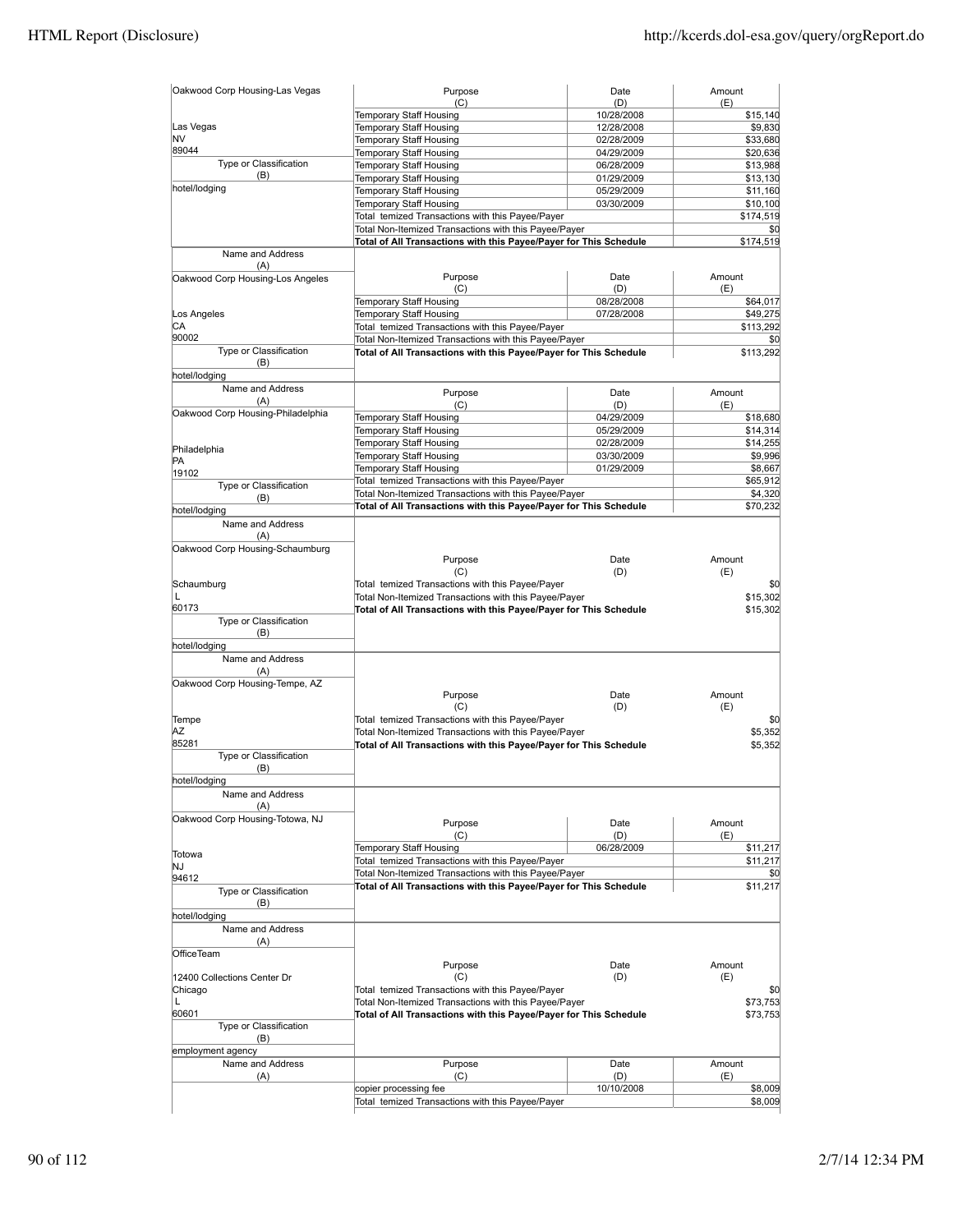| Temporary Staff Housing<br>10/28/2008<br>\$15,140<br>Las Vegas<br>Temporary Staff Housing<br>12/28/2008<br>\$9,830<br>NV<br>Temporary Staff Housing<br>02/28/2009<br>\$33,680<br>89044<br>Temporary Staff Housing<br>04/29/2009<br>\$20,636<br>Type or Classification<br>Temporary Staff Housing<br>06/28/2009<br>\$13,988<br>(B)<br>Temporary Staff Housing<br>01/29/2009<br>\$13,130<br>hotel/lodging<br>Temporary Staff Housing<br>05/29/2009<br>\$11,160<br>Temporary Staff Housing<br>03/30/2009<br>\$10,100<br>Total temized Transactions with this Payee/Payer<br>Total Non-Itemized Transactions with this Payee/Payer<br>Total of All Transactions with this Payee/Payer for This Schedule<br>Name and Address<br>(A)<br>Purpose<br>Date<br>Amount<br>(C)<br>(D)<br>(E)<br>Temporary Staff Housing<br>08/28/2008<br>Temporary Staff Housing<br>Los Angeles<br>07/28/2008<br>\$49,275<br>СA<br>Total temized Transactions with this Payee/Payer<br>\$113,292<br>90002<br>Total Non-Itemized Transactions with this Payee/Payer<br>\$0<br>Type or Classification<br>Total of All Transactions with this Payee/Payer for This Schedule<br>\$113,292<br>(B)<br>hotel/lodging<br>Name and Address<br>Date<br>Amount<br>Purpose<br>(A)<br>(C)<br>(D)<br>(E)<br>Temporary Staff Housing<br>04/29/2009<br>\$18,680<br>Temporary Staff Housing<br>05/29/2009<br>\$14,314<br>Temporary Staff Housing<br>02/28/2009<br>\$14,255<br>Temporary Staff Housing<br>03/30/2009<br>\$9,996<br>Temporary Staff Housing<br>01/29/2009<br>19102<br>Total temized Transactions with this Payee/Payer<br>Type or Classification<br>Total Non-Itemized Transactions with this Payee/Payer<br>(B)<br>Total of All Transactions with this Payee/Payer for This Schedule<br>hotel/lodging<br>Name and Address<br>(A)<br>Oakwood Corp Housing-Schaumburg<br>Purpose<br>Date<br>Amount<br>(C)<br>(D)<br>(E)<br>Total temized Transactions with this Payee/Payer<br>L<br>Total Non-Itemized Transactions with this Payee/Payer<br>Total of All Transactions with this Payee/Payer for This Schedule<br>\$15,302<br>Type or Classification<br>(B)<br>hotel/lodging<br>Name and Address<br>(A)<br>Oakwood Corp Housing-Tempe, AZ<br>Purpose<br>Date<br>Amount<br>(C)<br>(D)<br>(E)<br>Total temized Transactions with this Payee/Payer<br>Tempe<br>ΑZ<br>Total Non-Itemized Transactions with this Payee/Payer<br>\$5.352<br>85281<br>Total of All Transactions with this Payee/Payer for This Schedule<br>Type or Classification<br>(B)<br>hotel/lodging<br>Name and Address<br>(A)<br>Oakwood Corp Housing-Totowa, NJ<br>Amount<br>Purpose<br>Date<br>(C)<br>(D)<br>(E)<br>Temporary Staff Housing<br>06/28/2009<br>Totowa<br>Total temized Transactions with this Payee/Payer<br>NJ<br>Total Non-Itemized Transactions with this Payee/Payer<br>94612<br>Total of All Transactions with this Payee/Payer for This Schedule<br>Type or Classification<br>(B)<br>hotel/lodging<br>Name and Address<br>(A)<br>Amount<br>Purpose<br>Date<br>(C)<br>12400 Collections Center Dr<br>(D)<br>(E)<br>Total temized Transactions with this Payee/Payer<br>Total Non-Itemized Transactions with this Payee/Payer<br>L<br>Total of All Transactions with this Payee/Payer for This Schedule<br>Type or Classification<br>(B)<br>Name and Address<br>Purpose<br>Date<br>Amount<br>(A)<br>(C)<br>(D)<br>(E)<br>copier processing fee<br>10/10/2008<br>Total temized Transactions with this Payee/Payer<br>\$8,009 | Oakwood Corp Housing-Las Vegas    | Purpose | Date | Amount                                 |
|---------------------------------------------------------------------------------------------------------------------------------------------------------------------------------------------------------------------------------------------------------------------------------------------------------------------------------------------------------------------------------------------------------------------------------------------------------------------------------------------------------------------------------------------------------------------------------------------------------------------------------------------------------------------------------------------------------------------------------------------------------------------------------------------------------------------------------------------------------------------------------------------------------------------------------------------------------------------------------------------------------------------------------------------------------------------------------------------------------------------------------------------------------------------------------------------------------------------------------------------------------------------------------------------------------------------------------------------------------------------------------------------------------------------------------------------------------------------------------------------------------------------------------------------------------------------------------------------------------------------------------------------------------------------------------------------------------------------------------------------------------------------------------------------------------------------------------------------------------------------------------------------------------------------------------------------------------------------------------------------------------------------------------------------------------------------------------------------------------------------------------------------------------------------------------------------------------------------------------------------------------------------------------------------------------------------------------------------------------------------------------------------------------------------------------------------------------------------------------------------------------------------------------------------------------------------------------------------------------------------------------------------------------------------------------------------------------------------------------------------------------------------------------------------------------------------------------------------------------------------------------------------------------------------------------------------------------------------------------------------------------------------------------------------------------------------------------------------------------------------------------------------------------------------------------------------------------------------------------------------------------------------------------------------------------------------------------------------------------------------------------------------------------------------------------------------------------------------------------|-----------------------------------|---------|------|----------------------------------------|
|                                                                                                                                                                                                                                                                                                                                                                                                                                                                                                                                                                                                                                                                                                                                                                                                                                                                                                                                                                                                                                                                                                                                                                                                                                                                                                                                                                                                                                                                                                                                                                                                                                                                                                                                                                                                                                                                                                                                                                                                                                                                                                                                                                                                                                                                                                                                                                                                                                                                                                                                                                                                                                                                                                                                                                                                                                                                                                                                                                                                                                                                                                                                                                                                                                                                                                                                                                                                                                                                                 |                                   | (C)     | (D)  | (E)                                    |
|                                                                                                                                                                                                                                                                                                                                                                                                                                                                                                                                                                                                                                                                                                                                                                                                                                                                                                                                                                                                                                                                                                                                                                                                                                                                                                                                                                                                                                                                                                                                                                                                                                                                                                                                                                                                                                                                                                                                                                                                                                                                                                                                                                                                                                                                                                                                                                                                                                                                                                                                                                                                                                                                                                                                                                                                                                                                                                                                                                                                                                                                                                                                                                                                                                                                                                                                                                                                                                                                                 |                                   |         |      |                                        |
|                                                                                                                                                                                                                                                                                                                                                                                                                                                                                                                                                                                                                                                                                                                                                                                                                                                                                                                                                                                                                                                                                                                                                                                                                                                                                                                                                                                                                                                                                                                                                                                                                                                                                                                                                                                                                                                                                                                                                                                                                                                                                                                                                                                                                                                                                                                                                                                                                                                                                                                                                                                                                                                                                                                                                                                                                                                                                                                                                                                                                                                                                                                                                                                                                                                                                                                                                                                                                                                                                 |                                   |         |      |                                        |
|                                                                                                                                                                                                                                                                                                                                                                                                                                                                                                                                                                                                                                                                                                                                                                                                                                                                                                                                                                                                                                                                                                                                                                                                                                                                                                                                                                                                                                                                                                                                                                                                                                                                                                                                                                                                                                                                                                                                                                                                                                                                                                                                                                                                                                                                                                                                                                                                                                                                                                                                                                                                                                                                                                                                                                                                                                                                                                                                                                                                                                                                                                                                                                                                                                                                                                                                                                                                                                                                                 |                                   |         |      |                                        |
|                                                                                                                                                                                                                                                                                                                                                                                                                                                                                                                                                                                                                                                                                                                                                                                                                                                                                                                                                                                                                                                                                                                                                                                                                                                                                                                                                                                                                                                                                                                                                                                                                                                                                                                                                                                                                                                                                                                                                                                                                                                                                                                                                                                                                                                                                                                                                                                                                                                                                                                                                                                                                                                                                                                                                                                                                                                                                                                                                                                                                                                                                                                                                                                                                                                                                                                                                                                                                                                                                 |                                   |         |      |                                        |
|                                                                                                                                                                                                                                                                                                                                                                                                                                                                                                                                                                                                                                                                                                                                                                                                                                                                                                                                                                                                                                                                                                                                                                                                                                                                                                                                                                                                                                                                                                                                                                                                                                                                                                                                                                                                                                                                                                                                                                                                                                                                                                                                                                                                                                                                                                                                                                                                                                                                                                                                                                                                                                                                                                                                                                                                                                                                                                                                                                                                                                                                                                                                                                                                                                                                                                                                                                                                                                                                                 |                                   |         |      |                                        |
|                                                                                                                                                                                                                                                                                                                                                                                                                                                                                                                                                                                                                                                                                                                                                                                                                                                                                                                                                                                                                                                                                                                                                                                                                                                                                                                                                                                                                                                                                                                                                                                                                                                                                                                                                                                                                                                                                                                                                                                                                                                                                                                                                                                                                                                                                                                                                                                                                                                                                                                                                                                                                                                                                                                                                                                                                                                                                                                                                                                                                                                                                                                                                                                                                                                                                                                                                                                                                                                                                 |                                   |         |      |                                        |
|                                                                                                                                                                                                                                                                                                                                                                                                                                                                                                                                                                                                                                                                                                                                                                                                                                                                                                                                                                                                                                                                                                                                                                                                                                                                                                                                                                                                                                                                                                                                                                                                                                                                                                                                                                                                                                                                                                                                                                                                                                                                                                                                                                                                                                                                                                                                                                                                                                                                                                                                                                                                                                                                                                                                                                                                                                                                                                                                                                                                                                                                                                                                                                                                                                                                                                                                                                                                                                                                                 |                                   |         |      |                                        |
|                                                                                                                                                                                                                                                                                                                                                                                                                                                                                                                                                                                                                                                                                                                                                                                                                                                                                                                                                                                                                                                                                                                                                                                                                                                                                                                                                                                                                                                                                                                                                                                                                                                                                                                                                                                                                                                                                                                                                                                                                                                                                                                                                                                                                                                                                                                                                                                                                                                                                                                                                                                                                                                                                                                                                                                                                                                                                                                                                                                                                                                                                                                                                                                                                                                                                                                                                                                                                                                                                 |                                   |         |      |                                        |
|                                                                                                                                                                                                                                                                                                                                                                                                                                                                                                                                                                                                                                                                                                                                                                                                                                                                                                                                                                                                                                                                                                                                                                                                                                                                                                                                                                                                                                                                                                                                                                                                                                                                                                                                                                                                                                                                                                                                                                                                                                                                                                                                                                                                                                                                                                                                                                                                                                                                                                                                                                                                                                                                                                                                                                                                                                                                                                                                                                                                                                                                                                                                                                                                                                                                                                                                                                                                                                                                                 |                                   |         |      | \$174,519                              |
|                                                                                                                                                                                                                                                                                                                                                                                                                                                                                                                                                                                                                                                                                                                                                                                                                                                                                                                                                                                                                                                                                                                                                                                                                                                                                                                                                                                                                                                                                                                                                                                                                                                                                                                                                                                                                                                                                                                                                                                                                                                                                                                                                                                                                                                                                                                                                                                                                                                                                                                                                                                                                                                                                                                                                                                                                                                                                                                                                                                                                                                                                                                                                                                                                                                                                                                                                                                                                                                                                 |                                   |         |      | \$0                                    |
|                                                                                                                                                                                                                                                                                                                                                                                                                                                                                                                                                                                                                                                                                                                                                                                                                                                                                                                                                                                                                                                                                                                                                                                                                                                                                                                                                                                                                                                                                                                                                                                                                                                                                                                                                                                                                                                                                                                                                                                                                                                                                                                                                                                                                                                                                                                                                                                                                                                                                                                                                                                                                                                                                                                                                                                                                                                                                                                                                                                                                                                                                                                                                                                                                                                                                                                                                                                                                                                                                 |                                   |         |      | \$174,519                              |
|                                                                                                                                                                                                                                                                                                                                                                                                                                                                                                                                                                                                                                                                                                                                                                                                                                                                                                                                                                                                                                                                                                                                                                                                                                                                                                                                                                                                                                                                                                                                                                                                                                                                                                                                                                                                                                                                                                                                                                                                                                                                                                                                                                                                                                                                                                                                                                                                                                                                                                                                                                                                                                                                                                                                                                                                                                                                                                                                                                                                                                                                                                                                                                                                                                                                                                                                                                                                                                                                                 |                                   |         |      |                                        |
|                                                                                                                                                                                                                                                                                                                                                                                                                                                                                                                                                                                                                                                                                                                                                                                                                                                                                                                                                                                                                                                                                                                                                                                                                                                                                                                                                                                                                                                                                                                                                                                                                                                                                                                                                                                                                                                                                                                                                                                                                                                                                                                                                                                                                                                                                                                                                                                                                                                                                                                                                                                                                                                                                                                                                                                                                                                                                                                                                                                                                                                                                                                                                                                                                                                                                                                                                                                                                                                                                 |                                   |         |      |                                        |
|                                                                                                                                                                                                                                                                                                                                                                                                                                                                                                                                                                                                                                                                                                                                                                                                                                                                                                                                                                                                                                                                                                                                                                                                                                                                                                                                                                                                                                                                                                                                                                                                                                                                                                                                                                                                                                                                                                                                                                                                                                                                                                                                                                                                                                                                                                                                                                                                                                                                                                                                                                                                                                                                                                                                                                                                                                                                                                                                                                                                                                                                                                                                                                                                                                                                                                                                                                                                                                                                                 | Oakwood Corp Housing-Los Angeles  |         |      |                                        |
|                                                                                                                                                                                                                                                                                                                                                                                                                                                                                                                                                                                                                                                                                                                                                                                                                                                                                                                                                                                                                                                                                                                                                                                                                                                                                                                                                                                                                                                                                                                                                                                                                                                                                                                                                                                                                                                                                                                                                                                                                                                                                                                                                                                                                                                                                                                                                                                                                                                                                                                                                                                                                                                                                                                                                                                                                                                                                                                                                                                                                                                                                                                                                                                                                                                                                                                                                                                                                                                                                 |                                   |         |      |                                        |
|                                                                                                                                                                                                                                                                                                                                                                                                                                                                                                                                                                                                                                                                                                                                                                                                                                                                                                                                                                                                                                                                                                                                                                                                                                                                                                                                                                                                                                                                                                                                                                                                                                                                                                                                                                                                                                                                                                                                                                                                                                                                                                                                                                                                                                                                                                                                                                                                                                                                                                                                                                                                                                                                                                                                                                                                                                                                                                                                                                                                                                                                                                                                                                                                                                                                                                                                                                                                                                                                                 |                                   |         |      | \$64,017                               |
|                                                                                                                                                                                                                                                                                                                                                                                                                                                                                                                                                                                                                                                                                                                                                                                                                                                                                                                                                                                                                                                                                                                                                                                                                                                                                                                                                                                                                                                                                                                                                                                                                                                                                                                                                                                                                                                                                                                                                                                                                                                                                                                                                                                                                                                                                                                                                                                                                                                                                                                                                                                                                                                                                                                                                                                                                                                                                                                                                                                                                                                                                                                                                                                                                                                                                                                                                                                                                                                                                 |                                   |         |      |                                        |
|                                                                                                                                                                                                                                                                                                                                                                                                                                                                                                                                                                                                                                                                                                                                                                                                                                                                                                                                                                                                                                                                                                                                                                                                                                                                                                                                                                                                                                                                                                                                                                                                                                                                                                                                                                                                                                                                                                                                                                                                                                                                                                                                                                                                                                                                                                                                                                                                                                                                                                                                                                                                                                                                                                                                                                                                                                                                                                                                                                                                                                                                                                                                                                                                                                                                                                                                                                                                                                                                                 |                                   |         |      |                                        |
|                                                                                                                                                                                                                                                                                                                                                                                                                                                                                                                                                                                                                                                                                                                                                                                                                                                                                                                                                                                                                                                                                                                                                                                                                                                                                                                                                                                                                                                                                                                                                                                                                                                                                                                                                                                                                                                                                                                                                                                                                                                                                                                                                                                                                                                                                                                                                                                                                                                                                                                                                                                                                                                                                                                                                                                                                                                                                                                                                                                                                                                                                                                                                                                                                                                                                                                                                                                                                                                                                 |                                   |         |      |                                        |
|                                                                                                                                                                                                                                                                                                                                                                                                                                                                                                                                                                                                                                                                                                                                                                                                                                                                                                                                                                                                                                                                                                                                                                                                                                                                                                                                                                                                                                                                                                                                                                                                                                                                                                                                                                                                                                                                                                                                                                                                                                                                                                                                                                                                                                                                                                                                                                                                                                                                                                                                                                                                                                                                                                                                                                                                                                                                                                                                                                                                                                                                                                                                                                                                                                                                                                                                                                                                                                                                                 |                                   |         |      |                                        |
|                                                                                                                                                                                                                                                                                                                                                                                                                                                                                                                                                                                                                                                                                                                                                                                                                                                                                                                                                                                                                                                                                                                                                                                                                                                                                                                                                                                                                                                                                                                                                                                                                                                                                                                                                                                                                                                                                                                                                                                                                                                                                                                                                                                                                                                                                                                                                                                                                                                                                                                                                                                                                                                                                                                                                                                                                                                                                                                                                                                                                                                                                                                                                                                                                                                                                                                                                                                                                                                                                 |                                   |         |      |                                        |
|                                                                                                                                                                                                                                                                                                                                                                                                                                                                                                                                                                                                                                                                                                                                                                                                                                                                                                                                                                                                                                                                                                                                                                                                                                                                                                                                                                                                                                                                                                                                                                                                                                                                                                                                                                                                                                                                                                                                                                                                                                                                                                                                                                                                                                                                                                                                                                                                                                                                                                                                                                                                                                                                                                                                                                                                                                                                                                                                                                                                                                                                                                                                                                                                                                                                                                                                                                                                                                                                                 |                                   |         |      |                                        |
|                                                                                                                                                                                                                                                                                                                                                                                                                                                                                                                                                                                                                                                                                                                                                                                                                                                                                                                                                                                                                                                                                                                                                                                                                                                                                                                                                                                                                                                                                                                                                                                                                                                                                                                                                                                                                                                                                                                                                                                                                                                                                                                                                                                                                                                                                                                                                                                                                                                                                                                                                                                                                                                                                                                                                                                                                                                                                                                                                                                                                                                                                                                                                                                                                                                                                                                                                                                                                                                                                 |                                   |         |      |                                        |
|                                                                                                                                                                                                                                                                                                                                                                                                                                                                                                                                                                                                                                                                                                                                                                                                                                                                                                                                                                                                                                                                                                                                                                                                                                                                                                                                                                                                                                                                                                                                                                                                                                                                                                                                                                                                                                                                                                                                                                                                                                                                                                                                                                                                                                                                                                                                                                                                                                                                                                                                                                                                                                                                                                                                                                                                                                                                                                                                                                                                                                                                                                                                                                                                                                                                                                                                                                                                                                                                                 |                                   |         |      |                                        |
|                                                                                                                                                                                                                                                                                                                                                                                                                                                                                                                                                                                                                                                                                                                                                                                                                                                                                                                                                                                                                                                                                                                                                                                                                                                                                                                                                                                                                                                                                                                                                                                                                                                                                                                                                                                                                                                                                                                                                                                                                                                                                                                                                                                                                                                                                                                                                                                                                                                                                                                                                                                                                                                                                                                                                                                                                                                                                                                                                                                                                                                                                                                                                                                                                                                                                                                                                                                                                                                                                 |                                   |         |      |                                        |
|                                                                                                                                                                                                                                                                                                                                                                                                                                                                                                                                                                                                                                                                                                                                                                                                                                                                                                                                                                                                                                                                                                                                                                                                                                                                                                                                                                                                                                                                                                                                                                                                                                                                                                                                                                                                                                                                                                                                                                                                                                                                                                                                                                                                                                                                                                                                                                                                                                                                                                                                                                                                                                                                                                                                                                                                                                                                                                                                                                                                                                                                                                                                                                                                                                                                                                                                                                                                                                                                                 | Oakwood Corp Housing-Philadelphia |         |      |                                        |
|                                                                                                                                                                                                                                                                                                                                                                                                                                                                                                                                                                                                                                                                                                                                                                                                                                                                                                                                                                                                                                                                                                                                                                                                                                                                                                                                                                                                                                                                                                                                                                                                                                                                                                                                                                                                                                                                                                                                                                                                                                                                                                                                                                                                                                                                                                                                                                                                                                                                                                                                                                                                                                                                                                                                                                                                                                                                                                                                                                                                                                                                                                                                                                                                                                                                                                                                                                                                                                                                                 |                                   |         |      |                                        |
|                                                                                                                                                                                                                                                                                                                                                                                                                                                                                                                                                                                                                                                                                                                                                                                                                                                                                                                                                                                                                                                                                                                                                                                                                                                                                                                                                                                                                                                                                                                                                                                                                                                                                                                                                                                                                                                                                                                                                                                                                                                                                                                                                                                                                                                                                                                                                                                                                                                                                                                                                                                                                                                                                                                                                                                                                                                                                                                                                                                                                                                                                                                                                                                                                                                                                                                                                                                                                                                                                 |                                   |         |      |                                        |
|                                                                                                                                                                                                                                                                                                                                                                                                                                                                                                                                                                                                                                                                                                                                                                                                                                                                                                                                                                                                                                                                                                                                                                                                                                                                                                                                                                                                                                                                                                                                                                                                                                                                                                                                                                                                                                                                                                                                                                                                                                                                                                                                                                                                                                                                                                                                                                                                                                                                                                                                                                                                                                                                                                                                                                                                                                                                                                                                                                                                                                                                                                                                                                                                                                                                                                                                                                                                                                                                                 | Philadelphia                      |         |      |                                        |
|                                                                                                                                                                                                                                                                                                                                                                                                                                                                                                                                                                                                                                                                                                                                                                                                                                                                                                                                                                                                                                                                                                                                                                                                                                                                                                                                                                                                                                                                                                                                                                                                                                                                                                                                                                                                                                                                                                                                                                                                                                                                                                                                                                                                                                                                                                                                                                                                                                                                                                                                                                                                                                                                                                                                                                                                                                                                                                                                                                                                                                                                                                                                                                                                                                                                                                                                                                                                                                                                                 | PA                                |         |      |                                        |
|                                                                                                                                                                                                                                                                                                                                                                                                                                                                                                                                                                                                                                                                                                                                                                                                                                                                                                                                                                                                                                                                                                                                                                                                                                                                                                                                                                                                                                                                                                                                                                                                                                                                                                                                                                                                                                                                                                                                                                                                                                                                                                                                                                                                                                                                                                                                                                                                                                                                                                                                                                                                                                                                                                                                                                                                                                                                                                                                                                                                                                                                                                                                                                                                                                                                                                                                                                                                                                                                                 |                                   |         |      | \$8,667                                |
|                                                                                                                                                                                                                                                                                                                                                                                                                                                                                                                                                                                                                                                                                                                                                                                                                                                                                                                                                                                                                                                                                                                                                                                                                                                                                                                                                                                                                                                                                                                                                                                                                                                                                                                                                                                                                                                                                                                                                                                                                                                                                                                                                                                                                                                                                                                                                                                                                                                                                                                                                                                                                                                                                                                                                                                                                                                                                                                                                                                                                                                                                                                                                                                                                                                                                                                                                                                                                                                                                 |                                   |         |      | \$65,912                               |
|                                                                                                                                                                                                                                                                                                                                                                                                                                                                                                                                                                                                                                                                                                                                                                                                                                                                                                                                                                                                                                                                                                                                                                                                                                                                                                                                                                                                                                                                                                                                                                                                                                                                                                                                                                                                                                                                                                                                                                                                                                                                                                                                                                                                                                                                                                                                                                                                                                                                                                                                                                                                                                                                                                                                                                                                                                                                                                                                                                                                                                                                                                                                                                                                                                                                                                                                                                                                                                                                                 |                                   |         |      | \$4,320                                |
|                                                                                                                                                                                                                                                                                                                                                                                                                                                                                                                                                                                                                                                                                                                                                                                                                                                                                                                                                                                                                                                                                                                                                                                                                                                                                                                                                                                                                                                                                                                                                                                                                                                                                                                                                                                                                                                                                                                                                                                                                                                                                                                                                                                                                                                                                                                                                                                                                                                                                                                                                                                                                                                                                                                                                                                                                                                                                                                                                                                                                                                                                                                                                                                                                                                                                                                                                                                                                                                                                 |                                   |         |      | \$70,232                               |
|                                                                                                                                                                                                                                                                                                                                                                                                                                                                                                                                                                                                                                                                                                                                                                                                                                                                                                                                                                                                                                                                                                                                                                                                                                                                                                                                                                                                                                                                                                                                                                                                                                                                                                                                                                                                                                                                                                                                                                                                                                                                                                                                                                                                                                                                                                                                                                                                                                                                                                                                                                                                                                                                                                                                                                                                                                                                                                                                                                                                                                                                                                                                                                                                                                                                                                                                                                                                                                                                                 |                                   |         |      |                                        |
|                                                                                                                                                                                                                                                                                                                                                                                                                                                                                                                                                                                                                                                                                                                                                                                                                                                                                                                                                                                                                                                                                                                                                                                                                                                                                                                                                                                                                                                                                                                                                                                                                                                                                                                                                                                                                                                                                                                                                                                                                                                                                                                                                                                                                                                                                                                                                                                                                                                                                                                                                                                                                                                                                                                                                                                                                                                                                                                                                                                                                                                                                                                                                                                                                                                                                                                                                                                                                                                                                 |                                   |         |      |                                        |
|                                                                                                                                                                                                                                                                                                                                                                                                                                                                                                                                                                                                                                                                                                                                                                                                                                                                                                                                                                                                                                                                                                                                                                                                                                                                                                                                                                                                                                                                                                                                                                                                                                                                                                                                                                                                                                                                                                                                                                                                                                                                                                                                                                                                                                                                                                                                                                                                                                                                                                                                                                                                                                                                                                                                                                                                                                                                                                                                                                                                                                                                                                                                                                                                                                                                                                                                                                                                                                                                                 |                                   |         |      |                                        |
|                                                                                                                                                                                                                                                                                                                                                                                                                                                                                                                                                                                                                                                                                                                                                                                                                                                                                                                                                                                                                                                                                                                                                                                                                                                                                                                                                                                                                                                                                                                                                                                                                                                                                                                                                                                                                                                                                                                                                                                                                                                                                                                                                                                                                                                                                                                                                                                                                                                                                                                                                                                                                                                                                                                                                                                                                                                                                                                                                                                                                                                                                                                                                                                                                                                                                                                                                                                                                                                                                 |                                   |         |      |                                        |
|                                                                                                                                                                                                                                                                                                                                                                                                                                                                                                                                                                                                                                                                                                                                                                                                                                                                                                                                                                                                                                                                                                                                                                                                                                                                                                                                                                                                                                                                                                                                                                                                                                                                                                                                                                                                                                                                                                                                                                                                                                                                                                                                                                                                                                                                                                                                                                                                                                                                                                                                                                                                                                                                                                                                                                                                                                                                                                                                                                                                                                                                                                                                                                                                                                                                                                                                                                                                                                                                                 |                                   |         |      |                                        |
|                                                                                                                                                                                                                                                                                                                                                                                                                                                                                                                                                                                                                                                                                                                                                                                                                                                                                                                                                                                                                                                                                                                                                                                                                                                                                                                                                                                                                                                                                                                                                                                                                                                                                                                                                                                                                                                                                                                                                                                                                                                                                                                                                                                                                                                                                                                                                                                                                                                                                                                                                                                                                                                                                                                                                                                                                                                                                                                                                                                                                                                                                                                                                                                                                                                                                                                                                                                                                                                                                 |                                   |         |      |                                        |
|                                                                                                                                                                                                                                                                                                                                                                                                                                                                                                                                                                                                                                                                                                                                                                                                                                                                                                                                                                                                                                                                                                                                                                                                                                                                                                                                                                                                                                                                                                                                                                                                                                                                                                                                                                                                                                                                                                                                                                                                                                                                                                                                                                                                                                                                                                                                                                                                                                                                                                                                                                                                                                                                                                                                                                                                                                                                                                                                                                                                                                                                                                                                                                                                                                                                                                                                                                                                                                                                                 | Schaumburg                        |         |      | \$0                                    |
|                                                                                                                                                                                                                                                                                                                                                                                                                                                                                                                                                                                                                                                                                                                                                                                                                                                                                                                                                                                                                                                                                                                                                                                                                                                                                                                                                                                                                                                                                                                                                                                                                                                                                                                                                                                                                                                                                                                                                                                                                                                                                                                                                                                                                                                                                                                                                                                                                                                                                                                                                                                                                                                                                                                                                                                                                                                                                                                                                                                                                                                                                                                                                                                                                                                                                                                                                                                                                                                                                 |                                   |         |      | \$15,302                               |
|                                                                                                                                                                                                                                                                                                                                                                                                                                                                                                                                                                                                                                                                                                                                                                                                                                                                                                                                                                                                                                                                                                                                                                                                                                                                                                                                                                                                                                                                                                                                                                                                                                                                                                                                                                                                                                                                                                                                                                                                                                                                                                                                                                                                                                                                                                                                                                                                                                                                                                                                                                                                                                                                                                                                                                                                                                                                                                                                                                                                                                                                                                                                                                                                                                                                                                                                                                                                                                                                                 | 60173                             |         |      |                                        |
|                                                                                                                                                                                                                                                                                                                                                                                                                                                                                                                                                                                                                                                                                                                                                                                                                                                                                                                                                                                                                                                                                                                                                                                                                                                                                                                                                                                                                                                                                                                                                                                                                                                                                                                                                                                                                                                                                                                                                                                                                                                                                                                                                                                                                                                                                                                                                                                                                                                                                                                                                                                                                                                                                                                                                                                                                                                                                                                                                                                                                                                                                                                                                                                                                                                                                                                                                                                                                                                                                 |                                   |         |      |                                        |
|                                                                                                                                                                                                                                                                                                                                                                                                                                                                                                                                                                                                                                                                                                                                                                                                                                                                                                                                                                                                                                                                                                                                                                                                                                                                                                                                                                                                                                                                                                                                                                                                                                                                                                                                                                                                                                                                                                                                                                                                                                                                                                                                                                                                                                                                                                                                                                                                                                                                                                                                                                                                                                                                                                                                                                                                                                                                                                                                                                                                                                                                                                                                                                                                                                                                                                                                                                                                                                                                                 |                                   |         |      |                                        |
|                                                                                                                                                                                                                                                                                                                                                                                                                                                                                                                                                                                                                                                                                                                                                                                                                                                                                                                                                                                                                                                                                                                                                                                                                                                                                                                                                                                                                                                                                                                                                                                                                                                                                                                                                                                                                                                                                                                                                                                                                                                                                                                                                                                                                                                                                                                                                                                                                                                                                                                                                                                                                                                                                                                                                                                                                                                                                                                                                                                                                                                                                                                                                                                                                                                                                                                                                                                                                                                                                 |                                   |         |      |                                        |
|                                                                                                                                                                                                                                                                                                                                                                                                                                                                                                                                                                                                                                                                                                                                                                                                                                                                                                                                                                                                                                                                                                                                                                                                                                                                                                                                                                                                                                                                                                                                                                                                                                                                                                                                                                                                                                                                                                                                                                                                                                                                                                                                                                                                                                                                                                                                                                                                                                                                                                                                                                                                                                                                                                                                                                                                                                                                                                                                                                                                                                                                                                                                                                                                                                                                                                                                                                                                                                                                                 |                                   |         |      |                                        |
|                                                                                                                                                                                                                                                                                                                                                                                                                                                                                                                                                                                                                                                                                                                                                                                                                                                                                                                                                                                                                                                                                                                                                                                                                                                                                                                                                                                                                                                                                                                                                                                                                                                                                                                                                                                                                                                                                                                                                                                                                                                                                                                                                                                                                                                                                                                                                                                                                                                                                                                                                                                                                                                                                                                                                                                                                                                                                                                                                                                                                                                                                                                                                                                                                                                                                                                                                                                                                                                                                 |                                   |         |      |                                        |
|                                                                                                                                                                                                                                                                                                                                                                                                                                                                                                                                                                                                                                                                                                                                                                                                                                                                                                                                                                                                                                                                                                                                                                                                                                                                                                                                                                                                                                                                                                                                                                                                                                                                                                                                                                                                                                                                                                                                                                                                                                                                                                                                                                                                                                                                                                                                                                                                                                                                                                                                                                                                                                                                                                                                                                                                                                                                                                                                                                                                                                                                                                                                                                                                                                                                                                                                                                                                                                                                                 |                                   |         |      |                                        |
|                                                                                                                                                                                                                                                                                                                                                                                                                                                                                                                                                                                                                                                                                                                                                                                                                                                                                                                                                                                                                                                                                                                                                                                                                                                                                                                                                                                                                                                                                                                                                                                                                                                                                                                                                                                                                                                                                                                                                                                                                                                                                                                                                                                                                                                                                                                                                                                                                                                                                                                                                                                                                                                                                                                                                                                                                                                                                                                                                                                                                                                                                                                                                                                                                                                                                                                                                                                                                                                                                 |                                   |         |      |                                        |
|                                                                                                                                                                                                                                                                                                                                                                                                                                                                                                                                                                                                                                                                                                                                                                                                                                                                                                                                                                                                                                                                                                                                                                                                                                                                                                                                                                                                                                                                                                                                                                                                                                                                                                                                                                                                                                                                                                                                                                                                                                                                                                                                                                                                                                                                                                                                                                                                                                                                                                                                                                                                                                                                                                                                                                                                                                                                                                                                                                                                                                                                                                                                                                                                                                                                                                                                                                                                                                                                                 |                                   |         |      |                                        |
|                                                                                                                                                                                                                                                                                                                                                                                                                                                                                                                                                                                                                                                                                                                                                                                                                                                                                                                                                                                                                                                                                                                                                                                                                                                                                                                                                                                                                                                                                                                                                                                                                                                                                                                                                                                                                                                                                                                                                                                                                                                                                                                                                                                                                                                                                                                                                                                                                                                                                                                                                                                                                                                                                                                                                                                                                                                                                                                                                                                                                                                                                                                                                                                                                                                                                                                                                                                                                                                                                 |                                   |         |      |                                        |
|                                                                                                                                                                                                                                                                                                                                                                                                                                                                                                                                                                                                                                                                                                                                                                                                                                                                                                                                                                                                                                                                                                                                                                                                                                                                                                                                                                                                                                                                                                                                                                                                                                                                                                                                                                                                                                                                                                                                                                                                                                                                                                                                                                                                                                                                                                                                                                                                                                                                                                                                                                                                                                                                                                                                                                                                                                                                                                                                                                                                                                                                                                                                                                                                                                                                                                                                                                                                                                                                                 |                                   |         |      | \$0                                    |
|                                                                                                                                                                                                                                                                                                                                                                                                                                                                                                                                                                                                                                                                                                                                                                                                                                                                                                                                                                                                                                                                                                                                                                                                                                                                                                                                                                                                                                                                                                                                                                                                                                                                                                                                                                                                                                                                                                                                                                                                                                                                                                                                                                                                                                                                                                                                                                                                                                                                                                                                                                                                                                                                                                                                                                                                                                                                                                                                                                                                                                                                                                                                                                                                                                                                                                                                                                                                                                                                                 |                                   |         |      |                                        |
|                                                                                                                                                                                                                                                                                                                                                                                                                                                                                                                                                                                                                                                                                                                                                                                                                                                                                                                                                                                                                                                                                                                                                                                                                                                                                                                                                                                                                                                                                                                                                                                                                                                                                                                                                                                                                                                                                                                                                                                                                                                                                                                                                                                                                                                                                                                                                                                                                                                                                                                                                                                                                                                                                                                                                                                                                                                                                                                                                                                                                                                                                                                                                                                                                                                                                                                                                                                                                                                                                 |                                   |         |      | \$5,352                                |
|                                                                                                                                                                                                                                                                                                                                                                                                                                                                                                                                                                                                                                                                                                                                                                                                                                                                                                                                                                                                                                                                                                                                                                                                                                                                                                                                                                                                                                                                                                                                                                                                                                                                                                                                                                                                                                                                                                                                                                                                                                                                                                                                                                                                                                                                                                                                                                                                                                                                                                                                                                                                                                                                                                                                                                                                                                                                                                                                                                                                                                                                                                                                                                                                                                                                                                                                                                                                                                                                                 |                                   |         |      |                                        |
|                                                                                                                                                                                                                                                                                                                                                                                                                                                                                                                                                                                                                                                                                                                                                                                                                                                                                                                                                                                                                                                                                                                                                                                                                                                                                                                                                                                                                                                                                                                                                                                                                                                                                                                                                                                                                                                                                                                                                                                                                                                                                                                                                                                                                                                                                                                                                                                                                                                                                                                                                                                                                                                                                                                                                                                                                                                                                                                                                                                                                                                                                                                                                                                                                                                                                                                                                                                                                                                                                 |                                   |         |      |                                        |
|                                                                                                                                                                                                                                                                                                                                                                                                                                                                                                                                                                                                                                                                                                                                                                                                                                                                                                                                                                                                                                                                                                                                                                                                                                                                                                                                                                                                                                                                                                                                                                                                                                                                                                                                                                                                                                                                                                                                                                                                                                                                                                                                                                                                                                                                                                                                                                                                                                                                                                                                                                                                                                                                                                                                                                                                                                                                                                                                                                                                                                                                                                                                                                                                                                                                                                                                                                                                                                                                                 |                                   |         |      |                                        |
|                                                                                                                                                                                                                                                                                                                                                                                                                                                                                                                                                                                                                                                                                                                                                                                                                                                                                                                                                                                                                                                                                                                                                                                                                                                                                                                                                                                                                                                                                                                                                                                                                                                                                                                                                                                                                                                                                                                                                                                                                                                                                                                                                                                                                                                                                                                                                                                                                                                                                                                                                                                                                                                                                                                                                                                                                                                                                                                                                                                                                                                                                                                                                                                                                                                                                                                                                                                                                                                                                 |                                   |         |      |                                        |
|                                                                                                                                                                                                                                                                                                                                                                                                                                                                                                                                                                                                                                                                                                                                                                                                                                                                                                                                                                                                                                                                                                                                                                                                                                                                                                                                                                                                                                                                                                                                                                                                                                                                                                                                                                                                                                                                                                                                                                                                                                                                                                                                                                                                                                                                                                                                                                                                                                                                                                                                                                                                                                                                                                                                                                                                                                                                                                                                                                                                                                                                                                                                                                                                                                                                                                                                                                                                                                                                                 |                                   |         |      |                                        |
|                                                                                                                                                                                                                                                                                                                                                                                                                                                                                                                                                                                                                                                                                                                                                                                                                                                                                                                                                                                                                                                                                                                                                                                                                                                                                                                                                                                                                                                                                                                                                                                                                                                                                                                                                                                                                                                                                                                                                                                                                                                                                                                                                                                                                                                                                                                                                                                                                                                                                                                                                                                                                                                                                                                                                                                                                                                                                                                                                                                                                                                                                                                                                                                                                                                                                                                                                                                                                                                                                 |                                   |         |      |                                        |
|                                                                                                                                                                                                                                                                                                                                                                                                                                                                                                                                                                                                                                                                                                                                                                                                                                                                                                                                                                                                                                                                                                                                                                                                                                                                                                                                                                                                                                                                                                                                                                                                                                                                                                                                                                                                                                                                                                                                                                                                                                                                                                                                                                                                                                                                                                                                                                                                                                                                                                                                                                                                                                                                                                                                                                                                                                                                                                                                                                                                                                                                                                                                                                                                                                                                                                                                                                                                                                                                                 |                                   |         |      |                                        |
|                                                                                                                                                                                                                                                                                                                                                                                                                                                                                                                                                                                                                                                                                                                                                                                                                                                                                                                                                                                                                                                                                                                                                                                                                                                                                                                                                                                                                                                                                                                                                                                                                                                                                                                                                                                                                                                                                                                                                                                                                                                                                                                                                                                                                                                                                                                                                                                                                                                                                                                                                                                                                                                                                                                                                                                                                                                                                                                                                                                                                                                                                                                                                                                                                                                                                                                                                                                                                                                                                 |                                   |         |      |                                        |
|                                                                                                                                                                                                                                                                                                                                                                                                                                                                                                                                                                                                                                                                                                                                                                                                                                                                                                                                                                                                                                                                                                                                                                                                                                                                                                                                                                                                                                                                                                                                                                                                                                                                                                                                                                                                                                                                                                                                                                                                                                                                                                                                                                                                                                                                                                                                                                                                                                                                                                                                                                                                                                                                                                                                                                                                                                                                                                                                                                                                                                                                                                                                                                                                                                                                                                                                                                                                                                                                                 |                                   |         |      | \$11,217                               |
|                                                                                                                                                                                                                                                                                                                                                                                                                                                                                                                                                                                                                                                                                                                                                                                                                                                                                                                                                                                                                                                                                                                                                                                                                                                                                                                                                                                                                                                                                                                                                                                                                                                                                                                                                                                                                                                                                                                                                                                                                                                                                                                                                                                                                                                                                                                                                                                                                                                                                                                                                                                                                                                                                                                                                                                                                                                                                                                                                                                                                                                                                                                                                                                                                                                                                                                                                                                                                                                                                 |                                   |         |      | \$11,217                               |
|                                                                                                                                                                                                                                                                                                                                                                                                                                                                                                                                                                                                                                                                                                                                                                                                                                                                                                                                                                                                                                                                                                                                                                                                                                                                                                                                                                                                                                                                                                                                                                                                                                                                                                                                                                                                                                                                                                                                                                                                                                                                                                                                                                                                                                                                                                                                                                                                                                                                                                                                                                                                                                                                                                                                                                                                                                                                                                                                                                                                                                                                                                                                                                                                                                                                                                                                                                                                                                                                                 |                                   |         |      | \$0                                    |
|                                                                                                                                                                                                                                                                                                                                                                                                                                                                                                                                                                                                                                                                                                                                                                                                                                                                                                                                                                                                                                                                                                                                                                                                                                                                                                                                                                                                                                                                                                                                                                                                                                                                                                                                                                                                                                                                                                                                                                                                                                                                                                                                                                                                                                                                                                                                                                                                                                                                                                                                                                                                                                                                                                                                                                                                                                                                                                                                                                                                                                                                                                                                                                                                                                                                                                                                                                                                                                                                                 |                                   |         |      | \$11,217                               |
|                                                                                                                                                                                                                                                                                                                                                                                                                                                                                                                                                                                                                                                                                                                                                                                                                                                                                                                                                                                                                                                                                                                                                                                                                                                                                                                                                                                                                                                                                                                                                                                                                                                                                                                                                                                                                                                                                                                                                                                                                                                                                                                                                                                                                                                                                                                                                                                                                                                                                                                                                                                                                                                                                                                                                                                                                                                                                                                                                                                                                                                                                                                                                                                                                                                                                                                                                                                                                                                                                 |                                   |         |      |                                        |
|                                                                                                                                                                                                                                                                                                                                                                                                                                                                                                                                                                                                                                                                                                                                                                                                                                                                                                                                                                                                                                                                                                                                                                                                                                                                                                                                                                                                                                                                                                                                                                                                                                                                                                                                                                                                                                                                                                                                                                                                                                                                                                                                                                                                                                                                                                                                                                                                                                                                                                                                                                                                                                                                                                                                                                                                                                                                                                                                                                                                                                                                                                                                                                                                                                                                                                                                                                                                                                                                                 |                                   |         |      |                                        |
|                                                                                                                                                                                                                                                                                                                                                                                                                                                                                                                                                                                                                                                                                                                                                                                                                                                                                                                                                                                                                                                                                                                                                                                                                                                                                                                                                                                                                                                                                                                                                                                                                                                                                                                                                                                                                                                                                                                                                                                                                                                                                                                                                                                                                                                                                                                                                                                                                                                                                                                                                                                                                                                                                                                                                                                                                                                                                                                                                                                                                                                                                                                                                                                                                                                                                                                                                                                                                                                                                 |                                   |         |      |                                        |
|                                                                                                                                                                                                                                                                                                                                                                                                                                                                                                                                                                                                                                                                                                                                                                                                                                                                                                                                                                                                                                                                                                                                                                                                                                                                                                                                                                                                                                                                                                                                                                                                                                                                                                                                                                                                                                                                                                                                                                                                                                                                                                                                                                                                                                                                                                                                                                                                                                                                                                                                                                                                                                                                                                                                                                                                                                                                                                                                                                                                                                                                                                                                                                                                                                                                                                                                                                                                                                                                                 |                                   |         |      |                                        |
|                                                                                                                                                                                                                                                                                                                                                                                                                                                                                                                                                                                                                                                                                                                                                                                                                                                                                                                                                                                                                                                                                                                                                                                                                                                                                                                                                                                                                                                                                                                                                                                                                                                                                                                                                                                                                                                                                                                                                                                                                                                                                                                                                                                                                                                                                                                                                                                                                                                                                                                                                                                                                                                                                                                                                                                                                                                                                                                                                                                                                                                                                                                                                                                                                                                                                                                                                                                                                                                                                 |                                   |         |      |                                        |
|                                                                                                                                                                                                                                                                                                                                                                                                                                                                                                                                                                                                                                                                                                                                                                                                                                                                                                                                                                                                                                                                                                                                                                                                                                                                                                                                                                                                                                                                                                                                                                                                                                                                                                                                                                                                                                                                                                                                                                                                                                                                                                                                                                                                                                                                                                                                                                                                                                                                                                                                                                                                                                                                                                                                                                                                                                                                                                                                                                                                                                                                                                                                                                                                                                                                                                                                                                                                                                                                                 |                                   |         |      |                                        |
|                                                                                                                                                                                                                                                                                                                                                                                                                                                                                                                                                                                                                                                                                                                                                                                                                                                                                                                                                                                                                                                                                                                                                                                                                                                                                                                                                                                                                                                                                                                                                                                                                                                                                                                                                                                                                                                                                                                                                                                                                                                                                                                                                                                                                                                                                                                                                                                                                                                                                                                                                                                                                                                                                                                                                                                                                                                                                                                                                                                                                                                                                                                                                                                                                                                                                                                                                                                                                                                                                 | <b>OfficeTeam</b>                 |         |      |                                        |
|                                                                                                                                                                                                                                                                                                                                                                                                                                                                                                                                                                                                                                                                                                                                                                                                                                                                                                                                                                                                                                                                                                                                                                                                                                                                                                                                                                                                                                                                                                                                                                                                                                                                                                                                                                                                                                                                                                                                                                                                                                                                                                                                                                                                                                                                                                                                                                                                                                                                                                                                                                                                                                                                                                                                                                                                                                                                                                                                                                                                                                                                                                                                                                                                                                                                                                                                                                                                                                                                                 |                                   |         |      |                                        |
|                                                                                                                                                                                                                                                                                                                                                                                                                                                                                                                                                                                                                                                                                                                                                                                                                                                                                                                                                                                                                                                                                                                                                                                                                                                                                                                                                                                                                                                                                                                                                                                                                                                                                                                                                                                                                                                                                                                                                                                                                                                                                                                                                                                                                                                                                                                                                                                                                                                                                                                                                                                                                                                                                                                                                                                                                                                                                                                                                                                                                                                                                                                                                                                                                                                                                                                                                                                                                                                                                 |                                   |         |      |                                        |
|                                                                                                                                                                                                                                                                                                                                                                                                                                                                                                                                                                                                                                                                                                                                                                                                                                                                                                                                                                                                                                                                                                                                                                                                                                                                                                                                                                                                                                                                                                                                                                                                                                                                                                                                                                                                                                                                                                                                                                                                                                                                                                                                                                                                                                                                                                                                                                                                                                                                                                                                                                                                                                                                                                                                                                                                                                                                                                                                                                                                                                                                                                                                                                                                                                                                                                                                                                                                                                                                                 | Chicago                           |         |      |                                        |
|                                                                                                                                                                                                                                                                                                                                                                                                                                                                                                                                                                                                                                                                                                                                                                                                                                                                                                                                                                                                                                                                                                                                                                                                                                                                                                                                                                                                                                                                                                                                                                                                                                                                                                                                                                                                                                                                                                                                                                                                                                                                                                                                                                                                                                                                                                                                                                                                                                                                                                                                                                                                                                                                                                                                                                                                                                                                                                                                                                                                                                                                                                                                                                                                                                                                                                                                                                                                                                                                                 |                                   |         |      |                                        |
|                                                                                                                                                                                                                                                                                                                                                                                                                                                                                                                                                                                                                                                                                                                                                                                                                                                                                                                                                                                                                                                                                                                                                                                                                                                                                                                                                                                                                                                                                                                                                                                                                                                                                                                                                                                                                                                                                                                                                                                                                                                                                                                                                                                                                                                                                                                                                                                                                                                                                                                                                                                                                                                                                                                                                                                                                                                                                                                                                                                                                                                                                                                                                                                                                                                                                                                                                                                                                                                                                 | 60601                             |         |      |                                        |
|                                                                                                                                                                                                                                                                                                                                                                                                                                                                                                                                                                                                                                                                                                                                                                                                                                                                                                                                                                                                                                                                                                                                                                                                                                                                                                                                                                                                                                                                                                                                                                                                                                                                                                                                                                                                                                                                                                                                                                                                                                                                                                                                                                                                                                                                                                                                                                                                                                                                                                                                                                                                                                                                                                                                                                                                                                                                                                                                                                                                                                                                                                                                                                                                                                                                                                                                                                                                                                                                                 |                                   |         |      |                                        |
|                                                                                                                                                                                                                                                                                                                                                                                                                                                                                                                                                                                                                                                                                                                                                                                                                                                                                                                                                                                                                                                                                                                                                                                                                                                                                                                                                                                                                                                                                                                                                                                                                                                                                                                                                                                                                                                                                                                                                                                                                                                                                                                                                                                                                                                                                                                                                                                                                                                                                                                                                                                                                                                                                                                                                                                                                                                                                                                                                                                                                                                                                                                                                                                                                                                                                                                                                                                                                                                                                 |                                   |         |      |                                        |
|                                                                                                                                                                                                                                                                                                                                                                                                                                                                                                                                                                                                                                                                                                                                                                                                                                                                                                                                                                                                                                                                                                                                                                                                                                                                                                                                                                                                                                                                                                                                                                                                                                                                                                                                                                                                                                                                                                                                                                                                                                                                                                                                                                                                                                                                                                                                                                                                                                                                                                                                                                                                                                                                                                                                                                                                                                                                                                                                                                                                                                                                                                                                                                                                                                                                                                                                                                                                                                                                                 |                                   |         |      |                                        |
|                                                                                                                                                                                                                                                                                                                                                                                                                                                                                                                                                                                                                                                                                                                                                                                                                                                                                                                                                                                                                                                                                                                                                                                                                                                                                                                                                                                                                                                                                                                                                                                                                                                                                                                                                                                                                                                                                                                                                                                                                                                                                                                                                                                                                                                                                                                                                                                                                                                                                                                                                                                                                                                                                                                                                                                                                                                                                                                                                                                                                                                                                                                                                                                                                                                                                                                                                                                                                                                                                 | employment agency                 |         |      |                                        |
|                                                                                                                                                                                                                                                                                                                                                                                                                                                                                                                                                                                                                                                                                                                                                                                                                                                                                                                                                                                                                                                                                                                                                                                                                                                                                                                                                                                                                                                                                                                                                                                                                                                                                                                                                                                                                                                                                                                                                                                                                                                                                                                                                                                                                                                                                                                                                                                                                                                                                                                                                                                                                                                                                                                                                                                                                                                                                                                                                                                                                                                                                                                                                                                                                                                                                                                                                                                                                                                                                 |                                   |         |      |                                        |
|                                                                                                                                                                                                                                                                                                                                                                                                                                                                                                                                                                                                                                                                                                                                                                                                                                                                                                                                                                                                                                                                                                                                                                                                                                                                                                                                                                                                                                                                                                                                                                                                                                                                                                                                                                                                                                                                                                                                                                                                                                                                                                                                                                                                                                                                                                                                                                                                                                                                                                                                                                                                                                                                                                                                                                                                                                                                                                                                                                                                                                                                                                                                                                                                                                                                                                                                                                                                                                                                                 |                                   |         |      |                                        |
|                                                                                                                                                                                                                                                                                                                                                                                                                                                                                                                                                                                                                                                                                                                                                                                                                                                                                                                                                                                                                                                                                                                                                                                                                                                                                                                                                                                                                                                                                                                                                                                                                                                                                                                                                                                                                                                                                                                                                                                                                                                                                                                                                                                                                                                                                                                                                                                                                                                                                                                                                                                                                                                                                                                                                                                                                                                                                                                                                                                                                                                                                                                                                                                                                                                                                                                                                                                                                                                                                 |                                   |         |      | \$0<br>\$73,753<br>\$73,753<br>\$8,009 |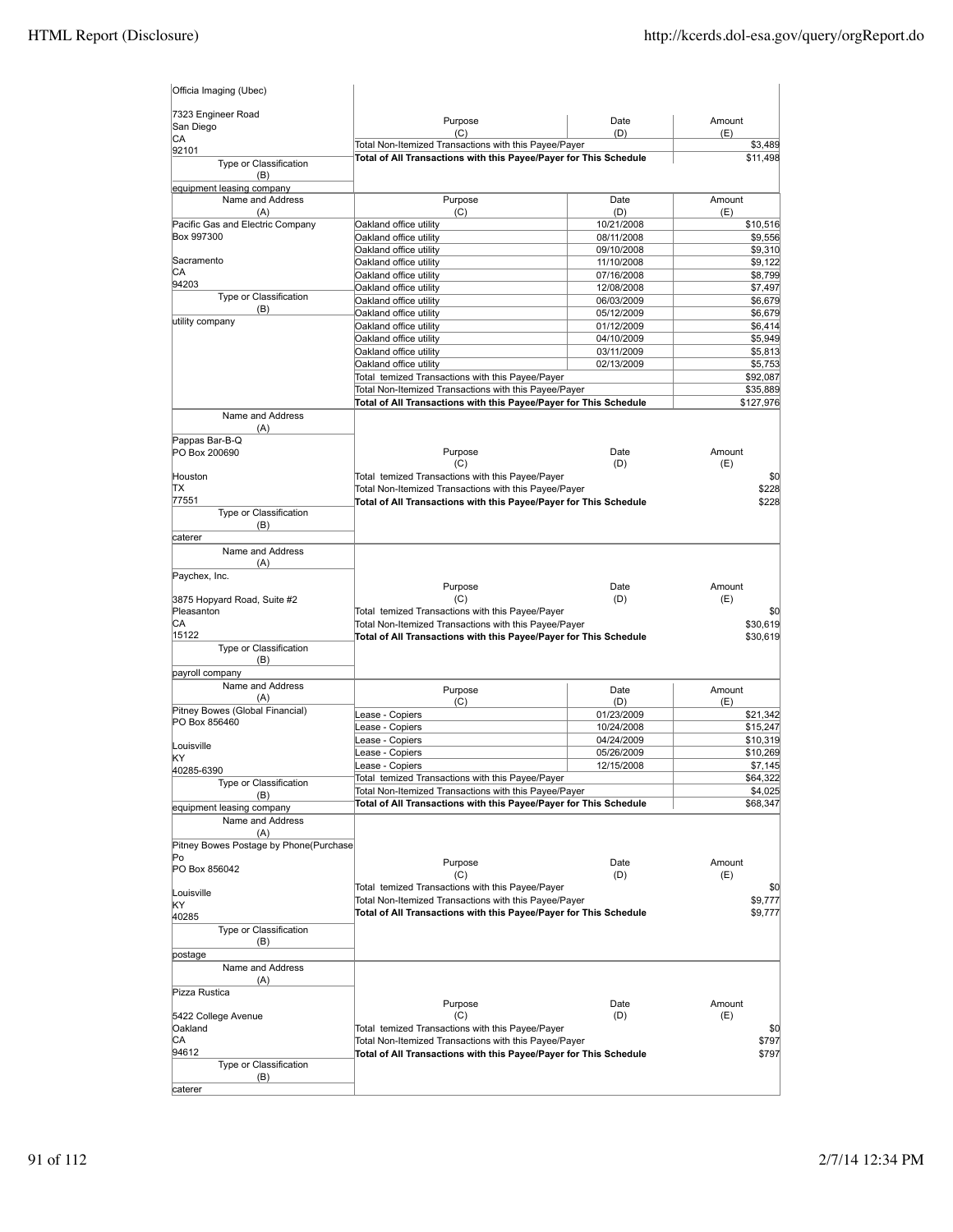| Officia Imaging (Ubec)                               |                                                                                                                            |                          |                    |
|------------------------------------------------------|----------------------------------------------------------------------------------------------------------------------------|--------------------------|--------------------|
| 7323 Engineer Road<br>San Diego                      | Purpose<br>(C)                                                                                                             | Date<br>(D)              | Amount<br>(E)      |
| СA                                                   | Total Non-Itemized Transactions with this Payee/Payer                                                                      |                          | \$3,489            |
| 92101<br>Type or Classification<br>(B)               | Total of All Transactions with this Payee/Payer for This Schedule                                                          |                          | \$11,498           |
| equipment leasing company<br>Name and Address<br>(A) | Purpose<br>(C)                                                                                                             | Date                     | Amount             |
| Pacific Gas and Electric Company                     | Oakland office utility                                                                                                     | (D)<br>10/21/2008        | (E)<br>\$10,516    |
| Box 997300                                           | Oakland office utility                                                                                                     | 08/11/2008               | \$9,556            |
|                                                      | Oakland office utility                                                                                                     | 09/10/2008               | \$9,310            |
| Sacramento                                           | Oakland office utility                                                                                                     | 11/10/2008               | \$9,122            |
| CА<br>94203                                          | Oakland office utility                                                                                                     | 07/16/2008               | \$8,799            |
| Type or Classification                               | Oakland office utility                                                                                                     | 12/08/2008               | \$7,497            |
| (B)                                                  | Oakland office utility<br>Oakland office utility                                                                           | 06/03/2009<br>05/12/2009 | \$6,679<br>\$6,679 |
| utility company                                      | Oakland office utility                                                                                                     | 01/12/2009               | \$6,414            |
|                                                      | Oakland office utility                                                                                                     | 04/10/2009               | \$5,949            |
|                                                      | Oakland office utility                                                                                                     | 03/11/2009               | \$5,813            |
|                                                      | Oakland office utility                                                                                                     | 02/13/2009               | \$5,753            |
|                                                      | Total temized Transactions with this Payee/Payer                                                                           |                          | \$92,087           |
|                                                      | Total Non-Itemized Transactions with this Payee/Payer                                                                      |                          | \$35,889           |
|                                                      | Total of All Transactions with this Payee/Payer for This Schedule                                                          |                          | \$127,976          |
| Name and Address<br>(A)                              |                                                                                                                            |                          |                    |
| Pappas Bar-B-Q<br>PO Box 200690                      | Purpose<br>(C)                                                                                                             | Date<br>(D)              | Amount<br>(E)      |
| Houston                                              | Total temized Transactions with this Payee/Payer                                                                           |                          | \$0                |
| lΤX                                                  | Total Non-Itemized Transactions with this Payee/Payer                                                                      |                          | \$228              |
| 77551                                                | Total of All Transactions with this Payee/Payer for This Schedule                                                          |                          | \$228              |
| Type or Classification                               |                                                                                                                            |                          |                    |
| (B)                                                  |                                                                                                                            |                          |                    |
| caterer<br>Name and Address                          |                                                                                                                            |                          |                    |
| (A)                                                  |                                                                                                                            |                          |                    |
| Paychex, Inc.                                        | Purpose                                                                                                                    | Date                     | Amount             |
| 3875 Hopyard Road, Suite #2                          | (C)                                                                                                                        | (D)                      | (E)                |
| Pleasanton                                           | Total temized Transactions with this Payee/Payer                                                                           |                          | \$0                |
| СA                                                   | Total Non-Itemized Transactions with this Payee/Payer                                                                      |                          | \$30,619           |
| 15122                                                | Total of All Transactions with this Payee/Payer for This Schedule                                                          |                          | \$30,619           |
| Type or Classification<br>(B)                        |                                                                                                                            |                          |                    |
| payroll company                                      |                                                                                                                            |                          |                    |
| Name and Address                                     | Purpose                                                                                                                    | Date                     | Amount             |
| (A)                                                  | (C)                                                                                                                        | (D)                      | (E)                |
| Pitney Bowes (Global Financial)                      | ease - Copiers                                                                                                             | 01/23/2009               | \$21,342           |
| PO Box 856460                                        | ease - Copiers                                                                                                             | 10/24/2008               | \$15,247           |
| Louisville                                           | ease - Copiers                                                                                                             | 04/24/2009               | \$10,319           |
| KΥ                                                   | Lease - Copiers                                                                                                            | 05/26/2009               | \$10,269           |
| 40285-6390                                           | ease - Copiers                                                                                                             | 12/15/2008               | \$7,145            |
| Type or Classification                               | Total temized Transactions with this Payee/Payer                                                                           |                          | \$64,322           |
| (B)                                                  | Total Non-Itemized Transactions with this Payee/Payer                                                                      |                          | \$4,025            |
| equipment leasing company                            | Total of All Transactions with this Payee/Payer for This Schedule                                                          |                          | \$68,347           |
| Name and Address<br>(A)                              |                                                                                                                            |                          |                    |
| Pitney Bowes Postage by Phone(Purchase               |                                                                                                                            |                          |                    |
| Po<br>PO Box 856042                                  | Purpose                                                                                                                    | Date                     | Amount             |
|                                                      | (C)                                                                                                                        | (D)                      | (E)                |
| Louisville                                           | Total temized Transactions with this Payee/Payer                                                                           |                          | \$0                |
| KY                                                   | Total Non-Itemized Transactions with this Payee/Payer<br>Total of All Transactions with this Payee/Payer for This Schedule |                          | \$9,777<br>\$9,777 |
| 40285                                                |                                                                                                                            |                          |                    |
| Type or Classification                               |                                                                                                                            |                          |                    |
| (B)<br>postage                                       |                                                                                                                            |                          |                    |
| Name and Address                                     |                                                                                                                            |                          |                    |
| (A)<br>Pizza Rustica                                 |                                                                                                                            |                          |                    |
|                                                      | Purpose                                                                                                                    | Date                     | Amount             |
| 5422 College Avenue                                  | (C)                                                                                                                        | (D)                      | (E)                |
| Oakland                                              | Total temized Transactions with this Payee/Payer                                                                           |                          | \$0                |
| СA                                                   | Total Non-Itemized Transactions with this Payee/Payer                                                                      |                          | \$797              |
| 94612                                                | Total of All Transactions with this Payee/Payer for This Schedule                                                          |                          | \$797              |
| Type or Classification<br>(B)                        |                                                                                                                            |                          |                    |
| caterer                                              |                                                                                                                            |                          |                    |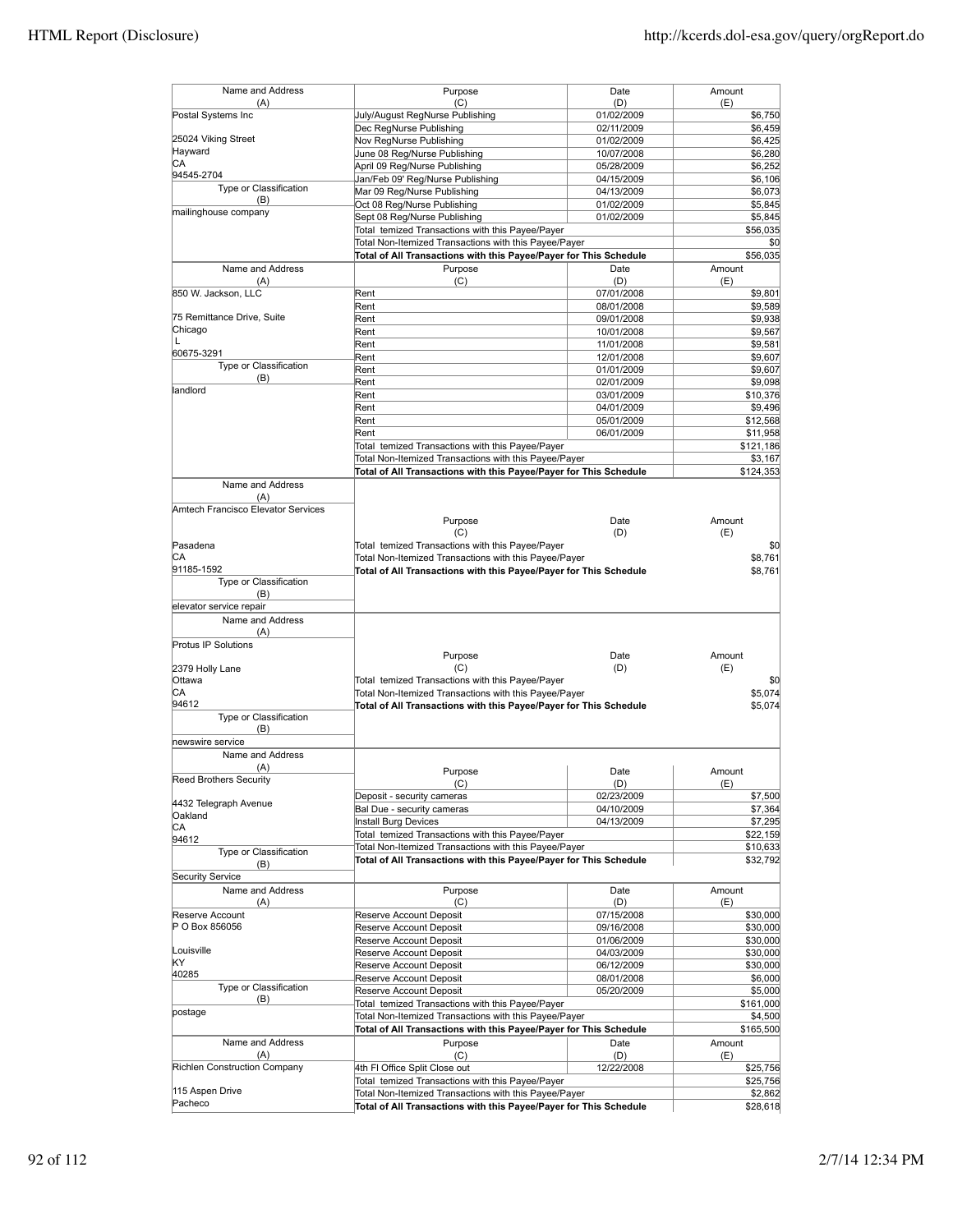| Name and Address<br>(A)            | Purpose<br>(C)                                                                                                             | Date<br>(D) | Amount<br>(E)       |
|------------------------------------|----------------------------------------------------------------------------------------------------------------------------|-------------|---------------------|
| Postal Systems Inc                 | July/August RegNurse Publishing                                                                                            | 01/02/2009  | \$6,750             |
|                                    | Dec RegNurse Publishing                                                                                                    | 02/11/2009  | \$6,459             |
| 25024 Viking Street                | Nov RegNurse Publishing                                                                                                    | 01/02/2009  | \$6,425             |
| Hayward                            |                                                                                                                            |             |                     |
| СA                                 | June 08 Reg/Nurse Publishing                                                                                               | 10/07/2008  | \$6,280             |
| 94545-2704                         | April 09 Reg/Nurse Publishing                                                                                              | 05/28/2009  | \$6.252             |
| Type or Classification             | Jan/Feb 09' Reg/Nurse Publishing                                                                                           | 04/15/2009  | \$6,106             |
| (B)                                | Mar 09 Reg/Nurse Publishing                                                                                                | 04/13/2009  | \$6,073             |
| mailinghouse company               | Oct 08 Reg/Nurse Publishing                                                                                                | 01/02/2009  | \$5,845             |
|                                    | Sept 08 Reg/Nurse Publishing                                                                                               | 01/02/2009  | \$5,845             |
|                                    | Total temized Transactions with this Payee/Payer                                                                           |             | \$56,035            |
|                                    | Total Non-Itemized Transactions with this Payee/Payer                                                                      |             | \$0                 |
|                                    | Total of All Transactions with this Payee/Payer for This Schedule                                                          |             | \$56,035            |
| Name and Address                   | Purpose                                                                                                                    | Date        | Amount              |
| (A)                                | (C)                                                                                                                        | (D)         | (E)                 |
| 850 W. Jackson, LLC                | Rent                                                                                                                       | 07/01/2008  | \$9,801             |
|                                    | Rent                                                                                                                       | 08/01/2008  | \$9,589             |
| 75 Remittance Drive, Suite         | Rent                                                                                                                       |             |                     |
| Chicago                            |                                                                                                                            | 09/01/2008  | \$9,938             |
| L                                  | Rent                                                                                                                       | 10/01/2008  | \$9,567             |
|                                    | Rent                                                                                                                       | 11/01/2008  | \$9,581             |
| 60675-3291                         | Rent                                                                                                                       | 12/01/2008  | \$9,607             |
| Type or Classification             | Rent                                                                                                                       | 01/01/2009  | \$9,607             |
| (B)                                | Rent                                                                                                                       | 02/01/2009  | \$9,098             |
| landlord                           | Rent                                                                                                                       | 03/01/2009  | \$10,376            |
|                                    | Rent                                                                                                                       | 04/01/2009  | \$9,496             |
|                                    | Rent                                                                                                                       | 05/01/2009  | \$12,568            |
|                                    | Rent                                                                                                                       |             |                     |
|                                    |                                                                                                                            | 06/01/2009  | \$11,958            |
|                                    | Total temized Transactions with this Payee/Payer                                                                           |             | \$121,186           |
|                                    | Total Non-Itemized Transactions with this Payee/Payer                                                                      |             | \$3,167             |
|                                    | Total of All Transactions with this Payee/Payer for This Schedule                                                          |             | \$124,353           |
| Name and Address                   |                                                                                                                            |             |                     |
| (A)                                |                                                                                                                            |             |                     |
| Amtech Francisco Elevator Services |                                                                                                                            |             |                     |
|                                    | Purpose                                                                                                                    | Date        | Amount              |
|                                    | (C)                                                                                                                        | (D)         | (E)                 |
| Pasadena                           | Total temized Transactions with this Payee/Payer                                                                           |             | \$0                 |
| СA                                 | Total Non-Itemized Transactions with this Payee/Payer                                                                      |             | \$8,761             |
| 91185-1592                         | Total of All Transactions with this Payee/Payer for This Schedule                                                          |             |                     |
| Type or Classification             |                                                                                                                            |             | \$8,761             |
|                                    |                                                                                                                            |             |                     |
| (B)                                |                                                                                                                            |             |                     |
| elevator service repair            |                                                                                                                            |             |                     |
| Name and Address                   |                                                                                                                            |             |                     |
| (A)                                |                                                                                                                            |             |                     |
| Protus IP Solutions                |                                                                                                                            |             |                     |
|                                    | Purpose                                                                                                                    | Date        | Amount              |
| 2379 Holly Lane                    | (C)                                                                                                                        | (D)         | (E)                 |
| Ottawa                             | Total temized Transactions with this Payee/Payer                                                                           |             | \$0                 |
| СA                                 | Total Non-Itemized Transactions with this Payee/Payer                                                                      |             | \$5,074             |
| 94612                              | Total of All Transactions with this Payee/Payer for This Schedule                                                          |             | \$5,074             |
| Type or Classification             |                                                                                                                            |             |                     |
| (B)                                |                                                                                                                            |             |                     |
| newswire service                   |                                                                                                                            |             |                     |
|                                    |                                                                                                                            |             |                     |
| Name and Address                   |                                                                                                                            |             |                     |
| (A)                                | Purpose                                                                                                                    | Date        | Amount              |
| Reed Brothers Security             | (C)                                                                                                                        | (D)         | (E)                 |
|                                    | Deposit - security cameras                                                                                                 | 02/23/2009  |                     |
| 4432 Telegraph Avenue              |                                                                                                                            |             | \$7,500             |
|                                    |                                                                                                                            |             |                     |
| Oakland                            | Bal Due - security cameras                                                                                                 | 04/10/2009  | \$7,364             |
| CA                                 | Install Burg Devices                                                                                                       | 04/13/2009  | \$7,295             |
| 94612                              | Total temized Transactions with this Payee/Payer                                                                           |             | \$22,159            |
| Type or Classification             | Total Non-Itemized Transactions with this Payee/Payer                                                                      |             | \$10,633            |
| (B)                                | Total of All Transactions with this Payee/Payer for This Schedule                                                          |             | \$32,792            |
|                                    |                                                                                                                            |             |                     |
| <b>Security Service</b>            |                                                                                                                            |             |                     |
| Name and Address                   | Purpose                                                                                                                    | Date        | Amount              |
| (A)                                | (C)                                                                                                                        | (D)         | (E)                 |
| Reserve Account                    | Reserve Account Deposit                                                                                                    | 07/15/2008  | \$30,000            |
| P O Box 856056                     | Reserve Account Deposit                                                                                                    | 09/16/2008  | \$30,000            |
|                                    | Reserve Account Deposit                                                                                                    | 01/06/2009  | \$30,000            |
| Louisville                         | Reserve Account Deposit                                                                                                    | 04/03/2009  | \$30,000            |
| KY                                 | Reserve Account Deposit                                                                                                    | 06/12/2009  | \$30,000            |
| 40285                              |                                                                                                                            |             |                     |
| Type or Classification             | Reserve Account Deposit                                                                                                    | 08/01/2008  | \$6,000             |
| (B)                                | Reserve Account Deposit                                                                                                    | 05/20/2009  | \$5,000             |
|                                    | Total temized Transactions with this Payee/Payer                                                                           |             | \$161,000           |
| postage                            | Total Non-Itemized Transactions with this Payee/Payer                                                                      |             | \$4,500             |
|                                    | Total of All Transactions with this Payee/Payer for This Schedule                                                          |             | \$165,500           |
| Name and Address                   | Purpose                                                                                                                    | Date        | Amount              |
| (A)                                | (C)                                                                                                                        | (D)         | (E)                 |
| Richlen Construction Company       | 4th FI Office Split Close out                                                                                              | 12/22/2008  |                     |
|                                    |                                                                                                                            |             | \$25,756            |
|                                    | Total temized Transactions with this Payee/Payer                                                                           |             | \$25,756            |
| 115 Aspen Drive<br>Pacheco         | Total Non-Itemized Transactions with this Payee/Payer<br>Total of All Transactions with this Payee/Payer for This Schedule |             | \$2,862<br>\$28,618 |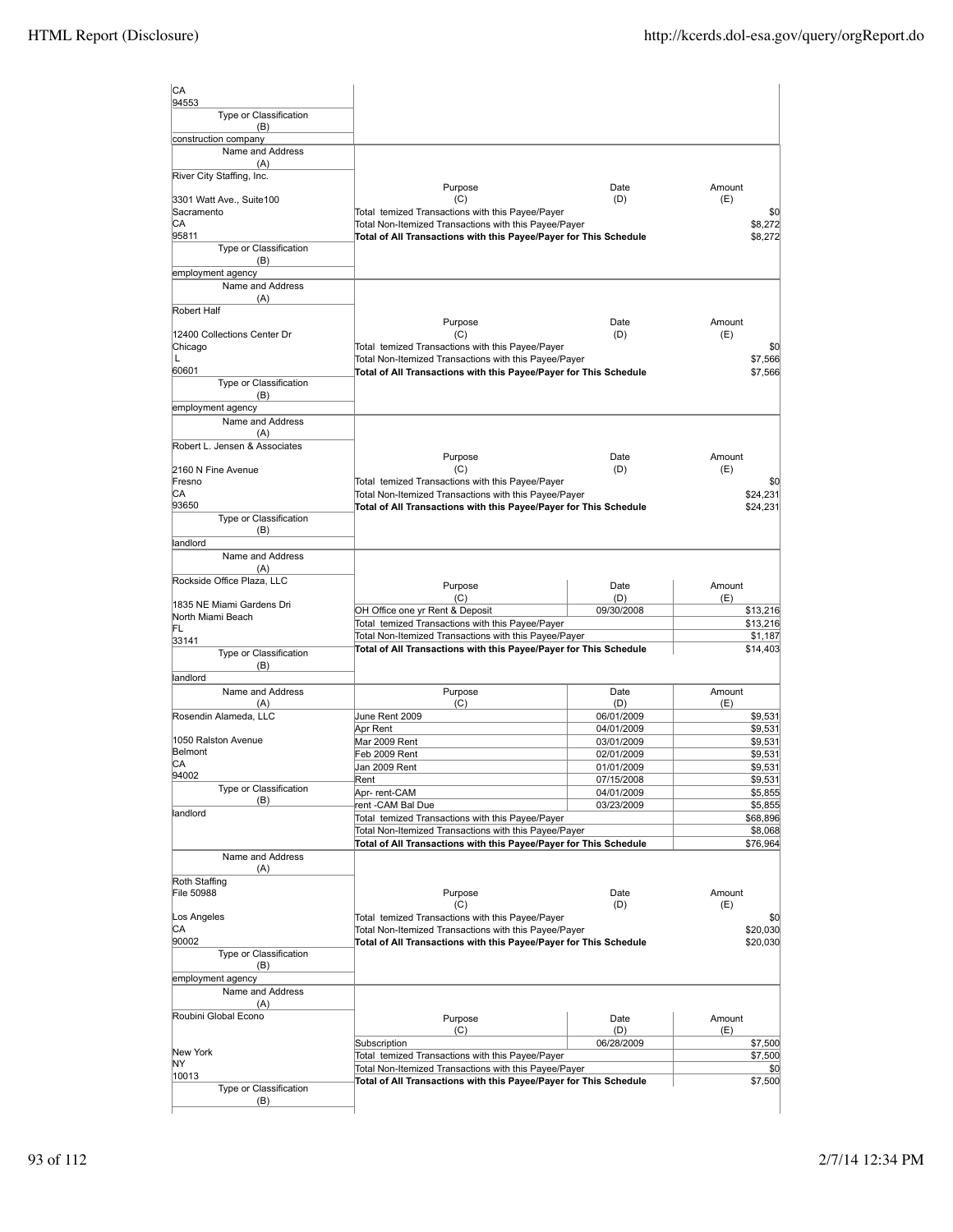| CA<br>94553                     |                                                                                                                            |                          |                      |
|---------------------------------|----------------------------------------------------------------------------------------------------------------------------|--------------------------|----------------------|
| Type or Classification<br>(B)   |                                                                                                                            |                          |                      |
| construction company            |                                                                                                                            |                          |                      |
| Name and Address<br>(A)         |                                                                                                                            |                          |                      |
| River City Staffing, Inc.       | Purpose                                                                                                                    | Date                     | Amount               |
| 3301 Watt Ave., Suite100        | (C)                                                                                                                        | (D)                      | (E)                  |
| Sacramento                      | Total temized Transactions with this Payee/Payer                                                                           |                          | \$0                  |
| CА                              | Total Non-Itemized Transactions with this Payee/Payer                                                                      |                          | \$8,272              |
| 95811<br>Type or Classification | Total of All Transactions with this Payee/Payer for This Schedule                                                          |                          | \$8,272              |
| (B)                             |                                                                                                                            |                          |                      |
| employment agency               |                                                                                                                            |                          |                      |
| Name and Address                |                                                                                                                            |                          |                      |
| (A)<br>Robert Half              |                                                                                                                            |                          |                      |
|                                 | Purpose                                                                                                                    | Date                     | Amount               |
| 12400 Collections Center Dr     | (C)                                                                                                                        | (D)                      | (E)                  |
| Chicago                         | Total temized Transactions with this Payee/Payer                                                                           |                          | \$0                  |
| L                               | Total Non-Itemized Transactions with this Payee/Payer                                                                      |                          | \$7,566              |
| 60601                           | Total of All Transactions with this Payee/Payer for This Schedule                                                          |                          | \$7,566              |
| Type or Classification<br>(B)   |                                                                                                                            |                          |                      |
| employment agency               |                                                                                                                            |                          |                      |
| Name and Address                |                                                                                                                            |                          |                      |
| (A)                             |                                                                                                                            |                          |                      |
| Robert L. Jensen & Associates   |                                                                                                                            |                          |                      |
|                                 | Purpose                                                                                                                    | Date                     | Amount               |
| 2160 N Fine Avenue              | (C)                                                                                                                        | (D)                      | (E)                  |
| Fresno<br>CА                    | Total temized Transactions with this Payee/Payer                                                                           |                          | \$0                  |
| 93650                           | Total Non-Itemized Transactions with this Payee/Payer<br>Total of All Transactions with this Payee/Payer for This Schedule |                          | \$24,231<br>\$24,231 |
| Type or Classification          |                                                                                                                            |                          |                      |
| (B)                             |                                                                                                                            |                          |                      |
| landlord                        |                                                                                                                            |                          |                      |
| Name and Address                |                                                                                                                            |                          |                      |
| (A)                             |                                                                                                                            |                          |                      |
| Rockside Office Plaza, LLC      | Purpose                                                                                                                    | Date                     | Amount               |
| 1835 NE Miami Gardens Dri       | (C)                                                                                                                        | (D)                      | (E)                  |
| North Miami Beach               | OH Office one yr Rent & Deposit                                                                                            | 09/30/2008               | \$13,216             |
| FL                              | Total temized Transactions with this Payee/Payer<br>Total Non-Itemized Transactions with this Payee/Payer                  |                          | \$13,216<br>\$1,187  |
| 33141                           | Total of All Transactions with this Payee/Payer for This Schedule                                                          |                          | \$14,403             |
| Type or Classification<br>(B)   |                                                                                                                            |                          |                      |
| landlord                        |                                                                                                                            |                          |                      |
| Name and Address                | Purpose                                                                                                                    | Date                     | Amount               |
| (A)                             | (C)                                                                                                                        | (D)                      | (E)                  |
| Rosendin Alameda, LLC           | June Rent 2009                                                                                                             | 06/01/2009               | \$9,531              |
| 1050 Ralston Avenue             | Apr Rent                                                                                                                   | 04/01/2009               | \$9,531              |
| Belmont                         | Mar 2009 Rent<br>Feb 2009 Rent                                                                                             | 03/01/2009<br>02/01/2009 | \$9,531<br>\$9,531   |
| IСA                             | Jan 2009 Rent                                                                                                              | 01/01/2009               | \$9,531              |
| 94002                           | Rent                                                                                                                       | 07/15/2008               | \$9,531              |
| Type or Classification          | Apr-rent-CAM                                                                                                               | 04/01/2009               | \$5,855              |
| (B)                             | rent-CAM Bal Due                                                                                                           | 03/23/2009               | \$5,855              |
| landlord                        | Total temized Transactions with this Payee/Payer                                                                           |                          | \$68,896             |
|                                 | Total Non-Itemized Transactions with this Payee/Payer                                                                      |                          | \$8,068              |
|                                 | Total of All Transactions with this Payee/Payer for This Schedule                                                          |                          | \$76,964             |
| Name and Address<br>(A)         |                                                                                                                            |                          |                      |
| Roth Staffing                   |                                                                                                                            |                          |                      |
| File 50988                      | Purpose                                                                                                                    | Date                     | Amount               |
|                                 | (C)                                                                                                                        | (D)                      | (E)                  |
| Los Angeles                     | Total temized Transactions with this Payee/Payer                                                                           |                          | \$0                  |
| CA                              | Total Non-Itemized Transactions with this Payee/Payer                                                                      |                          | \$20,030             |
| 90002<br>Type or Classification | Total of All Transactions with this Payee/Payer for This Schedule                                                          |                          | \$20,030             |
| (B)                             |                                                                                                                            |                          |                      |
| employment agency               |                                                                                                                            |                          |                      |
| Name and Address                |                                                                                                                            |                          |                      |
| (A)                             |                                                                                                                            |                          |                      |
| Roubini Global Econo            | Purpose                                                                                                                    | Date                     | Amount               |
|                                 | (C)                                                                                                                        | (D)                      | (E)                  |
| New York                        | Subscription                                                                                                               | 06/28/2009               | \$7,500              |
| ΝY                              | Total temized Transactions with this Payee/Payer                                                                           |                          | \$7,500              |
| 10013                           | Total Non-Itemized Transactions with this Payee/Payer<br>Total of All Transactions with this Payee/Payer for This Schedule |                          | \$0<br>\$7,500       |
| Type or Classification          |                                                                                                                            |                          |                      |
| (B)                             |                                                                                                                            |                          |                      |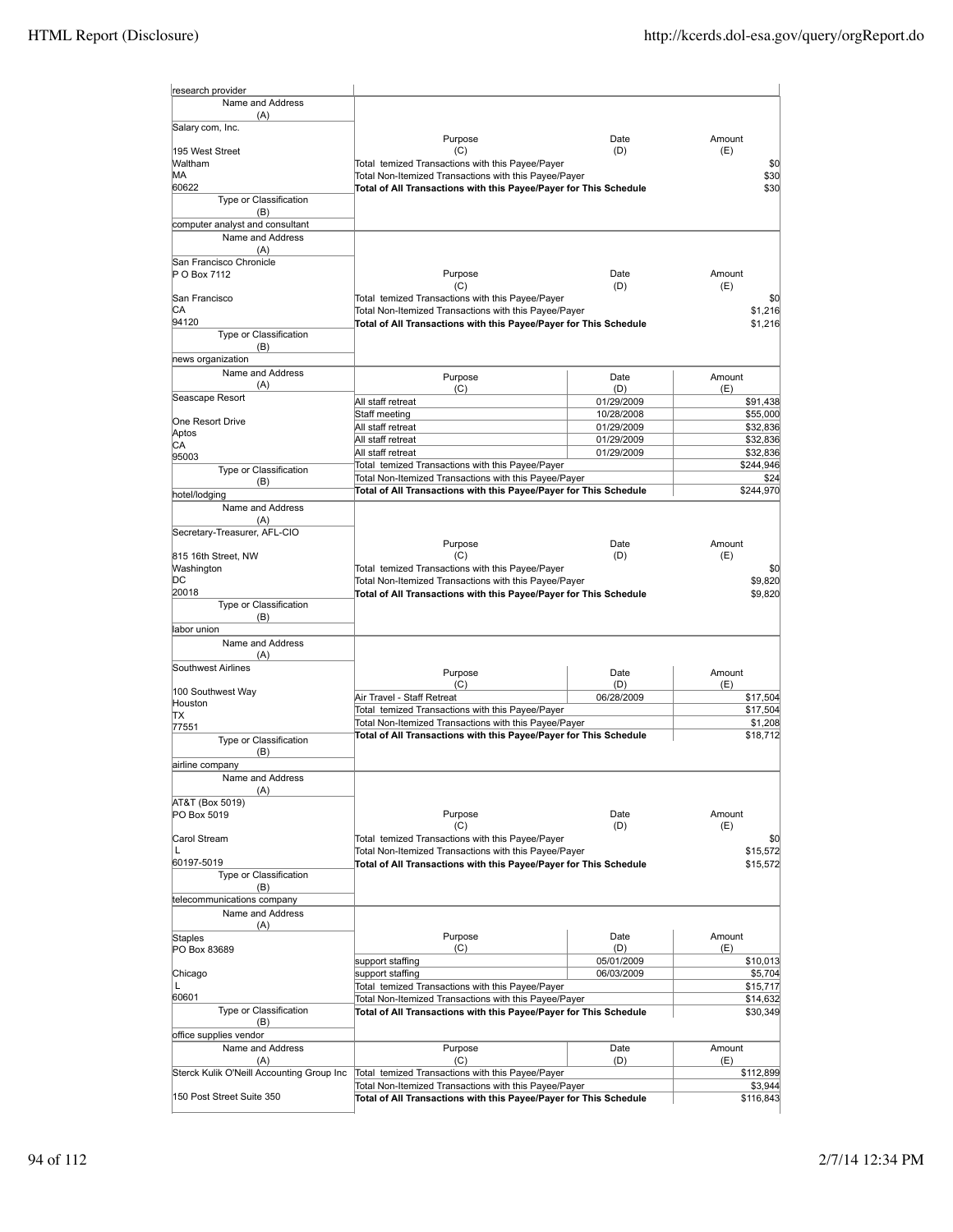| research provider                         |                                                                                                                            |                          |                      |
|-------------------------------------------|----------------------------------------------------------------------------------------------------------------------------|--------------------------|----------------------|
| Name and Address                          |                                                                                                                            |                          |                      |
| (A)<br>Salary com, Inc.                   |                                                                                                                            |                          |                      |
|                                           | Purpose                                                                                                                    | Date                     | Amount               |
| 195 West Street<br>Waltham                | (C)                                                                                                                        | (D)                      | (E)                  |
| MА                                        | Total temized Transactions with this Payee/Payer<br>Total Non-Itemized Transactions with this Payee/Payer                  |                          | \$0<br>\$30          |
| 60622                                     | Total of All Transactions with this Payee/Payer for This Schedule                                                          |                          | \$30                 |
| Type or Classification                    |                                                                                                                            |                          |                      |
| (B)<br>computer analyst and consultant    |                                                                                                                            |                          |                      |
| Name and Address                          |                                                                                                                            |                          |                      |
| (A)                                       |                                                                                                                            |                          |                      |
| San Francisco Chronicle                   |                                                                                                                            |                          |                      |
| P O Box 7112                              | Purpose<br>(C)                                                                                                             | Date<br>(D)              | Amount<br>(E)        |
| San Francisco                             | Total temized Transactions with this Payee/Payer                                                                           |                          | \$0                  |
| CА                                        | Total Non-Itemized Transactions with this Payee/Payer                                                                      |                          | \$1,216              |
| 94120<br>Type or Classification           | Total of All Transactions with this Payee/Payer for This Schedule                                                          |                          | \$1,216              |
| (B)                                       |                                                                                                                            |                          |                      |
| news organization                         |                                                                                                                            |                          |                      |
| Name and Address                          | Purpose                                                                                                                    | Date                     | Amount               |
| (A)                                       | (C)                                                                                                                        | (D)                      | (E)                  |
| Seascape Resort                           | All staff retreat                                                                                                          | 01/29/2009               | \$91,438             |
| One Resort Drive                          | Staff meeting<br>All staff retreat                                                                                         | 10/28/2008<br>01/29/2009 | \$55,000<br>\$32,836 |
| Aptos                                     | All staff retreat                                                                                                          | 01/29/2009               | \$32,836             |
| CА<br>95003                               | All staff retreat                                                                                                          | 01/29/2009               | \$32,836             |
| Type or Classification                    | Total temized Transactions with this Payee/Payer                                                                           |                          | \$244,946            |
| (B)                                       | Total Non-Itemized Transactions with this Payee/Payer                                                                      |                          | \$24                 |
| hotel/lodging                             | Total of All Transactions with this Payee/Payer for This Schedule                                                          |                          | \$244.970            |
| Name and Address                          |                                                                                                                            |                          |                      |
| (A)<br>Secretary-Treasurer, AFL-CIO       |                                                                                                                            |                          |                      |
|                                           | Purpose                                                                                                                    | Date                     | Amount               |
| 815 16th Street, NW                       | (C)                                                                                                                        | (D)                      | (E)                  |
| Washington<br>DС                          | Total temized Transactions with this Payee/Payer<br>Total Non-Itemized Transactions with this Payee/Payer                  |                          | \$0<br>\$9,820       |
| 20018                                     | Total of All Transactions with this Payee/Payer for This Schedule                                                          |                          | \$9,820              |
| Type or Classification                    |                                                                                                                            |                          |                      |
| (B)<br>labor union                        |                                                                                                                            |                          |                      |
| Name and Address                          |                                                                                                                            |                          |                      |
| (A)                                       |                                                                                                                            |                          |                      |
| Southwest Airlines                        | Purpose                                                                                                                    | Date                     | Amount               |
| 100 Southwest Way                         | (C)                                                                                                                        | (D)                      | (E)                  |
| Houston                                   | Air Travel - Staff Retreat                                                                                                 | 06/28/2009               | \$17,504             |
| ΠX                                        | Total temized Transactions with this Payee/Payer<br>Total Non-Itemized Transactions with this Payee/Payer                  |                          | \$17,504<br>\$1,208  |
| 77551                                     | Total of All Transactions with this Payee/Payer for This Schedule                                                          |                          | \$18,712             |
| Type or Classification<br>(B)             |                                                                                                                            |                          |                      |
| airline company                           |                                                                                                                            |                          |                      |
| Name and Address                          |                                                                                                                            |                          |                      |
| (A)                                       |                                                                                                                            |                          |                      |
| AT&T (Box 5019)<br>PO Box 5019            | Purpose                                                                                                                    | Date                     | Amount               |
|                                           | (C)                                                                                                                        | (D)                      | (E)                  |
| Carol Stream                              | Total temized Transactions with this Payee/Payer                                                                           |                          | \$0                  |
| L<br>60197-5019                           | Total Non-Itemized Transactions with this Payee/Payer<br>Total of All Transactions with this Payee/Payer for This Schedule |                          | \$15,572<br>\$15,572 |
| Type or Classification                    |                                                                                                                            |                          |                      |
| (B)                                       |                                                                                                                            |                          |                      |
| telecommunications company                |                                                                                                                            |                          |                      |
| Name and Address<br>(A)                   |                                                                                                                            |                          |                      |
| <b>Staples</b>                            | Purpose                                                                                                                    | Date                     | Amount               |
| PO Box 83689                              | (C)                                                                                                                        | (D)                      | (E)                  |
|                                           | support staffing                                                                                                           | 05/01/2009<br>06/03/2009 | \$10,013<br>\$5,704  |
| Chicago<br>L                              | support staffing<br>Total temized Transactions with this Payee/Payer                                                       |                          | \$15,717             |
| 60601                                     | Total Non-Itemized Transactions with this Payee/Payer                                                                      |                          | \$14,632             |
| Type or Classification                    | Total of All Transactions with this Payee/Payer for This Schedule                                                          |                          | \$30,349             |
| (B)<br>office supplies vendor             |                                                                                                                            |                          |                      |
| Name and Address                          | Purpose                                                                                                                    | Date                     | Amount               |
| (A)                                       | (C)                                                                                                                        | (D)                      | (E)                  |
| Sterck Kulik O'Neill Accounting Group Inc | Total temized Transactions with this Payee/Payer                                                                           |                          | \$112,899            |
| 150 Post Street Suite 350                 | Total Non-Itemized Transactions with this Payee/Payer<br>Total of All Transactions with this Payee/Payer for This Schedule |                          | \$3,944<br>\$116,843 |
|                                           |                                                                                                                            |                          |                      |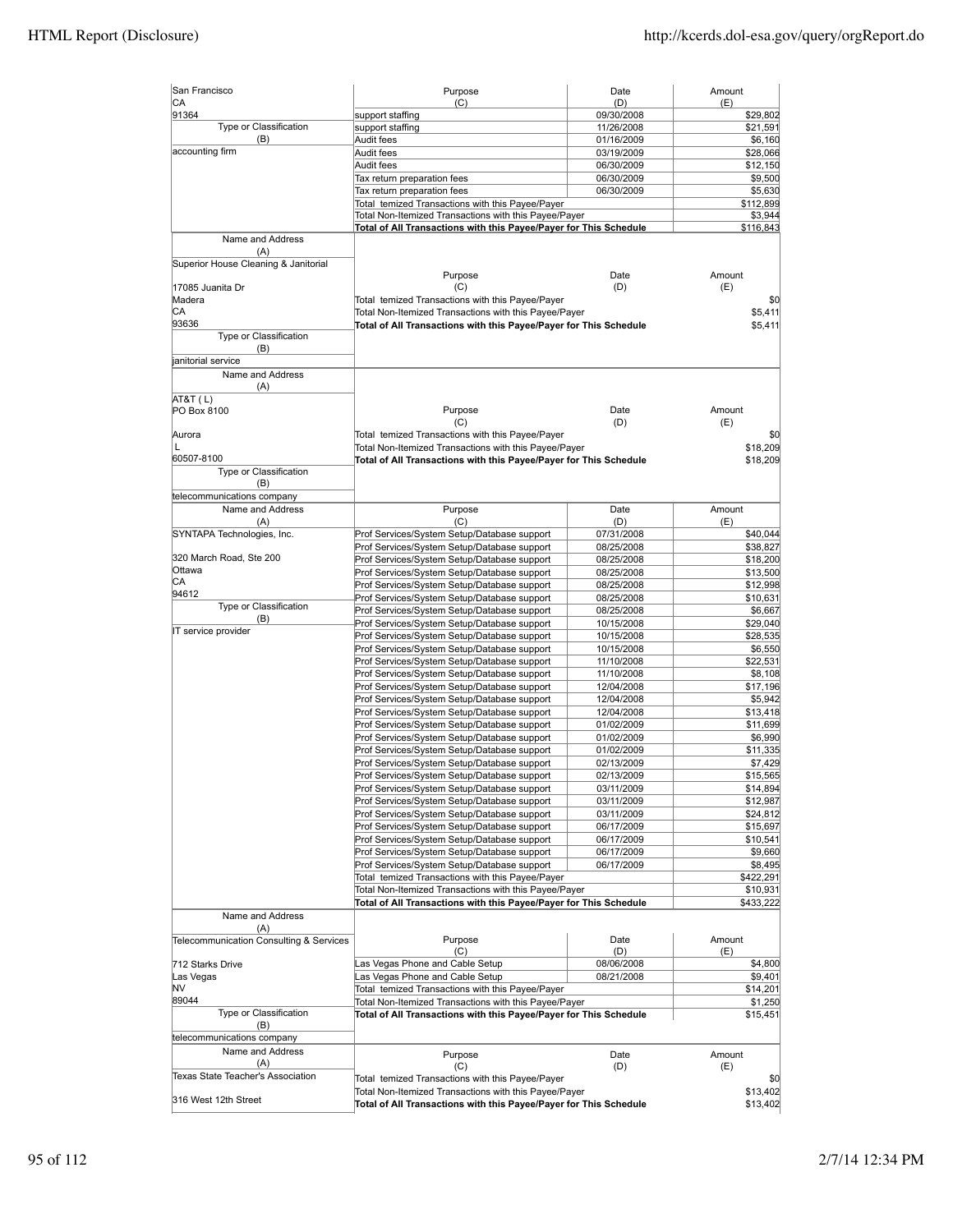| San Francisco                           | Purpose                                                                                                                    | Date                     | Amount                |
|-----------------------------------------|----------------------------------------------------------------------------------------------------------------------------|--------------------------|-----------------------|
| СA<br>91364                             | (C)                                                                                                                        | (D)<br>09/30/2008        | (E)<br>\$29,802       |
| Type or Classification                  | support staffing<br>support staffing                                                                                       | 11/26/2008               | \$21,591              |
| (B)                                     | Audit fees                                                                                                                 | 01/16/2009               | \$6,160               |
| accounting firm                         | Audit fees                                                                                                                 | 03/19/2009               | \$28,066              |
|                                         | Audit fees                                                                                                                 | 06/30/2009               | \$12,150              |
|                                         | Tax return preparation fees                                                                                                | 06/30/2009               | \$9,500               |
|                                         | Tax return preparation fees                                                                                                | 06/30/2009               | \$5,630               |
|                                         | Total temized Transactions with this Payee/Payer                                                                           |                          | \$112,899             |
|                                         | Total Non-Itemized Transactions with this Payee/Payer                                                                      |                          | \$3,944               |
|                                         | Total of All Transactions with this Payee/Payer for This Schedule                                                          |                          | \$116,843             |
| Name and Address                        |                                                                                                                            |                          |                       |
| (A)                                     |                                                                                                                            |                          |                       |
| Superior House Cleaning & Janitorial    |                                                                                                                            |                          |                       |
|                                         | Purpose<br>(C)                                                                                                             | Date                     | Amount                |
| 17085 Juanita Dr<br>Madera              | Total temized Transactions with this Payee/Payer                                                                           | (D)                      | (E)<br>\$0            |
| СA                                      | Total Non-Itemized Transactions with this Payee/Payer                                                                      |                          | \$5,411               |
| 93636                                   | Total of All Transactions with this Payee/Payer for This Schedule                                                          |                          | \$5,411               |
| Type or Classification                  |                                                                                                                            |                          |                       |
| (B)                                     |                                                                                                                            |                          |                       |
| janitorial service                      |                                                                                                                            |                          |                       |
| Name and Address                        |                                                                                                                            |                          |                       |
| (A)                                     |                                                                                                                            |                          |                       |
| AT&T (L)                                |                                                                                                                            |                          |                       |
| PO Box 8100                             | Purpose                                                                                                                    | Date                     | Amount                |
|                                         | (C)                                                                                                                        | (D)                      | (E)                   |
| Aurora                                  | Total temized Transactions with this Payee/Payer                                                                           |                          | \$0                   |
| L                                       | Total Non-Itemized Transactions with this Payee/Payer                                                                      |                          | \$18,209              |
| 60507-8100                              | Total of All Transactions with this Payee/Payer for This Schedule                                                          |                          | \$18,209              |
| Type or Classification                  |                                                                                                                            |                          |                       |
| (B)                                     |                                                                                                                            |                          |                       |
| telecommunications company              |                                                                                                                            |                          |                       |
| Name and Address                        | Purpose                                                                                                                    | Date                     | Amount                |
| (A)                                     | (C)                                                                                                                        | (D)                      | (E)                   |
| SYNTAPA Technologies, Inc.              | Prof Services/System Setup/Database support                                                                                | 07/31/2008               | \$40,044              |
|                                         | Prof Services/System Setup/Database support                                                                                | 08/25/2008               | \$38,827              |
| 320 March Road, Ste 200<br>Ottawa       | Prof Services/System Setup/Database support                                                                                | 08/25/2008               | \$18,200              |
| СA                                      | Prof Services/System Setup/Database support                                                                                | 08/25/2008               | \$13,500              |
| 94612                                   | Prof Services/System Setup/Database support                                                                                | 08/25/2008               | \$12,998              |
| Type or Classification                  | Prof Services/System Setup/Database support                                                                                | 08/25/2008               | \$10,631              |
| (B)                                     | Prof Services/System Setup/Database support                                                                                | 08/25/2008               | \$6,667               |
| IT service provider                     | Prof Services/System Setup/Database support                                                                                | 10/15/2008               | \$29,040              |
|                                         | Prof Services/System Setup/Database support                                                                                | 10/15/2008               | \$28,535              |
|                                         | Prof Services/System Setup/Database support                                                                                | 10/15/2008               | \$6,550               |
|                                         | Prof Services/System Setup/Database support                                                                                | 11/10/2008               | \$22,531              |
|                                         | Prof Services/System Setup/Database support                                                                                | 11/10/2008               | \$8,108               |
|                                         | Prof Services/System Setup/Database support                                                                                | 12/04/2008               | \$17,196              |
|                                         | Prof Services/System Setup/Database support                                                                                | 12/04/2008               | \$5,942               |
|                                         | Prof Services/System Setup/Database support<br>Prof Services/System Setup/Database support                                 | 12/04/2008               | \$13,418              |
|                                         |                                                                                                                            | 01/02/2009               | \$11,699              |
|                                         | Prof Services/System Setup/Database support                                                                                | 01/02/2009               | \$6,990               |
|                                         | Prof Services/System Setup/Database support                                                                                | 01/02/2009               | \$11,335              |
|                                         | Prof Services/System Setup/Database support                                                                                | 02/13/2009               | \$7,429<br>\$15,565   |
|                                         | Prof Services/System Setup/Database support<br>Prof Services/System Setup/Database support                                 | 02/13/2009               |                       |
|                                         |                                                                                                                            | 03/11/2009               | \$14,894<br>\$12,987  |
|                                         | Prof Services/System Setup/Database support<br>Prof Services/System Setup/Database support                                 | 03/11/2009<br>03/11/2009 | \$24,812              |
|                                         |                                                                                                                            |                          | \$15,697              |
|                                         | Prof Services/System Setup/Database support<br>Prof Services/System Setup/Database support                                 | 06/17/2009<br>06/17/2009 | \$10,541              |
|                                         |                                                                                                                            |                          | \$9,660               |
|                                         | Prof Services/System Setup/Database support<br>Prof Services/System Setup/Database support                                 | 06/17/2009<br>06/17/2009 | \$8,495               |
|                                         | Total temized Transactions with this Payee/Payer                                                                           |                          | \$422,291             |
|                                         |                                                                                                                            |                          |                       |
|                                         | Total Non-Itemized Transactions with this Payee/Payer<br>Total of All Transactions with this Payee/Payer for This Schedule |                          | \$10,931<br>\$433,222 |
|                                         |                                                                                                                            |                          |                       |
| Name and Address<br>(A)                 |                                                                                                                            |                          |                       |
| Telecommunication Consulting & Services | Purpose                                                                                                                    | Date                     | Amount                |
|                                         | (C)                                                                                                                        | (D)                      | (E)                   |
| 712 Starks Drive                        | Las Vegas Phone and Cable Setup                                                                                            | 08/06/2008               | \$4,800               |
| Las Vegas                               | Las Vegas Phone and Cable Setup                                                                                            | 08/21/2008               | \$9,401               |
| NV                                      | Total temized Transactions with this Payee/Payer                                                                           |                          | \$14,201              |
| 89044                                   | Total Non-Itemized Transactions with this Payee/Payer                                                                      |                          | \$1,250               |
| Type or Classification                  | Total of All Transactions with this Payee/Payer for This Schedule                                                          |                          | \$15,451              |
| (B)                                     |                                                                                                                            |                          |                       |
| telecommunications company              |                                                                                                                            |                          |                       |
| Name and Address                        | Purpose                                                                                                                    | Date                     | Amount                |
| (A)                                     | (C)                                                                                                                        | (D)                      | (E)                   |
| Texas State Teacher's Association       | Total temized Transactions with this Payee/Payer                                                                           |                          | \$0                   |
|                                         | Total Non-Itemized Transactions with this Payee/Payer                                                                      |                          | \$13,402              |
| 316 West 12th Street                    | Total of All Transactions with this Payee/Payer for This Schedule                                                          |                          | \$13,402              |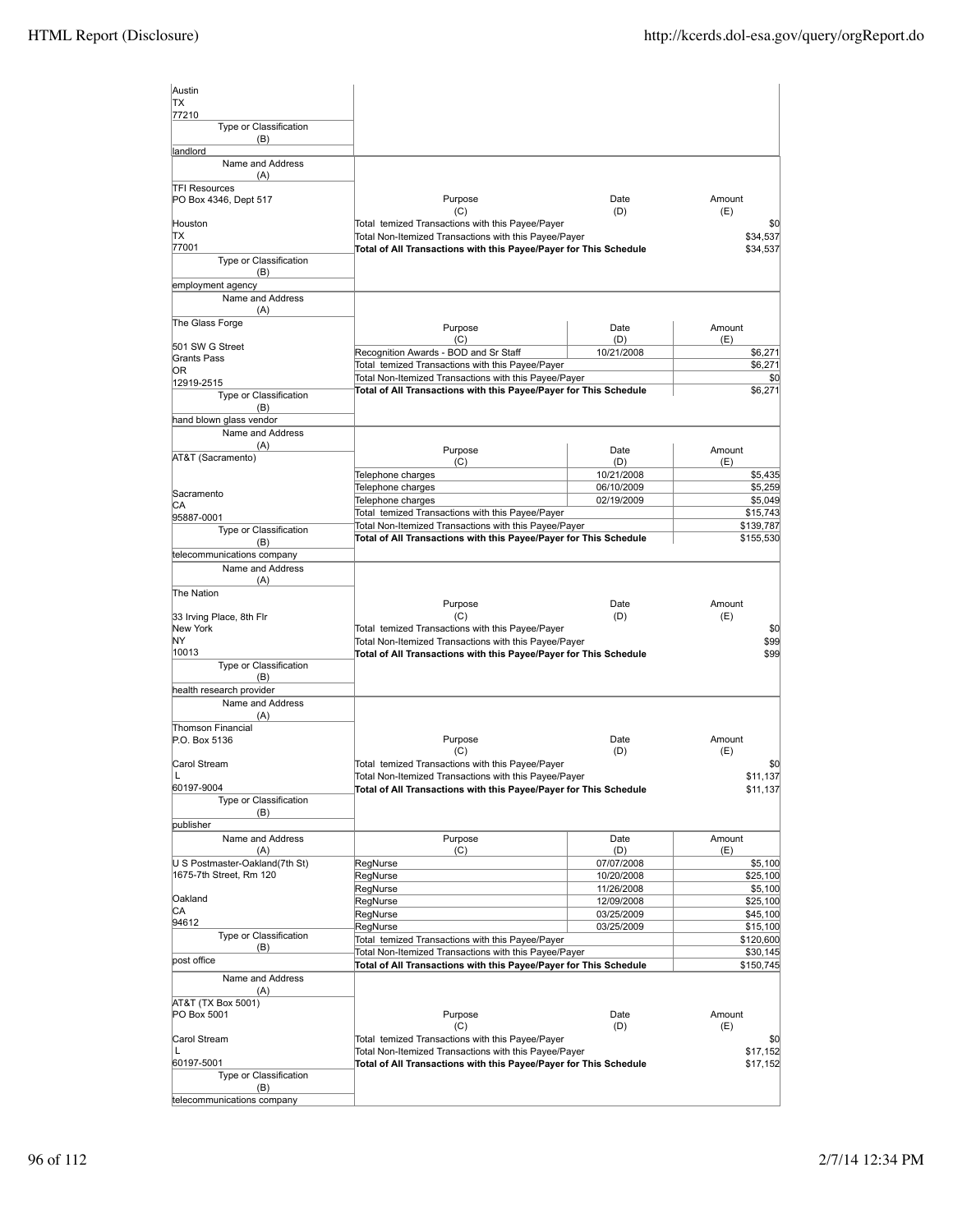| Austin                                |                                                                                                           |                          |                     |
|---------------------------------------|-----------------------------------------------------------------------------------------------------------|--------------------------|---------------------|
| <b>TX</b>                             |                                                                                                           |                          |                     |
| 77210                                 |                                                                                                           |                          |                     |
| Type or Classification                |                                                                                                           |                          |                     |
| (B)<br>landlord                       |                                                                                                           |                          |                     |
| Name and Address                      |                                                                                                           |                          |                     |
| (A)                                   |                                                                                                           |                          |                     |
| <b>TFI Resources</b>                  |                                                                                                           |                          |                     |
| PO Box 4346, Dept 517                 | Purpose                                                                                                   | Date                     | Amount              |
| Houston                               | (C)<br>Total temized Transactions with this Payee/Payer                                                   | (D)                      | (E)<br>\$0          |
| TХ                                    | Total Non-Itemized Transactions with this Payee/Payer                                                     |                          | \$34,537            |
| 77001                                 | Total of All Transactions with this Payee/Payer for This Schedule                                         |                          | \$34,537            |
| Type or Classification                |                                                                                                           |                          |                     |
| (B)                                   |                                                                                                           |                          |                     |
| employment agency<br>Name and Address |                                                                                                           |                          |                     |
| (A)                                   |                                                                                                           |                          |                     |
| The Glass Forge                       | Purpose                                                                                                   | Date                     | Amount              |
|                                       | (C)                                                                                                       | (D)                      | (E)                 |
| 501 SW G Street<br>Grants Pass        | Recognition Awards - BOD and Sr Staff                                                                     | 10/21/2008               | \$6,271             |
| 0R                                    | Total temized Transactions with this Payee/Payer                                                          |                          | \$6,271             |
| 12919-2515                            | Total Non-Itemized Transactions with this Payee/Payer                                                     |                          | \$0                 |
| Type or Classification                | Total of All Transactions with this Payee/Payer for This Schedule                                         |                          | \$6,271             |
| (B)                                   |                                                                                                           |                          |                     |
| hand blown glass vendor               |                                                                                                           |                          |                     |
| Name and Address<br>(A)               |                                                                                                           |                          |                     |
| AT&T (Sacramento)                     | Purpose<br>(C)                                                                                            | Date<br>(D)              | Amount<br>(E)       |
|                                       | Telephone charges                                                                                         | 10/21/2008               | \$5,435             |
|                                       | Telephone charges                                                                                         | 06/10/2009               | \$5,259             |
| Sacramento<br>СA                      | Telephone charges                                                                                         | 02/19/2009               | \$5,049             |
| 95887-0001                            | Total temized Transactions with this Payee/Payer                                                          |                          | \$15,743            |
| Type or Classification                | Total Non-Itemized Transactions with this Payee/Payer                                                     |                          | \$139,787           |
| (B)                                   | Total of All Transactions with this Payee/Payer for This Schedule                                         |                          | \$155,530           |
| telecommunications company            |                                                                                                           |                          |                     |
| Name and Address                      |                                                                                                           |                          |                     |
| (A)<br>The Nation                     |                                                                                                           |                          |                     |
|                                       | Purpose                                                                                                   | Date                     | Amount              |
|                                       |                                                                                                           |                          |                     |
| 33 Irving Place, 8th Flr              | (C)                                                                                                       | (D)                      | (E)                 |
| New York                              | Total temized Transactions with this Payee/Payer                                                          |                          | \$0                 |
| NΥ                                    | Total Non-Itemized Transactions with this Payee/Payer                                                     |                          | \$99                |
| 10013<br>Type or Classification       | Total of All Transactions with this Payee/Payer for This Schedule                                         |                          | \$99                |
| (B)                                   |                                                                                                           |                          |                     |
| health research provider              |                                                                                                           |                          |                     |
| Name and Address                      |                                                                                                           |                          |                     |
| (A)                                   |                                                                                                           |                          |                     |
| Thomson Financial<br>P.O. Box 5136    | Purpose                                                                                                   | Date                     | Amount              |
|                                       | (C)                                                                                                       | (D)                      | (E)                 |
| Carol Stream                          | Total temized Transactions with this Payee/Payer                                                          |                          | \$0                 |
|                                       | Total Non-Itemized Transactions with this Payee/Payer                                                     |                          | \$11,137            |
| 60197-9004                            | Total of All Transactions with this Payee/Payer for This Schedule                                         |                          | \$11,137            |
| Type or Classification<br>(B)         |                                                                                                           |                          |                     |
| publisher                             |                                                                                                           |                          |                     |
| Name and Address                      | Purpose                                                                                                   | Date                     | Amount              |
| (A)                                   | (C)                                                                                                       | (D)                      | (E)                 |
| U S Postmaster-Oakland(7th St)        | RegNurse                                                                                                  | 07/07/2008               | \$5,100             |
| 1675-7th Street, Rm 120               | RegNurse<br>RegNurse                                                                                      | 10/20/2008<br>11/26/2008 | \$25,100<br>\$5,100 |
| Oakland                               | RegNurse                                                                                                  | 12/09/2008               | \$25,100            |
| СA                                    | RegNurse                                                                                                  | 03/25/2009               | \$45,100            |
| 94612                                 | RegNurse                                                                                                  | 03/25/2009               | \$15,100            |
| Type or Classification<br>(B)         | Total temized Transactions with this Payee/Payer                                                          |                          | \$120,600           |
| post office                           | Total Non-Itemized Transactions with this Payee/Payer                                                     |                          | \$30,145            |
| Name and Address                      | Total of All Transactions with this Payee/Payer for This Schedule                                         |                          | \$150,745           |
| (A)                                   |                                                                                                           |                          |                     |
| AT&T (TX Box 5001)                    |                                                                                                           |                          |                     |
| PO Box 5001                           | Purpose                                                                                                   | Date                     | Amount              |
|                                       | (C)                                                                                                       | (D)                      | (E)                 |
| Carol Stream<br>L                     | Total temized Transactions with this Payee/Payer<br>Total Non-Itemized Transactions with this Payee/Payer |                          | \$0<br>\$17,152     |
| 60197-5001                            | Total of All Transactions with this Payee/Payer for This Schedule                                         |                          | \$17,152            |
| Type or Classification<br>(B)         |                                                                                                           |                          |                     |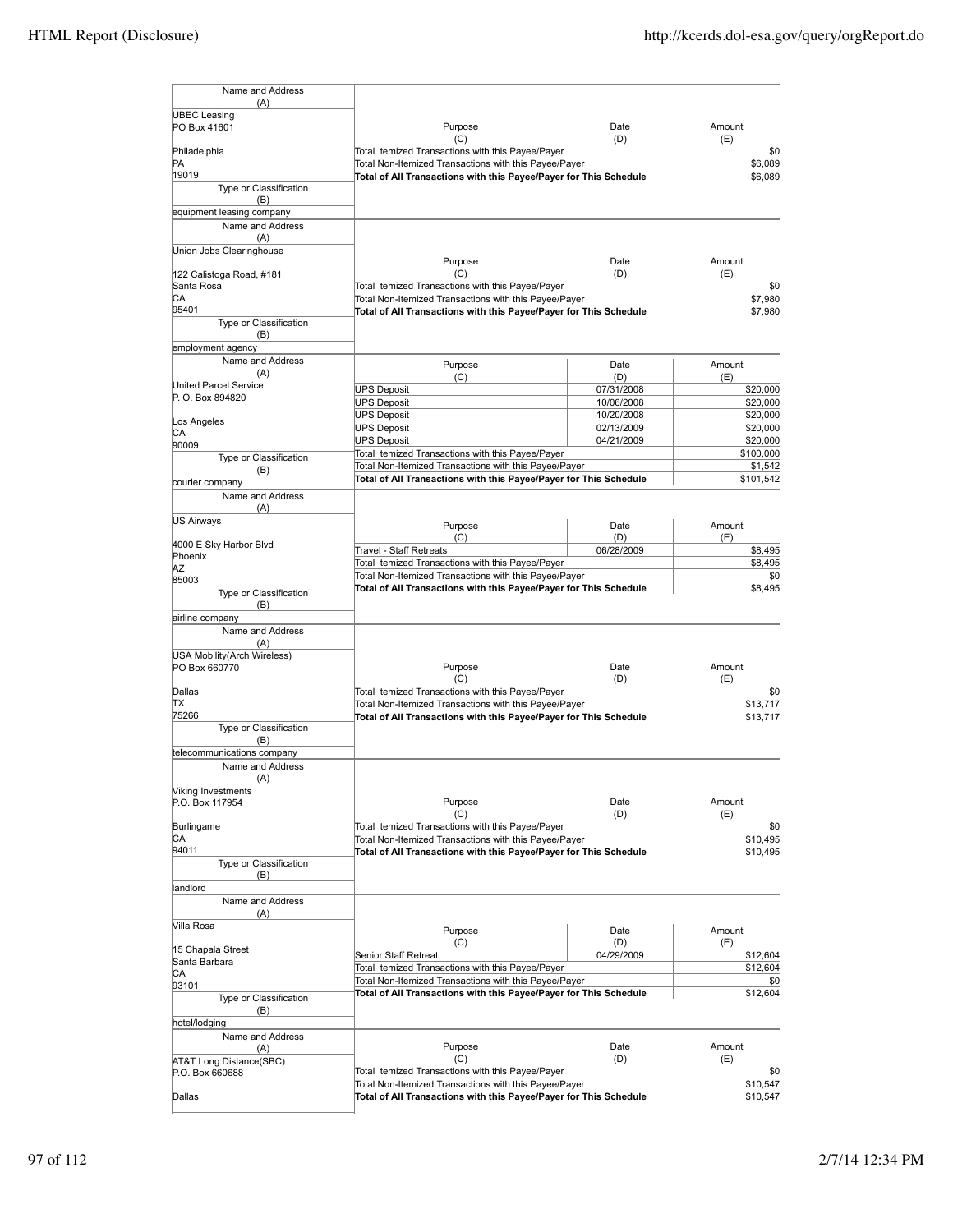| Name and Address<br>(A)                |                                                                                                           |                   |                      |
|----------------------------------------|-----------------------------------------------------------------------------------------------------------|-------------------|----------------------|
| <b>UBEC Leasing</b>                    |                                                                                                           |                   |                      |
| PO Box 41601                           | Purpose                                                                                                   | Date              | Amount               |
| Philadelphia                           | (C)<br>Total temized Transactions with this Payee/Payer                                                   | (D)               | (E)<br>\$0           |
| PA                                     | Total Non-Itemized Transactions with this Payee/Payer                                                     |                   | \$6.089              |
| 19019                                  | Total of All Transactions with this Payee/Payer for This Schedule                                         |                   | \$6,089              |
| Type or Classification                 |                                                                                                           |                   |                      |
| (B)<br>equipment leasing company       |                                                                                                           |                   |                      |
| Name and Address                       |                                                                                                           |                   |                      |
| (A)                                    |                                                                                                           |                   |                      |
| Union Jobs Clearinghouse               |                                                                                                           |                   |                      |
|                                        | Purpose                                                                                                   | Date              | Amount               |
| 122 Calistoga Road, #181<br>Santa Rosa | (C)<br>Total temized Transactions with this Payee/Payer                                                   | (D)               | (E)<br>\$0           |
| СA                                     | Total Non-Itemized Transactions with this Payee/Payer                                                     |                   | \$7,980              |
| 95401                                  | Total of All Transactions with this Payee/Payer for This Schedule                                         |                   | \$7,980              |
| Type or Classification                 |                                                                                                           |                   |                      |
| (B)                                    |                                                                                                           |                   |                      |
| employment agency<br>Name and Address  |                                                                                                           |                   |                      |
| (A)                                    | Purpose                                                                                                   | Date              | Amount               |
| United Parcel Service                  | (C)<br><b>UPS Deposit</b>                                                                                 | (D)<br>07/31/2008 | (E)<br>\$20,000      |
| P. O. Box 894820                       | <b>UPS Deposit</b>                                                                                        | 10/06/2008        | \$20,000             |
|                                        | <b>UPS Deposit</b>                                                                                        | 10/20/2008        | \$20,000             |
| Los Angeles                            | <b>UPS Deposit</b>                                                                                        | 02/13/2009        | \$20,000             |
| СA<br>90009                            | <b>UPS Deposit</b>                                                                                        | 04/21/2009        | \$20,000             |
| Type or Classification                 | Total temized Transactions with this Payee/Payer                                                          |                   | \$100,000            |
| (B)                                    | Total Non-Itemized Transactions with this Payee/Payer                                                     |                   | \$1,542              |
| courier company                        | Total of All Transactions with this Payee/Payer for This Schedule                                         |                   | \$101,542            |
| Name and Address                       |                                                                                                           |                   |                      |
| (A)                                    |                                                                                                           |                   |                      |
| US Airways                             | Purpose                                                                                                   | Date              | Amount               |
| 4000 E Sky Harbor Blvd                 | (C)                                                                                                       | (D)               | (E)                  |
| Phoenix                                | Travel - Staff Retreats                                                                                   | 06/28/2009        | \$8,495              |
| ΑZ                                     | Total temized Transactions with this Payee/Payer<br>Total Non-Itemized Transactions with this Payee/Payer |                   | \$8,495<br>\$0       |
| 85003                                  | Total of All Transactions with this Payee/Payer for This Schedule                                         |                   | \$8,495              |
| Type or Classification<br>(B)          |                                                                                                           |                   |                      |
| airline company                        |                                                                                                           |                   |                      |
| Name and Address                       |                                                                                                           |                   |                      |
| (A)                                    |                                                                                                           |                   |                      |
| USA Mobility (Arch Wireless)           |                                                                                                           |                   |                      |
| PO Box 660770                          | Purpose                                                                                                   | Date              | Amount               |
| Dallas                                 | (C)<br>Total temized Transactions with this Payee/Payer                                                   | (D)               | (E)<br>\$0           |
| ΠX                                     | Total Non-Itemized Transactions with this Payee/Payer                                                     |                   | \$13.717             |
| 75266                                  | Total of All Transactions with this Payee/Payer for This Schedule                                         |                   | \$13,717             |
| Type or Classification                 |                                                                                                           |                   |                      |
| (B)                                    |                                                                                                           |                   |                      |
| telecommunications company             |                                                                                                           |                   |                      |
| Name and Address<br>(A)                |                                                                                                           |                   |                      |
| Viking Investments                     |                                                                                                           |                   |                      |
| P.O. Box 117954                        | Purpose                                                                                                   | Date              | Amount               |
|                                        | (C)                                                                                                       | (D)               | (E)                  |
| Burlingame                             | Total temized Transactions with this Payee/Payer                                                          |                   | \$0                  |
| СA<br>94011                            | Total Non-Itemized Transactions with this Payee/Payer                                                     |                   | \$10,495<br>\$10,495 |
| Type or Classification                 | Total of All Transactions with this Payee/Payer for This Schedule                                         |                   |                      |
| (B)                                    |                                                                                                           |                   |                      |
| landlord                               |                                                                                                           |                   |                      |
| Name and Address                       |                                                                                                           |                   |                      |
| (A)                                    |                                                                                                           |                   |                      |
| Villa Rosa                             | Purpose                                                                                                   | Date              | Amount               |
| 15 Chapala Street                      | (C)                                                                                                       | (D)               | (E)                  |
| Santa Barbara                          | Senior Staff Retreat                                                                                      | 04/29/2009        | \$12,604             |
| СA                                     | Total temized Transactions with this Payee/Payer<br>Total Non-Itemized Transactions with this Payee/Payer |                   | \$12,604             |
| 93101                                  | Total of All Transactions with this Payee/Payer for This Schedule                                         |                   | \$0<br>\$12,604      |
| Type or Classification                 |                                                                                                           |                   |                      |
| (B)<br>hotel/lodging                   |                                                                                                           |                   |                      |
| Name and Address                       |                                                                                                           |                   |                      |
| (A)                                    | Purpose                                                                                                   | Date              | Amount               |
| AT&T Long Distance(SBC)                | (C)                                                                                                       | (D)               | (E)                  |
| P.O. Box 660688                        | Total temized Transactions with this Payee/Payer                                                          |                   | \$0                  |
|                                        | Total Non-Itemized Transactions with this Payee/Payer                                                     |                   | \$10,547             |
| Dallas                                 | Total of All Transactions with this Payee/Payer for This Schedule                                         |                   | \$10,547             |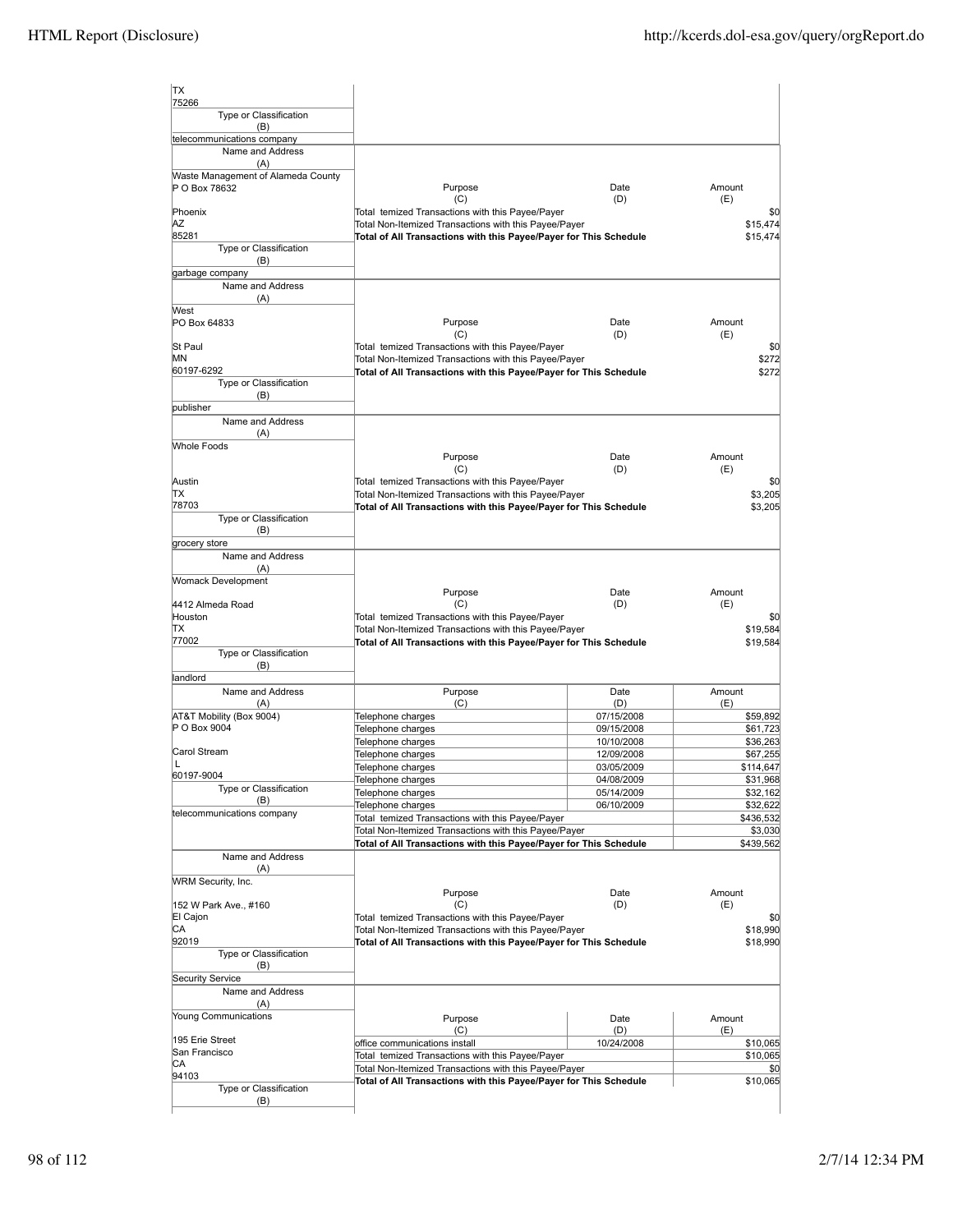| <b>TX</b>                                           |                                                                                                                            |                          |                      |
|-----------------------------------------------------|----------------------------------------------------------------------------------------------------------------------------|--------------------------|----------------------|
| 75266<br>Type or Classification<br>(B)              |                                                                                                                            |                          |                      |
| telecommunications company                          |                                                                                                                            |                          |                      |
| Name and Address<br>(A)                             |                                                                                                                            |                          |                      |
| Waste Management of Alameda County<br>P O Box 78632 | Purpose<br>(C)                                                                                                             | Date<br>(D)              | Amount<br>(E)        |
| Phoenix                                             | Total temized Transactions with this Payee/Payer                                                                           |                          | \$0                  |
| ΑZ<br>85281                                         | Total Non-Itemized Transactions with this Payee/Payer<br>Total of All Transactions with this Payee/Payer for This Schedule |                          | \$15,474<br>\$15,474 |
| Type or Classification<br>(B)                       |                                                                                                                            |                          |                      |
| garbage company                                     |                                                                                                                            |                          |                      |
| Name and Address<br>(A)                             |                                                                                                                            |                          |                      |
| West<br>PO Box 64833                                | Purpose                                                                                                                    | Date                     | Amount               |
|                                                     | (C)                                                                                                                        | (D)                      | (E)                  |
| <b>St Paul</b><br>ΜN                                | Total temized Transactions with this Payee/Payer<br>Total Non-Itemized Transactions with this Payee/Payer                  |                          | \$0<br>\$272         |
| 60197-6292                                          | Total of All Transactions with this Payee/Payer for This Schedule                                                          |                          | \$272                |
| Type or Classification                              |                                                                                                                            |                          |                      |
| (B)<br>publisher                                    |                                                                                                                            |                          |                      |
| Name and Address<br>(A)                             |                                                                                                                            |                          |                      |
| <b>Whole Foods</b>                                  |                                                                                                                            |                          |                      |
|                                                     | Purpose<br>(C)                                                                                                             | Date<br>(D)              | Amount<br>(E)        |
| Austin                                              | Total temized Transactions with this Payee/Payer                                                                           |                          | \$0                  |
| lΤX                                                 | Total Non-Itemized Transactions with this Payee/Payer                                                                      |                          | \$3,205              |
| 78703<br>Type or Classification                     | Total of All Transactions with this Payee/Payer for This Schedule                                                          |                          | \$3,205              |
| (B)                                                 |                                                                                                                            |                          |                      |
| grocery store<br>Name and Address                   |                                                                                                                            |                          |                      |
| (A)                                                 |                                                                                                                            |                          |                      |
| Womack Development                                  |                                                                                                                            |                          |                      |
| 4412 Almeda Road                                    | Purpose<br>(C)                                                                                                             | Date<br>(D)              | Amount<br>(E)        |
| <b>Houston</b>                                      | Total temized Transactions with this Payee/Payer                                                                           |                          | \$0                  |
| lΤX                                                 | Total Non-Itemized Transactions with this Payee/Payer                                                                      |                          | \$19,584             |
| 77002<br>Type or Classification                     | Total of All Transactions with this Payee/Payer for This Schedule                                                          |                          | \$19,584             |
| (B)                                                 |                                                                                                                            |                          |                      |
| landlord<br>Name and Address                        | Purpose                                                                                                                    | Date                     | Amount               |
| (A)                                                 | (C)                                                                                                                        | (D)                      | (E)                  |
| AT&T Mobility (Box 9004)<br>P O Box 9004            | Telephone charges                                                                                                          | 07/15/2008               | \$59,892             |
|                                                     | Telephone charges<br>Telephone charges                                                                                     | 09/15/2008<br>10/10/2008 | \$61,723<br>\$36,263 |
| Carol Stream                                        | Telephone charges                                                                                                          | 12/09/2008               | \$67,255             |
| L                                                   | Telephone charges                                                                                                          | 03/05/2009               | \$114,647            |
| 60197-9004                                          | Telephone charges                                                                                                          | 04/08/2009               | \$31,968             |
| Type or Classification                              | Telephone charges                                                                                                          | 05/14/2009               | \$32,162             |
| (B)<br>telecommunications company                   | Telephone charges                                                                                                          | 06/10/2009               | \$32,622             |
|                                                     | Total temized Transactions with this Payee/Payer                                                                           |                          | \$436,532            |
|                                                     | Total Non-Itemized Transactions with this Payee/Payer                                                                      |                          | \$3,030              |
| Name and Address                                    | Total of All Transactions with this Payee/Payer for This Schedule                                                          |                          | \$439,562            |
| (A)<br><b>WRM Security, Inc.</b>                    |                                                                                                                            |                          |                      |
|                                                     | Purpose                                                                                                                    | Date                     | Amount               |
| 152 W Park Ave., #160<br>El Cajon                   | (C)<br>Total temized Transactions with this Payee/Payer                                                                    | (D)                      | (E)<br>\$0           |
| CA                                                  | Total Non-Itemized Transactions with this Payee/Payer                                                                      |                          | \$18,990             |
| 92019                                               | Total of All Transactions with this Payee/Payer for This Schedule                                                          |                          | \$18,990             |
| Type or Classification<br>(B)                       |                                                                                                                            |                          |                      |
| Security Service                                    |                                                                                                                            |                          |                      |
| Name and Address<br>(A)                             |                                                                                                                            |                          |                      |
| Young Communications                                | Purpose                                                                                                                    | Date                     | Amount               |
| 195 Erie Street                                     | (C)<br>office communications install                                                                                       | (D)<br>10/24/2008        | (E)<br>\$10,065      |
| San Francisco                                       | Total temized Transactions with this Payee/Payer                                                                           |                          | \$10,065             |
| СA<br>94103                                         | Total Non-Itemized Transactions with this Payee/Payer                                                                      |                          | \$0                  |
| Type or Classification                              | Total of All Transactions with this Payee/Payer for This Schedule                                                          |                          | \$10,065             |
| (B)                                                 |                                                                                                                            |                          |                      |
|                                                     |                                                                                                                            |                          |                      |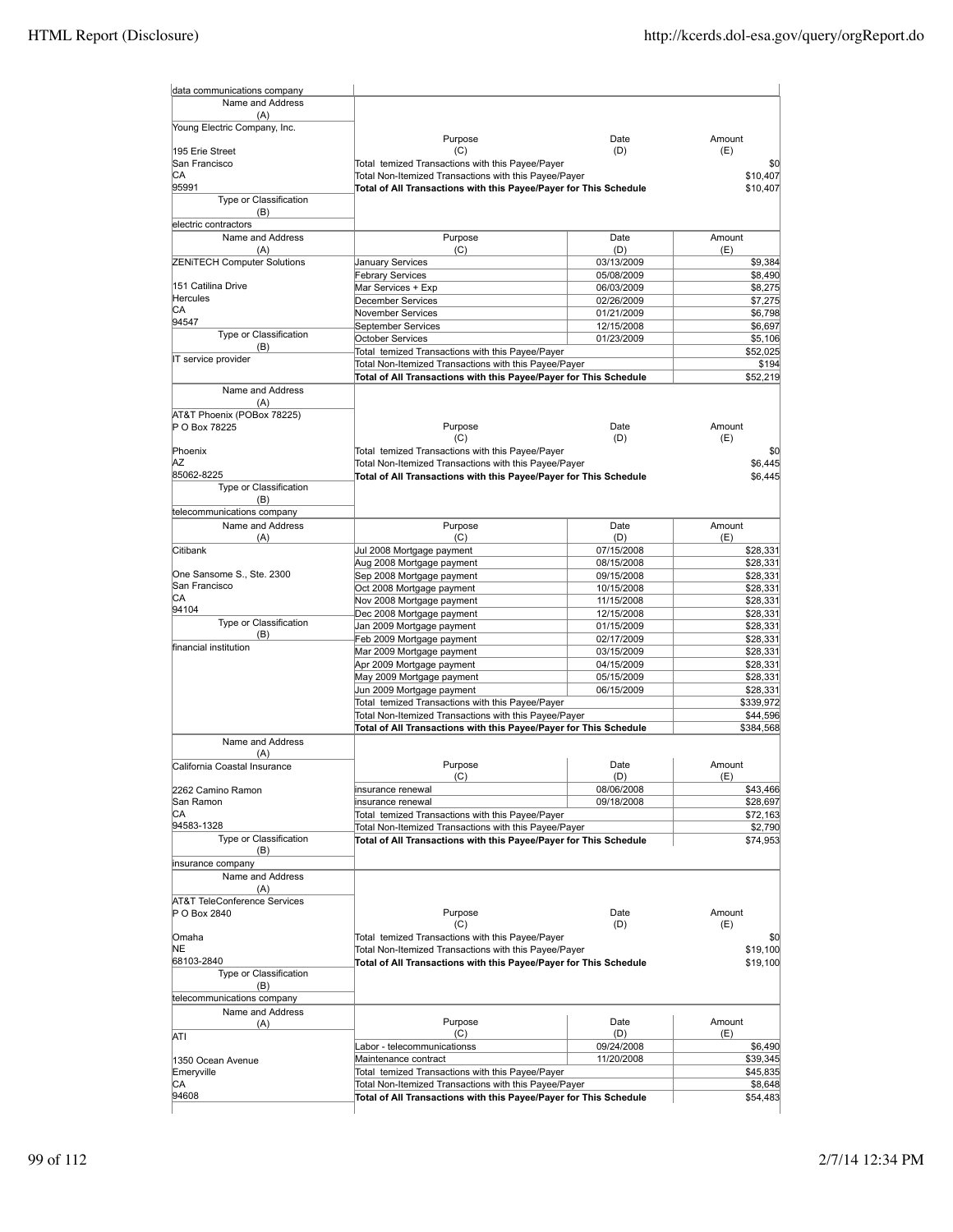| data communications company                             |                                                                                                                            |                          |                      |
|---------------------------------------------------------|----------------------------------------------------------------------------------------------------------------------------|--------------------------|----------------------|
| Name and Address                                        |                                                                                                                            |                          |                      |
| (A)                                                     |                                                                                                                            |                          |                      |
| Young Electric Company, Inc.                            | Purpose                                                                                                                    | Date                     | Amount               |
| 195 Erie Street                                         | (C)                                                                                                                        | (D)                      | (E)                  |
| San Francisco                                           | Total temized Transactions with this Payee/Payer                                                                           |                          | \$0                  |
| СA                                                      | Total Non-Itemized Transactions with this Payee/Payer                                                                      |                          | \$10,407             |
| 95991                                                   | Total of All Transactions with this Payee/Payer for This Schedule                                                          |                          | \$10,407             |
| Type or Classification<br>(B)                           |                                                                                                                            |                          |                      |
| electric contractors                                    |                                                                                                                            |                          |                      |
| Name and Address                                        | Purpose                                                                                                                    | Date                     | Amount               |
| (A)                                                     | (C)                                                                                                                        | (D)                      | (E)                  |
| <b>ZENITECH Computer Solutions</b>                      | January Services                                                                                                           | 03/13/2009               | \$9,384              |
| 151 Catilina Drive                                      | <b>Febrary Services</b>                                                                                                    | 05/08/2009               | \$8,490              |
| Hercules                                                | Mar Services + Exp<br>December Services                                                                                    | 06/03/2009<br>02/26/2009 | \$8,275<br>\$7,275   |
| СA                                                      | November Services                                                                                                          | 01/21/2009               | \$6,798              |
| 94547                                                   | September Services                                                                                                         | 12/15/2008               | \$6,697              |
| Type or Classification                                  | <b>October Services</b>                                                                                                    | 01/23/2009               | \$5,106              |
| (B)<br>IT service provider                              | Total temized Transactions with this Payee/Payer                                                                           |                          | \$52,025             |
|                                                         | Total Non-Itemized Transactions with this Payee/Payer                                                                      |                          | \$194                |
|                                                         | Total of All Transactions with this Payee/Payer for This Schedule                                                          |                          | \$52,219             |
| Name and Address<br>(A)                                 |                                                                                                                            |                          |                      |
| AT&T Phoenix (POBox 78225)                              |                                                                                                                            |                          |                      |
| P O Box 78225                                           | Purpose                                                                                                                    | Date                     | Amount               |
|                                                         | (C)                                                                                                                        | (D)                      | (E)                  |
| Phoenix                                                 | Total temized Transactions with this Payee/Payer                                                                           |                          | \$0                  |
| ΑZ<br>85062-8225                                        | Total Non-Itemized Transactions with this Payee/Payer<br>Total of All Transactions with this Payee/Payer for This Schedule |                          | \$6.445<br>\$6,445   |
| Type or Classification                                  |                                                                                                                            |                          |                      |
| (B)                                                     |                                                                                                                            |                          |                      |
| telecommunications company                              |                                                                                                                            |                          |                      |
| Name and Address                                        | Purpose                                                                                                                    | Date                     | Amount               |
| (A)                                                     | (C)                                                                                                                        | (D)                      | (E)                  |
| Citibank                                                | Jul 2008 Mortgage payment<br>Aug 2008 Mortgage payment                                                                     | 07/15/2008<br>08/15/2008 | \$28,331<br>\$28,331 |
| One Sansome S., Ste. 2300                               | Sep 2008 Mortgage payment                                                                                                  | 09/15/2008               | \$28,331             |
| San Francisco                                           | Oct 2008 Mortgage payment                                                                                                  | 10/15/2008               | \$28,331             |
| СA                                                      | Nov 2008 Mortgage payment                                                                                                  | 11/15/2008               | \$28,331             |
| 94104<br>Type or Classification                         | Dec 2008 Mortgage payment                                                                                                  | 12/15/2008               | \$28,331             |
| (B)                                                     | Jan 2009 Mortgage payment                                                                                                  | 01/15/2009               | \$28,331             |
| financial institution                                   | Feb 2009 Mortgage payment                                                                                                  | 02/17/2009               | \$28,331             |
|                                                         | Mar 2009 Mortgage payment<br>Apr 2009 Mortgage payment                                                                     | 03/15/2009<br>04/15/2009 | \$28,331<br>\$28,331 |
|                                                         | May 2009 Mortgage payment                                                                                                  | 05/15/2009               | \$28,331             |
|                                                         | Jun 2009 Mortgage payment                                                                                                  | 06/15/2009               | \$28,331             |
|                                                         | Total temized Transactions with this Payee/Payer                                                                           |                          | \$339,972            |
|                                                         | Total Non-Itemized Transactions with this Payee/Payer                                                                      |                          | \$44,596             |
|                                                         | Total of All Transactions with this Payee/Payer for This Schedule                                                          |                          | \$384,568            |
| Name and Address                                        |                                                                                                                            |                          |                      |
| (A)<br>California Coastal Insurance                     | Purpose                                                                                                                    | Date                     | Amount               |
|                                                         | (C)                                                                                                                        | (D)                      | (E)                  |
| 2262 Camino Ramon                                       | insurance renewal                                                                                                          | 08/06/2008               | \$43,466             |
| San Ramon                                               | insurance renewal                                                                                                          | 09/18/2008               | \$28,697             |
| CА<br>94583-1328                                        | Total temized Transactions with this Payee/Payer                                                                           |                          | \$72,163             |
| <b>Type or Classification</b>                           | Total Non-Itemized Transactions with this Payee/Payer<br>Total of All Transactions with this Payee/Payer for This Schedule |                          | \$2,790<br>\$74,953  |
| (B)                                                     |                                                                                                                            |                          |                      |
| insurance company                                       |                                                                                                                            |                          |                      |
| Name and Address                                        |                                                                                                                            |                          |                      |
| (A)                                                     |                                                                                                                            |                          |                      |
| <b>AT&amp;T TeleConference Services</b><br>P O Box 2840 | Purpose                                                                                                                    | Date                     | Amount               |
|                                                         | (C)                                                                                                                        | (D)                      | (E)                  |
| Omaha                                                   | Total temized Transactions with this Payee/Payer                                                                           |                          | \$0                  |
| NE                                                      | Total Non-Itemized Transactions with this Payee/Payer                                                                      |                          | \$19,100             |
| 68103-2840                                              | Total of All Transactions with this Payee/Payer for This Schedule                                                          |                          | \$19,100             |
| Type or Classification                                  |                                                                                                                            |                          |                      |
| (B)<br>telecommunications company                       |                                                                                                                            |                          |                      |
| Name and Address                                        |                                                                                                                            |                          |                      |
| (A)                                                     | Purpose                                                                                                                    | Date                     | Amount               |
| ATI                                                     | (C)                                                                                                                        | (D)                      | (E)                  |
|                                                         | Labor - telecommunicationss                                                                                                | 09/24/2008               | \$6,490              |
| 1350 Ocean Avenue<br>Emeryville                         | Maintenance contract<br>Total temized Transactions with this Payee/Payer                                                   | 11/20/2008               | \$39,345<br>\$45,835 |
| СA                                                      | Total Non-Itemized Transactions with this Payee/Payer                                                                      |                          | \$8,648              |
| 94608                                                   | Total of All Transactions with this Payee/Payer for This Schedule                                                          |                          | \$54,483             |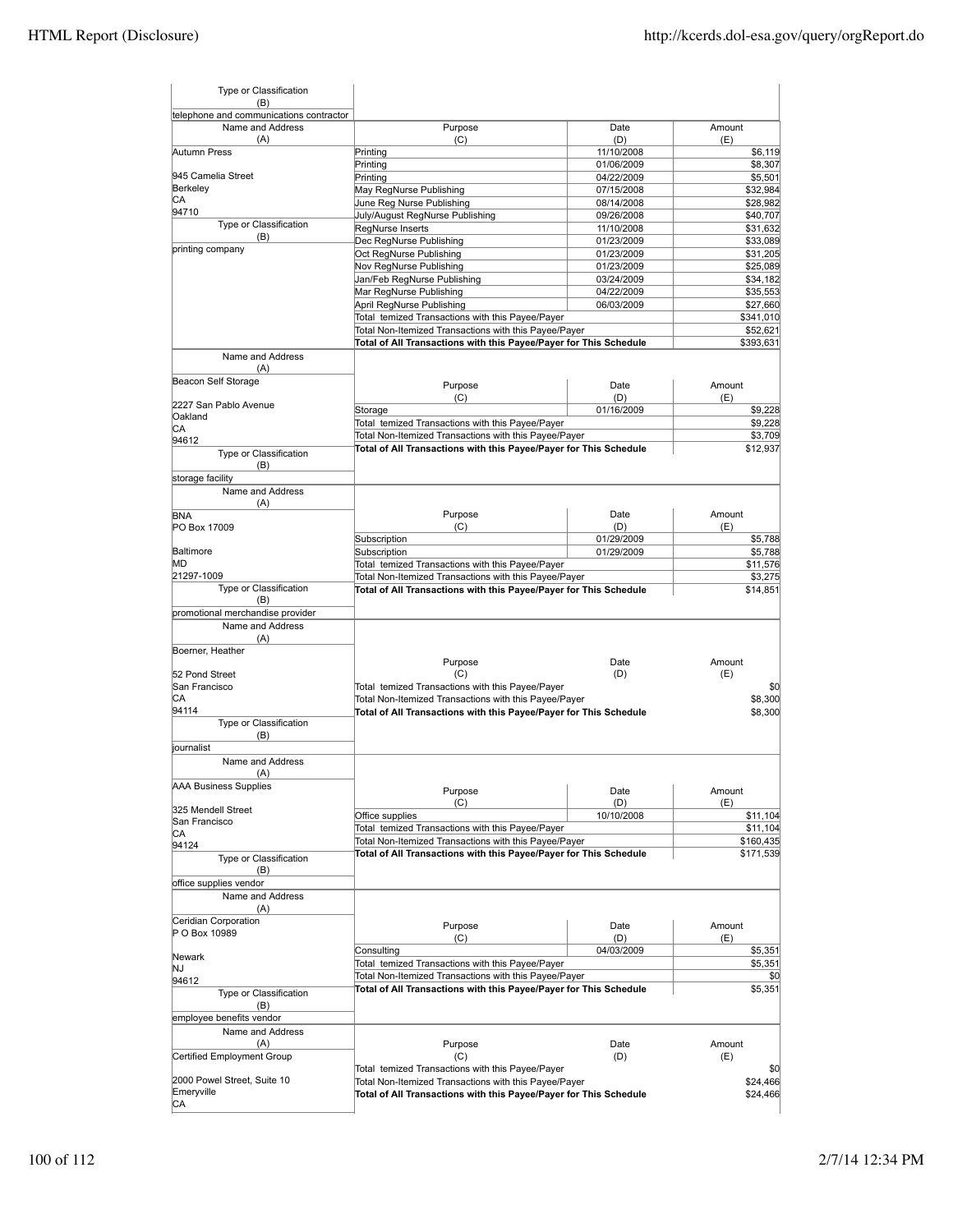| Type or Classification<br>(B)                                      |                                                                                                           |                          |                      |
|--------------------------------------------------------------------|-----------------------------------------------------------------------------------------------------------|--------------------------|----------------------|
| telephone and communications contractor<br>Name and Address<br>(A) | Purpose<br>(C)                                                                                            | Date<br>(D)              | Amount<br>(E)        |
| Autumn Press                                                       | Printing                                                                                                  | 11/10/2008               | \$6,119              |
|                                                                    | Printing                                                                                                  | 01/06/2009               | \$8,307              |
| 945 Camelia Street                                                 | Printing                                                                                                  | 04/22/2009               | \$5,501              |
| Berkeley                                                           | May RegNurse Publishing                                                                                   | 07/15/2008               | \$32,984             |
| СA                                                                 | June Reg Nurse Publishing                                                                                 | 08/14/2008               | \$28,982             |
| 94710<br>Type or Classification                                    | July/August RegNurse Publishing                                                                           | 09/26/2008               | \$40,707             |
| (B)                                                                | RegNurse Inserts                                                                                          | 11/10/2008               | \$31,632             |
| printing company                                                   | Dec RegNurse Publishing                                                                                   | 01/23/2009               | \$33,089             |
|                                                                    | Oct RegNurse Publishing                                                                                   | 01/23/2009               | \$31,205             |
|                                                                    | Nov RegNurse Publishing                                                                                   | 01/23/2009               | \$25,089             |
|                                                                    | Jan/Feb RegNurse Publishing                                                                               | 03/24/2009               | \$34,182             |
|                                                                    | Mar RegNurse Publishing<br>April RegNurse Publishing                                                      | 04/22/2009<br>06/03/2009 | \$35,553<br>\$27,660 |
|                                                                    | Total temized Transactions with this Payee/Payer                                                          |                          | \$341,010            |
|                                                                    | Total Non-Itemized Transactions with this Payee/Payer                                                     |                          | \$52,621             |
|                                                                    | Total of All Transactions with this Payee/Payer for This Schedule                                         |                          | \$393,631            |
| Name and Address                                                   |                                                                                                           |                          |                      |
| (A)                                                                |                                                                                                           |                          |                      |
| Beacon Self Storage                                                | Purpose                                                                                                   | Date                     | Amount               |
|                                                                    | (C)                                                                                                       | (D)                      | (E)                  |
| 2227 San Pablo Avenue<br>Oakland                                   | Storage                                                                                                   | 01/16/2009               | \$9,228              |
| СA                                                                 | Total temized Transactions with this Payee/Payer                                                          |                          | \$9,228              |
| 94612                                                              | Total Non-Itemized Transactions with this Payee/Payer                                                     |                          | \$3,709              |
| Type or Classification                                             | Total of All Transactions with this Payee/Payer for This Schedule                                         |                          | \$12,937             |
| (B)                                                                |                                                                                                           |                          |                      |
| storage facility<br>Name and Address                               |                                                                                                           |                          |                      |
| (A)                                                                |                                                                                                           |                          |                      |
| <b>BNA</b>                                                         | Purpose                                                                                                   | Date                     | Amount               |
| PO Box 17009                                                       | (C)                                                                                                       | (D)                      | (E)                  |
| Baltimore                                                          | Subscription                                                                                              | 01/29/2009               | \$5,788              |
| МD                                                                 | Subscription                                                                                              | 01/29/2009               | \$5,788              |
| 21297-1009                                                         | Total temized Transactions with this Payee/Payer<br>Total Non-Itemized Transactions with this Payee/Payer |                          | \$11,576<br>\$3,275  |
| Type or Classification                                             | Total of All Transactions with this Payee/Payer for This Schedule                                         |                          | \$14,851             |
| (B)                                                                |                                                                                                           |                          |                      |
| promotional merchandise provider                                   |                                                                                                           |                          |                      |
| Name and Address<br>(A)                                            |                                                                                                           |                          |                      |
| Boerner, Heather                                                   |                                                                                                           |                          |                      |
|                                                                    | Purpose                                                                                                   | Date                     | Amount               |
| 52 Pond Street<br>San Francisco                                    | (C)<br>Total temized Transactions with this Payee/Payer                                                   | (D)                      | (E)                  |
| СA                                                                 |                                                                                                           |                          | \$0                  |
| 94114                                                              | Total Non-Itemized Transactions with this Payee/Payer                                                     |                          | \$8,300<br>\$8,300   |
| Type or Classification                                             | Total of All Transactions with this Payee/Payer for This Schedule                                         |                          |                      |
| (B)                                                                |                                                                                                           |                          |                      |
| journalist                                                         |                                                                                                           |                          |                      |
| Name and Address                                                   |                                                                                                           |                          |                      |
| (A)                                                                |                                                                                                           |                          |                      |
| <b>AAA Business Supplies</b>                                       | Purpose                                                                                                   | Date                     | Amount               |
| 325 Mendell Street                                                 | (C)                                                                                                       | (D)                      | (E)                  |
| San Francisco                                                      | Office supplies                                                                                           | 10/10/2008               | \$11,104             |
| CА                                                                 | Total temized Transactions with this Payee/Payer                                                          |                          | \$11,104             |
| 94124                                                              | Total Non-Itemized Transactions with this Payee/Payer                                                     |                          | \$160,435            |
| Type or Classification                                             | Total of All Transactions with this Payee/Payer for This Schedule                                         |                          | \$171,539            |
| (B)                                                                |                                                                                                           |                          |                      |
| office supplies vendor                                             |                                                                                                           |                          |                      |
| Name and Address<br>(A)                                            |                                                                                                           |                          |                      |
| Ceridian Corporation                                               |                                                                                                           |                          |                      |
| P O Box 10989                                                      | Purpose                                                                                                   | Date                     | Amount               |
|                                                                    | (C)                                                                                                       | (D)                      | (E)                  |
| Newark                                                             | Consulting                                                                                                | 04/03/2009               | \$5,351              |
| NJ                                                                 | Total temized Transactions with this Payee/Payer                                                          |                          | \$5,351              |
| 94612                                                              | Total Non-Itemized Transactions with this Payee/Payer                                                     |                          | \$0                  |
| Type or Classification                                             | Total of All Transactions with this Payee/Payer for This Schedule                                         |                          | \$5,351              |
| (B)                                                                |                                                                                                           |                          |                      |
| employee benefits vendor                                           |                                                                                                           |                          |                      |
| Name and Address                                                   |                                                                                                           |                          |                      |
| (A)                                                                | Purpose                                                                                                   | Date                     | Amount               |
| Certified Employment Group                                         | (C)                                                                                                       | (D)                      | (E)                  |
|                                                                    | Total temized Transactions with this Payee/Payer                                                          |                          | \$0                  |
| 2000 Powel Street, Suite 10                                        | Total Non-Itemized Transactions with this Payee/Payer                                                     |                          | \$24,466             |
| Emeryville                                                         |                                                                                                           |                          |                      |
| СA                                                                 | Total of All Transactions with this Payee/Payer for This Schedule                                         |                          | \$24,466             |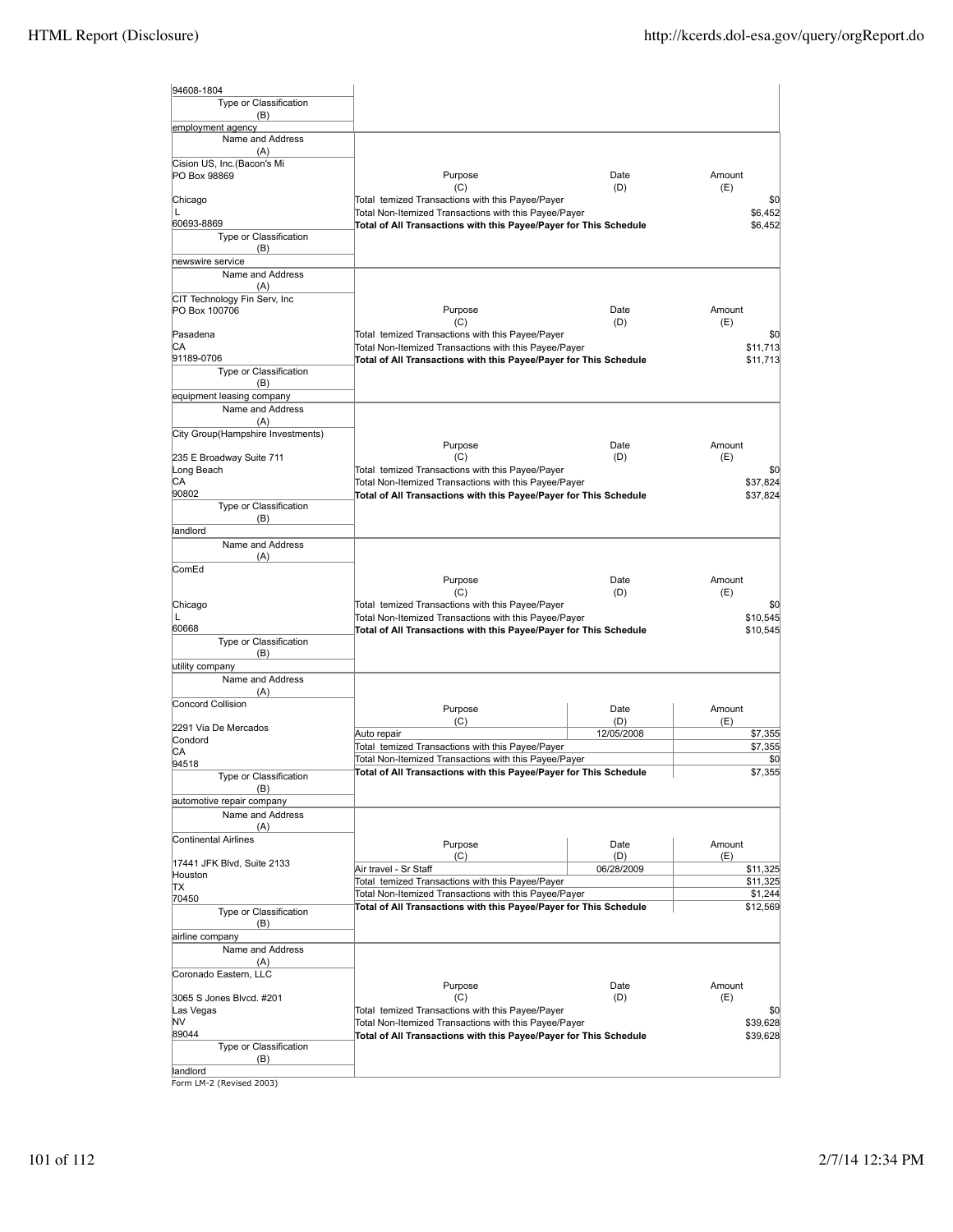| 94608-1804                                    |                                                                                                           |             |                      |
|-----------------------------------------------|-----------------------------------------------------------------------------------------------------------|-------------|----------------------|
| Type or Classification                        |                                                                                                           |             |                      |
| (B)                                           |                                                                                                           |             |                      |
| employment agency<br>Name and Address         |                                                                                                           |             |                      |
| (A)                                           |                                                                                                           |             |                      |
| Cision US, Inc.(Bacon's Mi<br>PO Box 98869    | Purpose                                                                                                   | Date        | Amount               |
| Chicago                                       | (C)<br>Total temized Transactions with this Payee/Payer                                                   | (D)         | (E)<br>\$0           |
| L                                             | Total Non-Itemized Transactions with this Payee/Payer                                                     |             | \$6,452              |
| 60693-8869                                    | Total of All Transactions with this Payee/Payer for This Schedule                                         |             | \$6,452              |
| Type or Classification<br>(B)                 |                                                                                                           |             |                      |
| newswire service                              |                                                                                                           |             |                      |
| Name and Address                              |                                                                                                           |             |                      |
| (A)                                           |                                                                                                           |             |                      |
| CIT Technology Fin Serv, Inc<br>PO Box 100706 | Purpose<br>(C)                                                                                            | Date<br>(D) | Amount<br>(E)        |
| Pasadena                                      | Total temized Transactions with this Payee/Payer                                                          |             | \$0                  |
| IСA                                           | Total Non-Itemized Transactions with this Payee/Payer                                                     |             | \$11,713             |
| 91189-0706<br>Type or Classification          | Total of All Transactions with this Payee/Payer for This Schedule                                         |             | \$11,713             |
| (B)                                           |                                                                                                           |             |                      |
| equipment leasing company                     |                                                                                                           |             |                      |
| Name and Address                              |                                                                                                           |             |                      |
| (A)<br>City Group(Hampshire Investments)      |                                                                                                           |             |                      |
|                                               | Purpose                                                                                                   | Date        | Amount               |
| 235 E Broadway Suite 711                      | (C)                                                                                                       | (D)         | (E)                  |
| Long Beach<br>CА                              | Total temized Transactions with this Payee/Payer<br>Total Non-Itemized Transactions with this Payee/Payer |             | \$0<br>\$37,824      |
| 90802                                         | Total of All Transactions with this Payee/Payer for This Schedule                                         |             | \$37,824             |
| Type or Classification                        |                                                                                                           |             |                      |
| (B)<br>landlord                               |                                                                                                           |             |                      |
| Name and Address                              |                                                                                                           |             |                      |
| (A)                                           |                                                                                                           |             |                      |
| ComEd                                         |                                                                                                           |             |                      |
|                                               | Purpose<br>(C)                                                                                            | Date<br>(D) | Amount<br>(E)        |
| Chicago                                       | Total temized Transactions with this Payee/Payer                                                          |             | \$0                  |
| L                                             | Total Non-Itemized Transactions with this Payee/Payer                                                     |             | \$10,545             |
| 60668<br>Type or Classification               | Total of All Transactions with this Payee/Payer for This Schedule                                         |             | \$10,545             |
| (B)                                           |                                                                                                           |             |                      |
| utility company                               |                                                                                                           |             |                      |
| Name and Address                              |                                                                                                           |             |                      |
| (A)<br>Concord Collision                      |                                                                                                           |             |                      |
|                                               | Purpose<br>(C)                                                                                            | Date<br>(D) | Amount<br>(E)        |
| 2291 Via De Mercados                          | Auto repair                                                                                               | 12/05/2008  | \$7,355              |
| Condord<br>CА                                 | Total temized Transactions with this Payee/Payer                                                          |             | \$7,355              |
| 94518                                         | Total Non-Itemized Transactions with this Payee/Payer                                                     |             | \$0                  |
| Type or Classification                        | Total of All Transactions with this Payee/Payer for This Schedule                                         |             | \$7,355              |
| (B)<br>automotive repair company              |                                                                                                           |             |                      |
| Name and Address                              |                                                                                                           |             |                      |
| (A)                                           |                                                                                                           |             |                      |
| Continental Airlines                          | Purpose                                                                                                   | Date        | Amount               |
| 17441 JFK Blvd, Suite 2133                    | (C)                                                                                                       | (D)         | (E)                  |
| Houston                                       | Air travel - Sr Staff<br>Total temized Transactions with this Payee/Payer                                 | 06/28/2009  | \$11,325<br>\$11,325 |
| ΠX<br>70450                                   | Total Non-Itemized Transactions with this Payee/Payer                                                     |             | \$1,244              |
| Type or Classification                        | Total of All Transactions with this Payee/Payer for This Schedule                                         |             | \$12,569             |
| (B)                                           |                                                                                                           |             |                      |
| airline company                               |                                                                                                           |             |                      |
| Name and Address<br>(A)                       |                                                                                                           |             |                      |
| Coronado Eastern, LLC                         |                                                                                                           |             |                      |
|                                               | Purpose                                                                                                   | Date        | Amount               |
| 3065 S Jones Blvcd. #201                      | (C)                                                                                                       | (D)         | (E)                  |
| Las Vegas<br>NV                               | Total temized Transactions with this Payee/Payer<br>Total Non-Itemized Transactions with this Payee/Payer |             | \$0<br>\$39,628      |
| 89044                                         | Total of All Transactions with this Payee/Payer for This Schedule                                         |             | \$39,628             |
| Type or Classification                        |                                                                                                           |             |                      |
| (B)<br>landlord                               |                                                                                                           |             |                      |

landlord Form LM-2 (Revised 2003)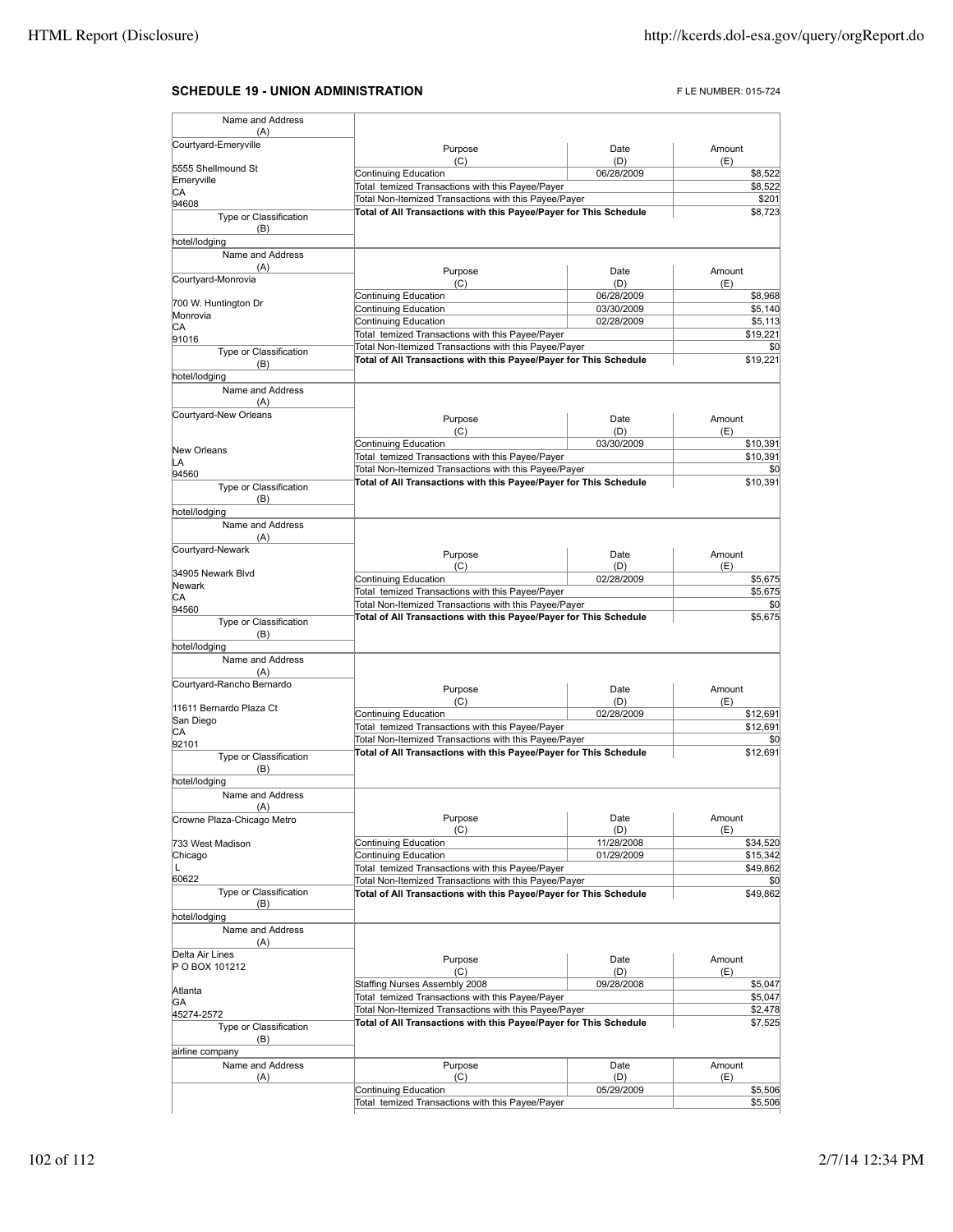## **SCHEDULE 19 - UNION ADMINISTRATION FLE NUMBER: 015-724**

| Name and Address                                                   |                                                                                                                            |                   |                                                                                                                                                                                |
|--------------------------------------------------------------------|----------------------------------------------------------------------------------------------------------------------------|-------------------|--------------------------------------------------------------------------------------------------------------------------------------------------------------------------------|
| (A)<br>Courtyard-Emeryville                                        |                                                                                                                            |                   |                                                                                                                                                                                |
|                                                                    | Purpose<br>(C)                                                                                                             | Date<br>(D)       | Amount<br>(E)                                                                                                                                                                  |
| 5555 Shellmound St                                                 | Continuing Education                                                                                                       | 06/28/2009        | \$8,522                                                                                                                                                                        |
| Emeryville<br>СA                                                   | Total temized Transactions with this Payee/Payer                                                                           |                   | \$8,522                                                                                                                                                                        |
| 94608                                                              | Total Non-Itemized Transactions with this Payee/Payer                                                                      | \$201             |                                                                                                                                                                                |
| Type or Classification<br>(B)<br>hotel/lodging                     | Total of All Transactions with this Payee/Payer for This Schedule                                                          | \$8,723           |                                                                                                                                                                                |
| Name and Address                                                   |                                                                                                                            |                   |                                                                                                                                                                                |
| (A)<br>Courtyard-Monrovia                                          | Purpose<br>(C)                                                                                                             | Date<br>(D)       | Amount<br>(E)                                                                                                                                                                  |
| 700 W. Huntington Dr                                               | Continuing Education                                                                                                       | 06/28/2009        | \$8,968                                                                                                                                                                        |
| Monrovia                                                           | Continuing Education                                                                                                       | 03/30/2009        | \$5,140                                                                                                                                                                        |
| СA                                                                 | Continuing Education<br>Total temized Transactions with this Payee/Payer                                                   | 02/28/2009        | \$5,113<br>\$19,221                                                                                                                                                            |
| 91016                                                              | Total Non-Itemized Transactions with this Payee/Payer                                                                      |                   | \$0                                                                                                                                                                            |
| Type or Classification<br>(B)                                      | Total of All Transactions with this Payee/Payer for This Schedule                                                          |                   | \$19,221                                                                                                                                                                       |
| hotel/lodging                                                      |                                                                                                                            |                   |                                                                                                                                                                                |
| Name and Address<br>(A)                                            |                                                                                                                            |                   |                                                                                                                                                                                |
| Courtyard-New Orleans                                              | Purpose                                                                                                                    | Date              | Amount                                                                                                                                                                         |
|                                                                    | (C)                                                                                                                        | (D)               | (E)                                                                                                                                                                            |
| New Orleans                                                        | Continuing Education                                                                                                       | 03/30/2009        | \$10,391                                                                                                                                                                       |
| LA                                                                 | Total temized Transactions with this Payee/Payer<br>Total Non-Itemized Transactions with this Payee/Payer                  |                   | \$10,391<br>\$0                                                                                                                                                                |
| 94560                                                              | Total of All Transactions with this Payee/Payer for This Schedule                                                          |                   | \$10,391                                                                                                                                                                       |
| Type or Classification<br>(B)                                      |                                                                                                                            |                   |                                                                                                                                                                                |
| hotel/lodging<br>Name and Address<br>(A)                           |                                                                                                                            |                   |                                                                                                                                                                                |
| Courtyard-Newark                                                   | Purpose                                                                                                                    | Date              | Amount                                                                                                                                                                         |
| 34905 Newark Blvd                                                  | (C)<br>Continuing Education                                                                                                | (D)<br>02/28/2009 | (E)<br>\$5,675                                                                                                                                                                 |
| Newark                                                             | Total temized Transactions with this Payee/Payer                                                                           |                   | \$5,675                                                                                                                                                                        |
|                                                                    |                                                                                                                            |                   |                                                                                                                                                                                |
| СA<br>94560                                                        | Total Non-Itemized Transactions with this Payee/Payer<br>Total of All Transactions with this Payee/Payer for This Schedule |                   |                                                                                                                                                                                |
| Type or Classification<br>(B)<br>hotel/lodging<br>Name and Address |                                                                                                                            |                   |                                                                                                                                                                                |
| (A)<br>Courtyard-Rancho Bernardo                                   | Purpose                                                                                                                    | Date              | Amount                                                                                                                                                                         |
| 11611 Bernardo Plaza Ct                                            | (C)                                                                                                                        | (D)               | (E)                                                                                                                                                                            |
| San Diego                                                          | Continuing Education                                                                                                       | 02/28/2009        |                                                                                                                                                                                |
| СA                                                                 | Total temized Transactions with this Payee/Payer<br>Total Non-Itemized Transactions with this Payee/Payer                  |                   |                                                                                                                                                                                |
| 92101<br>Type or Classification<br>(B)                             | Total of All Transactions with this Payee/Payer for This Schedule                                                          |                   |                                                                                                                                                                                |
| hotel/lodging<br>Name and Address                                  |                                                                                                                            |                   |                                                                                                                                                                                |
| (A)<br>Crowne Plaza-Chicago Metro                                  | Purpose<br>(C)                                                                                                             | Date<br>(D)       | Amount<br>(E)                                                                                                                                                                  |
| 733 West Madison                                                   | Continuing Education                                                                                                       | 11/28/2008        |                                                                                                                                                                                |
| Chicago                                                            | Continuing Education                                                                                                       | 01/29/2009        |                                                                                                                                                                                |
| L                                                                  | Total temized Transactions with this Payee/Payer                                                                           |                   |                                                                                                                                                                                |
| 60622<br>Type or Classification<br>(B)                             | Total Non-Itemized Transactions with this Payee/Payer<br>Total of All Transactions with this Payee/Payer for This Schedule |                   |                                                                                                                                                                                |
| hotel/lodging<br>Name and Address<br>(A)                           |                                                                                                                            |                   |                                                                                                                                                                                |
| Delta Air Lines<br>P O BOX 101212                                  | Purpose<br>(C)                                                                                                             | Date<br>(D)       | Amount                                                                                                                                                                         |
|                                                                    | Staffing Nurses Assembly 2008                                                                                              | 09/28/2008        | (E)                                                                                                                                                                            |
| Atlanta                                                            | Total temized Transactions with this Payee/Payer                                                                           |                   |                                                                                                                                                                                |
| GA<br>45274-2572                                                   | Total Non-Itemized Transactions with this Payee/Payer                                                                      |                   |                                                                                                                                                                                |
| Type or Classification<br>(B)                                      | Total of All Transactions with this Payee/Payer for This Schedule                                                          |                   |                                                                                                                                                                                |
| airline company                                                    |                                                                                                                            |                   |                                                                                                                                                                                |
| Name and Address                                                   | Purpose                                                                                                                    | Date              | Amount                                                                                                                                                                         |
| (A)                                                                | (C)<br>Continuing Education                                                                                                | (D)<br>05/29/2009 | \$0<br>\$5,675<br>\$12,691<br>\$12,691<br>\$0<br>\$12,691<br>\$34,520<br>\$15,342<br>\$49,862<br>\$0<br>\$49,862<br>\$5,047<br>\$5,047<br>\$2,478<br>\$7,525<br>(E)<br>\$5,506 |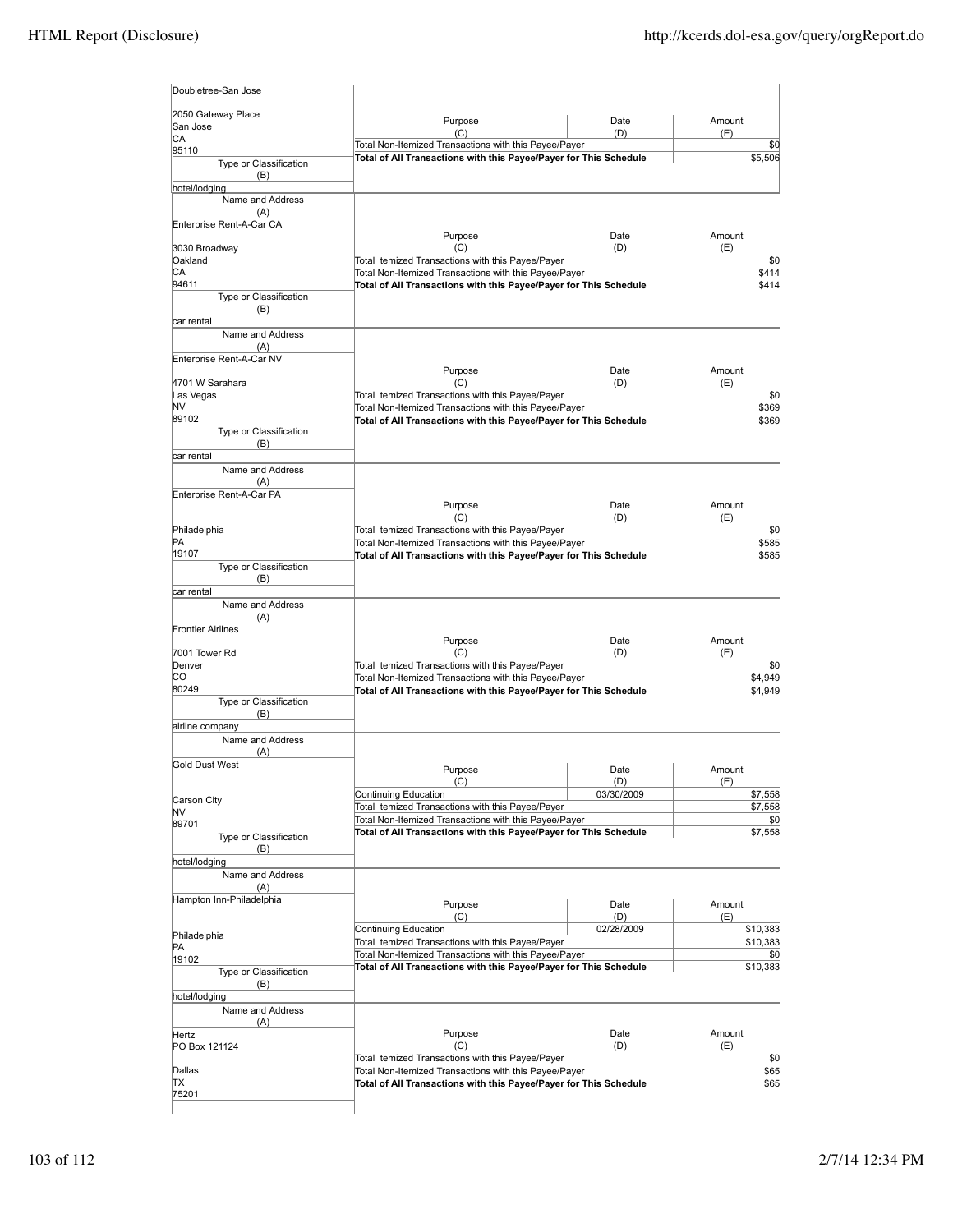| 2050 Gateway Place              |                                                                                                                            |             |                    |
|---------------------------------|----------------------------------------------------------------------------------------------------------------------------|-------------|--------------------|
| San Jose                        | Purpose<br>(C)                                                                                                             | Date<br>(D) | Amount<br>(E)      |
| CA                              | Total Non-Itemized Transactions with this Payee/Payer                                                                      |             | \$0                |
| 95110<br>Type or Classification | Total of All Transactions with this Payee/Payer for This Schedule                                                          |             | \$5,506            |
| (B)                             |                                                                                                                            |             |                    |
| hotel/lodging                   |                                                                                                                            |             |                    |
| Name and Address                |                                                                                                                            |             |                    |
| (A)                             |                                                                                                                            |             |                    |
| Enterprise Rent-A-Car CA        | Purpose                                                                                                                    | Date        | Amount             |
| 3030 Broadway                   | (C)                                                                                                                        | (D)         | (E)                |
| Oakland                         | Total temized Transactions with this Payee/Payer                                                                           |             | \$0                |
| СA                              | Total Non-Itemized Transactions with this Payee/Payer                                                                      |             | \$414              |
| 94611                           | Total of All Transactions with this Payee/Payer for This Schedule                                                          |             | \$414              |
| Type or Classification          |                                                                                                                            |             |                    |
| (B)<br>car rental               |                                                                                                                            |             |                    |
| Name and Address                |                                                                                                                            |             |                    |
| (A)                             |                                                                                                                            |             |                    |
| Enterprise Rent-A-Car NV        |                                                                                                                            |             |                    |
|                                 | Purpose                                                                                                                    | Date        | Amount             |
| 4701 W Sarahara                 | (C)                                                                                                                        | (D)         | (E)                |
| Las Vegas<br>NV                 | Total temized Transactions with this Payee/Payer<br>Total Non-Itemized Transactions with this Payee/Payer                  |             | \$0<br>\$369       |
| 89102                           | Total of All Transactions with this Payee/Payer for This Schedule                                                          |             | \$369              |
| Type or Classification          |                                                                                                                            |             |                    |
| (B)                             |                                                                                                                            |             |                    |
| car rental                      |                                                                                                                            |             |                    |
| Name and Address                |                                                                                                                            |             |                    |
| (A)<br>Enterprise Rent-A-Car PA |                                                                                                                            |             |                    |
|                                 | Purpose                                                                                                                    | Date        | Amount             |
|                                 | (C)                                                                                                                        | (D)         | (E)                |
| Philadelphia                    | Total temized Transactions with this Payee/Payer                                                                           |             | \$0                |
| PA                              | Total Non-Itemized Transactions with this Payee/Payer                                                                      |             | \$585              |
| 19107                           | Total of All Transactions with this Payee/Payer for This Schedule                                                          |             | \$585              |
| Type or Classification<br>(B)   |                                                                                                                            |             |                    |
| car rental                      |                                                                                                                            |             |                    |
| Name and Address                |                                                                                                                            |             |                    |
| (A)                             |                                                                                                                            |             |                    |
| <b>Frontier Airlines</b>        |                                                                                                                            |             |                    |
|                                 | Purpose                                                                                                                    | Date        | Amount             |
| 7001 Tower Rd<br>Denver         | (C)<br>Total temized Transactions with this Payee/Payer                                                                    | (D)         | (E)<br>\$0         |
| СO                              | Total Non-Itemized Transactions with this Payee/Payer                                                                      |             |                    |
|                                 |                                                                                                                            |             |                    |
| 80249                           | Total of All Transactions with this Payee/Payer for This Schedule                                                          |             | \$4,949<br>\$4,949 |
| Type or Classification          |                                                                                                                            |             |                    |
| (B)                             |                                                                                                                            |             |                    |
| airline company                 |                                                                                                                            |             |                    |
| Name and Address                |                                                                                                                            |             |                    |
| (A)<br><b>Gold Dust West</b>    |                                                                                                                            |             |                    |
|                                 | Purpose                                                                                                                    | Date        | Amount             |
|                                 | (C)                                                                                                                        | (D)         | (E)                |
| Carson City                     | Continuing Education<br>Total temized Transactions with this Payee/Payer                                                   | 03/30/2009  | \$7,558<br>\$7,558 |
| NV                              | Total Non-Itemized Transactions with this Payee/Payer                                                                      |             | \$0                |
| 89701                           | Total of All Transactions with this Payee/Payer for This Schedule                                                          |             | \$7,558            |
| Type or Classification<br>(B)   |                                                                                                                            |             |                    |
| hotel/lodging                   |                                                                                                                            |             |                    |
| Name and Address                |                                                                                                                            |             |                    |
| (A)                             |                                                                                                                            |             |                    |
| Hampton Inn-Philadelphia        | Purpose                                                                                                                    | Date        | Amount             |
|                                 | (C)                                                                                                                        | (D)         | (E)                |
|                                 | Continuing Education                                                                                                       | 02/28/2009  | \$10,383           |
| Philadelphia<br>PA              | Total temized Transactions with this Payee/Payer                                                                           |             | \$10,383           |
| 19102                           | Total Non-Itemized Transactions with this Payee/Payer                                                                      |             | \$C                |
| Type or Classification          | Total of All Transactions with this Payee/Payer for This Schedule                                                          |             | \$10,383           |
| (B)                             |                                                                                                                            |             |                    |
| hotel/lodging                   |                                                                                                                            |             |                    |
| Name and Address                |                                                                                                                            |             |                    |
| (A)                             |                                                                                                                            | Date        | Amount             |
| Hertz<br>PO Box 121124          | Purpose<br>(C)                                                                                                             | (D)         | (E)                |
|                                 | Total temized Transactions with this Payee/Payer                                                                           |             | \$0                |
| Dallas<br>TХ                    | Total Non-Itemized Transactions with this Payee/Payer<br>Total of All Transactions with this Payee/Payer for This Schedule |             | \$65<br>\$65       |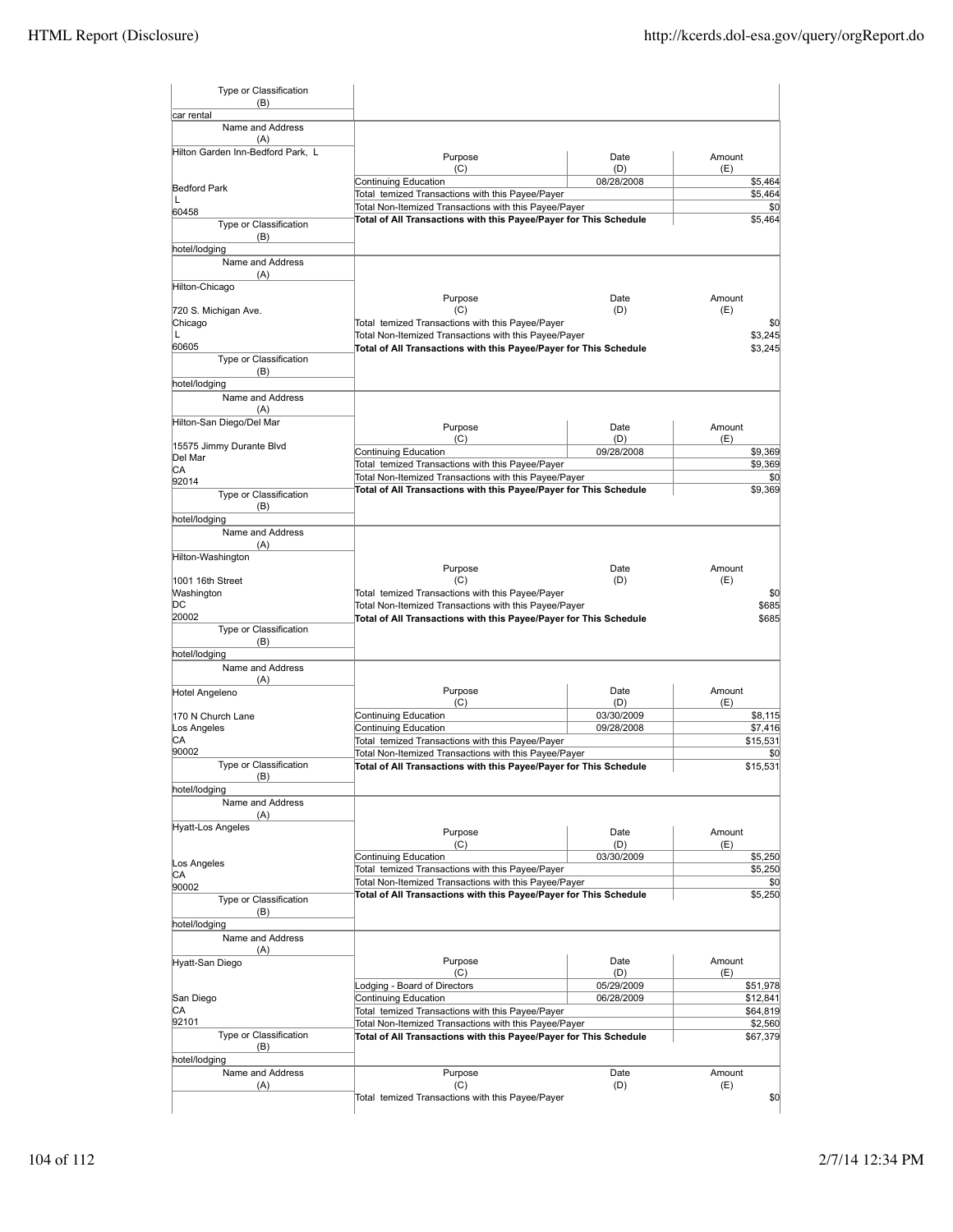| car rental<br>Name and Address<br>(A)<br>Hilton Garden Inn-Bedford Park, L<br><b>Bedford Park</b><br>L<br>60458<br>Type or Classification<br>(B)<br>hotel/lodging<br>Name and Address<br>(A)<br>Hilton-Chicago<br>720 S. Michigan Ave.<br>Chicago<br>L<br>60605<br>Type or Classification<br>(B)<br>hotel/lodging<br>Name and Address<br>(A)<br>Hilton-San Diego/Del Mar<br>15575 Jimmy Durante Blvd<br>Del Mar | Purpose<br>(C)<br>Continuing Education<br>Total temized Transactions with this Payee/Payer<br>Total Non-Itemized Transactions with this Payee/Payer<br>Total of All Transactions with this Payee/Payer for This Schedule<br>Purpose<br>(C)<br>Total temized Transactions with this Payee/Payer<br>Total Non-Itemized Transactions with this Payee/Payer<br>Total of All Transactions with this Payee/Payer for This Schedule | Date<br>(D)<br>08/28/2008<br>Date<br>(D) | Amount<br>(E)<br>\$5,464<br>\$5,464<br>\$0<br>\$5,464<br>Amount<br>(E)<br>\$0 |
|-----------------------------------------------------------------------------------------------------------------------------------------------------------------------------------------------------------------------------------------------------------------------------------------------------------------------------------------------------------------------------------------------------------------|------------------------------------------------------------------------------------------------------------------------------------------------------------------------------------------------------------------------------------------------------------------------------------------------------------------------------------------------------------------------------------------------------------------------------|------------------------------------------|-------------------------------------------------------------------------------|
|                                                                                                                                                                                                                                                                                                                                                                                                                 |                                                                                                                                                                                                                                                                                                                                                                                                                              |                                          |                                                                               |
|                                                                                                                                                                                                                                                                                                                                                                                                                 |                                                                                                                                                                                                                                                                                                                                                                                                                              |                                          |                                                                               |
|                                                                                                                                                                                                                                                                                                                                                                                                                 |                                                                                                                                                                                                                                                                                                                                                                                                                              |                                          |                                                                               |
|                                                                                                                                                                                                                                                                                                                                                                                                                 |                                                                                                                                                                                                                                                                                                                                                                                                                              |                                          |                                                                               |
|                                                                                                                                                                                                                                                                                                                                                                                                                 |                                                                                                                                                                                                                                                                                                                                                                                                                              |                                          |                                                                               |
|                                                                                                                                                                                                                                                                                                                                                                                                                 |                                                                                                                                                                                                                                                                                                                                                                                                                              |                                          |                                                                               |
|                                                                                                                                                                                                                                                                                                                                                                                                                 |                                                                                                                                                                                                                                                                                                                                                                                                                              |                                          |                                                                               |
|                                                                                                                                                                                                                                                                                                                                                                                                                 |                                                                                                                                                                                                                                                                                                                                                                                                                              |                                          |                                                                               |
|                                                                                                                                                                                                                                                                                                                                                                                                                 |                                                                                                                                                                                                                                                                                                                                                                                                                              |                                          |                                                                               |
|                                                                                                                                                                                                                                                                                                                                                                                                                 |                                                                                                                                                                                                                                                                                                                                                                                                                              |                                          |                                                                               |
|                                                                                                                                                                                                                                                                                                                                                                                                                 |                                                                                                                                                                                                                                                                                                                                                                                                                              |                                          |                                                                               |
|                                                                                                                                                                                                                                                                                                                                                                                                                 |                                                                                                                                                                                                                                                                                                                                                                                                                              |                                          |                                                                               |
|                                                                                                                                                                                                                                                                                                                                                                                                                 |                                                                                                                                                                                                                                                                                                                                                                                                                              |                                          |                                                                               |
|                                                                                                                                                                                                                                                                                                                                                                                                                 |                                                                                                                                                                                                                                                                                                                                                                                                                              |                                          | \$3,245<br>\$3,245                                                            |
|                                                                                                                                                                                                                                                                                                                                                                                                                 |                                                                                                                                                                                                                                                                                                                                                                                                                              |                                          |                                                                               |
|                                                                                                                                                                                                                                                                                                                                                                                                                 |                                                                                                                                                                                                                                                                                                                                                                                                                              |                                          |                                                                               |
|                                                                                                                                                                                                                                                                                                                                                                                                                 |                                                                                                                                                                                                                                                                                                                                                                                                                              |                                          |                                                                               |
|                                                                                                                                                                                                                                                                                                                                                                                                                 |                                                                                                                                                                                                                                                                                                                                                                                                                              |                                          |                                                                               |
|                                                                                                                                                                                                                                                                                                                                                                                                                 |                                                                                                                                                                                                                                                                                                                                                                                                                              |                                          |                                                                               |
|                                                                                                                                                                                                                                                                                                                                                                                                                 | Purpose                                                                                                                                                                                                                                                                                                                                                                                                                      | Date                                     | Amount                                                                        |
|                                                                                                                                                                                                                                                                                                                                                                                                                 | (C)                                                                                                                                                                                                                                                                                                                                                                                                                          | (D)                                      | (E)                                                                           |
|                                                                                                                                                                                                                                                                                                                                                                                                                 | <b>Continuing Education</b>                                                                                                                                                                                                                                                                                                                                                                                                  | 09/28/2008                               | \$9,369                                                                       |
|                                                                                                                                                                                                                                                                                                                                                                                                                 | Total temized Transactions with this Payee/Payer                                                                                                                                                                                                                                                                                                                                                                             |                                          | \$9,369                                                                       |
| CA<br>92014                                                                                                                                                                                                                                                                                                                                                                                                     | Total Non-Itemized Transactions with this Payee/Payer                                                                                                                                                                                                                                                                                                                                                                        |                                          | \$0                                                                           |
| Type or Classification                                                                                                                                                                                                                                                                                                                                                                                          | Total of All Transactions with this Payee/Payer for This Schedule                                                                                                                                                                                                                                                                                                                                                            |                                          | \$9,369                                                                       |
| (B)                                                                                                                                                                                                                                                                                                                                                                                                             |                                                                                                                                                                                                                                                                                                                                                                                                                              |                                          |                                                                               |
| hotel/lodging                                                                                                                                                                                                                                                                                                                                                                                                   |                                                                                                                                                                                                                                                                                                                                                                                                                              |                                          |                                                                               |
| Name and Address                                                                                                                                                                                                                                                                                                                                                                                                |                                                                                                                                                                                                                                                                                                                                                                                                                              |                                          |                                                                               |
| (A)                                                                                                                                                                                                                                                                                                                                                                                                             |                                                                                                                                                                                                                                                                                                                                                                                                                              |                                          |                                                                               |
| Hilton-Washington                                                                                                                                                                                                                                                                                                                                                                                               |                                                                                                                                                                                                                                                                                                                                                                                                                              |                                          |                                                                               |
|                                                                                                                                                                                                                                                                                                                                                                                                                 | Purpose                                                                                                                                                                                                                                                                                                                                                                                                                      | Date                                     | Amount                                                                        |
| 1001 16th Street                                                                                                                                                                                                                                                                                                                                                                                                | (C)                                                                                                                                                                                                                                                                                                                                                                                                                          | (D)                                      | (E)                                                                           |
| Washington                                                                                                                                                                                                                                                                                                                                                                                                      | Total temized Transactions with this Payee/Payer                                                                                                                                                                                                                                                                                                                                                                             |                                          | \$0                                                                           |
| DC                                                                                                                                                                                                                                                                                                                                                                                                              | Total Non-Itemized Transactions with this Payee/Payer                                                                                                                                                                                                                                                                                                                                                                        |                                          | \$685                                                                         |
| 20002<br>Type or Classification                                                                                                                                                                                                                                                                                                                                                                                 | Total of All Transactions with this Payee/Payer for This Schedule                                                                                                                                                                                                                                                                                                                                                            |                                          | \$685                                                                         |
| (B)                                                                                                                                                                                                                                                                                                                                                                                                             |                                                                                                                                                                                                                                                                                                                                                                                                                              |                                          |                                                                               |
| hotel/lodging                                                                                                                                                                                                                                                                                                                                                                                                   |                                                                                                                                                                                                                                                                                                                                                                                                                              |                                          |                                                                               |
| Name and Address                                                                                                                                                                                                                                                                                                                                                                                                |                                                                                                                                                                                                                                                                                                                                                                                                                              |                                          |                                                                               |
| (A)                                                                                                                                                                                                                                                                                                                                                                                                             |                                                                                                                                                                                                                                                                                                                                                                                                                              |                                          |                                                                               |
| Hotel Angeleno                                                                                                                                                                                                                                                                                                                                                                                                  | Purpose                                                                                                                                                                                                                                                                                                                                                                                                                      | Date                                     | Amount                                                                        |
|                                                                                                                                                                                                                                                                                                                                                                                                                 | (C)                                                                                                                                                                                                                                                                                                                                                                                                                          | (D)                                      | (E)                                                                           |
| 170 N Church Lane                                                                                                                                                                                                                                                                                                                                                                                               | Continuing Education                                                                                                                                                                                                                                                                                                                                                                                                         | 03/30/2009                               | \$8,115                                                                       |
| Los Angeles                                                                                                                                                                                                                                                                                                                                                                                                     | Continuing Education                                                                                                                                                                                                                                                                                                                                                                                                         | 09/28/2008                               | \$7,416                                                                       |
| СA<br>90002                                                                                                                                                                                                                                                                                                                                                                                                     | Total temized Transactions with this Payee/Payer                                                                                                                                                                                                                                                                                                                                                                             |                                          | \$15,531                                                                      |
| Type or Classification                                                                                                                                                                                                                                                                                                                                                                                          | Total Non-Itemized Transactions with this Payee/Payer                                                                                                                                                                                                                                                                                                                                                                        |                                          | \$0                                                                           |
| (B)                                                                                                                                                                                                                                                                                                                                                                                                             | Total of All Transactions with this Payee/Payer for This Schedule                                                                                                                                                                                                                                                                                                                                                            |                                          | \$15,531                                                                      |
| hotel/lodging                                                                                                                                                                                                                                                                                                                                                                                                   |                                                                                                                                                                                                                                                                                                                                                                                                                              |                                          |                                                                               |
| Name and Address                                                                                                                                                                                                                                                                                                                                                                                                |                                                                                                                                                                                                                                                                                                                                                                                                                              |                                          |                                                                               |
| (A)                                                                                                                                                                                                                                                                                                                                                                                                             |                                                                                                                                                                                                                                                                                                                                                                                                                              |                                          |                                                                               |
| Hyatt-Los Angeles                                                                                                                                                                                                                                                                                                                                                                                               | Purpose                                                                                                                                                                                                                                                                                                                                                                                                                      | Date                                     | Amount                                                                        |
|                                                                                                                                                                                                                                                                                                                                                                                                                 | (C)                                                                                                                                                                                                                                                                                                                                                                                                                          | (D)                                      | (E)                                                                           |
|                                                                                                                                                                                                                                                                                                                                                                                                                 | Continuing Education                                                                                                                                                                                                                                                                                                                                                                                                         | 03/30/2009                               | \$5,250                                                                       |
| Los Angeles                                                                                                                                                                                                                                                                                                                                                                                                     | Total temized Transactions with this Payee/Payer                                                                                                                                                                                                                                                                                                                                                                             |                                          | \$5,250                                                                       |
| СA<br>90002                                                                                                                                                                                                                                                                                                                                                                                                     | Total Non-Itemized Transactions with this Payee/Payer                                                                                                                                                                                                                                                                                                                                                                        |                                          | \$0                                                                           |
| Type or Classification                                                                                                                                                                                                                                                                                                                                                                                          | Total of All Transactions with this Payee/Payer for This Schedule                                                                                                                                                                                                                                                                                                                                                            |                                          | \$5,250                                                                       |
| (B)                                                                                                                                                                                                                                                                                                                                                                                                             |                                                                                                                                                                                                                                                                                                                                                                                                                              |                                          |                                                                               |
| hotel/lodging                                                                                                                                                                                                                                                                                                                                                                                                   |                                                                                                                                                                                                                                                                                                                                                                                                                              |                                          |                                                                               |
| Name and Address                                                                                                                                                                                                                                                                                                                                                                                                |                                                                                                                                                                                                                                                                                                                                                                                                                              |                                          |                                                                               |
| (A)                                                                                                                                                                                                                                                                                                                                                                                                             |                                                                                                                                                                                                                                                                                                                                                                                                                              |                                          |                                                                               |
| Hyatt-San Diego                                                                                                                                                                                                                                                                                                                                                                                                 | Purpose                                                                                                                                                                                                                                                                                                                                                                                                                      | Date                                     | Amount                                                                        |
|                                                                                                                                                                                                                                                                                                                                                                                                                 | (C)                                                                                                                                                                                                                                                                                                                                                                                                                          | (D)                                      | (E)                                                                           |
|                                                                                                                                                                                                                                                                                                                                                                                                                 | Lodging - Board of Directors                                                                                                                                                                                                                                                                                                                                                                                                 | 05/29/2009                               | \$51,978                                                                      |
|                                                                                                                                                                                                                                                                                                                                                                                                                 | Continuing Education                                                                                                                                                                                                                                                                                                                                                                                                         | 06/28/2009                               | \$12,841                                                                      |
|                                                                                                                                                                                                                                                                                                                                                                                                                 | Total temized Transactions with this Payee/Payer                                                                                                                                                                                                                                                                                                                                                                             |                                          | \$64,819                                                                      |
| San Diego<br>СA                                                                                                                                                                                                                                                                                                                                                                                                 | Total Non-Itemized Transactions with this Payee/Payer                                                                                                                                                                                                                                                                                                                                                                        |                                          | \$2,560                                                                       |
|                                                                                                                                                                                                                                                                                                                                                                                                                 |                                                                                                                                                                                                                                                                                                                                                                                                                              |                                          | \$67,379                                                                      |
| 92101<br>Type or Classification                                                                                                                                                                                                                                                                                                                                                                                 | Total of All Transactions with this Payee/Payer for This Schedule                                                                                                                                                                                                                                                                                                                                                            |                                          |                                                                               |
| (B)                                                                                                                                                                                                                                                                                                                                                                                                             |                                                                                                                                                                                                                                                                                                                                                                                                                              |                                          |                                                                               |
| hotel/lodging                                                                                                                                                                                                                                                                                                                                                                                                   |                                                                                                                                                                                                                                                                                                                                                                                                                              |                                          |                                                                               |
| Name and Address<br>(A)                                                                                                                                                                                                                                                                                                                                                                                         | Purpose<br>(C)                                                                                                                                                                                                                                                                                                                                                                                                               | Date<br>(D)                              | Amount<br>(E)                                                                 |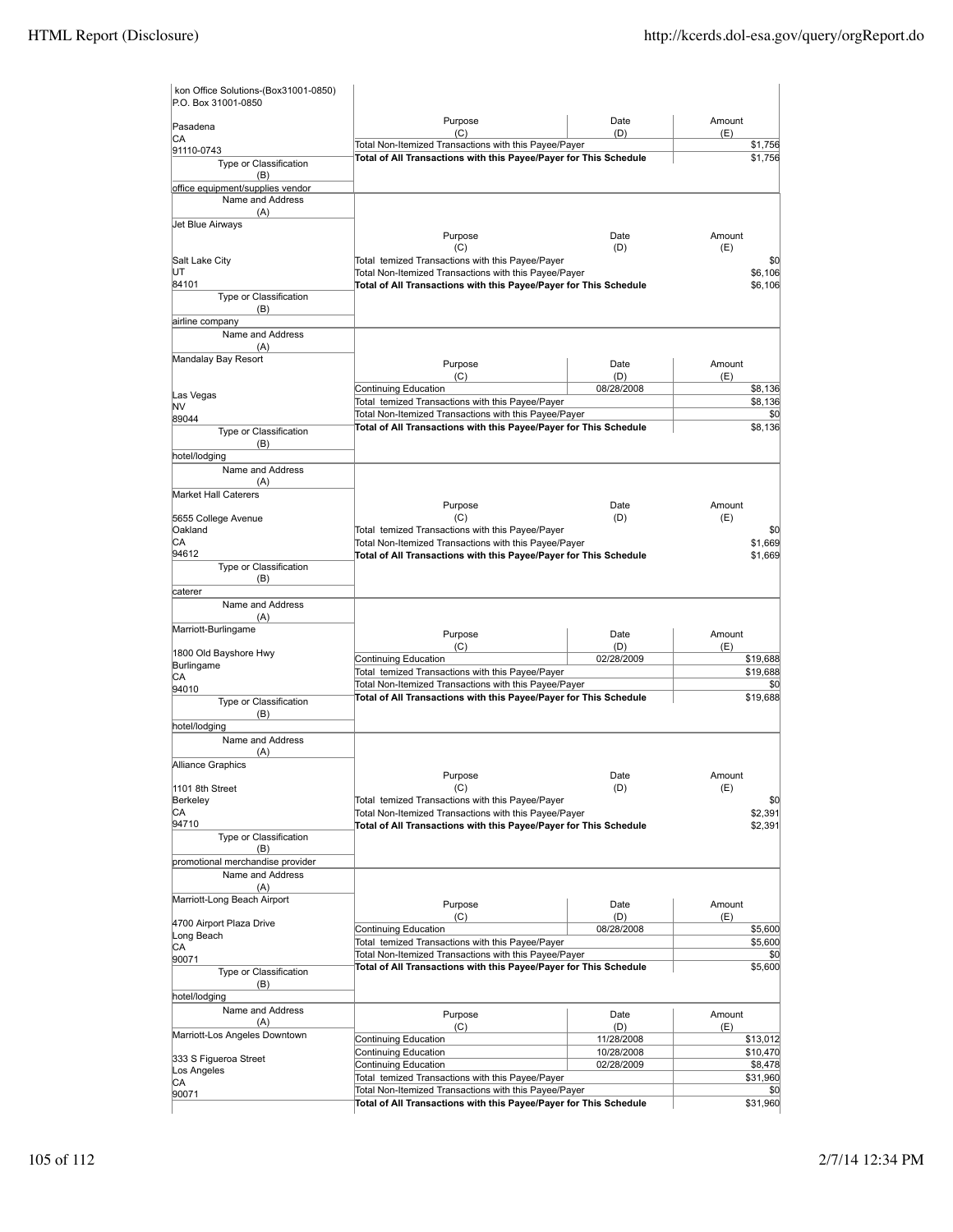| kon Office Solutions-(Box31001-0850)<br>P.O. Box 31001-0850 |                                                                                                                            |             |                |
|-------------------------------------------------------------|----------------------------------------------------------------------------------------------------------------------------|-------------|----------------|
| Pasadena                                                    | Purpose<br>(C)                                                                                                             | Date<br>(D) | Amount<br>(E)  |
| СA<br>91110-0743                                            | Total Non-Itemized Transactions with this Payee/Payer                                                                      |             | \$1,756        |
| Type or Classification                                      | Total of All Transactions with this Payee/Payer for This Schedule                                                          |             | \$1,756        |
| (B)                                                         |                                                                                                                            |             |                |
| office equipment/supplies vendor                            |                                                                                                                            |             |                |
| Name and Address<br>(A)                                     |                                                                                                                            |             |                |
| Jet Blue Airways                                            |                                                                                                                            |             |                |
|                                                             | Purpose                                                                                                                    | Date        | Amount         |
|                                                             | (C)                                                                                                                        | (D)         | (E)            |
| Salt Lake City<br>UT                                        | Total temized Transactions with this Payee/Payer<br>Total Non-Itemized Transactions with this Payee/Payer                  |             | \$0<br>\$6,106 |
| 84101                                                       | Total of All Transactions with this Payee/Payer for This Schedule                                                          |             | \$6.106        |
| Type or Classification                                      |                                                                                                                            |             |                |
| (B)                                                         |                                                                                                                            |             |                |
| airline company<br>Name and Address                         |                                                                                                                            |             |                |
| (A)                                                         |                                                                                                                            |             |                |
| Mandalay Bay Resort                                         | Purpose                                                                                                                    | Date        | Amount         |
|                                                             | (C)                                                                                                                        | (D)         | (E)            |
|                                                             | Continuing Education                                                                                                       | 08/28/2008  | \$8,136        |
| Las Vegas<br>NV                                             | Total temized Transactions with this Payee/Payer                                                                           |             | \$8,136        |
| 89044                                                       | Total Non-Itemized Transactions with this Payee/Payer                                                                      |             | \$0            |
| Type or Classification                                      | Total of All Transactions with this Payee/Payer for This Schedule                                                          |             | \$8.136        |
| (B)                                                         |                                                                                                                            |             |                |
| hotel/lodging<br>Name and Address                           |                                                                                                                            |             |                |
| (A)                                                         |                                                                                                                            |             |                |
| <b>Market Hall Caterers</b>                                 |                                                                                                                            |             |                |
|                                                             | Purpose                                                                                                                    | Date        | Amount         |
| 5655 College Avenue                                         | (C)                                                                                                                        | (D)         | (E)            |
| Oakland<br>СA                                               | Total temized Transactions with this Payee/Payer<br>Total Non-Itemized Transactions with this Payee/Payer                  |             | \$0<br>\$1,669 |
| 94612                                                       | Total of All Transactions with this Payee/Payer for This Schedule                                                          |             | \$1,669        |
| Type or Classification                                      |                                                                                                                            |             |                |
| (B)                                                         |                                                                                                                            |             |                |
| caterer                                                     |                                                                                                                            |             |                |
| Name and Address<br>(A)                                     |                                                                                                                            |             |                |
| Marriott-Burlingame                                         |                                                                                                                            |             |                |
|                                                             | Purpose<br>(C)                                                                                                             | Date<br>(D) | Amount<br>(E)  |
| 1800 Old Bayshore Hwy                                       | Continuing Education                                                                                                       | 02/28/2009  | \$19,688       |
| Burlingame<br>СA                                            | Total temized Transactions with this Payee/Payer                                                                           |             | \$19,688       |
| 94010                                                       | Total Non-Itemized Transactions with this Payee/Payer                                                                      |             | \$0            |
| Type or Classification                                      | Total of All Transactions with this Payee/Payer for This Schedule                                                          |             | \$19,688       |
| (B)                                                         |                                                                                                                            |             |                |
| hotel/lodaina                                               |                                                                                                                            |             |                |
| Name and Address<br>(A)                                     |                                                                                                                            |             |                |
| Alliance Graphics                                           |                                                                                                                            |             |                |
|                                                             | Purpose                                                                                                                    | Date        | Amount         |
| 1101 8th Street                                             | (C)                                                                                                                        | (D)         | (E)            |
| Berkeley                                                    | Total temized Transactions with this Payee/Payer                                                                           |             | \$0            |
| СA<br>94710                                                 | Total Non-Itemized Transactions with this Payee/Payer<br>Total of All Transactions with this Payee/Payer for This Schedule |             | \$2,391        |
| Type or Classification                                      |                                                                                                                            |             | \$2,391        |
| (B)                                                         |                                                                                                                            |             |                |
| promotional merchandise provider                            |                                                                                                                            |             |                |
| Name and Address                                            |                                                                                                                            |             |                |
| (A)                                                         |                                                                                                                            |             |                |
| Marriott-Long Beach Airport                                 | Purpose                                                                                                                    | Date        | Amount         |
| 4700 Airport Plaza Drive                                    | (C)                                                                                                                        | (D)         | (E)            |
| Long Beach                                                  | Continuing Education<br>Total temized Transactions with this Payee/Payer                                                   | 08/28/2008  | \$5,600        |
| СA                                                          | Total Non-Itemized Transactions with this Payee/Payer                                                                      |             | \$5,600<br>\$0 |
| 90071<br>Type or Classification                             | Total of All Transactions with this Payee/Payer for This Schedule                                                          |             | \$5,600        |
| (B)                                                         |                                                                                                                            |             |                |
| hotel/lodging                                               |                                                                                                                            |             |                |
| Name and Address                                            | Purpose                                                                                                                    | Date        | Amount         |
| (A)                                                         | (C)                                                                                                                        | (D)         | (E)            |
| Marriott-Los Angeles Downtown                               | Continuing Education                                                                                                       | 11/28/2008  | \$13,012       |
| 333 S Figueroa Street                                       | Continuing Education                                                                                                       | 10/28/2008  | \$10,470       |
| Los Angeles                                                 | Continuing Education                                                                                                       | 02/28/2009  | \$8,478        |
| СA                                                          | Total temized Transactions with this Payee/Payer                                                                           |             | \$31,960       |
| 90071                                                       | Total Non-Itemized Transactions with this Payee/Payer                                                                      |             | \$0            |
|                                                             | Total of All Transactions with this Payee/Payer for This Schedule                                                          |             | \$31,960       |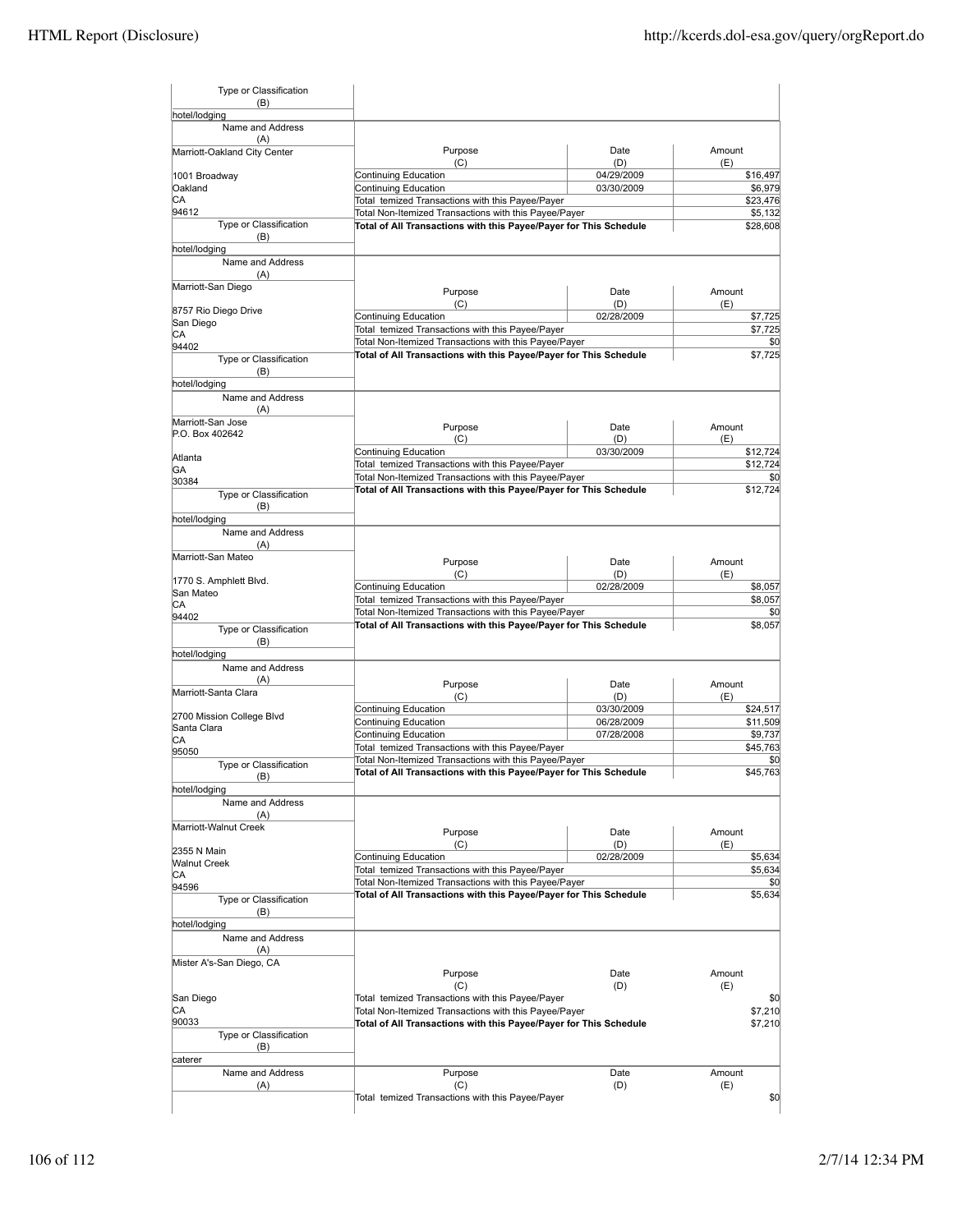| hotel/lodging<br>Name and Address<br>(A)<br>Purpose<br>Date<br>Amount<br>Marriott-Oakland City Center<br>(D)<br>(C)<br>(E)<br>04/29/2009<br>Continuing Education<br>1001 Broadway<br>Oakland<br>Continuing Education<br>03/30/2009<br>CA<br>Total temized Transactions with this Payee/Payer<br>94612<br>Total Non-Itemized Transactions with this Payee/Payer<br>Type or Classification<br>Total of All Transactions with this Payee/Payer for This Schedule<br>(B)<br>hotel/lodging<br>Name and Address<br>(A)<br>Marriott-San Diego<br>Purpose<br>Date<br>Amount<br>(C)<br>(D)<br>(E)<br>8757 Rio Diego Drive<br>Continuing Education<br>02/28/2009<br>San Diego<br>Total temized Transactions with this Payee/Payer<br>СA<br>Total Non-Itemized Transactions with this Payee/Payer<br>94402<br>Total of All Transactions with this Payee/Payer for This Schedule<br>Type or Classification<br>(B)<br>hotel/lodging<br>Name and Address<br>(A)<br>Marriott-San Jose<br>Amount<br>Purpose<br>Date<br>P.O. Box 402642<br>(D)<br>(C)<br>(E)<br>Continuing Education<br>03/30/2009<br>Atlanta<br>Total temized Transactions with this Payee/Payer<br>GA<br>Total Non-Itemized Transactions with this Payee/Payer<br>30384<br>Total of All Transactions with this Payee/Payer for This Schedule<br>Type or Classification<br>(B)<br>hotel/lodging<br>Name and Address<br>(A)<br>Marriott-San Mateo<br>Purpose<br>Date<br>Amount<br>(C)<br>(D)<br>(E)<br>1770 S. Amphlett Blvd.<br>Continuing Education<br>02/28/2009<br>San Mateo<br>Total temized Transactions with this Payee/Payer<br>СA<br>Total Non-Itemized Transactions with this Payee/Payer<br>94402<br>Total of All Transactions with this Payee/Payer for This Schedule<br>Type or Classification<br>(B)<br>hotel/lodging<br>Name and Address<br>(A)<br>Purpose<br>Date<br>Amount<br>Marriott-Santa Clara<br>(C)<br>(D)<br>(E)<br>Continuing Education<br>03/30/2009<br>\$24,517<br>2700 Mission College Blvd<br>Continuing Education<br>06/28/2009<br>Santa Clara<br>Continuing Education<br>07/28/2008<br>СA<br>Total temized Transactions with this Payee/Payer<br>95050<br>Total Non-Itemized Transactions with this Payee/Payer<br>Type or Classification<br>Total of All Transactions with this Payee/Payer for This Schedule<br>(B)<br>hotel/lodging<br>Name and Address<br>(A)<br>Marriott-Walnut Creek<br>Purpose<br>Amount<br>Date<br>(D)<br>(C)<br>(E)<br>2355 N Main<br>Continuing Education<br>02/28/2009<br><b>Walnut Creek</b><br>Total temized Transactions with this Payee/Payer<br>СA<br>Total Non-Itemized Transactions with this Payee/Payer<br>94596<br>Total of All Transactions with this Payee/Payer for This Schedule<br>Type or Classification<br>(B)<br>hotel/lodging<br>Name and Address<br>(A)<br>Mister A's-San Diego, CA<br>Purpose<br>Date<br>Amount<br>(C)<br>(D)<br>(E)<br>San Diego<br>Total temized Transactions with this Payee/Payer<br>СA<br>Total Non-Itemized Transactions with this Payee/Payer<br>90033<br>Total of All Transactions with this Payee/Payer for This Schedule<br>Type or Classification<br>(B)<br>caterer<br>Name and Address<br>Purpose<br>Amount<br>Date<br>(D)<br>(A)<br>(C)<br>(E) | Type or Classification<br>(B) |                                                  |                    |
|-----------------------------------------------------------------------------------------------------------------------------------------------------------------------------------------------------------------------------------------------------------------------------------------------------------------------------------------------------------------------------------------------------------------------------------------------------------------------------------------------------------------------------------------------------------------------------------------------------------------------------------------------------------------------------------------------------------------------------------------------------------------------------------------------------------------------------------------------------------------------------------------------------------------------------------------------------------------------------------------------------------------------------------------------------------------------------------------------------------------------------------------------------------------------------------------------------------------------------------------------------------------------------------------------------------------------------------------------------------------------------------------------------------------------------------------------------------------------------------------------------------------------------------------------------------------------------------------------------------------------------------------------------------------------------------------------------------------------------------------------------------------------------------------------------------------------------------------------------------------------------------------------------------------------------------------------------------------------------------------------------------------------------------------------------------------------------------------------------------------------------------------------------------------------------------------------------------------------------------------------------------------------------------------------------------------------------------------------------------------------------------------------------------------------------------------------------------------------------------------------------------------------------------------------------------------------------------------------------------------------------------------------------------------------------------------------------------------------------------------------------------------------------------------------------------------------------------------------------------------------------------------------------------------------------------------------------------------------------------------------------------------------------------------------------------------------------------------------------------------------------------------------------------------------------------------------------------|-------------------------------|--------------------------------------------------|--------------------|
|                                                                                                                                                                                                                                                                                                                                                                                                                                                                                                                                                                                                                                                                                                                                                                                                                                                                                                                                                                                                                                                                                                                                                                                                                                                                                                                                                                                                                                                                                                                                                                                                                                                                                                                                                                                                                                                                                                                                                                                                                                                                                                                                                                                                                                                                                                                                                                                                                                                                                                                                                                                                                                                                                                                                                                                                                                                                                                                                                                                                                                                                                                                                                                                                           |                               |                                                  |                    |
|                                                                                                                                                                                                                                                                                                                                                                                                                                                                                                                                                                                                                                                                                                                                                                                                                                                                                                                                                                                                                                                                                                                                                                                                                                                                                                                                                                                                                                                                                                                                                                                                                                                                                                                                                                                                                                                                                                                                                                                                                                                                                                                                                                                                                                                                                                                                                                                                                                                                                                                                                                                                                                                                                                                                                                                                                                                                                                                                                                                                                                                                                                                                                                                                           |                               |                                                  |                    |
|                                                                                                                                                                                                                                                                                                                                                                                                                                                                                                                                                                                                                                                                                                                                                                                                                                                                                                                                                                                                                                                                                                                                                                                                                                                                                                                                                                                                                                                                                                                                                                                                                                                                                                                                                                                                                                                                                                                                                                                                                                                                                                                                                                                                                                                                                                                                                                                                                                                                                                                                                                                                                                                                                                                                                                                                                                                                                                                                                                                                                                                                                                                                                                                                           |                               |                                                  |                    |
|                                                                                                                                                                                                                                                                                                                                                                                                                                                                                                                                                                                                                                                                                                                                                                                                                                                                                                                                                                                                                                                                                                                                                                                                                                                                                                                                                                                                                                                                                                                                                                                                                                                                                                                                                                                                                                                                                                                                                                                                                                                                                                                                                                                                                                                                                                                                                                                                                                                                                                                                                                                                                                                                                                                                                                                                                                                                                                                                                                                                                                                                                                                                                                                                           |                               |                                                  | \$16,497           |
|                                                                                                                                                                                                                                                                                                                                                                                                                                                                                                                                                                                                                                                                                                                                                                                                                                                                                                                                                                                                                                                                                                                                                                                                                                                                                                                                                                                                                                                                                                                                                                                                                                                                                                                                                                                                                                                                                                                                                                                                                                                                                                                                                                                                                                                                                                                                                                                                                                                                                                                                                                                                                                                                                                                                                                                                                                                                                                                                                                                                                                                                                                                                                                                                           |                               |                                                  | \$6,979            |
|                                                                                                                                                                                                                                                                                                                                                                                                                                                                                                                                                                                                                                                                                                                                                                                                                                                                                                                                                                                                                                                                                                                                                                                                                                                                                                                                                                                                                                                                                                                                                                                                                                                                                                                                                                                                                                                                                                                                                                                                                                                                                                                                                                                                                                                                                                                                                                                                                                                                                                                                                                                                                                                                                                                                                                                                                                                                                                                                                                                                                                                                                                                                                                                                           |                               |                                                  | \$23,476           |
|                                                                                                                                                                                                                                                                                                                                                                                                                                                                                                                                                                                                                                                                                                                                                                                                                                                                                                                                                                                                                                                                                                                                                                                                                                                                                                                                                                                                                                                                                                                                                                                                                                                                                                                                                                                                                                                                                                                                                                                                                                                                                                                                                                                                                                                                                                                                                                                                                                                                                                                                                                                                                                                                                                                                                                                                                                                                                                                                                                                                                                                                                                                                                                                                           |                               |                                                  | \$5,132            |
|                                                                                                                                                                                                                                                                                                                                                                                                                                                                                                                                                                                                                                                                                                                                                                                                                                                                                                                                                                                                                                                                                                                                                                                                                                                                                                                                                                                                                                                                                                                                                                                                                                                                                                                                                                                                                                                                                                                                                                                                                                                                                                                                                                                                                                                                                                                                                                                                                                                                                                                                                                                                                                                                                                                                                                                                                                                                                                                                                                                                                                                                                                                                                                                                           |                               |                                                  | \$28,608           |
|                                                                                                                                                                                                                                                                                                                                                                                                                                                                                                                                                                                                                                                                                                                                                                                                                                                                                                                                                                                                                                                                                                                                                                                                                                                                                                                                                                                                                                                                                                                                                                                                                                                                                                                                                                                                                                                                                                                                                                                                                                                                                                                                                                                                                                                                                                                                                                                                                                                                                                                                                                                                                                                                                                                                                                                                                                                                                                                                                                                                                                                                                                                                                                                                           |                               |                                                  |                    |
|                                                                                                                                                                                                                                                                                                                                                                                                                                                                                                                                                                                                                                                                                                                                                                                                                                                                                                                                                                                                                                                                                                                                                                                                                                                                                                                                                                                                                                                                                                                                                                                                                                                                                                                                                                                                                                                                                                                                                                                                                                                                                                                                                                                                                                                                                                                                                                                                                                                                                                                                                                                                                                                                                                                                                                                                                                                                                                                                                                                                                                                                                                                                                                                                           |                               |                                                  |                    |
|                                                                                                                                                                                                                                                                                                                                                                                                                                                                                                                                                                                                                                                                                                                                                                                                                                                                                                                                                                                                                                                                                                                                                                                                                                                                                                                                                                                                                                                                                                                                                                                                                                                                                                                                                                                                                                                                                                                                                                                                                                                                                                                                                                                                                                                                                                                                                                                                                                                                                                                                                                                                                                                                                                                                                                                                                                                                                                                                                                                                                                                                                                                                                                                                           |                               |                                                  |                    |
|                                                                                                                                                                                                                                                                                                                                                                                                                                                                                                                                                                                                                                                                                                                                                                                                                                                                                                                                                                                                                                                                                                                                                                                                                                                                                                                                                                                                                                                                                                                                                                                                                                                                                                                                                                                                                                                                                                                                                                                                                                                                                                                                                                                                                                                                                                                                                                                                                                                                                                                                                                                                                                                                                                                                                                                                                                                                                                                                                                                                                                                                                                                                                                                                           |                               |                                                  | \$7,725            |
|                                                                                                                                                                                                                                                                                                                                                                                                                                                                                                                                                                                                                                                                                                                                                                                                                                                                                                                                                                                                                                                                                                                                                                                                                                                                                                                                                                                                                                                                                                                                                                                                                                                                                                                                                                                                                                                                                                                                                                                                                                                                                                                                                                                                                                                                                                                                                                                                                                                                                                                                                                                                                                                                                                                                                                                                                                                                                                                                                                                                                                                                                                                                                                                                           |                               |                                                  | \$7,725            |
|                                                                                                                                                                                                                                                                                                                                                                                                                                                                                                                                                                                                                                                                                                                                                                                                                                                                                                                                                                                                                                                                                                                                                                                                                                                                                                                                                                                                                                                                                                                                                                                                                                                                                                                                                                                                                                                                                                                                                                                                                                                                                                                                                                                                                                                                                                                                                                                                                                                                                                                                                                                                                                                                                                                                                                                                                                                                                                                                                                                                                                                                                                                                                                                                           |                               |                                                  | \$0                |
|                                                                                                                                                                                                                                                                                                                                                                                                                                                                                                                                                                                                                                                                                                                                                                                                                                                                                                                                                                                                                                                                                                                                                                                                                                                                                                                                                                                                                                                                                                                                                                                                                                                                                                                                                                                                                                                                                                                                                                                                                                                                                                                                                                                                                                                                                                                                                                                                                                                                                                                                                                                                                                                                                                                                                                                                                                                                                                                                                                                                                                                                                                                                                                                                           |                               |                                                  | \$7,725            |
|                                                                                                                                                                                                                                                                                                                                                                                                                                                                                                                                                                                                                                                                                                                                                                                                                                                                                                                                                                                                                                                                                                                                                                                                                                                                                                                                                                                                                                                                                                                                                                                                                                                                                                                                                                                                                                                                                                                                                                                                                                                                                                                                                                                                                                                                                                                                                                                                                                                                                                                                                                                                                                                                                                                                                                                                                                                                                                                                                                                                                                                                                                                                                                                                           |                               |                                                  |                    |
|                                                                                                                                                                                                                                                                                                                                                                                                                                                                                                                                                                                                                                                                                                                                                                                                                                                                                                                                                                                                                                                                                                                                                                                                                                                                                                                                                                                                                                                                                                                                                                                                                                                                                                                                                                                                                                                                                                                                                                                                                                                                                                                                                                                                                                                                                                                                                                                                                                                                                                                                                                                                                                                                                                                                                                                                                                                                                                                                                                                                                                                                                                                                                                                                           |                               |                                                  |                    |
|                                                                                                                                                                                                                                                                                                                                                                                                                                                                                                                                                                                                                                                                                                                                                                                                                                                                                                                                                                                                                                                                                                                                                                                                                                                                                                                                                                                                                                                                                                                                                                                                                                                                                                                                                                                                                                                                                                                                                                                                                                                                                                                                                                                                                                                                                                                                                                                                                                                                                                                                                                                                                                                                                                                                                                                                                                                                                                                                                                                                                                                                                                                                                                                                           |                               |                                                  |                    |
|                                                                                                                                                                                                                                                                                                                                                                                                                                                                                                                                                                                                                                                                                                                                                                                                                                                                                                                                                                                                                                                                                                                                                                                                                                                                                                                                                                                                                                                                                                                                                                                                                                                                                                                                                                                                                                                                                                                                                                                                                                                                                                                                                                                                                                                                                                                                                                                                                                                                                                                                                                                                                                                                                                                                                                                                                                                                                                                                                                                                                                                                                                                                                                                                           |                               |                                                  |                    |
|                                                                                                                                                                                                                                                                                                                                                                                                                                                                                                                                                                                                                                                                                                                                                                                                                                                                                                                                                                                                                                                                                                                                                                                                                                                                                                                                                                                                                                                                                                                                                                                                                                                                                                                                                                                                                                                                                                                                                                                                                                                                                                                                                                                                                                                                                                                                                                                                                                                                                                                                                                                                                                                                                                                                                                                                                                                                                                                                                                                                                                                                                                                                                                                                           |                               |                                                  |                    |
|                                                                                                                                                                                                                                                                                                                                                                                                                                                                                                                                                                                                                                                                                                                                                                                                                                                                                                                                                                                                                                                                                                                                                                                                                                                                                                                                                                                                                                                                                                                                                                                                                                                                                                                                                                                                                                                                                                                                                                                                                                                                                                                                                                                                                                                                                                                                                                                                                                                                                                                                                                                                                                                                                                                                                                                                                                                                                                                                                                                                                                                                                                                                                                                                           |                               |                                                  | \$12,724           |
|                                                                                                                                                                                                                                                                                                                                                                                                                                                                                                                                                                                                                                                                                                                                                                                                                                                                                                                                                                                                                                                                                                                                                                                                                                                                                                                                                                                                                                                                                                                                                                                                                                                                                                                                                                                                                                                                                                                                                                                                                                                                                                                                                                                                                                                                                                                                                                                                                                                                                                                                                                                                                                                                                                                                                                                                                                                                                                                                                                                                                                                                                                                                                                                                           |                               |                                                  | \$12,724           |
|                                                                                                                                                                                                                                                                                                                                                                                                                                                                                                                                                                                                                                                                                                                                                                                                                                                                                                                                                                                                                                                                                                                                                                                                                                                                                                                                                                                                                                                                                                                                                                                                                                                                                                                                                                                                                                                                                                                                                                                                                                                                                                                                                                                                                                                                                                                                                                                                                                                                                                                                                                                                                                                                                                                                                                                                                                                                                                                                                                                                                                                                                                                                                                                                           |                               |                                                  | \$0                |
|                                                                                                                                                                                                                                                                                                                                                                                                                                                                                                                                                                                                                                                                                                                                                                                                                                                                                                                                                                                                                                                                                                                                                                                                                                                                                                                                                                                                                                                                                                                                                                                                                                                                                                                                                                                                                                                                                                                                                                                                                                                                                                                                                                                                                                                                                                                                                                                                                                                                                                                                                                                                                                                                                                                                                                                                                                                                                                                                                                                                                                                                                                                                                                                                           |                               |                                                  | \$12,724           |
|                                                                                                                                                                                                                                                                                                                                                                                                                                                                                                                                                                                                                                                                                                                                                                                                                                                                                                                                                                                                                                                                                                                                                                                                                                                                                                                                                                                                                                                                                                                                                                                                                                                                                                                                                                                                                                                                                                                                                                                                                                                                                                                                                                                                                                                                                                                                                                                                                                                                                                                                                                                                                                                                                                                                                                                                                                                                                                                                                                                                                                                                                                                                                                                                           |                               |                                                  |                    |
|                                                                                                                                                                                                                                                                                                                                                                                                                                                                                                                                                                                                                                                                                                                                                                                                                                                                                                                                                                                                                                                                                                                                                                                                                                                                                                                                                                                                                                                                                                                                                                                                                                                                                                                                                                                                                                                                                                                                                                                                                                                                                                                                                                                                                                                                                                                                                                                                                                                                                                                                                                                                                                                                                                                                                                                                                                                                                                                                                                                                                                                                                                                                                                                                           |                               |                                                  |                    |
|                                                                                                                                                                                                                                                                                                                                                                                                                                                                                                                                                                                                                                                                                                                                                                                                                                                                                                                                                                                                                                                                                                                                                                                                                                                                                                                                                                                                                                                                                                                                                                                                                                                                                                                                                                                                                                                                                                                                                                                                                                                                                                                                                                                                                                                                                                                                                                                                                                                                                                                                                                                                                                                                                                                                                                                                                                                                                                                                                                                                                                                                                                                                                                                                           |                               |                                                  |                    |
|                                                                                                                                                                                                                                                                                                                                                                                                                                                                                                                                                                                                                                                                                                                                                                                                                                                                                                                                                                                                                                                                                                                                                                                                                                                                                                                                                                                                                                                                                                                                                                                                                                                                                                                                                                                                                                                                                                                                                                                                                                                                                                                                                                                                                                                                                                                                                                                                                                                                                                                                                                                                                                                                                                                                                                                                                                                                                                                                                                                                                                                                                                                                                                                                           |                               |                                                  |                    |
|                                                                                                                                                                                                                                                                                                                                                                                                                                                                                                                                                                                                                                                                                                                                                                                                                                                                                                                                                                                                                                                                                                                                                                                                                                                                                                                                                                                                                                                                                                                                                                                                                                                                                                                                                                                                                                                                                                                                                                                                                                                                                                                                                                                                                                                                                                                                                                                                                                                                                                                                                                                                                                                                                                                                                                                                                                                                                                                                                                                                                                                                                                                                                                                                           |                               |                                                  |                    |
|                                                                                                                                                                                                                                                                                                                                                                                                                                                                                                                                                                                                                                                                                                                                                                                                                                                                                                                                                                                                                                                                                                                                                                                                                                                                                                                                                                                                                                                                                                                                                                                                                                                                                                                                                                                                                                                                                                                                                                                                                                                                                                                                                                                                                                                                                                                                                                                                                                                                                                                                                                                                                                                                                                                                                                                                                                                                                                                                                                                                                                                                                                                                                                                                           |                               |                                                  | \$8,057            |
|                                                                                                                                                                                                                                                                                                                                                                                                                                                                                                                                                                                                                                                                                                                                                                                                                                                                                                                                                                                                                                                                                                                                                                                                                                                                                                                                                                                                                                                                                                                                                                                                                                                                                                                                                                                                                                                                                                                                                                                                                                                                                                                                                                                                                                                                                                                                                                                                                                                                                                                                                                                                                                                                                                                                                                                                                                                                                                                                                                                                                                                                                                                                                                                                           |                               |                                                  | \$8,057<br>\$0     |
|                                                                                                                                                                                                                                                                                                                                                                                                                                                                                                                                                                                                                                                                                                                                                                                                                                                                                                                                                                                                                                                                                                                                                                                                                                                                                                                                                                                                                                                                                                                                                                                                                                                                                                                                                                                                                                                                                                                                                                                                                                                                                                                                                                                                                                                                                                                                                                                                                                                                                                                                                                                                                                                                                                                                                                                                                                                                                                                                                                                                                                                                                                                                                                                                           |                               |                                                  | \$8,057            |
|                                                                                                                                                                                                                                                                                                                                                                                                                                                                                                                                                                                                                                                                                                                                                                                                                                                                                                                                                                                                                                                                                                                                                                                                                                                                                                                                                                                                                                                                                                                                                                                                                                                                                                                                                                                                                                                                                                                                                                                                                                                                                                                                                                                                                                                                                                                                                                                                                                                                                                                                                                                                                                                                                                                                                                                                                                                                                                                                                                                                                                                                                                                                                                                                           |                               |                                                  |                    |
|                                                                                                                                                                                                                                                                                                                                                                                                                                                                                                                                                                                                                                                                                                                                                                                                                                                                                                                                                                                                                                                                                                                                                                                                                                                                                                                                                                                                                                                                                                                                                                                                                                                                                                                                                                                                                                                                                                                                                                                                                                                                                                                                                                                                                                                                                                                                                                                                                                                                                                                                                                                                                                                                                                                                                                                                                                                                                                                                                                                                                                                                                                                                                                                                           |                               |                                                  |                    |
|                                                                                                                                                                                                                                                                                                                                                                                                                                                                                                                                                                                                                                                                                                                                                                                                                                                                                                                                                                                                                                                                                                                                                                                                                                                                                                                                                                                                                                                                                                                                                                                                                                                                                                                                                                                                                                                                                                                                                                                                                                                                                                                                                                                                                                                                                                                                                                                                                                                                                                                                                                                                                                                                                                                                                                                                                                                                                                                                                                                                                                                                                                                                                                                                           |                               |                                                  |                    |
|                                                                                                                                                                                                                                                                                                                                                                                                                                                                                                                                                                                                                                                                                                                                                                                                                                                                                                                                                                                                                                                                                                                                                                                                                                                                                                                                                                                                                                                                                                                                                                                                                                                                                                                                                                                                                                                                                                                                                                                                                                                                                                                                                                                                                                                                                                                                                                                                                                                                                                                                                                                                                                                                                                                                                                                                                                                                                                                                                                                                                                                                                                                                                                                                           |                               |                                                  |                    |
|                                                                                                                                                                                                                                                                                                                                                                                                                                                                                                                                                                                                                                                                                                                                                                                                                                                                                                                                                                                                                                                                                                                                                                                                                                                                                                                                                                                                                                                                                                                                                                                                                                                                                                                                                                                                                                                                                                                                                                                                                                                                                                                                                                                                                                                                                                                                                                                                                                                                                                                                                                                                                                                                                                                                                                                                                                                                                                                                                                                                                                                                                                                                                                                                           |                               |                                                  |                    |
|                                                                                                                                                                                                                                                                                                                                                                                                                                                                                                                                                                                                                                                                                                                                                                                                                                                                                                                                                                                                                                                                                                                                                                                                                                                                                                                                                                                                                                                                                                                                                                                                                                                                                                                                                                                                                                                                                                                                                                                                                                                                                                                                                                                                                                                                                                                                                                                                                                                                                                                                                                                                                                                                                                                                                                                                                                                                                                                                                                                                                                                                                                                                                                                                           |                               |                                                  | \$11,509           |
|                                                                                                                                                                                                                                                                                                                                                                                                                                                                                                                                                                                                                                                                                                                                                                                                                                                                                                                                                                                                                                                                                                                                                                                                                                                                                                                                                                                                                                                                                                                                                                                                                                                                                                                                                                                                                                                                                                                                                                                                                                                                                                                                                                                                                                                                                                                                                                                                                                                                                                                                                                                                                                                                                                                                                                                                                                                                                                                                                                                                                                                                                                                                                                                                           |                               |                                                  | \$9,737            |
|                                                                                                                                                                                                                                                                                                                                                                                                                                                                                                                                                                                                                                                                                                                                                                                                                                                                                                                                                                                                                                                                                                                                                                                                                                                                                                                                                                                                                                                                                                                                                                                                                                                                                                                                                                                                                                                                                                                                                                                                                                                                                                                                                                                                                                                                                                                                                                                                                                                                                                                                                                                                                                                                                                                                                                                                                                                                                                                                                                                                                                                                                                                                                                                                           |                               |                                                  | \$45,763           |
|                                                                                                                                                                                                                                                                                                                                                                                                                                                                                                                                                                                                                                                                                                                                                                                                                                                                                                                                                                                                                                                                                                                                                                                                                                                                                                                                                                                                                                                                                                                                                                                                                                                                                                                                                                                                                                                                                                                                                                                                                                                                                                                                                                                                                                                                                                                                                                                                                                                                                                                                                                                                                                                                                                                                                                                                                                                                                                                                                                                                                                                                                                                                                                                                           |                               |                                                  | \$0                |
|                                                                                                                                                                                                                                                                                                                                                                                                                                                                                                                                                                                                                                                                                                                                                                                                                                                                                                                                                                                                                                                                                                                                                                                                                                                                                                                                                                                                                                                                                                                                                                                                                                                                                                                                                                                                                                                                                                                                                                                                                                                                                                                                                                                                                                                                                                                                                                                                                                                                                                                                                                                                                                                                                                                                                                                                                                                                                                                                                                                                                                                                                                                                                                                                           |                               |                                                  | \$45.763           |
|                                                                                                                                                                                                                                                                                                                                                                                                                                                                                                                                                                                                                                                                                                                                                                                                                                                                                                                                                                                                                                                                                                                                                                                                                                                                                                                                                                                                                                                                                                                                                                                                                                                                                                                                                                                                                                                                                                                                                                                                                                                                                                                                                                                                                                                                                                                                                                                                                                                                                                                                                                                                                                                                                                                                                                                                                                                                                                                                                                                                                                                                                                                                                                                                           |                               |                                                  |                    |
|                                                                                                                                                                                                                                                                                                                                                                                                                                                                                                                                                                                                                                                                                                                                                                                                                                                                                                                                                                                                                                                                                                                                                                                                                                                                                                                                                                                                                                                                                                                                                                                                                                                                                                                                                                                                                                                                                                                                                                                                                                                                                                                                                                                                                                                                                                                                                                                                                                                                                                                                                                                                                                                                                                                                                                                                                                                                                                                                                                                                                                                                                                                                                                                                           |                               |                                                  |                    |
|                                                                                                                                                                                                                                                                                                                                                                                                                                                                                                                                                                                                                                                                                                                                                                                                                                                                                                                                                                                                                                                                                                                                                                                                                                                                                                                                                                                                                                                                                                                                                                                                                                                                                                                                                                                                                                                                                                                                                                                                                                                                                                                                                                                                                                                                                                                                                                                                                                                                                                                                                                                                                                                                                                                                                                                                                                                                                                                                                                                                                                                                                                                                                                                                           |                               |                                                  |                    |
|                                                                                                                                                                                                                                                                                                                                                                                                                                                                                                                                                                                                                                                                                                                                                                                                                                                                                                                                                                                                                                                                                                                                                                                                                                                                                                                                                                                                                                                                                                                                                                                                                                                                                                                                                                                                                                                                                                                                                                                                                                                                                                                                                                                                                                                                                                                                                                                                                                                                                                                                                                                                                                                                                                                                                                                                                                                                                                                                                                                                                                                                                                                                                                                                           |                               |                                                  |                    |
|                                                                                                                                                                                                                                                                                                                                                                                                                                                                                                                                                                                                                                                                                                                                                                                                                                                                                                                                                                                                                                                                                                                                                                                                                                                                                                                                                                                                                                                                                                                                                                                                                                                                                                                                                                                                                                                                                                                                                                                                                                                                                                                                                                                                                                                                                                                                                                                                                                                                                                                                                                                                                                                                                                                                                                                                                                                                                                                                                                                                                                                                                                                                                                                                           |                               |                                                  | \$5,634            |
|                                                                                                                                                                                                                                                                                                                                                                                                                                                                                                                                                                                                                                                                                                                                                                                                                                                                                                                                                                                                                                                                                                                                                                                                                                                                                                                                                                                                                                                                                                                                                                                                                                                                                                                                                                                                                                                                                                                                                                                                                                                                                                                                                                                                                                                                                                                                                                                                                                                                                                                                                                                                                                                                                                                                                                                                                                                                                                                                                                                                                                                                                                                                                                                                           |                               |                                                  | \$5,634            |
|                                                                                                                                                                                                                                                                                                                                                                                                                                                                                                                                                                                                                                                                                                                                                                                                                                                                                                                                                                                                                                                                                                                                                                                                                                                                                                                                                                                                                                                                                                                                                                                                                                                                                                                                                                                                                                                                                                                                                                                                                                                                                                                                                                                                                                                                                                                                                                                                                                                                                                                                                                                                                                                                                                                                                                                                                                                                                                                                                                                                                                                                                                                                                                                                           |                               |                                                  | \$0                |
|                                                                                                                                                                                                                                                                                                                                                                                                                                                                                                                                                                                                                                                                                                                                                                                                                                                                                                                                                                                                                                                                                                                                                                                                                                                                                                                                                                                                                                                                                                                                                                                                                                                                                                                                                                                                                                                                                                                                                                                                                                                                                                                                                                                                                                                                                                                                                                                                                                                                                                                                                                                                                                                                                                                                                                                                                                                                                                                                                                                                                                                                                                                                                                                                           |                               |                                                  | \$5,634            |
|                                                                                                                                                                                                                                                                                                                                                                                                                                                                                                                                                                                                                                                                                                                                                                                                                                                                                                                                                                                                                                                                                                                                                                                                                                                                                                                                                                                                                                                                                                                                                                                                                                                                                                                                                                                                                                                                                                                                                                                                                                                                                                                                                                                                                                                                                                                                                                                                                                                                                                                                                                                                                                                                                                                                                                                                                                                                                                                                                                                                                                                                                                                                                                                                           |                               |                                                  |                    |
|                                                                                                                                                                                                                                                                                                                                                                                                                                                                                                                                                                                                                                                                                                                                                                                                                                                                                                                                                                                                                                                                                                                                                                                                                                                                                                                                                                                                                                                                                                                                                                                                                                                                                                                                                                                                                                                                                                                                                                                                                                                                                                                                                                                                                                                                                                                                                                                                                                                                                                                                                                                                                                                                                                                                                                                                                                                                                                                                                                                                                                                                                                                                                                                                           |                               |                                                  |                    |
|                                                                                                                                                                                                                                                                                                                                                                                                                                                                                                                                                                                                                                                                                                                                                                                                                                                                                                                                                                                                                                                                                                                                                                                                                                                                                                                                                                                                                                                                                                                                                                                                                                                                                                                                                                                                                                                                                                                                                                                                                                                                                                                                                                                                                                                                                                                                                                                                                                                                                                                                                                                                                                                                                                                                                                                                                                                                                                                                                                                                                                                                                                                                                                                                           |                               |                                                  |                    |
|                                                                                                                                                                                                                                                                                                                                                                                                                                                                                                                                                                                                                                                                                                                                                                                                                                                                                                                                                                                                                                                                                                                                                                                                                                                                                                                                                                                                                                                                                                                                                                                                                                                                                                                                                                                                                                                                                                                                                                                                                                                                                                                                                                                                                                                                                                                                                                                                                                                                                                                                                                                                                                                                                                                                                                                                                                                                                                                                                                                                                                                                                                                                                                                                           |                               |                                                  |                    |
|                                                                                                                                                                                                                                                                                                                                                                                                                                                                                                                                                                                                                                                                                                                                                                                                                                                                                                                                                                                                                                                                                                                                                                                                                                                                                                                                                                                                                                                                                                                                                                                                                                                                                                                                                                                                                                                                                                                                                                                                                                                                                                                                                                                                                                                                                                                                                                                                                                                                                                                                                                                                                                                                                                                                                                                                                                                                                                                                                                                                                                                                                                                                                                                                           |                               |                                                  |                    |
|                                                                                                                                                                                                                                                                                                                                                                                                                                                                                                                                                                                                                                                                                                                                                                                                                                                                                                                                                                                                                                                                                                                                                                                                                                                                                                                                                                                                                                                                                                                                                                                                                                                                                                                                                                                                                                                                                                                                                                                                                                                                                                                                                                                                                                                                                                                                                                                                                                                                                                                                                                                                                                                                                                                                                                                                                                                                                                                                                                                                                                                                                                                                                                                                           |                               |                                                  | \$0                |
|                                                                                                                                                                                                                                                                                                                                                                                                                                                                                                                                                                                                                                                                                                                                                                                                                                                                                                                                                                                                                                                                                                                                                                                                                                                                                                                                                                                                                                                                                                                                                                                                                                                                                                                                                                                                                                                                                                                                                                                                                                                                                                                                                                                                                                                                                                                                                                                                                                                                                                                                                                                                                                                                                                                                                                                                                                                                                                                                                                                                                                                                                                                                                                                                           |                               |                                                  | \$7,210<br>\$7,210 |
|                                                                                                                                                                                                                                                                                                                                                                                                                                                                                                                                                                                                                                                                                                                                                                                                                                                                                                                                                                                                                                                                                                                                                                                                                                                                                                                                                                                                                                                                                                                                                                                                                                                                                                                                                                                                                                                                                                                                                                                                                                                                                                                                                                                                                                                                                                                                                                                                                                                                                                                                                                                                                                                                                                                                                                                                                                                                                                                                                                                                                                                                                                                                                                                                           |                               |                                                  |                    |
|                                                                                                                                                                                                                                                                                                                                                                                                                                                                                                                                                                                                                                                                                                                                                                                                                                                                                                                                                                                                                                                                                                                                                                                                                                                                                                                                                                                                                                                                                                                                                                                                                                                                                                                                                                                                                                                                                                                                                                                                                                                                                                                                                                                                                                                                                                                                                                                                                                                                                                                                                                                                                                                                                                                                                                                                                                                                                                                                                                                                                                                                                                                                                                                                           |                               |                                                  |                    |
|                                                                                                                                                                                                                                                                                                                                                                                                                                                                                                                                                                                                                                                                                                                                                                                                                                                                                                                                                                                                                                                                                                                                                                                                                                                                                                                                                                                                                                                                                                                                                                                                                                                                                                                                                                                                                                                                                                                                                                                                                                                                                                                                                                                                                                                                                                                                                                                                                                                                                                                                                                                                                                                                                                                                                                                                                                                                                                                                                                                                                                                                                                                                                                                                           |                               |                                                  |                    |
|                                                                                                                                                                                                                                                                                                                                                                                                                                                                                                                                                                                                                                                                                                                                                                                                                                                                                                                                                                                                                                                                                                                                                                                                                                                                                                                                                                                                                                                                                                                                                                                                                                                                                                                                                                                                                                                                                                                                                                                                                                                                                                                                                                                                                                                                                                                                                                                                                                                                                                                                                                                                                                                                                                                                                                                                                                                                                                                                                                                                                                                                                                                                                                                                           |                               |                                                  |                    |
|                                                                                                                                                                                                                                                                                                                                                                                                                                                                                                                                                                                                                                                                                                                                                                                                                                                                                                                                                                                                                                                                                                                                                                                                                                                                                                                                                                                                                                                                                                                                                                                                                                                                                                                                                                                                                                                                                                                                                                                                                                                                                                                                                                                                                                                                                                                                                                                                                                                                                                                                                                                                                                                                                                                                                                                                                                                                                                                                                                                                                                                                                                                                                                                                           |                               | Total temized Transactions with this Payee/Payer | \$0                |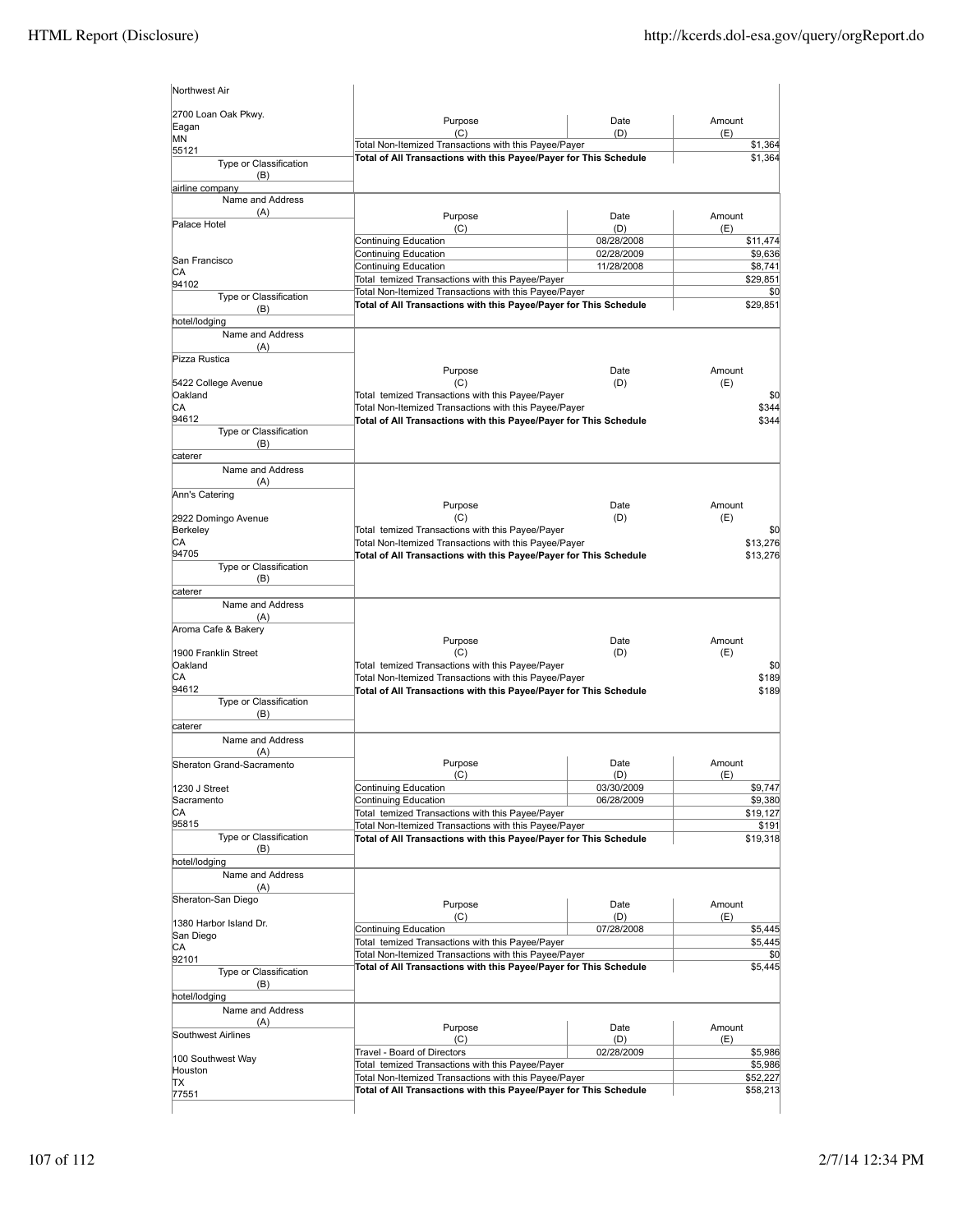| Northwest Air                          |                                                                   |                          |                    |
|----------------------------------------|-------------------------------------------------------------------|--------------------------|--------------------|
| 2700 Loan Oak Pkwy.<br>Eagan           | Purpose<br>(C)                                                    | Date<br>(D)              | Amount<br>(E)      |
| <b>MN</b>                              | Total Non-Itemized Transactions with this Payee/Payer             |                          | \$1,364            |
| 55121<br>Type or Classification<br>(B) | Total of All Transactions with this Payee/Payer for This Schedule | \$1,364                  |                    |
| airline company                        |                                                                   |                          |                    |
| Name and Address<br>(A)                |                                                                   |                          |                    |
| Palace Hotel                           | Purpose                                                           | Date                     | Amount             |
|                                        | (C)<br>Continuing Education                                       | (D)<br>08/28/2008        | (E)<br>\$11,474    |
|                                        | Continuing Education                                              | 02/28/2009               | \$9,636            |
| San Francisco                          | Continuing Education                                              | 11/28/2008               | \$8,741            |
| СA                                     | Total temized Transactions with this Payee/Payer                  |                          | \$29,851           |
| 94102<br>Type or Classification        | Total Non-Itemized Transactions with this Payee/Payer             |                          | \$0                |
| (B)<br>hotel/lodging                   | Total of All Transactions with this Payee/Payer for This Schedule |                          | \$29,851           |
| Name and Address                       |                                                                   |                          |                    |
| (A)                                    |                                                                   |                          |                    |
| Pizza Rustica                          |                                                                   |                          |                    |
|                                        | Purpose                                                           | Date                     | Amount             |
| 5422 College Avenue                    | (C)                                                               | (D)                      | (E)                |
| Oakland                                | Total temized Transactions with this Payee/Payer                  |                          | \$0                |
| CA                                     | Total Non-Itemized Transactions with this Payee/Payer             |                          | \$344              |
| 94612                                  | Total of All Transactions with this Payee/Payer for This Schedule |                          | \$344              |
| Type or Classification<br>(B)          |                                                                   |                          |                    |
| caterer                                |                                                                   |                          |                    |
| Name and Address<br>(A)                |                                                                   |                          |                    |
| Ann's Catering                         |                                                                   |                          |                    |
|                                        | Purpose                                                           | Date                     | Amount             |
| 2922 Domingo Avenue                    | (C)                                                               | (D)                      | (E)                |
| Berkeley                               | Total temized Transactions with this Payee/Payer                  |                          | \$0                |
| СA                                     | Total Non-Itemized Transactions with this Payee/Payer             |                          | \$13,276           |
| 94705                                  | Total of All Transactions with this Payee/Payer for This Schedule |                          | \$13,276           |
| Type or Classification                 |                                                                   |                          |                    |
| (B)<br>caterer                         |                                                                   |                          |                    |
| Name and Address                       |                                                                   |                          |                    |
| (A)                                    |                                                                   |                          |                    |
| Aroma Cafe & Bakery                    |                                                                   |                          |                    |
|                                        | Purpose                                                           | Date                     | Amount             |
| 1900 Franklin Street                   | (C)                                                               | (D)                      | (E)                |
| Oakland                                | Total temized Transactions with this Payee/Payer                  |                          | \$0                |
| СA                                     | Total Non-Itemized Transactions with this Payee/Payer             |                          | \$189              |
| 94612<br>Type or Classification        | Total of All Transactions with this Payee/Payer for This Schedule |                          | \$189              |
| (B)                                    |                                                                   |                          |                    |
| caterer                                |                                                                   |                          |                    |
| Name and Address                       |                                                                   |                          |                    |
| (A)                                    |                                                                   |                          |                    |
| Sheraton Grand-Sacramento              | Purpose                                                           | Date                     | Amount             |
|                                        | (C)                                                               | (D)                      | (E)                |
| 1230 J Street<br>Sacramento            | Continuing Education<br>Continuing Education                      | 03/30/2009<br>06/28/2009 | \$9,747<br>\$9,380 |
| СA                                     | Total temized Transactions with this Payee/Payer                  |                          | \$19,127           |
| 95815                                  | Total Non-Itemized Transactions with this Payee/Payer             |                          | \$191              |
| Type or Classification                 | Total of All Transactions with this Payee/Payer for This Schedule |                          | \$19,318           |
| (B)                                    |                                                                   |                          |                    |
| hotel/lodging                          |                                                                   |                          |                    |
| Name and Address                       |                                                                   |                          |                    |
| (A)                                    |                                                                   |                          |                    |
| Sheraton-San Diego                     | Purpose                                                           | Date                     | Amount             |
| 1380 Harbor Island Dr.                 | (C)                                                               | (D)                      | (E)                |
| San Diego                              | Continuing Education                                              | 07/28/2008               | \$5,445            |
| СA                                     | Total temized Transactions with this Payee/Payer                  |                          | \$5,445            |
| 92101                                  | Total Non-Itemized Transactions with this Payee/Payer             |                          | \$0                |
| Type or Classification                 | Total of All Transactions with this Payee/Payer for This Schedule |                          | \$5,445            |
| (B)                                    |                                                                   |                          |                    |
| hotel/lodging                          |                                                                   |                          |                    |
| Name and Address                       |                                                                   |                          |                    |
| (A)                                    | Purpose                                                           | Date                     | Amount             |
| Southwest Airlines                     | (C)                                                               | (D)                      | (E)                |
| 100 Southwest Way                      | Travel - Board of Directors                                       | 02/28/2009               | \$5,986            |
| Houston                                | Total temized Transactions with this Payee/Payer                  |                          | \$5,986            |
| ТX                                     | Total Non-Itemized Transactions with this Payee/Payer             |                          | \$52,227           |
| 77551                                  | Total of All Transactions with this Payee/Payer for This Schedule |                          | \$58,213           |
|                                        |                                                                   |                          |                    |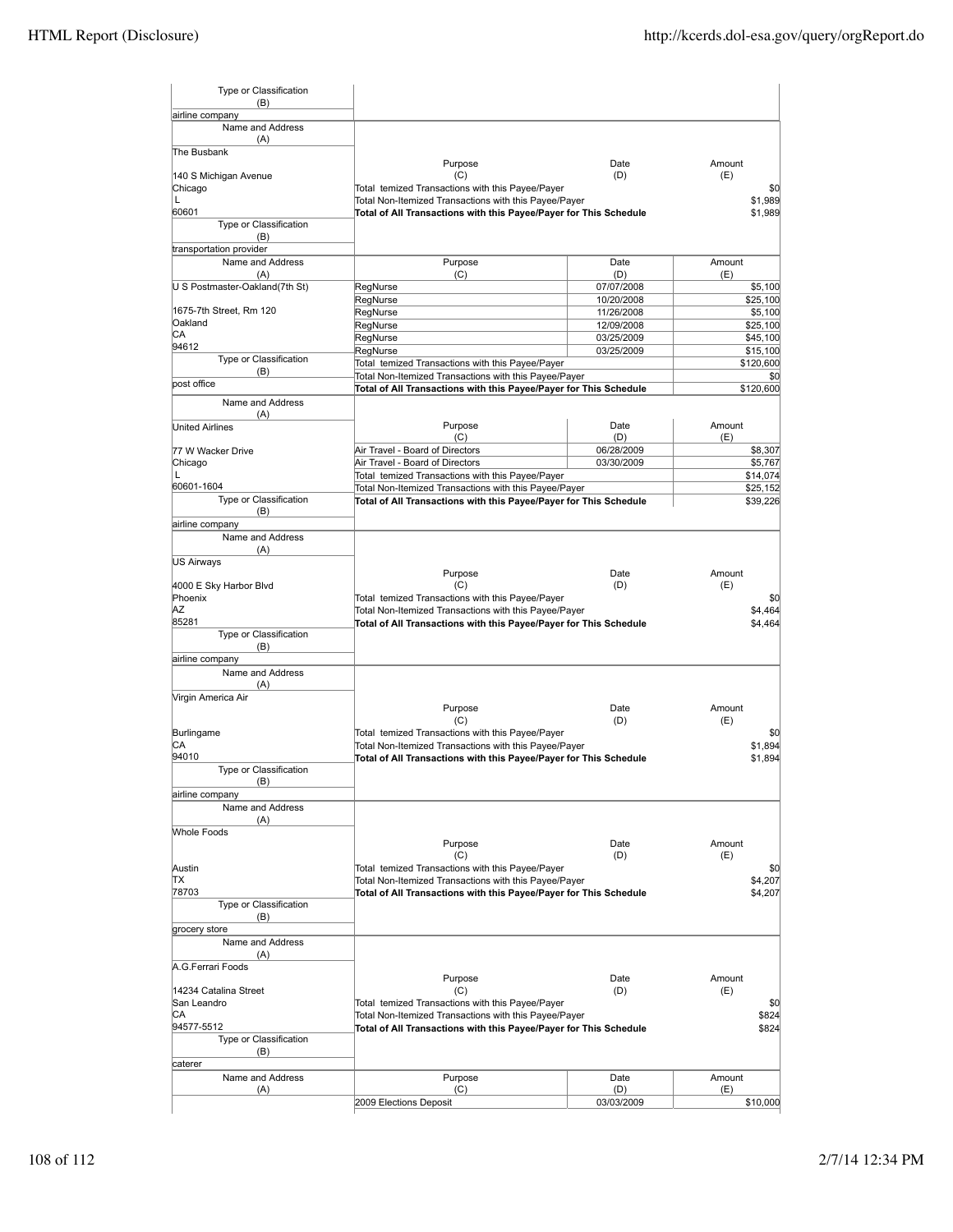| Type or Classification         |                                                                   |            |            |
|--------------------------------|-------------------------------------------------------------------|------------|------------|
| (B)<br>airline company         |                                                                   |            |            |
| Name and Address               |                                                                   |            |            |
| (A)                            |                                                                   |            |            |
| The Busbank                    |                                                                   |            |            |
|                                | Purpose                                                           | Date       | Amount     |
| 140 S Michigan Avenue          | (C)<br>Total temized Transactions with this Payee/Payer           | (D)        | (E)<br>\$0 |
| Chicago<br>L                   | Total Non-Itemized Transactions with this Payee/Payer             |            | \$1,989    |
| 60601                          | Total of All Transactions with this Payee/Payer for This Schedule |            | \$1,989    |
| Type or Classification         |                                                                   |            |            |
| (B)                            |                                                                   |            |            |
| transportation provider        |                                                                   |            |            |
| Name and Address               | Purpose                                                           | Date       | Amount     |
| (A)                            | (C)                                                               | (D)        | (E)        |
| U S Postmaster-Oakland(7th St) | RegNurse                                                          | 07/07/2008 | \$5,100    |
|                                | RegNurse                                                          | 10/20/2008 | \$25,100   |
| 1675-7th Street, Rm 120        | RegNurse                                                          | 11/26/2008 | \$5,100    |
| Oakland<br>СA                  | RegNurse                                                          | 12/09/2008 | \$25,100   |
| 94612                          | RegNurse                                                          | 03/25/2009 | \$45,100   |
| Type or Classification         | RegNurse                                                          | 03/25/2009 | \$15,100   |
| (B)                            | Total temized Transactions with this Payee/Payer                  |            | \$120,600  |
| bost office                    | Total Non-Itemized Transactions with this Payee/Payer             |            | \$0        |
|                                | Total of All Transactions with this Payee/Payer for This Schedule |            | \$120,600  |
| Name and Address               |                                                                   |            |            |
| (A)<br><b>United Airlines</b>  | Purpose                                                           | Date       | Amount     |
|                                | (C)                                                               | (D)        | (E)        |
| 77 W Wacker Drive              | Air Travel - Board of Directors                                   | 06/28/2009 | \$8,307    |
| Chicago                        | Air Travel - Board of Directors                                   | 03/30/2009 | \$5.767    |
| L                              | Total temized Transactions with this Payee/Payer                  |            | \$14,074   |
| 60601-1604                     | Total Non-Itemized Transactions with this Payee/Payer             |            | \$25,152   |
| Type or Classification         | Total of All Transactions with this Payee/Payer for This Schedule |            | \$39,226   |
| (B)                            |                                                                   |            |            |
| airline company                |                                                                   |            |            |
| Name and Address               |                                                                   |            |            |
| (A)                            |                                                                   |            |            |
| US Airways                     |                                                                   |            |            |
|                                | Purpose                                                           | Date       | Amount     |
| 4000 E Sky Harbor Blvd         | (C)                                                               | (D)        | (E)        |
| Phoenix                        | Total temized Transactions with this Payee/Payer                  |            | \$0        |
| ΑZ                             | Total Non-Itemized Transactions with this Payee/Payer             |            | \$4,464    |
| 85281                          | Total of All Transactions with this Payee/Payer for This Schedule |            | \$4,464    |
| Type or Classification         |                                                                   |            |            |
| (B)                            |                                                                   |            |            |
| airline company                |                                                                   |            |            |
| Name and Address               |                                                                   |            |            |
| (A)                            |                                                                   |            |            |
| Virgin America Air             | Purpose                                                           | Date       | Amount     |
|                                | (C)                                                               | (D)        | (E)        |
| Burlingame                     | Total temized Transactions with this Payee/Payer                  |            | \$0        |
| СA                             | Total Non-Itemized Transactions with this Payee/Payer             |            | \$1,894    |
| 94010                          | Total of All Transactions with this Payee/Payer for This Schedule |            | \$1,894    |
| Type or Classification         |                                                                   |            |            |
| (B)                            |                                                                   |            |            |
| airline company                |                                                                   |            |            |
| Name and Address               |                                                                   |            |            |
| (A)                            |                                                                   |            |            |
| <b>Whole Foods</b>             |                                                                   |            |            |
|                                | Purpose                                                           | Date       | Amount     |
|                                | (C)                                                               | (D)        | (E)        |
| Austin                         | Total temized Transactions with this Payee/Payer                  |            | \$0        |
| ΠX                             | Total Non-Itemized Transactions with this Payee/Payer             |            | \$4,207    |
| 78703                          | Total of All Transactions with this Payee/Payer for This Schedule |            | \$4,207    |
| Type or Classification         |                                                                   |            |            |
| (B)                            |                                                                   |            |            |
| grocery store                  |                                                                   |            |            |
| Name and Address               |                                                                   |            |            |
| (A)                            |                                                                   |            |            |
| A.G.Ferrari Foods              | Purpose                                                           | Date       | Amount     |
| 14234 Catalina Street          | (C)                                                               | (D)        | (E)        |
| San Leandro                    | Total temized Transactions with this Payee/Payer                  |            | \$0        |
| СA                             | Total Non-Itemized Transactions with this Payee/Payer             |            | \$824      |
| 94577-5512                     | Total of All Transactions with this Payee/Payer for This Schedule |            | \$824      |
| Type or Classification         |                                                                   |            |            |
| (B)                            |                                                                   |            |            |
| caterer                        |                                                                   |            |            |
| Name and Address               | Purpose                                                           | Date       | Amount     |
| (A)                            | (C)                                                               | (D)        | (E)        |
|                                | 2009 Elections Deposit                                            | 03/03/2009 | \$10,000   |
|                                |                                                                   |            |            |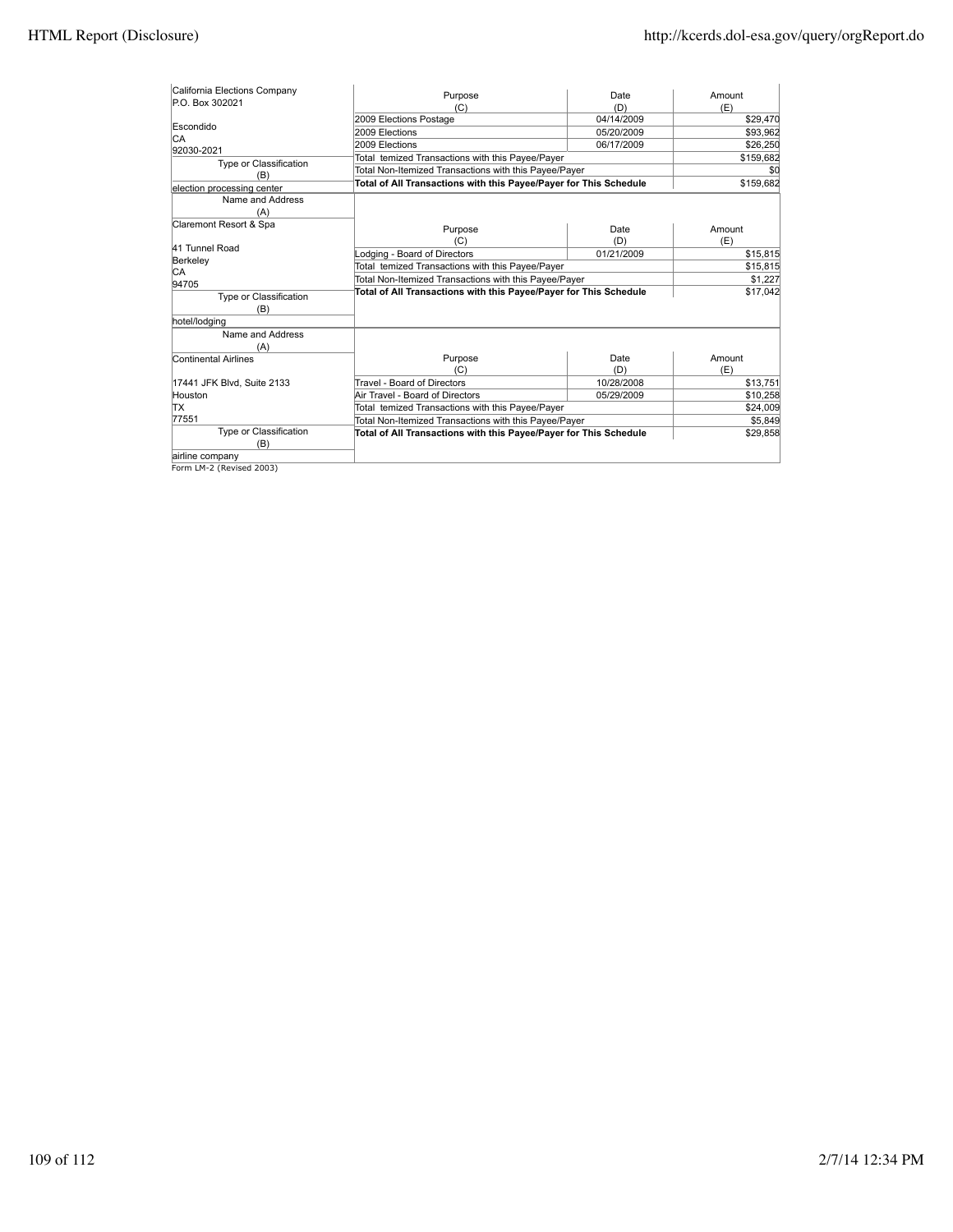| California Elections Company  | Purpose                                                           | Date       | Amount    |
|-------------------------------|-------------------------------------------------------------------|------------|-----------|
| P.O. Box 302021               | (C)                                                               | (D)        | (E)       |
|                               | 2009 Elections Postage                                            | 04/14/2009 | \$29,470  |
| Escondido                     | 2009 Elections                                                    | 05/20/2009 | \$93,962  |
| CA                            | 2009 Elections                                                    | 06/17/2009 | \$26,250  |
| 92030-2021                    | Total temized Transactions with this Payee/Payer                  |            | \$159,682 |
| Type or Classification        | Total Non-Itemized Transactions with this Payee/Payer             | \$0        |           |
| (B)                           | Total of All Transactions with this Payee/Payer for This Schedule |            | \$159,682 |
| election processing center    |                                                                   |            |           |
| Name and Address              |                                                                   |            |           |
| (A)                           |                                                                   |            |           |
| Claremont Resort & Spa        | Purpose                                                           | Date       | Amount    |
|                               | (C)                                                               | (D)        | (E)       |
| 41 Tunnel Road                | Lodging - Board of Directors                                      | 01/21/2009 | \$15,815  |
| Berkeley                      | Total temized Transactions with this Payee/Payer                  |            | \$15,815  |
| СA<br>94705                   | Total Non-Itemized Transactions with this Payee/Payer             |            | \$1,227   |
|                               | Total of All Transactions with this Payee/Payer for This Schedule |            | \$17,042  |
| Type or Classification<br>(B) |                                                                   |            |           |
|                               |                                                                   |            |           |
| hotel/lodging                 |                                                                   |            |           |
| Name and Address              |                                                                   |            |           |
| (A)                           |                                                                   | Date       | Amount    |
| Continental Airlines          | Purpose<br>(C)                                                    | (D)        | (E)       |
|                               | Travel - Board of Directors                                       | 10/28/2008 |           |
| 17441 JFK Blvd, Suite 2133    |                                                                   |            | \$13,751  |
| Houston                       | Air Travel - Board of Directors                                   | 05/29/2009 | \$10,258  |
| ΠX                            | Total temized Transactions with this Payee/Payer                  |            | \$24,009  |
| 77551                         | Total Non-Itemized Transactions with this Payee/Payer             |            | \$5,849   |
| Type or Classification<br>(B) | Total of All Transactions with this Payee/Payer for This Schedule |            | \$29,858  |
| airline company               |                                                                   |            |           |
| Form LM-2 (Revised 2003)      |                                                                   |            |           |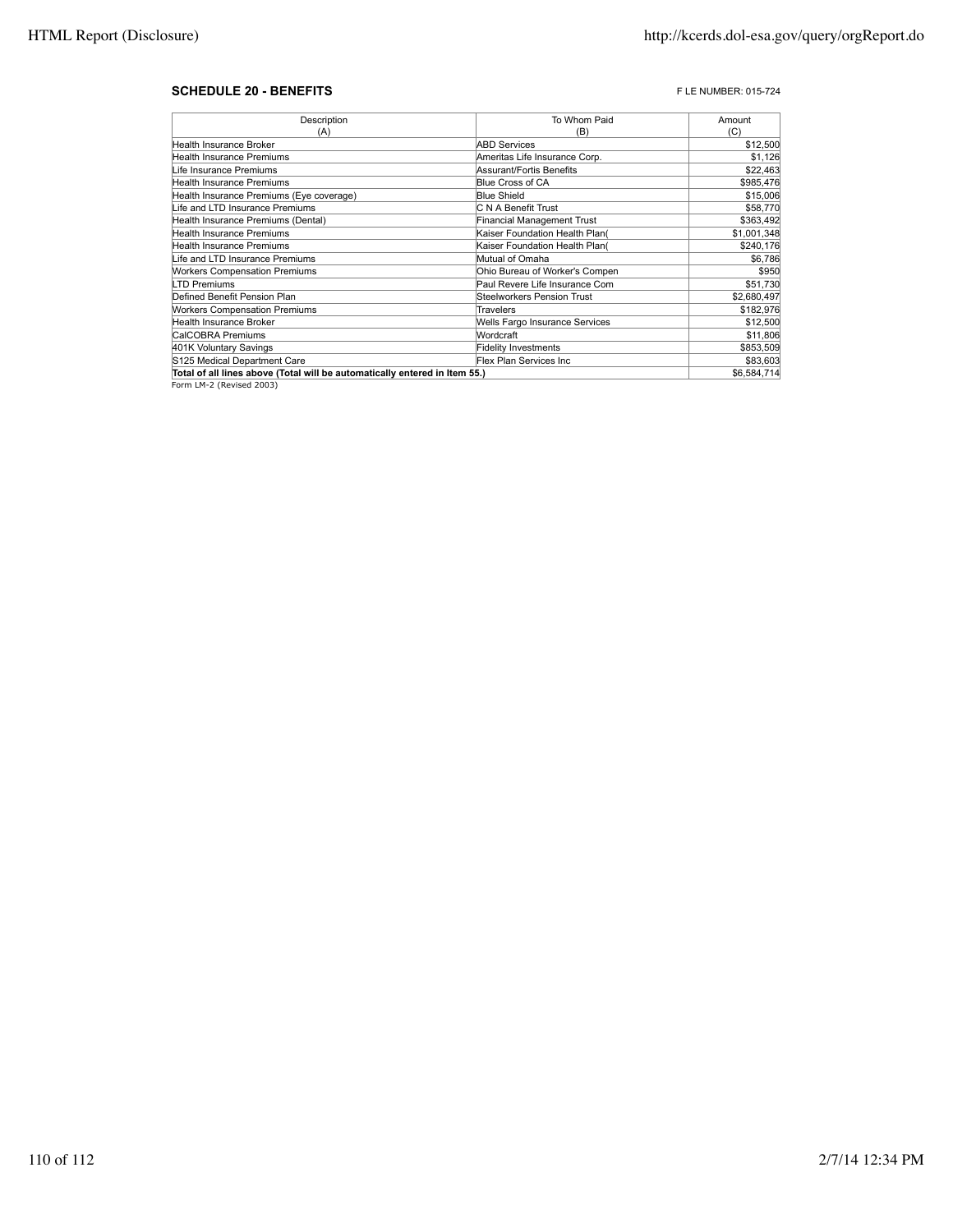# **SCHEDULE 20 - BENEFITS F** LE NUMBER: 015-724

| Description                                                                | To Whom Paid                      | Amount      |
|----------------------------------------------------------------------------|-----------------------------------|-------------|
| (A)                                                                        | (B)                               | (C)         |
| Health Insurance Broker                                                    | <b>ABD Services</b>               | \$12,500    |
| Health Insurance Premiums                                                  | Ameritas Life Insurance Corp.     | \$1,126     |
| Life Insurance Premiums                                                    | Assurant/Fortis Benefits          | \$22,463    |
| <b>Health Insurance Premiums</b>                                           | Blue Cross of CA                  | \$985,476   |
| Health Insurance Premiums (Eye coverage)                                   | <b>Blue Shield</b>                | \$15,006    |
| Life and LTD Insurance Premiums                                            | C N A Benefit Trust               | \$58,770    |
| Health Insurance Premiums (Dental)                                         | <b>Financial Management Trust</b> | \$363,492   |
| Health Insurance Premiums                                                  | Kaiser Foundation Health Plan(    | \$1,001,348 |
| Health Insurance Premiums                                                  | Kaiser Foundation Health Plan(    | \$240,176   |
| Life and LTD Insurance Premiums                                            | Mutual of Omaha                   | \$6,786     |
| <b>Workers Compensation Premiums</b>                                       | Ohio Bureau of Worker's Compen    | \$950       |
| LTD Premiums                                                               | Paul Revere Life Insurance Com    | \$51,730    |
| Defined Benefit Pension Plan                                               | Steelworkers Pension Trust        | \$2,680,497 |
| <b>Workers Compensation Premiums</b>                                       | Travelers                         | \$182,976   |
| Health Insurance Broker                                                    | Wells Fargo Insurance Services    | \$12,500    |
| CalCOBRA Premiums                                                          | Wordcraft                         | \$11,806    |
| 401K Voluntary Savings                                                     | <b>Fidelity Investments</b>       | \$853,509   |
| S125 Medical Department Care                                               | Flex Plan Services Inc            | \$83,603    |
| Total of all lines above (Total will be automatically entered in Item 55.) | \$6,584,714                       |             |

Form LM-2 (Revised 2003)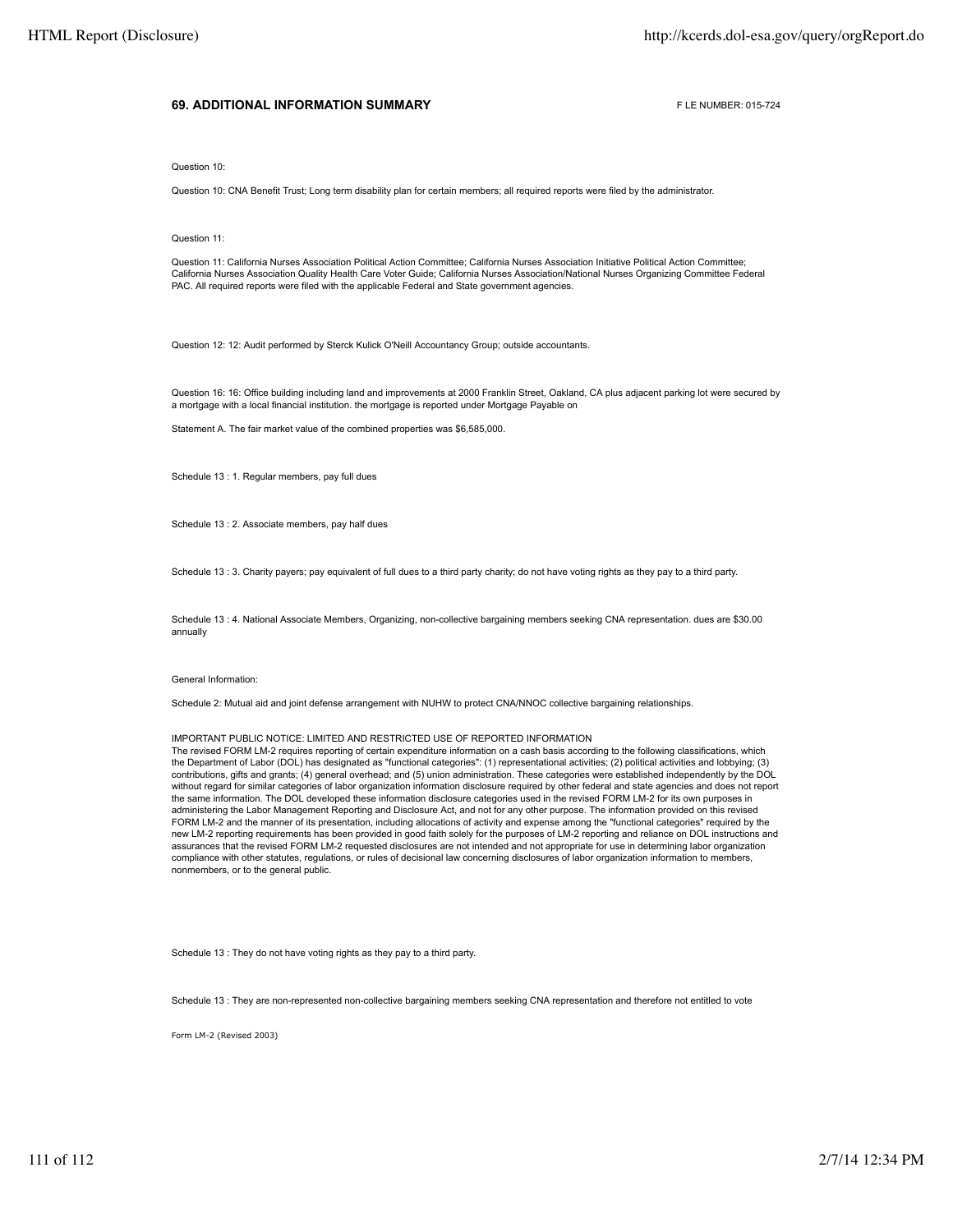## **69. ADDITIONAL INFORMATION SUMMARY EXAMPLE ADDITIONAL INFORMATION SUMMARY**

Question 10:

Question 10: CNA Benefit Trust; Long term disability plan for certain members; all required reports were filed by the administrator.

Question 11:

Question 11: California Nurses Association Political Action Committee; California Nurses Association Initiative Political Action Committee; California Nurses Association Quality Health Care Voter Guide; California Nurses Association/National Nurses Organizing Committee Federal PAC. All required reports were filed with the applicable Federal and State government agencies.

Question 12: 12: Audit performed by Sterck Kulick O'Neill Accountancy Group; outside accountants.

Question 16: 16: Office building including land and improvements at 2000 Franklin Street, Oakland, CA plus adjacent parking lot were secured by a mortgage with a local financial institution. the mortgage is reported under Mortgage Payable on

Statement A. The fair market value of the combined properties was \$6,585,000.

Schedule 13 : 1. Regular members, pay full dues

Schedule 13 : 2. Associate members, pay half dues

Schedule 13 : 3. Charity payers; pay equivalent of full dues to a third party charity; do not have voting rights as they pay to a third party.

Schedule 13 : 4. National Associate Members, Organizing, non-collective bargaining members seeking CNA representation. dues are \$30.00 annually

### General Information:

Schedule 2: Mutual aid and joint defense arrangement with NUHW to protect CNA/NNOC collective bargaining relationships.

#### IMPORTANT PUBLIC NOTICE: LIMITED AND RESTRICTED USE OF REPORTED INFORMATION

The revised FORM LM-2 requires reporting of certain expenditure information on a cash basis according to the following classifications, which the Department of Labor (DOL) has designated as "functional categories": (1) representational activities; (2) political activities and lobbying; (3) contributions, gifts and grants; (4) general overhead; and (5) union administration. These categories were established independently by the DOL without regard for similar categories of labor organization information disclosure required by other federal and state agencies and does not report the same information. The DOL developed these information disclosure categories used in the revised FORM LM-2 for its own purposes in administering the Labor Management Reporting and Disclosure Act, and not for any other purpose. The information provided on this revised FORM LM-2 and the manner of its presentation, including allocations of activity and expense among the "functional categories" required by the new LM-2 reporting requirements has been provided in good faith solely for the purposes of LM-2 reporting and reliance on DOL instructions and assurances that the revised FORM LM-2 requested disclosures are not intended and not appropriate for use in determining labor organization compliance with other statutes, regulations, or rules of decisional law concerning disclosures of labor organization information to members, nonmembers, or to the general public.

Schedule 13 : They do not have voting rights as they pay to a third party.

Schedule 13 : They are non-represented non-collective bargaining members seeking CNA representation and therefore not entitled to vote

Form LM-2 (Revised 2003)